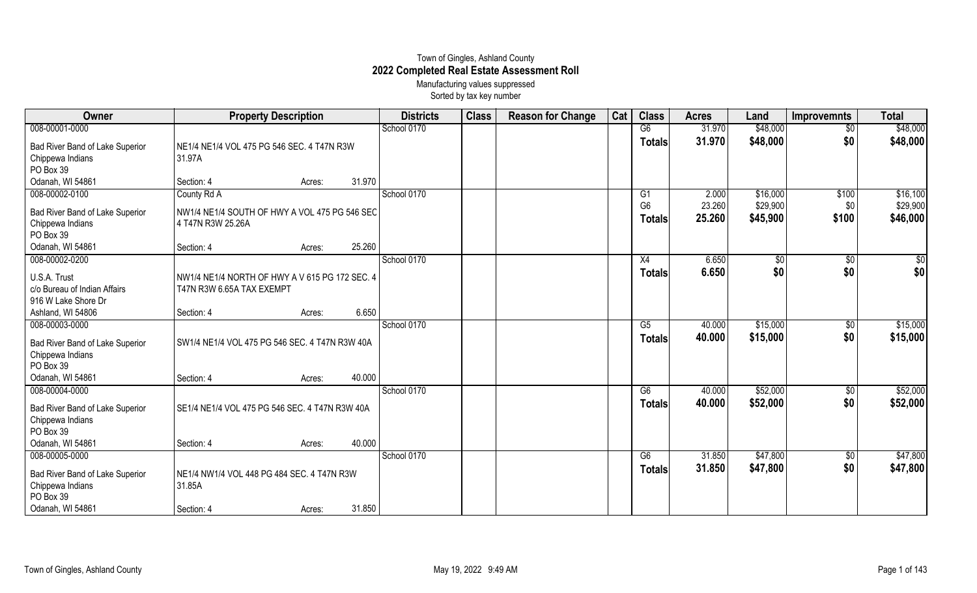## Town of Gingles, Ashland County **2022 Completed Real Estate Assessment Roll** Manufacturing values suppressed

Sorted by tax key number

| Owner                                                                              | <b>Property Description</b>                                        |        | <b>Districts</b> | <b>Class</b> | <b>Reason for Change</b> | Cat | <b>Class</b> | <b>Acres</b>                    | Land             | <b>Improvemnts</b>     | <b>Total</b>           |                        |
|------------------------------------------------------------------------------------|--------------------------------------------------------------------|--------|------------------|--------------|--------------------------|-----|--------------|---------------------------------|------------------|------------------------|------------------------|------------------------|
| 008-00001-0000                                                                     |                                                                    |        |                  | School 0170  |                          |     |              | G6                              | 31.970           | \$48,000               | $\overline{60}$        | \$48,000               |
| Bad River Band of Lake Superior<br>Chippewa Indians<br>PO Box 39                   | NE1/4 NE1/4 VOL 475 PG 546 SEC. 4 T47N R3W<br>31.97A               |        |                  |              |                          |     |              | <b>Totals</b>                   | 31.970           | \$48,000               | \$0                    | \$48,000               |
| Odanah, WI 54861                                                                   | Section: 4                                                         | Acres: | 31.970           |              |                          |     |              |                                 |                  |                        |                        |                        |
| 008-00002-0100                                                                     | County Rd A                                                        |        |                  | School 0170  |                          |     |              | G <sub>1</sub>                  | 2.000            | \$16,000               | \$100                  | \$16,100               |
| Bad River Band of Lake Superior<br>Chippewa Indians<br>PO Box 39                   | NW1/4 NE1/4 SOUTH OF HWY A VOL 475 PG 546 SEC<br>4 T47N R3W 25.26A |        |                  |              |                          |     |              | G <sub>6</sub><br><b>Totals</b> | 23.260<br>25.260 | \$29,900<br>\$45,900   | \$0<br>\$100           | \$29,900<br>\$46,000   |
| Odanah, WI 54861                                                                   | Section: 4                                                         | Acres: | 25.260           |              |                          |     |              |                                 |                  |                        |                        |                        |
| 008-00002-0200<br>U.S.A. Trust                                                     | NW1/4 NE1/4 NORTH OF HWY A V 615 PG 172 SEC. 4                     |        |                  | School 0170  |                          |     |              | X4<br><b>Totals</b>             | 6.650<br>6.650   | $\overline{50}$<br>\$0 | $\overline{50}$<br>\$0 | $\overline{50}$<br>\$0 |
| c/o Bureau of Indian Affairs<br>916 W Lake Shore Dr<br>Ashland, WI 54806           | T47N R3W 6.65A TAX EXEMPT<br>Section: 4                            | Acres: | 6.650            |              |                          |     |              |                                 |                  |                        |                        |                        |
| 008-00003-0000                                                                     |                                                                    |        |                  | School 0170  |                          |     |              | G5                              | 40.000           | \$15,000               | \$0                    | \$15,000               |
| Bad River Band of Lake Superior<br>Chippewa Indians<br>PO Box 39                   | SW1/4 NE1/4 VOL 475 PG 546 SEC. 4 T47N R3W 40A                     |        |                  |              |                          |     |              | <b>Totals</b>                   | 40.000           | \$15,000               | \$0                    | \$15,000               |
| Odanah, WI 54861                                                                   | Section: 4                                                         | Acres: | 40.000           |              |                          |     |              |                                 |                  |                        |                        |                        |
| 008-00004-0000<br>Bad River Band of Lake Superior<br>Chippewa Indians<br>PO Box 39 | SE1/4 NE1/4 VOL 475 PG 546 SEC. 4 T47N R3W 40A                     |        |                  | School 0170  |                          |     |              | G6<br><b>Totals</b>             | 40.000<br>40.000 | \$52,000<br>\$52,000   | \$0<br>\$0             | \$52,000<br>\$52,000   |
| Odanah, WI 54861                                                                   | Section: 4                                                         | Acres: | 40.000           |              |                          |     |              |                                 |                  |                        |                        |                        |
| 008-00005-0000<br>Bad River Band of Lake Superior<br>Chippewa Indians<br>PO Box 39 | NE1/4 NW1/4 VOL 448 PG 484 SEC. 4 T47N R3W<br>31.85A               |        |                  | School 0170  |                          |     |              | G6<br><b>Totals</b>             | 31.850<br>31.850 | \$47,800<br>\$47,800   | $\sqrt[6]{3}$<br>\$0   | \$47,800<br>\$47,800   |
| Odanah, WI 54861                                                                   | Section: 4                                                         | Acres: | 31.850           |              |                          |     |              |                                 |                  |                        |                        |                        |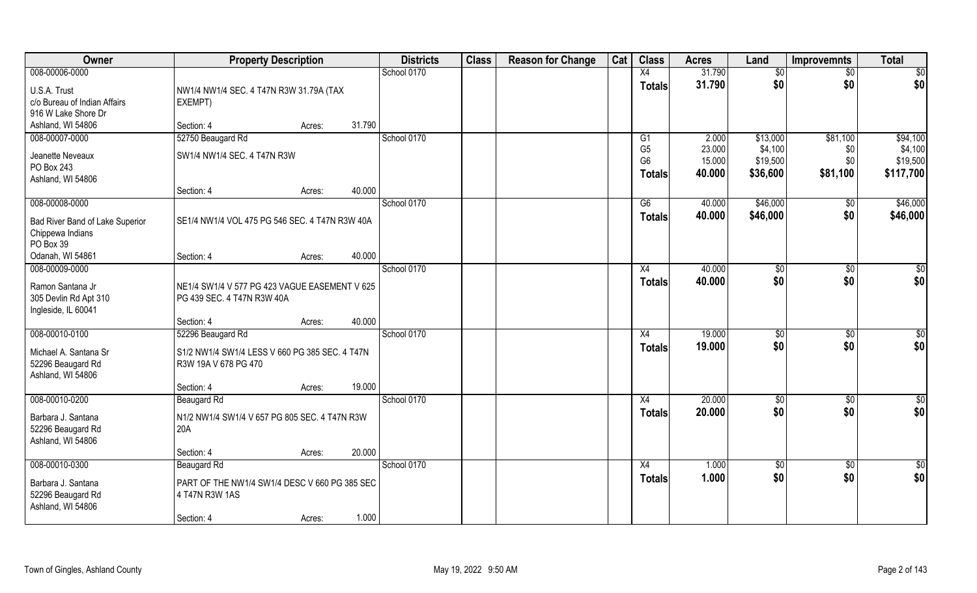| Owner                                                                              | <b>Property Description</b>                                                                                                   | <b>Districts</b> | <b>Class</b> | <b>Reason for Change</b> | Cat | <b>Class</b>                                            | <b>Acres</b>                        | Land                                        | <b>Improvemnts</b>                 | <b>Total</b>                                 |
|------------------------------------------------------------------------------------|-------------------------------------------------------------------------------------------------------------------------------|------------------|--------------|--------------------------|-----|---------------------------------------------------------|-------------------------------------|---------------------------------------------|------------------------------------|----------------------------------------------|
| 008-00006-0000                                                                     |                                                                                                                               | School 0170      |              |                          |     | X4                                                      | 31.790                              | \$0                                         | $\overline{50}$                    | \$0                                          |
| U.S.A. Trust<br>c/o Bureau of Indian Affairs<br>916 W Lake Shore Dr                | NW1/4 NW1/4 SEC. 4 T47N R3W 31.79A (TAX<br><b>EXEMPT)</b>                                                                     |                  |              |                          |     | <b>Totals</b>                                           | 31.790                              | \$0                                         | \$0                                | \$0                                          |
| Ashland, WI 54806                                                                  | 31.790<br>Section: 4<br>Acres:                                                                                                |                  |              |                          |     |                                                         |                                     |                                             |                                    |                                              |
| 008-00007-0000<br>Jeanette Neveaux<br>PO Box 243<br>Ashland, WI 54806              | 52750 Beaugard Rd<br>SW1/4 NW1/4 SEC. 4 T47N R3W                                                                              | School 0170      |              |                          |     | G1<br>G <sub>5</sub><br>G <sub>6</sub><br><b>Totals</b> | 2.000<br>23.000<br>15.000<br>40.000 | \$13,000<br>\$4,100<br>\$19,500<br>\$36,600 | \$81,100<br>\$0<br>\$0<br>\$81,100 | \$94,100<br>\$4,100<br>\$19,500<br>\$117,700 |
|                                                                                    | 40.000<br>Section: 4<br>Acres:                                                                                                |                  |              |                          |     |                                                         |                                     |                                             |                                    |                                              |
| 008-00008-0000<br>Bad River Band of Lake Superior<br>Chippewa Indians<br>PO Box 39 | SE1/4 NW1/4 VOL 475 PG 546 SEC. 4 T47N R3W 40A                                                                                | School 0170      |              |                          |     | G6<br><b>Totals</b>                                     | 40.000<br>40.000                    | \$46,000<br>\$46,000                        | $\sqrt[6]{30}$<br>\$0              | \$46,000<br>\$46,000                         |
| Odanah, WI 54861                                                                   | 40.000<br>Section: 4<br>Acres:                                                                                                |                  |              |                          |     |                                                         |                                     |                                             |                                    |                                              |
| 008-00009-0000<br>Ramon Santana Jr<br>305 Devlin Rd Apt 310<br>Ingleside, IL 60041 | NE1/4 SW1/4 V 577 PG 423 VAGUE EASEMENT V 625<br>PG 439 SEC. 4 T47N R3W 40A<br>40.000<br>Section: 4<br>Acres:                 | School 0170      |              |                          |     | X4<br><b>Totals</b>                                     | 40.000<br>40.000                    | \$0<br>\$0                                  | \$0<br>\$0                         | $\overline{50}$<br>\$0                       |
| 008-00010-0100<br>Michael A. Santana Sr<br>52296 Beaugard Rd<br>Ashland, WI 54806  | 52296 Beaugard Rd<br>S1/2 NW1/4 SW1/4 LESS V 660 PG 385 SEC. 4 T47N<br>R3W 19A V 678 PG 470<br>19.000<br>Section: 4<br>Acres: | School 0170      |              |                          |     | X4<br><b>Totals</b>                                     | 19.000<br>19.000                    | $\sqrt[6]{3}$<br>\$0                        | $\sqrt[6]{30}$<br>\$0              | \$0<br>\$0                                   |
| 008-00010-0200<br>Barbara J. Santana<br>52296 Beaugard Rd<br>Ashland, WI 54806     | Beaugard Rd<br>N1/2 NW1/4 SW1/4 V 657 PG 805 SEC. 4 T47N R3W<br>20A<br>20.000<br>Section: 4<br>Acres:                         | School 0170      |              |                          |     | X4<br><b>Totals</b>                                     | 20.000<br>20,000                    | \$0<br>\$0                                  | \$0<br>\$0                         | $\frac{6}{3}$<br>\$0                         |
| 008-00010-0300<br>Barbara J. Santana<br>52296 Beaugard Rd<br>Ashland, WI 54806     | Beaugard Rd<br>PART OF THE NW1/4 SW1/4 DESC V 660 PG 385 SEC<br>4 T47N R3W 1AS<br>1.000<br>Section: 4<br>Acres:               | School 0170      |              |                          |     | X4<br><b>Totals</b>                                     | 1.000<br>1.000                      | \$0<br>\$0                                  | $\sqrt{$0}$<br>\$0                 | \$0<br>\$0                                   |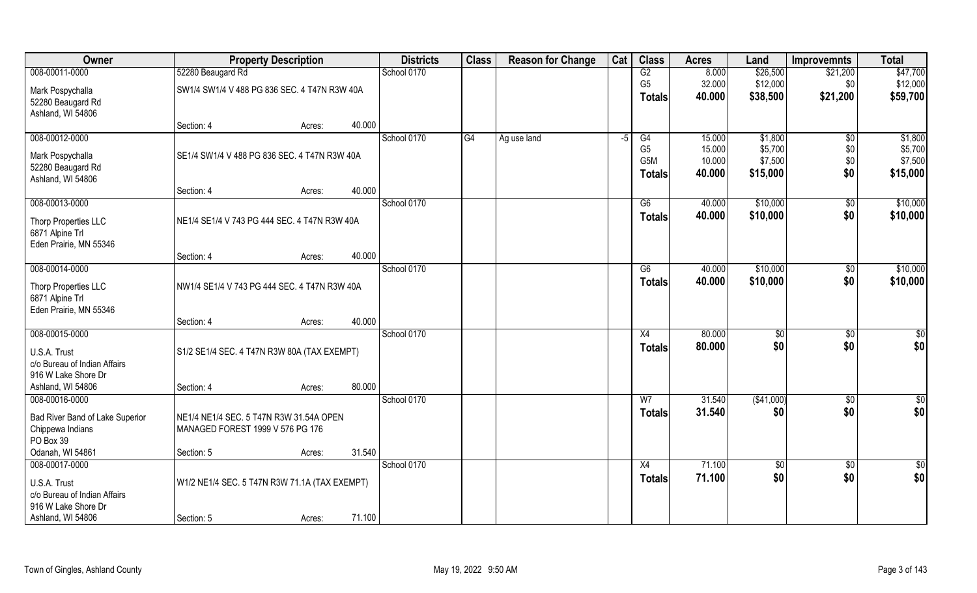| Owner                                        | <b>Property Description</b>                   |        |        | <b>Districts</b> | <b>Class</b> | <b>Reason for Change</b> | Cat  | <b>Class</b>         | <b>Acres</b>     | Land               | <b>Improvemnts</b>     | <b>Total</b>       |
|----------------------------------------------|-----------------------------------------------|--------|--------|------------------|--------------|--------------------------|------|----------------------|------------------|--------------------|------------------------|--------------------|
| 008-00011-0000                               | 52280 Beaugard Rd                             |        |        | School 0170      |              |                          |      | G2                   | 8.000            | \$26,500           | \$21,200               | \$47,700           |
| Mark Pospychalla                             | SW1/4 SW1/4 V 488 PG 836 SEC. 4 T47N R3W 40A  |        |        |                  |              |                          |      | G <sub>5</sub>       | 32.000           | \$12,000           | \$0                    | \$12,000           |
| 52280 Beaugard Rd                            |                                               |        |        |                  |              |                          |      | <b>Totals</b>        | 40.000           | \$38,500           | \$21,200               | \$59,700           |
| Ashland, WI 54806                            |                                               |        |        |                  |              |                          |      |                      |                  |                    |                        |                    |
|                                              | Section: 4                                    | Acres: | 40.000 |                  |              |                          |      |                      |                  |                    |                        |                    |
| 008-00012-0000                               |                                               |        |        | School 0170      | G4           | Ag use land              | $-5$ | G4<br>G <sub>5</sub> | 15.000<br>15.000 | \$1,800<br>\$5,700 | $\overline{50}$<br>\$0 | \$1,800<br>\$5,700 |
| Mark Pospychalla                             | SE1/4 SW1/4 V 488 PG 836 SEC. 4 T47N R3W 40A  |        |        |                  |              |                          |      | G5M                  | 10.000           | \$7,500            | \$0                    | \$7,500            |
| 52280 Beaugard Rd                            |                                               |        |        |                  |              |                          |      | <b>Totals</b>        | 40.000           | \$15,000           | \$0                    | \$15,000           |
| Ashland, WI 54806                            | Section: 4                                    |        | 40.000 |                  |              |                          |      |                      |                  |                    |                        |                    |
| 008-00013-0000                               |                                               | Acres: |        | School 0170      |              |                          |      | G6                   | 40.000           | \$10,000           | \$0                    | \$10,000           |
|                                              |                                               |        |        |                  |              |                          |      | <b>Totals</b>        | 40.000           | \$10,000           | \$0                    | \$10,000           |
| Thorp Properties LLC                         | NE1/4 SE1/4 V 743 PG 444 SEC. 4 T47N R3W 40A  |        |        |                  |              |                          |      |                      |                  |                    |                        |                    |
| 6871 Alpine Trl<br>Eden Prairie, MN 55346    |                                               |        |        |                  |              |                          |      |                      |                  |                    |                        |                    |
|                                              | Section: 4                                    | Acres: | 40.000 |                  |              |                          |      |                      |                  |                    |                        |                    |
| 008-00014-0000                               |                                               |        |        | School 0170      |              |                          |      | G6                   | 40.000           | \$10,000           | $\sqrt[6]{3}$          | \$10,000           |
| Thorp Properties LLC                         | NW1/4 SE1/4 V 743 PG 444 SEC. 4 T47N R3W 40A  |        |        |                  |              |                          |      | <b>Totals</b>        | 40.000           | \$10,000           | \$0                    | \$10,000           |
| 6871 Alpine Trl                              |                                               |        |        |                  |              |                          |      |                      |                  |                    |                        |                    |
| Eden Prairie, MN 55346                       |                                               |        |        |                  |              |                          |      |                      |                  |                    |                        |                    |
|                                              | Section: 4                                    | Acres: | 40.000 |                  |              |                          |      |                      |                  |                    |                        |                    |
| 008-00015-0000                               |                                               |        |        | School 0170      |              |                          |      | X4                   | 80.000           | $\frac{1}{20}$     | \$0                    | \$0                |
| U.S.A. Trust                                 | S1/2 SE1/4 SEC. 4 T47N R3W 80A (TAX EXEMPT)   |        |        |                  |              |                          |      | <b>Totals</b>        | 80.000           | \$0                | \$0                    | \$0                |
| c/o Bureau of Indian Affairs                 |                                               |        |        |                  |              |                          |      |                      |                  |                    |                        |                    |
| 916 W Lake Shore Dr                          |                                               |        |        |                  |              |                          |      |                      |                  |                    |                        |                    |
| Ashland, WI 54806                            | Section: 4                                    | Acres: | 80.000 |                  |              |                          |      |                      |                  |                    |                        |                    |
| 008-00016-0000                               |                                               |        |        | School 0170      |              |                          |      | W <sub>7</sub>       | 31.540<br>31.540 | (\$41,000)<br>\$0  | \$0<br>\$0             | \$0<br>\$0         |
| Bad River Band of Lake Superior              | NE1/4 NE1/4 SEC. 5 T47N R3W 31.54A OPEN       |        |        |                  |              |                          |      | <b>Totals</b>        |                  |                    |                        |                    |
| Chippewa Indians                             | MANAGED FOREST 1999 V 576 PG 176              |        |        |                  |              |                          |      |                      |                  |                    |                        |                    |
| PO Box 39<br>Odanah, WI 54861                | Section: 5                                    | Acres: | 31.540 |                  |              |                          |      |                      |                  |                    |                        |                    |
| 008-00017-0000                               |                                               |        |        | School 0170      |              |                          |      | X4                   | 71.100           | $\sqrt{$0}$        | $\sqrt{$0}$            | $\overline{50}$    |
|                                              |                                               |        |        |                  |              |                          |      | <b>Totals</b>        | 71.100           | \$0                | \$0                    | \$0                |
| U.S.A. Trust<br>c/o Bureau of Indian Affairs | W1/2 NE1/4 SEC. 5 T47N R3W 71.1A (TAX EXEMPT) |        |        |                  |              |                          |      |                      |                  |                    |                        |                    |
| 916 W Lake Shore Dr                          |                                               |        |        |                  |              |                          |      |                      |                  |                    |                        |                    |
| Ashland, WI 54806                            | Section: 5                                    | Acres: | 71.100 |                  |              |                          |      |                      |                  |                    |                        |                    |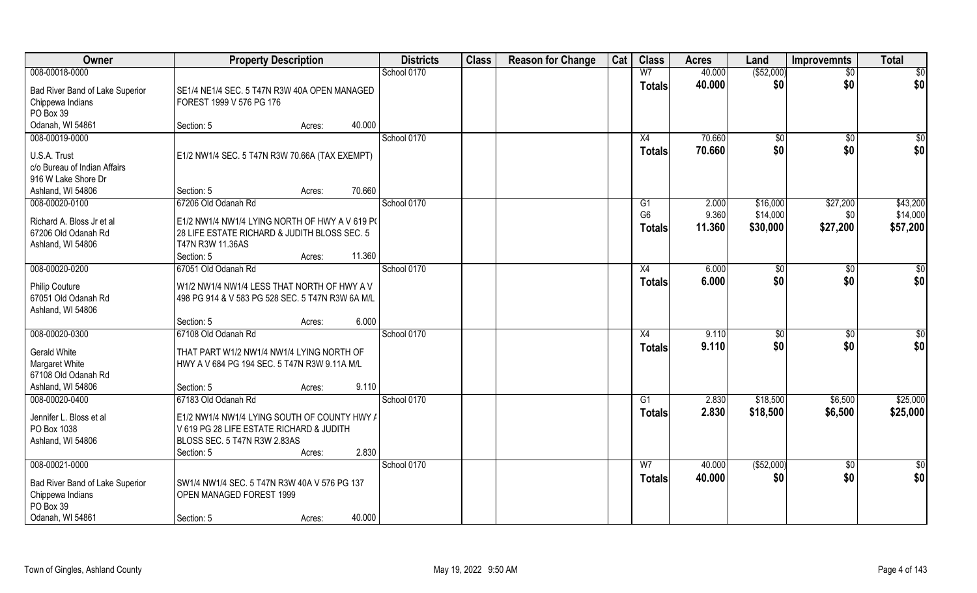| Owner                                               | <b>Property Description</b>                      |        |        | <b>Districts</b> | <b>Class</b> | <b>Reason for Change</b> | Cat | <b>Class</b>   | <b>Acres</b> | Land           | <b>Improvemnts</b> | <b>Total</b>    |
|-----------------------------------------------------|--------------------------------------------------|--------|--------|------------------|--------------|--------------------------|-----|----------------|--------------|----------------|--------------------|-----------------|
| 008-00018-0000                                      |                                                  |        |        | School 0170      |              |                          |     | W <sub>7</sub> | 40.000       | ( \$52,000)    | $\overline{50}$    | $\overline{50}$ |
| Bad River Band of Lake Superior                     | SE1/4 NE1/4 SEC. 5 T47N R3W 40A OPEN MANAGED     |        |        |                  |              |                          |     | <b>Totals</b>  | 40.000       | \$0            | \$0                | \$0             |
| Chippewa Indians                                    | FOREST 1999 V 576 PG 176                         |        |        |                  |              |                          |     |                |              |                |                    |                 |
| PO Box 39                                           |                                                  |        |        |                  |              |                          |     |                |              |                |                    |                 |
| Odanah, WI 54861                                    | Section: 5                                       | Acres: | 40.000 |                  |              |                          |     |                |              |                |                    |                 |
| 008-00019-0000                                      |                                                  |        |        | School 0170      |              |                          |     | X4             | 70.660       | $\sqrt[6]{}$   | $\overline{50}$    | \$0             |
| U.S.A. Trust                                        | E1/2 NW1/4 SEC. 5 T47N R3W 70.66A (TAX EXEMPT)   |        |        |                  |              |                          |     | <b>Totals</b>  | 70.660       | \$0            | \$0                | \$0             |
| c/o Bureau of Indian Affairs                        |                                                  |        |        |                  |              |                          |     |                |              |                |                    |                 |
| 916 W Lake Shore Dr                                 |                                                  |        |        |                  |              |                          |     |                |              |                |                    |                 |
| Ashland, WI 54806                                   | Section: 5                                       | Acres: | 70.660 |                  |              |                          |     |                |              |                |                    |                 |
| 008-00020-0100                                      | 67206 Old Odanah Rd                              |        |        | School 0170      |              |                          |     | G1             | 2.000        | \$16,000       | \$27,200           | \$43,200        |
| Richard A. Bloss Jr et al                           | E1/2 NW1/4 NW1/4 LYING NORTH OF HWY A V 619 P(   |        |        |                  |              |                          |     | G <sub>6</sub> | 9.360        | \$14,000       | \$0                | \$14,000        |
| 67206 Old Odanah Rd                                 | 28 LIFE ESTATE RICHARD & JUDITH BLOSS SEC. 5     |        |        |                  |              |                          |     | <b>Totals</b>  | 11.360       | \$30,000       | \$27,200           | \$57,200        |
| Ashland, WI 54806                                   | T47N R3W 11.36AS                                 |        |        |                  |              |                          |     |                |              |                |                    |                 |
|                                                     | Section: 5                                       | Acres: | 11.360 |                  |              |                          |     |                |              |                |                    |                 |
| 008-00020-0200                                      | 67051 Old Odanah Rd                              |        |        | School 0170      |              |                          |     | X4             | 6.000        | $\frac{1}{20}$ | $\sqrt[6]{3}$      | \$0             |
| <b>Philip Couture</b>                               | W1/2 NW1/4 NW1/4 LESS THAT NORTH OF HWY A V      |        |        |                  |              |                          |     | <b>Totals</b>  | 6.000        | \$0            | \$0                | \$0             |
| 67051 Old Odanah Rd                                 | 498 PG 914 & V 583 PG 528 SEC. 5 T47N R3W 6A M/L |        |        |                  |              |                          |     |                |              |                |                    |                 |
| Ashland, WI 54806                                   |                                                  |        |        |                  |              |                          |     |                |              |                |                    |                 |
|                                                     | Section: 5                                       | Acres: | 6.000  |                  |              |                          |     |                |              |                |                    |                 |
| 008-00020-0300                                      | 67108 Old Odanah Rd                              |        |        | School 0170      |              |                          |     | X4             | 9.110        | $\sqrt[6]{3}$  | $\sqrt[6]{30}$     | \$0             |
| <b>Gerald White</b>                                 | THAT PART W1/2 NW1/4 NW1/4 LYING NORTH OF        |        |        |                  |              |                          |     | <b>Totals</b>  | 9.110        | \$0            | \$0                | \$0             |
| Margaret White                                      | HWY A V 684 PG 194 SEC. 5 T47N R3W 9.11A M/L     |        |        |                  |              |                          |     |                |              |                |                    |                 |
| 67108 Old Odanah Rd                                 |                                                  |        |        |                  |              |                          |     |                |              |                |                    |                 |
| Ashland, WI 54806                                   | Section: 5                                       | Acres: | 9.110  |                  |              |                          |     |                |              |                |                    |                 |
| 008-00020-0400                                      | 67183 Old Odanah Rd                              |        |        | School 0170      |              |                          |     | G1             | 2.830        | \$18,500       | \$6,500            | \$25,000        |
| Jennifer L. Bloss et al                             | E1/2 NW1/4 NW1/4 LYING SOUTH OF COUNTY HWY /     |        |        |                  |              |                          |     | <b>Totals</b>  | 2.830        | \$18,500       | \$6,500            | \$25,000        |
| PO Box 1038                                         | V 619 PG 28 LIFE ESTATE RICHARD & JUDITH         |        |        |                  |              |                          |     |                |              |                |                    |                 |
| Ashland, WI 54806                                   | BLOSS SEC. 5 T47N R3W 2.83AS                     |        |        |                  |              |                          |     |                |              |                |                    |                 |
|                                                     | Section: 5                                       | Acres: | 2.830  |                  |              |                          |     |                |              |                |                    |                 |
| 008-00021-0000                                      |                                                  |        |        | School 0170      |              |                          |     | W <sub>7</sub> | 40.000       | ( \$52,000)    | $\overline{50}$    | $\overline{50}$ |
|                                                     | SW1/4 NW1/4 SEC. 5 T47N R3W 40A V 576 PG 137     |        |        |                  |              |                          |     | <b>Totals</b>  | 40.000       | \$0            | \$0                | \$0             |
| Bad River Band of Lake Superior<br>Chippewa Indians | OPEN MANAGED FOREST 1999                         |        |        |                  |              |                          |     |                |              |                |                    |                 |
| PO Box 39                                           |                                                  |        |        |                  |              |                          |     |                |              |                |                    |                 |
| Odanah, WI 54861                                    | Section: 5                                       | Acres: | 40.000 |                  |              |                          |     |                |              |                |                    |                 |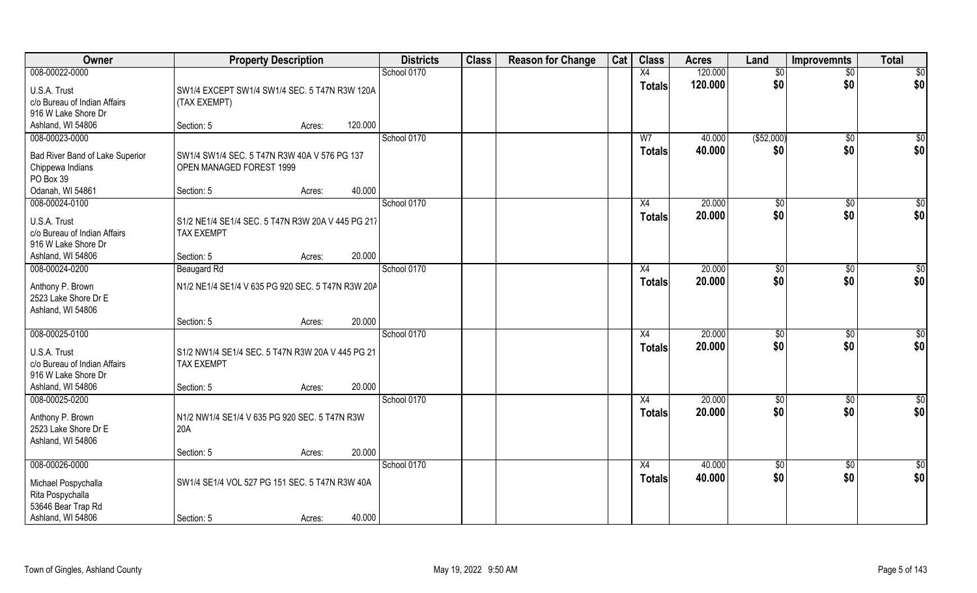| Owner                           | <b>Property Description</b>                       |        |         | <b>Districts</b> | <b>Class</b> | <b>Reason for Change</b> | Cat | <b>Class</b>   | <b>Acres</b> | Land           | <b>Improvemnts</b> | <b>Total</b>    |
|---------------------------------|---------------------------------------------------|--------|---------|------------------|--------------|--------------------------|-----|----------------|--------------|----------------|--------------------|-----------------|
| 008-00022-0000                  |                                                   |        |         | School 0170      |              |                          |     | X4             | 120.000      | \$0            | $\overline{50}$    | $\overline{50}$ |
| U.S.A. Trust                    | SW1/4 EXCEPT SW1/4 SW1/4 SEC. 5 T47N R3W 120A     |        |         |                  |              |                          |     | <b>Totals</b>  | 120.000      | \$0            | \$0                | \$0             |
| c/o Bureau of Indian Affairs    | (TAX EXEMPT)                                      |        |         |                  |              |                          |     |                |              |                |                    |                 |
| 916 W Lake Shore Dr             |                                                   |        |         |                  |              |                          |     |                |              |                |                    |                 |
| Ashland, WI 54806               | Section: 5                                        | Acres: | 120.000 |                  |              |                          |     |                |              |                |                    |                 |
| 008-00023-0000                  |                                                   |        |         | School 0170      |              |                          |     | W <sub>7</sub> | 40.000       | (\$52,000)     | $\sqrt{$0}$        | $\sqrt{50}$     |
| Bad River Band of Lake Superior | SW1/4 SW1/4 SEC. 5 T47N R3W 40A V 576 PG 137      |        |         |                  |              |                          |     | Totals         | 40.000       | \$0            | \$0                | \$0             |
| Chippewa Indians                | OPEN MANAGED FOREST 1999                          |        |         |                  |              |                          |     |                |              |                |                    |                 |
| PO Box 39                       |                                                   |        |         |                  |              |                          |     |                |              |                |                    |                 |
| Odanah, WI 54861                | Section: 5                                        | Acres: | 40.000  |                  |              |                          |     |                |              |                |                    |                 |
| 008-00024-0100                  |                                                   |        |         | School 0170      |              |                          |     | X4             | 20.000       | \$0            | $\sqrt[6]{30}$     | \$0             |
| U.S.A. Trust                    | S1/2 NE1/4 SE1/4 SEC. 5 T47N R3W 20A V 445 PG 217 |        |         |                  |              |                          |     | <b>Totals</b>  | 20.000       | \$0            | \$0                | \$0             |
| c/o Bureau of Indian Affairs    | <b>TAX EXEMPT</b>                                 |        |         |                  |              |                          |     |                |              |                |                    |                 |
| 916 W Lake Shore Dr             |                                                   |        |         |                  |              |                          |     |                |              |                |                    |                 |
| Ashland, WI 54806               | Section: 5                                        | Acres: | 20.000  |                  |              |                          |     |                |              |                |                    |                 |
| 008-00024-0200                  | Beaugard Rd                                       |        |         | School 0170      |              |                          |     | X4             | 20.000       | $\sqrt[6]{3}$  | $\sqrt[6]{3}$      | \$0             |
| Anthony P. Brown                | N1/2 NE1/4 SE1/4 V 635 PG 920 SEC. 5 T47N R3W 20A |        |         |                  |              |                          |     | <b>Totals</b>  | 20.000       | \$0            | \$0                | \$0             |
| 2523 Lake Shore Dr E            |                                                   |        |         |                  |              |                          |     |                |              |                |                    |                 |
| Ashland, WI 54806               |                                                   |        |         |                  |              |                          |     |                |              |                |                    |                 |
|                                 | Section: 5                                        | Acres: | 20.000  |                  |              |                          |     |                |              |                |                    |                 |
| 008-00025-0100                  |                                                   |        |         | School 0170      |              |                          |     | X4             | 20.000       | $\frac{1}{20}$ | $\sqrt[6]{3}$      | \$0             |
| U.S.A. Trust                    | S1/2 NW1/4 SE1/4 SEC. 5 T47N R3W 20A V 445 PG 21  |        |         |                  |              |                          |     | <b>Totals</b>  | 20.000       | \$0            | \$0                | \$0             |
| c/o Bureau of Indian Affairs    | <b>TAX EXEMPT</b>                                 |        |         |                  |              |                          |     |                |              |                |                    |                 |
| 916 W Lake Shore Dr             |                                                   |        |         |                  |              |                          |     |                |              |                |                    |                 |
| Ashland, WI 54806               | Section: 5                                        | Acres: | 20.000  |                  |              |                          |     |                |              |                |                    |                 |
| 008-00025-0200                  |                                                   |        |         | School 0170      |              |                          |     | X4             | 20.000       | \$0            | \$0                | \$0             |
| Anthony P. Brown                | N1/2 NW1/4 SE1/4 V 635 PG 920 SEC. 5 T47N R3W     |        |         |                  |              |                          |     | <b>Totals</b>  | 20.000       | \$0            | \$0                | \$0             |
| 2523 Lake Shore Dr E            | 20A                                               |        |         |                  |              |                          |     |                |              |                |                    |                 |
| Ashland, WI 54806               |                                                   |        |         |                  |              |                          |     |                |              |                |                    |                 |
|                                 | Section: 5                                        | Acres: | 20.000  |                  |              |                          |     |                |              |                |                    |                 |
| 008-00026-0000                  |                                                   |        |         | School 0170      |              |                          |     | X4             | 40.000       | $\sqrt{$0}$    | $\sqrt{$0}$        | \$0             |
| Michael Pospychalla             | SW1/4 SE1/4 VOL 527 PG 151 SEC. 5 T47N R3W 40A    |        |         |                  |              |                          |     | <b>Totals</b>  | 40.000       | \$0            | \$0                | \$0             |
| Rita Pospychalla                |                                                   |        |         |                  |              |                          |     |                |              |                |                    |                 |
| 53646 Bear Trap Rd              |                                                   |        |         |                  |              |                          |     |                |              |                |                    |                 |
| Ashland, WI 54806               | Section: 5                                        | Acres: | 40.000  |                  |              |                          |     |                |              |                |                    |                 |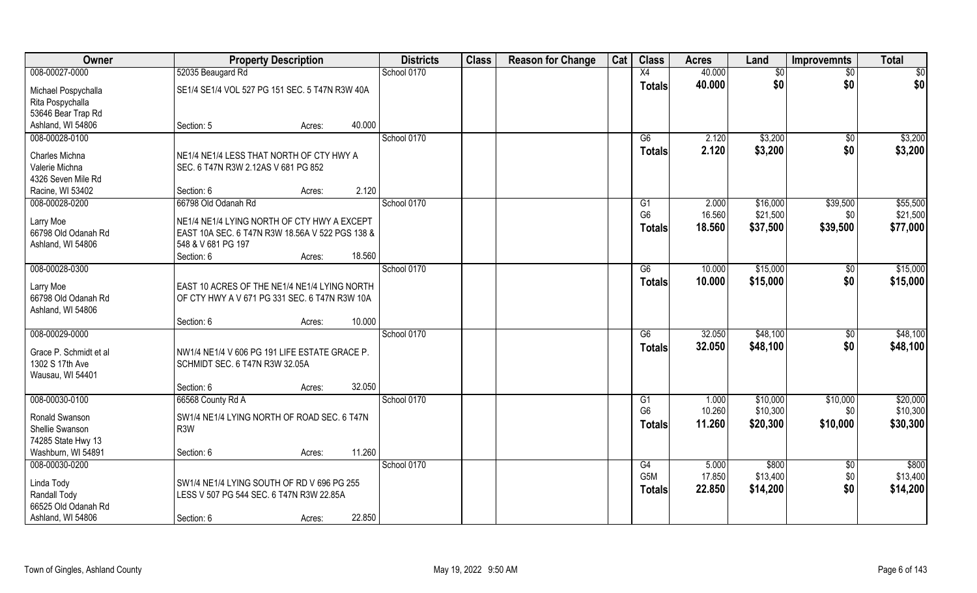| Owner                               | <b>Property Description</b>                     | <b>Districts</b> | <b>Class</b> | <b>Reason for Change</b> | Cat | <b>Class</b>     | <b>Acres</b> | Land     | <b>Improvemnts</b> | <b>Total</b> |
|-------------------------------------|-------------------------------------------------|------------------|--------------|--------------------------|-----|------------------|--------------|----------|--------------------|--------------|
| 008-00027-0000                      | 52035 Beaugard Rd                               | School 0170      |              |                          |     | X4               | 40.000       | \$0      | \$0                | \$0          |
| Michael Pospychalla                 | SE1/4 SE1/4 VOL 527 PG 151 SEC. 5 T47N R3W 40A  |                  |              |                          |     | <b>Totals</b>    | 40.000       | \$0      | \$0                | \$0          |
| Rita Pospychalla                    |                                                 |                  |              |                          |     |                  |              |          |                    |              |
| 53646 Bear Trap Rd                  |                                                 |                  |              |                          |     |                  |              |          |                    |              |
| Ashland, WI 54806                   | 40.000<br>Section: 5<br>Acres:                  |                  |              |                          |     |                  |              |          |                    |              |
| 008-00028-0100                      |                                                 | School 0170      |              |                          |     | G6               | 2.120        | \$3,200  | \$0                | \$3,200      |
| Charles Michna                      | NE1/4 NE1/4 LESS THAT NORTH OF CTY HWY A        |                  |              |                          |     | Totals           | 2.120        | \$3,200  | \$0                | \$3,200      |
| Valerie Michna                      | SEC. 6 T47N R3W 2.12AS V 681 PG 852             |                  |              |                          |     |                  |              |          |                    |              |
| 4326 Seven Mile Rd                  |                                                 |                  |              |                          |     |                  |              |          |                    |              |
| Racine, WI 53402                    | 2.120<br>Section: 6<br>Acres:                   |                  |              |                          |     |                  |              |          |                    |              |
| 008-00028-0200                      | 66798 Old Odanah Rd                             | School 0170      |              |                          |     | G1               | 2.000        | \$16,000 | \$39,500           | \$55,500     |
| Larry Moe                           | NE1/4 NE1/4 LYING NORTH OF CTY HWY A EXCEPT     |                  |              |                          |     | G <sub>6</sub>   | 16.560       | \$21,500 | \$0                | \$21,500     |
| 66798 Old Odanah Rd                 | EAST 10A SEC. 6 T47N R3W 18.56A V 522 PGS 138 & |                  |              |                          |     | <b>Totals</b>    | 18.560       | \$37,500 | \$39,500           | \$77,000     |
| Ashland, WI 54806                   | 548 & V 681 PG 197                              |                  |              |                          |     |                  |              |          |                    |              |
|                                     | 18.560<br>Section: 6<br>Acres:                  |                  |              |                          |     |                  |              |          |                    |              |
| 008-00028-0300                      |                                                 | School 0170      |              |                          |     | G6               | 10.000       | \$15,000 | \$0                | \$15,000     |
| Larry Moe                           | EAST 10 ACRES OF THE NE1/4 NE1/4 LYING NORTH    |                  |              |                          |     | <b>Totals</b>    | 10.000       | \$15,000 | \$0                | \$15,000     |
| 66798 Old Odanah Rd                 | OF CTY HWY A V 671 PG 331 SEC. 6 T47N R3W 10A   |                  |              |                          |     |                  |              |          |                    |              |
| Ashland, WI 54806                   |                                                 |                  |              |                          |     |                  |              |          |                    |              |
|                                     | 10.000<br>Section: 6<br>Acres:                  |                  |              |                          |     |                  |              |          |                    |              |
| 008-00029-0000                      |                                                 | School 0170      |              |                          |     | $\overline{G6}$  | 32.050       | \$48,100 | $\overline{50}$    | \$48,100     |
| Grace P. Schmidt et al              | NW1/4 NE1/4 V 606 PG 191 LIFE ESTATE GRACE P.   |                  |              |                          |     | <b>Totals</b>    | 32.050       | \$48,100 | \$0                | \$48,100     |
| 1302 S 17th Ave                     | SCHMIDT SEC. 6 T47N R3W 32.05A                  |                  |              |                          |     |                  |              |          |                    |              |
| Wausau, WI 54401                    |                                                 |                  |              |                          |     |                  |              |          |                    |              |
|                                     | 32.050<br>Section: 6<br>Acres:                  |                  |              |                          |     |                  |              |          |                    |              |
| 008-00030-0100                      | 66568 County Rd A                               | School 0170      |              |                          |     | G1               | 1.000        | \$10,000 | \$10,000           | \$20,000     |
| Ronald Swanson                      | SW1/4 NE1/4 LYING NORTH OF ROAD SEC. 6 T47N     |                  |              |                          |     | G <sub>6</sub>   | 10.260       | \$10,300 | \$0                | \$10,300     |
| Shellie Swanson                     | R <sub>3</sub> W                                |                  |              |                          |     | <b>Totals</b>    | 11.260       | \$20,300 | \$10,000           | \$30,300     |
| 74285 State Hwy 13                  |                                                 |                  |              |                          |     |                  |              |          |                    |              |
| Washburn, WI 54891                  | 11.260<br>Section: 6<br>Acres:                  |                  |              |                          |     |                  |              |          |                    |              |
| 008-00030-0200                      |                                                 | School 0170      |              |                          |     | G4               | 5.000        | \$800    | \$0                | \$800        |
|                                     |                                                 |                  |              |                          |     | G <sub>5</sub> M | 17.850       | \$13,400 | \$0                | \$13,400     |
| Linda Tody                          | SW1/4 NE1/4 LYING SOUTH OF RD V 696 PG 255      |                  |              |                          |     | <b>Totals</b>    | 22.850       | \$14,200 | \$0                | \$14,200     |
| Randall Tody<br>66525 Old Odanah Rd | LESS V 507 PG 544 SEC. 6 T47N R3W 22.85A        |                  |              |                          |     |                  |              |          |                    |              |
| Ashland, WI 54806                   | 22.850<br>Section: 6<br>Acres:                  |                  |              |                          |     |                  |              |          |                    |              |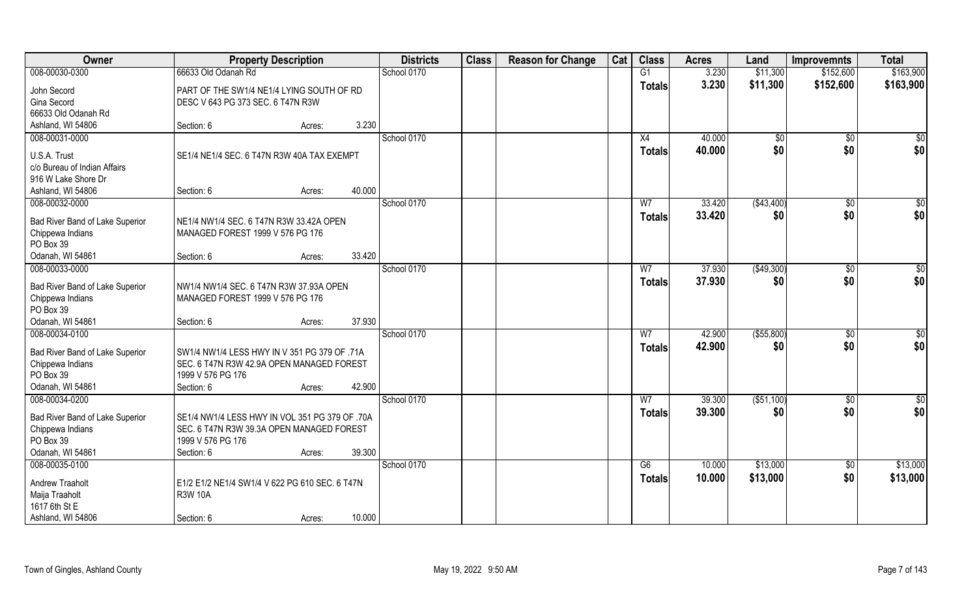| Owner                           | <b>Property Description</b>                    |        |        | <b>Districts</b> | <b>Class</b> | <b>Reason for Change</b> | Cat | <b>Class</b>   | <b>Acres</b> | Land            | <b>Improvemnts</b> | <b>Total</b>    |
|---------------------------------|------------------------------------------------|--------|--------|------------------|--------------|--------------------------|-----|----------------|--------------|-----------------|--------------------|-----------------|
| 008-00030-0300                  | 66633 Old Odanah Rd                            |        |        | School 0170      |              |                          |     | G1             | 3.230        | \$11,300        | \$152,600          | \$163,900       |
| John Secord                     | PART OF THE SW1/4 NE1/4 LYING SOUTH OF RD      |        |        |                  |              |                          |     | Totals         | 3.230        | \$11,300        | \$152,600          | \$163,900       |
| Gina Secord                     | DESC V 643 PG 373 SEC. 6 T47N R3W              |        |        |                  |              |                          |     |                |              |                 |                    |                 |
| 66633 Old Odanah Rd             |                                                |        |        |                  |              |                          |     |                |              |                 |                    |                 |
| Ashland, WI 54806               | Section: 6                                     | Acres: | 3.230  |                  |              |                          |     |                |              |                 |                    |                 |
| 008-00031-0000                  |                                                |        |        | School 0170      |              |                          |     | X4             | 40.000       | $\overline{50}$ | $\overline{50}$    | \$0             |
| U.S.A. Trust                    | SE1/4 NE1/4 SEC. 6 T47N R3W 40A TAX EXEMPT     |        |        |                  |              |                          |     | <b>Totals</b>  | 40.000       | \$0             | \$0                | \$0             |
| c/o Bureau of Indian Affairs    |                                                |        |        |                  |              |                          |     |                |              |                 |                    |                 |
| 916 W Lake Shore Dr             |                                                |        |        |                  |              |                          |     |                |              |                 |                    |                 |
| Ashland, WI 54806               | Section: 6                                     | Acres: | 40.000 |                  |              |                          |     |                |              |                 |                    |                 |
| 008-00032-0000                  |                                                |        |        | School 0170      |              |                          |     | W <sub>7</sub> | 33.420       | (\$43,400)      | \$0                | $\overline{50}$ |
| Bad River Band of Lake Superior | NE1/4 NW1/4 SEC. 6 T47N R3W 33.42A OPEN        |        |        |                  |              |                          |     | <b>Totals</b>  | 33.420       | \$0             | \$0                | \$0             |
| Chippewa Indians                | MANAGED FOREST 1999 V 576 PG 176               |        |        |                  |              |                          |     |                |              |                 |                    |                 |
| PO Box 39                       |                                                |        |        |                  |              |                          |     |                |              |                 |                    |                 |
| Odanah, WI 54861                | Section: 6                                     | Acres: | 33.420 |                  |              |                          |     |                |              |                 |                    |                 |
| 008-00033-0000                  |                                                |        |        | School 0170      |              |                          |     | W <sub>7</sub> | 37.930       | (\$49,300)      | $\sqrt[6]{3}$      | $\overline{50}$ |
| Bad River Band of Lake Superior | NW1/4 NW1/4 SEC. 6 T47N R3W 37.93A OPEN        |        |        |                  |              |                          |     | <b>Totals</b>  | 37.930       | \$0             | \$0                | \$0             |
| Chippewa Indians                | MANAGED FOREST 1999 V 576 PG 176               |        |        |                  |              |                          |     |                |              |                 |                    |                 |
| PO Box 39                       |                                                |        |        |                  |              |                          |     |                |              |                 |                    |                 |
| Odanah, WI 54861                | Section: 6                                     | Acres: | 37.930 |                  |              |                          |     |                |              |                 |                    |                 |
| 008-00034-0100                  |                                                |        |        | School 0170      |              |                          |     | $\overline{W}$ | 42.900       | ( \$55, 800)    | $\sqrt[6]{3}$      | \$0             |
| Bad River Band of Lake Superior | SW1/4 NW1/4 LESS HWY IN V 351 PG 379 OF .71A   |        |        |                  |              |                          |     | <b>Totals</b>  | 42.900       | \$0             | \$0                | \$0             |
| Chippewa Indians                | SEC. 6 T47N R3W 42.9A OPEN MANAGED FOREST      |        |        |                  |              |                          |     |                |              |                 |                    |                 |
| PO Box 39                       | 1999 V 576 PG 176                              |        |        |                  |              |                          |     |                |              |                 |                    |                 |
| Odanah, WI 54861                | Section: 6                                     | Acres: | 42.900 |                  |              |                          |     |                |              |                 |                    |                 |
| 008-00034-0200                  |                                                |        |        | School 0170      |              |                          |     | W <sub>7</sub> | 39.300       | ( \$51,100)     | \$0                | $\frac{6}{3}$   |
| Bad River Band of Lake Superior | SE1/4 NW1/4 LESS HWY IN VOL 351 PG 379 OF .70A |        |        |                  |              |                          |     | <b>Totals</b>  | 39.300       | \$0             | \$0                | \$0             |
| Chippewa Indians                | SEC. 6 T47N R3W 39.3A OPEN MANAGED FOREST      |        |        |                  |              |                          |     |                |              |                 |                    |                 |
| PO Box 39                       | 1999 V 576 PG 176                              |        |        |                  |              |                          |     |                |              |                 |                    |                 |
| Odanah, WI 54861                | Section: 6                                     | Acres: | 39.300 |                  |              |                          |     |                |              |                 |                    |                 |
| 008-00035-0100                  |                                                |        |        | School 0170      |              |                          |     | G6             | 10.000       | \$13,000        | $\sqrt{$0}$        | \$13,000        |
| <b>Andrew Traaholt</b>          | E1/2 E1/2 NE1/4 SW1/4 V 622 PG 610 SEC. 6 T47N |        |        |                  |              |                          |     | <b>Totals</b>  | 10.000       | \$13,000        | \$0                | \$13,000        |
| Maija Traaholt                  | <b>R3W 10A</b>                                 |        |        |                  |              |                          |     |                |              |                 |                    |                 |
| 1617 6th St E                   |                                                |        |        |                  |              |                          |     |                |              |                 |                    |                 |
| Ashland, WI 54806               | Section: 6                                     | Acres: | 10.000 |                  |              |                          |     |                |              |                 |                    |                 |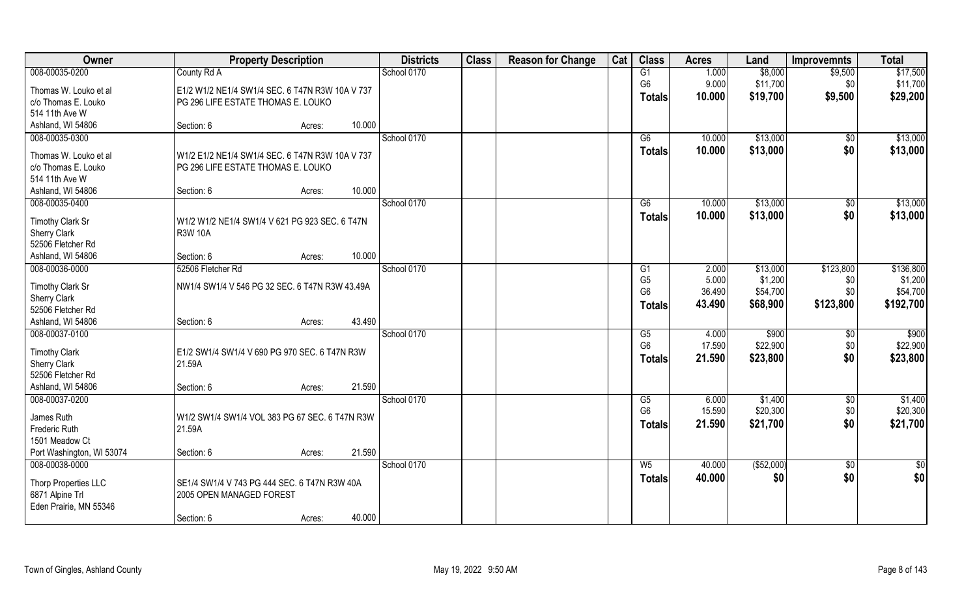| Owner                                       | <b>Property Description</b>                     | <b>Districts</b> | <b>Class</b> | <b>Reason for Change</b> | Cat | <b>Class</b>           | <b>Acres</b> | Land        | <b>Improvemnts</b> | <b>Total</b>            |
|---------------------------------------------|-------------------------------------------------|------------------|--------------|--------------------------|-----|------------------------|--------------|-------------|--------------------|-------------------------|
| 008-00035-0200                              | County Rd A                                     | School 0170      |              |                          |     | G1                     | 1.000        | \$8,000     | \$9,500            | \$17,500                |
| Thomas W. Louko et al                       | E1/2 W1/2 NE1/4 SW1/4 SEC. 6 T47N R3W 10A V 737 |                  |              |                          |     | G <sub>6</sub>         | 9.000        | \$11,700    | \$0                | \$11,700                |
| c/o Thomas E. Louko                         | PG 296 LIFE ESTATE THOMAS E. LOUKO              |                  |              |                          |     | <b>Totals</b>          | 10.000       | \$19,700    | \$9,500            | \$29,200                |
| 514 11th Ave W                              |                                                 |                  |              |                          |     |                        |              |             |                    |                         |
| Ashland, WI 54806                           | 10.000<br>Section: 6<br>Acres:                  |                  |              |                          |     |                        |              |             |                    |                         |
| 008-00035-0300                              |                                                 | School 0170      |              |                          |     | G6                     | 10.000       | \$13,000    | $\overline{50}$    | \$13,000                |
| Thomas W. Louko et al                       | W1/2 E1/2 NE1/4 SW1/4 SEC. 6 T47N R3W 10A V 737 |                  |              |                          |     | <b>Totals</b>          | 10.000       | \$13,000    | \$0                | \$13,000                |
| c/o Thomas E. Louko                         | PG 296 LIFE ESTATE THOMAS E. LOUKO              |                  |              |                          |     |                        |              |             |                    |                         |
| 514 11th Ave W                              |                                                 |                  |              |                          |     |                        |              |             |                    |                         |
| Ashland, WI 54806                           | 10.000<br>Section: 6<br>Acres:                  |                  |              |                          |     |                        |              |             |                    |                         |
| 008-00035-0400                              |                                                 | School 0170      |              |                          |     | G6                     | 10.000       | \$13,000    | $\sqrt[6]{30}$     | \$13,000                |
|                                             | W1/2 W1/2 NE1/4 SW1/4 V 621 PG 923 SEC. 6 T47N  |                  |              |                          |     | <b>Totals</b>          | 10.000       | \$13,000    | \$0                | \$13,000                |
| Timothy Clark Sr<br><b>Sherry Clark</b>     | <b>R3W 10A</b>                                  |                  |              |                          |     |                        |              |             |                    |                         |
| 52506 Fletcher Rd                           |                                                 |                  |              |                          |     |                        |              |             |                    |                         |
| Ashland, WI 54806                           | 10.000<br>Section: 6<br>Acres:                  |                  |              |                          |     |                        |              |             |                    |                         |
| 008-00036-0000                              | 52506 Fletcher Rd                               | School 0170      |              |                          |     | G <sub>1</sub>         | 2.000        | \$13,000    | \$123,800          | \$136,800               |
|                                             |                                                 |                  |              |                          |     | G <sub>5</sub>         | 5.000        | \$1,200     | \$0                | \$1,200                 |
| Timothy Clark Sr<br><b>Sherry Clark</b>     | NW1/4 SW1/4 V 546 PG 32 SEC. 6 T47N R3W 43.49A  |                  |              |                          |     | G <sub>6</sub>         | 36.490       | \$54,700    | \$0                | \$54,700                |
| 52506 Fletcher Rd                           |                                                 |                  |              |                          |     | <b>Totals</b>          | 43.490       | \$68,900    | \$123,800          | \$192,700               |
| Ashland, WI 54806                           | 43.490<br>Section: 6<br>Acres:                  |                  |              |                          |     |                        |              |             |                    |                         |
| 008-00037-0100                              |                                                 | School 0170      |              |                          |     | $\overline{\text{G5}}$ | 4.000        | \$900       | $\sqrt[6]{30}$     | \$900                   |
|                                             |                                                 |                  |              |                          |     | G <sub>6</sub>         | 17.590       | \$22,900    | \$0                | \$22,900                |
| <b>Timothy Clark</b>                        | E1/2 SW1/4 SW1/4 V 690 PG 970 SEC. 6 T47N R3W   |                  |              |                          |     | Totals                 | 21.590       | \$23,800    | \$0                | \$23,800                |
| Sherry Clark<br>52506 Fletcher Rd           | 21.59A                                          |                  |              |                          |     |                        |              |             |                    |                         |
| Ashland, WI 54806                           | 21.590<br>Section: 6                            |                  |              |                          |     |                        |              |             |                    |                         |
| 008-00037-0200                              | Acres:                                          | School 0170      |              |                          |     | G5                     | 6.000        | \$1,400     | \$0                | \$1,400                 |
|                                             |                                                 |                  |              |                          |     | G <sub>6</sub>         | 15.590       | \$20,300    | \$0                | \$20,300                |
| James Ruth                                  | W1/2 SW1/4 SW1/4 VOL 383 PG 67 SEC. 6 T47N R3W  |                  |              |                          |     | <b>Totals</b>          | 21.590       | \$21,700    | \$0                | \$21,700                |
| Frederic Ruth                               | 21.59A                                          |                  |              |                          |     |                        |              |             |                    |                         |
| 1501 Meadow Ct                              |                                                 |                  |              |                          |     |                        |              |             |                    |                         |
| Port Washington, WI 53074<br>008-00038-0000 | 21.590<br>Section: 6<br>Acres:                  |                  |              |                          |     | W <sub>5</sub>         | 40.000       |             |                    |                         |
|                                             |                                                 | School 0170      |              |                          |     |                        |              | ( \$52,000) | $\sqrt{$0}$        | $\overline{\$0}$<br>\$0 |
| Thorp Properties LLC                        | SE1/4 SW1/4 V 743 PG 444 SEC. 6 T47N R3W 40A    |                  |              |                          |     | <b>Totals</b>          | 40.000       | \$0         | \$0                |                         |
| 6871 Alpine Trl                             | 2005 OPEN MANAGED FOREST                        |                  |              |                          |     |                        |              |             |                    |                         |
| Eden Prairie, MN 55346                      |                                                 |                  |              |                          |     |                        |              |             |                    |                         |
|                                             | 40.000<br>Section: 6<br>Acres:                  |                  |              |                          |     |                        |              |             |                    |                         |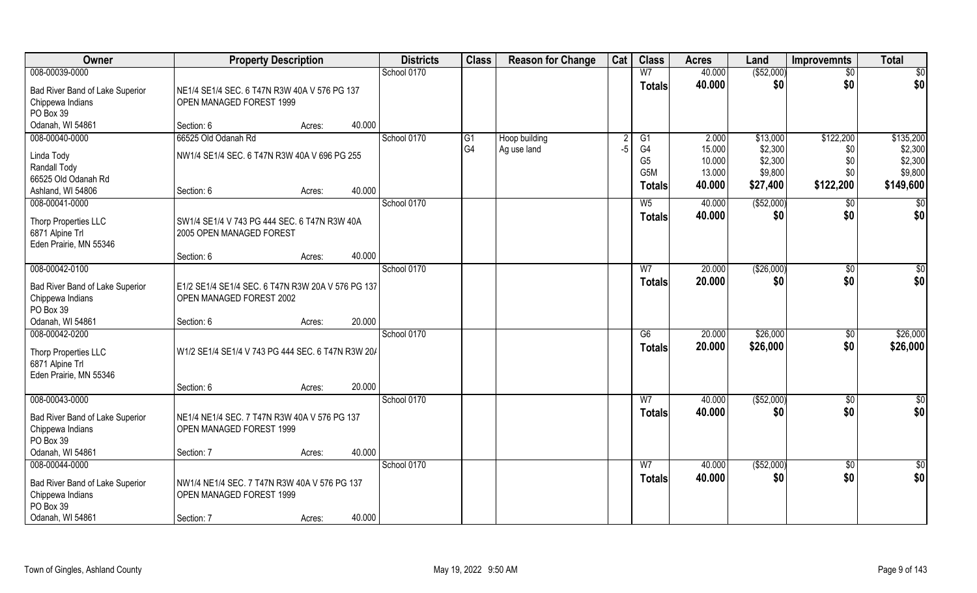| Owner                                                                                                  | <b>Property Description</b>                                                            | <b>Districts</b> | <b>Class</b> | <b>Reason for Change</b>          | Cat                          | <b>Class</b> | <b>Acres</b>                                                                 | Land                                          | <b>Improvemnts</b>                                    | <b>Total</b>                                |                                                         |
|--------------------------------------------------------------------------------------------------------|----------------------------------------------------------------------------------------|------------------|--------------|-----------------------------------|------------------------------|--------------|------------------------------------------------------------------------------|-----------------------------------------------|-------------------------------------------------------|---------------------------------------------|---------------------------------------------------------|
| 008-00039-0000                                                                                         |                                                                                        |                  | School 0170  |                                   |                              |              | W <sub>7</sub>                                                               | 40.000                                        | ( \$52,000)                                           | $\overline{50}$                             | $\overline{50}$                                         |
| Bad River Band of Lake Superior<br>Chippewa Indians<br>PO Box 39                                       | NE1/4 SE1/4 SEC. 6 T47N R3W 40A V 576 PG 137<br>OPEN MANAGED FOREST 1999               |                  |              |                                   |                              |              | <b>Totals</b>                                                                | 40.000                                        | \$0                                                   | \$0                                         | \$0                                                     |
| Odanah, WI 54861                                                                                       | Section: 6                                                                             | 40.000<br>Acres: |              |                                   |                              |              |                                                                              |                                               |                                                       |                                             |                                                         |
| 008-00040-0000<br>Linda Tody<br>Randall Tody<br>66525 Old Odanah Rd<br>Ashland, WI 54806               | 66525 Old Odanah Rd<br>NW1/4 SE1/4 SEC. 6 T47N R3W 40A V 696 PG 255<br>Section: 6      | 40.000<br>Acres: | School 0170  | $\overline{G1}$<br>G <sub>4</sub> | Hoop building<br>Ag use land | -5           | $\overline{G1}$<br>G4<br>G <sub>5</sub><br>G <sub>5</sub> M<br><b>Totals</b> | 2.000<br>15.000<br>10.000<br>13.000<br>40.000 | \$13,000<br>\$2,300<br>\$2,300<br>\$9,800<br>\$27,400 | \$122,200<br>\$0<br>\$0<br>\$0<br>\$122,200 | \$135,200<br>\$2,300<br>\$2,300<br>\$9,800<br>\$149,600 |
| 008-00041-0000                                                                                         |                                                                                        |                  | School 0170  |                                   |                              |              | W <sub>5</sub>                                                               | 40.000                                        | ( \$52,000)                                           | \$0                                         | $\sqrt{50}$                                             |
| Thorp Properties LLC<br>6871 Alpine Trl<br>Eden Prairie, MN 55346                                      | SW1/4 SE1/4 V 743 PG 444 SEC. 6 T47N R3W 40A<br>2005 OPEN MANAGED FOREST               |                  |              |                                   |                              |              | <b>Totals</b>                                                                | 40.000                                        | \$0                                                   | \$0                                         | \$0                                                     |
|                                                                                                        | Section: 6                                                                             | 40.000<br>Acres: |              |                                   |                              |              |                                                                              |                                               |                                                       |                                             |                                                         |
| 008-00042-0100                                                                                         |                                                                                        |                  | School 0170  |                                   |                              |              | W7                                                                           | 20.000                                        | ( \$26,000)                                           | $\sqrt[6]{3}$                               | \$0                                                     |
| Bad River Band of Lake Superior<br>Chippewa Indians<br>PO Box 39                                       | E1/2 SE1/4 SE1/4 SEC. 6 T47N R3W 20A V 576 PG 137<br>OPEN MANAGED FOREST 2002          |                  |              |                                   |                              |              | <b>Totals</b>                                                                | 20.000                                        | \$0                                                   | \$0                                         | \$0                                                     |
| Odanah, WI 54861                                                                                       | Section: 6                                                                             | 20.000<br>Acres: |              |                                   |                              |              |                                                                              |                                               |                                                       |                                             |                                                         |
| 008-00042-0200<br>Thorp Properties LLC<br>6871 Alpine Trl<br>Eden Prairie, MN 55346                    | W1/2 SE1/4 SE1/4 V 743 PG 444 SEC. 6 T47N R3W 20/                                      |                  | School 0170  |                                   |                              |              | $\overline{G6}$<br><b>Totals</b>                                             | 20.000<br>20.000                              | \$26,000<br>\$26,000                                  | $\sqrt[6]{3}$<br>\$0                        | \$26,000<br>\$26,000                                    |
|                                                                                                        | Section: 6                                                                             | 20.000<br>Acres: |              |                                   |                              |              |                                                                              |                                               |                                                       |                                             |                                                         |
| 008-00043-0000<br>Bad River Band of Lake Superior<br>Chippewa Indians<br>PO Box 39<br>Odanah, WI 54861 | NE1/4 NE1/4 SEC. 7 T47N R3W 40A V 576 PG 137<br>OPEN MANAGED FOREST 1999<br>Section: 7 | 40.000<br>Acres: | School 0170  |                                   |                              |              | W <sub>7</sub><br><b>Totals</b>                                              | 40.000<br>40.000                              | ( \$52,000)<br>\$0                                    | \$0<br>\$0                                  | \$0<br>\$0                                              |
| 008-00044-0000                                                                                         |                                                                                        |                  | School 0170  |                                   |                              |              | W <sub>7</sub>                                                               | 40.000                                        | ( \$52,000)                                           | $\sqrt{$0}$                                 | $\overline{50}$                                         |
| Bad River Band of Lake Superior<br>Chippewa Indians<br>PO Box 39<br>Odanah, WI 54861                   | NW1/4 NE1/4 SEC. 7 T47N R3W 40A V 576 PG 137<br>OPEN MANAGED FOREST 1999<br>Section: 7 | 40.000<br>Acres: |              |                                   |                              |              | <b>Totals</b>                                                                | 40.000                                        | \$0                                                   | \$0                                         | \$0                                                     |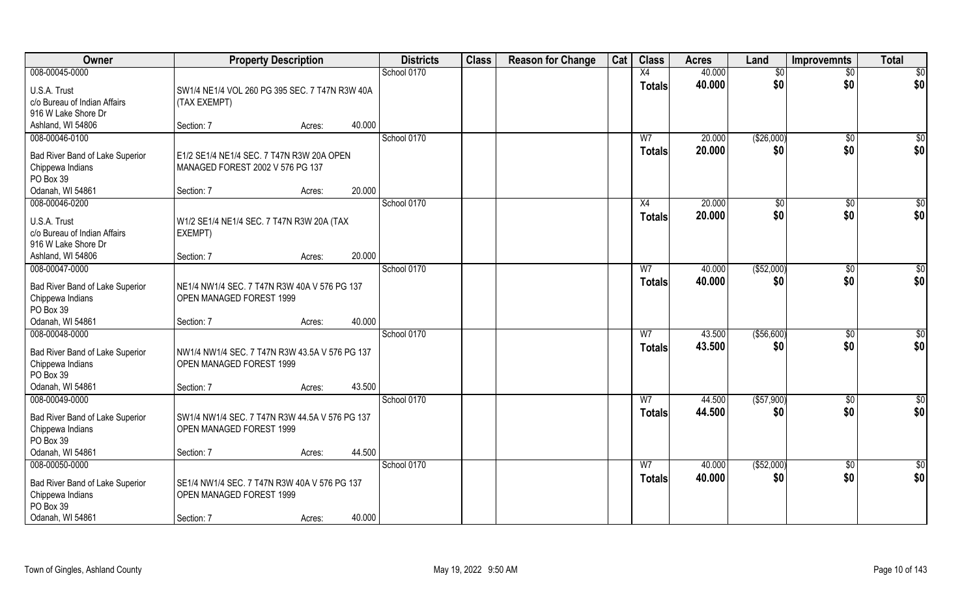| <b>Owner</b>                                        | <b>Property Description</b>                    |                  | <b>Districts</b> | <b>Class</b> | <b>Reason for Change</b> | Cat | <b>Class</b>   | <b>Acres</b> | Land        | <b>Improvemnts</b> | <b>Total</b>    |
|-----------------------------------------------------|------------------------------------------------|------------------|------------------|--------------|--------------------------|-----|----------------|--------------|-------------|--------------------|-----------------|
| 008-00045-0000                                      |                                                |                  | School 0170      |              |                          |     | X4             | 40.000       | \$0         | $\overline{50}$    | $\overline{50}$ |
| U.S.A. Trust                                        | SW1/4 NE1/4 VOL 260 PG 395 SEC. 7 T47N R3W 40A |                  |                  |              |                          |     | <b>Totals</b>  | 40.000       | \$0         | \$0                | \$0             |
| c/o Bureau of Indian Affairs                        | (TAX EXEMPT)                                   |                  |                  |              |                          |     |                |              |             |                    |                 |
| 916 W Lake Shore Dr                                 |                                                |                  |                  |              |                          |     |                |              |             |                    |                 |
| Ashland, WI 54806                                   | Section: 7                                     | 40.000<br>Acres: |                  |              |                          |     |                |              |             |                    |                 |
| 008-00046-0100                                      |                                                |                  | School 0170      |              |                          |     | W <sub>7</sub> | 20.000       | (\$26,000)  | $\sqrt{$0}$        | $\sqrt{50}$     |
| Bad River Band of Lake Superior                     | E1/2 SE1/4 NE1/4 SEC. 7 T47N R3W 20A OPEN      |                  |                  |              |                          |     | <b>Totals</b>  | 20.000       | \$0         | \$0                | \$0             |
| Chippewa Indians                                    | MANAGED FOREST 2002 V 576 PG 137               |                  |                  |              |                          |     |                |              |             |                    |                 |
| PO Box 39                                           |                                                |                  |                  |              |                          |     |                |              |             |                    |                 |
| Odanah, WI 54861                                    | Section: 7                                     | 20.000<br>Acres: |                  |              |                          |     |                |              |             |                    |                 |
| 008-00046-0200                                      |                                                |                  | School 0170      |              |                          |     | X4             | 20.000       | \$0         | $\sqrt[6]{3}$      | \$0             |
| U.S.A. Trust                                        | W1/2 SE1/4 NE1/4 SEC. 7 T47N R3W 20A (TAX      |                  |                  |              |                          |     | <b>Totals</b>  | 20.000       | \$0         | \$0                | \$0             |
| c/o Bureau of Indian Affairs                        | EXEMPT)                                        |                  |                  |              |                          |     |                |              |             |                    |                 |
| 916 W Lake Shore Dr                                 |                                                |                  |                  |              |                          |     |                |              |             |                    |                 |
| Ashland, WI 54806                                   | Section: 7                                     | 20.000<br>Acres: |                  |              |                          |     |                |              |             |                    |                 |
| 008-00047-0000                                      |                                                |                  | School 0170      |              |                          |     | W7             | 40.000       | ( \$52,000) | $\sqrt[6]{3}$      | \$0             |
| Bad River Band of Lake Superior                     | NE1/4 NW1/4 SEC. 7 T47N R3W 40A V 576 PG 137   |                  |                  |              |                          |     | Totals         | 40.000       | \$0         | \$0                | \$0             |
| Chippewa Indians                                    | OPEN MANAGED FOREST 1999                       |                  |                  |              |                          |     |                |              |             |                    |                 |
| PO Box 39                                           |                                                |                  |                  |              |                          |     |                |              |             |                    |                 |
| Odanah, WI 54861                                    | Section: 7                                     | 40.000<br>Acres: |                  |              |                          |     |                |              |             |                    |                 |
| 008-00048-0000                                      |                                                |                  | School 0170      |              |                          |     | $\overline{W}$ | 43.500       | (\$56,600)  | $\sqrt[6]{30}$     | \$0             |
| Bad River Band of Lake Superior                     | NW1/4 NW1/4 SEC. 7 T47N R3W 43.5A V 576 PG 137 |                  |                  |              |                          |     | <b>Totals</b>  | 43.500       | \$0         | \$0                | \$0             |
| Chippewa Indians                                    | OPEN MANAGED FOREST 1999                       |                  |                  |              |                          |     |                |              |             |                    |                 |
| PO Box 39                                           |                                                |                  |                  |              |                          |     |                |              |             |                    |                 |
| Odanah, WI 54861                                    | Section: 7                                     | 43.500<br>Acres: |                  |              |                          |     |                |              |             |                    |                 |
| 008-00049-0000                                      |                                                |                  | School 0170      |              |                          |     | W <sub>7</sub> | 44.500       | (\$57,900)  | $\sqrt{$0}$        | $\frac{6}{3}$   |
| Bad River Band of Lake Superior                     | SW1/4 NW1/4 SEC. 7 T47N R3W 44.5A V 576 PG 137 |                  |                  |              |                          |     | <b>Totals</b>  | 44.500       | \$0         | \$0                | \$0             |
| Chippewa Indians                                    | OPEN MANAGED FOREST 1999                       |                  |                  |              |                          |     |                |              |             |                    |                 |
| PO Box 39                                           |                                                |                  |                  |              |                          |     |                |              |             |                    |                 |
| Odanah, WI 54861                                    | Section: 7                                     | 44.500<br>Acres: |                  |              |                          |     |                |              |             |                    |                 |
| 008-00050-0000                                      |                                                |                  | School 0170      |              |                          |     | W <sub>7</sub> | 40.000       | ( \$52,000) | $\overline{50}$    | $\overline{50}$ |
|                                                     | SE1/4 NW1/4 SEC. 7 T47N R3W 40A V 576 PG 137   |                  |                  |              |                          |     | Totals         | 40.000       | \$0         | \$0                | \$0             |
| Bad River Band of Lake Superior<br>Chippewa Indians | OPEN MANAGED FOREST 1999                       |                  |                  |              |                          |     |                |              |             |                    |                 |
| PO Box 39                                           |                                                |                  |                  |              |                          |     |                |              |             |                    |                 |
| Odanah, WI 54861                                    | Section: 7                                     | 40.000<br>Acres: |                  |              |                          |     |                |              |             |                    |                 |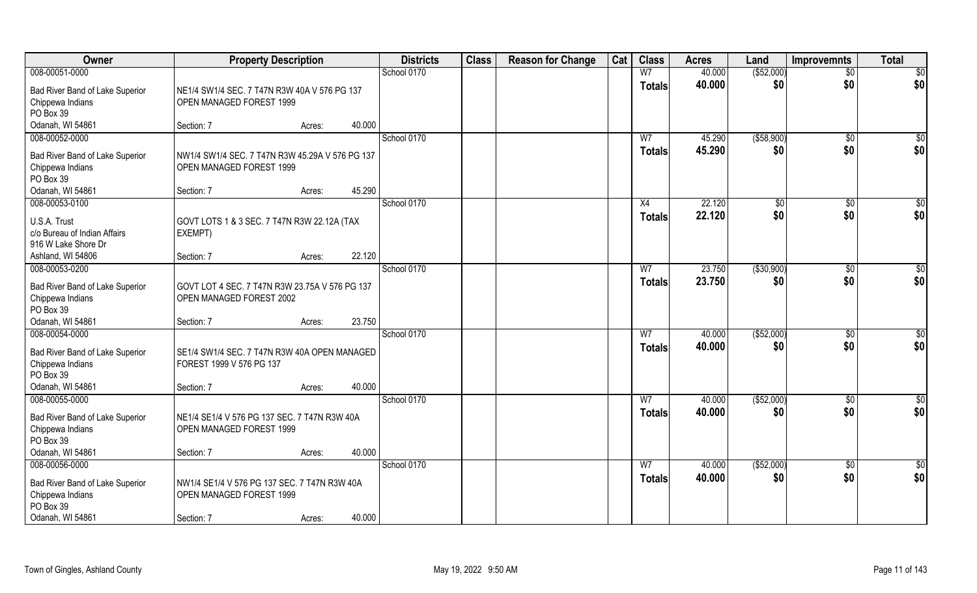| Owner                                                               | <b>Property Description</b>                                                |        |        | <b>Districts</b> | <b>Class</b> | <b>Reason for Change</b> | Cat | <b>Class</b>                    | <b>Acres</b>     | Land               | <b>Improvemnts</b> | <b>Total</b>       |
|---------------------------------------------------------------------|----------------------------------------------------------------------------|--------|--------|------------------|--------------|--------------------------|-----|---------------------------------|------------------|--------------------|--------------------|--------------------|
| 008-00051-0000                                                      |                                                                            |        |        | School 0170      |              |                          |     | W <sub>7</sub>                  | 40.000           | ( \$52,000)        | $\overline{50}$    | $\overline{50}$    |
| Bad River Band of Lake Superior<br>Chippewa Indians<br>PO Box 39    | NE1/4 SW1/4 SEC. 7 T47N R3W 40A V 576 PG 137<br>OPEN MANAGED FOREST 1999   |        |        |                  |              |                          |     | <b>Totals</b>                   | 40.000           | \$0                | \$0                | \$0                |
| Odanah, WI 54861                                                    | Section: 7                                                                 | Acres: | 40.000 |                  |              |                          |     |                                 |                  |                    |                    |                    |
| 008-00052-0000<br>Bad River Band of Lake Superior                   | NW1/4 SW1/4 SEC. 7 T47N R3W 45.29A V 576 PG 137                            |        |        | School 0170      |              |                          |     | W <sub>7</sub><br><b>Totals</b> | 45.290<br>45.290 | ( \$58,900)<br>\$0 | $\sqrt{$0}$<br>\$0 | $\sqrt{50}$<br>\$0 |
| Chippewa Indians<br>PO Box 39                                       | OPEN MANAGED FOREST 1999                                                   |        |        |                  |              |                          |     |                                 |                  |                    |                    |                    |
| Odanah, WI 54861                                                    | Section: 7                                                                 | Acres: | 45.290 |                  |              |                          |     |                                 |                  |                    |                    |                    |
| 008-00053-0100                                                      |                                                                            |        |        | School 0170      |              |                          |     | X4                              | 22.120           | \$0                | $\sqrt[6]{30}$     | \$0                |
| U.S.A. Trust<br>c/o Bureau of Indian Affairs<br>916 W Lake Shore Dr | GOVT LOTS 1 & 3 SEC. 7 T47N R3W 22.12A (TAX<br>EXEMPT)                     |        |        |                  |              |                          |     | <b>Totals</b>                   | 22.120           | \$0                | \$0                | \$0                |
| Ashland, WI 54806                                                   | Section: 7                                                                 | Acres: | 22.120 |                  |              |                          |     |                                 |                  |                    |                    |                    |
| 008-00053-0200                                                      |                                                                            |        |        | School 0170      |              |                          |     | W7                              | 23.750           | ( \$30,900)        | $\sqrt[6]{3}$      | \$0                |
| Bad River Band of Lake Superior<br>Chippewa Indians<br>PO Box 39    | GOVT LOT 4 SEC. 7 T47N R3W 23.75A V 576 PG 137<br>OPEN MANAGED FOREST 2002 |        |        |                  |              |                          |     | <b>Totals</b>                   | 23.750           | \$0                | \$0                | \$0                |
| Odanah, WI 54861                                                    | Section: 7                                                                 | Acres: | 23.750 |                  |              |                          |     |                                 |                  |                    |                    |                    |
| 008-00054-0000                                                      |                                                                            |        |        | School 0170      |              |                          |     | $\overline{W}$                  | 40.000           | ( \$52,000)        | $\sqrt[6]{30}$     | \$0                |
| Bad River Band of Lake Superior<br>Chippewa Indians<br>PO Box 39    | SE1/4 SW1/4 SEC. 7 T47N R3W 40A OPEN MANAGED<br>FOREST 1999 V 576 PG 137   |        |        |                  |              |                          |     | <b>Totals</b>                   | 40.000           | \$0                | \$0                | \$0                |
| Odanah, WI 54861                                                    | Section: 7                                                                 | Acres: | 40.000 |                  |              |                          |     |                                 |                  |                    |                    |                    |
| 008-00055-0000                                                      |                                                                            |        |        | School 0170      |              |                          |     | W <sub>7</sub>                  | 40.000           | ( \$52,000)        | \$0                | \$0                |
| Bad River Band of Lake Superior<br>Chippewa Indians<br>PO Box 39    | NE1/4 SE1/4 V 576 PG 137 SEC. 7 T47N R3W 40A<br>OPEN MANAGED FOREST 1999   |        |        |                  |              |                          |     | <b>Totals</b>                   | 40.000           | \$0                | \$0                | \$0                |
| Odanah, WI 54861                                                    | Section: 7                                                                 | Acres: | 40.000 |                  |              |                          |     |                                 |                  |                    |                    |                    |
| 008-00056-0000                                                      |                                                                            |        |        | School 0170      |              |                          |     | W <sub>7</sub>                  | 40.000           | ( \$52,000)        | $\sqrt{$0}$        | $\overline{50}$    |
| Bad River Band of Lake Superior<br>Chippewa Indians<br>PO Box 39    | NW1/4 SE1/4 V 576 PG 137 SEC. 7 T47N R3W 40A<br>OPEN MANAGED FOREST 1999   |        |        |                  |              |                          |     | <b>Totals</b>                   | 40.000           | \$0                | \$0                | \$0                |
| Odanah, WI 54861                                                    | Section: 7                                                                 | Acres: | 40.000 |                  |              |                          |     |                                 |                  |                    |                    |                    |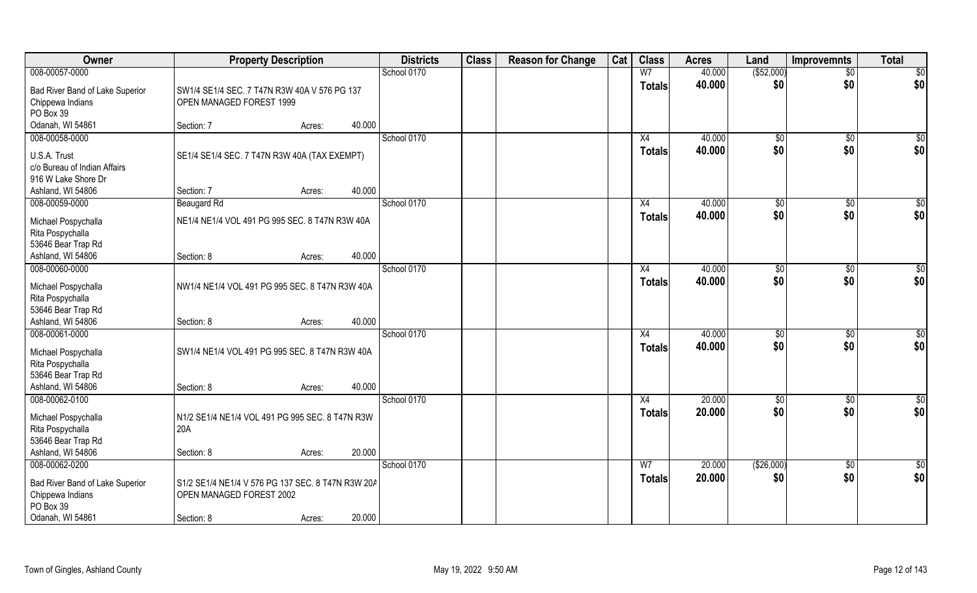| Owner                           | <b>Property Description</b>                       |        |        | <b>Districts</b> | <b>Class</b> | <b>Reason for Change</b> | Cat | <b>Class</b>   | <b>Acres</b> | Land          | <b>Improvemnts</b> | <b>Total</b>    |
|---------------------------------|---------------------------------------------------|--------|--------|------------------|--------------|--------------------------|-----|----------------|--------------|---------------|--------------------|-----------------|
| 008-00057-0000                  |                                                   |        |        | School 0170      |              |                          |     | W <sub>7</sub> | 40.000       | ( \$52,000)   | $\overline{50}$    | \$0             |
| Bad River Band of Lake Superior | SW1/4 SE1/4 SEC. 7 T47N R3W 40A V 576 PG 137      |        |        |                  |              |                          |     | <b>Totals</b>  | 40.000       | \$0           | \$0                | \$0             |
| Chippewa Indians                | OPEN MANAGED FOREST 1999                          |        |        |                  |              |                          |     |                |              |               |                    |                 |
| PO Box 39                       |                                                   |        |        |                  |              |                          |     |                |              |               |                    |                 |
| Odanah, WI 54861                | Section: 7                                        | Acres: | 40.000 |                  |              |                          |     |                |              |               |                    |                 |
| 008-00058-0000                  |                                                   |        |        | School 0170      |              |                          |     | X4             | 40.000       | $\sqrt[6]{}$  | $\sqrt{$0}$        | $\sqrt{50}$     |
| U.S.A. Trust                    | SE1/4 SE1/4 SEC. 7 T47N R3W 40A (TAX EXEMPT)      |        |        |                  |              |                          |     | <b>Totals</b>  | 40.000       | \$0           | \$0                | \$0             |
| c/o Bureau of Indian Affairs    |                                                   |        |        |                  |              |                          |     |                |              |               |                    |                 |
| 916 W Lake Shore Dr             |                                                   |        |        |                  |              |                          |     |                |              |               |                    |                 |
| Ashland, WI 54806               | Section: 7                                        | Acres: | 40.000 |                  |              |                          |     |                |              |               |                    |                 |
| 008-00059-0000                  | <b>Beaugard Rd</b>                                |        |        | School 0170      |              |                          |     | X4             | 40.000       | \$0           | $\sqrt[6]{3}$      | \$0             |
| Michael Pospychalla             | NE1/4 NE1/4 VOL 491 PG 995 SEC. 8 T47N R3W 40A    |        |        |                  |              |                          |     | <b>Totals</b>  | 40.000       | \$0           | \$0                | \$0             |
| Rita Pospychalla                |                                                   |        |        |                  |              |                          |     |                |              |               |                    |                 |
| 53646 Bear Trap Rd              |                                                   |        |        |                  |              |                          |     |                |              |               |                    |                 |
| Ashland, WI 54806               | Section: 8                                        | Acres: | 40.000 |                  |              |                          |     |                |              |               |                    |                 |
| 008-00060-0000                  |                                                   |        |        | School 0170      |              |                          |     | X4             | 40.000       | $\sqrt[6]{3}$ | $\sqrt[6]{3}$      | \$0             |
| Michael Pospychalla             | NW1/4 NE1/4 VOL 491 PG 995 SEC. 8 T47N R3W 40A    |        |        |                  |              |                          |     | <b>Totals</b>  | 40.000       | \$0           | \$0                | \$0             |
| Rita Pospychalla                |                                                   |        |        |                  |              |                          |     |                |              |               |                    |                 |
| 53646 Bear Trap Rd              |                                                   |        |        |                  |              |                          |     |                |              |               |                    |                 |
| Ashland, WI 54806               | Section: 8                                        | Acres: | 40.000 |                  |              |                          |     |                |              |               |                    |                 |
| 008-00061-0000                  |                                                   |        |        | School 0170      |              |                          |     | X4             | 40.000       | \$0           | $\sqrt[6]{3}$      | \$0             |
| Michael Pospychalla             | SW1/4 NE1/4 VOL 491 PG 995 SEC. 8 T47N R3W 40A    |        |        |                  |              |                          |     | <b>Totals</b>  | 40.000       | \$0           | \$0                | \$0             |
| Rita Pospychalla                |                                                   |        |        |                  |              |                          |     |                |              |               |                    |                 |
| 53646 Bear Trap Rd              |                                                   |        |        |                  |              |                          |     |                |              |               |                    |                 |
| Ashland, WI 54806               | Section: 8                                        | Acres: | 40.000 |                  |              |                          |     |                |              |               |                    |                 |
| 008-00062-0100                  |                                                   |        |        | School 0170      |              |                          |     | X4             | 20.000       | \$0           | \$0                | \$0             |
| Michael Pospychalla             | N1/2 SE1/4 NE1/4 VOL 491 PG 995 SEC. 8 T47N R3W   |        |        |                  |              |                          |     | <b>Totals</b>  | 20.000       | \$0           | \$0                | \$0             |
| Rita Pospychalla                | 20A                                               |        |        |                  |              |                          |     |                |              |               |                    |                 |
| 53646 Bear Trap Rd              |                                                   |        |        |                  |              |                          |     |                |              |               |                    |                 |
| Ashland, WI 54806               | Section: 8                                        | Acres: | 20.000 |                  |              |                          |     |                |              |               |                    |                 |
| 008-00062-0200                  |                                                   |        |        | School 0170      |              |                          |     | W <sub>7</sub> | 20.000       | (\$26,000)    | $\sqrt{$0}$        | $\overline{50}$ |
| Bad River Band of Lake Superior | S1/2 SE1/4 NE1/4 V 576 PG 137 SEC. 8 T47N R3W 20A |        |        |                  |              |                          |     | <b>Totals</b>  | 20.000       | \$0           | \$0                | \$0             |
| Chippewa Indians                | OPEN MANAGED FOREST 2002                          |        |        |                  |              |                          |     |                |              |               |                    |                 |
| PO Box 39                       |                                                   |        |        |                  |              |                          |     |                |              |               |                    |                 |
| Odanah, WI 54861                | Section: 8                                        | Acres: | 20.000 |                  |              |                          |     |                |              |               |                    |                 |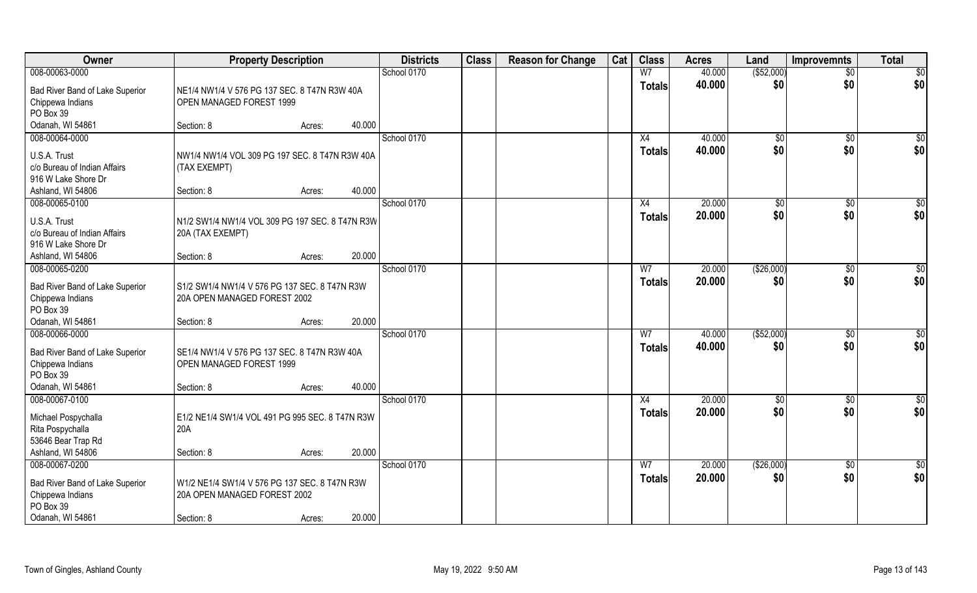| <b>Owner</b>                                                                                           | <b>Property Description</b>                                                                 |                  | <b>Districts</b> | <b>Class</b> | <b>Reason for Change</b> | Cat | <b>Class</b>                    | <b>Acres</b>     | Land              | <b>Improvemnts</b>     | <b>Total</b>           |
|--------------------------------------------------------------------------------------------------------|---------------------------------------------------------------------------------------------|------------------|------------------|--------------|--------------------------|-----|---------------------------------|------------------|-------------------|------------------------|------------------------|
| 008-00063-0000                                                                                         |                                                                                             |                  | School 0170      |              |                          |     | W <sub>7</sub>                  | 40.000           | ( \$52,000)       | $\overline{50}$        | $\overline{50}$        |
| Bad River Band of Lake Superior<br>Chippewa Indians<br>PO Box 39                                       | NE1/4 NW1/4 V 576 PG 137 SEC. 8 T47N R3W 40A<br>OPEN MANAGED FOREST 1999                    |                  |                  |              |                          |     | <b>Totals</b>                   | 40.000           | \$0               | \$0                    | \$0                    |
| Odanah, WI 54861                                                                                       | Section: 8                                                                                  | 40.000<br>Acres: |                  |              |                          |     |                                 |                  |                   |                        |                        |
| 008-00064-0000                                                                                         |                                                                                             |                  | School 0170      |              |                          |     | X4                              | 40.000           | $\sqrt[6]{}$      | $\sqrt{6}$             | $\sqrt{50}$            |
| U.S.A. Trust<br>c/o Bureau of Indian Affairs<br>916 W Lake Shore Dr<br>Ashland, WI 54806               | NW1/4 NW1/4 VOL 309 PG 197 SEC. 8 T47N R3W 40A<br>(TAX EXEMPT)<br>Section: 8                | 40.000<br>Acres: |                  |              |                          |     | <b>Totals</b>                   | 40.000           | \$0               | \$0                    | \$0                    |
| 008-00065-0100                                                                                         |                                                                                             |                  | School 0170      |              |                          |     | X4                              | 20.000           | \$0               | $\sqrt[6]{30}$         | \$0                    |
| U.S.A. Trust<br>c/o Bureau of Indian Affairs<br>916 W Lake Shore Dr                                    | N1/2 SW1/4 NW1/4 VOL 309 PG 197 SEC. 8 T47N R3W<br>20A (TAX EXEMPT)                         |                  |                  |              |                          |     | <b>Totals</b>                   | 20.000           | \$0               | \$0                    | \$0                    |
| Ashland, WI 54806                                                                                      | Section: 8                                                                                  | 20.000<br>Acres: |                  |              |                          |     |                                 |                  |                   |                        |                        |
| 008-00065-0200                                                                                         |                                                                                             |                  | School 0170      |              |                          |     | W7                              | 20.000           | (\$26,000)        | $\sqrt[6]{3}$          | \$0                    |
| Bad River Band of Lake Superior<br>Chippewa Indians<br>PO Box 39                                       | S1/2 SW1/4 NW1/4 V 576 PG 137 SEC. 8 T47N R3W<br>20A OPEN MANAGED FOREST 2002               |                  |                  |              |                          |     | <b>Totals</b>                   | 20.000           | \$0               | \$0                    | \$0                    |
| Odanah, WI 54861                                                                                       | Section: 8                                                                                  | 20.000<br>Acres: |                  |              |                          |     |                                 |                  |                   |                        |                        |
| 008-00066-0000<br>Bad River Band of Lake Superior<br>Chippewa Indians<br>PO Box 39<br>Odanah, WI 54861 | SE1/4 NW1/4 V 576 PG 137 SEC. 8 T47N R3W 40A<br>OPEN MANAGED FOREST 1999<br>Section: 8      | 40.000<br>Acres: | School 0170      |              |                          |     | $\overline{W}$<br><b>Totals</b> | 40.000<br>40.000 | (\$52,000)<br>\$0 | $\sqrt[6]{30}$<br>\$0  | \$0<br>\$0             |
| 008-00067-0100                                                                                         |                                                                                             |                  | School 0170      |              |                          |     | X4                              | 20.000           | \$0               | \$0                    | \$0                    |
| Michael Pospychalla<br>Rita Pospychalla<br>53646 Bear Trap Rd                                          | E1/2 NE1/4 SW1/4 VOL 491 PG 995 SEC. 8 T47N R3W<br>20A                                      |                  |                  |              |                          |     | <b>Totals</b>                   | 20.000           | \$0               | \$0                    | \$0                    |
| Ashland, WI 54806                                                                                      | Section: 8                                                                                  | 20.000<br>Acres: |                  |              |                          |     |                                 |                  |                   |                        |                        |
| 008-00067-0200<br>Bad River Band of Lake Superior<br>Chippewa Indians<br>PO Box 39<br>Odanah, WI 54861 | W1/2 NE1/4 SW1/4 V 576 PG 137 SEC. 8 T47N R3W<br>20A OPEN MANAGED FOREST 2002<br>Section: 8 | 20.000<br>Acres: | School 0170      |              |                          |     | W <sub>7</sub><br><b>Totals</b> | 20.000<br>20.000 | (\$26,000)<br>\$0 | $\overline{50}$<br>\$0 | $\overline{50}$<br>\$0 |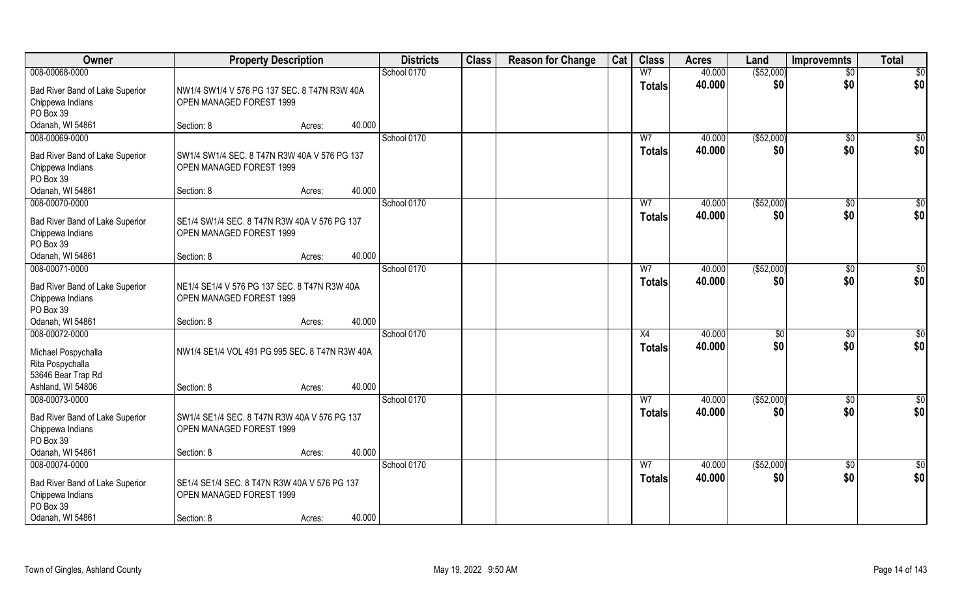| Owner                                                            | <b>Property Description</b>                                              |                  | <b>Districts</b> | <b>Class</b> | <b>Reason for Change</b> | Cat | <b>Class</b>                    | <b>Acres</b>     | Land                 | <b>Improvemnts</b>    | <b>Total</b>       |
|------------------------------------------------------------------|--------------------------------------------------------------------------|------------------|------------------|--------------|--------------------------|-----|---------------------------------|------------------|----------------------|-----------------------|--------------------|
| 008-00068-0000                                                   |                                                                          |                  | School 0170      |              |                          |     | W <sub>7</sub>                  | 40.000           | ( \$52,000)          | $\overline{50}$       | $\overline{50}$    |
| Bad River Band of Lake Superior<br>Chippewa Indians<br>PO Box 39 | NW1/4 SW1/4 V 576 PG 137 SEC. 8 T47N R3W 40A<br>OPEN MANAGED FOREST 1999 |                  |                  |              |                          |     | <b>Totals</b>                   | 40.000           | \$0                  | \$0                   | \$0                |
| Odanah, WI 54861                                                 | Section: 8                                                               | 40.000<br>Acres: |                  |              |                          |     |                                 |                  |                      |                       |                    |
| 008-00069-0000                                                   |                                                                          |                  | School 0170      |              |                          |     | W <sub>7</sub><br><b>Totals</b> | 40.000<br>40.000 | ( \$52,000)<br>\$0   | $\sqrt{$0}$<br>\$0    | $\sqrt{50}$<br>\$0 |
| Bad River Band of Lake Superior<br>Chippewa Indians<br>PO Box 39 | SW1/4 SW1/4 SEC, 8 T47N R3W 40A V 576 PG 137<br>OPEN MANAGED FOREST 1999 |                  |                  |              |                          |     |                                 |                  |                      |                       |                    |
| Odanah, WI 54861                                                 | Section: 8                                                               | 40.000<br>Acres: |                  |              |                          |     |                                 |                  |                      |                       |                    |
| 008-00070-0000                                                   |                                                                          |                  | School 0170      |              |                          |     | W <sub>7</sub>                  | 40.000           | ( \$52,000)          | $\sqrt[6]{3}$         | \$0                |
| Bad River Band of Lake Superior<br>Chippewa Indians<br>PO Box 39 | SE1/4 SW1/4 SEC. 8 T47N R3W 40A V 576 PG 137<br>OPEN MANAGED FOREST 1999 |                  |                  |              |                          |     | <b>Totals</b>                   | 40.000           | \$0                  | \$0                   | \$0                |
| Odanah, WI 54861                                                 | Section: 8                                                               | 40.000<br>Acres: |                  |              |                          |     |                                 |                  |                      |                       |                    |
| 008-00071-0000                                                   |                                                                          |                  | School 0170      |              |                          |     | W7                              | 40.000           | ( \$52,000)          | $\sqrt[6]{3}$         | \$0                |
| Bad River Band of Lake Superior<br>Chippewa Indians<br>PO Box 39 | NE1/4 SE1/4 V 576 PG 137 SEC. 8 T47N R3W 40A<br>OPEN MANAGED FOREST 1999 |                  |                  |              |                          |     | <b>Totals</b>                   | 40.000           | \$0                  | \$0                   | \$0                |
| Odanah, WI 54861                                                 | Section: 8                                                               | 40.000<br>Acres: |                  |              |                          |     |                                 |                  |                      |                       |                    |
| 008-00072-0000                                                   |                                                                          |                  | School 0170      |              |                          |     | X4<br><b>Totals</b>             | 40.000<br>40.000 | $\sqrt[6]{3}$<br>\$0 | $\sqrt[6]{30}$<br>\$0 | \$0<br>\$0         |
| Michael Pospychalla<br>Rita Pospychalla<br>53646 Bear Trap Rd    | NW1/4 SE1/4 VOL 491 PG 995 SEC. 8 T47N R3W 40A                           |                  |                  |              |                          |     |                                 |                  |                      |                       |                    |
| Ashland, WI 54806                                                | Section: 8                                                               | 40.000<br>Acres: |                  |              |                          |     |                                 |                  |                      |                       |                    |
| 008-00073-0000                                                   |                                                                          |                  | School 0170      |              |                          |     | W <sub>7</sub>                  | 40.000           | ( \$52,000)          | $\sqrt{$0}$           | $\frac{6}{3}$      |
| Bad River Band of Lake Superior<br>Chippewa Indians<br>PO Box 39 | SW1/4 SE1/4 SEC. 8 T47N R3W 40A V 576 PG 137<br>OPEN MANAGED FOREST 1999 |                  |                  |              |                          |     | <b>Totals</b>                   | 40.000           | \$0                  | \$0                   | \$0                |
| Odanah, WI 54861                                                 | Section: 8                                                               | 40.000<br>Acres: |                  |              |                          |     |                                 |                  |                      |                       |                    |
| 008-00074-0000                                                   |                                                                          |                  | School 0170      |              |                          |     | W <sub>7</sub>                  | 40.000           | ( \$52,000)          | $\sqrt{$0}$           | $\overline{50}$    |
| Bad River Band of Lake Superior<br>Chippewa Indians<br>PO Box 39 | SE1/4 SE1/4 SEC. 8 T47N R3W 40A V 576 PG 137<br>OPEN MANAGED FOREST 1999 |                  |                  |              |                          |     | Totals                          | 40.000           | \$0                  | \$0                   | \$0                |
| Odanah, WI 54861                                                 | Section: 8                                                               | 40.000<br>Acres: |                  |              |                          |     |                                 |                  |                      |                       |                    |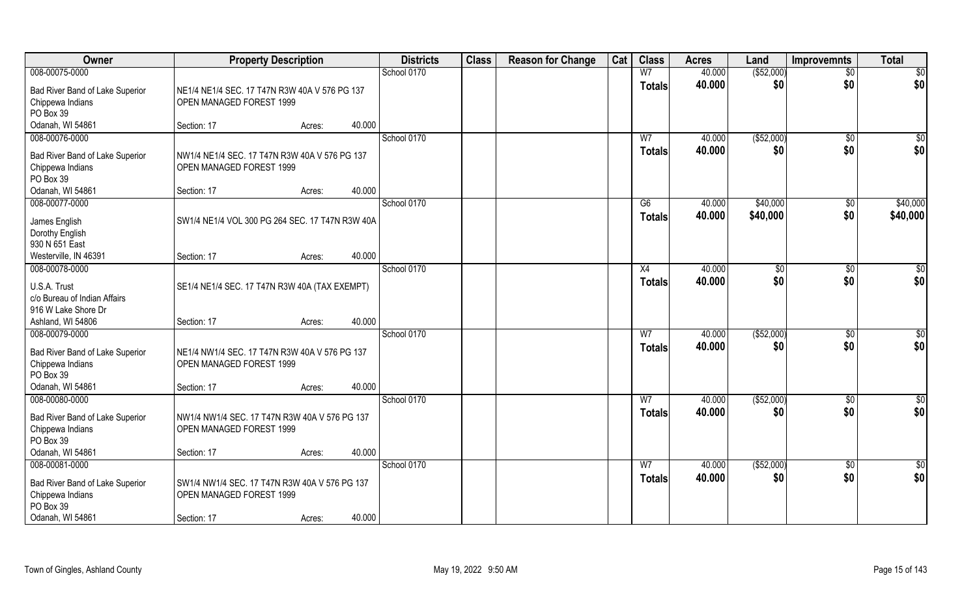| Owner                                                                                                  | <b>Property Description</b>                                                                                  | <b>Districts</b> | <b>Class</b> | <b>Reason for Change</b> | Cat | <b>Class</b>                    | <b>Acres</b>     | Land                 | <b>Improvemnts</b>    | <b>Total</b>           |
|--------------------------------------------------------------------------------------------------------|--------------------------------------------------------------------------------------------------------------|------------------|--------------|--------------------------|-----|---------------------------------|------------------|----------------------|-----------------------|------------------------|
| 008-00075-0000                                                                                         |                                                                                                              | School 0170      |              |                          |     | W <sub>7</sub>                  | 40.000           | ( \$52,000)          | $\overline{50}$       | \$0                    |
| Bad River Band of Lake Superior<br>Chippewa Indians<br>PO Box 39                                       | NE1/4 NE1/4 SEC. 17 T47N R3W 40A V 576 PG 137<br>OPEN MANAGED FOREST 1999                                    |                  |              |                          |     | <b>Totals</b>                   | 40.000           | \$0                  | \$0                   | \$0                    |
| Odanah, WI 54861                                                                                       | 40.000<br>Section: 17<br>Acres:                                                                              |                  |              |                          |     |                                 |                  |                      |                       |                        |
| 008-00076-0000                                                                                         |                                                                                                              | School 0170      |              |                          |     | W <sub>7</sub>                  | 40.000           | ( \$52,000)          | $\sqrt{$0}$           | $\sqrt{50}$            |
| Bad River Band of Lake Superior<br>Chippewa Indians<br>PO Box 39                                       | NW1/4 NE1/4 SEC. 17 T47N R3W 40A V 576 PG 137<br>OPEN MANAGED FOREST 1999                                    |                  |              |                          |     | <b>Totals</b>                   | 40.000           | \$0                  | \$0                   | \$0                    |
| Odanah, WI 54861                                                                                       | 40.000<br>Section: 17<br>Acres:                                                                              |                  |              |                          |     |                                 |                  |                      |                       |                        |
| 008-00077-0000<br>James English<br>Dorothy English<br>930 N 651 East                                   | SW1/4 NE1/4 VOL 300 PG 264 SEC. 17 T47N R3W 40A                                                              | School 0170      |              |                          |     | G6<br><b>Totals</b>             | 40.000<br>40.000 | \$40,000<br>\$40,000 | $\sqrt[6]{3}$<br>\$0  | \$40,000<br>\$40,000   |
| Westerville, IN 46391                                                                                  | 40.000<br>Section: 17<br>Acres:                                                                              |                  |              |                          |     |                                 |                  |                      |                       |                        |
| 008-00078-0000                                                                                         |                                                                                                              | School 0170      |              |                          |     | X4                              | 40.000           | $\sqrt[6]{3}$        | $\sqrt[6]{3}$         | \$0                    |
| U.S.A. Trust<br>c/o Bureau of Indian Affairs<br>916 W Lake Shore Dr                                    | SE1/4 NE1/4 SEC. 17 T47N R3W 40A (TAX EXEMPT)                                                                |                  |              |                          |     | <b>Totals</b>                   | 40.000           | \$0                  | \$0                   | \$0                    |
| Ashland, WI 54806                                                                                      | 40.000<br>Section: 17<br>Acres:                                                                              |                  |              |                          |     |                                 |                  |                      |                       |                        |
| 008-00079-0000<br>Bad River Band of Lake Superior<br>Chippewa Indians<br>PO Box 39<br>Odanah, WI 54861 | NE1/4 NW1/4 SEC. 17 T47N R3W 40A V 576 PG 137<br>OPEN MANAGED FOREST 1999<br>40.000<br>Section: 17<br>Acres: | School 0170      |              |                          |     | $\overline{W}$<br><b>Totals</b> | 40.000<br>40.000 | (\$52,000)<br>\$0    | $\sqrt[6]{30}$<br>\$0 | \$0<br>\$0             |
| 008-00080-0000                                                                                         |                                                                                                              | School 0170      |              |                          |     | W <sub>7</sub>                  | 40.000           | ( \$52,000)          | \$0                   | \$0                    |
| Bad River Band of Lake Superior<br>Chippewa Indians<br>PO Box 39                                       | NW1/4 NW1/4 SEC. 17 T47N R3W 40A V 576 PG 137<br>OPEN MANAGED FOREST 1999                                    |                  |              |                          |     | <b>Totals</b>                   | 40.000           | \$0                  | \$0                   | \$0                    |
| Odanah, WI 54861                                                                                       | 40.000<br>Section: 17<br>Acres:                                                                              |                  |              |                          |     |                                 |                  |                      |                       |                        |
| 008-00081-0000<br>Bad River Band of Lake Superior<br>Chippewa Indians<br>PO Box 39<br>Odanah, WI 54861 | SW1/4 NW1/4 SEC. 17 T47N R3W 40A V 576 PG 137<br>OPEN MANAGED FOREST 1999<br>40.000<br>Section: 17<br>Acres: | School 0170      |              |                          |     | W <sub>7</sub><br><b>Totals</b> | 40.000<br>40.000 | ( \$52,000)<br>\$0   | $\sqrt{$0}$<br>\$0    | $\overline{50}$<br>\$0 |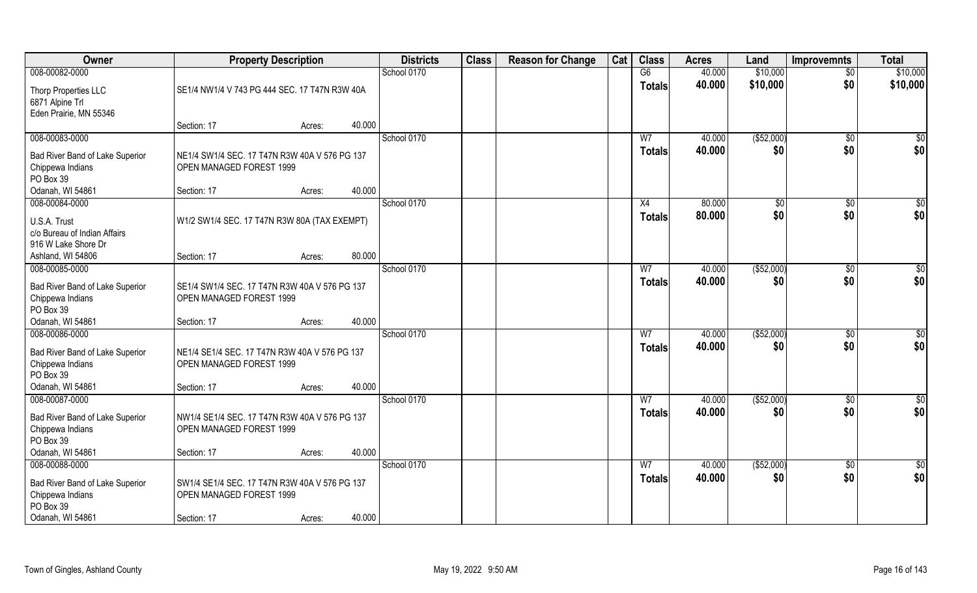| Owner                                                                                                  | <b>Property Description</b>                                                                     |                  | <b>Districts</b> | <b>Class</b> | <b>Reason for Change</b> | Cat | <b>Class</b>                    | <b>Acres</b>     | Land               | <b>Improvemnts</b>    | <b>Total</b>    |
|--------------------------------------------------------------------------------------------------------|-------------------------------------------------------------------------------------------------|------------------|------------------|--------------|--------------------------|-----|---------------------------------|------------------|--------------------|-----------------------|-----------------|
| 008-00082-0000                                                                                         |                                                                                                 |                  | School 0170      |              |                          |     | G6                              | 40.000           | \$10,000           | $\overline{50}$       | \$10,000        |
| Thorp Properties LLC<br>6871 Alpine Trl<br>Eden Prairie, MN 55346                                      | SE1/4 NW1/4 V 743 PG 444 SEC. 17 T47N R3W 40A                                                   |                  |                  |              |                          |     | <b>Totals</b>                   | 40.000           | \$10,000           | \$0                   | \$10,000        |
|                                                                                                        | Section: 17                                                                                     | 40.000<br>Acres: |                  |              |                          |     |                                 |                  |                    |                       |                 |
| 008-00083-0000                                                                                         |                                                                                                 |                  | School 0170      |              |                          |     | W <sub>7</sub>                  | 40.000           | ( \$52,000)        | $\sqrt{$0}$           | \$0             |
| Bad River Band of Lake Superior<br>Chippewa Indians<br>PO Box 39                                       | NE1/4 SW1/4 SEC. 17 T47N R3W 40A V 576 PG 137<br>OPEN MANAGED FOREST 1999                       |                  |                  |              |                          |     | <b>Totals</b>                   | 40.000           | \$0                | \$0                   | \$0             |
| Odanah, WI 54861                                                                                       | Section: 17                                                                                     | 40.000<br>Acres: |                  |              |                          |     |                                 |                  |                    |                       |                 |
| 008-00084-0000                                                                                         |                                                                                                 |                  | School 0170      |              |                          |     | X4                              | 80.000           | \$0                | $\sqrt[6]{3}$         | \$0             |
| U.S.A. Trust<br>c/o Bureau of Indian Affairs<br>916 W Lake Shore Dr                                    | W1/2 SW1/4 SEC. 17 T47N R3W 80A (TAX EXEMPT)                                                    |                  |                  |              |                          |     | <b>Totals</b>                   | 80.000           | \$0                | \$0                   | \$0             |
| Ashland, WI 54806                                                                                      | Section: 17                                                                                     | 80.000<br>Acres: |                  |              |                          |     |                                 |                  |                    |                       |                 |
| 008-00085-0000                                                                                         |                                                                                                 |                  | School 0170      |              |                          |     | W7                              | 40.000           | ( \$52,000)        | $\sqrt[6]{3}$         | \$0             |
| Bad River Band of Lake Superior<br>Chippewa Indians<br>PO Box 39                                       | SE1/4 SW1/4 SEC. 17 T47N R3W 40A V 576 PG 137<br>OPEN MANAGED FOREST 1999                       |                  |                  |              |                          |     | <b>Totals</b>                   | 40.000           | \$0                | \$0                   | \$0             |
| Odanah, WI 54861                                                                                       | Section: 17                                                                                     | 40.000<br>Acres: |                  |              |                          |     |                                 |                  |                    |                       |                 |
| 008-00086-0000<br>Bad River Band of Lake Superior<br>Chippewa Indians<br>PO Box 39<br>Odanah, WI 54861 | NE1/4 SE1/4 SEC. 17 T47N R3W 40A V 576 PG 137<br>OPEN MANAGED FOREST 1999<br>Section: 17        | 40.000<br>Acres: | School 0170      |              |                          |     | $\overline{W}$<br><b>Totals</b> | 40.000<br>40.000 | ( \$52,000)<br>\$0 | $\sqrt[6]{30}$<br>\$0 | \$0<br>\$0      |
| 008-00087-0000                                                                                         |                                                                                                 |                  | School 0170      |              |                          |     | W <sub>7</sub>                  | 40.000           | ( \$52,000)        | $\sqrt{$0}$           | $\frac{6}{3}$   |
| Bad River Band of Lake Superior<br>Chippewa Indians<br>PO Box 39<br>Odanah, WI 54861                   | NW1/4 SE1/4 SEC. 17 T47N R3W 40A V 576 PG 137<br>OPEN MANAGED FOREST 1999<br>Section: 17        | 40.000<br>Acres: |                  |              |                          |     | <b>Totals</b>                   | 40.000           | \$0                | \$0                   | \$0             |
| 008-00088-0000                                                                                         |                                                                                                 |                  | School 0170      |              |                          |     | W <sub>7</sub>                  | 40.000           | ( \$52,000)        | $\sqrt{$0}$           | $\overline{50}$ |
| Bad River Band of Lake Superior<br>Chippewa Indians<br>PO Box 39<br>Odanah, WI 54861                   | SW1/4 SE1/4 SEC. 17 T47N R3W 40A V 576 PG 137<br><b>OPEN MANAGED FOREST 1999</b><br>Section: 17 | 40.000<br>Acres: |                  |              |                          |     | Totals                          | 40.000           | \$0                | \$0                   | \$0             |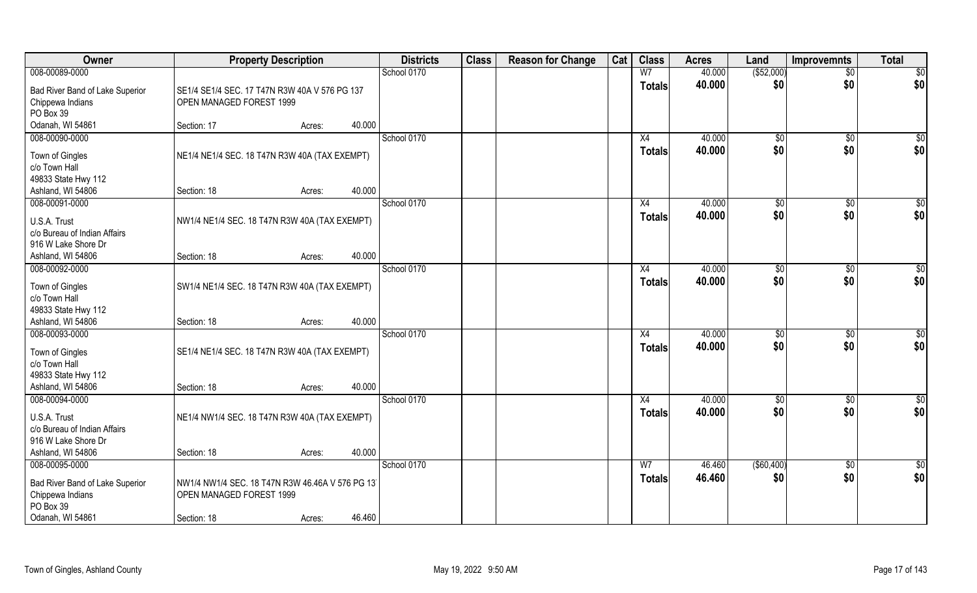| Owner                                                                                    | <b>Property Description</b>                                                                |        |        | <b>Districts</b> | <b>Class</b> | <b>Reason for Change</b> | Cat | <b>Class</b>        | <b>Acres</b>     | Land              | <b>Improvemnts</b>   | <b>Total</b> |
|------------------------------------------------------------------------------------------|--------------------------------------------------------------------------------------------|--------|--------|------------------|--------------|--------------------------|-----|---------------------|------------------|-------------------|----------------------|--------------|
| 008-00089-0000                                                                           |                                                                                            |        |        | School 0170      |              |                          |     | W <sub>7</sub>      | 40.000           | ( \$52,000)       | $\sqrt{$0}$          | \$0          |
| Bad River Band of Lake Superior<br>Chippewa Indians<br>PO Box 39                         | SE1/4 SE1/4 SEC. 17 T47N R3W 40A V 576 PG 137<br>OPEN MANAGED FOREST 1999                  |        |        |                  |              |                          |     | <b>Totals</b>       | 40.000           | \$0               | \$0                  | \$0          |
| Odanah, WI 54861                                                                         | Section: 17                                                                                | Acres: | 40.000 |                  |              |                          |     |                     |                  |                   |                      |              |
| 008-00090-0000                                                                           |                                                                                            |        |        | School 0170      |              |                          |     | X4                  | 40.000           | $\sqrt[6]{}$      | $\sqrt{$0}$          | $\sqrt{50}$  |
| Town of Gingles<br>c/o Town Hall<br>49833 State Hwy 112                                  | NE1/4 NE1/4 SEC. 18 T47N R3W 40A (TAX EXEMPT)                                              |        |        |                  |              |                          |     | <b>Totals</b>       | 40.000           | \$0               | \$0                  | \$0          |
| Ashland, WI 54806                                                                        | Section: 18                                                                                | Acres: | 40.000 |                  |              |                          |     |                     |                  |                   |                      |              |
| 008-00091-0000                                                                           |                                                                                            |        |        | School 0170      |              |                          |     | X4                  | 40.000           | \$0               | $\sqrt[6]{3}$        | \$0          |
| U.S.A. Trust<br>c/o Bureau of Indian Affairs<br>916 W Lake Shore Dr                      | NW1/4 NE1/4 SEC. 18 T47N R3W 40A (TAX EXEMPT)                                              |        |        |                  |              |                          |     | <b>Totals</b>       | 40.000           | \$0               | \$0                  | \$0          |
| Ashland, WI 54806                                                                        | Section: 18                                                                                | Acres: | 40.000 |                  |              |                          |     |                     |                  |                   |                      |              |
| 008-00092-0000                                                                           |                                                                                            |        |        | School 0170      |              |                          |     | X4                  | 40.000           | $\sqrt[6]{3}$     | $\sqrt[6]{3}$        | \$0          |
| Town of Gingles<br>c/o Town Hall<br>49833 State Hwy 112                                  | SW1/4 NE1/4 SEC. 18 T47N R3W 40A (TAX EXEMPT)                                              |        |        |                  |              |                          |     | <b>Totals</b>       | 40.000           | \$0               | \$0                  | \$0          |
| Ashland, WI 54806                                                                        | Section: 18                                                                                | Acres: | 40.000 |                  |              |                          |     |                     |                  |                   |                      |              |
| 008-00093-0000<br>Town of Gingles<br>c/o Town Hall<br>49833 State Hwy 112                | SE1/4 NE1/4 SEC. 18 T47N R3W 40A (TAX EXEMPT)                                              |        |        | School 0170      |              |                          |     | X4<br><b>Totals</b> | 40.000<br>40.000 | \$0<br>\$0        | $\sqrt[6]{3}$<br>\$0 | \$0<br>\$0   |
| Ashland, WI 54806<br>008-00094-0000                                                      | Section: 18                                                                                | Acres: | 40.000 | School 0170      |              |                          |     | X4                  | 40.000           | \$0               | \$0                  | \$0          |
| U.S.A. Trust<br>c/o Bureau of Indian Affairs<br>916 W Lake Shore Dr<br>Ashland, WI 54806 | NE1/4 NW1/4 SEC. 18 T47N R3W 40A (TAX EXEMPT)                                              |        | 40.000 |                  |              |                          |     | <b>Totals</b>       | 40.000           | \$0               | \$0                  | \$0          |
| 008-00095-0000                                                                           | Section: 18                                                                                | Acres: |        | School 0170      |              |                          |     | W <sub>7</sub>      | 46.460           | $($ \$60,400) $)$ | $\sqrt{$0}$          | \$0          |
| Bad River Band of Lake Superior<br>Chippewa Indians<br>PO Box 39<br>Odanah, WI 54861     | NW1/4 NW1/4 SEC. 18 T47N R3W 46.46A V 576 PG 13<br>OPEN MANAGED FOREST 1999<br>Section: 18 | Acres: | 46.460 |                  |              |                          |     | <b>Totals</b>       | 46.460           | \$0               | \$0                  | \$0          |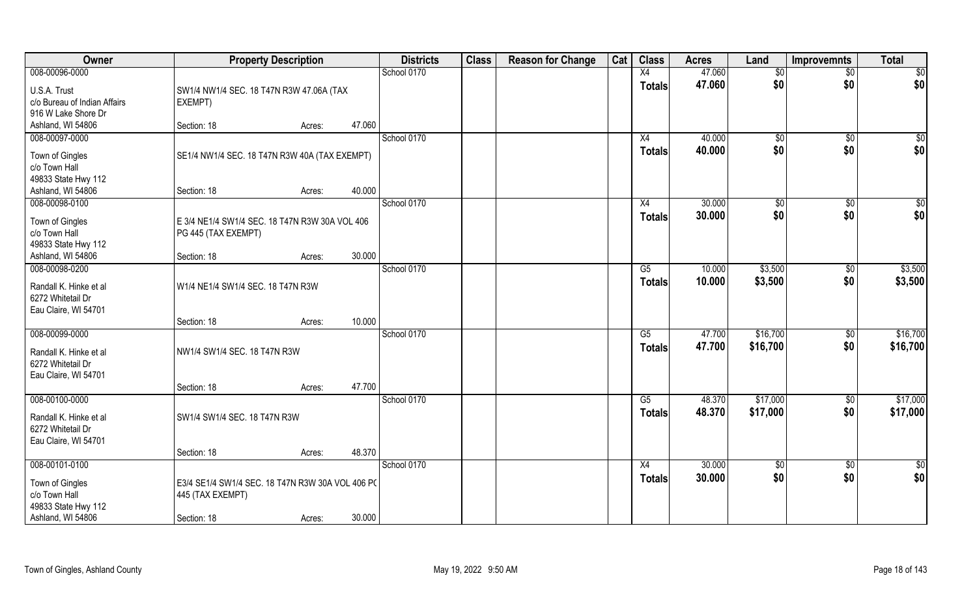| Owner                        | <b>Property Description</b>                                          |        |        | <b>Districts</b> | <b>Class</b> | <b>Reason for Change</b> | Cat | <b>Class</b>           | <b>Acres</b> | Land     | <b>Improvemnts</b> | <b>Total</b> |
|------------------------------|----------------------------------------------------------------------|--------|--------|------------------|--------------|--------------------------|-----|------------------------|--------------|----------|--------------------|--------------|
| 008-00096-0000               |                                                                      |        |        | School 0170      |              |                          |     | X4                     | 47.060       | \$0      | $\sqrt{$0}$        | \$0          |
| U.S.A. Trust                 | SW1/4 NW1/4 SEC. 18 T47N R3W 47.06A (TAX                             |        |        |                  |              |                          |     | <b>Totals</b>          | 47.060       | \$0      | \$0                | \$0          |
| c/o Bureau of Indian Affairs | EXEMPT)                                                              |        |        |                  |              |                          |     |                        |              |          |                    |              |
| 916 W Lake Shore Dr          |                                                                      |        |        |                  |              |                          |     |                        |              |          |                    |              |
| Ashland, WI 54806            | Section: 18                                                          | Acres: | 47.060 |                  |              |                          |     |                        |              |          |                    |              |
| 008-00097-0000               |                                                                      |        |        | School 0170      |              |                          |     | X4                     | 40.000       | \$0      | \$0                | $\sqrt{50}$  |
| Town of Gingles              | SE1/4 NW1/4 SEC. 18 T47N R3W 40A (TAX EXEMPT)                        |        |        |                  |              |                          |     | <b>Totals</b>          | 40.000       | \$0      | \$0                | \$0          |
| c/o Town Hall                |                                                                      |        |        |                  |              |                          |     |                        |              |          |                    |              |
| 49833 State Hwy 112          |                                                                      |        |        |                  |              |                          |     |                        |              |          |                    |              |
| Ashland, WI 54806            | Section: 18                                                          | Acres: | 40.000 |                  |              |                          |     |                        |              |          |                    |              |
| 008-00098-0100               |                                                                      |        |        | School 0170      |              |                          |     | X4                     | 30.000       | \$0      | \$0                | \$0          |
| Town of Gingles              | E 3/4 NE1/4 SW1/4 SEC. 18 T47N R3W 30A VOL 406                       |        |        |                  |              |                          |     | <b>Totals</b>          | 30.000       | \$0      | \$0                | \$0          |
| c/o Town Hall                | PG 445 (TAX EXEMPT)                                                  |        |        |                  |              |                          |     |                        |              |          |                    |              |
| 49833 State Hwy 112          |                                                                      |        |        |                  |              |                          |     |                        |              |          |                    |              |
| Ashland, WI 54806            | Section: 18                                                          | Acres: | 30.000 |                  |              |                          |     |                        |              |          |                    |              |
| 008-00098-0200               |                                                                      |        |        | School 0170      |              |                          |     | G5                     | 10.000       | \$3,500  | $\sqrt[6]{3}$      | \$3,500      |
| Randall K. Hinke et al       | W1/4 NE1/4 SW1/4 SEC. 18 T47N R3W                                    |        |        |                  |              |                          |     | <b>Totals</b>          | 10.000       | \$3,500  | \$0                | \$3,500      |
| 6272 Whitetail Dr            |                                                                      |        |        |                  |              |                          |     |                        |              |          |                    |              |
| Eau Claire, WI 54701         |                                                                      |        |        |                  |              |                          |     |                        |              |          |                    |              |
|                              | Section: 18                                                          | Acres: | 10.000 |                  |              |                          |     |                        |              |          |                    |              |
| 008-00099-0000               |                                                                      |        |        | School 0170      |              |                          |     | $\overline{\text{G5}}$ | 47.700       | \$16,700 | $\overline{30}$    | \$16,700     |
| Randall K. Hinke et al       | NW1/4 SW1/4 SEC. 18 T47N R3W                                         |        |        |                  |              |                          |     | <b>Totals</b>          | 47.700       | \$16,700 | \$0                | \$16,700     |
| 6272 Whitetail Dr            |                                                                      |        |        |                  |              |                          |     |                        |              |          |                    |              |
| Eau Claire, WI 54701         |                                                                      |        |        |                  |              |                          |     |                        |              |          |                    |              |
|                              | Section: 18                                                          | Acres: | 47.700 |                  |              |                          |     |                        |              |          |                    |              |
| 008-00100-0000               |                                                                      |        |        | School 0170      |              |                          |     | G5                     | 48.370       | \$17,000 | $\overline{60}$    | \$17,000     |
| Randall K. Hinke et al       | SW1/4 SW1/4 SEC. 18 T47N R3W                                         |        |        |                  |              |                          |     | <b>Totals</b>          | 48.370       | \$17,000 | \$0                | \$17,000     |
| 6272 Whitetail Dr            |                                                                      |        |        |                  |              |                          |     |                        |              |          |                    |              |
| Eau Claire, WI 54701         |                                                                      |        |        |                  |              |                          |     |                        |              |          |                    |              |
|                              | Section: 18                                                          | Acres: | 48.370 |                  |              |                          |     |                        |              |          |                    |              |
| 008-00101-0100               |                                                                      |        |        | School 0170      |              |                          |     | X4                     | 30.000       | \$0      | \$0                | \$0          |
| Town of Gingles              |                                                                      |        |        |                  |              |                          |     | <b>Totals</b>          | 30.000       | \$0      | \$0                | \$0          |
| c/o Town Hall                | E3/4 SE1/4 SW1/4 SEC. 18 T47N R3W 30A VOL 406 PC<br>445 (TAX EXEMPT) |        |        |                  |              |                          |     |                        |              |          |                    |              |
| 49833 State Hwy 112          |                                                                      |        |        |                  |              |                          |     |                        |              |          |                    |              |
| Ashland, WI 54806            | Section: 18                                                          | Acres: | 30.000 |                  |              |                          |     |                        |              |          |                    |              |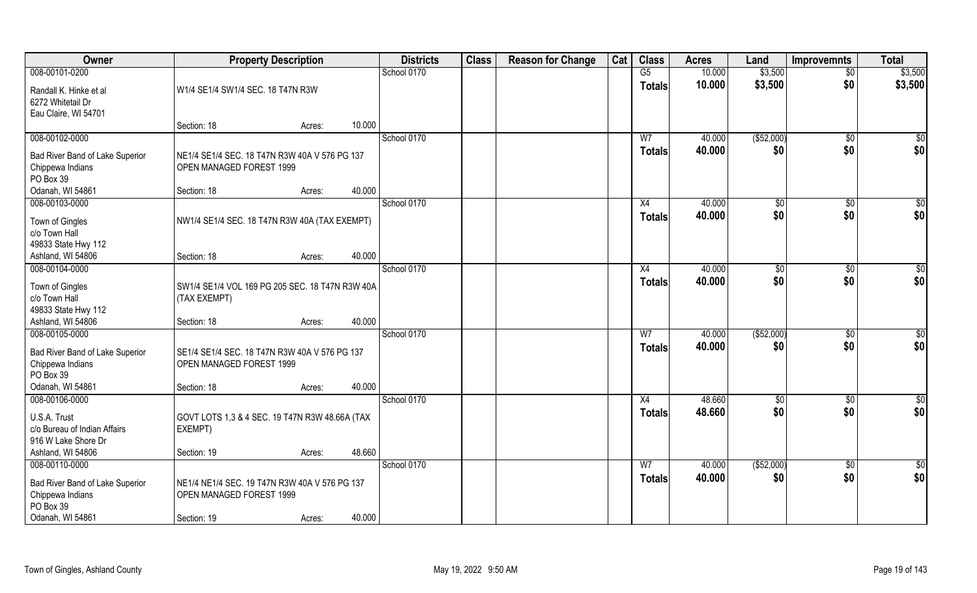| Owner                                                                                                      | <b>Property Description</b>                                                              |        |        | <b>Districts</b> | <b>Class</b> | <b>Reason for Change</b> | Cat | <b>Class</b>                    | <b>Acres</b>     | Land              | <b>Improvemnts</b>     | <b>Total</b>         |
|------------------------------------------------------------------------------------------------------------|------------------------------------------------------------------------------------------|--------|--------|------------------|--------------|--------------------------|-----|---------------------------------|------------------|-------------------|------------------------|----------------------|
| 008-00101-0200                                                                                             |                                                                                          |        |        | School 0170      |              |                          |     | G5                              | 10.000           | \$3,500           | $\overline{50}$        | \$3,500              |
| Randall K. Hinke et al<br>6272 Whitetail Dr<br>Eau Claire, WI 54701                                        | W1/4 SE1/4 SW1/4 SEC. 18 T47N R3W                                                        |        |        |                  |              |                          |     | <b>Totals</b>                   | 10.000           | \$3,500           | \$0                    | \$3,500              |
|                                                                                                            | Section: 18                                                                              | Acres: | 10.000 |                  |              |                          |     |                                 |                  |                   |                        |                      |
| 008-00102-0000                                                                                             |                                                                                          |        |        | School 0170      |              |                          |     | W <sub>7</sub>                  | 40.000           | (\$52,000)        | $\sqrt{$0}$            | $\sqrt{50}$          |
| Bad River Band of Lake Superior<br>Chippewa Indians<br>PO Box 39                                           | NE1/4 SE1/4 SEC. 18 T47N R3W 40A V 576 PG 137<br>OPEN MANAGED FOREST 1999                |        |        |                  |              |                          |     | <b>Totals</b>                   | 40.000           | \$0               | \$0                    | \$0                  |
| Odanah, WI 54861                                                                                           | Section: 18                                                                              | Acres: | 40.000 |                  |              |                          |     |                                 |                  |                   |                        |                      |
| 008-00103-0000                                                                                             |                                                                                          |        |        | School 0170      |              |                          |     | X4                              | 40.000           | $\sqrt[6]{2}$     | $\sqrt[6]{3}$          | \$0                  |
| Town of Gingles<br>c/o Town Hall<br>49833 State Hwy 112                                                    | NW1/4 SE1/4 SEC. 18 T47N R3W 40A (TAX EXEMPT)                                            |        |        |                  |              |                          |     | <b>Totals</b>                   | 40.000           | \$0               | \$0                    | \$0                  |
| Ashland, WI 54806                                                                                          | Section: 18                                                                              | Acres: | 40.000 |                  |              |                          |     |                                 |                  |                   |                        |                      |
| 008-00104-0000                                                                                             |                                                                                          |        |        | School 0170      |              |                          |     | X4                              | 40.000           | $\sqrt[6]{3}$     | $\sqrt[6]{3}$          | \$0                  |
| Town of Gingles<br>c/o Town Hall<br>49833 State Hwy 112                                                    | SW1/4 SE1/4 VOL 169 PG 205 SEC. 18 T47N R3W 40A<br>(TAX EXEMPT)                          |        |        |                  |              |                          |     | <b>Totals</b>                   | 40.000           | \$0               | \$0                    | \$0                  |
| Ashland, WI 54806                                                                                          | Section: 18                                                                              | Acres: | 40.000 |                  |              |                          |     |                                 |                  |                   |                        |                      |
| 008-00105-0000<br>Bad River Band of Lake Superior<br>Chippewa Indians<br>PO Box 39                         | SE1/4 SE1/4 SEC. 18 T47N R3W 40A V 576 PG 137<br>OPEN MANAGED FOREST 1999                |        |        | School 0170      |              |                          |     | W <sub>7</sub><br><b>Totals</b> | 40.000<br>40.000 | (\$52,000)<br>\$0 | $\overline{50}$<br>\$0 | \$0<br>\$0           |
| Odanah, WI 54861                                                                                           | Section: 18                                                                              | Acres: | 40.000 |                  |              |                          |     |                                 |                  |                   |                        |                      |
| 008-00106-0000<br>U.S.A. Trust<br>c/o Bureau of Indian Affairs<br>916 W Lake Shore Dr<br>Ashland, WI 54806 | GOVT LOTS 1,3 & 4 SEC. 19 T47N R3W 48.66A (TAX<br>EXEMPT)<br>Section: 19                 | Acres: | 48.660 | School 0170      |              |                          |     | X4<br><b>Totals</b>             | 48.660<br>48.660 | \$0<br>\$0        | \$0<br>\$0             | $\frac{6}{3}$<br>\$0 |
| 008-00110-0000                                                                                             |                                                                                          |        |        | School 0170      |              |                          |     | W <sub>7</sub>                  | 40.000           | ( \$52,000)       | $\sqrt{$0}$            | \$0                  |
| Bad River Band of Lake Superior<br>Chippewa Indians<br>PO Box 39<br>Odanah, WI 54861                       | NE1/4 NE1/4 SEC. 19 T47N R3W 40A V 576 PG 137<br>OPEN MANAGED FOREST 1999<br>Section: 19 | Acres: | 40.000 |                  |              |                          |     | <b>Totals</b>                   | 40.000           | \$0               | \$0                    | \$0                  |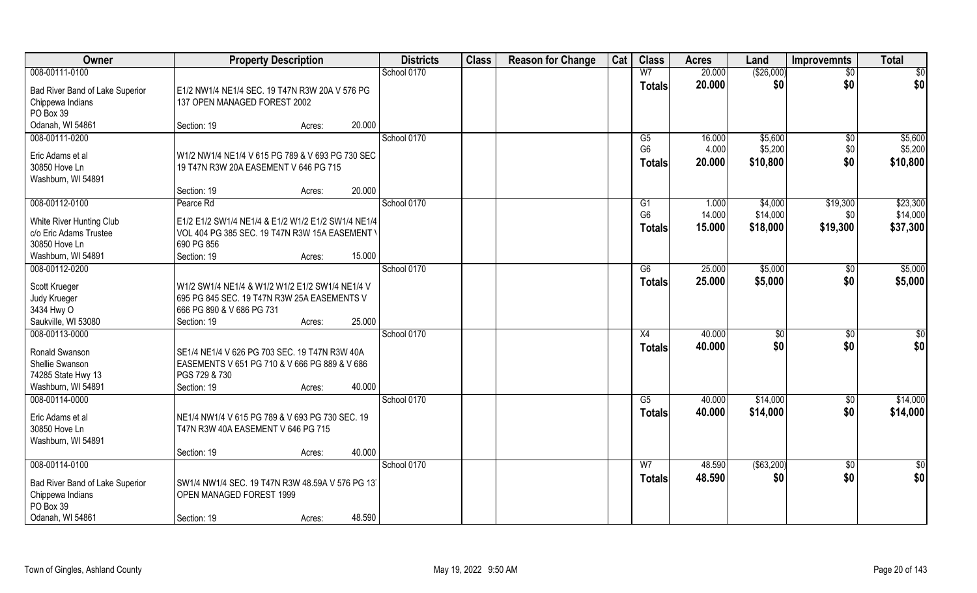| Owner                           | <b>Property Description</b>                        |        |        | <b>Districts</b> | <b>Class</b> | <b>Reason for Change</b> | Cat | <b>Class</b>   | <b>Acres</b> | Land        | <b>Improvemnts</b> | <b>Total</b>    |
|---------------------------------|----------------------------------------------------|--------|--------|------------------|--------------|--------------------------|-----|----------------|--------------|-------------|--------------------|-----------------|
| 008-00111-0100                  |                                                    |        |        | School 0170      |              |                          |     | W <sub>7</sub> | 20.000       | (\$26,000)  | $\overline{30}$    | \$0             |
| Bad River Band of Lake Superior | E1/2 NW1/4 NE1/4 SEC. 19 T47N R3W 20A V 576 PG     |        |        |                  |              |                          |     | <b>Totals</b>  | 20.000       | \$0         | \$0                | \$0             |
| Chippewa Indians                | 137 OPEN MANAGED FOREST 2002                       |        |        |                  |              |                          |     |                |              |             |                    |                 |
| PO Box 39                       |                                                    |        |        |                  |              |                          |     |                |              |             |                    |                 |
| Odanah, WI 54861                | Section: 19                                        | Acres: | 20.000 |                  |              |                          |     |                |              |             |                    |                 |
| 008-00111-0200                  |                                                    |        |        | School 0170      |              |                          |     | G5             | 16.000       | \$5,600     | \$0                | \$5,600         |
| Eric Adams et al                | W1/2 NW1/4 NE1/4 V 615 PG 789 & V 693 PG 730 SEC   |        |        |                  |              |                          |     | G <sub>6</sub> | 4.000        | \$5,200     | \$0                | \$5,200         |
| 30850 Hove Ln                   | 19 T47N R3W 20A EASEMENT V 646 PG 715              |        |        |                  |              |                          |     | <b>Totals</b>  | 20.000       | \$10,800    | \$0                | \$10,800        |
| Washburn, WI 54891              |                                                    |        |        |                  |              |                          |     |                |              |             |                    |                 |
|                                 | Section: 19                                        | Acres: | 20.000 |                  |              |                          |     |                |              |             |                    |                 |
| 008-00112-0100                  | Pearce Rd                                          |        |        | School 0170      |              |                          |     | G <sub>1</sub> | 1.000        | \$4,000     | \$19,300           | \$23,300        |
| White River Hunting Club        | E1/2 E1/2 SW1/4 NE1/4 & E1/2 W1/2 E1/2 SW1/4 NE1/4 |        |        |                  |              |                          |     | G <sub>6</sub> | 14.000       | \$14,000    | \$0                | \$14,000        |
| c/o Eric Adams Trustee          | VOL 404 PG 385 SEC. 19 T47N R3W 15A EASEMENT \     |        |        |                  |              |                          |     | <b>Totals</b>  | 15.000       | \$18,000    | \$19,300           | \$37,300        |
| 30850 Hove Ln                   | 690 PG 856                                         |        |        |                  |              |                          |     |                |              |             |                    |                 |
| Washburn, WI 54891              | Section: 19                                        | Acres: | 15.000 |                  |              |                          |     |                |              |             |                    |                 |
| 008-00112-0200                  |                                                    |        |        | School 0170      |              |                          |     | G6             | 25.000       | \$5,000     | \$0                | \$5,000         |
| Scott Krueger                   | W1/2 SW1/4 NE1/4 & W1/2 W1/2 E1/2 SW1/4 NE1/4 V    |        |        |                  |              |                          |     | <b>Totals</b>  | 25.000       | \$5,000     | \$0                | \$5,000         |
| Judy Krueger                    | 695 PG 845 SEC. 19 T47N R3W 25A EASEMENTS V        |        |        |                  |              |                          |     |                |              |             |                    |                 |
| 3434 Hwy O                      | 666 PG 890 & V 686 PG 731                          |        |        |                  |              |                          |     |                |              |             |                    |                 |
| Saukville, WI 53080             | Section: 19                                        | Acres: | 25.000 |                  |              |                          |     |                |              |             |                    |                 |
| 008-00113-0000                  |                                                    |        |        | School 0170      |              |                          |     | X4             | 40.000       | \$0         | \$0                | \$0             |
| Ronald Swanson                  | SE1/4 NE1/4 V 626 PG 703 SEC. 19 T47N R3W 40A      |        |        |                  |              |                          |     | <b>Totals</b>  | 40.000       | \$0         | \$0                | \$0             |
| Shellie Swanson                 | EASEMENTS V 651 PG 710 & V 666 PG 889 & V 686      |        |        |                  |              |                          |     |                |              |             |                    |                 |
| 74285 State Hwy 13              | PGS 729 & 730                                      |        |        |                  |              |                          |     |                |              |             |                    |                 |
| Washburn, WI 54891              | Section: 19                                        | Acres: | 40.000 |                  |              |                          |     |                |              |             |                    |                 |
| 008-00114-0000                  |                                                    |        |        | School 0170      |              |                          |     | G5             | 40.000       | \$14,000    | \$0                | \$14,000        |
| Eric Adams et al                | NE1/4 NW1/4 V 615 PG 789 & V 693 PG 730 SEC. 19    |        |        |                  |              |                          |     | <b>Totals</b>  | 40.000       | \$14,000    | \$0                | \$14,000        |
| 30850 Hove Ln                   | T47N R3W 40A EASEMENT V 646 PG 715                 |        |        |                  |              |                          |     |                |              |             |                    |                 |
| Washburn, WI 54891              |                                                    |        |        |                  |              |                          |     |                |              |             |                    |                 |
|                                 | Section: 19                                        | Acres: | 40.000 |                  |              |                          |     |                |              |             |                    |                 |
| 008-00114-0100                  |                                                    |        |        | School 0170      |              |                          |     | W <sub>7</sub> | 48.590       | ( \$63,200) | $\overline{50}$    | $\overline{50}$ |
| Bad River Band of Lake Superior | SW1/4 NW1/4 SEC. 19 T47N R3W 48.59A V 576 PG 13.   |        |        |                  |              |                          |     | <b>Totals</b>  | 48.590       | \$0         | \$0                | \$0             |
| Chippewa Indians                | OPEN MANAGED FOREST 1999                           |        |        |                  |              |                          |     |                |              |             |                    |                 |
| PO Box 39                       |                                                    |        |        |                  |              |                          |     |                |              |             |                    |                 |
| Odanah, WI 54861                | Section: 19                                        | Acres: | 48.590 |                  |              |                          |     |                |              |             |                    |                 |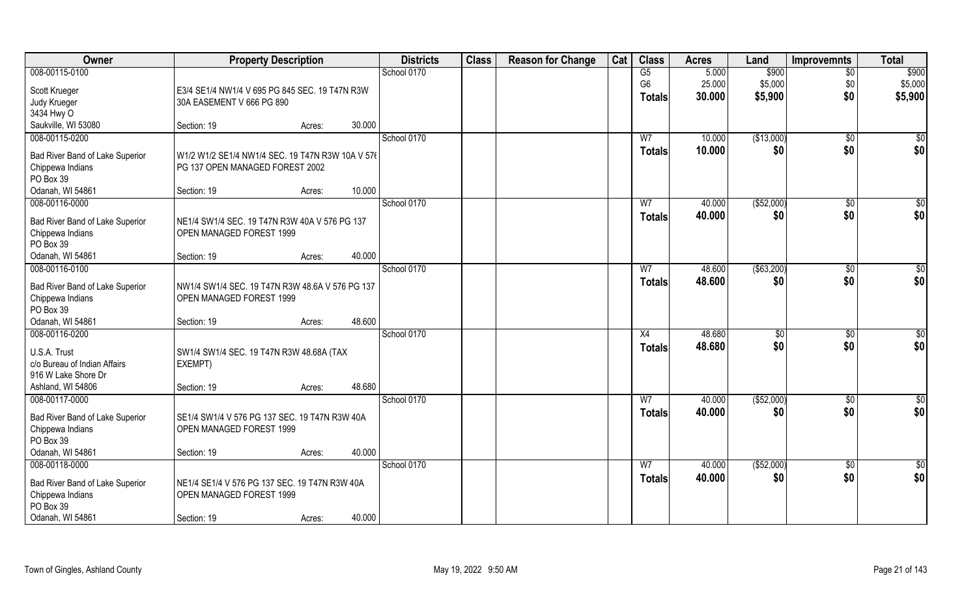| Owner                           | <b>Property Description</b>                      |        |        | <b>Districts</b> | <b>Class</b> | <b>Reason for Change</b> | Cat | <b>Class</b>   | <b>Acres</b> | Land        | <b>Improvemnts</b> | <b>Total</b> |
|---------------------------------|--------------------------------------------------|--------|--------|------------------|--------------|--------------------------|-----|----------------|--------------|-------------|--------------------|--------------|
| 008-00115-0100                  |                                                  |        |        | School 0170      |              |                          |     | G5             | 5.000        | \$900       | $\overline{60}$    | \$900        |
| Scott Krueger                   | E3/4 SE1/4 NW1/4 V 695 PG 845 SEC. 19 T47N R3W   |        |        |                  |              |                          |     | G <sub>6</sub> | 25.000       | \$5,000     | \$0                | \$5,000      |
| Judy Krueger                    | 30A EASEMENT V 666 PG 890                        |        |        |                  |              |                          |     | <b>Totals</b>  | 30.000       | \$5,900     | \$0                | \$5,900      |
| 3434 Hwy O                      |                                                  |        |        |                  |              |                          |     |                |              |             |                    |              |
| Saukville, WI 53080             | Section: 19                                      | Acres: | 30.000 |                  |              |                          |     |                |              |             |                    |              |
| 008-00115-0200                  |                                                  |        |        | School 0170      |              |                          |     | W <sub>7</sub> | 10.000       | (\$13,000)  | $\overline{50}$    | \$0          |
| Bad River Band of Lake Superior | W1/2 W1/2 SE1/4 NW1/4 SEC. 19 T47N R3W 10A V 576 |        |        |                  |              |                          |     | <b>Totals</b>  | 10.000       | \$0         | \$0                | \$0          |
| Chippewa Indians                | PG 137 OPEN MANAGED FOREST 2002                  |        |        |                  |              |                          |     |                |              |             |                    |              |
| PO Box 39                       |                                                  |        |        |                  |              |                          |     |                |              |             |                    |              |
| Odanah, WI 54861                | Section: 19                                      | Acres: | 10.000 |                  |              |                          |     |                |              |             |                    |              |
| 008-00116-0000                  |                                                  |        |        | School 0170      |              |                          |     | W7             | 40.000       | ( \$52,000) | \$0                | \$0          |
| Bad River Band of Lake Superior | NE1/4 SW1/4 SEC. 19 T47N R3W 40A V 576 PG 137    |        |        |                  |              |                          |     | <b>Totals</b>  | 40.000       | \$0         | \$0                | \$0          |
| Chippewa Indians                | OPEN MANAGED FOREST 1999                         |        |        |                  |              |                          |     |                |              |             |                    |              |
| PO Box 39                       |                                                  |        |        |                  |              |                          |     |                |              |             |                    |              |
| Odanah, WI 54861                | Section: 19                                      | Acres: | 40.000 |                  |              |                          |     |                |              |             |                    |              |
| 008-00116-0100                  |                                                  |        |        | School 0170      |              |                          |     | W7             | 48.600       | ( \$63,200) | $\sqrt[6]{3}$      | \$0          |
| Bad River Band of Lake Superior | NW1/4 SW1/4 SEC. 19 T47N R3W 48.6A V 576 PG 137  |        |        |                  |              |                          |     | <b>Totals</b>  | 48.600       | \$0         | \$0                | \$0          |
| Chippewa Indians                | OPEN MANAGED FOREST 1999                         |        |        |                  |              |                          |     |                |              |             |                    |              |
| PO Box 39                       |                                                  |        |        |                  |              |                          |     |                |              |             |                    |              |
| Odanah, WI 54861                | Section: 19                                      | Acres: | 48.600 |                  |              |                          |     |                |              |             |                    |              |
| 008-00116-0200                  |                                                  |        |        | School 0170      |              |                          |     | X4             | 48.680       | \$0         | \$0                | \$0          |
| U.S.A. Trust                    | SW1/4 SW1/4 SEC. 19 T47N R3W 48.68A (TAX         |        |        |                  |              |                          |     | <b>Totals</b>  | 48.680       | \$0         | \$0                | \$0          |
| c/o Bureau of Indian Affairs    | EXEMPT)                                          |        |        |                  |              |                          |     |                |              |             |                    |              |
| 916 W Lake Shore Dr             |                                                  |        |        |                  |              |                          |     |                |              |             |                    |              |
| Ashland, WI 54806               | Section: 19                                      | Acres: | 48.680 |                  |              |                          |     |                |              |             |                    |              |
| 008-00117-0000                  |                                                  |        |        | School 0170      |              |                          |     | W <sub>7</sub> | 40.000       | (\$52,000)  | \$0                | $\sqrt{6}$   |
| Bad River Band of Lake Superior | SE1/4 SW1/4 V 576 PG 137 SEC. 19 T47N R3W 40A    |        |        |                  |              |                          |     | <b>Totals</b>  | 40.000       | \$0         | \$0                | \$0          |
| Chippewa Indians                | OPEN MANAGED FOREST 1999                         |        |        |                  |              |                          |     |                |              |             |                    |              |
| PO Box 39                       |                                                  |        |        |                  |              |                          |     |                |              |             |                    |              |
| Odanah, WI 54861                | Section: 19                                      | Acres: | 40.000 |                  |              |                          |     |                |              |             |                    |              |
| 008-00118-0000                  |                                                  |        |        | School 0170      |              |                          |     | W <sub>7</sub> | 40.000       | (\$52,000)  | $\sqrt{6}$         | $\sqrt{6}$   |
| Bad River Band of Lake Superior | NE1/4 SE1/4 V 576 PG 137 SEC. 19 T47N R3W 40A    |        |        |                  |              |                          |     | <b>Totals</b>  | 40.000       | \$0         | \$0                | \$0          |
| Chippewa Indians                | OPEN MANAGED FOREST 1999                         |        |        |                  |              |                          |     |                |              |             |                    |              |
| PO Box 39                       |                                                  |        |        |                  |              |                          |     |                |              |             |                    |              |
| Odanah, WI 54861                | Section: 19                                      | Acres: | 40.000 |                  |              |                          |     |                |              |             |                    |              |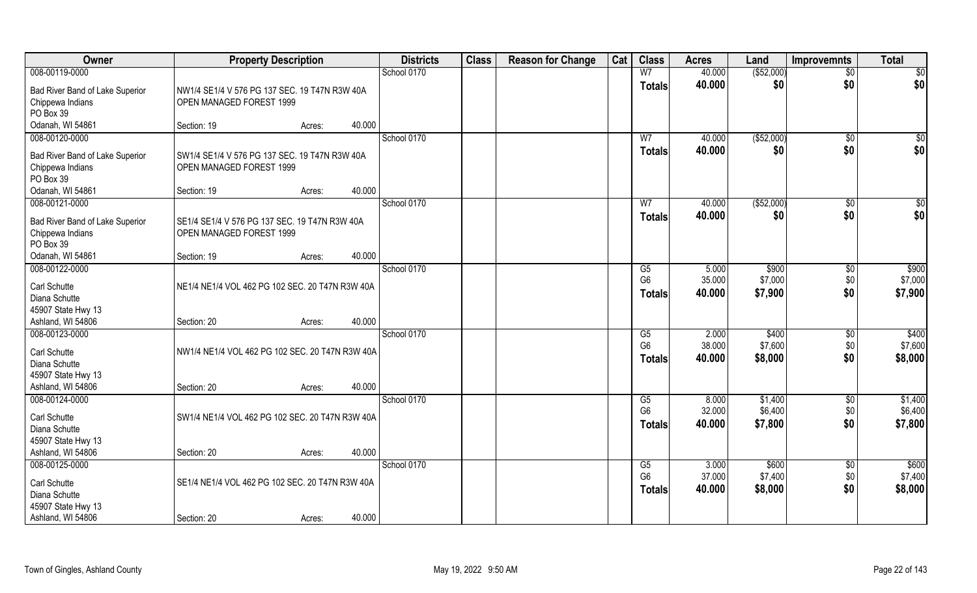| Owner                                                                 | <b>Property Description</b>                                               |                  | <b>Districts</b> | <b>Class</b> | <b>Reason for Change</b> | Cat | <b>Class</b>                          | <b>Acres</b>              | Land                          | <b>Improvemnts</b>            | <b>Total</b>                  |
|-----------------------------------------------------------------------|---------------------------------------------------------------------------|------------------|------------------|--------------|--------------------------|-----|---------------------------------------|---------------------------|-------------------------------|-------------------------------|-------------------------------|
| 008-00119-0000                                                        |                                                                           |                  | School 0170      |              |                          |     | W <sub>7</sub>                        | 40.000                    | ( \$52,000)                   | $\overline{50}$               | $\overline{50}$               |
| Bad River Band of Lake Superior<br>Chippewa Indians<br>PO Box 39      | NW1/4 SE1/4 V 576 PG 137 SEC. 19 T47N R3W 40A<br>OPEN MANAGED FOREST 1999 |                  |                  |              |                          |     | <b>Totals</b>                         | 40.000                    | \$0                           | \$0                           | \$0                           |
| Odanah, WI 54861                                                      | Section: 19                                                               | 40.000<br>Acres: |                  |              |                          |     |                                       |                           |                               |                               |                               |
| 008-00120-0000                                                        |                                                                           |                  | School 0170      |              |                          |     | W <sub>7</sub>                        | 40.000                    | ( \$52,000)                   | $\sqrt{$0}$                   | $\sqrt{50}$                   |
| Bad River Band of Lake Superior<br>Chippewa Indians<br>PO Box 39      | SW1/4 SE1/4 V 576 PG 137 SEC. 19 T47N R3W 40A<br>OPEN MANAGED FOREST 1999 |                  |                  |              |                          |     | <b>Totals</b>                         | 40.000                    | \$0                           | \$0                           | \$0                           |
| Odanah, WI 54861                                                      | Section: 19                                                               | 40.000<br>Acres: |                  |              |                          |     |                                       |                           |                               |                               |                               |
| 008-00121-0000                                                        |                                                                           |                  | School 0170      |              |                          |     | W <sub>7</sub>                        | 40.000                    | ( \$52,000)                   | $\sqrt[6]{30}$                | \$0                           |
| Bad River Band of Lake Superior<br>Chippewa Indians<br>PO Box 39      | SE1/4 SE1/4 V 576 PG 137 SEC. 19 T47N R3W 40A<br>OPEN MANAGED FOREST 1999 |                  |                  |              |                          |     | <b>Totals</b>                         | 40.000                    | \$0                           | \$0                           | \$0                           |
| Odanah, WI 54861                                                      | Section: 19                                                               | 40.000<br>Acres: |                  |              |                          |     |                                       |                           |                               |                               |                               |
| 008-00122-0000                                                        |                                                                           |                  | School 0170      |              |                          |     | G5                                    | 5.000                     | \$900                         | \$0                           | \$900                         |
| Carl Schutte<br>Diana Schutte<br>45907 State Hwy 13                   | NE1/4 NE1/4 VOL 462 PG 102 SEC. 20 T47N R3W 40A                           |                  |                  |              |                          |     | G <sub>6</sub><br><b>Totals</b>       | 35.000<br>40.000          | \$7,000<br>\$7,900            | \$0<br>\$0                    | \$7,000<br>\$7,900            |
| Ashland, WI 54806                                                     | Section: 20                                                               | 40.000<br>Acres: |                  |              |                          |     |                                       |                           |                               |                               |                               |
| 008-00123-0000<br>Carl Schutte<br>Diana Schutte<br>45907 State Hwy 13 | NW1/4 NE1/4 VOL 462 PG 102 SEC. 20 T47N R3W 40A                           |                  | School 0170      |              |                          |     | G5<br>G <sub>6</sub><br>Totals        | 2.000<br>38.000<br>40.000 | \$400<br>\$7,600<br>\$8,000   | $\sqrt[6]{3}$<br>\$0<br>\$0   | \$400<br>\$7,600<br>\$8,000   |
| Ashland, WI 54806                                                     | Section: 20                                                               | 40.000<br>Acres: |                  |              |                          |     |                                       |                           |                               |                               |                               |
| 008-00124-0000<br>Carl Schutte<br>Diana Schutte<br>45907 State Hwy 13 | SW1/4 NE1/4 VOL 462 PG 102 SEC. 20 T47N R3W 40A                           |                  | School 0170      |              |                          |     | G5<br>G <sub>6</sub><br><b>Totals</b> | 8.000<br>32.000<br>40.000 | \$1,400<br>\$6,400<br>\$7,800 | \$0<br>\$0<br>\$0             | \$1,400<br>\$6,400<br>\$7,800 |
| Ashland, WI 54806                                                     | Section: 20                                                               | 40.000<br>Acres: |                  |              |                          |     |                                       |                           |                               |                               |                               |
| 008-00125-0000<br>Carl Schutte<br>Diana Schutte<br>45907 State Hwy 13 | SE1/4 NE1/4 VOL 462 PG 102 SEC. 20 T47N R3W 40A                           |                  | School 0170      |              |                          |     | G5<br>G <sub>6</sub><br><b>Totals</b> | 3.000<br>37.000<br>40.000 | \$600<br>\$7,400<br>\$8,000   | $\overline{50}$<br>\$0<br>\$0 | \$600<br>\$7,400<br>\$8,000   |
| Ashland, WI 54806                                                     | Section: 20                                                               | 40.000<br>Acres: |                  |              |                          |     |                                       |                           |                               |                               |                               |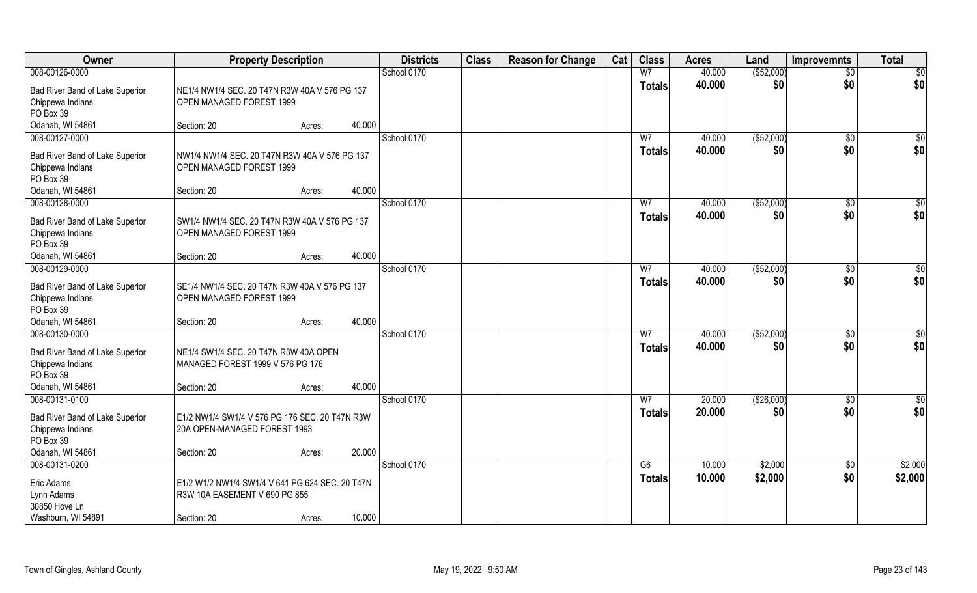| Owner                                                            | <b>Property Description</b>                                                      |                  | <b>Districts</b> | <b>Class</b> | <b>Reason for Change</b> | Cat | <b>Class</b>                    | <b>Acres</b>     | Land               | <b>Improvemnts</b>    | <b>Total</b>     |
|------------------------------------------------------------------|----------------------------------------------------------------------------------|------------------|------------------|--------------|--------------------------|-----|---------------------------------|------------------|--------------------|-----------------------|------------------|
| 008-00126-0000                                                   |                                                                                  |                  | School 0170      |              |                          |     | W <sub>7</sub>                  | 40.000           | ( \$52,000)        | $\overline{50}$       | $\overline{50}$  |
| Bad River Band of Lake Superior<br>Chippewa Indians<br>PO Box 39 | NE1/4 NW1/4 SEC. 20 T47N R3W 40A V 576 PG 137<br>OPEN MANAGED FOREST 1999        |                  |                  |              |                          |     | <b>Totals</b>                   | 40.000           | \$0                | \$0                   | \$0              |
| Odanah, WI 54861                                                 | Section: 20                                                                      | 40.000<br>Acres: |                  |              |                          |     |                                 |                  |                    |                       |                  |
| 008-00127-0000                                                   |                                                                                  |                  | School 0170      |              |                          |     | W <sub>7</sub>                  | 40.000<br>40.000 | ( \$52,000)        | $\sqrt{$0}$           | $\overline{\$0}$ |
| Bad River Band of Lake Superior<br>Chippewa Indians<br>PO Box 39 | NW1/4 NW1/4 SEC. 20 T47N R3W 40A V 576 PG 137<br>OPEN MANAGED FOREST 1999        |                  |                  |              |                          |     | <b>Totals</b>                   |                  | \$0                | \$0                   | \$0              |
| Odanah, WI 54861                                                 | Section: 20                                                                      | 40.000<br>Acres: |                  |              |                          |     |                                 |                  |                    |                       |                  |
| 008-00128-0000                                                   |                                                                                  |                  | School 0170      |              |                          |     | W <sub>7</sub>                  | 40.000           | ( \$52,000)        | $\sqrt[6]{3}$         | \$0              |
| Bad River Band of Lake Superior<br>Chippewa Indians<br>PO Box 39 | SW1/4 NW1/4 SEC. 20 T47N R3W 40A V 576 PG 137<br>OPEN MANAGED FOREST 1999        |                  |                  |              |                          |     | <b>Totals</b>                   | 40.000           | \$0                | \$0                   | \$0              |
| Odanah, WI 54861                                                 | Section: 20                                                                      | 40.000<br>Acres: |                  |              |                          |     |                                 |                  |                    |                       |                  |
| 008-00129-0000                                                   |                                                                                  |                  | School 0170      |              |                          |     | W7                              | 40.000           | ( \$52,000)        | $\sqrt[6]{3}$         | \$0              |
| Bad River Band of Lake Superior<br>Chippewa Indians<br>PO Box 39 | SE1/4 NW1/4 SEC. 20 T47N R3W 40A V 576 PG 137<br>OPEN MANAGED FOREST 1999        |                  |                  |              |                          |     | <b>Totals</b>                   | 40.000           | \$0                | \$0                   | \$0              |
| Odanah, WI 54861                                                 | Section: 20                                                                      | 40.000<br>Acres: |                  |              |                          |     |                                 |                  |                    |                       |                  |
| 008-00130-0000<br>Bad River Band of Lake Superior                | NE1/4 SW1/4 SEC. 20 T47N R3W 40A OPEN                                            |                  | School 0170      |              |                          |     | $\overline{W}$<br><b>Totals</b> | 40.000<br>40.000 | ( \$52,000)<br>\$0 | $\sqrt[6]{30}$<br>\$0 | \$0<br>\$0       |
| Chippewa Indians<br>PO Box 39                                    | MANAGED FOREST 1999 V 576 PG 176                                                 |                  |                  |              |                          |     |                                 |                  |                    |                       |                  |
| Odanah, WI 54861                                                 | Section: 20                                                                      | 40.000<br>Acres: |                  |              |                          |     |                                 |                  |                    |                       |                  |
| 008-00131-0100                                                   |                                                                                  |                  | School 0170      |              |                          |     | W <sub>7</sub>                  | 20.000           | (\$26,000)         | $\sqrt{$0}$           | $\frac{6}{3}$    |
| Bad River Band of Lake Superior<br>Chippewa Indians<br>PO Box 39 | E1/2 NW1/4 SW1/4 V 576 PG 176 SEC. 20 T47N R3W<br>20A OPEN-MANAGED FOREST 1993   |                  |                  |              |                          |     | <b>Totals</b>                   | 20.000           | \$0                | \$0                   | \$0              |
| Odanah, WI 54861                                                 | Section: 20                                                                      | 20.000<br>Acres: |                  |              |                          |     |                                 |                  |                    |                       |                  |
| 008-00131-0200                                                   |                                                                                  |                  | School 0170      |              |                          |     | G6                              | 10.000           | \$2,000            | $\overline{50}$       | \$2,000          |
| Eric Adams<br>Lynn Adams<br>30850 Hove Ln<br>Washburn, WI 54891  | E1/2 W1/2 NW1/4 SW1/4 V 641 PG 624 SEC. 20 T47N<br>R3W 10A EASEMENT V 690 PG 855 | 10.000           |                  |              |                          |     | Totals                          | 10.000           | \$2,000            | \$0                   | \$2,000          |
|                                                                  | Section: 20                                                                      | Acres:           |                  |              |                          |     |                                 |                  |                    |                       |                  |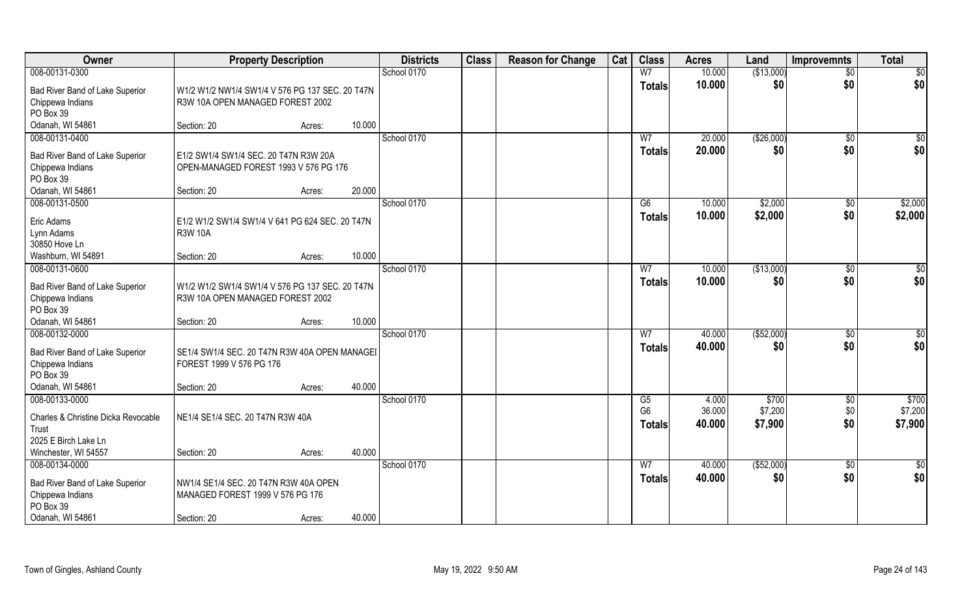| Owner                                               | <b>Property Description</b>                                                         |        |        | <b>Districts</b> | <b>Class</b> | <b>Reason for Change</b> | Cat | <b>Class</b>         | <b>Acres</b>    | Land             | <b>Improvemnts</b> | <b>Total</b>     |
|-----------------------------------------------------|-------------------------------------------------------------------------------------|--------|--------|------------------|--------------|--------------------------|-----|----------------------|-----------------|------------------|--------------------|------------------|
| 008-00131-0300                                      |                                                                                     |        |        | School 0170      |              |                          |     | W <sub>7</sub>       | 10.000          | (\$13,000)       | $\overline{50}$    | $\overline{50}$  |
| Bad River Band of Lake Superior<br>Chippewa Indians | W1/2 W1/2 NW1/4 SW1/4 V 576 PG 137 SEC. 20 T47N<br>R3W 10A OPEN MANAGED FOREST 2002 |        |        |                  |              |                          |     | <b>Totals</b>        | 10.000          | \$0              | \$0                | \$0              |
| PO Box 39                                           |                                                                                     |        |        |                  |              |                          |     |                      |                 |                  |                    |                  |
| Odanah, WI 54861                                    | Section: 20                                                                         | Acres: | 10.000 |                  |              |                          |     |                      |                 |                  |                    |                  |
| 008-00131-0400                                      |                                                                                     |        |        | School 0170      |              |                          |     | W <sub>7</sub>       | 20.000          | (\$26,000)       | $\sqrt{$0}$        | $\overline{\$0}$ |
| Bad River Band of Lake Superior                     | E1/2 SW1/4 SW1/4 SEC. 20 T47N R3W 20A                                               |        |        |                  |              |                          |     | <b>Totals</b>        | 20.000          | \$0              | \$0                | \$0              |
| Chippewa Indians                                    | OPEN-MANAGED FOREST 1993 V 576 PG 176                                               |        |        |                  |              |                          |     |                      |                 |                  |                    |                  |
| PO Box 39                                           |                                                                                     |        |        |                  |              |                          |     |                      |                 |                  |                    |                  |
| Odanah, WI 54861                                    | Section: 20                                                                         | Acres: | 20.000 |                  |              |                          |     |                      |                 |                  |                    |                  |
| 008-00131-0500                                      |                                                                                     |        |        | School 0170      |              |                          |     | G6                   | 10.000          | \$2,000          | $\sqrt[6]{30}$     | \$2,000          |
| Eric Adams                                          | E1/2 W1/2 SW1/4 SW1/4 V 641 PG 624 SEC. 20 T47N                                     |        |        |                  |              |                          |     | <b>Totals</b>        | 10.000          | \$2,000          | \$0                | \$2,000          |
| Lynn Adams                                          | <b>R3W 10A</b>                                                                      |        |        |                  |              |                          |     |                      |                 |                  |                    |                  |
| 30850 Hove Ln                                       |                                                                                     |        |        |                  |              |                          |     |                      |                 |                  |                    |                  |
| Washburn, WI 54891                                  | Section: 20                                                                         | Acres: | 10.000 |                  |              |                          |     |                      |                 |                  |                    |                  |
| 008-00131-0600                                      |                                                                                     |        |        | School 0170      |              |                          |     | W7                   | 10.000          | (\$13,000)       | $\sqrt[6]{3}$      | \$0              |
| Bad River Band of Lake Superior                     | W1/2 W1/2 SW1/4 SW1/4 V 576 PG 137 SEC. 20 T47N                                     |        |        |                  |              |                          |     | <b>Totals</b>        | 10.000          | \$0              | \$0                | \$0              |
| Chippewa Indians                                    | R3W 10A OPEN MANAGED FOREST 2002                                                    |        |        |                  |              |                          |     |                      |                 |                  |                    |                  |
| PO Box 39                                           |                                                                                     |        |        |                  |              |                          |     |                      |                 |                  |                    |                  |
| Odanah, WI 54861                                    | Section: 20                                                                         | Acres: | 10.000 |                  |              |                          |     |                      |                 |                  |                    |                  |
| 008-00132-0000                                      |                                                                                     |        |        | School 0170      |              |                          |     | $\overline{W}$       | 40.000          | (\$52,000)       | $\sqrt[6]{30}$     | \$0              |
| Bad River Band of Lake Superior                     | SE1/4 SW1/4 SEC. 20 T47N R3W 40A OPEN MANAGEI                                       |        |        |                  |              |                          |     | <b>Totals</b>        | 40.000          | \$0              | \$0                | \$0              |
| Chippewa Indians                                    | FOREST 1999 V 576 PG 176                                                            |        |        |                  |              |                          |     |                      |                 |                  |                    |                  |
| PO Box 39                                           |                                                                                     |        |        |                  |              |                          |     |                      |                 |                  |                    |                  |
| Odanah, WI 54861                                    | Section: 20                                                                         | Acres: | 40.000 |                  |              |                          |     |                      |                 |                  |                    |                  |
| 008-00133-0000                                      |                                                                                     |        |        | School 0170      |              |                          |     | G5<br>G <sub>6</sub> | 4.000<br>36.000 | \$700<br>\$7,200 | \$0                | \$700<br>\$7,200 |
| Charles & Christine Dicka Revocable                 | NE1/4 SE1/4 SEC. 20 T47N R3W 40A                                                    |        |        |                  |              |                          |     |                      | 40.000          | \$7,900          | \$0<br>\$0         | \$7,900          |
| Trust                                               |                                                                                     |        |        |                  |              |                          |     | <b>Totals</b>        |                 |                  |                    |                  |
| 2025 E Birch Lake Ln                                |                                                                                     |        |        |                  |              |                          |     |                      |                 |                  |                    |                  |
| Winchester, WI 54557                                | Section: 20                                                                         | Acres: | 40.000 |                  |              |                          |     |                      |                 |                  |                    |                  |
| 008-00134-0000                                      |                                                                                     |        |        | School 0170      |              |                          |     | W <sub>7</sub>       | 40.000          | ( \$52,000)      | $\sqrt{$0}$        | $\overline{\$0}$ |
| Bad River Band of Lake Superior                     | NW1/4 SE1/4 SEC. 20 T47N R3W 40A OPEN                                               |        |        |                  |              |                          |     | <b>Totals</b>        | 40.000          | \$0              | \$0                | \$0              |
| Chippewa Indians                                    | MANAGED FOREST 1999 V 576 PG 176                                                    |        |        |                  |              |                          |     |                      |                 |                  |                    |                  |
| PO Box 39                                           |                                                                                     |        |        |                  |              |                          |     |                      |                 |                  |                    |                  |
| Odanah, WI 54861                                    | Section: 20                                                                         | Acres: | 40.000 |                  |              |                          |     |                      |                 |                  |                    |                  |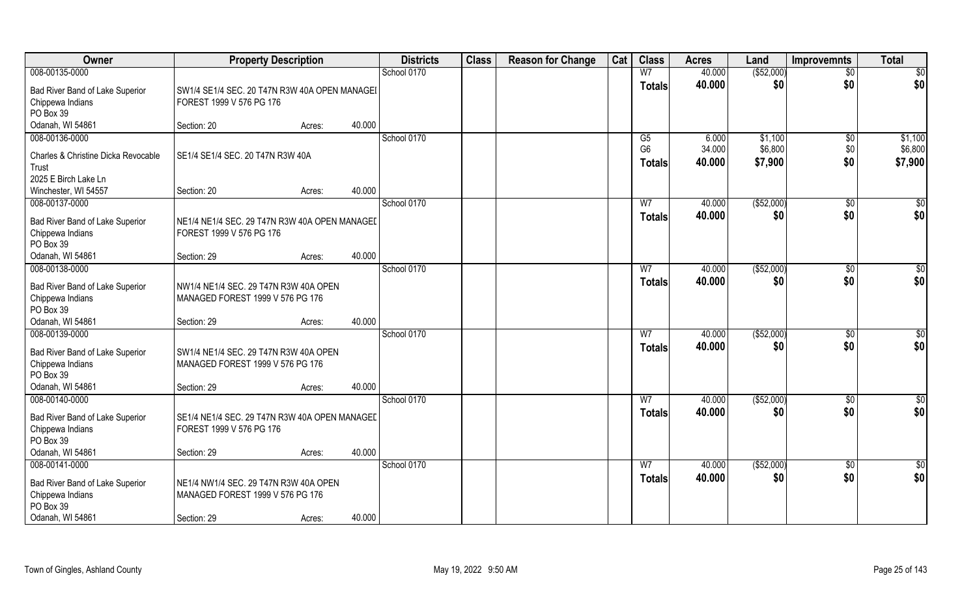| Owner                                                                                                  | <b>Property Description</b>                                                              |        |        | <b>Districts</b> | <b>Class</b> | <b>Reason for Change</b> | Cat | <b>Class</b>                    | <b>Acres</b>     | Land               | <b>Improvemnts</b>     | <b>Total</b>           |
|--------------------------------------------------------------------------------------------------------|------------------------------------------------------------------------------------------|--------|--------|------------------|--------------|--------------------------|-----|---------------------------------|------------------|--------------------|------------------------|------------------------|
| 008-00135-0000                                                                                         |                                                                                          |        |        | School 0170      |              |                          |     | W <sub>7</sub>                  | 40.000           | ( \$52,000)        | $\overline{50}$        | $\overline{50}$        |
| Bad River Band of Lake Superior<br>Chippewa Indians                                                    | SW1/4 SE1/4 SEC. 20 T47N R3W 40A OPEN MANAGEI<br>FOREST 1999 V 576 PG 176                |        |        |                  |              |                          |     | <b>Totals</b>                   | 40.000           | \$0                | \$0                    | \$0                    |
| PO Box 39<br>Odanah, WI 54861                                                                          | Section: 20                                                                              |        | 40.000 |                  |              |                          |     |                                 |                  |                    |                        |                        |
| 008-00136-0000                                                                                         |                                                                                          | Acres: |        | School 0170      |              |                          |     | G5                              | 6.000            | \$1,100            | $\sqrt{6}$             | \$1,100                |
| Charles & Christine Dicka Revocable<br>Trust<br>2025 E Birch Lake Ln                                   | SE1/4 SE1/4 SEC. 20 T47N R3W 40A                                                         |        |        |                  |              |                          |     | G <sub>6</sub><br><b>Totals</b> | 34.000<br>40.000 | \$6,800<br>\$7,900 | \$0<br>\$0             | \$6,800<br>\$7,900     |
| Winchester, WI 54557                                                                                   | Section: 20                                                                              | Acres: | 40.000 |                  |              |                          |     |                                 |                  |                    |                        |                        |
| 008-00137-0000                                                                                         |                                                                                          |        |        | School 0170      |              |                          |     | W <sub>7</sub>                  | 40.000           | ( \$52,000)        | $\sqrt[6]{30}$         | \$0                    |
| Bad River Band of Lake Superior<br>Chippewa Indians<br>PO Box 39                                       | NE1/4 NE1/4 SEC. 29 T47N R3W 40A OPEN MANAGEL<br>FOREST 1999 V 576 PG 176                |        |        |                  |              |                          |     | <b>Totals</b>                   | 40.000           | \$0                | \$0                    | \$0                    |
| Odanah, WI 54861                                                                                       | Section: 29                                                                              | Acres: | 40.000 |                  |              |                          |     |                                 |                  |                    |                        |                        |
| 008-00138-0000                                                                                         |                                                                                          |        |        | School 0170      |              |                          |     | W7                              | 40.000           | (\$52,000)         | $\sqrt[6]{3}$          | \$0                    |
| Bad River Band of Lake Superior<br>Chippewa Indians<br>PO Box 39                                       | NW1/4 NE1/4 SEC. 29 T47N R3W 40A OPEN<br>MANAGED FOREST 1999 V 576 PG 176                |        |        |                  |              |                          |     | <b>Totals</b>                   | 40.000           | \$0                | \$0                    | \$0                    |
| Odanah, WI 54861                                                                                       | Section: 29                                                                              | Acres: | 40.000 |                  |              |                          |     |                                 |                  |                    |                        |                        |
| 008-00139-0000<br>Bad River Band of Lake Superior<br>Chippewa Indians<br>PO Box 39                     | SW1/4 NE1/4 SEC. 29 T47N R3W 40A OPEN<br>MANAGED FOREST 1999 V 576 PG 176                |        |        | School 0170      |              |                          |     | $\overline{W}$<br><b>Totals</b> | 40.000<br>40.000 | (\$52,000)<br>\$0  | $\sqrt[6]{30}$<br>\$0  | \$0<br>\$0             |
| Odanah, WI 54861<br>008-00140-0000                                                                     | Section: 29                                                                              | Acres: | 40.000 | School 0170      |              |                          |     | W <sub>7</sub>                  | 40.000           | ( \$52,000)        |                        | \$0                    |
| Bad River Band of Lake Superior<br>Chippewa Indians<br>PO Box 39                                       | SE1/4 NE1/4 SEC. 29 T47N R3W 40A OPEN MANAGEL<br>FOREST 1999 V 576 PG 176                |        |        |                  |              |                          |     | <b>Totals</b>                   | 40.000           | \$0                | \$0<br>\$0             | \$0                    |
| Odanah, WI 54861                                                                                       | Section: 29                                                                              | Acres: | 40.000 |                  |              |                          |     |                                 |                  |                    |                        |                        |
| 008-00141-0000<br>Bad River Band of Lake Superior<br>Chippewa Indians<br>PO Box 39<br>Odanah, WI 54861 | NE1/4 NW1/4 SEC. 29 T47N R3W 40A OPEN<br>MANAGED FOREST 1999 V 576 PG 176<br>Section: 29 | Acres: | 40.000 | School 0170      |              |                          |     | W <sub>7</sub><br><b>Totals</b> | 40.000<br>40.000 | ( \$52,000)<br>\$0 | $\overline{50}$<br>\$0 | $\overline{50}$<br>\$0 |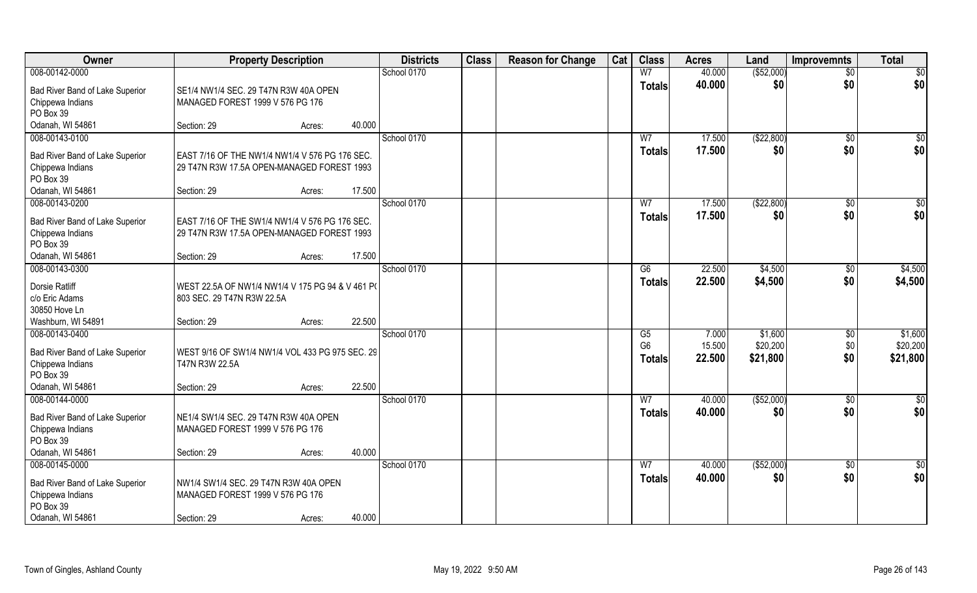| Owner                           | <b>Property Description</b>                      |        | <b>Districts</b> | <b>Class</b> | <b>Reason for Change</b> | Cat | <b>Class</b>   | <b>Acres</b> | Land         | <b>Improvemnts</b> | <b>Total</b>    |
|---------------------------------|--------------------------------------------------|--------|------------------|--------------|--------------------------|-----|----------------|--------------|--------------|--------------------|-----------------|
| 008-00142-0000                  |                                                  |        | School 0170      |              |                          |     | W <sub>7</sub> | 40.000       | ( \$52,000)  | $\overline{50}$    | $\overline{50}$ |
| Bad River Band of Lake Superior | SE1/4 NW1/4 SEC. 29 T47N R3W 40A OPEN            |        |                  |              |                          |     | <b>Totals</b>  | 40.000       | \$0          | \$0                | \$0             |
| Chippewa Indians                | MANAGED FOREST 1999 V 576 PG 176                 |        |                  |              |                          |     |                |              |              |                    |                 |
| PO Box 39                       |                                                  |        |                  |              |                          |     |                |              |              |                    |                 |
| Odanah, WI 54861                | Section: 29                                      | Acres: | 40.000           |              |                          |     |                |              |              |                    |                 |
| 008-00143-0100                  |                                                  |        | School 0170      |              |                          |     | W <sub>7</sub> | 17.500       | (\$22,800)   | $\overline{50}$    | $\sqrt{50}$     |
| Bad River Band of Lake Superior | EAST 7/16 OF THE NW1/4 NW1/4 V 576 PG 176 SEC.   |        |                  |              |                          |     | Totals         | 17.500       | \$0          | \$0                | \$0             |
| Chippewa Indians                | 29 T47N R3W 17.5A OPEN-MANAGED FOREST 1993       |        |                  |              |                          |     |                |              |              |                    |                 |
| PO Box 39                       |                                                  |        |                  |              |                          |     |                |              |              |                    |                 |
| Odanah, WI 54861                | Section: 29                                      | Acres: | 17.500           |              |                          |     |                |              |              |                    |                 |
| 008-00143-0200                  |                                                  |        | School 0170      |              |                          |     | W <sub>7</sub> | 17.500       | ( \$22, 800) | $\sqrt[6]{30}$     | \$0             |
| Bad River Band of Lake Superior | EAST 7/16 OF THE SW1/4 NW1/4 V 576 PG 176 SEC.   |        |                  |              |                          |     | <b>Totals</b>  | 17.500       | \$0          | \$0                | \$0             |
| Chippewa Indians                | 29 T47N R3W 17.5A OPEN-MANAGED FOREST 1993       |        |                  |              |                          |     |                |              |              |                    |                 |
| PO Box 39                       |                                                  |        |                  |              |                          |     |                |              |              |                    |                 |
| Odanah, WI 54861                | Section: 29                                      | Acres: | 17.500           |              |                          |     |                |              |              |                    |                 |
| 008-00143-0300                  |                                                  |        | School 0170      |              |                          |     | G6             | 22.500       | \$4,500      | $\sqrt[6]{3}$      | \$4,500         |
| Dorsie Ratliff                  | WEST 22.5A OF NW1/4 NW1/4 V 175 PG 94 & V 461 P( |        |                  |              |                          |     | <b>Totals</b>  | 22.500       | \$4,500      | \$0                | \$4,500         |
| c/o Eric Adams                  | 803 SEC. 29 T47N R3W 22.5A                       |        |                  |              |                          |     |                |              |              |                    |                 |
| 30850 Hove Ln                   |                                                  |        |                  |              |                          |     |                |              |              |                    |                 |
| Washburn, WI 54891              | Section: 29                                      | Acres: | 22.500           |              |                          |     |                |              |              |                    |                 |
| 008-00143-0400                  |                                                  |        | School 0170      |              |                          |     | G5             | 7.000        | \$1,600      | $\sqrt[6]{3}$      | \$1,600         |
| Bad River Band of Lake Superior | WEST 9/16 OF SW1/4 NW1/4 VOL 433 PG 975 SEC. 29  |        |                  |              |                          |     | G <sub>6</sub> | 15.500       | \$20,200     | \$0                | \$20,200        |
| Chippewa Indians                | T47N R3W 22.5A                                   |        |                  |              |                          |     | Totals         | 22.500       | \$21,800     | \$0                | \$21,800        |
| PO Box 39                       |                                                  |        |                  |              |                          |     |                |              |              |                    |                 |
| Odanah, WI 54861                | Section: 29                                      | Acres: | 22.500           |              |                          |     |                |              |              |                    |                 |
| 008-00144-0000                  |                                                  |        | School 0170      |              |                          |     | W <sub>7</sub> | 40.000       | ( \$52,000)  | \$0                | $\frac{6}{3}$   |
| Bad River Band of Lake Superior | NE1/4 SW1/4 SEC. 29 T47N R3W 40A OPEN            |        |                  |              |                          |     | <b>Totals</b>  | 40.000       | \$0          | \$0                | \$0             |
| Chippewa Indians                | MANAGED FOREST 1999 V 576 PG 176                 |        |                  |              |                          |     |                |              |              |                    |                 |
| PO Box 39                       |                                                  |        |                  |              |                          |     |                |              |              |                    |                 |
| Odanah, WI 54861                | Section: 29                                      | Acres: | 40.000           |              |                          |     |                |              |              |                    |                 |
| 008-00145-0000                  |                                                  |        | School 0170      |              |                          |     | W <sub>7</sub> | 40.000       | ( \$52,000)  | $\sqrt{$0}$        | $\overline{50}$ |
| Bad River Band of Lake Superior | NW1/4 SW1/4 SEC. 29 T47N R3W 40A OPEN            |        |                  |              |                          |     | <b>Totals</b>  | 40.000       | \$0          | \$0                | \$0             |
| Chippewa Indians                | MANAGED FOREST 1999 V 576 PG 176                 |        |                  |              |                          |     |                |              |              |                    |                 |
| PO Box 39                       |                                                  |        |                  |              |                          |     |                |              |              |                    |                 |
| Odanah, WI 54861                | Section: 29                                      | Acres: | 40.000           |              |                          |     |                |              |              |                    |                 |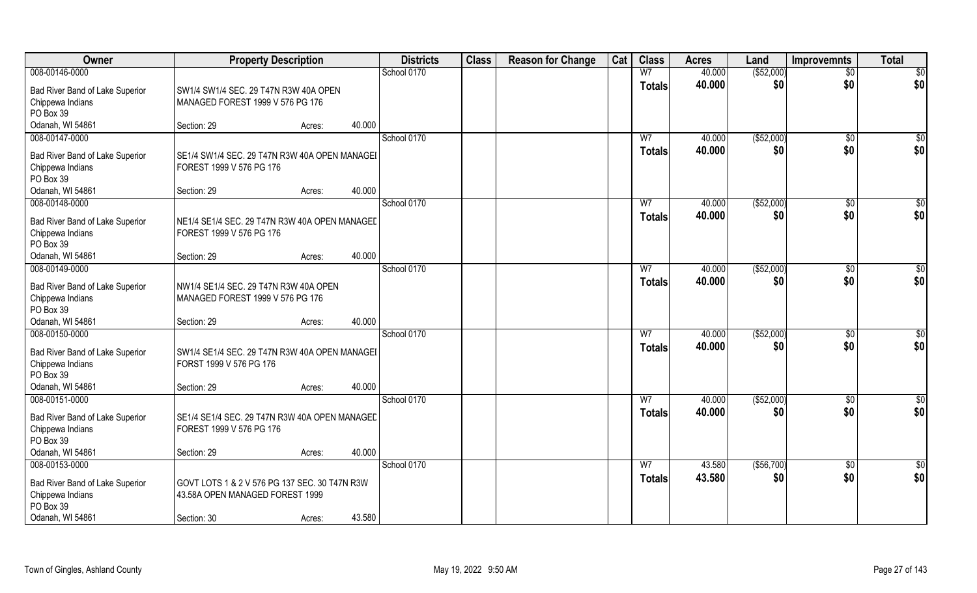| Owner                              | <b>Property Description</b>                   |        |        | <b>Districts</b> | <b>Class</b> | <b>Reason for Change</b> | Cat | <b>Class</b>   | <b>Acres</b>     | Land               | <b>Improvemnts</b> | <b>Total</b>    |
|------------------------------------|-----------------------------------------------|--------|--------|------------------|--------------|--------------------------|-----|----------------|------------------|--------------------|--------------------|-----------------|
| 008-00146-0000                     |                                               |        |        | School 0170      |              |                          |     | W <sub>7</sub> | 40.000           | ( \$52,000)        | $\overline{50}$    | $\overline{50}$ |
| Bad River Band of Lake Superior    | SW1/4 SW1/4 SEC. 29 T47N R3W 40A OPEN         |        |        |                  |              |                          |     | <b>Totals</b>  | 40.000           | \$0                | \$0                | \$0             |
| Chippewa Indians                   | MANAGED FOREST 1999 V 576 PG 176              |        |        |                  |              |                          |     |                |                  |                    |                    |                 |
| PO Box 39                          |                                               |        |        |                  |              |                          |     |                |                  |                    |                    |                 |
| Odanah, WI 54861                   | Section: 29                                   | Acres: | 40.000 |                  |              |                          |     |                |                  |                    |                    |                 |
| 008-00147-0000                     |                                               |        |        | School 0170      |              |                          |     | W <sub>7</sub> | 40.000           | ( \$52,000)        | $\sqrt{$0}$        | $\sqrt{50}$     |
| Bad River Band of Lake Superior    | SE1/4 SW1/4 SEC. 29 T47N R3W 40A OPEN MANAGEI |        |        |                  |              |                          |     | <b>Totals</b>  | 40.000           | \$0                | \$0                | \$0             |
| Chippewa Indians                   | FOREST 1999 V 576 PG 176                      |        |        |                  |              |                          |     |                |                  |                    |                    |                 |
| PO Box 39                          |                                               |        |        |                  |              |                          |     |                |                  |                    |                    |                 |
| Odanah, WI 54861                   | Section: 29                                   | Acres: | 40.000 |                  |              |                          |     |                |                  |                    |                    |                 |
| 008-00148-0000                     |                                               |        |        | School 0170      |              |                          |     | W <sub>7</sub> | 40.000           | ( \$52,000)        | $\sqrt[6]{30}$     | \$0             |
| Bad River Band of Lake Superior    | NE1/4 SE1/4 SEC. 29 T47N R3W 40A OPEN MANAGEL |        |        |                  |              |                          |     | <b>Totals</b>  | 40.000           | \$0                | \$0                | \$0             |
| Chippewa Indians                   | FOREST 1999 V 576 PG 176                      |        |        |                  |              |                          |     |                |                  |                    |                    |                 |
| PO Box 39                          |                                               |        |        |                  |              |                          |     |                |                  |                    |                    |                 |
| Odanah, WI 54861                   | Section: 29                                   | Acres: | 40.000 |                  |              |                          |     |                |                  |                    |                    |                 |
| 008-00149-0000                     |                                               |        |        | School 0170      |              |                          |     | W7             | 40.000           | ( \$52,000)        | $\sqrt[6]{3}$      | \$0             |
| Bad River Band of Lake Superior    | NW1/4 SE1/4 SEC. 29 T47N R3W 40A OPEN         |        |        |                  |              |                          |     | <b>Totals</b>  | 40.000           | \$0                | \$0                | \$0             |
| Chippewa Indians                   | MANAGED FOREST 1999 V 576 PG 176              |        |        |                  |              |                          |     |                |                  |                    |                    |                 |
| PO Box 39                          |                                               |        |        |                  |              |                          |     |                |                  |                    |                    |                 |
| Odanah, WI 54861                   | Section: 29                                   | Acres: | 40.000 |                  |              |                          |     |                |                  |                    |                    |                 |
| 008-00150-0000                     |                                               |        |        | School 0170      |              |                          |     | $\overline{W}$ | 40.000           | (\$52,000)         | $\sqrt[6]{30}$     | \$0             |
| Bad River Band of Lake Superior    | SW1/4 SE1/4 SEC. 29 T47N R3W 40A OPEN MANAGEI |        |        |                  |              |                          |     | <b>Totals</b>  | 40.000           | \$0                | \$0                | \$0             |
| Chippewa Indians                   | FORST 1999 V 576 PG 176                       |        |        |                  |              |                          |     |                |                  |                    |                    |                 |
| PO Box 39                          |                                               |        |        |                  |              |                          |     |                |                  |                    |                    |                 |
| Odanah, WI 54861<br>008-00151-0000 | Section: 29                                   | Acres: | 40.000 | School 0170      |              |                          |     | W <sub>7</sub> |                  |                    |                    |                 |
|                                    |                                               |        |        |                  |              |                          |     |                | 40.000<br>40.000 | ( \$52,000)<br>\$0 | \$0<br>\$0         | \$0<br>\$0      |
| Bad River Band of Lake Superior    | SE1/4 SE1/4 SEC. 29 T47N R3W 40A OPEN MANAGED |        |        |                  |              |                          |     | <b>Totals</b>  |                  |                    |                    |                 |
| Chippewa Indians                   | FOREST 1999 V 576 PG 176                      |        |        |                  |              |                          |     |                |                  |                    |                    |                 |
| PO Box 39                          |                                               |        | 40.000 |                  |              |                          |     |                |                  |                    |                    |                 |
| Odanah, WI 54861<br>008-00153-0000 | Section: 29                                   | Acres: |        | School 0170      |              |                          |     | W <sub>7</sub> | 43.580           | (\$56,700)         |                    | $\overline{50}$ |
|                                    |                                               |        |        |                  |              |                          |     | <b>Totals</b>  | 43.580           | \$0                | $\sqrt{$0}$<br>\$0 | \$0             |
| Bad River Band of Lake Superior    | GOVT LOTS 1 & 2 V 576 PG 137 SEC. 30 T47N R3W |        |        |                  |              |                          |     |                |                  |                    |                    |                 |
| Chippewa Indians                   | 43.58A OPEN MANAGED FOREST 1999               |        |        |                  |              |                          |     |                |                  |                    |                    |                 |
| PO Box 39<br>Odanah, WI 54861      |                                               |        | 43.580 |                  |              |                          |     |                |                  |                    |                    |                 |
|                                    | Section: 30                                   | Acres: |        |                  |              |                          |     |                |                  |                    |                    |                 |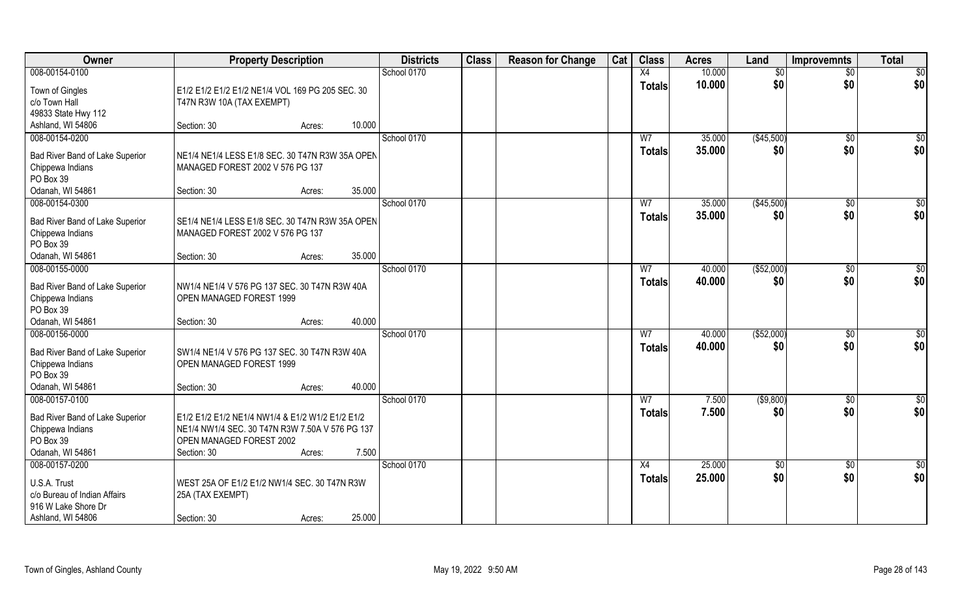| Owner                                                                                                      | <b>Property Description</b>                                                                                                                                       | <b>Districts</b> | <b>Class</b> | <b>Reason for Change</b> | Cat | <b>Class</b>                    | <b>Acres</b>     | Land                   | <b>Improvemnts</b>     | <b>Total</b>       |
|------------------------------------------------------------------------------------------------------------|-------------------------------------------------------------------------------------------------------------------------------------------------------------------|------------------|--------------|--------------------------|-----|---------------------------------|------------------|------------------------|------------------------|--------------------|
| 008-00154-0100                                                                                             |                                                                                                                                                                   | School 0170      |              |                          |     | X4                              | 10.000           | \$0                    | $\overline{50}$        | \$0                |
| Town of Gingles<br>c/o Town Hall<br>49833 State Hwy 112                                                    | E1/2 E1/2 E1/2 E1/2 NE1/4 VOL 169 PG 205 SEC. 30<br>T47N R3W 10A (TAX EXEMPT)                                                                                     |                  |              |                          |     | <b>Totals</b>                   | 10.000           | \$0                    | \$0                    | \$0                |
| Ashland, WI 54806                                                                                          | 10.000<br>Section: 30<br>Acres:                                                                                                                                   |                  |              |                          |     |                                 |                  |                        |                        |                    |
| 008-00154-0200<br>Bad River Band of Lake Superior<br>Chippewa Indians                                      | NE1/4 NE1/4 LESS E1/8 SEC. 30 T47N R3W 35A OPEN<br>MANAGED FOREST 2002 V 576 PG 137                                                                               | School 0170      |              |                          |     | W <sub>7</sub><br>Totals        | 35.000<br>35.000 | (\$45,500)<br>\$0      | \$0<br>\$0             | $\sqrt{50}$<br>\$0 |
| PO Box 39<br>Odanah, WI 54861                                                                              | 35.000<br>Section: 30<br>Acres:                                                                                                                                   |                  |              |                          |     |                                 |                  |                        |                        |                    |
| 008-00154-0300                                                                                             |                                                                                                                                                                   | School 0170      |              |                          |     | W <sub>7</sub>                  | 35.000           | (\$45,500)             | $\sqrt[6]{3}$          | \$0                |
| Bad River Band of Lake Superior<br>Chippewa Indians<br>PO Box 39                                           | SE1/4 NE1/4 LESS E1/8 SEC. 30 T47N R3W 35A OPEN<br>MANAGED FOREST 2002 V 576 PG 137                                                                               |                  |              |                          |     | <b>Totals</b>                   | 35.000           | \$0                    | \$0                    | \$0                |
| Odanah, WI 54861                                                                                           | 35.000<br>Section: 30<br>Acres:                                                                                                                                   |                  |              |                          |     |                                 |                  |                        |                        |                    |
| 008-00155-0000<br>Bad River Band of Lake Superior<br>Chippewa Indians<br>PO Box 39<br>Odanah, WI 54861     | NW1/4 NE1/4 V 576 PG 137 SEC. 30 T47N R3W 40A<br>OPEN MANAGED FOREST 1999<br>40.000<br>Section: 30<br>Acres:                                                      | School 0170      |              |                          |     | W <sub>7</sub><br><b>Totals</b> | 40.000<br>40.000 | ( \$52,000)<br>\$0     | \$0<br>\$0             | \$0<br>\$0         |
| 008-00156-0000<br>Bad River Band of Lake Superior<br>Chippewa Indians<br>PO Box 39<br>Odanah, WI 54861     | SW1/4 NE1/4 V 576 PG 137 SEC. 30 T47N R3W 40A<br>OPEN MANAGED FOREST 1999<br>40.000<br>Section: 30<br>Acres:                                                      | School 0170      |              |                          |     | W <sub>7</sub><br><b>Totals</b> | 40.000<br>40.000 | (\$52,000)<br>\$0      | $\overline{60}$<br>\$0 | \$0<br>\$0         |
| 008-00157-0100<br>Bad River Band of Lake Superior<br>Chippewa Indians<br>PO Box 39<br>Odanah, WI 54861     | E1/2 E1/2 E1/2 NE1/4 NW1/4 & E1/2 W1/2 E1/2 E1/2<br>NE1/4 NW1/4 SEC. 30 T47N R3W 7.50A V 576 PG 137<br>OPEN MANAGED FOREST 2002<br>7.500<br>Section: 30<br>Acres: | School 0170      |              |                          |     | W <sub>7</sub><br><b>Totals</b> | 7.500<br>7.500   | ( \$9,800)<br>\$0      | $\overline{50}$<br>\$0 | \$0<br>\$0         |
| 008-00157-0200<br>U.S.A. Trust<br>c/o Bureau of Indian Affairs<br>916 W Lake Shore Dr<br>Ashland, WI 54806 | WEST 25A OF E1/2 E1/2 NW1/4 SEC. 30 T47N R3W<br>25A (TAX EXEMPT)<br>25.000<br>Section: 30<br>Acres:                                                               | School 0170      |              |                          |     | X4<br><b>Totals</b>             | 25.000<br>25.000 | $\overline{60}$<br>\$0 | $\overline{50}$<br>\$0 | \$0<br>\$0         |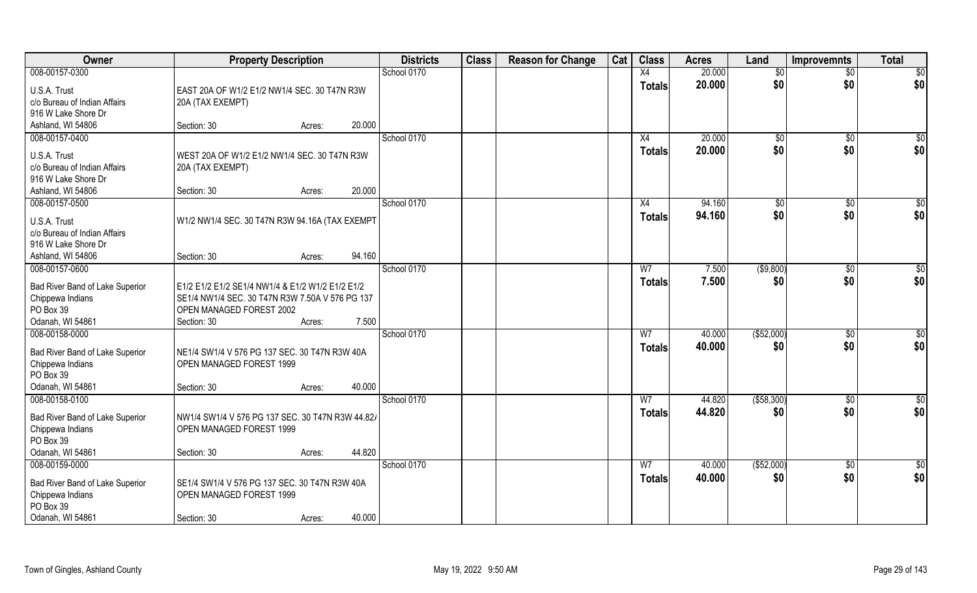| Owner                                               | <b>Property Description</b>                                                  |        |        | <b>Districts</b> | <b>Class</b> | <b>Reason for Change</b> | Cat | <b>Class</b>   | <b>Acres</b> | Land         | <b>Improvemnts</b> | <b>Total</b>    |
|-----------------------------------------------------|------------------------------------------------------------------------------|--------|--------|------------------|--------------|--------------------------|-----|----------------|--------------|--------------|--------------------|-----------------|
| 008-00157-0300                                      |                                                                              |        |        | School 0170      |              |                          |     | X4             | 20.000       | \$0          | $\overline{50}$    | $\overline{50}$ |
| U.S.A. Trust                                        | EAST 20A OF W1/2 E1/2 NW1/4 SEC. 30 T47N R3W                                 |        |        |                  |              |                          |     | <b>Totals</b>  | 20.000       | \$0          | \$0                | \$0             |
| c/o Bureau of Indian Affairs                        | 20A (TAX EXEMPT)                                                             |        |        |                  |              |                          |     |                |              |              |                    |                 |
| 916 W Lake Shore Dr                                 |                                                                              |        |        |                  |              |                          |     |                |              |              |                    |                 |
| Ashland, WI 54806                                   | Section: 30                                                                  | Acres: | 20.000 |                  |              |                          |     |                |              |              |                    |                 |
| 008-00157-0400                                      |                                                                              |        |        | School 0170      |              |                          |     | X4             | 20.000       | $\sqrt[6]{}$ | $\sqrt{6}$         | $\sqrt{50}$     |
| U.S.A. Trust                                        | WEST 20A OF W1/2 E1/2 NW1/4 SEC. 30 T47N R3W                                 |        |        |                  |              |                          |     | <b>Totals</b>  | 20.000       | \$0          | \$0                | \$0             |
| c/o Bureau of Indian Affairs                        | 20A (TAX EXEMPT)                                                             |        |        |                  |              |                          |     |                |              |              |                    |                 |
| 916 W Lake Shore Dr                                 |                                                                              |        |        |                  |              |                          |     |                |              |              |                    |                 |
| Ashland, WI 54806                                   | Section: 30                                                                  | Acres: | 20.000 |                  |              |                          |     |                |              |              |                    |                 |
| 008-00157-0500                                      |                                                                              |        |        | School 0170      |              |                          |     | X4             | 94.160       | \$0          | $\sqrt[6]{30}$     | \$0             |
| U.S.A. Trust                                        | W1/2 NW1/4 SEC. 30 T47N R3W 94.16A (TAX EXEMPT                               |        |        |                  |              |                          |     | <b>Totals</b>  | 94.160       | \$0          | \$0                | \$0             |
| c/o Bureau of Indian Affairs                        |                                                                              |        |        |                  |              |                          |     |                |              |              |                    |                 |
| 916 W Lake Shore Dr                                 |                                                                              |        |        |                  |              |                          |     |                |              |              |                    |                 |
| Ashland, WI 54806                                   | Section: 30                                                                  | Acres: | 94.160 |                  |              |                          |     |                |              |              |                    |                 |
| 008-00157-0600                                      |                                                                              |        |        | School 0170      |              |                          |     | W7             | 7.500        | ( \$9,800)   | $\sqrt[6]{3}$      | \$0             |
| Bad River Band of Lake Superior                     | E1/2 E1/2 E1/2 SE1/4 NW1/4 & E1/2 W1/2 E1/2 E1/2                             |        |        |                  |              |                          |     | <b>Totals</b>  | 7.500        | \$0          | \$0                | \$0             |
| Chippewa Indians                                    | SE1/4 NW1/4 SEC. 30 T47N R3W 7.50A V 576 PG 137                              |        |        |                  |              |                          |     |                |              |              |                    |                 |
| PO Box 39                                           | OPEN MANAGED FOREST 2002                                                     |        |        |                  |              |                          |     |                |              |              |                    |                 |
| Odanah, WI 54861                                    | Section: 30                                                                  | Acres: | 7.500  |                  |              |                          |     |                |              |              |                    |                 |
| 008-00158-0000                                      |                                                                              |        |        | School 0170      |              |                          |     | $\overline{W}$ | 40.000       | (\$52,000)   | $\sqrt[6]{30}$     | \$0             |
| Bad River Band of Lake Superior                     | NE1/4 SW1/4 V 576 PG 137 SEC. 30 T47N R3W 40A                                |        |        |                  |              |                          |     | <b>Totals</b>  | 40.000       | \$0          | \$0                | \$0             |
| Chippewa Indians                                    | OPEN MANAGED FOREST 1999                                                     |        |        |                  |              |                          |     |                |              |              |                    |                 |
| PO Box 39                                           |                                                                              |        |        |                  |              |                          |     |                |              |              |                    |                 |
| Odanah, WI 54861                                    | Section: 30                                                                  | Acres: | 40.000 |                  |              |                          |     |                |              |              |                    |                 |
| 008-00158-0100                                      |                                                                              |        |        | School 0170      |              |                          |     | W <sub>7</sub> | 44.820       | ( \$58, 300) | \$0                | \$0             |
|                                                     |                                                                              |        |        |                  |              |                          |     | <b>Totals</b>  | 44.820       | \$0          | \$0                | \$0             |
| Bad River Band of Lake Superior<br>Chippewa Indians | NW1/4 SW1/4 V 576 PG 137 SEC. 30 T47N R3W 44.82/<br>OPEN MANAGED FOREST 1999 |        |        |                  |              |                          |     |                |              |              |                    |                 |
| PO Box 39                                           |                                                                              |        |        |                  |              |                          |     |                |              |              |                    |                 |
| Odanah, WI 54861                                    | Section: 30                                                                  | Acres: | 44.820 |                  |              |                          |     |                |              |              |                    |                 |
| 008-00159-0000                                      |                                                                              |        |        | School 0170      |              |                          |     | W <sub>7</sub> | 40.000       | ( \$52,000)  | $\sqrt{$0}$        | $\overline{50}$ |
|                                                     |                                                                              |        |        |                  |              |                          |     | <b>Totals</b>  | 40.000       | \$0          | \$0                | \$0             |
| Bad River Band of Lake Superior<br>Chippewa Indians | SE1/4 SW1/4 V 576 PG 137 SEC. 30 T47N R3W 40A<br>OPEN MANAGED FOREST 1999    |        |        |                  |              |                          |     |                |              |              |                    |                 |
| PO Box 39                                           |                                                                              |        |        |                  |              |                          |     |                |              |              |                    |                 |
| Odanah, WI 54861                                    | Section: 30                                                                  | Acres: | 40.000 |                  |              |                          |     |                |              |              |                    |                 |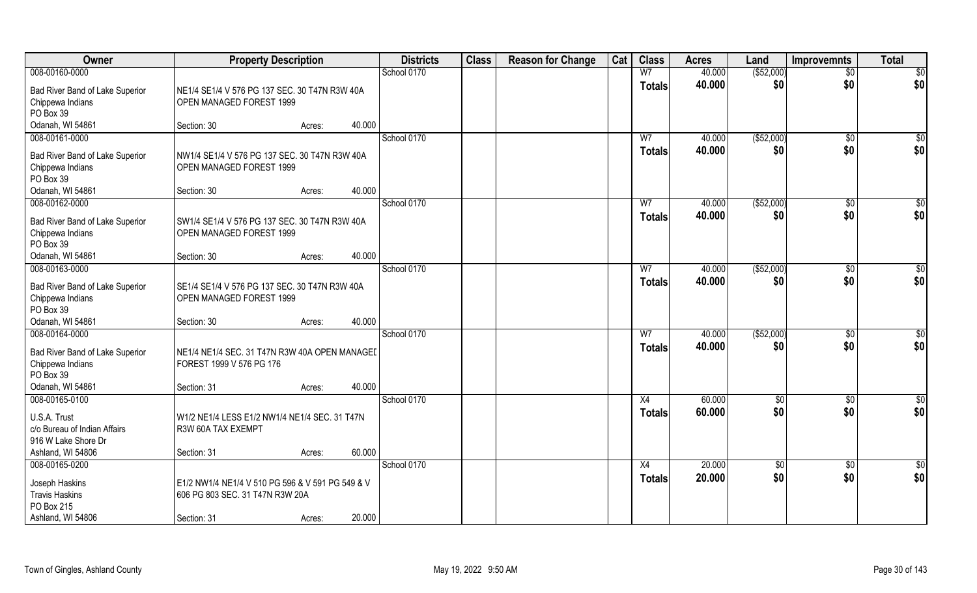| Owner                                                               | <b>Property Description</b>                                                         |        |        | <b>Districts</b> | <b>Class</b> | <b>Reason for Change</b> | Cat | <b>Class</b>                    | <b>Acres</b>     | Land               | <b>Improvemnts</b>    | <b>Total</b>           |
|---------------------------------------------------------------------|-------------------------------------------------------------------------------------|--------|--------|------------------|--------------|--------------------------|-----|---------------------------------|------------------|--------------------|-----------------------|------------------------|
| 008-00160-0000                                                      |                                                                                     |        |        | School 0170      |              |                          |     | W <sub>7</sub>                  | 40.000           | ( \$52,000)        | $\overline{50}$       | \$0                    |
| Bad River Band of Lake Superior<br>Chippewa Indians<br>PO Box 39    | NE1/4 SE1/4 V 576 PG 137 SEC. 30 T47N R3W 40A<br>OPEN MANAGED FOREST 1999           |        |        |                  |              |                          |     | <b>Totals</b>                   | 40.000           | \$0                | \$0                   | \$0                    |
| Odanah, WI 54861                                                    | Section: 30                                                                         | Acres: | 40.000 |                  |              |                          |     |                                 |                  |                    |                       |                        |
| 008-00161-0000                                                      |                                                                                     |        |        | School 0170      |              |                          |     | W <sub>7</sub>                  | 40.000           | (\$52,000)         | $\sqrt{$0}$           | $\sqrt{50}$            |
| Bad River Band of Lake Superior<br>Chippewa Indians<br>PO Box 39    | NW1/4 SE1/4 V 576 PG 137 SEC. 30 T47N R3W 40A<br>OPEN MANAGED FOREST 1999           |        |        |                  |              |                          |     | <b>Totals</b>                   | 40.000           | \$0                | \$0                   | \$0                    |
| Odanah, WI 54861                                                    | Section: 30                                                                         | Acres: | 40.000 |                  |              |                          |     |                                 |                  |                    |                       |                        |
| 008-00162-0000                                                      |                                                                                     |        |        | School 0170      |              |                          |     | W <sub>7</sub>                  | 40.000           | ( \$52,000)        | $\sqrt[6]{30}$        | \$0                    |
| Bad River Band of Lake Superior<br>Chippewa Indians<br>PO Box 39    | SW1/4 SE1/4 V 576 PG 137 SEC. 30 T47N R3W 40A<br>OPEN MANAGED FOREST 1999           |        |        |                  |              |                          |     | <b>Totals</b>                   | 40.000           | \$0                | \$0                   | \$0                    |
| Odanah, WI 54861                                                    | Section: 30                                                                         | Acres: | 40.000 |                  |              |                          |     |                                 |                  |                    |                       |                        |
| 008-00163-0000                                                      |                                                                                     |        |        | School 0170      |              |                          |     | W7                              | 40.000           | ( \$52,000)        | $\sqrt[6]{3}$         | \$0                    |
| Bad River Band of Lake Superior<br>Chippewa Indians<br>PO Box 39    | SE1/4 SE1/4 V 576 PG 137 SEC. 30 T47N R3W 40A<br>OPEN MANAGED FOREST 1999           |        |        |                  |              |                          |     | <b>Totals</b>                   | 40.000           | \$0                | \$0                   | \$0                    |
| Odanah, WI 54861                                                    | Section: 30                                                                         | Acres: | 40.000 |                  |              |                          |     |                                 |                  |                    |                       |                        |
| 008-00164-0000                                                      |                                                                                     |        |        | School 0170      |              |                          |     | $\overline{W}$<br><b>Totals</b> | 40.000<br>40.000 | (\$52,000)<br>\$0  | $\sqrt[6]{30}$<br>\$0 | \$0<br>\$0             |
| Bad River Band of Lake Superior<br>Chippewa Indians<br>PO Box 39    | NE1/4 NE1/4 SEC. 31 T47N R3W 40A OPEN MANAGEL<br>FOREST 1999 V 576 PG 176           |        |        |                  |              |                          |     |                                 |                  |                    |                       |                        |
| Odanah, WI 54861                                                    | Section: 31                                                                         | Acres: | 40.000 |                  |              |                          |     |                                 |                  |                    |                       |                        |
| 008-00165-0100                                                      |                                                                                     |        |        | School 0170      |              |                          |     | X4                              | 60.000           | \$0                | \$0                   | \$0                    |
| U.S.A. Trust<br>c/o Bureau of Indian Affairs<br>916 W Lake Shore Dr | W1/2 NE1/4 LESS E1/2 NW1/4 NE1/4 SEC. 31 T47N<br>R3W 60A TAX EXEMPT                 |        |        |                  |              |                          |     | <b>Totals</b>                   | 60.000           | \$0                | \$0                   | \$0                    |
| Ashland, WI 54806                                                   | Section: 31                                                                         | Acres: | 60.000 |                  |              |                          |     |                                 |                  |                    |                       |                        |
| 008-00165-0200                                                      |                                                                                     |        |        | School 0170      |              |                          |     | X4<br><b>Totals</b>             | 20.000<br>20.000 | $\sqrt{$0}$<br>\$0 | $\sqrt{$0}$<br>\$0    | $\overline{50}$<br>\$0 |
| Joseph Haskins<br><b>Travis Haskins</b><br>PO Box 215               | E1/2 NW1/4 NE1/4 V 510 PG 596 & V 591 PG 549 & V<br>606 PG 803 SEC. 31 T47N R3W 20A |        |        |                  |              |                          |     |                                 |                  |                    |                       |                        |
| Ashland, WI 54806                                                   | Section: 31                                                                         | Acres: | 20.000 |                  |              |                          |     |                                 |                  |                    |                       |                        |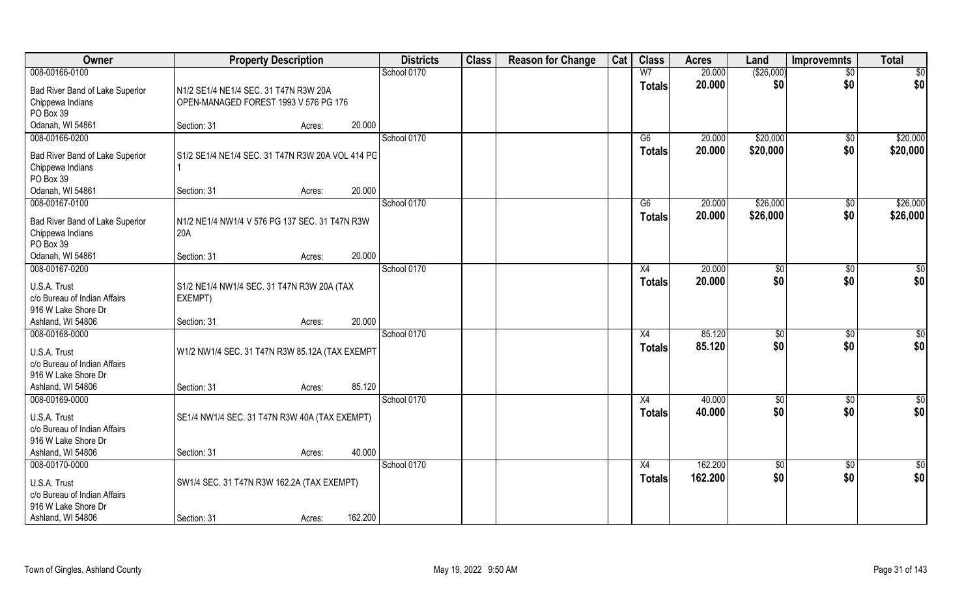| Owner                                                                                                      | <b>Property Description</b>                                                    |         | <b>Districts</b> | <b>Class</b> | <b>Reason for Change</b> | Cat | <b>Class</b>        | <b>Acres</b>       | Land                   | <b>Improvemnts</b>    | <b>Total</b>           |
|------------------------------------------------------------------------------------------------------------|--------------------------------------------------------------------------------|---------|------------------|--------------|--------------------------|-----|---------------------|--------------------|------------------------|-----------------------|------------------------|
| 008-00166-0100                                                                                             |                                                                                |         | School 0170      |              |                          |     | W <sub>7</sub>      | 20.000             | ( \$26,000)            | $\overline{50}$       | $\overline{50}$        |
| Bad River Band of Lake Superior<br>Chippewa Indians<br>PO Box 39                                           | N1/2 SE1/4 NE1/4 SEC. 31 T47N R3W 20A<br>OPEN-MANAGED FOREST 1993 V 576 PG 176 |         |                  |              |                          |     | <b>Totals</b>       | 20.000             | \$0                    | \$0                   | \$0                    |
| Odanah, WI 54861                                                                                           | Section: 31<br>Acres:                                                          | 20.000  |                  |              |                          |     |                     |                    |                        |                       |                        |
| 008-00166-0200                                                                                             |                                                                                |         | School 0170      |              |                          |     | G6                  | 20.000             | \$20,000               | $\sqrt{$0}$           | \$20,000               |
| Bad River Band of Lake Superior<br>Chippewa Indians<br>PO Box 39                                           | S1/2 SE1/4 NE1/4 SEC. 31 T47N R3W 20A VOL 414 PG                               |         |                  |              |                          |     | <b>Totals</b>       | 20.000             | \$20,000               | \$0                   | \$20,000               |
| Odanah, WI 54861                                                                                           | Section: 31<br>Acres:                                                          | 20.000  |                  |              |                          |     |                     |                    |                        |                       |                        |
| 008-00167-0100<br>Bad River Band of Lake Superior<br>Chippewa Indians<br>PO Box 39                         | N1/2 NE1/4 NW1/4 V 576 PG 137 SEC. 31 T47N R3W<br>20A                          |         | School 0170      |              |                          |     | G6<br><b>Totals</b> | 20.000<br>20.000   | \$26,000<br>\$26,000   | $\sqrt[6]{3}$<br>\$0  | \$26,000<br>\$26,000   |
| Odanah, WI 54861                                                                                           | Section: 31<br>Acres:                                                          | 20.000  |                  |              |                          |     |                     |                    |                        |                       |                        |
| 008-00167-0200                                                                                             |                                                                                |         | School 0170      |              |                          |     | X4                  | 20.000             | $\sqrt[6]{}$           | $\sqrt[6]{3}$         | \$0                    |
| U.S.A. Trust<br>c/o Bureau of Indian Affairs<br>916 W Lake Shore Dr                                        | S1/2 NE1/4 NW1/4 SEC. 31 T47N R3W 20A (TAX<br>EXEMPT)                          |         |                  |              |                          |     | <b>Totals</b>       | 20.000             | \$0                    | \$0                   | \$0                    |
| Ashland, WI 54806                                                                                          | Section: 31<br>Acres:                                                          | 20.000  |                  |              |                          |     |                     |                    |                        |                       |                        |
| 008-00168-0000<br>U.S.A. Trust<br>c/o Bureau of Indian Affairs<br>916 W Lake Shore Dr<br>Ashland, WI 54806 | W1/2 NW1/4 SEC. 31 T47N R3W 85.12A (TAX EXEMPT<br>Section: 31<br>Acres:        | 85.120  | School 0170      |              |                          |     | X4<br><b>Totals</b> | 85.120<br>85.120   | $\sqrt[6]{3}$<br>\$0   | $\sqrt[6]{30}$<br>\$0 | \$0<br>\$0             |
| 008-00169-0000                                                                                             |                                                                                |         | School 0170      |              |                          |     | X4                  | 40.000             | \$0                    | $\sqrt{$0}$           | $\frac{6}{3}$          |
| U.S.A. Trust<br>c/o Bureau of Indian Affairs<br>916 W Lake Shore Dr                                        | SE1/4 NW1/4 SEC. 31 T47N R3W 40A (TAX EXEMPT)                                  |         |                  |              |                          |     | <b>Totals</b>       | 40.000             | \$0                    | \$0                   | \$0                    |
| Ashland, WI 54806                                                                                          | Section: 31<br>Acres:                                                          | 40.000  |                  |              |                          |     |                     |                    |                        |                       |                        |
| 008-00170-0000<br>U.S.A. Trust<br>c/o Bureau of Indian Affairs<br>916 W Lake Shore Dr<br>Ashland, WI 54806 | SW1/4 SEC. 31 T47N R3W 162.2A (TAX EXEMPT)<br>Section: 31<br>Acres:            | 162.200 | School 0170      |              |                          |     | X4<br><b>Totals</b> | 162.200<br>162.200 | $\overline{50}$<br>\$0 | $\sqrt{$0}$<br>\$0    | $\overline{50}$<br>\$0 |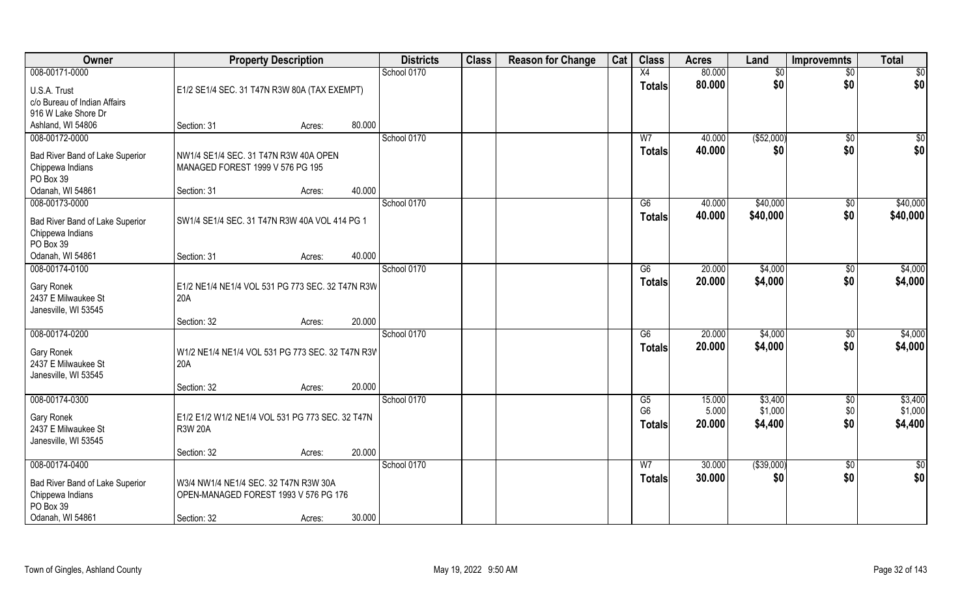| Owner                           | <b>Property Description</b>                      |        |        | <b>Districts</b> | <b>Class</b> | <b>Reason for Change</b> | Cat | <b>Class</b>    | <b>Acres</b> | Land        | <b>Improvemnts</b> | <b>Total</b> |
|---------------------------------|--------------------------------------------------|--------|--------|------------------|--------------|--------------------------|-----|-----------------|--------------|-------------|--------------------|--------------|
| 008-00171-0000                  |                                                  |        |        | School 0170      |              |                          |     | X4              | 80.000       | \$0         | $\sqrt{$0}$        | $\sqrt{50}$  |
| U.S.A. Trust                    | E1/2 SE1/4 SEC. 31 T47N R3W 80A (TAX EXEMPT)     |        |        |                  |              |                          |     | <b>Totals</b>   | 80.000       | \$0         | \$0                | \$0          |
| c/o Bureau of Indian Affairs    |                                                  |        |        |                  |              |                          |     |                 |              |             |                    |              |
| 916 W Lake Shore Dr             |                                                  |        |        |                  |              |                          |     |                 |              |             |                    |              |
| Ashland, WI 54806               | Section: 31                                      | Acres: | 80.000 |                  |              |                          |     |                 |              |             |                    |              |
| 008-00172-0000                  |                                                  |        |        | School 0170      |              |                          |     | W <sub>7</sub>  | 40.000       | ( \$52,000) | \$0                | $\sqrt{50}$  |
| Bad River Band of Lake Superior | NW1/4 SE1/4 SEC. 31 T47N R3W 40A OPEN            |        |        |                  |              |                          |     | Totals          | 40.000       | \$0         | \$0                | \$0          |
| Chippewa Indians                | MANAGED FOREST 1999 V 576 PG 195                 |        |        |                  |              |                          |     |                 |              |             |                    |              |
| PO Box 39                       |                                                  |        |        |                  |              |                          |     |                 |              |             |                    |              |
| Odanah, WI 54861                | Section: 31                                      | Acres: | 40.000 |                  |              |                          |     |                 |              |             |                    |              |
| 008-00173-0000                  |                                                  |        |        | School 0170      |              |                          |     | G6              | 40.000       | \$40,000    | \$0                | \$40,000     |
| Bad River Band of Lake Superior | SW1/4 SE1/4 SEC. 31 T47N R3W 40A VOL 414 PG 1    |        |        |                  |              |                          |     | <b>Totals</b>   | 40.000       | \$40,000    | \$0                | \$40,000     |
| Chippewa Indians                |                                                  |        |        |                  |              |                          |     |                 |              |             |                    |              |
| PO Box 39                       |                                                  |        |        |                  |              |                          |     |                 |              |             |                    |              |
| Odanah, WI 54861                | Section: 31                                      | Acres: | 40.000 |                  |              |                          |     |                 |              |             |                    |              |
| 008-00174-0100                  |                                                  |        |        | School 0170      |              |                          |     | G6              | 20.000       | \$4,000     | $\sqrt[6]{3}$      | \$4,000      |
| Gary Ronek                      | E1/2 NE1/4 NE1/4 VOL 531 PG 773 SEC. 32 T47N R3W |        |        |                  |              |                          |     | <b>Totals</b>   | 20.000       | \$4,000     | \$0                | \$4,000      |
| 2437 E Milwaukee St             | 20A                                              |        |        |                  |              |                          |     |                 |              |             |                    |              |
| Janesville, WI 53545            |                                                  |        |        |                  |              |                          |     |                 |              |             |                    |              |
|                                 | Section: 32                                      | Acres: | 20.000 |                  |              |                          |     |                 |              |             |                    |              |
| 008-00174-0200                  |                                                  |        |        | School 0170      |              |                          |     | $\overline{G6}$ | 20.000       | \$4,000     | \$0                | \$4,000      |
| Gary Ronek                      | W1/2 NE1/4 NE1/4 VOL 531 PG 773 SEC. 32 T47N R3V |        |        |                  |              |                          |     | <b>Totals</b>   | 20.000       | \$4,000     | \$0                | \$4,000      |
| 2437 E Milwaukee St             | 20A                                              |        |        |                  |              |                          |     |                 |              |             |                    |              |
| Janesville, WI 53545            |                                                  |        |        |                  |              |                          |     |                 |              |             |                    |              |
|                                 | Section: 32                                      | Acres: | 20.000 |                  |              |                          |     |                 |              |             |                    |              |
| 008-00174-0300                  |                                                  |        |        | School 0170      |              |                          |     | G5              | 15.000       | \$3,400     | $\sqrt{$0}$        | \$3,400      |
| Gary Ronek                      | E1/2 E1/2 W1/2 NE1/4 VOL 531 PG 773 SEC. 32 T47N |        |        |                  |              |                          |     | G <sub>6</sub>  | 5.000        | \$1,000     | \$0                | \$1,000      |
| 2437 E Milwaukee St             | <b>R3W 20A</b>                                   |        |        |                  |              |                          |     | <b>Totals</b>   | 20.000       | \$4,400     | \$0                | \$4,400      |
| Janesville, WI 53545            |                                                  |        |        |                  |              |                          |     |                 |              |             |                    |              |
|                                 | Section: 32                                      | Acres: | 20.000 |                  |              |                          |     |                 |              |             |                    |              |
| 008-00174-0400                  |                                                  |        |        | School 0170      |              |                          |     | W <sub>7</sub>  | 30.000       | ( \$39,000) | $\overline{50}$    | \$0          |
| Bad River Band of Lake Superior | W3/4 NW1/4 NE1/4 SEC. 32 T47N R3W 30A            |        |        |                  |              |                          |     | Totals          | 30.000       | \$0         | \$0                | \$0          |
| Chippewa Indians                | OPEN-MANAGED FOREST 1993 V 576 PG 176            |        |        |                  |              |                          |     |                 |              |             |                    |              |
| PO Box 39                       |                                                  |        |        |                  |              |                          |     |                 |              |             |                    |              |
| Odanah, WI 54861                | Section: 32                                      | Acres: | 30.000 |                  |              |                          |     |                 |              |             |                    |              |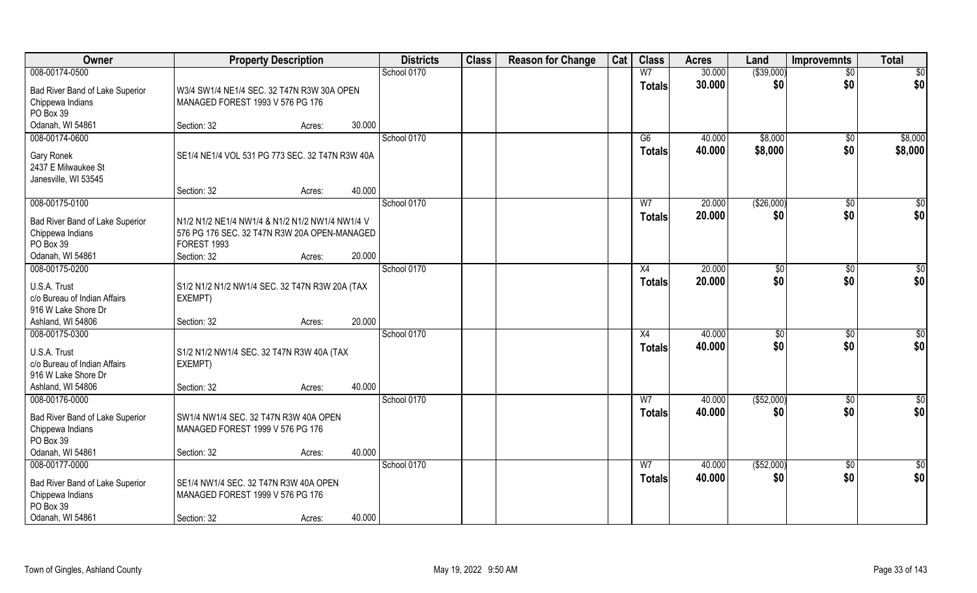| Owner                                                                                                      | <b>Property Description</b>                                                                                    |        |        | <b>Districts</b> | <b>Class</b> | <b>Reason for Change</b> | Cat | <b>Class</b>        | <b>Acres</b>     | Land                  | <b>Improvemnts</b>    | <b>Total</b>       |
|------------------------------------------------------------------------------------------------------------|----------------------------------------------------------------------------------------------------------------|--------|--------|------------------|--------------|--------------------------|-----|---------------------|------------------|-----------------------|-----------------------|--------------------|
| 008-00174-0500                                                                                             |                                                                                                                |        |        | School 0170      |              |                          |     | W <sub>7</sub>      | 30.000           | ( \$39,000)           | $\overline{50}$       | $\overline{50}$    |
| Bad River Band of Lake Superior<br>Chippewa Indians<br>PO Box 39                                           | W3/4 SW1/4 NE1/4 SEC. 32 T47N R3W 30A OPEN<br>MANAGED FOREST 1993 V 576 PG 176                                 |        |        |                  |              |                          |     | <b>Totals</b>       | 30.000           | \$0                   | \$0                   | \$0                |
| Odanah, WI 54861                                                                                           | Section: 32                                                                                                    | Acres: | 30.000 |                  |              |                          |     |                     |                  |                       |                       |                    |
| 008-00174-0600<br>Gary Ronek<br>2437 E Milwaukee St<br>Janesville, WI 53545                                | SE1/4 NE1/4 VOL 531 PG 773 SEC. 32 T47N R3W 40A                                                                |        |        | School 0170      |              |                          |     | G6<br><b>Totals</b> | 40.000<br>40.000 | \$8,000<br>\$8,000    | $\sqrt{$0}$<br>\$0    | \$8,000<br>\$8,000 |
|                                                                                                            | Section: 32                                                                                                    | Acres: | 40.000 |                  |              |                          |     |                     |                  |                       |                       |                    |
| 008-00175-0100                                                                                             |                                                                                                                |        |        | School 0170      |              |                          |     | W <sub>7</sub>      | 20.000           | ( \$26,000)           | $\sqrt[6]{30}$        | \$0                |
| Bad River Band of Lake Superior<br>Chippewa Indians<br>PO Box 39                                           | N1/2 N1/2 NE1/4 NW1/4 & N1/2 N1/2 NW1/4 NW1/4 V<br>576 PG 176 SEC. 32 T47N R3W 20A OPEN-MANAGED<br>FOREST 1993 |        | 20.000 |                  |              |                          |     | <b>Totals</b>       | 20.000           | \$0                   | \$0                   | \$0                |
| Odanah, WI 54861<br>008-00175-0200                                                                         | Section: 32                                                                                                    | Acres: |        | School 0170      |              |                          |     | X4                  | 20.000           | $\sqrt[6]{3}$         | $\sqrt[6]{3}$         | \$0                |
| U.S.A. Trust<br>c/o Bureau of Indian Affairs<br>916 W Lake Shore Dr                                        | S1/2 N1/2 N1/2 NW1/4 SEC. 32 T47N R3W 20A (TAX<br>EXEMPT)                                                      |        |        |                  |              |                          |     | <b>Totals</b>       | 20.000           | \$0                   | \$0                   | \$0                |
| Ashland, WI 54806                                                                                          | Section: 32                                                                                                    | Acres: | 20.000 |                  |              |                          |     |                     |                  |                       |                       |                    |
| 008-00175-0300<br>U.S.A. Trust<br>c/o Bureau of Indian Affairs<br>916 W Lake Shore Dr<br>Ashland, WI 54806 | S1/2 N1/2 NW1/4 SEC. 32 T47N R3W 40A (TAX<br>EXEMPT)<br>Section: 32                                            | Acres: | 40.000 | School 0170      |              |                          |     | X4<br><b>Totals</b> | 40.000<br>40.000 | $\frac{1}{20}$<br>\$0 | $\sqrt[6]{30}$<br>\$0 | \$0<br>\$0         |
| 008-00176-0000                                                                                             |                                                                                                                |        |        | School 0170      |              |                          |     | W <sub>7</sub>      | 40.000           | ( \$52,000)           | \$0                   | \$0                |
| Bad River Band of Lake Superior<br>Chippewa Indians<br>PO Box 39<br>Odanah, WI 54861                       | SW1/4 NW1/4 SEC. 32 T47N R3W 40A OPEN<br>MANAGED FOREST 1999 V 576 PG 176<br>Section: 32                       | Acres: | 40.000 |                  |              |                          |     | <b>Totals</b>       | 40.000           | \$0                   | \$0                   | \$0                |
| 008-00177-0000                                                                                             |                                                                                                                |        |        | School 0170      |              |                          |     | W <sub>7</sub>      | 40.000           | ( \$52,000)           | $\sqrt{$0}$           | $\overline{50}$    |
| Bad River Band of Lake Superior<br>Chippewa Indians<br>PO Box 39<br>Odanah, WI 54861                       | SE1/4 NW1/4 SEC. 32 T47N R3W 40A OPEN<br>MANAGED FOREST 1999 V 576 PG 176<br>Section: 32                       | Acres: | 40.000 |                  |              |                          |     | <b>Totals</b>       | 40.000           | \$0                   | \$0                   | \$0                |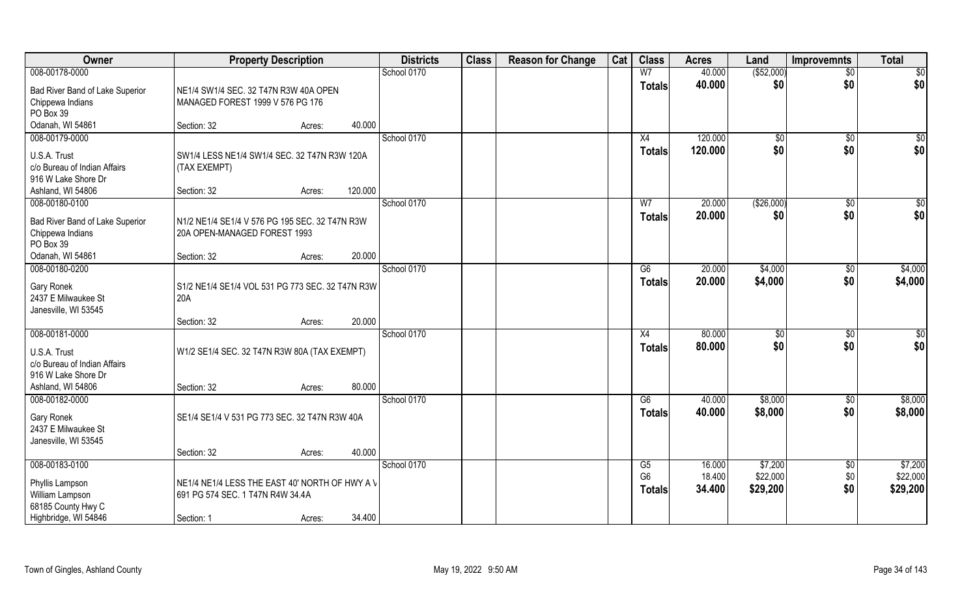| Owner                                                                              | <b>Property Description</b>                                                        |         | <b>Districts</b> | <b>Class</b> | <b>Reason for Change</b> | Cat | <b>Class</b>                    | <b>Acres</b>       | Land                 | <b>Improvemnts</b>     | <b>Total</b>         |
|------------------------------------------------------------------------------------|------------------------------------------------------------------------------------|---------|------------------|--------------|--------------------------|-----|---------------------------------|--------------------|----------------------|------------------------|----------------------|
| 008-00178-0000                                                                     |                                                                                    |         | School 0170      |              |                          |     | W <sub>7</sub>                  | 40.000             | ( \$52,000)          | $\overline{50}$        | $\overline{50}$      |
| Bad River Band of Lake Superior<br>Chippewa Indians<br>PO Box 39                   | NE1/4 SW1/4 SEC. 32 T47N R3W 40A OPEN<br>MANAGED FOREST 1999 V 576 PG 176          |         |                  |              |                          |     | <b>Totals</b>                   | 40.000             | \$0                  | \$0                    | \$0                  |
| Odanah, WI 54861                                                                   | Section: 32<br>Acres:                                                              | 40.000  |                  |              |                          |     |                                 |                    |                      |                        |                      |
| 008-00179-0000                                                                     |                                                                                    |         | School 0170      |              |                          |     | X4<br><b>Totals</b>             | 120.000<br>120.000 | $\sqrt[6]{}$<br>\$0  | $\overline{50}$<br>\$0 | $\sqrt{50}$<br>\$0   |
| U.S.A. Trust<br>c/o Bureau of Indian Affairs<br>916 W Lake Shore Dr                | SW1/4 LESS NE1/4 SW1/4 SEC. 32 T47N R3W 120A<br>(TAX EXEMPT)                       |         |                  |              |                          |     |                                 |                    |                      |                        |                      |
| Ashland, WI 54806                                                                  | Section: 32<br>Acres:                                                              | 120.000 |                  |              |                          |     |                                 |                    |                      |                        |                      |
| 008-00180-0100<br>Bad River Band of Lake Superior<br>Chippewa Indians<br>PO Box 39 | N1/2 NE1/4 SE1/4 V 576 PG 195 SEC. 32 T47N R3W<br>20A OPEN-MANAGED FOREST 1993     |         | School 0170      |              |                          |     | W <sub>7</sub><br><b>Totals</b> | 20.000<br>20.000   | ( \$26,000)<br>\$0   | $\sqrt[6]{30}$<br>\$0  | \$0<br>\$0           |
| Odanah, WI 54861                                                                   | Section: 32<br>Acres:                                                              | 20,000  |                  |              |                          |     |                                 |                    |                      |                        |                      |
| 008-00180-0200                                                                     |                                                                                    |         | School 0170      |              |                          |     | G6                              | 20.000             | \$4,000              | \$0                    | \$4,000              |
| Gary Ronek<br>2437 E Milwaukee St<br>Janesville, WI 53545                          | S1/2 NE1/4 SE1/4 VOL 531 PG 773 SEC. 32 T47N R3W<br>20A                            |         |                  |              |                          |     | <b>Totals</b>                   | 20.000             | \$4,000              | \$0                    | \$4,000              |
|                                                                                    | Section: 32<br>Acres:                                                              | 20.000  |                  |              |                          |     |                                 |                    |                      |                        |                      |
| 008-00181-0000<br>U.S.A. Trust                                                     | W1/2 SE1/4 SEC. 32 T47N R3W 80A (TAX EXEMPT)                                       |         | School 0170      |              |                          |     | X4<br><b>Totals</b>             | 80.000<br>80.000   | $\sqrt[6]{3}$<br>\$0 | \$0<br>\$0             | \$0<br>\$0           |
| c/o Bureau of Indian Affairs<br>916 W Lake Shore Dr                                |                                                                                    |         |                  |              |                          |     |                                 |                    |                      |                        |                      |
| Ashland, WI 54806<br>008-00182-0000                                                | Section: 32<br>Acres:                                                              | 80.000  | School 0170      |              |                          |     | G6                              | 40.000             | \$8,000              | \$0                    | \$8,000              |
| Gary Ronek<br>2437 E Milwaukee St<br>Janesville, WI 53545                          | SE1/4 SE1/4 V 531 PG 773 SEC. 32 T47N R3W 40A                                      |         |                  |              |                          |     | <b>Totals</b>                   | 40.000             | \$8,000              | \$0                    | \$8,000              |
|                                                                                    | Section: 32<br>Acres:                                                              | 40.000  |                  |              |                          |     |                                 |                    |                      |                        |                      |
| 008-00183-0100                                                                     |                                                                                    |         | School 0170      |              |                          |     | G5                              | 16.000             | \$7,200              | $\sqrt{$0}$            | \$7,200              |
| Phyllis Lampson<br>William Lampson<br>68185 County Hwy C                           | NE1/4 NE1/4 LESS THE EAST 40' NORTH OF HWY A V<br>691 PG 574 SEC. 1 T47N R4W 34.4A |         |                  |              |                          |     | G <sub>6</sub><br>Totals        | 18.400<br>34.400   | \$22,000<br>\$29,200 | \$0<br>\$0             | \$22,000<br>\$29,200 |
| Highbridge, WI 54846                                                               | Section: 1<br>Acres:                                                               | 34.400  |                  |              |                          |     |                                 |                    |                      |                        |                      |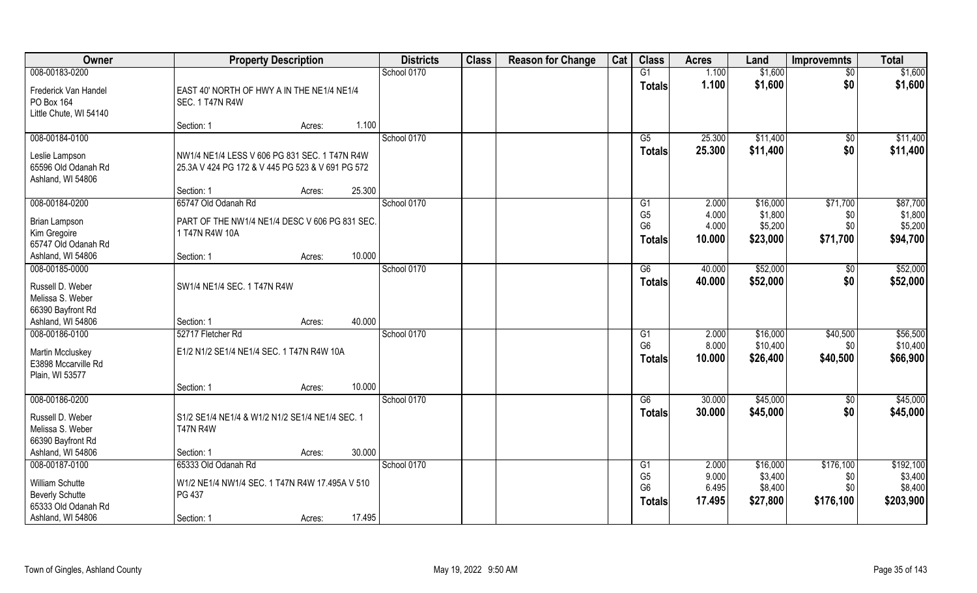| Owner                                                        | <b>Property Description</b>                                                                       | <b>Districts</b> | <b>Class</b> | <b>Reason for Change</b> | Cat | <b>Class</b>                     | <b>Acres</b>     | Land                 | <b>Improvemnts</b> | <b>Total</b>         |
|--------------------------------------------------------------|---------------------------------------------------------------------------------------------------|------------------|--------------|--------------------------|-----|----------------------------------|------------------|----------------------|--------------------|----------------------|
| 008-00183-0200                                               |                                                                                                   | School 0170      |              |                          |     | G1                               | 1.100            | \$1,600              | $\overline{50}$    | \$1,600              |
| Frederick Van Handel<br>PO Box 164<br>Little Chute, WI 54140 | EAST 40' NORTH OF HWY A IN THE NE1/4 NE1/4<br>SEC. 1 T47N R4W                                     |                  |              |                          |     | <b>Totals</b>                    | 1.100            | \$1,600              | \$0                | \$1,600              |
|                                                              | 1.100<br>Section: 1<br>Acres:                                                                     |                  |              |                          |     |                                  |                  |                      |                    |                      |
| 008-00184-0100                                               |                                                                                                   | School 0170      |              |                          |     | G5<br><b>Totals</b>              | 25.300<br>25.300 | \$11,400<br>\$11,400 | \$0<br>\$0         | \$11,400<br>\$11,400 |
| Leslie Lampson<br>65596 Old Odanah Rd<br>Ashland, WI 54806   | NW1/4 NE1/4 LESS V 606 PG 831 SEC. 1 T47N R4W<br>25.3A V 424 PG 172 & V 445 PG 523 & V 691 PG 572 |                  |              |                          |     |                                  |                  |                      |                    |                      |
|                                                              | 25.300<br>Section: 1<br>Acres:                                                                    |                  |              |                          |     |                                  |                  |                      |                    |                      |
| 008-00184-0200                                               | 65747 Old Odanah Rd                                                                               | School 0170      |              |                          |     | G1                               | 2.000            | \$16,000             | \$71,700           | \$87,700             |
| <b>Brian Lampson</b>                                         | PART OF THE NW1/4 NE1/4 DESC V 606 PG 831 SEC.                                                    |                  |              |                          |     | G <sub>5</sub><br>G <sub>6</sub> | 4.000<br>4.000   | \$1,800<br>\$5,200   | \$0<br>\$0         | \$1,800<br>\$5,200   |
| Kim Gregoire                                                 | 1 T47N R4W 10A                                                                                    |                  |              |                          |     | <b>Totals</b>                    | 10.000           | \$23,000             | \$71,700           | \$94,700             |
| 65747 Old Odanah Rd                                          |                                                                                                   |                  |              |                          |     |                                  |                  |                      |                    |                      |
| Ashland, WI 54806                                            | 10.000<br>Section: 1<br>Acres:                                                                    |                  |              |                          |     |                                  |                  |                      |                    |                      |
| 008-00185-0000                                               |                                                                                                   | School 0170      |              |                          |     | G6                               | 40.000           | \$52,000             | \$0                | \$52,000             |
| Russell D. Weber<br>Melissa S. Weber                         | SW1/4 NE1/4 SEC. 1 T47N R4W                                                                       |                  |              |                          |     | <b>Totals</b>                    | 40.000           | \$52,000             | \$0                | \$52,000             |
| 66390 Bayfront Rd                                            |                                                                                                   |                  |              |                          |     |                                  |                  |                      |                    |                      |
| Ashland, WI 54806                                            | 40.000<br>Section: 1<br>Acres:                                                                    |                  |              |                          |     |                                  |                  |                      |                    |                      |
| 008-00186-0100                                               | 52717 Fletcher Rd                                                                                 | School 0170      |              |                          |     | G1                               | 2.000            | \$16,000             | \$40,500           | \$56,500             |
| Martin Mccluskey                                             | E1/2 N1/2 SE1/4 NE1/4 SEC. 1 T47N R4W 10A                                                         |                  |              |                          |     | G <sub>6</sub>                   | 8.000            | \$10,400             | \$0                | \$10,400             |
| E3898 Mccarville Rd                                          |                                                                                                   |                  |              |                          |     | <b>Totals</b>                    | 10.000           | \$26,400             | \$40,500           | \$66,900             |
| Plain, WI 53577                                              |                                                                                                   |                  |              |                          |     |                                  |                  |                      |                    |                      |
|                                                              | 10.000<br>Section: 1<br>Acres:                                                                    |                  |              |                          |     |                                  |                  |                      |                    |                      |
| 008-00186-0200                                               |                                                                                                   | School 0170      |              |                          |     | G6                               | 30.000           | \$45,000             | \$0                | \$45,000             |
| Russell D. Weber<br>Melissa S. Weber                         | S1/2 SE1/4 NE1/4 & W1/2 N1/2 SE1/4 NE1/4 SEC. 1<br><b>T47N R4W</b>                                |                  |              |                          |     | <b>Totals</b>                    | 30.000           | \$45,000             | \$0                | \$45,000             |
| 66390 Bayfront Rd                                            |                                                                                                   |                  |              |                          |     |                                  |                  |                      |                    |                      |
| Ashland, WI 54806                                            | 30.000<br>Section: 1<br>Acres:                                                                    |                  |              |                          |     |                                  |                  |                      |                    |                      |
| 008-00187-0100                                               | 65333 Old Odanah Rd                                                                               | School 0170      |              |                          |     | G1<br>G <sub>5</sub>             | 2.000<br>9.000   | \$16,000<br>\$3,400  | \$176,100<br>\$0   | \$192,100<br>\$3,400 |
| William Schutte                                              | W1/2 NE1/4 NW1/4 SEC. 1 T47N R4W 17.495A V 510                                                    |                  |              |                          |     | G <sub>6</sub>                   | 6.495            | \$8,400              | \$0                | \$8,400              |
| <b>Beverly Schutte</b>                                       | PG 437                                                                                            |                  |              |                          |     | <b>Totals</b>                    | 17.495           | \$27,800             | \$176,100          | \$203,900            |
| 65333 Old Odanah Rd                                          |                                                                                                   |                  |              |                          |     |                                  |                  |                      |                    |                      |
| Ashland, WI 54806                                            | 17.495<br>Section: 1<br>Acres:                                                                    |                  |              |                          |     |                                  |                  |                      |                    |                      |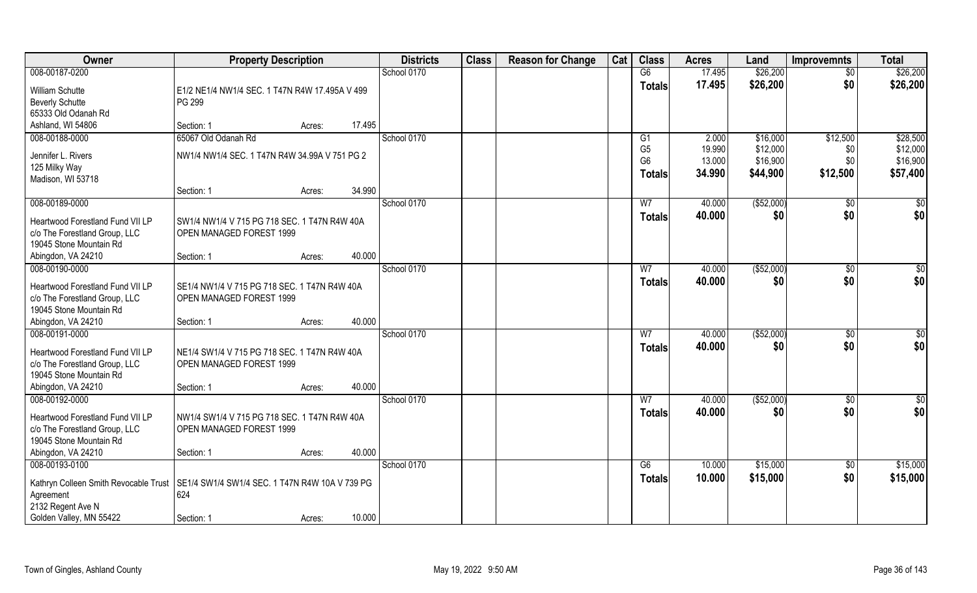| <b>Owner</b>                                                                                                                               | <b>Property Description</b>                                                            | <b>Districts</b> | <b>Class</b> | <b>Reason for Change</b> | Cat | <b>Class</b> | <b>Acres</b>                    | Land             | <b>Improvemnts</b>   | <b>Total</b>           |                      |
|--------------------------------------------------------------------------------------------------------------------------------------------|----------------------------------------------------------------------------------------|------------------|--------------|--------------------------|-----|--------------|---------------------------------|------------------|----------------------|------------------------|----------------------|
| 008-00187-0200                                                                                                                             |                                                                                        |                  | School 0170  |                          |     |              | G6                              | 17.495           | \$26,200             | \$0                    | \$26,200             |
| William Schutte<br><b>Beverly Schutte</b><br>65333 Old Odanah Rd                                                                           | E1/2 NE1/4 NW1/4 SEC. 1 T47N R4W 17.495A V 499<br>PG 299                               |                  |              |                          |     |              | <b>Totals</b>                   | 17.495           | \$26,200             | \$0                    | \$26,200             |
| Ashland, WI 54806                                                                                                                          | Section: 1                                                                             | 17.495<br>Acres: |              |                          |     |              |                                 |                  |                      |                        |                      |
| 008-00188-0000<br>Jennifer L. Rivers                                                                                                       | 65067 Old Odanah Rd<br>NW1/4 NW1/4 SEC. 1 T47N R4W 34.99A V 751 PG 2                   |                  | School 0170  |                          |     |              | G1<br>G <sub>5</sub>            | 2.000<br>19.990  | \$16,000<br>\$12,000 | \$12,500<br>\$0        | \$28,500<br>\$12,000 |
| 125 Milky Way<br>Madison, WI 53718                                                                                                         |                                                                                        |                  |              |                          |     |              | G <sub>6</sub><br><b>Totals</b> | 13.000<br>34.990 | \$16,900<br>\$44,900 | \$0<br>\$12,500        | \$16,900<br>\$57,400 |
|                                                                                                                                            | Section: 1                                                                             | 34.990<br>Acres: |              |                          |     |              |                                 |                  |                      |                        |                      |
| 008-00189-0000<br>Heartwood Forestland Fund VII LP<br>c/o The Forestland Group, LLC<br>19045 Stone Mountain Rd                             | SW1/4 NW1/4 V 715 PG 718 SEC. 1 T47N R4W 40A<br>OPEN MANAGED FOREST 1999               |                  | School 0170  |                          |     |              | W <sub>7</sub><br><b>Totals</b> | 40.000<br>40.000 | ( \$52,000)<br>\$0   | $\sqrt[6]{}$<br>\$0    | $\sqrt[6]{}$<br>\$0  |
| Abingdon, VA 24210                                                                                                                         | Section: 1                                                                             | 40.000<br>Acres: |              |                          |     |              |                                 |                  |                      |                        |                      |
| 008-00190-0000<br>Heartwood Forestland Fund VII LP                                                                                         | SE1/4 NW1/4 V 715 PG 718 SEC. 1 T47N R4W 40A                                           |                  | School 0170  |                          |     |              | W <sub>7</sub><br><b>Totals</b> | 40.000<br>40.000 | ( \$52,000)<br>\$0   | $\sqrt[6]{3}$<br>\$0   | \$0<br>\$0           |
| c/o The Forestland Group, LLC<br>19045 Stone Mountain Rd                                                                                   | OPEN MANAGED FOREST 1999                                                               |                  |              |                          |     |              |                                 |                  |                      |                        |                      |
| Abingdon, VA 24210<br>008-00191-0000                                                                                                       | Section: 1                                                                             | 40.000<br>Acres: | School 0170  |                          |     |              | $\overline{W}$                  | 40.000           | (\$52,000)           | \$0                    |                      |
| Heartwood Forestland Fund VII LP<br>c/o The Forestland Group, LLC<br>19045 Stone Mountain Rd<br>Abingdon, VA 24210                         | NE1/4 SW1/4 V 715 PG 718 SEC. 1 T47N R4W 40A<br>OPEN MANAGED FOREST 1999<br>Section: 1 | 40.000           |              |                          |     |              | <b>Totals</b>                   | 40.000           | \$0                  | \$0                    | \$0<br>\$0           |
| 008-00192-0000                                                                                                                             |                                                                                        | Acres:           | School 0170  |                          |     |              | W <sub>7</sub>                  | 40.000           | (\$52,000)           | \$0                    | \$0                  |
| Heartwood Forestland Fund VII LP<br>c/o The Forestland Group, LLC<br>19045 Stone Mountain Rd                                               | NW1/4 SW1/4 V 715 PG 718 SEC. 1 T47N R4W 40A<br>OPEN MANAGED FOREST 1999               |                  |              |                          |     |              | <b>Totals</b>                   | 40.000           | \$0                  | \$0                    | \$0                  |
| Abingdon, VA 24210                                                                                                                         | Section: 1                                                                             | 40.000<br>Acres: |              |                          |     |              |                                 |                  |                      |                        |                      |
| 008-00193-0100<br>Kathryn Colleen Smith Revocable Trust   SE1/4 SW1/4 SW1/4 SEC. 1 T47N R4W 10A V 739 PG<br>Agreement<br>2132 Regent Ave N | 624                                                                                    |                  | School 0170  |                          |     |              | G6<br><b>Totals</b>             | 10.000<br>10.000 | \$15,000<br>\$15,000 | $\overline{50}$<br>\$0 | \$15,000<br>\$15,000 |
| Golden Valley, MN 55422                                                                                                                    | Section: 1                                                                             | 10.000<br>Acres: |              |                          |     |              |                                 |                  |                      |                        |                      |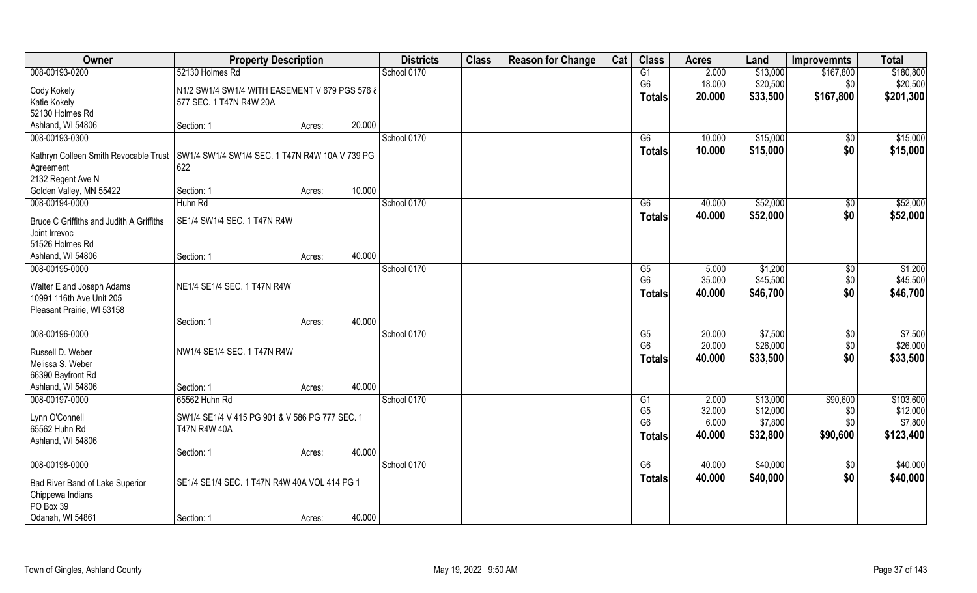| Owner                                                  | <b>Property Description</b>                    |                  | <b>Districts</b> | <b>Class</b> | <b>Reason for Change</b> | Cat | <b>Class</b>   | <b>Acres</b> | Land     | <b>Improvemnts</b>   | <b>Total</b> |
|--------------------------------------------------------|------------------------------------------------|------------------|------------------|--------------|--------------------------|-----|----------------|--------------|----------|----------------------|--------------|
| 008-00193-0200                                         | 52130 Holmes Rd                                |                  | School 0170      |              |                          |     | G1             | 2.000        | \$13,000 | \$167,800            | \$180,800    |
| Cody Kokely                                            | N1/2 SW1/4 SW1/4 WITH EASEMENT V 679 PGS 576 8 |                  |                  |              |                          |     | G <sub>6</sub> | 18.000       | \$20,500 | \$0                  | \$20,500     |
| Katie Kokely                                           | 577 SEC. 1 T47N R4W 20A                        |                  |                  |              |                          |     | Totals         | 20.000       | \$33,500 | \$167,800            | \$201,300    |
| 52130 Holmes Rd                                        |                                                |                  |                  |              |                          |     |                |              |          |                      |              |
| Ashland, WI 54806                                      | Section: 1                                     | 20.000<br>Acres: |                  |              |                          |     |                |              |          |                      |              |
| 008-00193-0300                                         |                                                |                  | School 0170      |              |                          |     | G6             | 10.000       | \$15,000 | \$0                  | \$15,000     |
| Kathryn Colleen Smith Revocable Trust                  | SW1/4 SW1/4 SW1/4 SEC. 1 T47N R4W 10A V 739 PG |                  |                  |              |                          |     | <b>Totals</b>  | 10.000       | \$15,000 | \$0                  | \$15,000     |
| Agreement                                              | 622                                            |                  |                  |              |                          |     |                |              |          |                      |              |
| 2132 Regent Ave N                                      |                                                |                  |                  |              |                          |     |                |              |          |                      |              |
| Golden Valley, MN 55422                                | Section: 1                                     | 10.000<br>Acres: |                  |              |                          |     |                |              |          |                      |              |
| 008-00194-0000                                         | Huhn Rd                                        |                  | School 0170      |              |                          |     | G6             | 40.000       | \$52,000 | $\sqrt[6]{3}$<br>\$0 | \$52,000     |
| Bruce C Griffiths and Judith A Griffiths               | SE1/4 SW1/4 SEC. 1 T47N R4W                    |                  |                  |              |                          |     | <b>Totals</b>  | 40.000       | \$52,000 |                      | \$52,000     |
| Joint Irrevoc                                          |                                                |                  |                  |              |                          |     |                |              |          |                      |              |
| 51526 Holmes Rd<br>Ashland, WI 54806                   | Section: 1                                     | 40.000           |                  |              |                          |     |                |              |          |                      |              |
| 008-00195-0000                                         |                                                | Acres:           | School 0170      |              |                          |     | G5             | 5.000        | \$1,200  | \$0                  | \$1,200      |
|                                                        |                                                |                  |                  |              |                          |     | G <sub>6</sub> | 35.000       | \$45,500 | \$0                  | \$45,500     |
| Walter E and Joseph Adams                              | NE1/4 SE1/4 SEC. 1 T47N R4W                    |                  |                  |              |                          |     | <b>Totals</b>  | 40.000       | \$46,700 | \$0                  | \$46,700     |
| 10991 116th Ave Unit 205<br>Pleasant Prairie, WI 53158 |                                                |                  |                  |              |                          |     |                |              |          |                      |              |
|                                                        | Section: 1                                     | 40.000<br>Acres: |                  |              |                          |     |                |              |          |                      |              |
| 008-00196-0000                                         |                                                |                  | School 0170      |              |                          |     | G5             | 20.000       | \$7,500  | $\sqrt[6]{3}$        | \$7,500      |
|                                                        |                                                |                  |                  |              |                          |     | G <sub>6</sub> | 20.000       | \$26,000 | \$0                  | \$26,000     |
| Russell D. Weber<br>Melissa S. Weber                   | NW1/4 SE1/4 SEC. 1 T47N R4W                    |                  |                  |              |                          |     | Totals         | 40.000       | \$33,500 | \$0                  | \$33,500     |
| 66390 Bayfront Rd                                      |                                                |                  |                  |              |                          |     |                |              |          |                      |              |
| Ashland, WI 54806                                      | Section: 1                                     | 40.000<br>Acres: |                  |              |                          |     |                |              |          |                      |              |
| 008-00197-0000                                         | 65562 Huhn Rd                                  |                  | School 0170      |              |                          |     | G1             | 2.000        | \$13,000 | \$90,600             | \$103,600    |
| Lynn O'Connell                                         | SW1/4 SE1/4 V 415 PG 901 & V 586 PG 777 SEC. 1 |                  |                  |              |                          |     | G <sub>5</sub> | 32.000       | \$12,000 | \$0                  | \$12,000     |
| 65562 Huhn Rd                                          | <b>T47N R4W 40A</b>                            |                  |                  |              |                          |     | G <sub>6</sub> | 6.000        | \$7,800  | \$0                  | \$7,800      |
| Ashland, WI 54806                                      |                                                |                  |                  |              |                          |     | <b>Totals</b>  | 40.000       | \$32,800 | \$90,600             | \$123,400    |
|                                                        | Section: 1                                     | 40.000<br>Acres: |                  |              |                          |     |                |              |          |                      |              |
| 008-00198-0000                                         |                                                |                  | School 0170      |              |                          |     | G6             | 40.000       | \$40,000 | $\overline{50}$      | \$40,000     |
| Bad River Band of Lake Superior                        | SE1/4 SE1/4 SEC. 1 T47N R4W 40A VOL 414 PG 1   |                  |                  |              |                          |     | <b>Totals</b>  | 40.000       | \$40,000 | \$0                  | \$40,000     |
| Chippewa Indians                                       |                                                |                  |                  |              |                          |     |                |              |          |                      |              |
| PO Box 39                                              |                                                |                  |                  |              |                          |     |                |              |          |                      |              |
| Odanah, WI 54861                                       | Section: 1                                     | 40.000<br>Acres: |                  |              |                          |     |                |              |          |                      |              |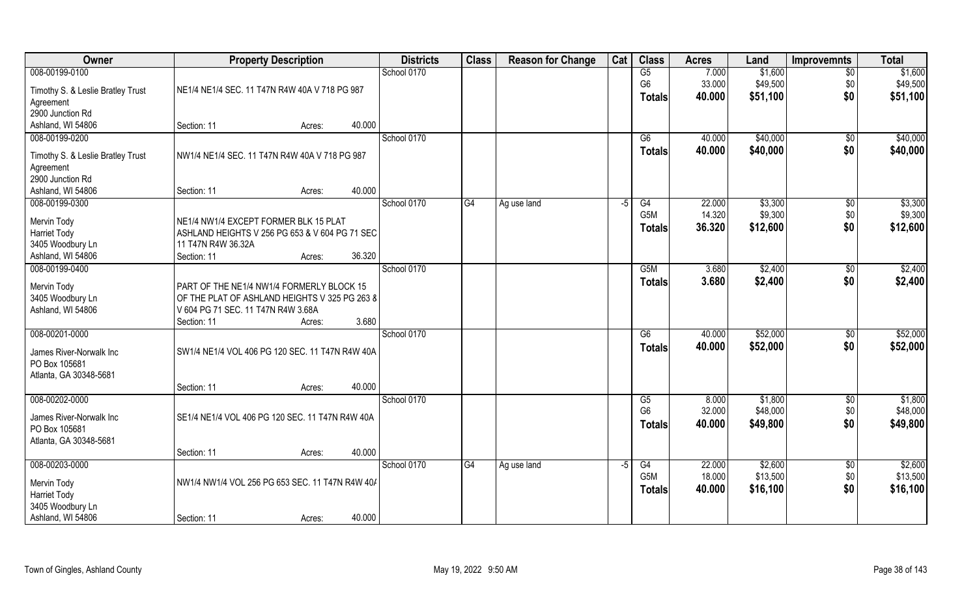| Owner                                    | <b>Property Description</b>                     |        |        | <b>Districts</b> | <b>Class</b> | <b>Reason for Change</b> | Cat  | <b>Class</b>     | <b>Acres</b> | Land     | <b>Improvemnts</b> | <b>Total</b> |
|------------------------------------------|-------------------------------------------------|--------|--------|------------------|--------------|--------------------------|------|------------------|--------------|----------|--------------------|--------------|
| 008-00199-0100                           |                                                 |        |        | School 0170      |              |                          |      | G5               | 7.000        | \$1,600  | $\overline{50}$    | \$1,600      |
| Timothy S. & Leslie Bratley Trust        | NE1/4 NE1/4 SEC. 11 T47N R4W 40A V 718 PG 987   |        |        |                  |              |                          |      | G <sub>6</sub>   | 33.000       | \$49,500 | \$0                | \$49,500     |
| Agreement                                |                                                 |        |        |                  |              |                          |      | <b>Totals</b>    | 40.000       | \$51,100 | \$0                | \$51,100     |
| 2900 Junction Rd                         |                                                 |        |        |                  |              |                          |      |                  |              |          |                    |              |
| Ashland, WI 54806                        | Section: 11                                     | Acres: | 40.000 |                  |              |                          |      |                  |              |          |                    |              |
| 008-00199-0200                           |                                                 |        |        | School 0170      |              |                          |      | G6               | 40.000       | \$40,000 | $\overline{50}$    | \$40,000     |
| Timothy S. & Leslie Bratley Trust        | NW1/4 NE1/4 SEC. 11 T47N R4W 40A V 718 PG 987   |        |        |                  |              |                          |      | <b>Totals</b>    | 40.000       | \$40,000 | \$0                | \$40,000     |
| Agreement                                |                                                 |        |        |                  |              |                          |      |                  |              |          |                    |              |
| 2900 Junction Rd                         |                                                 |        |        |                  |              |                          |      |                  |              |          |                    |              |
| Ashland, WI 54806                        | Section: 11                                     | Acres: | 40.000 |                  |              |                          |      |                  |              |          |                    |              |
| 008-00199-0300                           |                                                 |        |        | School 0170      | G4           | Ag use land              | $-5$ | G4               | 22.000       | \$3,300  | $\sqrt[6]{30}$     | \$3,300      |
| Mervin Tody                              | NE1/4 NW1/4 EXCEPT FORMER BLK 15 PLAT           |        |        |                  |              |                          |      | G <sub>5</sub> M | 14.320       | \$9,300  | \$0                | \$9,300      |
| <b>Harriet Tody</b>                      | ASHLAND HEIGHTS V 256 PG 653 & V 604 PG 71 SEC  |        |        |                  |              |                          |      | <b>Totals</b>    | 36.320       | \$12,600 | \$0                | \$12,600     |
| 3405 Woodbury Ln                         | 11 T47N R4W 36.32A                              |        |        |                  |              |                          |      |                  |              |          |                    |              |
| Ashland, WI 54806                        | Section: 11                                     | Acres: | 36.320 |                  |              |                          |      |                  |              |          |                    |              |
| 008-00199-0400                           |                                                 |        |        | School 0170      |              |                          |      | G <sub>5</sub> M | 3.680        | \$2,400  | \$0                | \$2,400      |
| Mervin Tody                              | PART OF THE NE1/4 NW1/4 FORMERLY BLOCK 15       |        |        |                  |              |                          |      | <b>Totals</b>    | 3.680        | \$2,400  | \$0                | \$2,400      |
| 3405 Woodbury Ln                         | OF THE PLAT OF ASHLAND HEIGHTS V 325 PG 263 8   |        |        |                  |              |                          |      |                  |              |          |                    |              |
| Ashland, WI 54806                        | V 604 PG 71 SEC. 11 T47N R4W 3.68A              |        |        |                  |              |                          |      |                  |              |          |                    |              |
|                                          | Section: 11                                     | Acres: | 3.680  |                  |              |                          |      |                  |              |          |                    |              |
| 008-00201-0000                           |                                                 |        |        | School 0170      |              |                          |      | $\overline{G6}$  | 40.000       | \$52,000 | $\sqrt[6]{30}$     | \$52,000     |
| James River-Norwalk Inc                  | SW1/4 NE1/4 VOL 406 PG 120 SEC. 11 T47N R4W 40A |        |        |                  |              |                          |      | <b>Totals</b>    | 40.000       | \$52,000 | \$0                | \$52,000     |
| PO Box 105681                            |                                                 |        |        |                  |              |                          |      |                  |              |          |                    |              |
| Atlanta, GA 30348-5681                   |                                                 |        |        |                  |              |                          |      |                  |              |          |                    |              |
|                                          | Section: 11                                     | Acres: | 40.000 |                  |              |                          |      |                  |              |          |                    |              |
| 008-00202-0000                           |                                                 |        |        | School 0170      |              |                          |      | G5               | 8.000        | \$1,800  | \$0                | \$1,800      |
|                                          |                                                 |        |        |                  |              |                          |      | G <sub>6</sub>   | 32.000       | \$48,000 | \$0                | \$48,000     |
| James River-Norwalk Inc<br>PO Box 105681 | SE1/4 NE1/4 VOL 406 PG 120 SEC. 11 T47N R4W 40A |        |        |                  |              |                          |      | <b>Totals</b>    | 40.000       | \$49,800 | \$0                | \$49,800     |
| Atlanta, GA 30348-5681                   |                                                 |        |        |                  |              |                          |      |                  |              |          |                    |              |
|                                          | Section: 11                                     | Acres: | 40.000 |                  |              |                          |      |                  |              |          |                    |              |
| 008-00203-0000                           |                                                 |        |        | School 0170      | G4           | Ag use land              | $-5$ | G4               | 22.000       | \$2,600  | $\overline{50}$    | \$2,600      |
|                                          |                                                 |        |        |                  |              |                          |      | G <sub>5</sub> M | 18.000       | \$13,500 | \$0                | \$13,500     |
| Mervin Tody<br><b>Harriet Tody</b>       | NW1/4 NW1/4 VOL 256 PG 653 SEC. 11 T47N R4W 40/ |        |        |                  |              |                          |      | <b>Totals</b>    | 40.000       | \$16,100 | \$0                | \$16,100     |
| 3405 Woodbury Ln                         |                                                 |        |        |                  |              |                          |      |                  |              |          |                    |              |
| Ashland, WI 54806                        | Section: 11                                     | Acres: | 40.000 |                  |              |                          |      |                  |              |          |                    |              |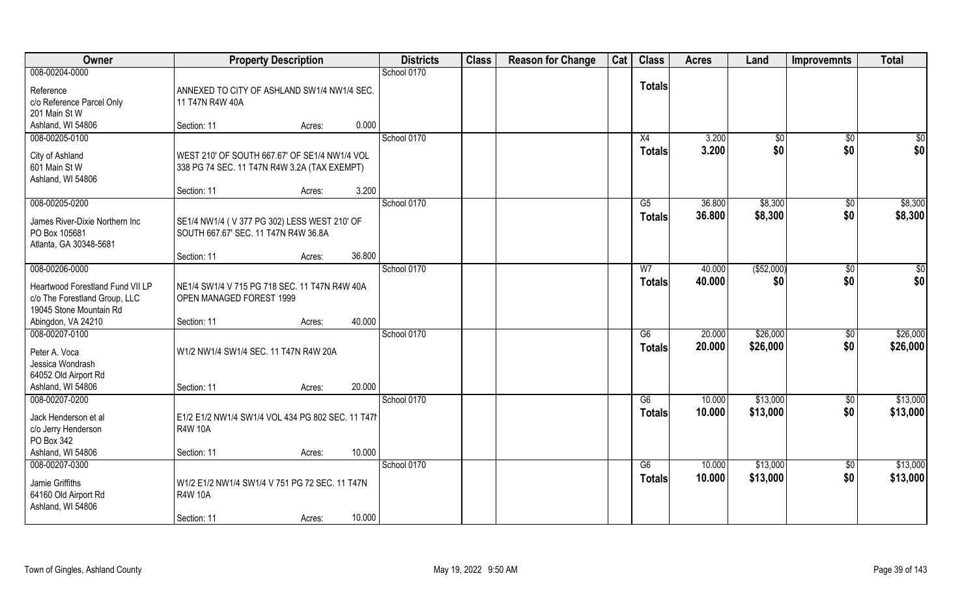| Owner                            | <b>Property Description</b>                      |        |        | <b>Districts</b> | <b>Class</b> | <b>Reason for Change</b> | Cat | <b>Class</b>  | <b>Acres</b> | Land         | <b>Improvemnts</b> | <b>Total</b>    |
|----------------------------------|--------------------------------------------------|--------|--------|------------------|--------------|--------------------------|-----|---------------|--------------|--------------|--------------------|-----------------|
| 008-00204-0000                   |                                                  |        |        | School 0170      |              |                          |     |               |              |              |                    |                 |
| Reference                        | ANNEXED TO CITY OF ASHLAND SW1/4 NW1/4 SEC.      |        |        |                  |              |                          |     | <b>Totals</b> |              |              |                    |                 |
| c/o Reference Parcel Only        | 11 T47N R4W 40A                                  |        |        |                  |              |                          |     |               |              |              |                    |                 |
| 201 Main St W                    |                                                  |        |        |                  |              |                          |     |               |              |              |                    |                 |
| Ashland, WI 54806                | Section: 11                                      | Acres: | 0.000  |                  |              |                          |     |               |              |              |                    |                 |
| 008-00205-0100                   |                                                  |        |        | School 0170      |              |                          |     | X4            | 3.200        | $\sqrt[6]{}$ | $\overline{50}$    | $\sqrt{50}$     |
| City of Ashland                  | WEST 210' OF SOUTH 667.67' OF SE1/4 NW1/4 VOL    |        |        |                  |              |                          |     | <b>Totals</b> | 3.200        | \$0          | \$0                | \$0             |
| 601 Main St W                    | 338 PG 74 SEC. 11 T47N R4W 3.2A (TAX EXEMPT)     |        |        |                  |              |                          |     |               |              |              |                    |                 |
| Ashland, WI 54806                |                                                  |        |        |                  |              |                          |     |               |              |              |                    |                 |
|                                  | Section: 11                                      | Acres: | 3.200  |                  |              |                          |     |               |              |              |                    |                 |
| 008-00205-0200                   |                                                  |        |        | School 0170      |              |                          |     | G5            | 36.800       | \$8,300      | $\sqrt[6]{30}$     | \$8,300         |
| James River-Dixie Northern Inc   | SE1/4 NW1/4 (V 377 PG 302) LESS WEST 210' OF     |        |        |                  |              |                          |     | <b>Totals</b> | 36.800       | \$8,300      | \$0                | \$8,300         |
| PO Box 105681                    | SOUTH 667.67' SEC. 11 T47N R4W 36.8A             |        |        |                  |              |                          |     |               |              |              |                    |                 |
| Atlanta, GA 30348-5681           |                                                  |        |        |                  |              |                          |     |               |              |              |                    |                 |
|                                  | Section: 11                                      | Acres: | 36.800 |                  |              |                          |     |               |              |              |                    |                 |
| 008-00206-0000                   |                                                  |        |        | School 0170      |              |                          |     | W7            | 40.000       | ( \$52,000)  | \$0                | $\overline{50}$ |
| Heartwood Forestland Fund VII LP | NE1/4 SW1/4 V 715 PG 718 SEC. 11 T47N R4W 40A    |        |        |                  |              |                          |     | <b>Totals</b> | 40.000       | \$0          | \$0                | \$0             |
| c/o The Forestland Group, LLC    | OPEN MANAGED FOREST 1999                         |        |        |                  |              |                          |     |               |              |              |                    |                 |
| 19045 Stone Mountain Rd          |                                                  |        |        |                  |              |                          |     |               |              |              |                    |                 |
| Abingdon, VA 24210               | Section: 11                                      | Acres: | 40.000 |                  |              |                          |     |               |              |              |                    |                 |
| 008-00207-0100                   |                                                  |        |        | School 0170      |              |                          |     | G6            | 20.000       | \$26,000     | $\sqrt[6]{30}$     | \$26,000        |
| Peter A. Voca                    | W1/2 NW1/4 SW1/4 SEC. 11 T47N R4W 20A            |        |        |                  |              |                          |     | <b>Totals</b> | 20.000       | \$26,000     | \$0                | \$26,000        |
| Jessica Wondrash                 |                                                  |        |        |                  |              |                          |     |               |              |              |                    |                 |
| 64052 Old Airport Rd             |                                                  |        |        |                  |              |                          |     |               |              |              |                    |                 |
| Ashland, WI 54806                | Section: 11                                      | Acres: | 20.000 |                  |              |                          |     |               |              |              |                    |                 |
| 008-00207-0200                   |                                                  |        |        | School 0170      |              |                          |     | G6            | 10.000       | \$13,000     | \$0                | \$13,000        |
| Jack Henderson et al             | E1/2 E1/2 NW1/4 SW1/4 VOL 434 PG 802 SEC. 11 T47 |        |        |                  |              |                          |     | <b>Totals</b> | 10.000       | \$13,000     | \$0                | \$13,000        |
| c/o Jerry Henderson              | <b>R4W 10A</b>                                   |        |        |                  |              |                          |     |               |              |              |                    |                 |
| PO Box 342                       |                                                  |        |        |                  |              |                          |     |               |              |              |                    |                 |
| Ashland, WI 54806                | Section: 11                                      | Acres: | 10.000 |                  |              |                          |     |               |              |              |                    |                 |
| 008-00207-0300                   |                                                  |        |        | School 0170      |              |                          |     | G6            | 10.000       | \$13,000     | $\sqrt{$0}$        | \$13,000        |
| Jamie Griffiths                  | W1/2 E1/2 NW1/4 SW1/4 V 751 PG 72 SEC. 11 T47N   |        |        |                  |              |                          |     | <b>Totals</b> | 10.000       | \$13,000     | \$0                | \$13,000        |
| 64160 Old Airport Rd             | <b>R4W 10A</b>                                   |        |        |                  |              |                          |     |               |              |              |                    |                 |
| Ashland, WI 54806                |                                                  |        |        |                  |              |                          |     |               |              |              |                    |                 |
|                                  | Section: 11                                      | Acres: | 10.000 |                  |              |                          |     |               |              |              |                    |                 |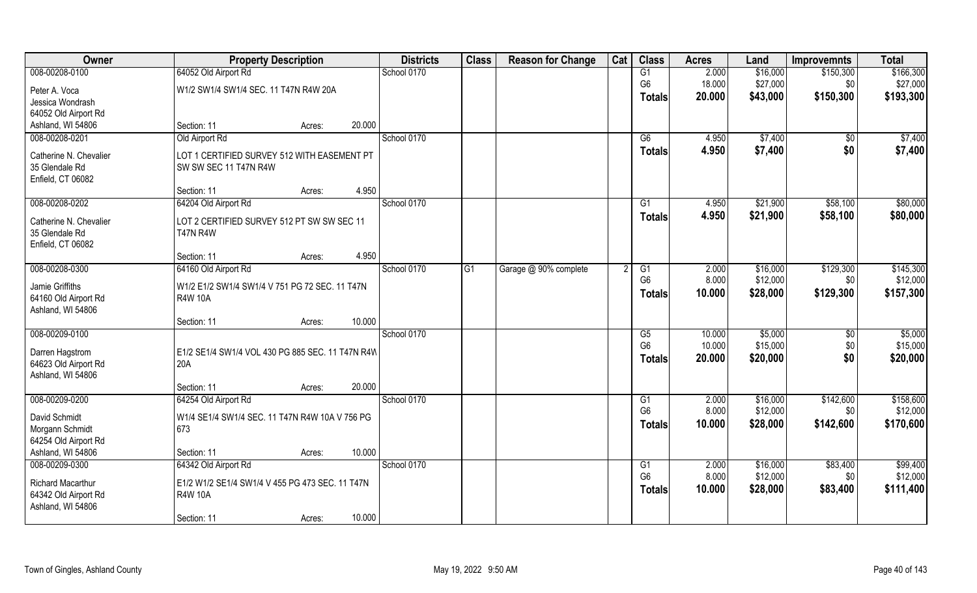| Owner                    | <b>Property Description</b>                      |        |        | <b>Districts</b> | <b>Class</b> | <b>Reason for Change</b> | Cat | <b>Class</b>           | <b>Acres</b> | Land     | <b>Improvemnts</b> | <b>Total</b> |
|--------------------------|--------------------------------------------------|--------|--------|------------------|--------------|--------------------------|-----|------------------------|--------------|----------|--------------------|--------------|
| 008-00208-0100           | 64052 Old Airport Rd                             |        |        | School 0170      |              |                          |     | G1                     | 2.000        | \$16,000 | \$150,300          | \$166,300    |
| Peter A. Voca            | W1/2 SW1/4 SW1/4 SEC. 11 T47N R4W 20A            |        |        |                  |              |                          |     | G <sub>6</sub>         | 18.000       | \$27,000 | \$0                | \$27,000     |
| Jessica Wondrash         |                                                  |        |        |                  |              |                          |     | <b>Totals</b>          | 20.000       | \$43,000 | \$150,300          | \$193,300    |
| 64052 Old Airport Rd     |                                                  |        |        |                  |              |                          |     |                        |              |          |                    |              |
| Ashland, WI 54806        | Section: 11                                      | Acres: | 20.000 |                  |              |                          |     |                        |              |          |                    |              |
| 008-00208-0201           | Old Airport Rd                                   |        |        | School 0170      |              |                          |     | G6                     | 4.950        | \$7,400  | \$0                | \$7,400      |
| Catherine N. Chevalier   | LOT 1 CERTIFIED SURVEY 512 WITH EASEMENT PT      |        |        |                  |              |                          |     | Totals                 | 4.950        | \$7,400  | \$0                | \$7,400      |
| 35 Glendale Rd           | SW SW SEC 11 T47N R4W                            |        |        |                  |              |                          |     |                        |              |          |                    |              |
| Enfield, CT 06082        |                                                  |        |        |                  |              |                          |     |                        |              |          |                    |              |
|                          | Section: 11                                      | Acres: | 4.950  |                  |              |                          |     |                        |              |          |                    |              |
| 008-00208-0202           | 64204 Old Airport Rd                             |        |        | School 0170      |              |                          |     | G1                     | 4.950        | \$21,900 | \$58,100           | \$80,000     |
| Catherine N. Chevalier   | LOT 2 CERTIFIED SURVEY 512 PT SW SW SEC 11       |        |        |                  |              |                          |     | <b>Totals</b>          | 4.950        | \$21,900 | \$58,100           | \$80,000     |
| 35 Glendale Rd           | <b>T47N R4W</b>                                  |        |        |                  |              |                          |     |                        |              |          |                    |              |
| Enfield, CT 06082        |                                                  |        |        |                  |              |                          |     |                        |              |          |                    |              |
|                          | Section: 11                                      | Acres: | 4.950  |                  |              |                          |     |                        |              |          |                    |              |
| 008-00208-0300           | 64160 Old Airport Rd                             |        |        | School 0170      | G1           | Garage @ 90% complete    |     | G1                     | 2.000        | \$16,000 | \$129,300          | \$145,300    |
| Jamie Griffiths          | W1/2 E1/2 SW1/4 SW1/4 V 751 PG 72 SEC. 11 T47N   |        |        |                  |              |                          |     | G <sub>6</sub>         | 8.000        | \$12,000 | \$0                | \$12,000     |
| 64160 Old Airport Rd     | <b>R4W 10A</b>                                   |        |        |                  |              |                          |     | <b>Totals</b>          | 10.000       | \$28,000 | \$129,300          | \$157,300    |
| Ashland, WI 54806        |                                                  |        |        |                  |              |                          |     |                        |              |          |                    |              |
|                          | Section: 11                                      | Acres: | 10.000 |                  |              |                          |     |                        |              |          |                    |              |
| 008-00209-0100           |                                                  |        |        | School 0170      |              |                          |     | $\overline{\text{G5}}$ | 10.000       | \$5,000  | \$0                | \$5,000      |
| Darren Hagstrom          | E1/2 SE1/4 SW1/4 VOL 430 PG 885 SEC. 11 T47N R4W |        |        |                  |              |                          |     | G <sub>6</sub>         | 10.000       | \$15,000 | \$0                | \$15,000     |
| 64623 Old Airport Rd     | 20A                                              |        |        |                  |              |                          |     | <b>Totals</b>          | 20.000       | \$20,000 | \$0                | \$20,000     |
| Ashland, WI 54806        |                                                  |        |        |                  |              |                          |     |                        |              |          |                    |              |
|                          | Section: 11                                      | Acres: | 20.000 |                  |              |                          |     |                        |              |          |                    |              |
| 008-00209-0200           | 64254 Old Airport Rd                             |        |        | School 0170      |              |                          |     | G1                     | 2.000        | \$16,000 | \$142,600          | \$158,600    |
| David Schmidt            | W1/4 SE1/4 SW1/4 SEC. 11 T47N R4W 10A V 756 PG   |        |        |                  |              |                          |     | G <sub>6</sub>         | 8.000        | \$12,000 | \$0                | \$12,000     |
| Morgann Schmidt          | 673                                              |        |        |                  |              |                          |     | <b>Totals</b>          | 10.000       | \$28,000 | \$142,600          | \$170,600    |
| 64254 Old Airport Rd     |                                                  |        |        |                  |              |                          |     |                        |              |          |                    |              |
| Ashland, WI 54806        | Section: 11                                      | Acres: | 10.000 |                  |              |                          |     |                        |              |          |                    |              |
| 008-00209-0300           | 64342 Old Airport Rd                             |        |        | School 0170      |              |                          |     | G1                     | 2.000        | \$16,000 | \$83,400           | \$99,400     |
| <b>Richard Macarthur</b> | E1/2 W1/2 SE1/4 SW1/4 V 455 PG 473 SEC. 11 T47N  |        |        |                  |              |                          |     | G <sub>6</sub>         | 8.000        | \$12,000 | \$0                | \$12,000     |
| 64342 Old Airport Rd     | <b>R4W 10A</b>                                   |        |        |                  |              |                          |     | <b>Totals</b>          | 10.000       | \$28,000 | \$83,400           | \$111,400    |
| Ashland, WI 54806        |                                                  |        |        |                  |              |                          |     |                        |              |          |                    |              |
|                          | Section: 11                                      | Acres: | 10.000 |                  |              |                          |     |                        |              |          |                    |              |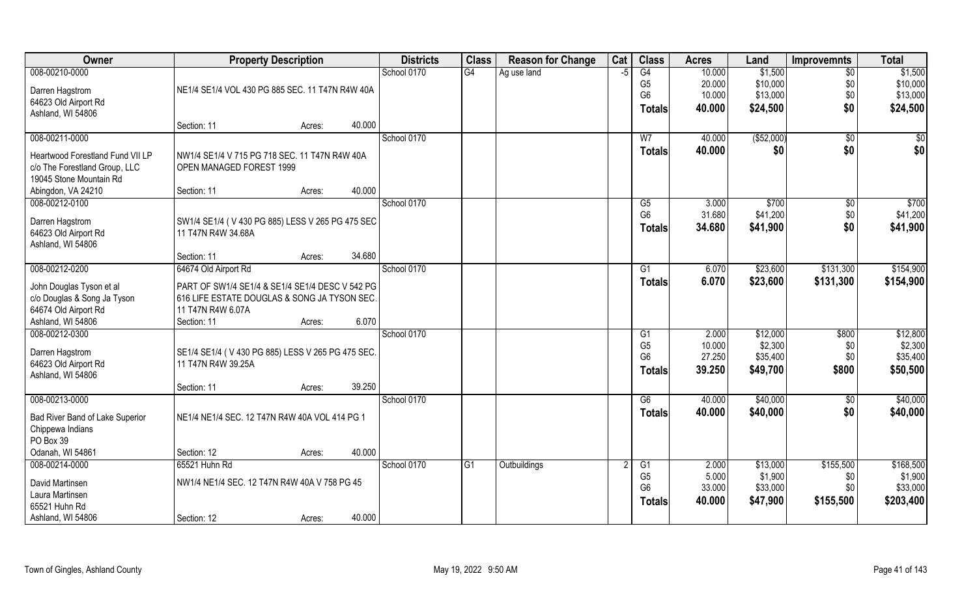| Owner                                               | <b>Property Description</b>                                             |        |        | <b>Districts</b> | <b>Class</b> | <b>Reason for Change</b> | Cat | <b>Class</b>   | <b>Acres</b> | Land        | <b>Improvemnts</b> | <b>Total</b> |
|-----------------------------------------------------|-------------------------------------------------------------------------|--------|--------|------------------|--------------|--------------------------|-----|----------------|--------------|-------------|--------------------|--------------|
| 008-00210-0000                                      |                                                                         |        |        | School 0170      | G4           | Ag use land              | -5  | G4             | 10.000       | \$1,500     | $\overline{50}$    | \$1,500      |
| Darren Hagstrom                                     | NE1/4 SE1/4 VOL 430 PG 885 SEC. 11 T47N R4W 40A                         |        |        |                  |              |                          |     | G <sub>5</sub> | 20.000       | \$10,000    | \$0                | \$10,000     |
| 64623 Old Airport Rd                                |                                                                         |        |        |                  |              |                          |     | G <sub>6</sub> | 10.000       | \$13,000    | \$0                | \$13,000     |
| Ashland, WI 54806                                   |                                                                         |        |        |                  |              |                          |     | <b>Totals</b>  | 40.000       | \$24,500    | \$0                | \$24,500     |
|                                                     | Section: 11                                                             | Acres: | 40.000 |                  |              |                          |     |                |              |             |                    |              |
| 008-00211-0000                                      |                                                                         |        |        | School 0170      |              |                          |     | W <sub>7</sub> | 40.000       | ( \$52,000) | \$0                | $\sqrt{50}$  |
| Heartwood Forestland Fund VII LP                    | NW1/4 SE1/4 V 715 PG 718 SEC. 11 T47N R4W 40A                           |        |        |                  |              |                          |     | Totals         | 40.000       | \$0         | \$0                | \$0          |
| c/o The Forestland Group, LLC                       | OPEN MANAGED FOREST 1999                                                |        |        |                  |              |                          |     |                |              |             |                    |              |
| 19045 Stone Mountain Rd                             |                                                                         |        |        |                  |              |                          |     |                |              |             |                    |              |
| Abingdon, VA 24210                                  | Section: 11                                                             | Acres: | 40.000 |                  |              |                          |     |                |              |             |                    |              |
| 008-00212-0100                                      |                                                                         |        |        | School 0170      |              |                          |     | G5             | 3.000        | \$700       | $\sqrt[6]{3}$      | \$700        |
| Darren Hagstrom                                     | SW1/4 SE1/4 (V 430 PG 885) LESS V 265 PG 475 SEC                        |        |        |                  |              |                          |     | G <sub>6</sub> | 31.680       | \$41,200    | \$0                | \$41,200     |
| 64623 Old Airport Rd                                | 11 T47N R4W 34.68A                                                      |        |        |                  |              |                          |     | <b>Totals</b>  | 34.680       | \$41,900    | \$0                | \$41,900     |
| Ashland, WI 54806                                   |                                                                         |        |        |                  |              |                          |     |                |              |             |                    |              |
|                                                     | Section: 11                                                             | Acres: | 34.680 |                  |              |                          |     |                |              |             |                    |              |
| 008-00212-0200                                      | 64674 Old Airport Rd                                                    |        |        | School 0170      |              |                          |     | G1             | 6.070        | \$23,600    | \$131,300          | \$154,900    |
| John Douglas Tyson et al                            | PART OF SW1/4 SE1/4 & SE1/4 SE1/4 DESC V 542 PG                         |        |        |                  |              |                          |     | <b>Totals</b>  | 6.070        | \$23,600    | \$131,300          | \$154,900    |
| c/o Douglas & Song Ja Tyson                         | 616 LIFE ESTATE DOUGLAS & SONG JA TYSON SEC.                            |        |        |                  |              |                          |     |                |              |             |                    |              |
| 64674 Old Airport Rd                                | 11 T47N R4W 6.07A                                                       |        |        |                  |              |                          |     |                |              |             |                    |              |
| Ashland, WI 54806                                   | Section: 11                                                             | Acres: | 6.070  |                  |              |                          |     |                |              |             |                    |              |
| 008-00212-0300                                      |                                                                         |        |        | School 0170      |              |                          |     | G1             | 2.000        | \$12,000    | \$800              | \$12,800     |
|                                                     |                                                                         |        |        |                  |              |                          |     | G <sub>5</sub> | 10.000       | \$2,300     | \$0                | \$2,300      |
| Darren Hagstrom<br>64623 Old Airport Rd             | SE1/4 SE1/4 (V 430 PG 885) LESS V 265 PG 475 SEC.<br>11 T47N R4W 39.25A |        |        |                  |              |                          |     | G <sub>6</sub> | 27.250       | \$35,400    | \$0                | \$35,400     |
| Ashland, WI 54806                                   |                                                                         |        |        |                  |              |                          |     | <b>Totals</b>  | 39.250       | \$49,700    | \$800              | \$50,500     |
|                                                     | Section: 11                                                             | Acres: | 39.250 |                  |              |                          |     |                |              |             |                    |              |
| 008-00213-0000                                      |                                                                         |        |        | School 0170      |              |                          |     | G6             | 40.000       | \$40,000    | \$0                | \$40,000     |
|                                                     | NE1/4 NE1/4 SEC. 12 T47N R4W 40A VOL 414 PG 1                           |        |        |                  |              |                          |     | <b>Totals</b>  | 40.000       | \$40,000    | \$0                | \$40,000     |
| Bad River Band of Lake Superior<br>Chippewa Indians |                                                                         |        |        |                  |              |                          |     |                |              |             |                    |              |
| PO Box 39                                           |                                                                         |        |        |                  |              |                          |     |                |              |             |                    |              |
| Odanah, WI 54861                                    | Section: 12                                                             | Acres: | 40.000 |                  |              |                          |     |                |              |             |                    |              |
| 008-00214-0000                                      | 65521 Huhn Rd                                                           |        |        | School 0170      | G1           | Outbuildings             |     | G1             | 2.000        | \$13,000    | \$155,500          | \$168,500    |
|                                                     |                                                                         |        |        |                  |              |                          |     | G <sub>5</sub> | 5.000        | \$1,900     | \$0                | \$1,900      |
| David Martinsen<br>Laura Martinsen                  | NW1/4 NE1/4 SEC. 12 T47N R4W 40A V 758 PG 45                            |        |        |                  |              |                          |     | G <sub>6</sub> | 33.000       | \$33,000    | \$0                | \$33,000     |
| 65521 Huhn Rd                                       |                                                                         |        |        |                  |              |                          |     | <b>Totals</b>  | 40.000       | \$47,900    | \$155,500          | \$203,400    |
| Ashland, WI 54806                                   | Section: 12                                                             | Acres: | 40.000 |                  |              |                          |     |                |              |             |                    |              |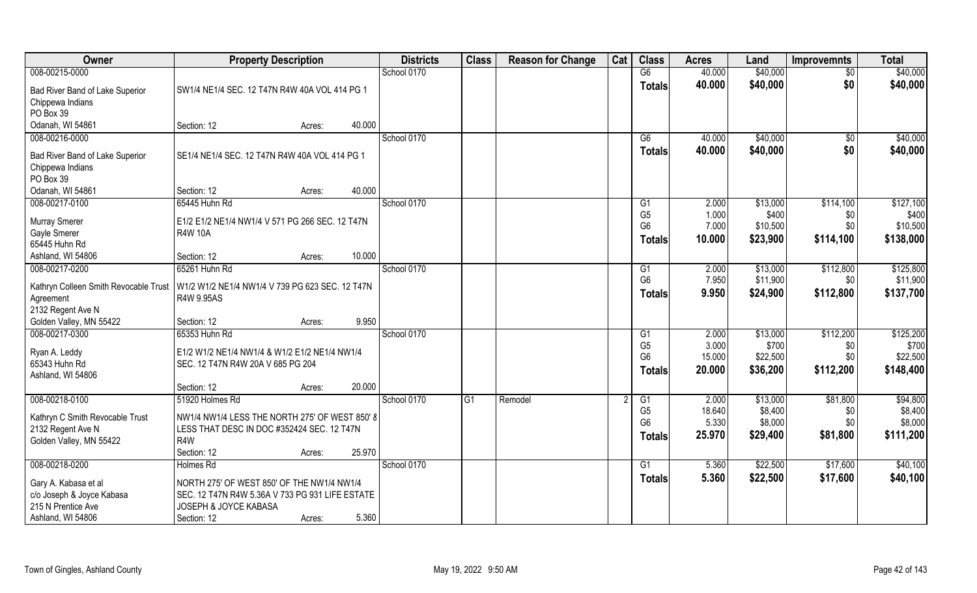| Owner                                                                                        | <b>Property Description</b>                                                                                                           |                  | <b>Districts</b> | <b>Class</b> | <b>Reason for Change</b> | Cat | <b>Class</b>                                            | <b>Acres</b>                       | Land                                      | <b>Improvemnts</b>                   | <b>Total</b>                                |
|----------------------------------------------------------------------------------------------|---------------------------------------------------------------------------------------------------------------------------------------|------------------|------------------|--------------|--------------------------|-----|---------------------------------------------------------|------------------------------------|-------------------------------------------|--------------------------------------|---------------------------------------------|
| 008-00215-0000                                                                               |                                                                                                                                       |                  | School 0170      |              |                          |     | G6                                                      | 40.000                             | \$40,000                                  | $\sqrt{$0}$                          | \$40,000                                    |
| Bad River Band of Lake Superior<br>Chippewa Indians<br>PO Box 39                             | SW1/4 NE1/4 SEC. 12 T47N R4W 40A VOL 414 PG 1                                                                                         |                  |                  |              |                          |     | <b>Totals</b>                                           | 40.000                             | \$40,000                                  | \$0                                  | \$40,000                                    |
| Odanah, WI 54861                                                                             | Section: 12                                                                                                                           | 40.000<br>Acres: |                  |              |                          |     |                                                         |                                    |                                           |                                      |                                             |
| 008-00216-0000                                                                               |                                                                                                                                       |                  | School 0170      |              |                          |     | G6                                                      | 40.000                             | \$40,000                                  | \$0                                  | \$40,000                                    |
| Bad River Band of Lake Superior<br>Chippewa Indians<br>PO Box 39                             | SE1/4 NE1/4 SEC. 12 T47N R4W 40A VOL 414 PG 1                                                                                         |                  |                  |              |                          |     | Totals                                                  | 40.000                             | \$40,000                                  | \$0                                  | \$40,000                                    |
| Odanah, WI 54861                                                                             | Section: 12                                                                                                                           | 40.000<br>Acres: |                  |              |                          |     |                                                         |                                    |                                           |                                      |                                             |
| 008-00217-0100<br><b>Murray Smerer</b><br>Gayle Smerer<br>65445 Huhn Rd                      | 65445 Huhn Rd<br>E1/2 E1/2 NE1/4 NW1/4 V 571 PG 266 SEC. 12 T47N<br><b>R4W 10A</b>                                                    |                  | School 0170      |              |                          |     | G1<br>G <sub>5</sub><br>G <sub>6</sub><br><b>Totals</b> | 2.000<br>1.000<br>7.000<br>10.000  | \$13,000<br>\$400<br>\$10,500<br>\$23,900 | \$114,100<br>\$0<br>\$0<br>\$114,100 | \$127,100<br>\$400<br>\$10,500<br>\$138,000 |
| Ashland, WI 54806                                                                            | Section: 12                                                                                                                           | 10.000<br>Acres: |                  |              |                          |     |                                                         |                                    |                                           |                                      |                                             |
| 008-00217-0200<br>Kathryn Colleen Smith Revocable Trust<br>Agreement<br>2132 Regent Ave N    | 65261 Huhn Rd<br>W1/2 W1/2 NE1/4 NW1/4 V 739 PG 623 SEC. 12 T47N<br>R4W 9.95AS                                                        |                  | School 0170      |              |                          |     | G1<br>G <sub>6</sub><br><b>Totals</b>                   | 2.000<br>7.950<br>9.950            | \$13,000<br>\$11,900<br>\$24,900          | \$112,800<br>\$0<br>\$112,800        | \$125,800<br>\$11,900<br>\$137,700          |
| Golden Valley, MN 55422                                                                      | Section: 12                                                                                                                           | 9.950<br>Acres:  |                  |              |                          |     |                                                         |                                    |                                           |                                      |                                             |
| 008-00217-0300<br>Ryan A. Leddy<br>65343 Huhn Rd<br>Ashland, WI 54806                        | 65353 Huhn Rd<br>E1/2 W1/2 NE1/4 NW1/4 & W1/2 E1/2 NE1/4 NW1/4<br>SEC. 12 T47N R4W 20A V 685 PG 204<br>Section: 12                    | 20.000<br>Acres: | School 0170      |              |                          |     | G1<br>G <sub>5</sub><br>G <sub>6</sub><br><b>Totals</b> | 2.000<br>3.000<br>15.000<br>20.000 | \$13,000<br>\$700<br>\$22,500<br>\$36,200 | \$112,200<br>\$0<br>\$0<br>\$112,200 | \$125,200<br>\$700<br>\$22,500<br>\$148,400 |
| 008-00218-0100                                                                               | 51920 Holmes Rd                                                                                                                       |                  | School 0170      | G1           | Remodel                  |     | G1                                                      | 2.000                              | \$13,000                                  | \$81,800                             | \$94,800                                    |
| Kathryn C Smith Revocable Trust<br>2132 Regent Ave N<br>Golden Valley, MN 55422              | NW1/4 NW1/4 LESS THE NORTH 275' OF WEST 850' 8<br>LESS THAT DESC IN DOC #352424 SEC. 12 T47N<br>R <sub>4</sub> W<br>Section: 12       | 25.970<br>Acres: |                  |              |                          |     | G <sub>5</sub><br>G <sub>6</sub><br><b>Totals</b>       | 18.640<br>5.330<br>25.970          | \$8,400<br>\$8,000<br>\$29,400            | \$0<br>\$0<br>\$81,800               | \$8,400<br>\$8,000<br>\$111,200             |
| 008-00218-0200                                                                               | <b>Holmes Rd</b>                                                                                                                      |                  | School 0170      |              |                          |     | G1                                                      | 5.360                              | \$22,500                                  | \$17,600                             | \$40,100                                    |
| Gary A. Kabasa et al<br>c/o Joseph & Joyce Kabasa<br>215 N Prentice Ave<br>Ashland, WI 54806 | NORTH 275' OF WEST 850' OF THE NW1/4 NW1/4<br>SEC. 12 T47N R4W 5.36A V 733 PG 931 LIFE ESTATE<br>JOSEPH & JOYCE KABASA<br>Section: 12 | 5.360<br>Acres:  |                  |              |                          |     | Totals                                                  | 5.360                              | \$22,500                                  | \$17,600                             | \$40,100                                    |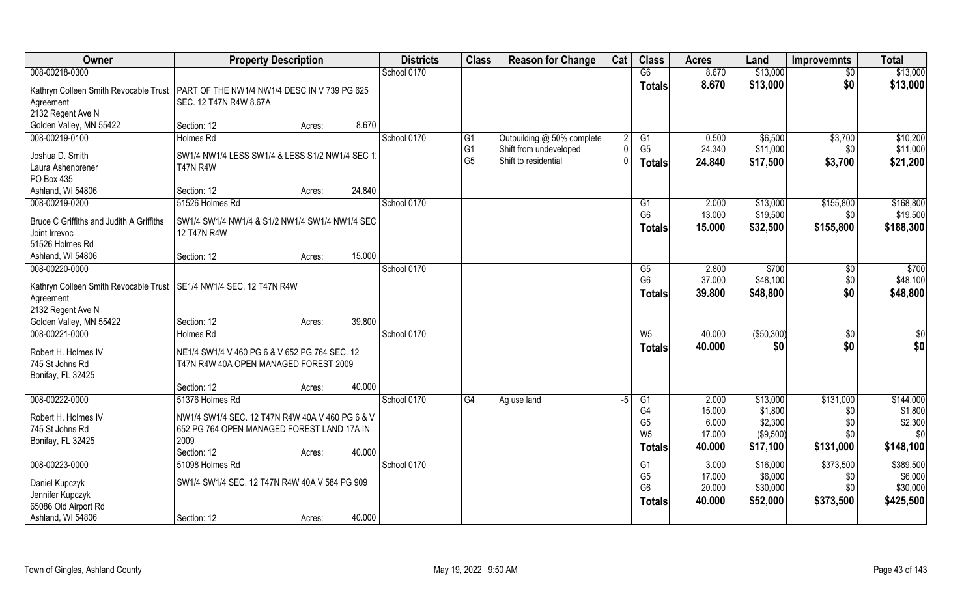| Owner                                                                             | <b>Property Description</b>                                                          |        | <b>Districts</b> | <b>Class</b>   | <b>Reason for Change</b>   | Cat  | <b>Class</b>         | <b>Acres</b>    | Land                | <b>Improvemnts</b> | <b>Total</b>         |
|-----------------------------------------------------------------------------------|--------------------------------------------------------------------------------------|--------|------------------|----------------|----------------------------|------|----------------------|-----------------|---------------------|--------------------|----------------------|
| 008-00218-0300                                                                    |                                                                                      |        | School 0170      |                |                            |      | G6                   | 8.670           | \$13,000            | $\sqrt{6}$         | \$13,000             |
|                                                                                   | Kathryn Colleen Smith Revocable Trust   PART OF THE NW1/4 NW1/4 DESC IN V 739 PG 625 |        |                  |                |                            |      | <b>Totals</b>        | 8.670           | \$13,000            | \$0                | \$13,000             |
| Agreement                                                                         | SEC. 12 T47N R4W 8.67A                                                               |        |                  |                |                            |      |                      |                 |                     |                    |                      |
| 2132 Regent Ave N                                                                 |                                                                                      |        |                  |                |                            |      |                      |                 |                     |                    |                      |
| Golden Valley, MN 55422                                                           | Section: 12<br>Acres:                                                                | 8.670  |                  |                |                            |      |                      |                 |                     |                    |                      |
| 008-00219-0100                                                                    | <b>Holmes Rd</b>                                                                     |        | School 0170      | G1             | Outbuilding @ 50% complete |      | G1                   | 0.500           | \$6,500             | \$3,700            | \$10,200             |
| Joshua D. Smith                                                                   | SW1/4 NW1/4 LESS SW1/4 & LESS S1/2 NW1/4 SEC 1:                                      |        |                  | G <sub>1</sub> | Shift from undeveloped     |      | G <sub>5</sub>       | 24.340          | \$11,000            | \$0                | \$11,000             |
| Laura Ashenbrener                                                                 | <b>T47N R4W</b>                                                                      |        |                  | G <sub>5</sub> | Shift to residential       |      | <b>Totals</b>        | 24.840          | \$17,500            | \$3,700            | \$21,200             |
| PO Box 435                                                                        |                                                                                      |        |                  |                |                            |      |                      |                 |                     |                    |                      |
| Ashland, WI 54806                                                                 | Section: 12<br>Acres:                                                                | 24.840 |                  |                |                            |      |                      |                 |                     |                    |                      |
| 008-00219-0200                                                                    | 51526 Holmes Rd                                                                      |        | School 0170      |                |                            |      | G1                   | 2.000           | \$13,000            | \$155,800          | \$168,800            |
| Bruce C Griffiths and Judith A Griffiths                                          | SW1/4 SW1/4 NW1/4 & S1/2 NW1/4 SW1/4 NW1/4 SEC                                       |        |                  |                |                            |      | G <sub>6</sub>       | 13.000          | \$19,500            | \$0                | \$19,500             |
| Joint Irrevoc                                                                     | 12 T47N R4W                                                                          |        |                  |                |                            |      | <b>Totals</b>        | 15.000          | \$32,500            | \$155,800          | \$188,300            |
| 51526 Holmes Rd                                                                   |                                                                                      |        |                  |                |                            |      |                      |                 |                     |                    |                      |
| Ashland, WI 54806                                                                 | Section: 12<br>Acres:                                                                | 15.000 |                  |                |                            |      |                      |                 |                     |                    |                      |
| 008-00220-0000                                                                    |                                                                                      |        | School 0170      |                |                            |      | G5                   | 2.800           | \$700               | \$0                | \$700                |
|                                                                                   |                                                                                      |        |                  |                |                            |      | G <sub>6</sub>       | 37.000          | \$48,100            | \$0                | \$48,100             |
| Kathryn Colleen Smith Revocable Trust   SE1/4 NW1/4 SEC. 12 T47N R4W<br>Agreement |                                                                                      |        |                  |                |                            |      | <b>Totals</b>        | 39.800          | \$48,800            | \$0                | \$48,800             |
| 2132 Regent Ave N                                                                 |                                                                                      |        |                  |                |                            |      |                      |                 |                     |                    |                      |
| Golden Valley, MN 55422                                                           | Section: 12<br>Acres:                                                                | 39.800 |                  |                |                            |      |                      |                 |                     |                    |                      |
| 008-00221-0000                                                                    | <b>Holmes Rd</b>                                                                     |        | School 0170      |                |                            |      | $W_5$                | 40.000          | (\$50,300)          | $\overline{50}$    | \$0                  |
|                                                                                   |                                                                                      |        |                  |                |                            |      | <b>Totals</b>        | 40.000          | \$0                 | \$0                | \$0                  |
| Robert H. Holmes IV                                                               | NE1/4 SW1/4 V 460 PG 6 & V 652 PG 764 SEC. 12                                        |        |                  |                |                            |      |                      |                 |                     |                    |                      |
| 745 St Johns Rd<br>Bonifay, FL 32425                                              | T47N R4W 40A OPEN MANAGED FOREST 2009                                                |        |                  |                |                            |      |                      |                 |                     |                    |                      |
|                                                                                   | Section: 12<br>Acres:                                                                | 40.000 |                  |                |                            |      |                      |                 |                     |                    |                      |
| 008-00222-0000                                                                    | 51376 Holmes Rd                                                                      |        | School 0170      | G4             | Ag use land                | $-5$ | G1                   | 2.000           | \$13,000            | \$131,000          | \$144,000            |
|                                                                                   |                                                                                      |        |                  |                |                            |      | G <sub>4</sub>       | 15.000          | \$1,800             | \$0                | \$1,800              |
| Robert H. Holmes IV                                                               | NW1/4 SW1/4 SEC. 12 T47N R4W 40A V 460 PG 6 & V                                      |        |                  |                |                            |      | G <sub>5</sub>       | 6.000           | \$2,300             | \$0                | \$2,300              |
| 745 St Johns Rd                                                                   | 652 PG 764 OPEN MANAGED FOREST LAND 17A IN                                           |        |                  |                |                            |      | W <sub>5</sub>       | 17.000          | (\$9,500)           | \$0                | \$0                  |
| Bonifay, FL 32425                                                                 | 2009                                                                                 |        |                  |                |                            |      | <b>Totals</b>        | 40.000          | \$17,100            | \$131,000          | \$148,100            |
|                                                                                   | Section: 12<br>Acres:                                                                | 40.000 |                  |                |                            |      |                      |                 |                     |                    |                      |
| 008-00223-0000                                                                    | 51098 Holmes Rd                                                                      |        | School 0170      |                |                            |      | G1<br>G <sub>5</sub> | 3.000<br>17.000 | \$16,000<br>\$6,000 | \$373,500<br>\$0   | \$389,500<br>\$6,000 |
| Daniel Kupczyk                                                                    | SW1/4 SW1/4 SEC. 12 T47N R4W 40A V 584 PG 909                                        |        |                  |                |                            |      | G <sub>6</sub>       | 20.000          | \$30,000            | \$0                | \$30,000             |
| Jennifer Kupczyk                                                                  |                                                                                      |        |                  |                |                            |      | <b>Totals</b>        | 40.000          | \$52,000            | \$373,500          | \$425,500            |
| 65086 Old Airport Rd                                                              |                                                                                      |        |                  |                |                            |      |                      |                 |                     |                    |                      |
| Ashland, WI 54806                                                                 | Section: 12<br>Acres:                                                                | 40.000 |                  |                |                            |      |                      |                 |                     |                    |                      |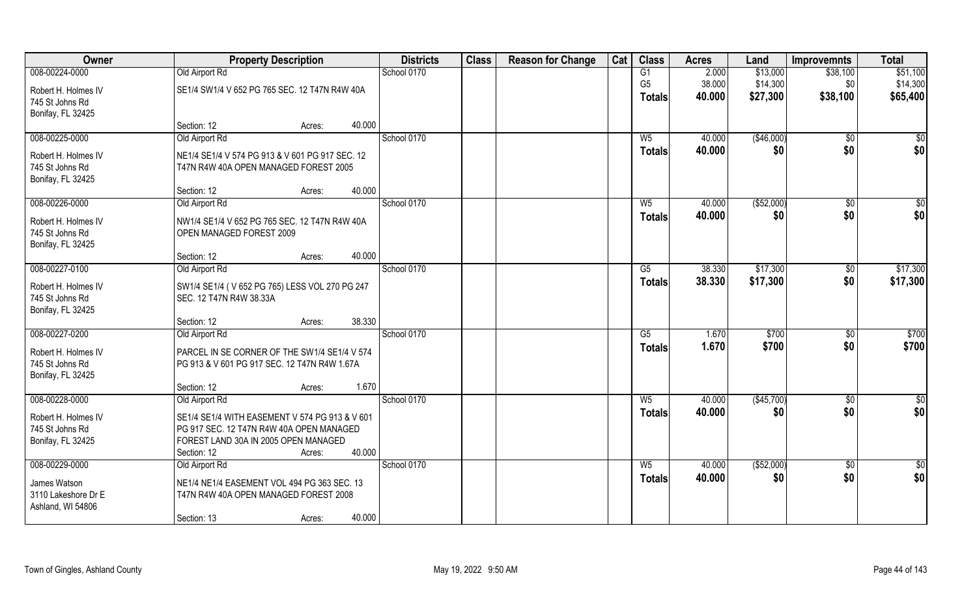| Owner                                  | <b>Property Description</b>                                                      | <b>Districts</b> | <b>Class</b> | <b>Reason for Change</b> | Cat | <b>Class</b>    | <b>Acres</b> | Land        | <b>Improvemnts</b> | <b>Total</b>    |
|----------------------------------------|----------------------------------------------------------------------------------|------------------|--------------|--------------------------|-----|-----------------|--------------|-------------|--------------------|-----------------|
| 008-00224-0000                         | Old Airport Rd                                                                   | School 0170      |              |                          |     | G1              | 2.000        | \$13,000    | \$38,100           | \$51,100        |
| Robert H. Holmes IV                    | SE1/4 SW1/4 V 652 PG 765 SEC. 12 T47N R4W 40A                                    |                  |              |                          |     | G <sub>5</sub>  | 38.000       | \$14,300    | \$0                | \$14,300        |
| 745 St Johns Rd                        |                                                                                  |                  |              |                          |     | <b>Totals</b>   | 40.000       | \$27,300    | \$38,100           | \$65,400        |
| Bonifay, FL 32425                      |                                                                                  |                  |              |                          |     |                 |              |             |                    |                 |
|                                        | Section: 12<br>Acres:                                                            | 40.000           |              |                          |     |                 |              |             |                    |                 |
| 008-00225-0000                         | Old Airport Rd                                                                   | School 0170      |              |                          |     | W <sub>5</sub>  | 40.000       | (\$46,000)  | \$0                | \$0             |
| Robert H. Holmes IV                    | NE1/4 SE1/4 V 574 PG 913 & V 601 PG 917 SEC. 12                                  |                  |              |                          |     | <b>Totals</b>   | 40.000       | \$0         | \$0                | \$0             |
| 745 St Johns Rd                        | T47N R4W 40A OPEN MANAGED FOREST 2005                                            |                  |              |                          |     |                 |              |             |                    |                 |
| Bonifay, FL 32425                      | Section: 12                                                                      | 40.000           |              |                          |     |                 |              |             |                    |                 |
| 008-00226-0000                         | Acres:<br>Old Airport Rd                                                         | School 0170      |              |                          |     | W <sub>5</sub>  | 40.000       | ( \$52,000) | $\sqrt[6]{30}$     | \$0             |
|                                        |                                                                                  |                  |              |                          |     | <b>Totals</b>   | 40.000       | \$0         | \$0                | \$0             |
| Robert H. Holmes IV<br>745 St Johns Rd | NW1/4 SE1/4 V 652 PG 765 SEC. 12 T47N R4W 40A<br>OPEN MANAGED FOREST 2009        |                  |              |                          |     |                 |              |             |                    |                 |
| Bonifay, FL 32425                      |                                                                                  |                  |              |                          |     |                 |              |             |                    |                 |
|                                        | Section: 12<br>Acres:                                                            | 40.000           |              |                          |     |                 |              |             |                    |                 |
| 008-00227-0100                         | Old Airport Rd                                                                   | School 0170      |              |                          |     | G5              | 38.330       | \$17,300    | $\sqrt[6]{3}$      | \$17,300        |
| Robert H. Holmes IV                    | SW1/4 SE1/4 (V 652 PG 765) LESS VOL 270 PG 247                                   |                  |              |                          |     | <b>Totals</b>   | 38.330       | \$17,300    | \$0                | \$17,300        |
| 745 St Johns Rd                        | SEC. 12 T47N R4W 38.33A                                                          |                  |              |                          |     |                 |              |             |                    |                 |
| Bonifay, FL 32425                      |                                                                                  |                  |              |                          |     |                 |              |             |                    |                 |
|                                        | Section: 12<br>Acres:                                                            | 38.330           |              |                          |     |                 |              |             |                    |                 |
| 008-00227-0200                         | Old Airport Rd                                                                   | School 0170      |              |                          |     | $\overline{G5}$ | 1.670        | \$700       | $\sqrt[6]{30}$     | \$700           |
| Robert H. Holmes IV                    | PARCEL IN SE CORNER OF THE SW1/4 SE1/4 V 574                                     |                  |              |                          |     | <b>Totals</b>   | 1.670        | \$700       | \$0                | \$700           |
| 745 St Johns Rd                        | PG 913 & V 601 PG 917 SEC. 12 T47N R4W 1.67A                                     |                  |              |                          |     |                 |              |             |                    |                 |
| Bonifay, FL 32425                      |                                                                                  | 1.670            |              |                          |     |                 |              |             |                    |                 |
| 008-00228-0000                         | Section: 12<br>Acres:<br>Old Airport Rd                                          | School 0170      |              |                          |     | $W_5$           | 40.000       | (\$45,700)  | \$0                | $\frac{6}{3}$   |
|                                        |                                                                                  |                  |              |                          |     | <b>Totals</b>   | 40.000       | \$0         | \$0                | \$0             |
| Robert H. Holmes IV                    | SE1/4 SE1/4 WITH EASEMENT V 574 PG 913 & V 601                                   |                  |              |                          |     |                 |              |             |                    |                 |
| 745 St Johns Rd<br>Bonifay, FL 32425   | PG 917 SEC. 12 T47N R4W 40A OPEN MANAGED<br>FOREST LAND 30A IN 2005 OPEN MANAGED |                  |              |                          |     |                 |              |             |                    |                 |
|                                        | Section: 12<br>Acres:                                                            | 40.000           |              |                          |     |                 |              |             |                    |                 |
| 008-00229-0000                         | Old Airport Rd                                                                   | School 0170      |              |                          |     | W <sub>5</sub>  | 40.000       | ( \$52,000) | $\overline{50}$    | $\overline{50}$ |
| James Watson                           | NE1/4 NE1/4 EASEMENT VOL 494 PG 363 SEC. 13                                      |                  |              |                          |     | <b>Totals</b>   | 40.000       | \$0         | \$0                | \$0             |
| 3110 Lakeshore Dr E                    | T47N R4W 40A OPEN MANAGED FOREST 2008                                            |                  |              |                          |     |                 |              |             |                    |                 |
| Ashland, WI 54806                      |                                                                                  |                  |              |                          |     |                 |              |             |                    |                 |
|                                        | Section: 13<br>Acres:                                                            | 40.000           |              |                          |     |                 |              |             |                    |                 |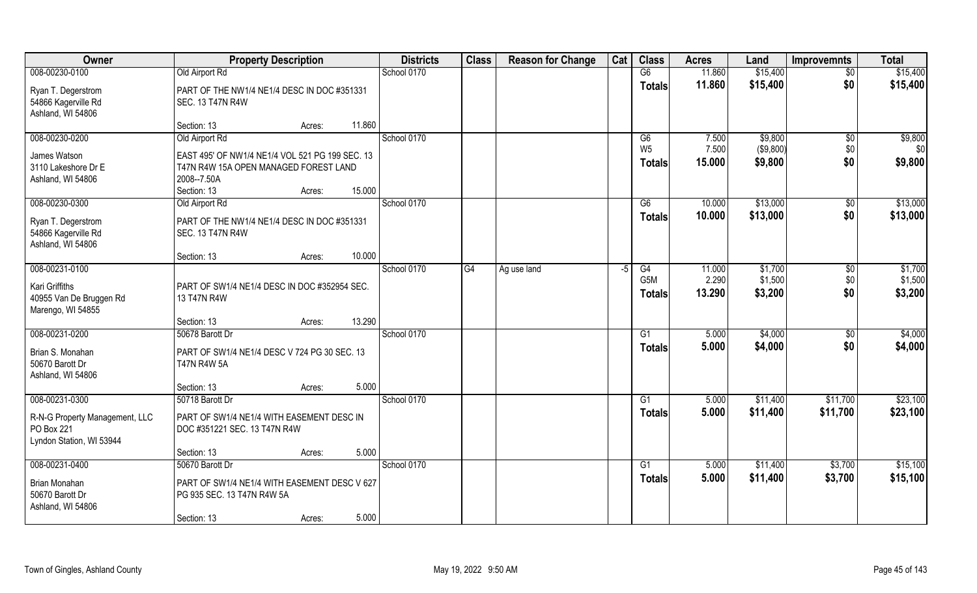| <b>Owner</b>                                                             | <b>Property Description</b>                                                                                                                | <b>Districts</b> | <b>Class</b> | <b>Reason for Change</b> | Cat | <b>Class</b>                      | <b>Acres</b>    | Land                 | <b>Improvemnts</b> | <b>Total</b>       |
|--------------------------------------------------------------------------|--------------------------------------------------------------------------------------------------------------------------------------------|------------------|--------------|--------------------------|-----|-----------------------------------|-----------------|----------------------|--------------------|--------------------|
| 008-00230-0100                                                           | Old Airport Rd                                                                                                                             | School 0170      |              |                          |     | G6                                | 11.860          | \$15,400             | $\overline{50}$    | \$15,400           |
| Ryan T. Degerstrom<br>54866 Kagerville Rd<br>Ashland, WI 54806           | PART OF THE NW1/4 NE1/4 DESC IN DOC #351331<br><b>SEC. 13 T47N R4W</b>                                                                     |                  |              |                          |     | <b>Totals</b>                     | 11.860          | \$15,400             | \$0                | \$15,400           |
|                                                                          | 11.860<br>Section: 13<br>Acres:                                                                                                            |                  |              |                          |     |                                   |                 |                      |                    |                    |
| 008-00230-0200                                                           | Old Airport Rd                                                                                                                             | School 0170      |              |                          |     | G6                                | 7.500           | \$9,800              | \$0                | \$9,800            |
| James Watson<br>3110 Lakeshore Dr E<br>Ashland, WI 54806                 | EAST 495' OF NW1/4 NE1/4 VOL 521 PG 199 SEC. 13<br>T47N R4W 15A OPEN MANAGED FOREST LAND<br>2008--7.50A<br>15.000<br>Section: 13<br>Acres: |                  |              |                          |     | W <sub>5</sub><br><b>Totals</b>   | 7.500<br>15.000 | (\$9,800)<br>\$9,800 | \$0<br>\$0         | \$0<br>\$9,800     |
| 008-00230-0300                                                           | Old Airport Rd                                                                                                                             | School 0170      |              |                          |     | G6                                | 10.000          | \$13,000             | $\sqrt[6]{3}$      | \$13,000           |
| Ryan T. Degerstrom<br>54866 Kagerville Rd<br>Ashland, WI 54806           | PART OF THE NW1/4 NE1/4 DESC IN DOC #351331<br><b>SEC. 13 T47N R4W</b>                                                                     |                  |              |                          |     | <b>Totals</b>                     | 10.000          | \$13,000             | \$0                | \$13,000           |
|                                                                          | 10.000<br>Section: 13<br>Acres:                                                                                                            |                  |              |                          |     |                                   |                 |                      |                    |                    |
| 008-00231-0100                                                           |                                                                                                                                            | School 0170      | G4           | Ag use land              | -5  | G4                                | 11.000          | \$1,700              | \$0                | \$1,700            |
| Kari Griffiths<br>40955 Van De Bruggen Rd<br>Marengo, WI 54855           | PART OF SW1/4 NE1/4 DESC IN DOC #352954 SEC.<br>13 T47N R4W                                                                                |                  |              |                          |     | G <sub>5</sub> M<br><b>Totals</b> | 2.290<br>13.290 | \$1,500<br>\$3,200   | \$0<br>\$0         | \$1,500<br>\$3,200 |
|                                                                          | 13.290<br>Section: 13<br>Acres:                                                                                                            |                  |              |                          |     |                                   |                 |                      |                    |                    |
| 008-00231-0200                                                           | 50678 Barott Dr                                                                                                                            | School 0170      |              |                          |     | G1                                | 5.000           | \$4,000              | \$0                | \$4,000            |
| Brian S. Monahan<br>50670 Barott Dr<br>Ashland, WI 54806                 | PART OF SW1/4 NE1/4 DESC V 724 PG 30 SEC. 13<br><b>T47N R4W 5A</b>                                                                         |                  |              |                          |     | <b>Totals</b>                     | 5.000           | \$4,000              | \$0                | \$4,000            |
|                                                                          | 5.000<br>Section: 13<br>Acres:                                                                                                             |                  |              |                          |     |                                   |                 |                      |                    |                    |
| 008-00231-0300                                                           | 50718 Barott Dr                                                                                                                            | School 0170      |              |                          |     | G1                                | 5.000           | \$11,400             | \$11,700           | \$23,100           |
| R-N-G Property Management, LLC<br>PO Box 221<br>Lyndon Station, WI 53944 | PART OF SW1/4 NE1/4 WITH EASEMENT DESC IN<br>DOC #351221 SEC. 13 T47N R4W                                                                  |                  |              |                          |     | <b>Totals</b>                     | 5.000           | \$11,400             | \$11,700           | \$23,100           |
|                                                                          | 5.000<br>Section: 13<br>Acres:                                                                                                             |                  |              |                          |     |                                   |                 |                      |                    |                    |
| 008-00231-0400                                                           | 50670 Barott Dr                                                                                                                            | School 0170      |              |                          |     | G <sub>1</sub>                    | 5.000           | \$11,400             | \$3,700            | \$15,100           |
| Brian Monahan<br>50670 Barott Dr<br>Ashland, WI 54806                    | PART OF SW1/4 NE1/4 WITH EASEMENT DESC V 627<br>PG 935 SEC. 13 T47N R4W 5A                                                                 |                  |              |                          |     | Totals                            | 5.000           | \$11,400             | \$3,700            | \$15,100           |
|                                                                          | 5.000<br>Section: 13<br>Acres:                                                                                                             |                  |              |                          |     |                                   |                 |                      |                    |                    |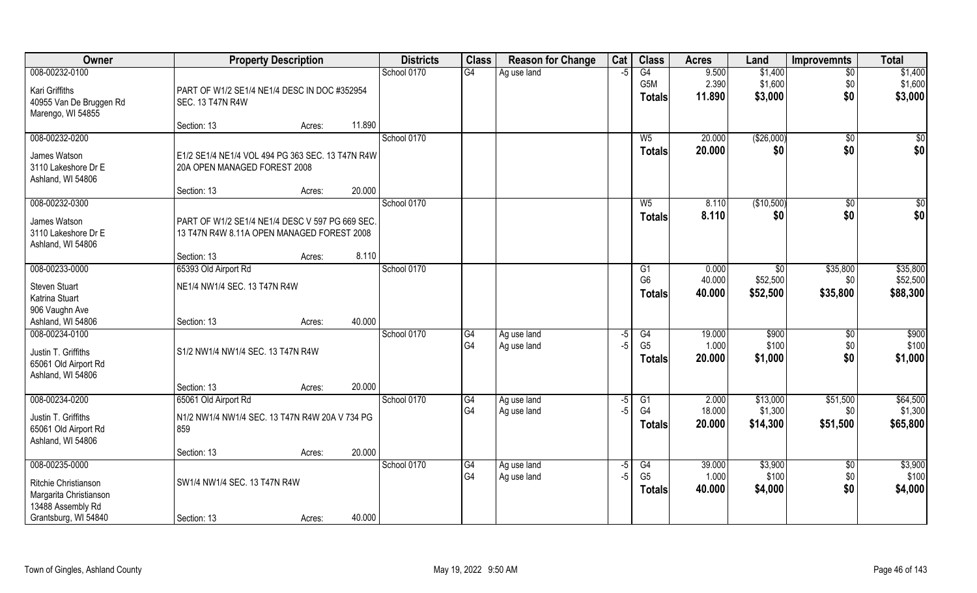| Owner                                  | <b>Property Description</b>                      | <b>Districts</b> | <b>Class</b> | <b>Reason for Change</b> | Cat  | <b>Class</b>    | <b>Acres</b> | Land         | <b>Improvemnts</b> | <b>Total</b> |
|----------------------------------------|--------------------------------------------------|------------------|--------------|--------------------------|------|-----------------|--------------|--------------|--------------------|--------------|
| 008-00232-0100                         |                                                  | School 0170      | G4           | Ag use land              | $-5$ | G4              | 9.500        | \$1,400      | $\overline{50}$    | \$1,400      |
| Kari Griffiths                         | PART OF W1/2 SE1/4 NE1/4 DESC IN DOC #352954     |                  |              |                          |      | G5M             | 2.390        | \$1,600      | \$0                | \$1,600      |
| 40955 Van De Bruggen Rd                | SEC. 13 T47N R4W                                 |                  |              |                          |      | <b>Totals</b>   | 11.890       | \$3,000      | \$0                | \$3,000      |
| Marengo, WI 54855                      |                                                  |                  |              |                          |      |                 |              |              |                    |              |
|                                        | 11.890<br>Section: 13<br>Acres:                  |                  |              |                          |      |                 |              |              |                    |              |
| 008-00232-0200                         |                                                  | School 0170      |              |                          |      | W <sub>5</sub>  | 20.000       | (\$26,000)   | \$0                | \$0          |
| James Watson                           | E1/2 SE1/4 NE1/4 VOL 494 PG 363 SEC. 13 T47N R4W |                  |              |                          |      | Totals          | 20.000       | \$0          | \$0                | \$0          |
| 3110 Lakeshore Dr E                    | 20A OPEN MANAGED FOREST 2008                     |                  |              |                          |      |                 |              |              |                    |              |
| Ashland, WI 54806                      |                                                  |                  |              |                          |      |                 |              |              |                    |              |
| 008-00232-0300                         | 20.000<br>Section: 13<br>Acres:                  | School 0170      |              |                          |      | W <sub>5</sub>  | 8.110        | (\$10,500)   |                    | \$0          |
|                                        |                                                  |                  |              |                          |      | <b>Totals</b>   | 8.110        | \$0          | $\sqrt{6}$<br>\$0  | \$0          |
| James Watson                           | PART OF W1/2 SE1/4 NE1/4 DESC V 597 PG 669 SEC.  |                  |              |                          |      |                 |              |              |                    |              |
| 3110 Lakeshore Dr E                    | 13 T47N R4W 8.11A OPEN MANAGED FOREST 2008       |                  |              |                          |      |                 |              |              |                    |              |
| Ashland, WI 54806                      | 8.110<br>Section: 13<br>Acres:                   |                  |              |                          |      |                 |              |              |                    |              |
| 008-00233-0000                         | 65393 Old Airport Rd                             | School 0170      |              |                          |      | G1              | 0.000        | $\sqrt[6]{}$ | \$35,800           | \$35,800     |
|                                        |                                                  |                  |              |                          |      | G <sub>6</sub>  | 40.000       | \$52,500     | \$0                | \$52,500     |
| <b>Steven Stuart</b><br>Katrina Stuart | NE1/4 NW1/4 SEC. 13 T47N R4W                     |                  |              |                          |      | <b>Totals</b>   | 40.000       | \$52,500     | \$35,800           | \$88,300     |
| 906 Vaughn Ave                         |                                                  |                  |              |                          |      |                 |              |              |                    |              |
| Ashland, WI 54806                      | 40.000<br>Section: 13<br>Acres:                  |                  |              |                          |      |                 |              |              |                    |              |
| 008-00234-0100                         |                                                  | School 0170      | G4           | Ag use land              | -5   | $\overline{G4}$ | 19.000       | \$900        | \$0                | \$900        |
| Justin T. Griffiths                    | S1/2 NW1/4 NW1/4 SEC. 13 T47N R4W                |                  | G4           | Ag use land              | $-5$ | G <sub>5</sub>  | 1.000        | \$100        | \$0                | \$100        |
| 65061 Old Airport Rd                   |                                                  |                  |              |                          |      | <b>Totals</b>   | 20.000       | \$1,000      | \$0                | \$1,000      |
| Ashland, WI 54806                      |                                                  |                  |              |                          |      |                 |              |              |                    |              |
|                                        | 20.000<br>Section: 13<br>Acres:                  |                  |              |                          |      |                 |              |              |                    |              |
| 008-00234-0200                         | 65061 Old Airport Rd                             | School 0170      | G4           | Ag use land              | $-5$ | G1              | 2.000        | \$13,000     | \$51,500           | \$64,500     |
| Justin T. Griffiths                    | N1/2 NW1/4 NW1/4 SEC. 13 T47N R4W 20A V 734 PG   |                  | G4           | Ag use land              | $-5$ | G4              | 18.000       | \$1,300      | \$0                | \$1,300      |
| 65061 Old Airport Rd                   | 859                                              |                  |              |                          |      | <b>Totals</b>   | 20.000       | \$14,300     | \$51,500           | \$65,800     |
| Ashland, WI 54806                      |                                                  |                  |              |                          |      |                 |              |              |                    |              |
|                                        | 20.000<br>Section: 13<br>Acres:                  |                  |              |                          |      |                 |              |              |                    |              |
| 008-00235-0000                         |                                                  | School 0170      | G4           | Ag use land              | -5   | G4              | 39.000       | \$3,900      | $\overline{50}$    | \$3,900      |
| Ritchie Christianson                   | SW1/4 NW1/4 SEC. 13 T47N R4W                     |                  | G4           | Ag use land              | $-5$ | G <sub>5</sub>  | 1.000        | \$100        | \$0                | \$100        |
| Margarita Christianson                 |                                                  |                  |              |                          |      | <b>Totals</b>   | 40.000       | \$4,000      | \$0                | \$4,000      |
| 13488 Assembly Rd                      |                                                  |                  |              |                          |      |                 |              |              |                    |              |
| Grantsburg, WI 54840                   | 40.000<br>Section: 13<br>Acres:                  |                  |              |                          |      |                 |              |              |                    |              |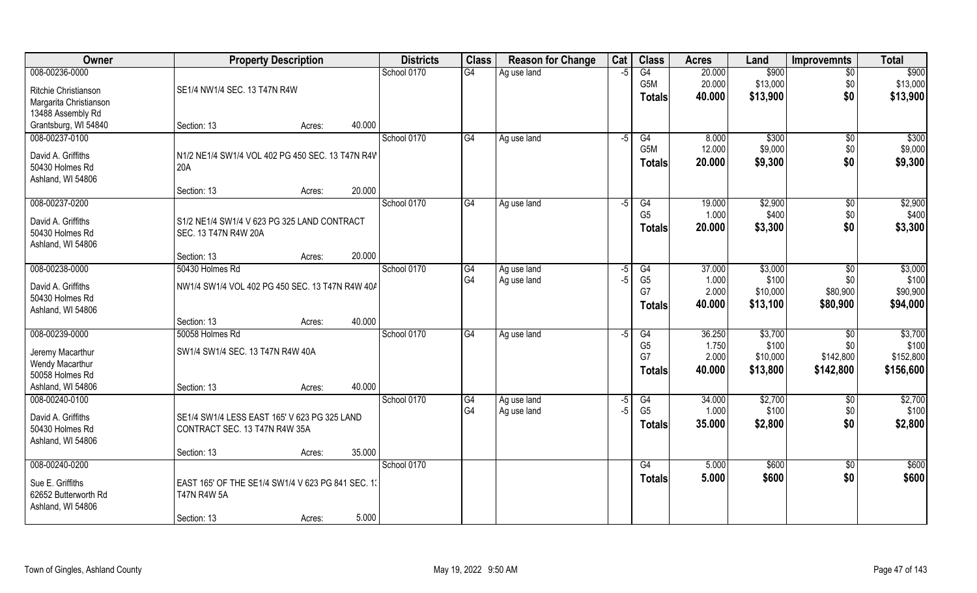| Owner                  | <b>Property Description</b>                       | <b>Districts</b> | <b>Class</b> | <b>Reason for Change</b> | Cat  | <b>Class</b>     | <b>Acres</b> | Land     | <b>Improvemnts</b> | <b>Total</b> |
|------------------------|---------------------------------------------------|------------------|--------------|--------------------------|------|------------------|--------------|----------|--------------------|--------------|
| 008-00236-0000         |                                                   | School 0170      | G4           | Ag use land              | $-5$ | G4               | 20.000       | \$900    | $\overline{30}$    | \$900        |
| Ritchie Christianson   | SE1/4 NW1/4 SEC. 13 T47N R4W                      |                  |              |                          |      | G <sub>5</sub> M | 20.000       | \$13,000 | \$0                | \$13,000     |
| Margarita Christianson |                                                   |                  |              |                          |      | <b>Totals</b>    | 40.000       | \$13,900 | \$0                | \$13,900     |
| 13488 Assembly Rd      |                                                   |                  |              |                          |      |                  |              |          |                    |              |
| Grantsburg, WI 54840   | 40.000<br>Section: 13<br>Acres:                   |                  |              |                          |      |                  |              |          |                    |              |
| 008-00237-0100         |                                                   | School 0170      | G4           | Ag use land              | $-5$ | G4               | 8.000        | \$300    | $\overline{50}$    | \$300        |
| David A. Griffiths     | N1/2 NE1/4 SW1/4 VOL 402 PG 450 SEC. 13 T47N R4W  |                  |              |                          |      | G5M              | 12.000       | \$9,000  | \$0                | \$9,000      |
| 50430 Holmes Rd        | 20A                                               |                  |              |                          |      | <b>Totals</b>    | 20.000       | \$9,300  | \$0                | \$9,300      |
| Ashland, WI 54806      |                                                   |                  |              |                          |      |                  |              |          |                    |              |
|                        | 20.000<br>Section: 13<br>Acres:                   |                  |              |                          |      |                  |              |          |                    |              |
| 008-00237-0200         |                                                   | School 0170      | G4           | Ag use land              | -5   | G4               | 19.000       | \$2,900  | $\sqrt[6]{3}$      | \$2,900      |
| David A. Griffiths     | S1/2 NE1/4 SW1/4 V 623 PG 325 LAND CONTRACT       |                  |              |                          |      | G <sub>5</sub>   | 1.000        | \$400    | \$0                | \$400        |
| 50430 Holmes Rd        | SEC. 13 T47N R4W 20A                              |                  |              |                          |      | <b>Totals</b>    | 20.000       | \$3,300  | \$0                | \$3,300      |
| Ashland, WI 54806      |                                                   |                  |              |                          |      |                  |              |          |                    |              |
|                        | 20.000<br>Section: 13<br>Acres:                   |                  |              |                          |      |                  |              |          |                    |              |
| 008-00238-0000         | 50430 Holmes Rd                                   | School 0170      | G4           | Ag use land              | -5   | G4               | 37.000       | \$3,000  | \$0                | \$3,000      |
| David A. Griffiths     | NW1/4 SW1/4 VOL 402 PG 450 SEC. 13 T47N R4W 40A   |                  | G4           | Ag use land              | $-5$ | G <sub>5</sub>   | 1.000        | \$100    | \$0                | \$100        |
| 50430 Holmes Rd        |                                                   |                  |              |                          |      | G7               | 2.000        | \$10,000 | \$80,900           | \$90,900     |
| Ashland, WI 54806      |                                                   |                  |              |                          |      | <b>Totals</b>    | 40.000       | \$13,100 | \$80,900           | \$94,000     |
|                        | 40.000<br>Section: 13<br>Acres:                   |                  |              |                          |      |                  |              |          |                    |              |
| 008-00239-0000         | 50058 Holmes Rd                                   | School 0170      | G4           | Ag use land              | -5   | $\overline{G4}$  | 36.250       | \$3,700  | \$0                | \$3,700      |
| Jeremy Macarthur       | SW1/4 SW1/4 SEC. 13 T47N R4W 40A                  |                  |              |                          |      | G <sub>5</sub>   | 1.750        | \$100    | \$0                | \$100        |
| Wendy Macarthur        |                                                   |                  |              |                          |      | G7               | 2.000        | \$10,000 | \$142,800          | \$152,800    |
| 50058 Holmes Rd        |                                                   |                  |              |                          |      | <b>Totals</b>    | 40.000       | \$13,800 | \$142,800          | \$156,600    |
| Ashland, WI 54806      | 40.000<br>Section: 13<br>Acres:                   |                  |              |                          |      |                  |              |          |                    |              |
| 008-00240-0100         |                                                   | School 0170      | G4           | Ag use land              | $-5$ | G4               | 34.000       | \$2,700  | \$0                | \$2,700      |
| David A. Griffiths     | SE1/4 SW1/4 LESS EAST 165' V 623 PG 325 LAND      |                  | G4           | Ag use land              | $-5$ | G <sub>5</sub>   | 1.000        | \$100    | \$0                | \$100        |
| 50430 Holmes Rd        | CONTRACT SEC. 13 T47N R4W 35A                     |                  |              |                          |      | <b>Totals</b>    | 35.000       | \$2,800  | \$0                | \$2,800      |
| Ashland, WI 54806      |                                                   |                  |              |                          |      |                  |              |          |                    |              |
|                        | 35.000<br>Section: 13<br>Acres:                   |                  |              |                          |      |                  |              |          |                    |              |
| 008-00240-0200         |                                                   | School 0170      |              |                          |      | G4               | 5.000        | \$600    | $\sqrt{6}$         | \$600        |
| Sue E. Griffiths       | EAST 165' OF THE SE1/4 SW1/4 V 623 PG 841 SEC. 13 |                  |              |                          |      | <b>Totals</b>    | 5.000        | \$600    | \$0                | \$600        |
| 62652 Butterworth Rd   | <b>T47N R4W 5A</b>                                |                  |              |                          |      |                  |              |          |                    |              |
| Ashland, WI 54806      |                                                   |                  |              |                          |      |                  |              |          |                    |              |
|                        | 5.000<br>Section: 13<br>Acres:                    |                  |              |                          |      |                  |              |          |                    |              |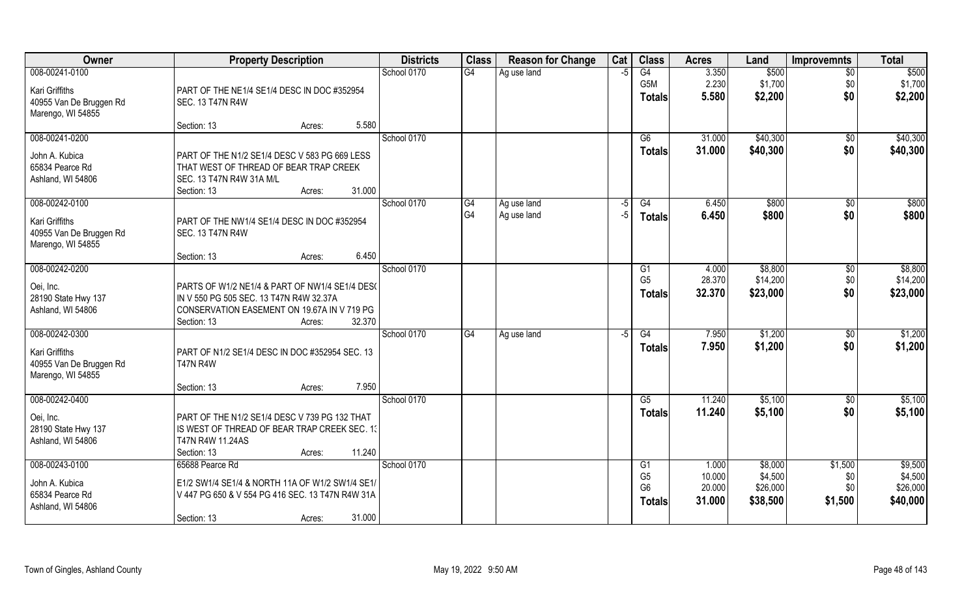| Owner                   | <b>Property Description</b>                      | <b>Districts</b> | <b>Class</b> | <b>Reason for Change</b> | Cat  | <b>Class</b>         | <b>Acres</b>    | Land               | <b>Improvemnts</b> | <b>Total</b>       |
|-------------------------|--------------------------------------------------|------------------|--------------|--------------------------|------|----------------------|-----------------|--------------------|--------------------|--------------------|
| 008-00241-0100          |                                                  | School 0170      | G4           | Ag use land              | $-5$ | G4                   | 3.350           | \$500              | $\overline{30}$    | \$500              |
| Kari Griffiths          | PART OF THE NE1/4 SE1/4 DESC IN DOC #352954      |                  |              |                          |      | G <sub>5</sub> M     | 2.230           | \$1,700            | \$0                | \$1,700            |
| 40955 Van De Bruggen Rd | SEC. 13 T47N R4W                                 |                  |              |                          |      | <b>Totals</b>        | 5.580           | \$2,200            | \$0                | \$2,200            |
| Marengo, WI 54855       |                                                  |                  |              |                          |      |                      |                 |                    |                    |                    |
|                         | 5.580<br>Section: 13<br>Acres:                   |                  |              |                          |      |                      |                 |                    |                    |                    |
| 008-00241-0200          |                                                  | School 0170      |              |                          |      | G6                   | 31.000          | \$40,300           | $\overline{50}$    | \$40,300           |
| John A. Kubica          | PART OF THE N1/2 SE1/4 DESC V 583 PG 669 LESS    |                  |              |                          |      | <b>Totals</b>        | 31.000          | \$40,300           | \$0                | \$40,300           |
| 65834 Pearce Rd         | THAT WEST OF THREAD OF BEAR TRAP CREEK           |                  |              |                          |      |                      |                 |                    |                    |                    |
| Ashland, WI 54806       | SEC. 13 T47N R4W 31A M/L                         |                  |              |                          |      |                      |                 |                    |                    |                    |
|                         | 31.000<br>Section: 13<br>Acres:                  |                  |              |                          |      |                      |                 |                    |                    |                    |
| 008-00242-0100          |                                                  | School 0170      | G4           | Ag use land              | $-5$ | G4                   | 6.450           | \$800              | $\sqrt[6]{30}$     | \$800              |
| Kari Griffiths          | PART OF THE NW1/4 SE1/4 DESC IN DOC #352954      |                  | G4           | Ag use land              | $-5$ | <b>Totals</b>        | 6.450           | \$800              | \$0                | \$800              |
| 40955 Van De Bruggen Rd | SEC. 13 T47N R4W                                 |                  |              |                          |      |                      |                 |                    |                    |                    |
| Marengo, WI 54855       |                                                  |                  |              |                          |      |                      |                 |                    |                    |                    |
|                         | 6.450<br>Section: 13<br>Acres:                   |                  |              |                          |      |                      |                 |                    |                    |                    |
| 008-00242-0200          |                                                  | School 0170      |              |                          |      | G <sub>1</sub>       | 4.000           | \$8,800            | $\sqrt[6]{3}$      | \$8,800            |
| Oei, Inc.               | PARTS OF W1/2 NE1/4 & PART OF NW1/4 SE1/4 DES(   |                  |              |                          |      | G <sub>5</sub>       | 28.370          | \$14,200           | \$0                | \$14,200           |
| 28190 State Hwy 137     | IN V 550 PG 505 SEC. 13 T47N R4W 32.37A          |                  |              |                          |      | <b>Totals</b>        | 32.370          | \$23,000           | \$0                | \$23,000           |
| Ashland, WI 54806       | CONSERVATION EASEMENT ON 19.67A IN V 719 PG      |                  |              |                          |      |                      |                 |                    |                    |                    |
|                         | 32.370<br>Section: 13<br>Acres:                  |                  |              |                          |      |                      |                 |                    |                    |                    |
| 008-00242-0300          |                                                  | School 0170      | G4           | Ag use land              | -5   | $\overline{G4}$      | 7.950           | \$1,200            | \$0                | \$1,200            |
| Kari Griffiths          | PART OF N1/2 SE1/4 DESC IN DOC #352954 SEC. 13   |                  |              |                          |      | <b>Totals</b>        | 7.950           | \$1,200            | \$0                | \$1,200            |
| 40955 Van De Bruggen Rd | <b>T47N R4W</b>                                  |                  |              |                          |      |                      |                 |                    |                    |                    |
| Marengo, WI 54855       |                                                  |                  |              |                          |      |                      |                 |                    |                    |                    |
|                         | 7.950<br>Section: 13<br>Acres:                   |                  |              |                          |      |                      |                 |                    |                    |                    |
| 008-00242-0400          |                                                  | School 0170      |              |                          |      | G5                   | 11.240          | \$5,100            | \$0                | \$5,100            |
| Oei, Inc.               | PART OF THE N1/2 SE1/4 DESC V 739 PG 132 THAT    |                  |              |                          |      | <b>Totals</b>        | 11.240          | \$5,100            | \$0                | \$5,100            |
| 28190 State Hwy 137     | IS WEST OF THREAD OF BEAR TRAP CREEK SEC. 13     |                  |              |                          |      |                      |                 |                    |                    |                    |
| Ashland, WI 54806       | T47N R4W 11.24AS                                 |                  |              |                          |      |                      |                 |                    |                    |                    |
|                         | 11.240<br>Section: 13<br>Acres:                  |                  |              |                          |      |                      |                 |                    |                    |                    |
| 008-00243-0100          | 65688 Pearce Rd                                  | School 0170      |              |                          |      | G1<br>G <sub>5</sub> | 1.000<br>10.000 | \$8,000<br>\$4,500 | \$1,500<br>\$0     | \$9,500<br>\$4,500 |
| John A. Kubica          | E1/2 SW1/4 SE1/4 & NORTH 11A OF W1/2 SW1/4 SE1/  |                  |              |                          |      | G <sub>6</sub>       | 20.000          | \$26,000           | \$0                | \$26,000           |
| 65834 Pearce Rd         | V 447 PG 650 & V 554 PG 416 SEC. 13 T47N R4W 31A |                  |              |                          |      | <b>Totals</b>        | 31.000          | \$38,500           | \$1,500            | \$40,000           |
| Ashland, WI 54806       |                                                  |                  |              |                          |      |                      |                 |                    |                    |                    |
|                         | 31.000<br>Section: 13<br>Acres:                  |                  |              |                          |      |                      |                 |                    |                    |                    |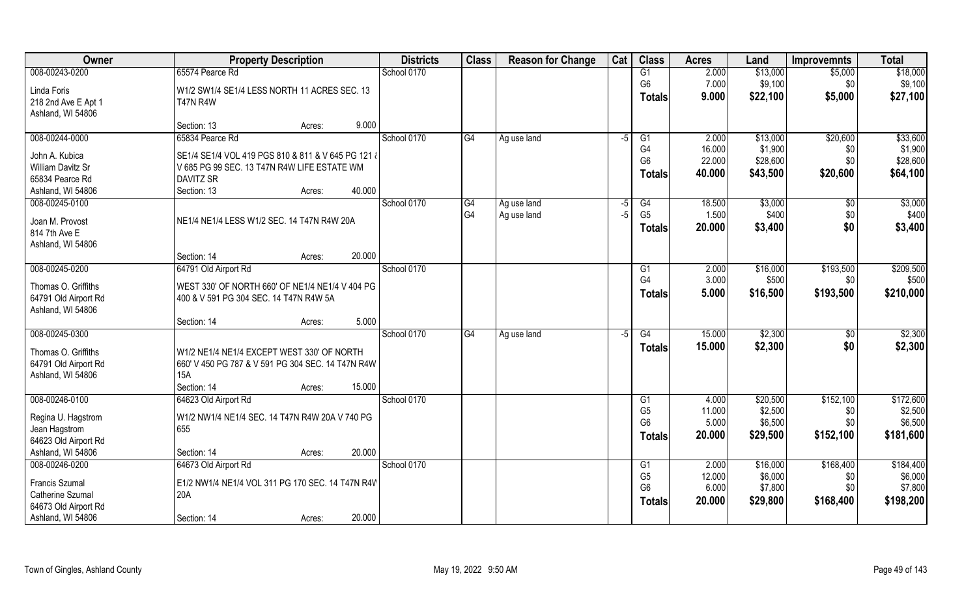| <b>Owner</b>             | <b>Property Description</b>                        | <b>Districts</b> | <b>Class</b> | <b>Reason for Change</b> | Cat  | <b>Class</b>    | <b>Acres</b> | Land     | <b>Improvemnts</b> | <b>Total</b> |
|--------------------------|----------------------------------------------------|------------------|--------------|--------------------------|------|-----------------|--------------|----------|--------------------|--------------|
| 008-00243-0200           | 65574 Pearce Rd                                    | School 0170      |              |                          |      | G1              | 2.000        | \$13,000 | \$5,000            | \$18,000     |
| Linda Foris              | W1/2 SW1/4 SE1/4 LESS NORTH 11 ACRES SEC. 13       |                  |              |                          |      | G <sub>6</sub>  | 7.000        | \$9,100  | \$0                | \$9,100      |
| 218 2nd Ave E Apt 1      | <b>T47N R4W</b>                                    |                  |              |                          |      | <b>Totals</b>   | 9.000        | \$22,100 | \$5,000            | \$27,100     |
| Ashland, WI 54806        |                                                    |                  |              |                          |      |                 |              |          |                    |              |
|                          | 9.000<br>Section: 13<br>Acres:                     |                  |              |                          |      |                 |              |          |                    |              |
| 008-00244-0000           | 65834 Pearce Rd                                    | School 0170      | G4           | Ag use land              | $-5$ | G1              | 2.000        | \$13,000 | \$20,600           | \$33,600     |
| John A. Kubica           | SE1/4 SE1/4 VOL 419 PGS 810 & 811 & V 645 PG 121 & |                  |              |                          |      | G4              | 16.000       | \$1,900  | \$0                | \$1,900      |
| <b>William Davitz Sr</b> | V 685 PG 99 SEC. 13 T47N R4W LIFE ESTATE WM        |                  |              |                          |      | G <sub>6</sub>  | 22.000       | \$28,600 | \$0                | \$28,600     |
| 65834 Pearce Rd          | DAVITZ SR                                          |                  |              |                          |      | <b>Totals</b>   | 40.000       | \$43,500 | \$20,600           | \$64,100     |
| Ashland, WI 54806        | 40.000<br>Section: 13<br>Acres:                    |                  |              |                          |      |                 |              |          |                    |              |
| 008-00245-0100           |                                                    | School 0170      | G4           | Ag use land              | $-5$ | G4              | 18.500       | \$3,000  | $\sqrt[6]{30}$     | \$3,000      |
| Joan M. Provost          | NE1/4 NE1/4 LESS W1/2 SEC. 14 T47N R4W 20A         |                  | G4           | Ag use land              | $-5$ | G <sub>5</sub>  | 1.500        | \$400    | \$0                | \$400        |
| 814 7th Ave E            |                                                    |                  |              |                          |      | <b>Totals</b>   | 20.000       | \$3,400  | \$0                | \$3,400      |
| Ashland, WI 54806        |                                                    |                  |              |                          |      |                 |              |          |                    |              |
|                          | 20.000<br>Section: 14<br>Acres:                    |                  |              |                          |      |                 |              |          |                    |              |
| 008-00245-0200           | 64791 Old Airport Rd                               | School 0170      |              |                          |      | G <sub>1</sub>  | 2.000        | \$16,000 | \$193,500          | \$209,500    |
| Thomas O. Griffiths      | WEST 330' OF NORTH 660' OF NE1/4 NE1/4 V 404 PG    |                  |              |                          |      | G <sub>4</sub>  | 3.000        | \$500    | \$0                | \$500        |
| 64791 Old Airport Rd     | 400 & V 591 PG 304 SEC. 14 T47N R4W 5A             |                  |              |                          |      | <b>Totals</b>   | 5.000        | \$16,500 | \$193,500          | \$210,000    |
| Ashland, WI 54806        |                                                    |                  |              |                          |      |                 |              |          |                    |              |
|                          | 5.000<br>Section: 14<br>Acres:                     |                  |              |                          |      |                 |              |          |                    |              |
| 008-00245-0300           |                                                    | School 0170      | G4           | Ag use land              | $-5$ | $\overline{G4}$ | 15.000       | \$2,300  | \$0                | \$2,300      |
| Thomas O. Griffiths      | W1/2 NE1/4 NE1/4 EXCEPT WEST 330' OF NORTH         |                  |              |                          |      | <b>Totals</b>   | 15,000       | \$2,300  | \$0                | \$2,300      |
| 64791 Old Airport Rd     | 660' V 450 PG 787 & V 591 PG 304 SEC. 14 T47N R4W  |                  |              |                          |      |                 |              |          |                    |              |
| Ashland, WI 54806        | 15A                                                |                  |              |                          |      |                 |              |          |                    |              |
|                          | Section: 14<br>15.000<br>Acres:                    |                  |              |                          |      |                 |              |          |                    |              |
| 008-00246-0100           | 64623 Old Airport Rd                               | School 0170      |              |                          |      | G1              | 4.000        | \$20,500 | \$152,100          | \$172,600    |
| Regina U. Hagstrom       | W1/2 NW1/4 NE1/4 SEC. 14 T47N R4W 20A V 740 PG     |                  |              |                          |      | G <sub>5</sub>  | 11.000       | \$2,500  | \$0                | \$2,500      |
| Jean Hagstrom            | 655                                                |                  |              |                          |      | G <sub>6</sub>  | 5.000        | \$6,500  | \$0                | \$6,500      |
| 64623 Old Airport Rd     |                                                    |                  |              |                          |      | <b>Totals</b>   | 20.000       | \$29,500 | \$152,100          | \$181,600    |
| Ashland, WI 54806        | 20.000<br>Section: 14<br>Acres:                    |                  |              |                          |      |                 |              |          |                    |              |
| 008-00246-0200           | 64673 Old Airport Rd                               | School 0170      |              |                          |      | G1              | 2.000        | \$16,000 | \$168,400          | \$184,400    |
| <b>Francis Szumal</b>    | E1/2 NW1/4 NE1/4 VOL 311 PG 170 SEC. 14 T47N R4W   |                  |              |                          |      | G <sub>5</sub>  | 12.000       | \$6,000  | \$0                | \$6,000      |
| <b>Catherine Szumal</b>  | 20A                                                |                  |              |                          |      | G <sub>6</sub>  | 6.000        | \$7,800  | \$0                | \$7,800      |
| 64673 Old Airport Rd     |                                                    |                  |              |                          |      | <b>Totals</b>   | 20.000       | \$29,800 | \$168,400          | \$198,200    |
| Ashland, WI 54806        | 20.000<br>Section: 14<br>Acres:                    |                  |              |                          |      |                 |              |          |                    |              |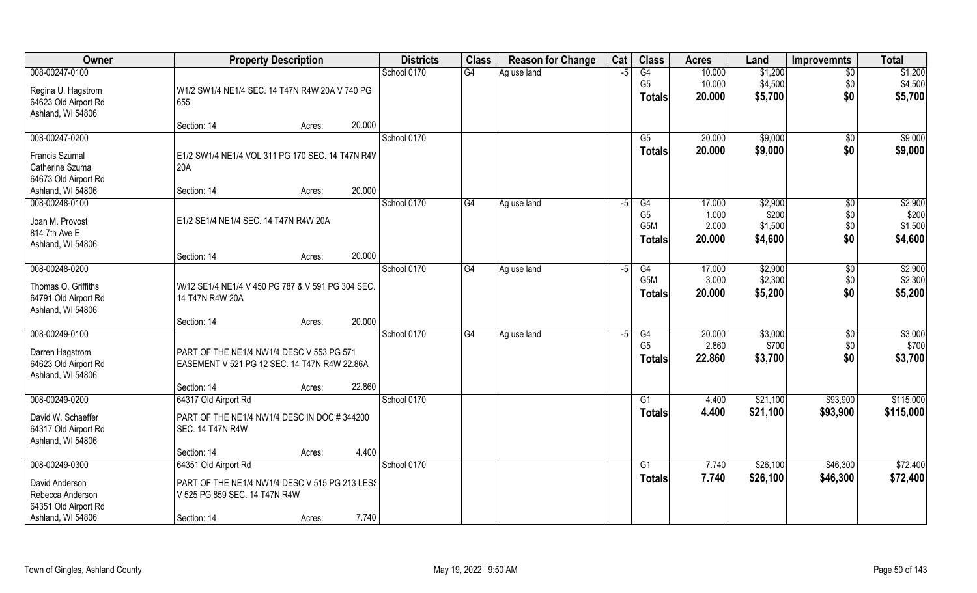| Owner                 | <b>Property Description</b>                       | <b>Districts</b> | <b>Class</b> | <b>Reason for Change</b> | Cat  | <b>Class</b>     | <b>Acres</b> | Land     | <b>Improvemnts</b> | <b>Total</b> |
|-----------------------|---------------------------------------------------|------------------|--------------|--------------------------|------|------------------|--------------|----------|--------------------|--------------|
| 008-00247-0100        |                                                   | School 0170      | G4           | Ag use land              | $-5$ | G4               | 10.000       | \$1,200  | $\overline{50}$    | \$1,200      |
| Regina U. Hagstrom    | W1/2 SW1/4 NE1/4 SEC. 14 T47N R4W 20A V 740 PG    |                  |              |                          |      | G <sub>5</sub>   | 10.000       | \$4,500  | \$0                | \$4,500      |
| 64623 Old Airport Rd  | 655                                               |                  |              |                          |      | <b>Totals</b>    | 20.000       | \$5,700  | \$0                | \$5,700      |
| Ashland, WI 54806     |                                                   |                  |              |                          |      |                  |              |          |                    |              |
|                       | 20.000<br>Section: 14<br>Acres:                   |                  |              |                          |      |                  |              |          |                    |              |
| 008-00247-0200        |                                                   | School 0170      |              |                          |      | G5               | 20.000       | \$9,000  | \$0                | \$9,000      |
| <b>Francis Szumal</b> | E1/2 SW1/4 NE1/4 VOL 311 PG 170 SEC. 14 T47N R4W  |                  |              |                          |      | Totals           | 20.000       | \$9,000  | \$0                | \$9,000      |
| Catherine Szumal      | 20A                                               |                  |              |                          |      |                  |              |          |                    |              |
| 64673 Old Airport Rd  |                                                   |                  |              |                          |      |                  |              |          |                    |              |
| Ashland, WI 54806     | 20.000<br>Section: 14<br>Acres:                   |                  |              |                          |      |                  |              |          |                    |              |
| 008-00248-0100        |                                                   | School 0170      | G4           | Ag use land              | -5   | G4               | 17.000       | \$2,900  | $\sqrt{6}$         | \$2,900      |
| Joan M. Provost       | E1/2 SE1/4 NE1/4 SEC. 14 T47N R4W 20A             |                  |              |                          |      | G <sub>5</sub>   | 1.000        | \$200    | \$0                | \$200        |
| 814 7th Ave E         |                                                   |                  |              |                          |      | G <sub>5</sub> M | 2.000        | \$1,500  | \$0                | \$1,500      |
| Ashland, WI 54806     |                                                   |                  |              |                          |      | <b>Totals</b>    | 20,000       | \$4,600  | \$0                | \$4,600      |
|                       | 20.000<br>Section: 14<br>Acres:                   |                  |              |                          |      |                  |              |          |                    |              |
| 008-00248-0200        |                                                   | School 0170      | G4           | Ag use land              | -5   | G4               | 17.000       | \$2,900  | \$0                | \$2,900      |
| Thomas O. Griffiths   | W/12 SE1/4 NE1/4 V 450 PG 787 & V 591 PG 304 SEC. |                  |              |                          |      | G <sub>5</sub> M | 3.000        | \$2,300  | \$0                | \$2,300      |
| 64791 Old Airport Rd  | 14 T47N R4W 20A                                   |                  |              |                          |      | <b>Totals</b>    | 20.000       | \$5,200  | \$0                | \$5,200      |
| Ashland, WI 54806     |                                                   |                  |              |                          |      |                  |              |          |                    |              |
|                       | 20.000<br>Section: 14<br>Acres:                   |                  |              |                          |      |                  |              |          |                    |              |
| 008-00249-0100        |                                                   | School 0170      | G4           | Ag use land              | $-5$ | $\overline{G4}$  | 20.000       | \$3,000  | $\sqrt[6]{30}$     | \$3,000      |
| Darren Hagstrom       | PART OF THE NE1/4 NW1/4 DESC V 553 PG 571         |                  |              |                          |      | G <sub>5</sub>   | 2.860        | \$700    | \$0                | \$700        |
| 64623 Old Airport Rd  | EASEMENT V 521 PG 12 SEC. 14 T47N R4W 22.86A      |                  |              |                          |      | <b>Totals</b>    | 22.860       | \$3,700  | \$0                | \$3,700      |
| Ashland, WI 54806     |                                                   |                  |              |                          |      |                  |              |          |                    |              |
|                       | 22.860<br>Section: 14<br>Acres:                   |                  |              |                          |      |                  |              |          |                    |              |
| 008-00249-0200        | 64317 Old Airport Rd                              | School 0170      |              |                          |      | G1               | 4.400        | \$21,100 | \$93,900           | \$115,000    |
| David W. Schaeffer    | PART OF THE NE1/4 NW1/4 DESC IN DOC #344200       |                  |              |                          |      | <b>Totals</b>    | 4.400        | \$21,100 | \$93,900           | \$115,000    |
| 64317 Old Airport Rd  | <b>SEC. 14 T47N R4W</b>                           |                  |              |                          |      |                  |              |          |                    |              |
| Ashland, WI 54806     |                                                   |                  |              |                          |      |                  |              |          |                    |              |
|                       | 4.400<br>Section: 14<br>Acres:                    |                  |              |                          |      |                  |              |          |                    |              |
| 008-00249-0300        | 64351 Old Airport Rd                              | School 0170      |              |                          |      | G1               | 7.740        | \$26,100 | \$46,300           | \$72,400     |
| David Anderson        | PART OF THE NE1/4 NW1/4 DESC V 515 PG 213 LESS    |                  |              |                          |      | <b>Totals</b>    | 7.740        | \$26,100 | \$46,300           | \$72,400     |
| Rebecca Anderson      | V 525 PG 859 SEC. 14 T47N R4W                     |                  |              |                          |      |                  |              |          |                    |              |
| 64351 Old Airport Rd  |                                                   |                  |              |                          |      |                  |              |          |                    |              |
| Ashland, WI 54806     | 7.740<br>Section: 14<br>Acres:                    |                  |              |                          |      |                  |              |          |                    |              |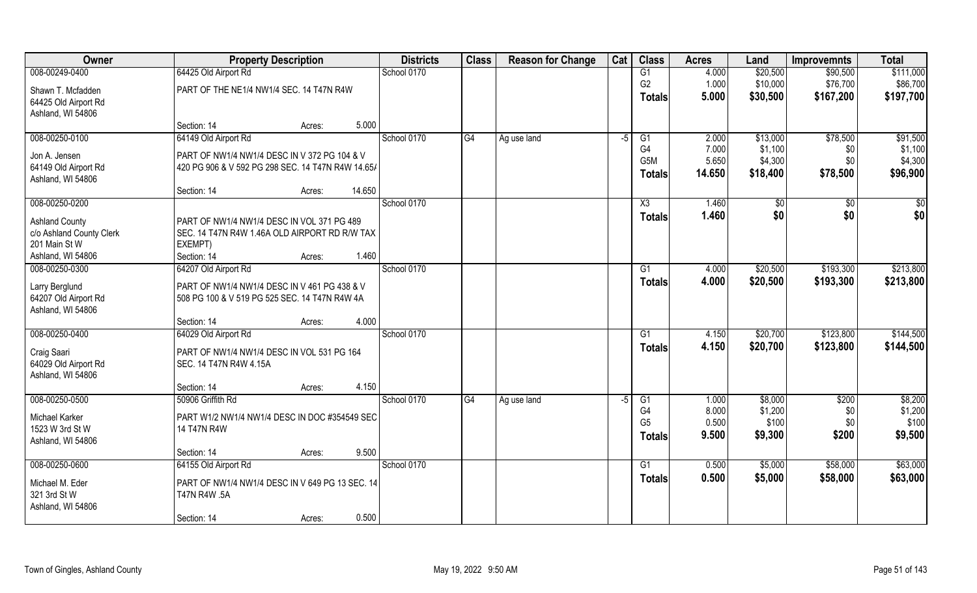| Owner                    | <b>Property Description</b>                       | <b>Districts</b> | <b>Class</b> | <b>Reason for Change</b> | Cat  | <b>Class</b>     | <b>Acres</b> | Land     | <b>Improvemnts</b> | <b>Total</b>    |
|--------------------------|---------------------------------------------------|------------------|--------------|--------------------------|------|------------------|--------------|----------|--------------------|-----------------|
| 008-00249-0400           | 64425 Old Airport Rd                              | School 0170      |              |                          |      | G1               | 4.000        | \$20,500 | \$90,500           | \$111,000       |
| Shawn T. Mcfadden        | PART OF THE NE1/4 NW1/4 SEC. 14 T47N R4W          |                  |              |                          |      | G <sub>2</sub>   | 1.000        | \$10,000 | \$76,700           | \$86,700        |
| 64425 Old Airport Rd     |                                                   |                  |              |                          |      | <b>Totals</b>    | 5.000        | \$30,500 | \$167,200          | \$197,700       |
| Ashland, WI 54806        |                                                   |                  |              |                          |      |                  |              |          |                    |                 |
|                          | 5.000<br>Section: 14<br>Acres:                    |                  |              |                          |      |                  |              |          |                    |                 |
| 008-00250-0100           | 64149 Old Airport Rd                              | School 0170      | G4           | Ag use land              | $-5$ | G1               | 2.000        | \$13,000 | \$78,500           | \$91,500        |
| Jon A. Jensen            | PART OF NW1/4 NW1/4 DESC IN V 372 PG 104 & V      |                  |              |                          |      | G <sub>4</sub>   | 7.000        | \$1,100  | \$0                | \$1,100         |
| 64149 Old Airport Rd     | 420 PG 906 & V 592 PG 298 SEC. 14 T47N R4W 14.65/ |                  |              |                          |      | G <sub>5</sub> M | 5.650        | \$4,300  | \$0                | \$4,300         |
| Ashland, WI 54806        |                                                   |                  |              |                          |      | <b>Totals</b>    | 14.650       | \$18,400 | \$78,500           | \$96,900        |
|                          | 14.650<br>Section: 14<br>Acres:                   |                  |              |                          |      |                  |              |          |                    |                 |
| 008-00250-0200           |                                                   | School 0170      |              |                          |      | X3               | 1.460        | \$0      | \$0                | $\overline{50}$ |
| <b>Ashland County</b>    | PART OF NW1/4 NW1/4 DESC IN VOL 371 PG 489        |                  |              |                          |      | <b>Totals</b>    | 1.460        | \$0      | \$0                | \$0             |
| c/o Ashland County Clerk | SEC. 14 T47N R4W 1.46A OLD AIRPORT RD R/W TAX     |                  |              |                          |      |                  |              |          |                    |                 |
| 201 Main St W            | EXEMPT)                                           |                  |              |                          |      |                  |              |          |                    |                 |
| Ashland, WI 54806        | 1.460<br>Section: 14<br>Acres:                    |                  |              |                          |      |                  |              |          |                    |                 |
| 008-00250-0300           | 64207 Old Airport Rd                              | School 0170      |              |                          |      | G1               | 4.000        | \$20,500 | \$193,300          | \$213,800       |
| Larry Berglund           | PART OF NW1/4 NW1/4 DESC IN V 461 PG 438 & V      |                  |              |                          |      | <b>Totals</b>    | 4.000        | \$20,500 | \$193,300          | \$213,800       |
| 64207 Old Airport Rd     | 508 PG 100 & V 519 PG 525 SEC. 14 T47N R4W 4A     |                  |              |                          |      |                  |              |          |                    |                 |
| Ashland, WI 54806        |                                                   |                  |              |                          |      |                  |              |          |                    |                 |
|                          | 4.000<br>Section: 14<br>Acres:                    |                  |              |                          |      |                  |              |          |                    |                 |
| 008-00250-0400           | 64029 Old Airport Rd                              | School 0170      |              |                          |      | $\overline{G1}$  | 4.150        | \$20,700 | \$123,800          | \$144,500       |
| Craig Saari              | PART OF NW1/4 NW1/4 DESC IN VOL 531 PG 164        |                  |              |                          |      | Totals           | 4.150        | \$20,700 | \$123,800          | \$144,500       |
| 64029 Old Airport Rd     | SEC. 14 T47N R4W 4.15A                            |                  |              |                          |      |                  |              |          |                    |                 |
| Ashland, WI 54806        |                                                   |                  |              |                          |      |                  |              |          |                    |                 |
|                          | 4.150<br>Section: 14<br>Acres:                    |                  |              |                          |      |                  |              |          |                    |                 |
| 008-00250-0500           | 50906 Griffith Rd                                 | School 0170      | G4           | Ag use land              | $-5$ | G1               | 1.000        | \$8,000  | \$200              | \$8,200         |
| Michael Karker           | PART W1/2 NW1/4 NW1/4 DESC IN DOC #354549 SEC     |                  |              |                          |      | G4               | 8.000        | \$1,200  | \$0                | \$1,200         |
| 1523 W 3rd St W          | 14 T47N R4W                                       |                  |              |                          |      | G <sub>5</sub>   | 0.500        | \$100    | \$0                | \$100           |
| Ashland, WI 54806        |                                                   |                  |              |                          |      | Totals           | 9.500        | \$9,300  | \$200              | \$9,500         |
|                          | 9.500<br>Section: 14<br>Acres:                    |                  |              |                          |      |                  |              |          |                    |                 |
| 008-00250-0600           | 64155 Old Airport Rd                              | School 0170      |              |                          |      | G1               | 0.500        | \$5,000  | \$58,000           | \$63,000        |
| Michael M. Eder          | PART OF NW1/4 NW1/4 DESC IN V 649 PG 13 SEC. 14   |                  |              |                          |      | Totals           | 0.500        | \$5,000  | \$58,000           | \$63,000        |
| 321 3rd St W             | T47N R4W .5A                                      |                  |              |                          |      |                  |              |          |                    |                 |
| Ashland, WI 54806        |                                                   |                  |              |                          |      |                  |              |          |                    |                 |
|                          | 0.500<br>Section: 14<br>Acres:                    |                  |              |                          |      |                  |              |          |                    |                 |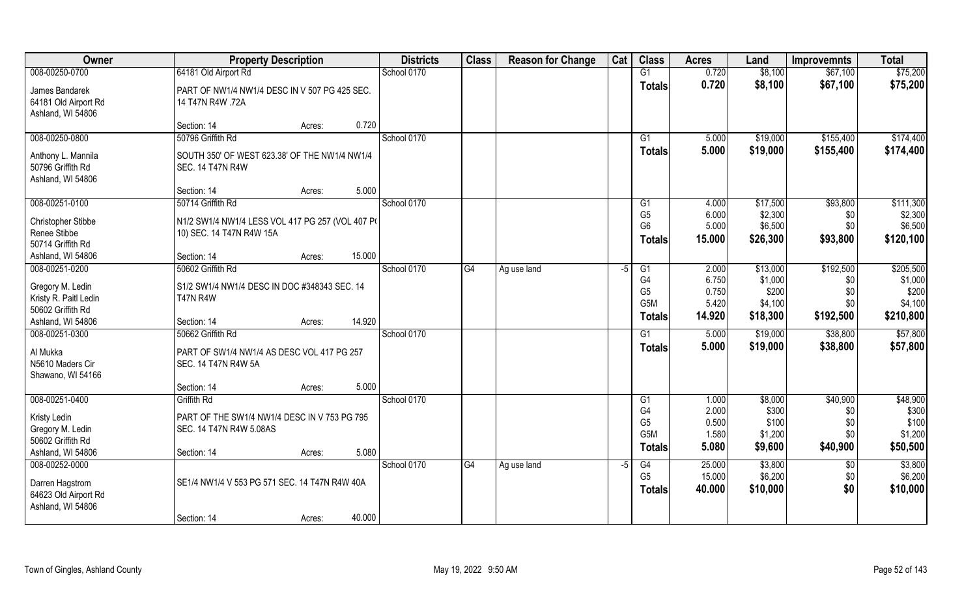| Owner                                                        | <b>Property Description</b>                                              |        | <b>Districts</b> | <b>Class</b> | <b>Reason for Change</b> | Cat | <b>Class</b>         | <b>Acres</b>    | Land             | <b>Improvemnts</b> | <b>Total</b>         |
|--------------------------------------------------------------|--------------------------------------------------------------------------|--------|------------------|--------------|--------------------------|-----|----------------------|-----------------|------------------|--------------------|----------------------|
| 008-00250-0700                                               | 64181 Old Airport Rd                                                     |        | School 0170      |              |                          |     | G1                   | 0.720           | \$8,100          | \$67,100           | \$75,200             |
| James Bandarek<br>64181 Old Airport Rd<br>Ashland, WI 54806  | PART OF NW1/4 NW1/4 DESC IN V 507 PG 425 SEC.<br>14 T47N R4W .72A        |        |                  |              |                          |     | <b>Totals</b>        | 0.720           | \$8,100          | \$67,100           | \$75,200             |
|                                                              | Section: 14<br>Acres:                                                    | 0.720  |                  |              |                          |     |                      |                 |                  |                    |                      |
| 008-00250-0800                                               | 50796 Griffith Rd                                                        |        | School 0170      |              |                          |     | $\overline{G1}$      | 5.000           | \$19,000         | \$155,400          | \$174,400            |
| Anthony L. Mannila<br>50796 Griffith Rd<br>Ashland, WI 54806 | SOUTH 350' OF WEST 623.38' OF THE NW1/4 NW1/4<br><b>SEC. 14 T47N R4W</b> |        |                  |              |                          |     | Totals               | 5.000           | \$19,000         | \$155,400          | \$174,400            |
|                                                              | Section: 14<br>Acres:                                                    | 5.000  |                  |              |                          |     |                      |                 |                  |                    |                      |
| 008-00251-0100                                               | 50714 Griffith Rd                                                        |        | School 0170      |              |                          |     | G1                   | 4.000           | \$17,500         | \$93,800           | \$111,300            |
| <b>Christopher Stibbe</b>                                    | N1/2 SW1/4 NW1/4 LESS VOL 417 PG 257 (VOL 407 PO                         |        |                  |              |                          |     | G <sub>5</sub>       | 6.000           | \$2,300          | \$0                | \$2,300              |
| Renee Stibbe                                                 | 10) SEC. 14 T47N R4W 15A                                                 |        |                  |              |                          |     | G <sub>6</sub>       | 5.000<br>15,000 | \$6,500          | \$0<br>\$93,800    | \$6,500<br>\$120,100 |
| 50714 Griffith Rd                                            |                                                                          |        |                  |              |                          |     | <b>Totals</b>        |                 | \$26,300         |                    |                      |
| Ashland, WI 54806                                            | Section: 14<br>Acres:                                                    | 15.000 |                  |              |                          |     |                      |                 |                  |                    |                      |
| 008-00251-0200                                               | 50602 Griffith Rd                                                        |        | School 0170      | G4           | Ag use land              | -5  | G1                   | 2.000           | \$13,000         | \$192,500          | \$205,500            |
| Gregory M. Ledin                                             | S1/2 SW1/4 NW1/4 DESC IN DOC #348343 SEC. 14                             |        |                  |              |                          |     | G4<br>G <sub>5</sub> | 6.750<br>0.750  | \$1,000<br>\$200 | \$0                | \$1,000<br>\$200     |
| Kristy R. Paitl Ledin                                        | <b>T47N R4W</b>                                                          |        |                  |              |                          |     | G <sub>5</sub> M     | 5.420           | \$4,100          | \$0<br>\$0         | \$4,100              |
| 50602 Griffith Rd                                            |                                                                          |        |                  |              |                          |     | <b>Totals</b>        | 14.920          | \$18,300         | \$192,500          | \$210,800            |
| Ashland, WI 54806                                            | Section: 14<br>Acres:                                                    | 14.920 |                  |              |                          |     |                      |                 |                  |                    |                      |
| 008-00251-0300                                               | 50662 Griffith Rd                                                        |        | School 0170      |              |                          |     | G1                   | 5.000           | \$19,000         | \$38,800           | \$57,800             |
| Al Mukka<br>N5610 Maders Cir<br>Shawano, WI 54166            | PART OF SW1/4 NW1/4 AS DESC VOL 417 PG 257<br>SEC. 14 T47N R4W 5A        |        |                  |              |                          |     | <b>Totals</b>        | 5.000           | \$19,000         | \$38,800           | \$57,800             |
|                                                              | Section: 14<br>Acres:                                                    | 5.000  |                  |              |                          |     |                      |                 |                  |                    |                      |
| 008-00251-0400                                               | Griffith Rd                                                              |        | School 0170      |              |                          |     | G1                   | 1.000           | \$8,000          | \$40,900           | \$48,900             |
|                                                              |                                                                          |        |                  |              |                          |     | G4                   | 2.000           | \$300            | \$0                | \$300                |
| Kristy Ledin<br>Gregory M. Ledin                             | PART OF THE SW1/4 NW1/4 DESC IN V 753 PG 795<br>SEC. 14 T47N R4W 5.08AS  |        |                  |              |                          |     | G <sub>5</sub>       | 0.500           | \$100            | \$0                | \$100                |
| 50602 Griffith Rd                                            |                                                                          |        |                  |              |                          |     | G <sub>5</sub> M     | 1.580           | \$1,200          | \$0                | \$1,200              |
| Ashland, WI 54806                                            | Section: 14<br>Acres:                                                    | 5.080  |                  |              |                          |     | Totals               | 5.080           | \$9,600          | \$40,900           | \$50,500             |
| 008-00252-0000                                               |                                                                          |        | School 0170      | G4           | Ag use land              | -5  | G4                   | 25.000          | \$3,800          | $\sqrt{$0}$        | \$3,800              |
| Darren Hagstrom                                              | SE1/4 NW1/4 V 553 PG 571 SEC. 14 T47N R4W 40A                            |        |                  |              |                          |     | G <sub>5</sub>       | 15.000          | \$6,200          | \$0                | \$6,200              |
| 64623 Old Airport Rd<br>Ashland, WI 54806                    |                                                                          |        |                  |              |                          |     | <b>Totals</b>        | 40.000          | \$10,000         | \$0                | \$10,000             |
|                                                              | Section: 14<br>Acres:                                                    | 40.000 |                  |              |                          |     |                      |                 |                  |                    |                      |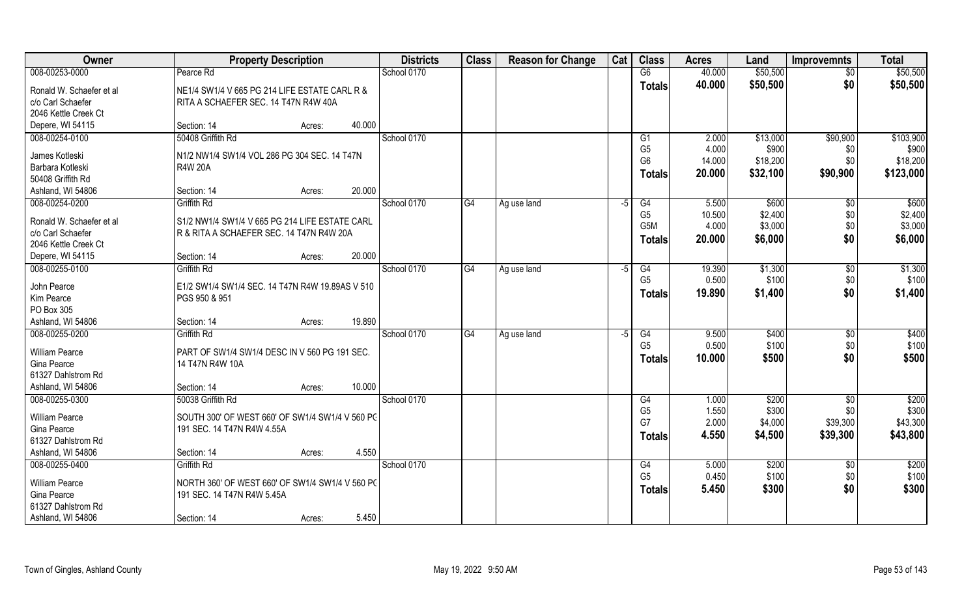| Owner                                         | <b>Property Description</b>                                                           | <b>Districts</b> | <b>Class</b> | <b>Reason for Change</b> | Cat  | <b>Class</b>   | <b>Acres</b> | Land     | <b>Improvemnts</b> | <b>Total</b> |
|-----------------------------------------------|---------------------------------------------------------------------------------------|------------------|--------------|--------------------------|------|----------------|--------------|----------|--------------------|--------------|
| 008-00253-0000                                | Pearce Rd                                                                             | School 0170      |              |                          |      | G6             | 40.000       | \$50,500 | \$0                | \$50,500     |
| Ronald W. Schaefer et al<br>c/o Carl Schaefer | NE1/4 SW1/4 V 665 PG 214 LIFE ESTATE CARL R &<br>RITA A SCHAEFER SEC. 14 T47N R4W 40A |                  |              |                          |      | <b>Totals</b>  | 40.000       | \$50,500 | \$0                | \$50,500     |
| 2046 Kettle Creek Ct                          |                                                                                       |                  |              |                          |      |                |              |          |                    |              |
| Depere, WI 54115                              | 40.000<br>Section: 14<br>Acres:                                                       |                  |              |                          |      |                |              |          |                    |              |
| 008-00254-0100                                | 50408 Griffith Rd                                                                     | School 0170      |              |                          |      | G1             | 2.000        | \$13,000 | \$90,900           | \$103,900    |
| James Kotleski                                | N1/2 NW1/4 SW1/4 VOL 286 PG 304 SEC. 14 T47N                                          |                  |              |                          |      | G <sub>5</sub> | 4.000        | \$900    | \$0                | \$900        |
| Barbara Kotleski                              | <b>R4W 20A</b>                                                                        |                  |              |                          |      | G <sub>6</sub> | 14.000       | \$18,200 | \$0                | \$18,200     |
| 50408 Griffith Rd                             |                                                                                       |                  |              |                          |      | <b>Totals</b>  | 20.000       | \$32,100 | \$90,900           | \$123,000    |
| Ashland, WI 54806                             | 20.000<br>Section: 14<br>Acres:                                                       |                  |              |                          |      |                |              |          |                    |              |
| 008-00254-0200                                | <b>Griffith Rd</b>                                                                    | School 0170      | G4           | Ag use land              | $-5$ | G4             | 5.500        | \$600    | $\sqrt{6}$         | \$600        |
| Ronald W. Schaefer et al                      | S1/2 NW1/4 SW1/4 V 665 PG 214 LIFE ESTATE CARL                                        |                  |              |                          |      | G <sub>5</sub> | 10.500       | \$2,400  | \$0                | \$2,400      |
| c/o Carl Schaefer                             | R & RITA A SCHAEFER SEC. 14 T47N R4W 20A                                              |                  |              |                          |      | G5M            | 4.000        | \$3,000  | \$0                | \$3,000      |
| 2046 Kettle Creek Ct                          |                                                                                       |                  |              |                          |      | <b>Totals</b>  | 20.000       | \$6,000  | \$0                | \$6,000      |
| Depere, WI 54115                              | 20.000<br>Section: 14<br>Acres:                                                       |                  |              |                          |      |                |              |          |                    |              |
| 008-00255-0100                                | <b>Griffith Rd</b>                                                                    | School 0170      | G4           | Ag use land              | -5   | G4             | 19.390       | \$1,300  | $\sqrt[6]{3}$      | \$1,300      |
| John Pearce                                   | E1/2 SW1/4 SW1/4 SEC. 14 T47N R4W 19.89AS V 510                                       |                  |              |                          |      | G <sub>5</sub> | 0.500        | \$100    | \$0                | \$100        |
| Kim Pearce                                    | PGS 950 & 951                                                                         |                  |              |                          |      | <b>Totals</b>  | 19.890       | \$1,400  | \$0                | \$1,400      |
| PO Box 305                                    |                                                                                       |                  |              |                          |      |                |              |          |                    |              |
| Ashland, WI 54806                             | 19.890<br>Section: 14<br>Acres:                                                       |                  |              |                          |      |                |              |          |                    |              |
| 008-00255-0200                                | <b>Griffith Rd</b>                                                                    | School 0170      | G4           | Ag use land              | $-5$ | G4             | 9.500        | \$400    | \$0                | \$400        |
| William Pearce                                | PART OF SW1/4 SW1/4 DESC IN V 560 PG 191 SEC.                                         |                  |              |                          |      | G <sub>5</sub> | 0.500        | \$100    | \$0                | \$100        |
| Gina Pearce                                   | 14 T47N R4W 10A                                                                       |                  |              |                          |      | <b>Totals</b>  | 10.000       | \$500    | \$0                | \$500        |
| 61327 Dahlstrom Rd                            |                                                                                       |                  |              |                          |      |                |              |          |                    |              |
| Ashland, WI 54806                             | 10.000<br>Section: 14<br>Acres:                                                       |                  |              |                          |      |                |              |          |                    |              |
| 008-00255-0300                                | 50038 Griffith Rd                                                                     | School 0170      |              |                          |      | G4             | 1.000        | \$200    | \$0                | \$200        |
| William Pearce                                | SOUTH 300' OF WEST 660' OF SW1/4 SW1/4 V 560 PC                                       |                  |              |                          |      | G <sub>5</sub> | 1.550        | \$300    | \$0                | \$300        |
| Gina Pearce                                   | 191 SEC. 14 T47N R4W 4.55A                                                            |                  |              |                          |      | G7             | 2.000        | \$4,000  | \$39,300           | \$43,300     |
| 61327 Dahlstrom Rd                            |                                                                                       |                  |              |                          |      | <b>Totals</b>  | 4.550        | \$4,500  | \$39,300           | \$43,800     |
| Ashland, WI 54806                             | 4.550<br>Section: 14<br>Acres:                                                        |                  |              |                          |      |                |              |          |                    |              |
| 008-00255-0400                                | <b>Griffith Rd</b>                                                                    | School 0170      |              |                          |      | G4             | 5.000        | \$200    | $\overline{60}$    | \$200        |
| William Pearce                                | NORTH 360' OF WEST 660' OF SW1/4 SW1/4 V 560 PC                                       |                  |              |                          |      | G <sub>5</sub> | 0.450        | \$100    | \$0                | \$100        |
| Gina Pearce                                   | 191 SEC. 14 T47N R4W 5.45A                                                            |                  |              |                          |      | <b>Totals</b>  | 5.450        | \$300    | \$0                | \$300        |
| 61327 Dahlstrom Rd                            |                                                                                       |                  |              |                          |      |                |              |          |                    |              |
| Ashland, WI 54806                             | 5.450<br>Section: 14<br>Acres:                                                        |                  |              |                          |      |                |              |          |                    |              |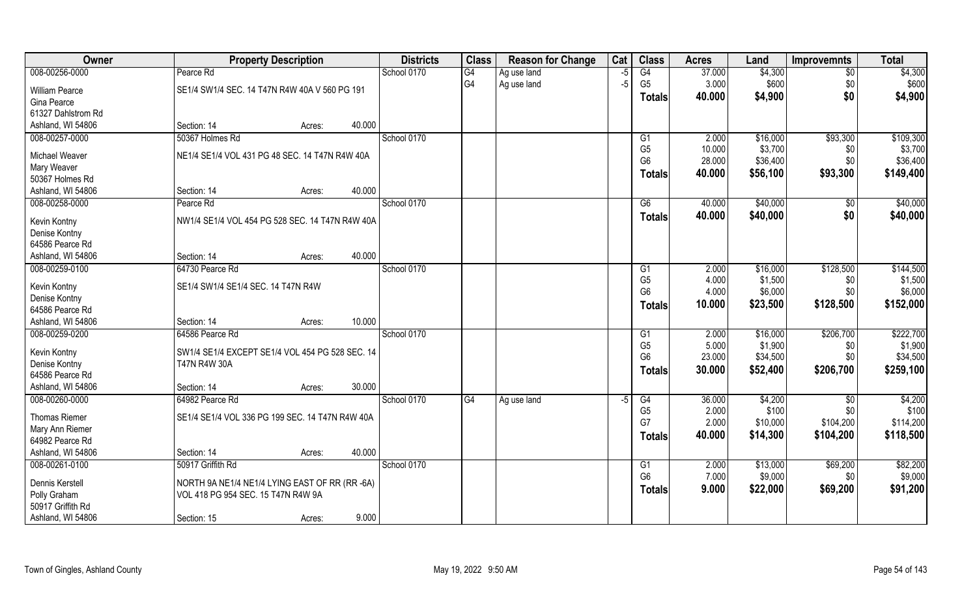| Owner                | <b>Property Description</b>                                                          |                  | <b>Districts</b> | <b>Class</b>           | <b>Reason for Change</b> | Cat  | <b>Class</b>   | <b>Acres</b> | Land     | <b>Improvemnts</b> | <b>Total</b> |
|----------------------|--------------------------------------------------------------------------------------|------------------|------------------|------------------------|--------------------------|------|----------------|--------------|----------|--------------------|--------------|
| 008-00256-0000       | Pearce Rd                                                                            |                  | School 0170      | G4                     | Ag use land              | $-5$ | G4             | 37.000       | \$4,300  | $\overline{50}$    | \$4,300      |
| William Pearce       | SE1/4 SW1/4 SEC. 14 T47N R4W 40A V 560 PG 191                                        |                  |                  | G4                     | Ag use land              | $-5$ | G <sub>5</sub> | 3.000        | \$600    | \$0                | \$600        |
| Gina Pearce          |                                                                                      |                  |                  |                        |                          |      | <b>Totals</b>  | 40.000       | \$4,900  | \$0                | \$4,900      |
| 61327 Dahlstrom Rd   |                                                                                      |                  |                  |                        |                          |      |                |              |          |                    |              |
| Ashland, WI 54806    | Section: 14                                                                          | 40.000<br>Acres: |                  |                        |                          |      |                |              |          |                    |              |
| 008-00257-0000       | 50367 Holmes Rd                                                                      |                  | School 0170      |                        |                          |      | G1             | 2.000        | \$16,000 | \$93,300           | \$109,300    |
| Michael Weaver       | NE1/4 SE1/4 VOL 431 PG 48 SEC. 14 T47N R4W 40A                                       |                  |                  |                        |                          |      | G <sub>5</sub> | 10.000       | \$3,700  | \$0                | \$3,700      |
| Mary Weaver          |                                                                                      |                  |                  |                        |                          |      | G <sub>6</sub> | 28.000       | \$36,400 | \$0                | \$36,400     |
| 50367 Holmes Rd      |                                                                                      |                  |                  |                        |                          |      | <b>Totals</b>  | 40.000       | \$56,100 | \$93,300           | \$149,400    |
| Ashland, WI 54806    | Section: 14                                                                          | 40.000<br>Acres: |                  |                        |                          |      |                |              |          |                    |              |
| 008-00258-0000       | Pearce Rd                                                                            |                  | School 0170      |                        |                          |      | G6             | 40.000       | \$40,000 | $\sqrt[6]{30}$     | \$40,000     |
| Kevin Kontny         | NW1/4 SE1/4 VOL 454 PG 528 SEC. 14 T47N R4W 40A                                      |                  |                  |                        |                          |      | <b>Totals</b>  | 40.000       | \$40,000 | \$0                | \$40,000     |
| Denise Kontny        |                                                                                      |                  |                  |                        |                          |      |                |              |          |                    |              |
| 64586 Pearce Rd      |                                                                                      |                  |                  |                        |                          |      |                |              |          |                    |              |
| Ashland, WI 54806    | Section: 14                                                                          | 40.000<br>Acres: |                  |                        |                          |      |                |              |          |                    |              |
| 008-00259-0100       | 64730 Pearce Rd                                                                      |                  | School 0170      |                        |                          |      | G <sub>1</sub> | 2.000        | \$16,000 | \$128,500          | \$144,500    |
| Kevin Kontny         | SE1/4 SW1/4 SE1/4 SEC. 14 T47N R4W                                                   |                  |                  |                        |                          |      | G <sub>5</sub> | 4.000        | \$1,500  | \$0                | \$1,500      |
| Denise Kontny        |                                                                                      |                  |                  |                        |                          |      | G <sub>6</sub> | 4.000        | \$6,000  | \$0                | \$6,000      |
| 64586 Pearce Rd      |                                                                                      |                  |                  |                        |                          |      | <b>Totals</b>  | 10.000       | \$23,500 | \$128,500          | \$152,000    |
| Ashland, WI 54806    | Section: 14                                                                          | 10.000<br>Acres: |                  |                        |                          |      |                |              |          |                    |              |
| 008-00259-0200       | 64586 Pearce Rd                                                                      |                  | School 0170      |                        |                          |      | G1             | 2.000        | \$16,000 | \$206,700          | \$222,700    |
| Kevin Kontny         | SW1/4 SE1/4 EXCEPT SE1/4 VOL 454 PG 528 SEC. 14                                      |                  |                  |                        |                          |      | G <sub>5</sub> | 5.000        | \$1,900  | \$0                | \$1,900      |
| Denise Kontny        | <b>T47N R4W 30A</b>                                                                  |                  |                  |                        |                          |      | G <sub>6</sub> | 23.000       | \$34,500 | \$0                | \$34,500     |
| 64586 Pearce Rd      |                                                                                      |                  |                  |                        |                          |      | <b>Totals</b>  | 30.000       | \$52,400 | \$206,700          | \$259,100    |
| Ashland, WI 54806    | Section: 14                                                                          | 30.000<br>Acres: |                  |                        |                          |      |                |              |          |                    |              |
| 008-00260-0000       | 64982 Pearce Rd                                                                      |                  | School 0170      | $\overline{\text{G4}}$ | Ag use land              | -5   | G4             | 36.000       | \$4,200  | \$0                | \$4,200      |
| <b>Thomas Riemer</b> | SE1/4 SE1/4 VOL 336 PG 199 SEC. 14 T47N R4W 40A                                      |                  |                  |                        |                          |      | G <sub>5</sub> | 2.000        | \$100    | \$0                | \$100        |
| Mary Ann Riemer      |                                                                                      |                  |                  |                        |                          |      | G7             | 2.000        | \$10,000 | \$104,200          | \$114,200    |
| 64982 Pearce Rd      |                                                                                      |                  |                  |                        |                          |      | <b>Totals</b>  | 40.000       | \$14,300 | \$104,200          | \$118,500    |
| Ashland, WI 54806    | Section: 14                                                                          | 40.000<br>Acres: |                  |                        |                          |      |                |              |          |                    |              |
| 008-00261-0100       | 50917 Griffith Rd                                                                    |                  | School 0170      |                        |                          |      | G1             | 2.000        | \$13,000 | \$69,200           | \$82,200     |
| Dennis Kerstell      |                                                                                      |                  |                  |                        |                          |      | G <sub>6</sub> | 7.000        | \$9,000  | \$0                | \$9,000      |
| Polly Graham         | NORTH 9A NE1/4 NE1/4 LYING EAST OF RR (RR -6A)<br>VOL 418 PG 954 SEC. 15 T47N R4W 9A |                  |                  |                        |                          |      | <b>Totals</b>  | 9.000        | \$22,000 | \$69,200           | \$91,200     |
| 50917 Griffith Rd    |                                                                                      |                  |                  |                        |                          |      |                |              |          |                    |              |
| Ashland, WI 54806    | Section: 15                                                                          | 9.000<br>Acres:  |                  |                        |                          |      |                |              |          |                    |              |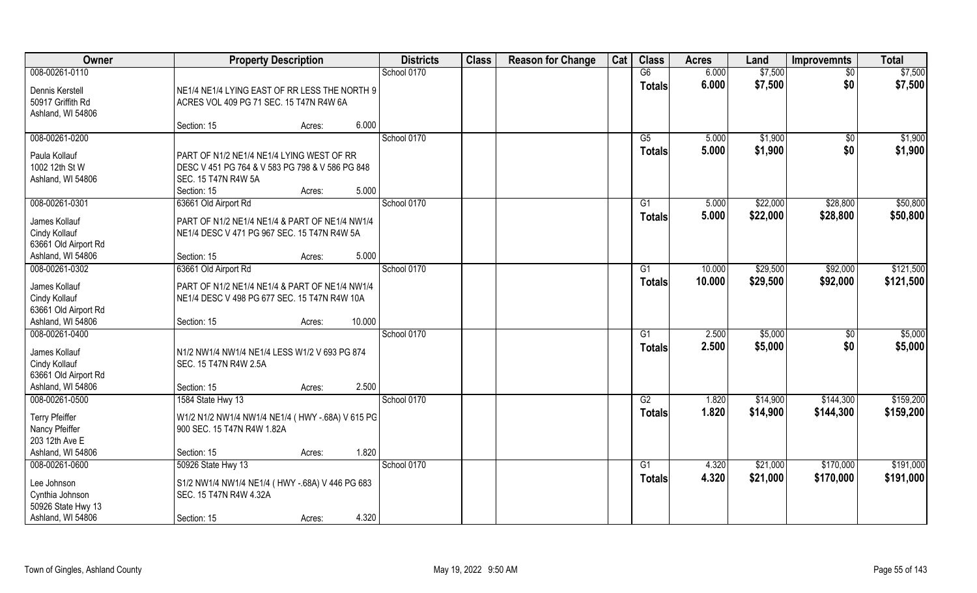| Owner                                                     | <b>Property Description</b>                                                                                                                           | <b>Districts</b> | <b>Class</b> | <b>Reason for Change</b> | Cat | <b>Class</b>        | <b>Acres</b>   | Land               | <b>Improvemnts</b> | <b>Total</b>       |
|-----------------------------------------------------------|-------------------------------------------------------------------------------------------------------------------------------------------------------|------------------|--------------|--------------------------|-----|---------------------|----------------|--------------------|--------------------|--------------------|
| 008-00261-0110                                            |                                                                                                                                                       | School 0170      |              |                          |     | G6                  | 6.000          | \$7,500            | \$0                | \$7,500            |
| Dennis Kerstell<br>50917 Griffith Rd<br>Ashland, WI 54806 | NE1/4 NE1/4 LYING EAST OF RR LESS THE NORTH 9<br>ACRES VOL 409 PG 71 SEC. 15 T47N R4W 6A                                                              |                  |              |                          |     | <b>Totals</b>       | 6.000          | \$7,500            | \$0                | \$7,500            |
|                                                           | 6.000<br>Section: 15<br>Acres:                                                                                                                        |                  |              |                          |     |                     |                |                    |                    |                    |
| 008-00261-0200                                            |                                                                                                                                                       | School 0170      |              |                          |     | G5<br><b>Totals</b> | 5.000<br>5.000 | \$1,900<br>\$1,900 | \$0<br>\$0         | \$1,900<br>\$1,900 |
| Paula Kollauf<br>1002 12th St W<br>Ashland, WI 54806      | PART OF N1/2 NE1/4 NE1/4 LYING WEST OF RR<br>DESC V 451 PG 764 & V 583 PG 798 & V 586 PG 848<br>SEC. 15 T47N R4W 5A<br>5.000<br>Section: 15<br>Acres: |                  |              |                          |     |                     |                |                    |                    |                    |
| 008-00261-0301                                            | 63661 Old Airport Rd                                                                                                                                  | School 0170      |              |                          |     | G1                  | 5.000          | \$22,000           | \$28,800           | \$50,800           |
| James Kollauf<br>Cindy Kollauf<br>63661 Old Airport Rd    | PART OF N1/2 NE1/4 NE1/4 & PART OF NE1/4 NW1/4<br>NE1/4 DESC V 471 PG 967 SEC. 15 T47N R4W 5A                                                         |                  |              |                          |     | <b>Totals</b>       | 5.000          | \$22,000           | \$28,800           | \$50,800           |
| Ashland, WI 54806                                         | 5.000<br>Section: 15<br>Acres:                                                                                                                        |                  |              |                          |     |                     |                |                    |                    |                    |
| 008-00261-0302                                            | 63661 Old Airport Rd                                                                                                                                  | School 0170      |              |                          |     | G <sub>1</sub>      | 10.000         | \$29,500           | \$92,000           | \$121,500          |
| James Kollauf<br>Cindy Kollauf<br>63661 Old Airport Rd    | PART OF N1/2 NE1/4 NE1/4 & PART OF NE1/4 NW1/4<br>NE1/4 DESC V 498 PG 677 SEC. 15 T47N R4W 10A                                                        |                  |              |                          |     | <b>Totals</b>       | 10.000         | \$29,500           | \$92,000           | \$121,500          |
| Ashland, WI 54806                                         | 10.000<br>Section: 15<br>Acres:                                                                                                                       |                  |              |                          |     |                     |                |                    |                    |                    |
| 008-00261-0400                                            |                                                                                                                                                       | School 0170      |              |                          |     | G1                  | 2.500          | \$5,000            | $\sqrt[6]{30}$     | \$5,000            |
| James Kollauf<br>Cindy Kollauf<br>63661 Old Airport Rd    | N1/2 NW1/4 NW1/4 NE1/4 LESS W1/2 V 693 PG 874<br>SEC. 15 T47N R4W 2.5A                                                                                |                  |              |                          |     | <b>Totals</b>       | 2.500          | \$5,000            | \$0                | \$5,000            |
| Ashland, WI 54806                                         | 2.500<br>Section: 15<br>Acres:                                                                                                                        |                  |              |                          |     |                     |                |                    |                    |                    |
| 008-00261-0500                                            | 1584 State Hwy 13                                                                                                                                     | School 0170      |              |                          |     | G2                  | 1.820          | \$14,900           | \$144,300          | \$159,200          |
| <b>Terry Pfeiffer</b><br>Nancy Pfeiffer<br>203 12th Ave E | W1/2 N1/2 NW1/4 NW1/4 NE1/4 (HWY -.68A) V 615 PG<br>900 SEC. 15 T47N R4W 1.82A                                                                        |                  |              |                          |     | <b>Totals</b>       | 1.820          | \$14,900           | \$144,300          | \$159,200          |
| Ashland, WI 54806                                         | 1.820<br>Section: 15<br>Acres:                                                                                                                        |                  |              |                          |     |                     |                |                    |                    |                    |
| 008-00261-0600                                            | 50926 State Hwy 13                                                                                                                                    | School 0170      |              |                          |     | G1                  | 4.320          | \$21,000           | \$170,000          | \$191,000          |
| Lee Johnson<br>Cynthia Johnson<br>50926 State Hwy 13      | S1/2 NW1/4 NW1/4 NE1/4 (HWY -.68A) V 446 PG 683<br>SEC. 15 T47N R4W 4.32A                                                                             |                  |              |                          |     | <b>Totals</b>       | 4.320          | \$21,000           | \$170,000          | \$191,000          |
| Ashland, WI 54806                                         | 4.320<br>Section: 15<br>Acres:                                                                                                                        |                  |              |                          |     |                     |                |                    |                    |                    |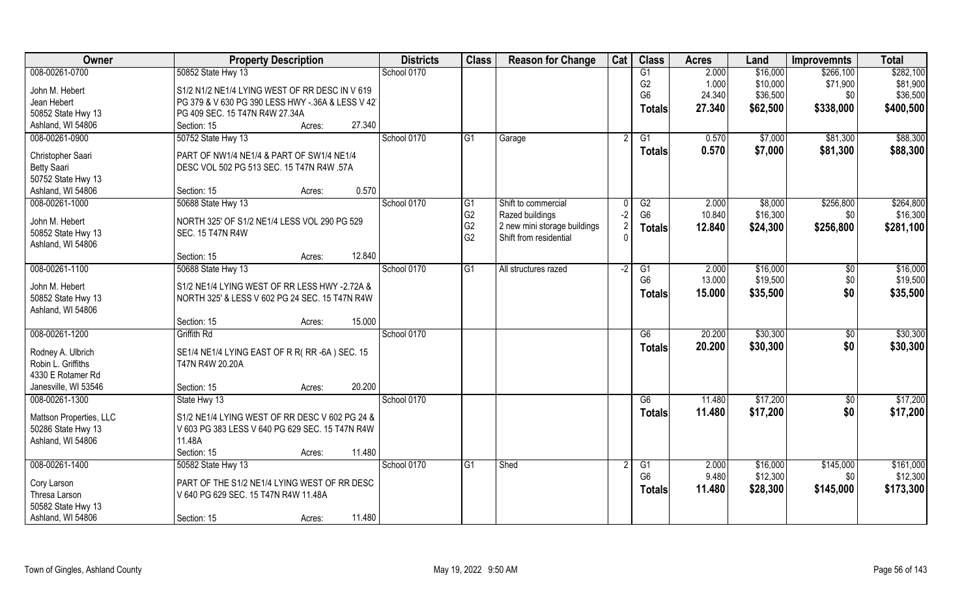| Owner                                   | <b>Property Description</b>                                             | <b>Districts</b> | <b>Class</b>   | <b>Reason for Change</b>     | Cat  | <b>Class</b>    | <b>Acres</b> | Land     | <b>Improvemnts</b> | <b>Total</b> |
|-----------------------------------------|-------------------------------------------------------------------------|------------------|----------------|------------------------------|------|-----------------|--------------|----------|--------------------|--------------|
| 008-00261-0700                          | 50852 State Hwy 13                                                      | School 0170      |                |                              |      | G1              | 2.000        | \$16,000 | \$266,100          | \$282,100    |
| John M. Hebert                          | S1/2 N1/2 NE1/4 LYING WEST OF RR DESC IN V 619                          |                  |                |                              |      | G <sub>2</sub>  | 1.000        | \$10,000 | \$71,900           | \$81,900     |
| Jean Hebert                             | PG 379 & V 630 PG 390 LESS HWY -.36A & LESS V 42                        |                  |                |                              |      | G <sub>6</sub>  | 24.340       | \$36,500 | \$0                | \$36,500     |
| 50852 State Hwy 13                      | PG 409 SEC. 15 T47N R4W 27.34A                                          |                  |                |                              |      | <b>Totals</b>   | 27.340       | \$62,500 | \$338,000          | \$400,500    |
| Ashland, WI 54806                       | 27.340<br>Section: 15<br>Acres:                                         |                  |                |                              |      |                 |              |          |                    |              |
| 008-00261-0900                          | 50752 State Hwy 13                                                      | School 0170      | G1             | Garage                       |      | G1              | 0.570        | \$7,000  | \$81,300           | \$88,300     |
| Christopher Saari                       | PART OF NW1/4 NE1/4 & PART OF SW1/4 NE1/4                               |                  |                |                              |      | <b>Totals</b>   | 0.570        | \$7,000  | \$81,300           | \$88,300     |
| <b>Betty Saari</b>                      | DESC VOL 502 PG 513 SEC. 15 T47N R4W .57A                               |                  |                |                              |      |                 |              |          |                    |              |
| 50752 State Hwy 13                      |                                                                         |                  |                |                              |      |                 |              |          |                    |              |
| Ashland, WI 54806                       | 0.570<br>Section: 15<br>Acres:                                          |                  |                |                              |      |                 |              |          |                    |              |
| 008-00261-1000                          | 50688 State Hwy 13                                                      | School 0170      | G <sub>1</sub> | Shift to commercial          |      | G2              | 2.000        | \$8,000  | \$256,800          | \$264,800    |
|                                         |                                                                         |                  | G <sub>2</sub> | Razed buildings              | $-2$ | G <sub>6</sub>  | 10.840       | \$16,300 | \$0                | \$16,300     |
| John M. Hebert                          | NORTH 325' OF S1/2 NE1/4 LESS VOL 290 PG 529<br><b>SEC. 15 T47N R4W</b> |                  | G <sub>2</sub> | 2 new mini storage buildings |      | <b>Totals</b>   | 12.840       | \$24,300 | \$256,800          | \$281,100    |
| 50852 State Hwy 13<br>Ashland, WI 54806 |                                                                         |                  | G <sub>2</sub> | Shift from residential       |      |                 |              |          |                    |              |
|                                         | 12.840<br>Section: 15<br>Acres:                                         |                  |                |                              |      |                 |              |          |                    |              |
| 008-00261-1100                          | 50688 State Hwy 13                                                      | School 0170      | G1             | All structures razed         | -2   | G1              | 2.000        | \$16,000 | $\sqrt[6]{3}$      | \$16,000     |
|                                         |                                                                         |                  |                |                              |      | G <sub>6</sub>  | 13.000       | \$19,500 | \$0                | \$19,500     |
| John M. Hebert                          | S1/2 NE1/4 LYING WEST OF RR LESS HWY -2.72A &                           |                  |                |                              |      | <b>Totals</b>   | 15.000       | \$35,500 | \$0                | \$35,500     |
| 50852 State Hwy 13                      | NORTH 325' & LESS V 602 PG 24 SEC. 15 T47N R4W                          |                  |                |                              |      |                 |              |          |                    |              |
| Ashland, WI 54806                       | 15.000                                                                  |                  |                |                              |      |                 |              |          |                    |              |
| 008-00261-1200                          | Section: 15<br>Acres:<br><b>Griffith Rd</b>                             | School 0170      |                |                              |      | $\overline{G6}$ | 20.200       | \$30,300 | \$0                | \$30,300     |
|                                         |                                                                         |                  |                |                              |      |                 | 20.200       | \$30,300 | \$0                | \$30,300     |
| Rodney A. Ulbrich                       | SE1/4 NE1/4 LYING EAST OF R R(RR-6A) SEC. 15                            |                  |                |                              |      | <b>Totals</b>   |              |          |                    |              |
| Robin L. Griffiths                      | T47N R4W 20.20A                                                         |                  |                |                              |      |                 |              |          |                    |              |
| 4330 E Rotamer Rd                       |                                                                         |                  |                |                              |      |                 |              |          |                    |              |
| Janesville, WI 53546                    | 20.200<br>Section: 15<br>Acres:                                         |                  |                |                              |      |                 |              |          |                    |              |
| 008-00261-1300                          | State Hwy 13                                                            | School 0170      |                |                              |      | G6              | 11.480       | \$17,200 | $\overline{60}$    | \$17,200     |
| Mattson Properties, LLC                 | S1/2 NE1/4 LYING WEST OF RR DESC V 602 PG 24 &                          |                  |                |                              |      | <b>Totals</b>   | 11.480       | \$17,200 | \$0                | \$17,200     |
| 50286 State Hwy 13                      | V 603 PG 383 LESS V 640 PG 629 SEC. 15 T47N R4W                         |                  |                |                              |      |                 |              |          |                    |              |
| Ashland, WI 54806                       | 11.48A                                                                  |                  |                |                              |      |                 |              |          |                    |              |
|                                         | 11.480<br>Section: 15<br>Acres:                                         |                  |                |                              |      |                 |              |          |                    |              |
| 008-00261-1400                          | 50582 State Hwy 13                                                      | School 0170      | G <sub>1</sub> | Shed                         |      | G <sub>1</sub>  | 2.000        | \$16,000 | \$145,000          | \$161,000    |
| Cory Larson                             | PART OF THE S1/2 NE1/4 LYING WEST OF RR DESC                            |                  |                |                              |      | G <sub>6</sub>  | 9.480        | \$12,300 | \$0                | \$12,300     |
| Thresa Larson                           | V 640 PG 629 SEC. 15 T47N R4W 11.48A                                    |                  |                |                              |      | <b>Totals</b>   | 11.480       | \$28,300 | \$145,000          | \$173,300    |
| 50582 State Hwy 13                      |                                                                         |                  |                |                              |      |                 |              |          |                    |              |
| Ashland, WI 54806                       | 11.480<br>Section: 15<br>Acres:                                         |                  |                |                              |      |                 |              |          |                    |              |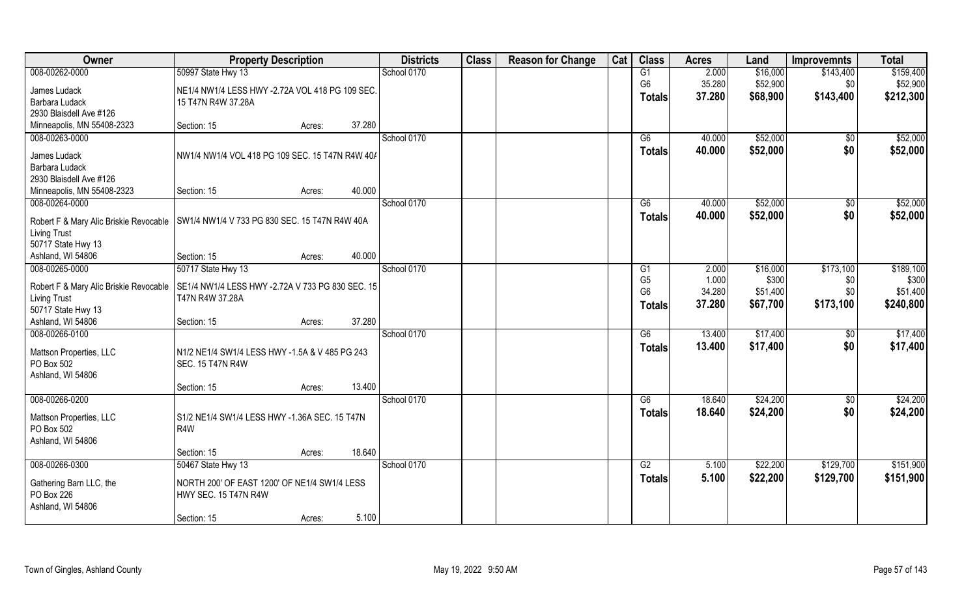| Owner                                   | <b>Property Description</b>                      | <b>Districts</b> | <b>Class</b> | <b>Reason for Change</b> | Cat | <b>Class</b>   | <b>Acres</b> | Land     | <b>Improvemnts</b> | <b>Total</b> |
|-----------------------------------------|--------------------------------------------------|------------------|--------------|--------------------------|-----|----------------|--------------|----------|--------------------|--------------|
| 008-00262-0000                          | 50997 State Hwy 13                               | School 0170      |              |                          |     | G1             | 2.000        | \$16,000 | \$143,400          | \$159,400    |
| James Ludack                            | NE1/4 NW1/4 LESS HWY -2.72A VOL 418 PG 109 SEC.  |                  |              |                          |     | G <sub>6</sub> | 35.280       | \$52,900 | \$0                | \$52,900     |
| Barbara Ludack                          | 15 T47N R4W 37.28A                               |                  |              |                          |     | <b>Totals</b>  | 37.280       | \$68,900 | \$143,400          | \$212,300    |
| 2930 Blaisdell Ave #126                 |                                                  |                  |              |                          |     |                |              |          |                    |              |
| Minneapolis, MN 55408-2323              | 37.280<br>Section: 15<br>Acres:                  |                  |              |                          |     |                |              |          |                    |              |
| 008-00263-0000                          |                                                  | School 0170      |              |                          |     | G6             | 40.000       | \$52,000 | \$0                | \$52,000     |
| James Ludack                            | NW1/4 NW1/4 VOL 418 PG 109 SEC. 15 T47N R4W 40/  |                  |              |                          |     | Totals         | 40.000       | \$52,000 | \$0                | \$52,000     |
| Barbara Ludack                          |                                                  |                  |              |                          |     |                |              |          |                    |              |
| 2930 Blaisdell Ave #126                 |                                                  |                  |              |                          |     |                |              |          |                    |              |
| Minneapolis, MN 55408-2323              | 40.000<br>Section: 15<br>Acres:                  |                  |              |                          |     |                |              |          |                    |              |
| 008-00264-0000                          |                                                  | School 0170      |              |                          |     | G6             | 40.000       | \$52,000 | $\sqrt[6]{3}$      | \$52,000     |
|                                         |                                                  |                  |              |                          |     | <b>Totals</b>  | 40.000       | \$52,000 | \$0                | \$52,000     |
| Robert F & Mary Alic Briskie Revocable  | SW1/4 NW1/4 V 733 PG 830 SEC. 15 T47N R4W 40A    |                  |              |                          |     |                |              |          |                    |              |
| <b>Living Trust</b>                     |                                                  |                  |              |                          |     |                |              |          |                    |              |
| 50717 State Hwy 13<br>Ashland, WI 54806 | 40.000<br>Section: 15<br>Acres:                  |                  |              |                          |     |                |              |          |                    |              |
| 008-00265-0000                          | 50717 State Hwy 13                               | School 0170      |              |                          |     | G1             | 2.000        | \$16,000 | \$173,100          | \$189,100    |
|                                         |                                                  |                  |              |                          |     | G <sub>5</sub> | 1.000        | \$300    | \$0                | \$300        |
| Robert F & Mary Alic Briskie Revocable  | SE1/4 NW1/4 LESS HWY -2.72A V 733 PG 830 SEC. 15 |                  |              |                          |     | G <sub>6</sub> | 34.280       | \$51,400 | \$0                | \$51,400     |
| <b>Living Trust</b>                     | T47N R4W 37.28A                                  |                  |              |                          |     | <b>Totals</b>  | 37.280       | \$67,700 | \$173,100          | \$240,800    |
| 50717 State Hwy 13                      |                                                  |                  |              |                          |     |                |              |          |                    |              |
| Ashland, WI 54806                       | 37.280<br>Section: 15<br>Acres:                  |                  |              |                          |     |                |              |          |                    |              |
| 008-00266-0100                          |                                                  | School 0170      |              |                          |     | G6             | 13.400       | \$17,400 | \$0                | \$17,400     |
| Mattson Properties, LLC                 | N1/2 NE1/4 SW1/4 LESS HWY -1.5A & V 485 PG 243   |                  |              |                          |     | <b>Totals</b>  | 13.400       | \$17,400 | \$0                | \$17,400     |
| PO Box 502                              | <b>SEC. 15 T47N R4W</b>                          |                  |              |                          |     |                |              |          |                    |              |
| Ashland, WI 54806                       |                                                  |                  |              |                          |     |                |              |          |                    |              |
|                                         | 13.400<br>Section: 15<br>Acres:                  |                  |              |                          |     |                |              |          |                    |              |
| 008-00266-0200                          |                                                  | School 0170      |              |                          |     | G6             | 18.640       | \$24,200 | \$0                | \$24,200     |
| Mattson Properties, LLC                 | S1/2 NE1/4 SW1/4 LESS HWY -1.36A SEC. 15 T47N    |                  |              |                          |     | <b>Totals</b>  | 18.640       | \$24,200 | \$0                | \$24,200     |
| PO Box 502                              | R4W                                              |                  |              |                          |     |                |              |          |                    |              |
| Ashland, WI 54806                       |                                                  |                  |              |                          |     |                |              |          |                    |              |
|                                         | 18.640<br>Section: 15<br>Acres:                  |                  |              |                          |     |                |              |          |                    |              |
| 008-00266-0300                          | 50467 State Hwy 13                               | School 0170      |              |                          |     | G2             | 5.100        | \$22,200 | \$129,700          | \$151,900    |
| Gathering Barn LLC, the                 | NORTH 200' OF EAST 1200' OF NE1/4 SW1/4 LESS     |                  |              |                          |     | <b>Totals</b>  | 5.100        | \$22,200 | \$129,700          | \$151,900    |
| PO Box 226                              | <b>HWY SEC. 15 T47N R4W</b>                      |                  |              |                          |     |                |              |          |                    |              |
| Ashland, WI 54806                       |                                                  |                  |              |                          |     |                |              |          |                    |              |
|                                         | 5.100<br>Section: 15<br>Acres:                   |                  |              |                          |     |                |              |          |                    |              |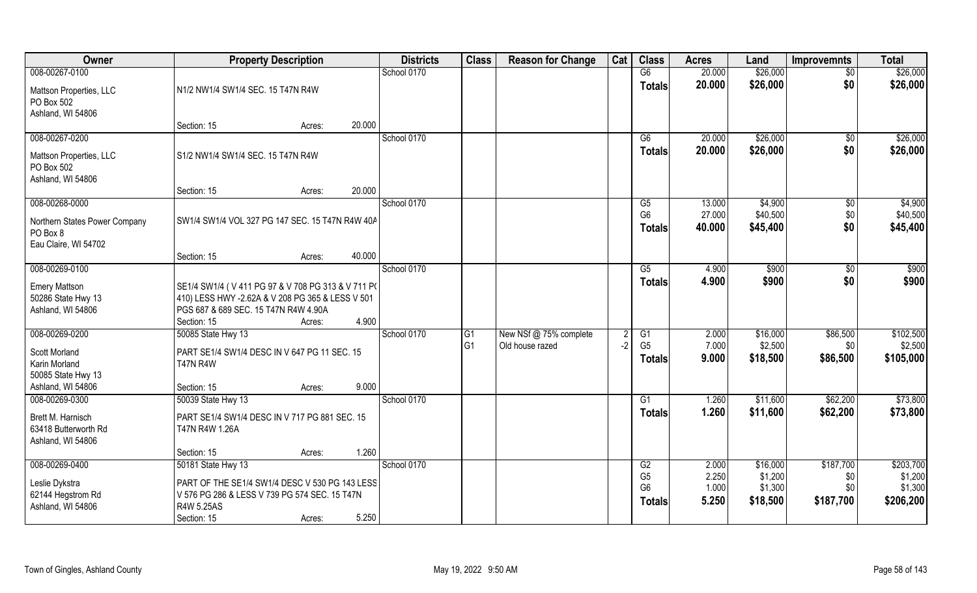| Owner                                                           | <b>Property Description</b>                                                                                                                                |        |        | <b>Districts</b> | <b>Class</b>   | <b>Reason for Change</b> | Cat | <b>Class</b>                                      | <b>Acres</b>            | Land                           | <b>Improvemnts</b>      | <b>Total</b>                    |
|-----------------------------------------------------------------|------------------------------------------------------------------------------------------------------------------------------------------------------------|--------|--------|------------------|----------------|--------------------------|-----|---------------------------------------------------|-------------------------|--------------------------------|-------------------------|---------------------------------|
| 008-00267-0100                                                  |                                                                                                                                                            |        |        | School 0170      |                |                          |     | G6                                                | 20.000                  | \$26,000                       | $\overline{50}$         | \$26,000                        |
| Mattson Properties, LLC<br>PO Box 502<br>Ashland, WI 54806      | N1/2 NW1/4 SW1/4 SEC. 15 T47N R4W                                                                                                                          |        |        |                  |                |                          |     | <b>Totals</b>                                     | 20.000                  | \$26,000                       | \$0                     | \$26,000                        |
|                                                                 | Section: 15                                                                                                                                                | Acres: | 20.000 |                  |                |                          |     |                                                   |                         |                                |                         |                                 |
| 008-00267-0200                                                  |                                                                                                                                                            |        |        | School 0170      |                |                          |     | G6                                                | 20.000                  | \$26,000                       | \$0                     | \$26,000                        |
| Mattson Properties, LLC<br>PO Box 502<br>Ashland, WI 54806      | S1/2 NW1/4 SW1/4 SEC. 15 T47N R4W                                                                                                                          |        |        |                  |                |                          |     | Totals                                            | 20.000                  | \$26,000                       | \$0                     | \$26,000                        |
|                                                                 | Section: 15                                                                                                                                                | Acres: | 20.000 |                  |                |                          |     |                                                   |                         |                                |                         |                                 |
| 008-00268-0000                                                  |                                                                                                                                                            |        |        | School 0170      |                |                          |     | G5                                                | 13.000                  | \$4,900                        | $\sqrt[6]{30}$          | \$4,900                         |
| Northern States Power Company<br>PO Box 8                       | SW1/4 SW1/4 VOL 327 PG 147 SEC. 15 T47N R4W 40A                                                                                                            |        |        |                  |                |                          |     | G <sub>6</sub><br><b>Totals</b>                   | 27.000<br>40.000        | \$40,500<br>\$45,400           | \$0<br>\$0              | \$40,500<br>\$45,400            |
| Eau Claire, WI 54702                                            | Section: 15                                                                                                                                                | Acres: | 40.000 |                  |                |                          |     |                                                   |                         |                                |                         |                                 |
| 008-00269-0100                                                  |                                                                                                                                                            |        |        | School 0170      |                |                          |     | G5                                                | 4.900                   | \$900                          | \$0                     | \$900                           |
|                                                                 |                                                                                                                                                            |        |        |                  |                |                          |     | <b>Totals</b>                                     | 4.900                   | \$900                          | \$0                     | \$900                           |
| <b>Emery Mattson</b><br>50286 State Hwy 13<br>Ashland, WI 54806 | SE1/4 SW1/4 (V411 PG 97 & V708 PG 313 & V711 PO<br>410) LESS HWY -2.62A & V 208 PG 365 & LESS V 501<br>PGS 687 & 689 SEC. 15 T47N R4W 4.90A<br>Section: 15 | Acres: | 4.900  |                  |                |                          |     |                                                   |                         |                                |                         |                                 |
| 008-00269-0200                                                  | 50085 State Hwy 13                                                                                                                                         |        |        | School 0170      | G1             | New NSf @ 75% complete   | 2   | G1                                                | 2.000                   | \$16,000                       | \$86,500                | \$102,500                       |
| Scott Morland<br>Karin Morland<br>50085 State Hwy 13            | PART SE1/4 SW1/4 DESC IN V 647 PG 11 SEC. 15<br><b>T47N R4W</b>                                                                                            |        |        |                  | G <sub>1</sub> | Old house razed          | -2  | G <sub>5</sub><br><b>Totals</b>                   | 7.000<br>9.000          | \$2,500<br>\$18,500            | \$0<br>\$86,500         | \$2,500<br>\$105,000            |
| Ashland, WI 54806                                               | Section: 15                                                                                                                                                | Acres: | 9.000  |                  |                |                          |     |                                                   |                         |                                |                         |                                 |
| 008-00269-0300                                                  | 50039 State Hwy 13                                                                                                                                         |        |        | School 0170      |                |                          |     | G1                                                | 1.260                   | \$11,600                       | \$62,200                | \$73,800                        |
| Brett M. Harnisch<br>63418 Butterworth Rd<br>Ashland, WI 54806  | PART SE1/4 SW1/4 DESC IN V 717 PG 881 SEC. 15<br>T47N R4W 1.26A                                                                                            |        |        |                  |                |                          |     | <b>Totals</b>                                     | 1.260                   | \$11,600                       | \$62,200                | \$73,800                        |
|                                                                 | Section: 15                                                                                                                                                | Acres: | 1.260  |                  |                |                          |     |                                                   |                         |                                |                         |                                 |
| 008-00269-0400                                                  | 50181 State Hwy 13                                                                                                                                         |        |        | School 0170      |                |                          |     | G2                                                | 2.000                   | \$16,000                       | \$187,700               | \$203,700                       |
| Leslie Dykstra<br>62144 Hegstrom Rd<br>Ashland, WI 54806        | PART OF THE SE1/4 SW1/4 DESC V 530 PG 143 LESS<br>V 576 PG 286 & LESS V 739 PG 574 SEC. 15 T47N<br>R4W 5.25AS                                              |        |        |                  |                |                          |     | G <sub>5</sub><br>G <sub>6</sub><br><b>Totals</b> | 2.250<br>1.000<br>5.250 | \$1,200<br>\$1,300<br>\$18,500 | \$0<br>\$0<br>\$187,700 | \$1,200<br>\$1,300<br>\$206,200 |
|                                                                 | Section: 15                                                                                                                                                | Acres: | 5.250  |                  |                |                          |     |                                                   |                         |                                |                         |                                 |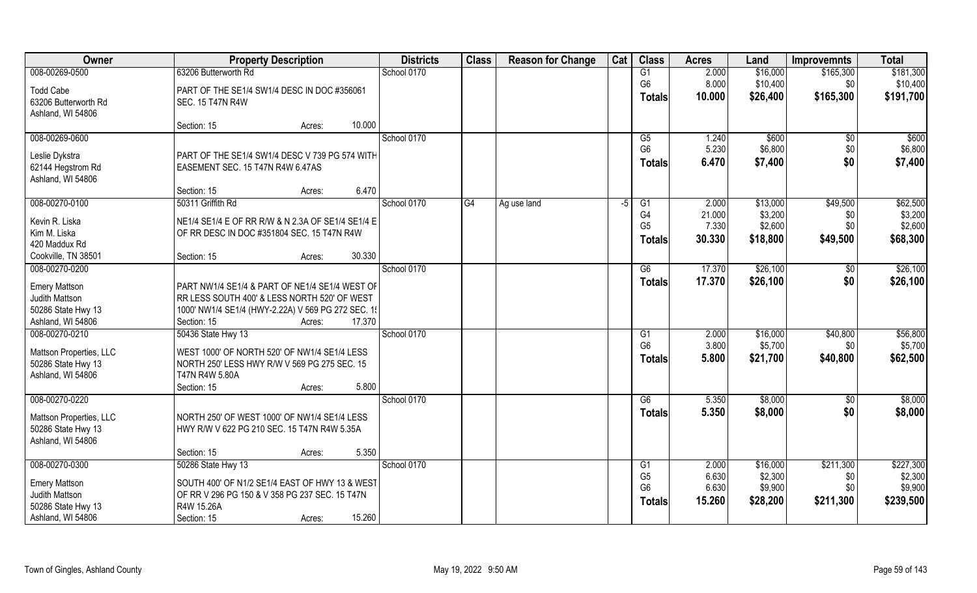| Owner                   | <b>Property Description</b>                        | <b>Districts</b> | <b>Class</b> | <b>Reason for Change</b> | Cat  | <b>Class</b>    | <b>Acres</b> | Land     | <b>Improvemnts</b> | <b>Total</b> |
|-------------------------|----------------------------------------------------|------------------|--------------|--------------------------|------|-----------------|--------------|----------|--------------------|--------------|
| 008-00269-0500          | 63206 Butterworth Rd                               | School 0170      |              |                          |      | G1              | 2.000        | \$16,000 | \$165,300          | \$181,300    |
| <b>Todd Cabe</b>        | PART OF THE SE1/4 SW1/4 DESC IN DOC #356061        |                  |              |                          |      | G <sub>6</sub>  | 8.000        | \$10,400 | \$0                | \$10,400     |
| 63206 Butterworth Rd    | SEC. 15 T47N R4W                                   |                  |              |                          |      | <b>Totals</b>   | 10.000       | \$26,400 | \$165,300          | \$191,700    |
| Ashland, WI 54806       |                                                    |                  |              |                          |      |                 |              |          |                    |              |
|                         | 10.000<br>Section: 15<br>Acres:                    |                  |              |                          |      |                 |              |          |                    |              |
| 008-00269-0600          |                                                    | School 0170      |              |                          |      | G5              | 1.240        | \$600    | $\overline{50}$    | \$600        |
| Leslie Dykstra          | PART OF THE SE1/4 SW1/4 DESC V 739 PG 574 WITH     |                  |              |                          |      | G <sub>6</sub>  | 5.230        | \$6,800  | \$0                | \$6,800      |
| 62144 Hegstrom Rd       | EASEMENT SEC. 15 T47N R4W 6.47AS                   |                  |              |                          |      | <b>Totals</b>   | 6.470        | \$7,400  | \$0                | \$7,400      |
| Ashland, WI 54806       |                                                    |                  |              |                          |      |                 |              |          |                    |              |
|                         | 6.470<br>Section: 15<br>Acres:                     |                  |              |                          |      |                 |              |          |                    |              |
| 008-00270-0100          | 50311 Griffith Rd                                  | School 0170      | G4           | Ag use land              | $-5$ | G1              | 2.000        | \$13,000 | \$49,500           | \$62,500     |
| Kevin R. Liska          | NE1/4 SE1/4 E OF RR R/W & N 2.3A OF SE1/4 SE1/4 E  |                  |              |                          |      | G <sub>4</sub>  | 21.000       | \$3,200  | \$0                | \$3,200      |
| Kim M. Liska            | OF RR DESC IN DOC #351804 SEC. 15 T47N R4W         |                  |              |                          |      | G <sub>5</sub>  | 7.330        | \$2,600  | \$0                | \$2,600      |
| 420 Maddux Rd           |                                                    |                  |              |                          |      | Totals          | 30.330       | \$18,800 | \$49,500           | \$68,300     |
| Cookville, TN 38501     | 30.330<br>Section: 15<br>Acres:                    |                  |              |                          |      |                 |              |          |                    |              |
| 008-00270-0200          |                                                    | School 0170      |              |                          |      | G6              | 17.370       | \$26,100 | \$0                | \$26,100     |
| <b>Emery Mattson</b>    | PART NW1/4 SE1/4 & PART OF NE1/4 SE1/4 WEST OF     |                  |              |                          |      | <b>Totals</b>   | 17.370       | \$26,100 | \$0                | \$26,100     |
| Judith Mattson          | RR LESS SOUTH 400' & LESS NORTH 520' OF WEST       |                  |              |                          |      |                 |              |          |                    |              |
| 50286 State Hwy 13      | 1000' NW1/4 SE1/4 (HWY-2.22A) V 569 PG 272 SEC. 15 |                  |              |                          |      |                 |              |          |                    |              |
| Ashland, WI 54806       | 17.370<br>Section: 15<br>Acres:                    |                  |              |                          |      |                 |              |          |                    |              |
| 008-00270-0210          | 50436 State Hwy 13                                 | School 0170      |              |                          |      | G <sub>1</sub>  | 2.000        | \$16,000 | \$40,800           | \$56,800     |
| Mattson Properties, LLC | WEST 1000' OF NORTH 520' OF NW1/4 SE1/4 LESS       |                  |              |                          |      | G <sub>6</sub>  | 3.800        | \$5,700  | \$0                | \$5,700      |
| 50286 State Hwy 13      | NORTH 250' LESS HWY R/W V 569 PG 275 SEC. 15       |                  |              |                          |      | <b>Totals</b>   | 5.800        | \$21,700 | \$40,800           | \$62,500     |
| Ashland, WI 54806       | T47N R4W 5.80A                                     |                  |              |                          |      |                 |              |          |                    |              |
|                         | 5.800<br>Section: 15<br>Acres:                     |                  |              |                          |      |                 |              |          |                    |              |
| 008-00270-0220          |                                                    | School 0170      |              |                          |      | G6              | 5.350        | \$8,000  | \$0                | \$8,000      |
| Mattson Properties, LLC | NORTH 250' OF WEST 1000' OF NW1/4 SE1/4 LESS       |                  |              |                          |      | <b>Totals</b>   | 5.350        | \$8,000  | \$0                | \$8,000      |
| 50286 State Hwy 13      | HWY R/W V 622 PG 210 SEC. 15 T47N R4W 5.35A        |                  |              |                          |      |                 |              |          |                    |              |
| Ashland, WI 54806       |                                                    |                  |              |                          |      |                 |              |          |                    |              |
|                         | 5.350<br>Section: 15<br>Acres:                     |                  |              |                          |      |                 |              |          |                    |              |
| 008-00270-0300          | 50286 State Hwy 13                                 | School 0170      |              |                          |      | $\overline{G1}$ | 2.000        | \$16,000 | \$211,300          | \$227,300    |
| <b>Emery Mattson</b>    | SOUTH 400' OF N1/2 SE1/4 EAST OF HWY 13 & WEST     |                  |              |                          |      | G <sub>5</sub>  | 6.630        | \$2,300  | \$0                | \$2,300      |
| Judith Mattson          | OF RR V 296 PG 150 & V 358 PG 237 SEC. 15 T47N     |                  |              |                          |      | G <sub>6</sub>  | 6.630        | \$9,900  | \$0                | \$9,900      |
| 50286 State Hwy 13      | R4W 15.26A                                         |                  |              |                          |      | <b>Totals</b>   | 15.260       | \$28,200 | \$211,300          | \$239,500    |
| Ashland, WI 54806       | 15.260<br>Section: 15<br>Acres:                    |                  |              |                          |      |                 |              |          |                    |              |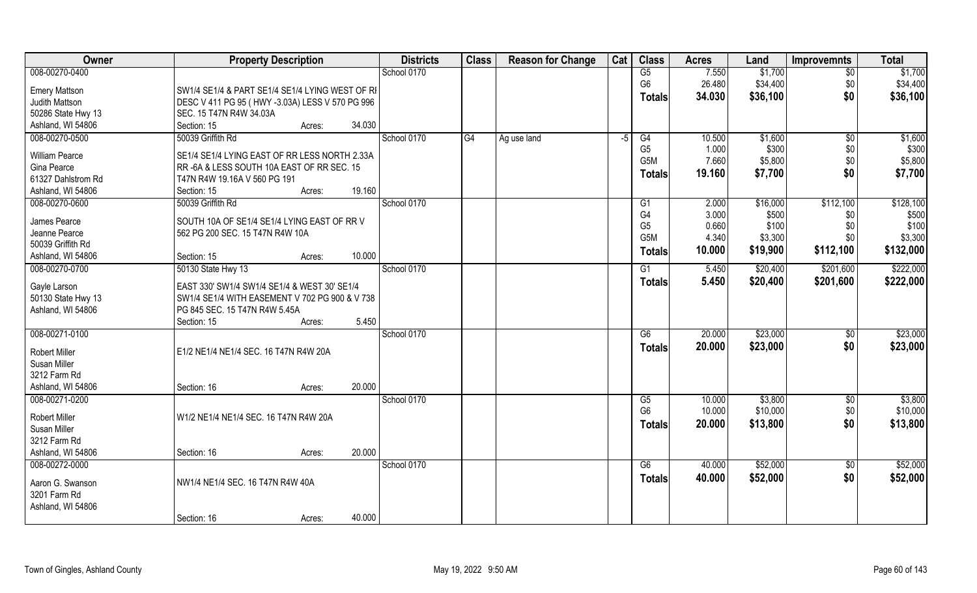| Owner                                   | <b>Property Description</b>                                                     | <b>Districts</b> | <b>Class</b><br><b>Reason for Change</b> | Cat | <b>Class</b>         | <b>Acres</b>     | Land                | <b>Improvemnts</b> | <b>Total</b> |
|-----------------------------------------|---------------------------------------------------------------------------------|------------------|------------------------------------------|-----|----------------------|------------------|---------------------|--------------------|--------------|
| 008-00270-0400                          |                                                                                 | School 0170      |                                          |     | G5                   | 7.550            | \$1,700             | $\overline{50}$    | \$1,700      |
| <b>Emery Mattson</b>                    | SW1/4 SE1/4 & PART SE1/4 SE1/4 LYING WEST OF RI                                 |                  |                                          |     | G <sub>6</sub>       | 26.480           | \$34,400            | \$0                | \$34,400     |
| Judith Mattson                          | DESC V 411 PG 95 (HWY -3.03A) LESS V 570 PG 996                                 |                  |                                          |     | <b>Totals</b>        | 34.030           | \$36,100            | \$0                | \$36,100     |
| 50286 State Hwy 13                      | SEC. 15 T47N R4W 34.03A                                                         |                  |                                          |     |                      |                  |                     |                    |              |
| Ashland, WI 54806                       | Section: 15<br>34.030<br>Acres:                                                 |                  |                                          |     |                      |                  |                     |                    |              |
| 008-00270-0500                          | 50039 Griffith Rd                                                               | School 0170      | $\overline{G4}$<br>Ag use land           | -5  | G4                   | 10.500           | \$1,600             | $\overline{50}$    | \$1,600      |
| William Pearce                          | SE1/4 SE1/4 LYING EAST OF RR LESS NORTH 2.33A                                   |                  |                                          |     | G <sub>5</sub>       | 1.000            | \$300               | \$0                | \$300        |
| Gina Pearce                             | RR-6A & LESS SOUTH 10A EAST OF RR SEC. 15                                       |                  |                                          |     | G5M                  | 7.660            | \$5,800             | \$0                | \$5,800      |
| 61327 Dahlstrom Rd                      | T47N R4W 19.16A V 560 PG 191                                                    |                  |                                          |     | <b>Totals</b>        | 19.160           | \$7,700             | \$0                | \$7,700      |
| Ashland, WI 54806                       | 19.160<br>Section: 15<br>Acres:                                                 |                  |                                          |     |                      |                  |                     |                    |              |
| 008-00270-0600                          | 50039 Griffith Rd                                                               | School 0170      |                                          |     | G1                   | 2.000            | \$16,000            | \$112,100          | \$128,100    |
| James Pearce                            | SOUTH 10A OF SE1/4 SE1/4 LYING EAST OF RR V                                     |                  |                                          |     | G4                   | 3.000            | \$500               | \$0                | \$500        |
| Jeanne Pearce                           | 562 PG 200 SEC. 15 T47N R4W 10A                                                 |                  |                                          |     | G <sub>5</sub>       | 0.660            | \$100               | \$0                | \$100        |
| 50039 Griffith Rd                       |                                                                                 |                  |                                          |     | G5M                  | 4.340            | \$3,300             | \$0                | \$3,300      |
| Ashland, WI 54806                       | 10.000<br>Section: 15<br>Acres:                                                 |                  |                                          |     | <b>Totals</b>        | 10.000           | \$19,900            | \$112,100          | \$132,000    |
| 008-00270-0700                          | 50130 State Hwy 13                                                              | School 0170      |                                          |     | G1                   | 5.450            | \$20,400            | \$201,600          | \$222,000    |
|                                         |                                                                                 |                  |                                          |     | <b>Totals</b>        | 5.450            | \$20,400            | \$201,600          | \$222,000    |
| Gayle Larson                            | EAST 330' SW1/4 SW1/4 SE1/4 & WEST 30' SE1/4                                    |                  |                                          |     |                      |                  |                     |                    |              |
| 50130 State Hwy 13<br>Ashland, WI 54806 | SW1/4 SE1/4 WITH EASEMENT V 702 PG 900 & V 738<br>PG 845 SEC. 15 T47N R4W 5.45A |                  |                                          |     |                      |                  |                     |                    |              |
|                                         | 5.450<br>Section: 15<br>Acres:                                                  |                  |                                          |     |                      |                  |                     |                    |              |
| 008-00271-0100                          |                                                                                 | School 0170      |                                          |     | $\overline{G6}$      | 20.000           | \$23,000            | \$0                | \$23,000     |
|                                         |                                                                                 |                  |                                          |     | <b>Totals</b>        | 20.000           | \$23,000            | \$0                | \$23,000     |
| <b>Robert Miller</b>                    | E1/2 NE1/4 NE1/4 SEC. 16 T47N R4W 20A                                           |                  |                                          |     |                      |                  |                     |                    |              |
| Susan Miller                            |                                                                                 |                  |                                          |     |                      |                  |                     |                    |              |
| 3212 Farm Rd                            |                                                                                 |                  |                                          |     |                      |                  |                     |                    |              |
| Ashland, WI 54806                       | 20.000<br>Section: 16<br>Acres:                                                 |                  |                                          |     |                      |                  |                     |                    |              |
| 008-00271-0200                          |                                                                                 | School 0170      |                                          |     | G5<br>G <sub>6</sub> | 10.000<br>10.000 | \$3,800<br>\$10,000 | \$0                | \$3,800      |
| Robert Miller                           | W1/2 NE1/4 NE1/4 SEC. 16 T47N R4W 20A                                           |                  |                                          |     |                      |                  |                     | \$0                | \$10,000     |
| Susan Miller                            |                                                                                 |                  |                                          |     | <b>Totals</b>        | 20.000           | \$13,800            | \$0                | \$13,800     |
| 3212 Farm Rd                            |                                                                                 |                  |                                          |     |                      |                  |                     |                    |              |
| Ashland, WI 54806                       | 20.000<br>Section: 16<br>Acres:                                                 |                  |                                          |     |                      |                  |                     |                    |              |
| 008-00272-0000                          |                                                                                 | School 0170      |                                          |     | G6                   | 40.000           | \$52,000            | $\sqrt{$0}$        | \$52,000     |
| Aaron G. Swanson                        | NW1/4 NE1/4 SEC. 16 T47N R4W 40A                                                |                  |                                          |     | <b>Totals</b>        | 40.000           | \$52,000            | \$0                | \$52,000     |
| 3201 Farm Rd                            |                                                                                 |                  |                                          |     |                      |                  |                     |                    |              |
| Ashland, WI 54806                       |                                                                                 |                  |                                          |     |                      |                  |                     |                    |              |
|                                         | 40.000<br>Section: 16<br>Acres:                                                 |                  |                                          |     |                      |                  |                     |                    |              |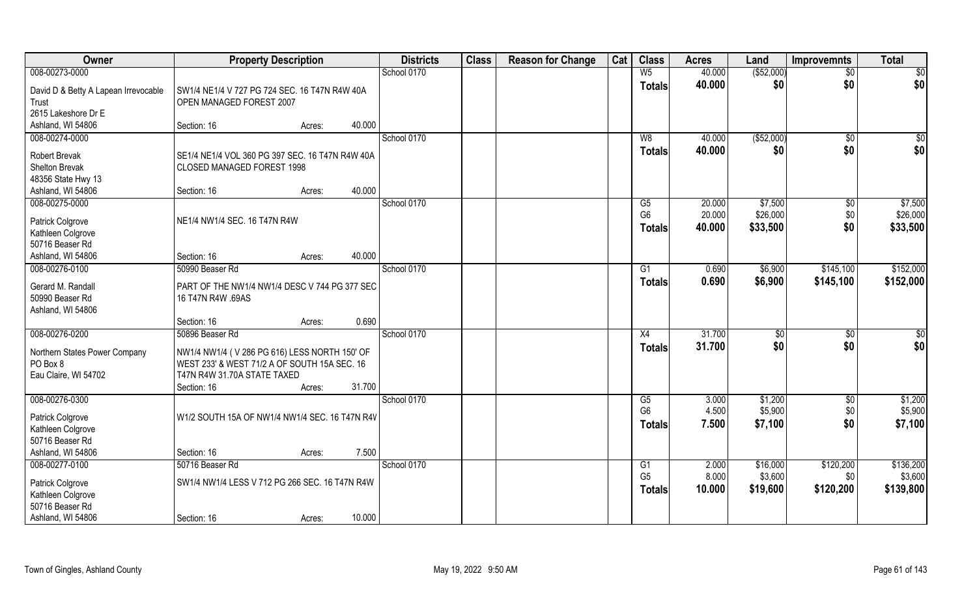| Owner                                         | <b>Property Description</b>                                               |        |        | <b>Districts</b> | <b>Class</b> | <b>Reason for Change</b> | Cat | <b>Class</b>         | <b>Acres</b>   | Land                | <b>Improvemnts</b> | <b>Total</b>         |
|-----------------------------------------------|---------------------------------------------------------------------------|--------|--------|------------------|--------------|--------------------------|-----|----------------------|----------------|---------------------|--------------------|----------------------|
| 008-00273-0000                                |                                                                           |        |        | School 0170      |              |                          |     | W <sub>5</sub>       | 40.000         | ( \$52,000)         | $\overline{50}$    | \$0                  |
| David D & Betty A Lapean Irrevocable<br>Trust | SW1/4 NE1/4 V 727 PG 724 SEC. 16 T47N R4W 40A<br>OPEN MANAGED FOREST 2007 |        |        |                  |              |                          |     | <b>Totals</b>        | 40.000         | \$0                 | \$0                | \$0                  |
| 2615 Lakeshore Dr E<br>Ashland, WI 54806      | Section: 16                                                               | Acres: | 40.000 |                  |              |                          |     |                      |                |                     |                    |                      |
| 008-00274-0000                                |                                                                           |        |        | School 0170      |              |                          |     | W8                   | 40.000         | ( \$52,000)         | \$0                | $\sqrt{50}$          |
|                                               |                                                                           |        |        |                  |              |                          |     | <b>Totals</b>        | 40.000         | \$0                 | \$0                | \$0                  |
| <b>Robert Brevak</b>                          | SE1/4 NE1/4 VOL 360 PG 397 SEC. 16 T47N R4W 40A                           |        |        |                  |              |                          |     |                      |                |                     |                    |                      |
| Shelton Brevak<br>48356 State Hwy 13          | CLOSED MANAGED FOREST 1998                                                |        |        |                  |              |                          |     |                      |                |                     |                    |                      |
| Ashland, WI 54806                             | Section: 16                                                               | Acres: | 40.000 |                  |              |                          |     |                      |                |                     |                    |                      |
| 008-00275-0000                                |                                                                           |        |        | School 0170      |              |                          |     | G5                   | 20.000         | \$7,500             | \$0                | \$7,500              |
|                                               |                                                                           |        |        |                  |              |                          |     | G <sub>6</sub>       | 20.000         | \$26,000            | \$0                | \$26,000             |
| Patrick Colgrove                              | NE1/4 NW1/4 SEC. 16 T47N R4W                                              |        |        |                  |              |                          |     | <b>Totals</b>        | 40.000         | \$33,500            | \$0                | \$33,500             |
| Kathleen Colgrove<br>50716 Beaser Rd          |                                                                           |        |        |                  |              |                          |     |                      |                |                     |                    |                      |
| Ashland, WI 54806                             | Section: 16                                                               | Acres: | 40.000 |                  |              |                          |     |                      |                |                     |                    |                      |
| 008-00276-0100                                | 50990 Beaser Rd                                                           |        |        | School 0170      |              |                          |     | G1                   | 0.690          | \$6,900             | \$145,100          | \$152,000            |
| Gerard M. Randall                             | PART OF THE NW1/4 NW1/4 DESC V 744 PG 377 SEC                             |        |        |                  |              |                          |     | <b>Totals</b>        | 0.690          | \$6,900             | \$145,100          | \$152,000            |
| 50990 Beaser Rd<br>Ashland, WI 54806          | 16 T47N R4W .69AS                                                         |        |        |                  |              |                          |     |                      |                |                     |                    |                      |
|                                               | Section: 16                                                               | Acres: | 0.690  |                  |              |                          |     |                      |                |                     |                    |                      |
| 008-00276-0200                                | 50896 Beaser Rd                                                           |        |        | School 0170      |              |                          |     | X4                   | 31.700         | \$0                 | \$0                | \$0                  |
| Northern States Power Company                 | NW1/4 NW1/4 (V 286 PG 616) LESS NORTH 150' OF                             |        |        |                  |              |                          |     | <b>Totals</b>        | 31.700         | \$0                 | \$0                | \$0                  |
| PO Box 8                                      | WEST 233' & WEST 71/2 A OF SOUTH 15A SEC. 16                              |        |        |                  |              |                          |     |                      |                |                     |                    |                      |
| Eau Claire, WI 54702                          | T47N R4W 31.70A STATE TAXED                                               |        |        |                  |              |                          |     |                      |                |                     |                    |                      |
|                                               | Section: 16                                                               | Acres: | 31.700 |                  |              |                          |     |                      |                |                     |                    |                      |
| 008-00276-0300                                |                                                                           |        |        | School 0170      |              |                          |     | G5<br>G <sub>6</sub> | 3.000          | \$1,200             | \$0                | \$1,200              |
| Patrick Colgrove                              | W1/2 SOUTH 15A OF NW1/4 NW1/4 SEC. 16 T47N R4V                            |        |        |                  |              |                          |     |                      | 4.500<br>7.500 | \$5,900<br>\$7,100  | \$0<br>\$0         | \$5,900<br>\$7,100   |
| Kathleen Colgrove                             |                                                                           |        |        |                  |              |                          |     | <b>Totals</b>        |                |                     |                    |                      |
| 50716 Beaser Rd                               |                                                                           |        |        |                  |              |                          |     |                      |                |                     |                    |                      |
| Ashland, WI 54806                             | Section: 16                                                               | Acres: | 7.500  |                  |              |                          |     |                      |                |                     |                    |                      |
| 008-00277-0100                                | 50716 Beaser Rd                                                           |        |        | School 0170      |              |                          |     | G1<br>G <sub>5</sub> | 2.000<br>8.000 | \$16,000<br>\$3,600 | \$120,200          | \$136,200            |
| Patrick Colgrove                              | SW1/4 NW1/4 LESS V 712 PG 266 SEC. 16 T47N R4W                            |        |        |                  |              |                          |     |                      | 10.000         | \$19,600            | \$0<br>\$120,200   | \$3,600<br>\$139,800 |
| Kathleen Colgrove                             |                                                                           |        |        |                  |              |                          |     | <b>Totals</b>        |                |                     |                    |                      |
| 50716 Beaser Rd                               |                                                                           |        |        |                  |              |                          |     |                      |                |                     |                    |                      |
| Ashland, WI 54806                             | Section: 16                                                               | Acres: | 10.000 |                  |              |                          |     |                      |                |                     |                    |                      |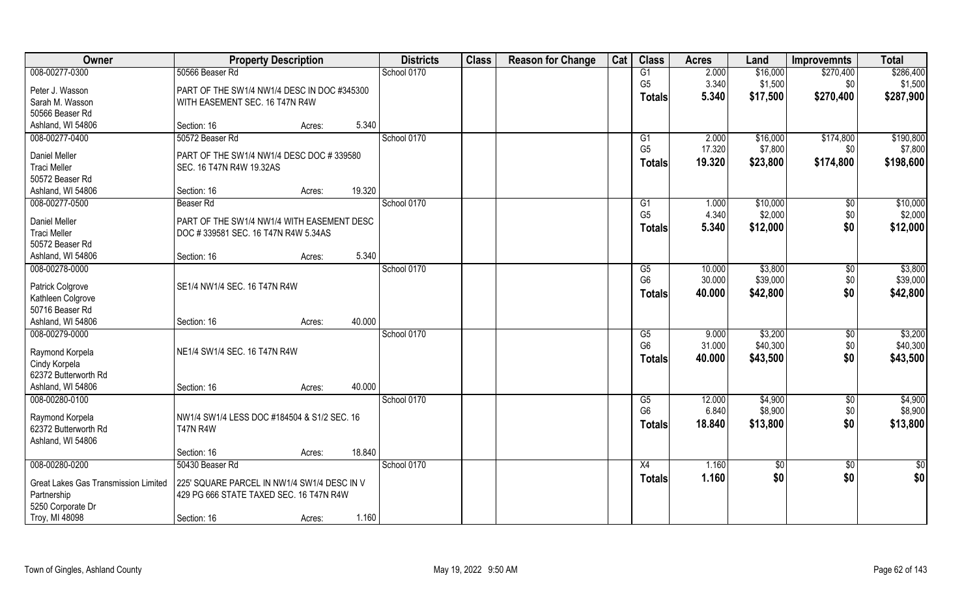| Owner                                     | <b>Property Description</b>                 |                  | <b>Districts</b> | <b>Class</b> | <b>Reason for Change</b> | Cat | <b>Class</b>    | <b>Acres</b> | Land            | <b>Improvemnts</b> | <b>Total</b> |
|-------------------------------------------|---------------------------------------------|------------------|------------------|--------------|--------------------------|-----|-----------------|--------------|-----------------|--------------------|--------------|
| 008-00277-0300                            | 50566 Beaser Rd                             |                  | School 0170      |              |                          |     | $\overline{G1}$ | 2.000        | \$16,000        | \$270,400          | \$286,400    |
| Peter J. Wasson                           | PART OF THE SW1/4 NW1/4 DESC IN DOC #345300 |                  |                  |              |                          |     | G <sub>5</sub>  | 3.340        | \$1,500         | \$0                | \$1,500      |
| Sarah M. Wasson                           | WITH EASEMENT SEC. 16 T47N R4W              |                  |                  |              |                          |     | <b>Totals</b>   | 5.340        | \$17,500        | \$270,400          | \$287,900    |
| 50566 Beaser Rd                           |                                             |                  |                  |              |                          |     |                 |              |                 |                    |              |
| Ashland, WI 54806                         | Section: 16                                 | Acres:           | 5.340            |              |                          |     |                 |              |                 |                    |              |
| 008-00277-0400                            | 50572 Beaser Rd                             |                  | School 0170      |              |                          |     | $\overline{G1}$ | 2.000        | \$16,000        | \$174,800          | \$190,800    |
| Daniel Meller                             | PART OF THE SW1/4 NW1/4 DESC DOC #339580    |                  |                  |              |                          |     | G <sub>5</sub>  | 17.320       | \$7,800         | \$0                | \$7,800      |
| <b>Traci Meller</b>                       | SEC. 16 T47N R4W 19.32AS                    |                  |                  |              |                          |     | <b>Totals</b>   | 19.320       | \$23,800        | \$174,800          | \$198,600    |
| 50572 Beaser Rd                           |                                             |                  |                  |              |                          |     |                 |              |                 |                    |              |
| Ashland, WI 54806                         | Section: 16                                 | 19.320<br>Acres: |                  |              |                          |     |                 |              |                 |                    |              |
| 008-00277-0500                            | Beaser Rd                                   |                  | School 0170      |              |                          |     | G1              | 1.000        | \$10,000        | $\sqrt[6]{}$       | \$10,000     |
| Daniel Meller                             | PART OF THE SW1/4 NW1/4 WITH EASEMENT DESC  |                  |                  |              |                          |     | G <sub>5</sub>  | 4.340        | \$2,000         | \$0                | \$2,000      |
| <b>Traci Meller</b>                       | DOC #339581 SEC. 16 T47N R4W 5.34AS         |                  |                  |              |                          |     | <b>Totals</b>   | 5.340        | \$12,000        | \$0                | \$12,000     |
| 50572 Beaser Rd                           |                                             |                  |                  |              |                          |     |                 |              |                 |                    |              |
| Ashland, WI 54806                         | Section: 16                                 | Acres:           | 5.340            |              |                          |     |                 |              |                 |                    |              |
| 008-00278-0000                            |                                             |                  | School 0170      |              |                          |     | G5              | 10.000       | \$3,800         | $\sqrt[6]{3}$      | \$3,800      |
| Patrick Colgrove                          | SE1/4 NW1/4 SEC. 16 T47N R4W                |                  |                  |              |                          |     | G <sub>6</sub>  | 30.000       | \$39,000        | \$0                | \$39,000     |
| Kathleen Colgrove                         |                                             |                  |                  |              |                          |     | <b>Totals</b>   | 40.000       | \$42,800        | \$0                | \$42,800     |
| 50716 Beaser Rd                           |                                             |                  |                  |              |                          |     |                 |              |                 |                    |              |
| Ashland, WI 54806                         | Section: 16                                 | 40.000<br>Acres: |                  |              |                          |     |                 |              |                 |                    |              |
| 008-00279-0000                            |                                             |                  | School 0170      |              |                          |     | G5              | 9.000        | \$3,200         | $\frac{1}{2}$      | \$3,200      |
| Raymond Korpela                           | NE1/4 SW1/4 SEC. 16 T47N R4W                |                  |                  |              |                          |     | G <sub>6</sub>  | 31.000       | \$40,300        | \$0                | \$40,300     |
| Cindy Korpela                             |                                             |                  |                  |              |                          |     | <b>Totals</b>   | 40.000       | \$43,500        | \$0                | \$43,500     |
| 62372 Butterworth Rd                      |                                             |                  |                  |              |                          |     |                 |              |                 |                    |              |
| Ashland, WI 54806                         | Section: 16                                 | 40.000<br>Acres: |                  |              |                          |     |                 |              |                 |                    |              |
| 008-00280-0100                            |                                             |                  | School 0170      |              |                          |     | G5              | 12.000       | \$4,900         | \$0                | \$4,900      |
|                                           |                                             |                  |                  |              |                          |     | G <sub>6</sub>  | 6.840        | \$8,900         | \$0                | \$8,900      |
| Raymond Korpela                           | NW1/4 SW1/4 LESS DOC #184504 & S1/2 SEC. 16 |                  |                  |              |                          |     | <b>Totals</b>   | 18.840       | \$13,800        | \$0                | \$13,800     |
| 62372 Butterworth Rd<br>Ashland, WI 54806 | <b>T47N R4W</b>                             |                  |                  |              |                          |     |                 |              |                 |                    |              |
|                                           | Section: 16                                 | 18.840<br>Acres: |                  |              |                          |     |                 |              |                 |                    |              |
| 008-00280-0200                            | 50430 Beaser Rd                             |                  | School 0170      |              |                          |     | X4              | 1.160        | $\overline{50}$ | $\overline{50}$    | \$0          |
|                                           |                                             |                  |                  |              |                          |     | <b>Totals</b>   | 1.160        | \$0             | \$0                | \$0          |
| Great Lakes Gas Transmission Limited      | 225' SQUARE PARCEL IN NW1/4 SW1/4 DESC IN V |                  |                  |              |                          |     |                 |              |                 |                    |              |
| Partnership<br>5250 Corporate Dr          | 429 PG 666 STATE TAXED SEC. 16 T47N R4W     |                  |                  |              |                          |     |                 |              |                 |                    |              |
| Troy, MI 48098                            | Section: 16                                 | Acres:           | 1.160            |              |                          |     |                 |              |                 |                    |              |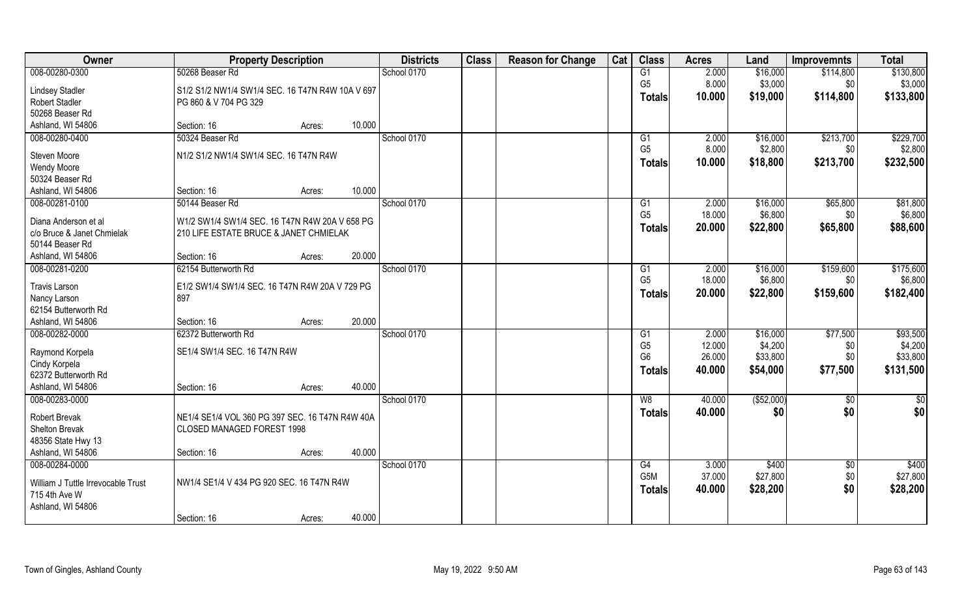| Owner                                         | <b>Property Description</b>                      |        |        | <b>Districts</b> | <b>Class</b> | <b>Reason for Change</b> | Cat | <b>Class</b>                     | <b>Acres</b>    | Land                | <b>Improvemnts</b> | <b>Total</b>        |
|-----------------------------------------------|--------------------------------------------------|--------|--------|------------------|--------------|--------------------------|-----|----------------------------------|-----------------|---------------------|--------------------|---------------------|
| 008-00280-0300                                | 50268 Beaser Rd                                  |        |        | School 0170      |              |                          |     | G1                               | 2.000           | \$16,000            | \$114,800          | \$130,800           |
| <b>Lindsey Stadler</b>                        | S1/2 S1/2 NW1/4 SW1/4 SEC. 16 T47N R4W 10A V 697 |        |        |                  |              |                          |     | G <sub>5</sub>                   | 8.000           | \$3,000             | \$0                | \$3,000             |
| <b>Robert Stadler</b>                         | PG 860 & V 704 PG 329                            |        |        |                  |              |                          |     | <b>Totals</b>                    | 10.000          | \$19,000            | \$114,800          | \$133,800           |
| 50268 Beaser Rd                               |                                                  |        |        |                  |              |                          |     |                                  |                 |                     |                    |                     |
| Ashland, WI 54806                             | Section: 16                                      | Acres: | 10.000 |                  |              |                          |     |                                  |                 |                     |                    |                     |
| 008-00280-0400                                | 50324 Beaser Rd                                  |        |        | School 0170      |              |                          |     | G1                               | 2.000           | \$16,000            | \$213,700          | \$229,700           |
| Steven Moore                                  | N1/2 S1/2 NW1/4 SW1/4 SEC. 16 T47N R4W           |        |        |                  |              |                          |     | G <sub>5</sub>                   | 8.000           | \$2,800             | \$0                | \$2,800             |
| Wendy Moore                                   |                                                  |        |        |                  |              |                          |     | <b>Totals</b>                    | 10.000          | \$18,800            | \$213,700          | \$232,500           |
| 50324 Beaser Rd                               |                                                  |        |        |                  |              |                          |     |                                  |                 |                     |                    |                     |
| Ashland, WI 54806                             | Section: 16                                      | Acres: | 10.000 |                  |              |                          |     |                                  |                 |                     |                    |                     |
| 008-00281-0100                                | 50144 Beaser Rd                                  |        |        | School 0170      |              |                          |     | G <sub>1</sub>                   | 2.000           | \$16,000            | \$65,800           | \$81,800            |
|                                               |                                                  |        |        |                  |              |                          |     | G <sub>5</sub>                   | 18.000          | \$6,800             | \$0                | \$6,800             |
| Diana Anderson et al                          | W1/2 SW1/4 SW1/4 SEC. 16 T47N R4W 20A V 658 PG   |        |        |                  |              |                          |     | <b>Totals</b>                    | 20.000          | \$22,800            | \$65,800           | \$88,600            |
| c/o Bruce & Janet Chmielak<br>50144 Beaser Rd | 210 LIFE ESTATE BRUCE & JANET CHMIELAK           |        |        |                  |              |                          |     |                                  |                 |                     |                    |                     |
| Ashland, WI 54806                             | Section: 16                                      | Acres: | 20.000 |                  |              |                          |     |                                  |                 |                     |                    |                     |
| 008-00281-0200                                | 62154 Butterworth Rd                             |        |        | School 0170      |              |                          |     | G1                               | 2.000           | \$16,000            | \$159,600          | \$175,600           |
|                                               |                                                  |        |        |                  |              |                          |     | G <sub>5</sub>                   | 18.000          | \$6,800             | \$0                | \$6,800             |
| <b>Travis Larson</b>                          | E1/2 SW1/4 SW1/4 SEC. 16 T47N R4W 20A V 729 PG   |        |        |                  |              |                          |     | <b>Totals</b>                    | 20,000          | \$22,800            | \$159,600          | \$182,400           |
| Nancy Larson                                  | 897                                              |        |        |                  |              |                          |     |                                  |                 |                     |                    |                     |
| 62154 Butterworth Rd                          |                                                  |        |        |                  |              |                          |     |                                  |                 |                     |                    |                     |
| Ashland, WI 54806                             | Section: 16                                      | Acres: | 20.000 |                  |              |                          |     |                                  |                 |                     |                    |                     |
| 008-00282-0000                                | 62372 Butterworth Rd                             |        |        | School 0170      |              |                          |     | G <sub>1</sub><br>G <sub>5</sub> | 2.000<br>12.000 | \$16,000<br>\$4,200 | \$77,500           | \$93,500<br>\$4,200 |
| Raymond Korpela                               | SE1/4 SW1/4 SEC. 16 T47N R4W                     |        |        |                  |              |                          |     | G <sub>6</sub>                   | 26.000          | \$33,800            | \$0<br>\$0         | \$33,800            |
| Cindy Korpela                                 |                                                  |        |        |                  |              |                          |     | <b>Totals</b>                    | 40.000          | \$54,000            | \$77,500           | \$131,500           |
| 62372 Butterworth Rd                          |                                                  |        |        |                  |              |                          |     |                                  |                 |                     |                    |                     |
| Ashland, WI 54806                             | Section: 16                                      | Acres: | 40.000 |                  |              |                          |     |                                  |                 |                     |                    |                     |
| 008-00283-0000                                |                                                  |        |        | School 0170      |              |                          |     | W8                               | 40.000          | (\$52,000)          | \$0                | $rac{1}{6}$         |
| Robert Brevak                                 | NE1/4 SE1/4 VOL 360 PG 397 SEC. 16 T47N R4W 40A  |        |        |                  |              |                          |     | <b>Totals</b>                    | 40.000          | \$0                 | \$0                | \$0                 |
| Shelton Brevak                                | CLOSED MANAGED FOREST 1998                       |        |        |                  |              |                          |     |                                  |                 |                     |                    |                     |
| 48356 State Hwy 13                            |                                                  |        |        |                  |              |                          |     |                                  |                 |                     |                    |                     |
| Ashland, WI 54806                             | Section: 16                                      | Acres: | 40.000 |                  |              |                          |     |                                  |                 |                     |                    |                     |
| 008-00284-0000                                |                                                  |        |        | School 0170      |              |                          |     | G4                               | 3.000           | \$400               | $\overline{50}$    | \$400               |
| William J Tuttle Irrevocable Trust            | NW1/4 SE1/4 V 434 PG 920 SEC. 16 T47N R4W        |        |        |                  |              |                          |     | G <sub>5</sub> M                 | 37.000          | \$27,800            | \$0                | \$27,800            |
| 715 4th Ave W                                 |                                                  |        |        |                  |              |                          |     | Totals                           | 40.000          | \$28,200            | \$0                | \$28,200            |
| Ashland, WI 54806                             |                                                  |        |        |                  |              |                          |     |                                  |                 |                     |                    |                     |
|                                               | Section: 16                                      | Acres: | 40.000 |                  |              |                          |     |                                  |                 |                     |                    |                     |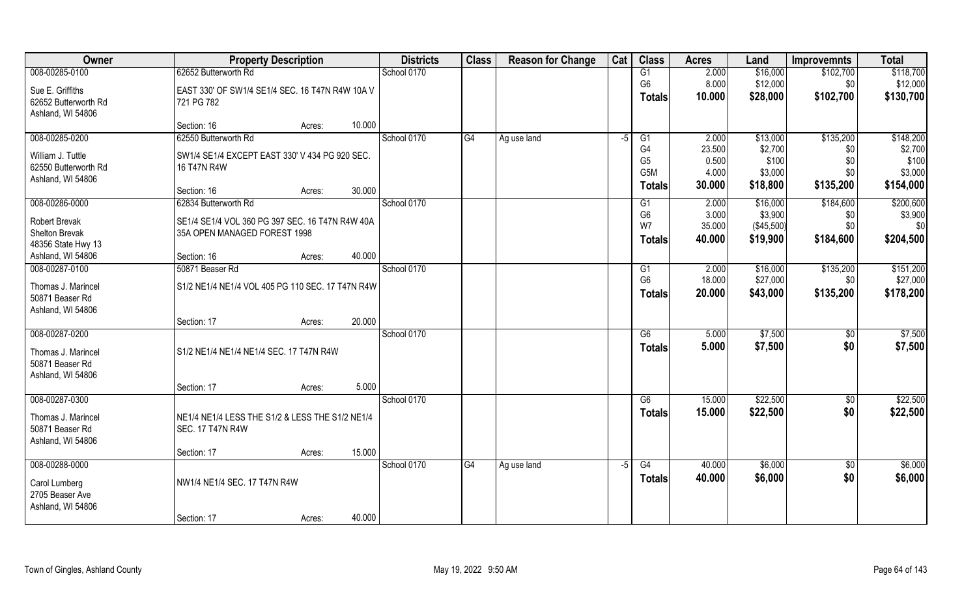| Owner                | <b>Property Description</b>                      | <b>Districts</b> | <b>Class</b> | <b>Reason for Change</b> | Cat  | <b>Class</b>                       | <b>Acres</b>    | Land             | <b>Improvemnts</b> | <b>Total</b>     |
|----------------------|--------------------------------------------------|------------------|--------------|--------------------------|------|------------------------------------|-----------------|------------------|--------------------|------------------|
| 008-00285-0100       | 62652 Butterworth Rd                             | School 0170      |              |                          |      | G1                                 | 2.000           | \$16,000         | \$102,700          | \$118,700        |
| Sue E. Griffiths     | EAST 330' OF SW1/4 SE1/4 SEC. 16 T47N R4W 10A V  |                  |              |                          |      | G <sub>6</sub>                     | 8.000           | \$12,000         | \$0                | \$12,000         |
| 62652 Butterworth Rd | 721 PG 782                                       |                  |              |                          |      | <b>Totals</b>                      | 10.000          | \$28,000         | \$102,700          | \$130,700        |
| Ashland, WI 54806    |                                                  |                  |              |                          |      |                                    |                 |                  |                    |                  |
|                      | 10.000<br>Section: 16<br>Acres:                  |                  |              |                          |      |                                    |                 |                  |                    |                  |
| 008-00285-0200       | 62550 Butterworth Rd                             | School 0170      | G4           | Ag use land              | -5   | G1                                 | 2.000           | \$13,000         | \$135,200          | \$148,200        |
| William J. Tuttle    | SW1/4 SE1/4 EXCEPT EAST 330' V 434 PG 920 SEC.   |                  |              |                          |      | G4                                 | 23.500          | \$2,700          | \$0                | \$2,700          |
| 62550 Butterworth Rd | 16 T47N R4W                                      |                  |              |                          |      | G <sub>5</sub><br>G <sub>5</sub> M | 0.500<br>4.000  | \$100<br>\$3,000 | \$0<br>\$0         | \$100<br>\$3,000 |
| Ashland, WI 54806    |                                                  |                  |              |                          |      | <b>Totals</b>                      | 30.000          | \$18,800         | \$135,200          | \$154,000        |
|                      | 30.000<br>Section: 16<br>Acres:                  |                  |              |                          |      |                                    |                 |                  |                    |                  |
| 008-00286-0000       | 62834 Butterworth Rd                             | School 0170      |              |                          |      | G <sub>1</sub>                     | 2.000           | \$16,000         | \$184,600          | \$200,600        |
| <b>Robert Brevak</b> | SE1/4 SE1/4 VOL 360 PG 397 SEC. 16 T47N R4W 40A  |                  |              |                          |      | G <sub>6</sub><br>W7               | 3.000<br>35.000 | \$3,900          | \$0<br>\$0         | \$3,900          |
| Shelton Brevak       | 35A OPEN MANAGED FOREST 1998                     |                  |              |                          |      |                                    | 40.000          | (\$45,500)       |                    | \$0              |
| 48356 State Hwy 13   |                                                  |                  |              |                          |      | <b>Totals</b>                      |                 | \$19,900         | \$184,600          | \$204,500        |
| Ashland, WI 54806    | 40.000<br>Section: 16<br>Acres:                  |                  |              |                          |      |                                    |                 |                  |                    |                  |
| 008-00287-0100       | 50871 Beaser Rd                                  | School 0170      |              |                          |      | G1                                 | 2.000           | \$16,000         | \$135,200          | \$151,200        |
| Thomas J. Marincel   | S1/2 NE1/4 NE1/4 VOL 405 PG 110 SEC. 17 T47N R4W |                  |              |                          |      | G <sub>6</sub>                     | 18.000          | \$27,000         | \$0                | \$27,000         |
| 50871 Beaser Rd      |                                                  |                  |              |                          |      | <b>Totals</b>                      | 20.000          | \$43,000         | \$135,200          | \$178,200        |
| Ashland, WI 54806    |                                                  |                  |              |                          |      |                                    |                 |                  |                    |                  |
|                      | 20.000<br>Section: 17<br>Acres:                  |                  |              |                          |      |                                    |                 |                  |                    |                  |
| 008-00287-0200       |                                                  | School 0170      |              |                          |      | $\overline{G6}$                    | 5.000           | \$7,500          | \$0                | \$7,500          |
| Thomas J. Marincel   | S1/2 NE1/4 NE1/4 NE1/4 SEC. 17 T47N R4W          |                  |              |                          |      | <b>Totals</b>                      | 5.000           | \$7,500          | \$0                | \$7,500          |
| 50871 Beaser Rd      |                                                  |                  |              |                          |      |                                    |                 |                  |                    |                  |
| Ashland, WI 54806    |                                                  |                  |              |                          |      |                                    |                 |                  |                    |                  |
|                      | 5.000<br>Section: 17<br>Acres:                   |                  |              |                          |      |                                    |                 |                  |                    |                  |
| 008-00287-0300       |                                                  | School 0170      |              |                          |      | G6                                 | 15.000          | \$22,500         | \$0                | \$22,500         |
| Thomas J. Marincel   | NE1/4 NE1/4 LESS THE S1/2 & LESS THE S1/2 NE1/4  |                  |              |                          |      | <b>Totals</b>                      | 15.000          | \$22,500         | \$0                | \$22,500         |
| 50871 Beaser Rd      | <b>SEC. 17 T47N R4W</b>                          |                  |              |                          |      |                                    |                 |                  |                    |                  |
| Ashland, WI 54806    |                                                  |                  |              |                          |      |                                    |                 |                  |                    |                  |
|                      | 15.000<br>Section: 17<br>Acres:                  |                  |              |                          |      |                                    |                 |                  |                    |                  |
| 008-00288-0000       |                                                  | School 0170      | G4           | Ag use land              | $-5$ | G4                                 | 40.000          | \$6,000          | $\overline{50}$    | \$6,000          |
| Carol Lumberg        | NW1/4 NE1/4 SEC. 17 T47N R4W                     |                  |              |                          |      | <b>Totals</b>                      | 40.000          | \$6,000          | \$0                | \$6,000          |
| 2705 Beaser Ave      |                                                  |                  |              |                          |      |                                    |                 |                  |                    |                  |
| Ashland, WI 54806    |                                                  |                  |              |                          |      |                                    |                 |                  |                    |                  |
|                      | 40.000<br>Section: 17<br>Acres:                  |                  |              |                          |      |                                    |                 |                  |                    |                  |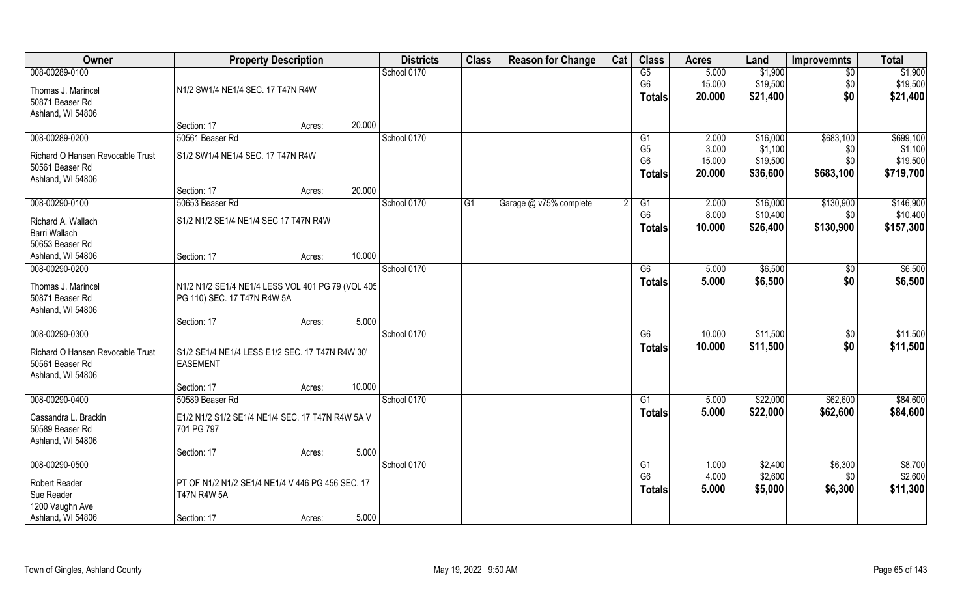| Owner                            | <b>Property Description</b>                       |        |        | <b>Districts</b> | <b>Class</b> | <b>Reason for Change</b> | Cat | <b>Class</b>                     | <b>Acres</b>    | Land                | <b>Improvemnts</b> | <b>Total</b>        |
|----------------------------------|---------------------------------------------------|--------|--------|------------------|--------------|--------------------------|-----|----------------------------------|-----------------|---------------------|--------------------|---------------------|
| 008-00289-0100                   |                                                   |        |        | School 0170      |              |                          |     | G5                               | 5.000           | \$1,900             | $\overline{50}$    | \$1,900             |
| Thomas J. Marincel               | N1/2 SW1/4 NE1/4 SEC. 17 T47N R4W                 |        |        |                  |              |                          |     | G <sub>6</sub>                   | 15.000          | \$19,500            | \$0                | \$19,500            |
| 50871 Beaser Rd                  |                                                   |        |        |                  |              |                          |     | <b>Totals</b>                    | 20.000          | \$21,400            | \$0                | \$21,400            |
| Ashland, WI 54806                |                                                   |        |        |                  |              |                          |     |                                  |                 |                     |                    |                     |
|                                  | Section: 17                                       | Acres: | 20.000 |                  |              |                          |     |                                  |                 |                     |                    |                     |
| 008-00289-0200                   | 50561 Beaser Rd                                   |        |        | School 0170      |              |                          |     | G1                               | 2.000           | \$16,000            | \$683,100          | \$699,100           |
| Richard O Hansen Revocable Trust | S1/2 SW1/4 NE1/4 SEC. 17 T47N R4W                 |        |        |                  |              |                          |     | G <sub>5</sub><br>G <sub>6</sub> | 3.000<br>15.000 | \$1,100<br>\$19,500 | \$0<br>\$0         | \$1,100<br>\$19,500 |
| 50561 Beaser Rd                  |                                                   |        |        |                  |              |                          |     | <b>Totals</b>                    | 20.000          | \$36,600            | \$683,100          | \$719,700           |
| Ashland, WI 54806                |                                                   |        |        |                  |              |                          |     |                                  |                 |                     |                    |                     |
|                                  | Section: 17                                       | Acres: | 20.000 |                  |              |                          |     |                                  |                 |                     |                    |                     |
| 008-00290-0100                   | 50653 Beaser Rd                                   |        |        | School 0170      | G1           | Garage @ v75% complete   | 2   | G1                               | 2.000           | \$16,000            | \$130,900          | \$146,900           |
| Richard A. Wallach               | S1/2 N1/2 SE1/4 NE1/4 SEC 17 T47N R4W             |        |        |                  |              |                          |     | G <sub>6</sub>                   | 8.000<br>10.000 | \$10,400            | \$0                | \$10,400            |
| Barri Wallach                    |                                                   |        |        |                  |              |                          |     | <b>Totals</b>                    |                 | \$26,400            | \$130,900          | \$157,300           |
| 50653 Beaser Rd                  |                                                   |        |        |                  |              |                          |     |                                  |                 |                     |                    |                     |
| Ashland, WI 54806                | Section: 17                                       | Acres: | 10.000 |                  |              |                          |     |                                  |                 |                     |                    |                     |
| 008-00290-0200                   |                                                   |        |        | School 0170      |              |                          |     | G6                               | 5.000           | \$6,500             | \$0                | \$6,500             |
| Thomas J. Marincel               | N1/2 N1/2 SE1/4 NE1/4 LESS VOL 401 PG 79 (VOL 405 |        |        |                  |              |                          |     | <b>Totals</b>                    | 5.000           | \$6,500             | \$0                | \$6,500             |
| 50871 Beaser Rd                  | PG 110) SEC. 17 T47N R4W 5A                       |        |        |                  |              |                          |     |                                  |                 |                     |                    |                     |
| Ashland, WI 54806                |                                                   |        |        |                  |              |                          |     |                                  |                 |                     |                    |                     |
|                                  | Section: 17                                       | Acres: | 5.000  |                  |              |                          |     |                                  |                 |                     |                    |                     |
| 008-00290-0300                   |                                                   |        |        | School 0170      |              |                          |     | $\overline{G6}$                  | 10.000          | \$11,500            | \$0                | \$11,500            |
| Richard O Hansen Revocable Trust | S1/2 SE1/4 NE1/4 LESS E1/2 SEC. 17 T47N R4W 30'   |        |        |                  |              |                          |     | <b>Totals</b>                    | 10.000          | \$11,500            | \$0                | \$11,500            |
| 50561 Beaser Rd                  | <b>EASEMENT</b>                                   |        |        |                  |              |                          |     |                                  |                 |                     |                    |                     |
| Ashland, WI 54806                |                                                   |        |        |                  |              |                          |     |                                  |                 |                     |                    |                     |
|                                  | Section: 17                                       | Acres: | 10.000 |                  |              |                          |     |                                  |                 |                     |                    |                     |
| 008-00290-0400                   | 50589 Beaser Rd                                   |        |        | School 0170      |              |                          |     | G1                               | 5.000           | \$22,000            | \$62,600           | \$84,600            |
| Cassandra L. Brackin             | E1/2 N1/2 S1/2 SE1/4 NE1/4 SEC. 17 T47N R4W 5A V  |        |        |                  |              |                          |     | <b>Totals</b>                    | 5.000           | \$22,000            | \$62,600           | \$84,600            |
| 50589 Beaser Rd                  | 701 PG 797                                        |        |        |                  |              |                          |     |                                  |                 |                     |                    |                     |
| Ashland, WI 54806                |                                                   |        |        |                  |              |                          |     |                                  |                 |                     |                    |                     |
|                                  | Section: 17                                       | Acres: | 5.000  |                  |              |                          |     |                                  |                 |                     |                    |                     |
| 008-00290-0500                   |                                                   |        |        | School 0170      |              |                          |     | G1<br>G <sub>6</sub>             | 1.000<br>4.000  | \$2,400<br>\$2,600  | \$6,300<br>\$0     | \$8,700<br>\$2,600  |
| Robert Reader                    | PT OF N1/2 N1/2 SE1/4 NE1/4 V 446 PG 456 SEC. 17  |        |        |                  |              |                          |     | <b>Totals</b>                    | 5.000           | \$5,000             | \$6,300            | \$11,300            |
| Sue Reader                       | <b>T47N R4W 5A</b>                                |        |        |                  |              |                          |     |                                  |                 |                     |                    |                     |
| 1200 Vaughn Ave                  |                                                   |        |        |                  |              |                          |     |                                  |                 |                     |                    |                     |
| Ashland, WI 54806                | Section: 17                                       | Acres: | 5.000  |                  |              |                          |     |                                  |                 |                     |                    |                     |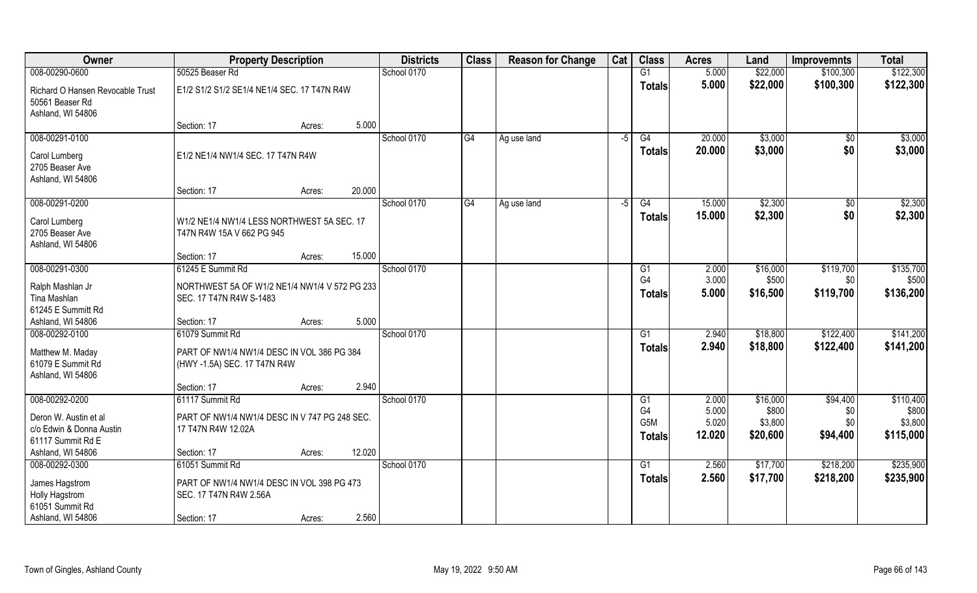| Owner                                             | <b>Property Description</b>                                          |        | <b>Districts</b> | <b>Class</b> | <b>Reason for Change</b> | Cat  | <b>Class</b>     | <b>Acres</b> | Land     | <b>Improvemnts</b>  | <b>Total</b> |
|---------------------------------------------------|----------------------------------------------------------------------|--------|------------------|--------------|--------------------------|------|------------------|--------------|----------|---------------------|--------------|
| 008-00290-0600                                    | 50525 Beaser Rd                                                      |        | School 0170      |              |                          |      | G1               | 5.000        | \$22,000 | \$100,300           | \$122,300    |
| Richard O Hansen Revocable Trust                  | E1/2 S1/2 S1/2 SE1/4 NE1/4 SEC. 17 T47N R4W                          |        |                  |              |                          |      | <b>Totals</b>    | 5.000        | \$22,000 | \$100,300           | \$122,300    |
| 50561 Beaser Rd                                   |                                                                      |        |                  |              |                          |      |                  |              |          |                     |              |
| Ashland, WI 54806                                 |                                                                      |        |                  |              |                          |      |                  |              |          |                     |              |
|                                                   | Section: 17<br>Acres:                                                | 5.000  |                  |              |                          |      |                  |              |          |                     |              |
| 008-00291-0100                                    |                                                                      |        | School 0170      | G4           | Ag use land              | $-5$ | G4               | 20.000       | \$3,000  | \$0                 | \$3,000      |
| Carol Lumberg                                     | E1/2 NE1/4 NW1/4 SEC. 17 T47N R4W                                    |        |                  |              |                          |      | <b>Totals</b>    | 20.000       | \$3,000  | \$0                 | \$3,000      |
| 2705 Beaser Ave                                   |                                                                      |        |                  |              |                          |      |                  |              |          |                     |              |
| Ashland, WI 54806                                 |                                                                      |        |                  |              |                          |      |                  |              |          |                     |              |
|                                                   | Section: 17<br>Acres:                                                | 20.000 |                  |              |                          |      |                  |              |          |                     |              |
| 008-00291-0200                                    |                                                                      |        | School 0170      | G4           | Ag use land              | -5   | G4               | 15.000       | \$2,300  | $\sqrt[6]{}$<br>\$0 | \$2,300      |
| Carol Lumberg                                     | W1/2 NE1/4 NW1/4 LESS NORTHWEST 5A SEC. 17                           |        |                  |              |                          |      | <b>Totals</b>    | 15.000       | \$2,300  |                     | \$2,300      |
| 2705 Beaser Ave                                   | T47N R4W 15A V 662 PG 945                                            |        |                  |              |                          |      |                  |              |          |                     |              |
| Ashland, WI 54806                                 |                                                                      | 15.000 |                  |              |                          |      |                  |              |          |                     |              |
| 008-00291-0300                                    | Section: 17<br>Acres:<br>61245 E Summit Rd                           |        | School 0170      |              |                          |      | G1               | 2.000        | \$16,000 | \$119,700           | \$135,700    |
|                                                   |                                                                      |        |                  |              |                          |      | G <sub>4</sub>   | 3.000        | \$500    | \$0                 | \$500        |
| Ralph Mashlan Jr                                  | NORTHWEST 5A OF W1/2 NE1/4 NW1/4 V 572 PG 233                        |        |                  |              |                          |      | <b>Totals</b>    | 5.000        | \$16,500 | \$119,700           | \$136,200    |
| Tina Mashlan                                      | SEC. 17 T47N R4W S-1483                                              |        |                  |              |                          |      |                  |              |          |                     |              |
| 61245 E Summitt Rd<br>Ashland, WI 54806           | Section: 17<br>Acres:                                                | 5.000  |                  |              |                          |      |                  |              |          |                     |              |
| 008-00292-0100                                    | 61079 Summit Rd                                                      |        | School 0170      |              |                          |      | G1               | 2.940        | \$18,800 | \$122,400           | \$141,200    |
|                                                   |                                                                      |        |                  |              |                          |      | <b>Totals</b>    | 2.940        | \$18,800 | \$122,400           | \$141,200    |
| Matthew M. Maday                                  | PART OF NW1/4 NW1/4 DESC IN VOL 386 PG 384                           |        |                  |              |                          |      |                  |              |          |                     |              |
| 61079 E Summit Rd<br>Ashland, WI 54806            | (HWY-1.5A) SEC. 17 T47N R4W                                          |        |                  |              |                          |      |                  |              |          |                     |              |
|                                                   | Section: 17<br>Acres:                                                | 2.940  |                  |              |                          |      |                  |              |          |                     |              |
| 008-00292-0200                                    | 61117 Summit Rd                                                      |        | School 0170      |              |                          |      | G1               | 2.000        | \$16,000 | \$94,400            | \$110,400    |
|                                                   |                                                                      |        |                  |              |                          |      | G <sub>4</sub>   | 5.000        | \$800    | \$0                 | \$800        |
| Deron W. Austin et al<br>c/o Edwin & Donna Austin | PART OF NW1/4 NW1/4 DESC IN V 747 PG 248 SEC.<br>17 T47N R4W 12.02A  |        |                  |              |                          |      | G <sub>5</sub> M | 5.020        | \$3,800  | \$0                 | \$3,800      |
| 61117 Summit Rd E                                 |                                                                      |        |                  |              |                          |      | <b>Totals</b>    | 12.020       | \$20,600 | \$94,400            | \$115,000    |
| Ashland, WI 54806                                 | Section: 17<br>Acres:                                                | 12.020 |                  |              |                          |      |                  |              |          |                     |              |
| 008-00292-0300                                    | 61051 Summit Rd                                                      |        | School 0170      |              |                          |      | G1               | 2.560        | \$17,700 | \$218,200           | \$235,900    |
|                                                   |                                                                      |        |                  |              |                          |      | <b>Totals</b>    | 2.560        | \$17,700 | \$218,200           | \$235,900    |
| James Hagstrom<br>Holly Hagstrom                  | PART OF NW1/4 NW1/4 DESC IN VOL 398 PG 473<br>SEC. 17 T47N R4W 2.56A |        |                  |              |                          |      |                  |              |          |                     |              |
| 61051 Summit Rd                                   |                                                                      |        |                  |              |                          |      |                  |              |          |                     |              |
| Ashland, WI 54806                                 | Section: 17<br>Acres:                                                | 2.560  |                  |              |                          |      |                  |              |          |                     |              |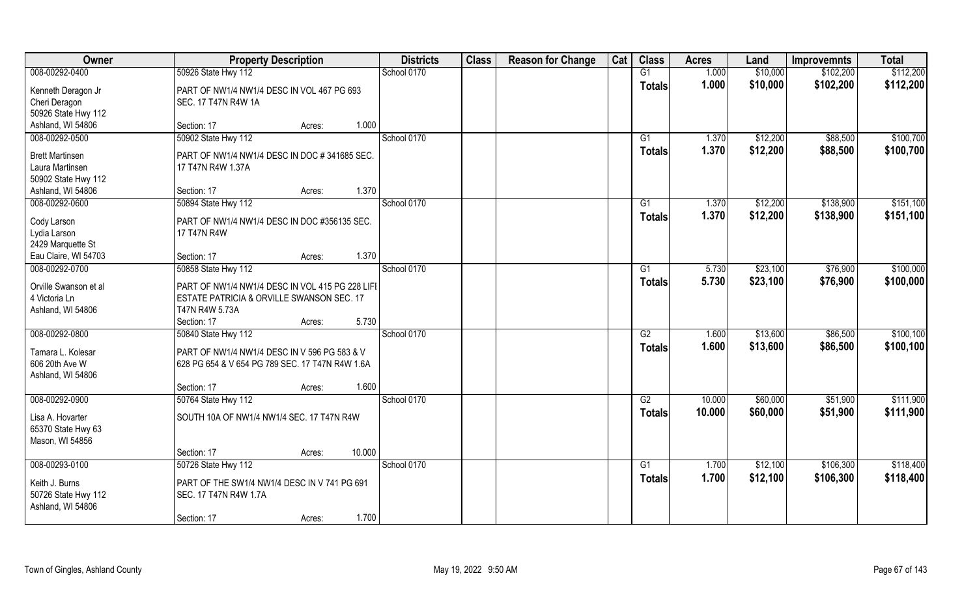| Owner                                                            | <b>Property Description</b>                                                                                    | <b>Districts</b> | <b>Class</b> | <b>Reason for Change</b> | Cat | <b>Class</b>    | <b>Acres</b> | Land     | <b>Improvemnts</b> | <b>Total</b> |
|------------------------------------------------------------------|----------------------------------------------------------------------------------------------------------------|------------------|--------------|--------------------------|-----|-----------------|--------------|----------|--------------------|--------------|
| 008-00292-0400                                                   | 50926 State Hwy 112                                                                                            | School 0170      |              |                          |     | G1              | 1.000        | \$10,000 | \$102,200          | \$112,200    |
| Kenneth Deragon Jr<br>Cheri Deragon                              | PART OF NW1/4 NW1/4 DESC IN VOL 467 PG 693<br>SEC. 17 T47N R4W 1A                                              |                  |              |                          |     | <b>Totals</b>   | 1.000        | \$10,000 | \$102,200          | \$112,200    |
| 50926 State Hwy 112                                              |                                                                                                                |                  |              |                          |     |                 |              |          |                    |              |
| Ashland, WI 54806                                                | 1.000<br>Section: 17<br>Acres:                                                                                 |                  |              |                          |     |                 |              |          |                    |              |
| 008-00292-0500                                                   | 50902 State Hwy 112                                                                                            | School 0170      |              |                          |     | G1              | 1.370        | \$12,200 | \$88,500           | \$100,700    |
| <b>Brett Martinsen</b><br>Laura Martinsen<br>50902 State Hwy 112 | PART OF NW1/4 NW1/4 DESC IN DOC #341685 SEC.<br>17 T47N R4W 1.37A                                              |                  |              |                          |     | Totals          | 1.370        | \$12,200 | \$88,500           | \$100,700    |
| Ashland, WI 54806                                                | Section: 17<br>Acres:                                                                                          | 1.370            |              |                          |     |                 |              |          |                    |              |
| 008-00292-0600                                                   | 50894 State Hwy 112                                                                                            | School 0170      |              |                          |     | G1              | 1.370        | \$12,200 | \$138,900          | \$151,100    |
| Cody Larson<br>Lydia Larson<br>2429 Marquette St                 | PART OF NW1/4 NW1/4 DESC IN DOC #356135 SEC.<br>17 T47N R4W                                                    |                  |              |                          |     | <b>Totals</b>   | 1.370        | \$12,200 | \$138,900          | \$151,100    |
| Eau Claire, WI 54703                                             | Section: 17<br>Acres:                                                                                          | 1.370            |              |                          |     |                 |              |          |                    |              |
| 008-00292-0700                                                   | 50858 State Hwy 112                                                                                            | School 0170      |              |                          |     | G1              | 5.730        | \$23,100 | \$76,900           | \$100,000    |
| Orville Swanson et al<br>4 Victoria Ln<br>Ashland, WI 54806      | PART OF NW1/4 NW1/4 DESC IN VOL 415 PG 228 LIFI<br>ESTATE PATRICIA & ORVILLE SWANSON SEC. 17<br>T47N R4W 5.73A |                  |              |                          |     | <b>Totals</b>   | 5.730        | \$23,100 | \$76,900           | \$100,000    |
|                                                                  | 5.730<br>Section: 17<br>Acres:                                                                                 |                  |              |                          |     |                 |              |          |                    |              |
| 008-00292-0800                                                   | 50840 State Hwy 112                                                                                            | School 0170      |              |                          |     | $\overline{G2}$ | 1.600        | \$13,600 | \$86,500           | \$100, 100   |
| Tamara L. Kolesar<br>606 20th Ave W<br>Ashland, WI 54806         | PART OF NW1/4 NW1/4 DESC IN V 596 PG 583 & V<br>628 PG 654 & V 654 PG 789 SEC. 17 T47N R4W 1.6A                |                  |              |                          |     | <b>Totals</b>   | 1.600        | \$13,600 | \$86,500           | \$100,100    |
|                                                                  | 1.600<br>Section: 17<br>Acres:                                                                                 |                  |              |                          |     |                 |              |          |                    |              |
| 008-00292-0900                                                   | 50764 State Hwy 112                                                                                            | School 0170      |              |                          |     | G2              | 10.000       | \$60,000 | \$51,900           | \$111,900    |
| Lisa A. Hovarter<br>65370 State Hwy 63<br>Mason, WI 54856        | SOUTH 10A OF NW1/4 NW1/4 SEC. 17 T47N R4W                                                                      |                  |              |                          |     | <b>Totals</b>   | 10.000       | \$60,000 | \$51,900           | \$111,900    |
|                                                                  | 10.000<br>Section: 17<br>Acres:                                                                                |                  |              |                          |     |                 |              |          |                    |              |
| 008-00293-0100                                                   | 50726 State Hwy 112                                                                                            | School 0170      |              |                          |     | $\overline{G1}$ | 1.700        | \$12,100 | \$106,300          | \$118,400    |
| Keith J. Burns<br>50726 State Hwy 112<br>Ashland, WI 54806       | PART OF THE SW1/4 NW1/4 DESC IN V 741 PG 691<br>SEC. 17 T47N R4W 1.7A                                          |                  |              |                          |     | <b>Totals</b>   | 1.700        | \$12,100 | \$106,300          | \$118,400    |
|                                                                  | Section: 17<br>Acres:                                                                                          | 1.700            |              |                          |     |                 |              |          |                    |              |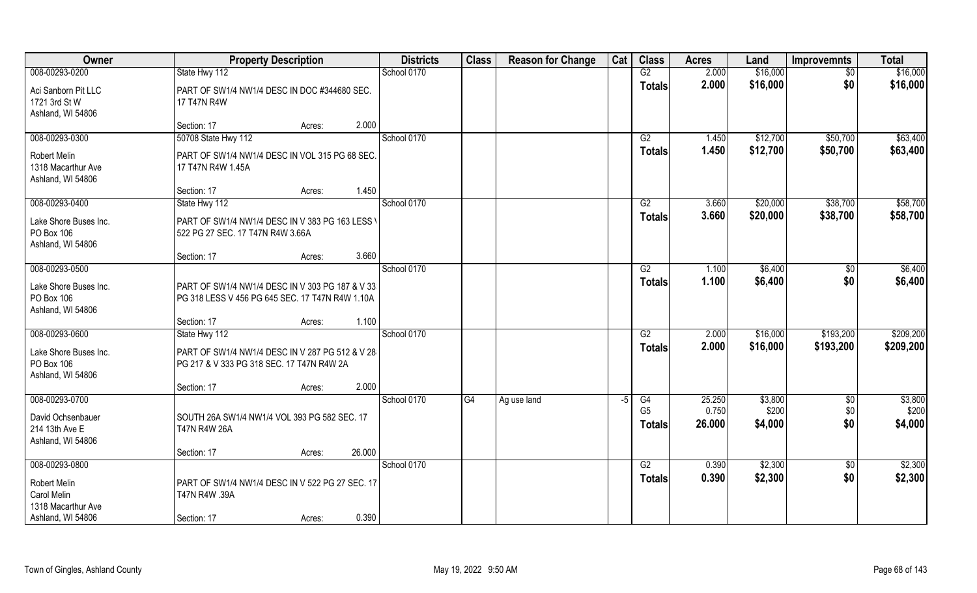| Owner                                                     |                                                                                                    | <b>Property Description</b> |        | <b>Districts</b> | <b>Class</b> | <b>Reason for Change</b> | Cat  | <b>Class</b>                    | <b>Acres</b>    | Land             | <b>Improvemnts</b> | <b>Total</b>     |
|-----------------------------------------------------------|----------------------------------------------------------------------------------------------------|-----------------------------|--------|------------------|--------------|--------------------------|------|---------------------------------|-----------------|------------------|--------------------|------------------|
| 008-00293-0200                                            | State Hwy 112                                                                                      |                             |        | School 0170      |              |                          |      | G2                              | 2.000           | \$16,000         | \$0                | \$16,000         |
| Aci Sanborn Pit LLC<br>1721 3rd St W<br>Ashland, WI 54806 | PART OF SW1/4 NW1/4 DESC IN DOC #344680 SEC.<br>17 T47N R4W                                        |                             |        |                  |              |                          |      | <b>Totals</b>                   | 2.000           | \$16,000         | \$0                | \$16,000         |
|                                                           | Section: 17                                                                                        | Acres:                      | 2.000  |                  |              |                          |      |                                 |                 |                  |                    |                  |
| 008-00293-0300                                            | 50708 State Hwy 112                                                                                |                             |        | School 0170      |              |                          |      | G2                              | 1.450           | \$12,700         | \$50,700           | \$63,400         |
| Robert Melin<br>1318 Macarthur Ave<br>Ashland, WI 54806   | PART OF SW1/4 NW1/4 DESC IN VOL 315 PG 68 SEC.<br>17 T47N R4W 1.45A                                |                             |        |                  |              |                          |      | <b>Totals</b>                   | 1.450           | \$12,700         | \$50,700           | \$63,400         |
|                                                           | Section: 17                                                                                        | Acres:                      | 1.450  |                  |              |                          |      |                                 |                 |                  |                    |                  |
| 008-00293-0400                                            | State Hwy 112                                                                                      |                             |        | School 0170      |              |                          |      | G2                              | 3.660           | \$20,000         | \$38,700           | \$58,700         |
| Lake Shore Buses Inc.<br>PO Box 106<br>Ashland, WI 54806  | PART OF SW1/4 NW1/4 DESC IN V 383 PG 163 LESS \<br>522 PG 27 SEC. 17 T47N R4W 3.66A                |                             |        |                  |              |                          |      | <b>Totals</b>                   | 3.660           | \$20,000         | \$38,700           | \$58,700         |
|                                                           | Section: 17                                                                                        | Acres:                      | 3.660  |                  |              |                          |      |                                 |                 |                  |                    |                  |
| 008-00293-0500                                            |                                                                                                    |                             |        | School 0170      |              |                          |      | G2                              | 1.100           | \$6,400          | $\sqrt[6]{}$       | \$6,400          |
| Lake Shore Buses Inc.<br>PO Box 106<br>Ashland, WI 54806  | PART OF SW1/4 NW1/4 DESC IN V 303 PG 187 & V 33<br>PG 318 LESS V 456 PG 645 SEC. 17 T47N R4W 1.10A |                             |        |                  |              |                          |      | <b>Totals</b>                   | 1.100           | \$6,400          | \$0                | \$6,400          |
|                                                           | Section: 17                                                                                        | Acres:                      | 1.100  |                  |              |                          |      |                                 |                 |                  |                    |                  |
| 008-00293-0600                                            | State Hwy 112                                                                                      |                             |        | School 0170      |              |                          |      | $\overline{G2}$                 | 2.000           | \$16,000         | \$193,200          | \$209,200        |
| Lake Shore Buses Inc.<br>PO Box 106<br>Ashland, WI 54806  | PART OF SW1/4 NW1/4 DESC IN V 287 PG 512 & V 28<br>PG 217 & V 333 PG 318 SEC. 17 T47N R4W 2A       |                             |        |                  |              |                          |      | <b>Totals</b>                   | 2.000           | \$16,000         | \$193,200          | \$209,200        |
|                                                           | Section: 17                                                                                        | Acres:                      | 2.000  |                  |              |                          |      |                                 |                 |                  |                    |                  |
| 008-00293-0700                                            |                                                                                                    |                             |        | School 0170      | G4           | Ag use land              | $-5$ | G4                              | 25.250          | \$3,800          | \$0                | \$3,800          |
| David Ochsenbauer<br>214 13th Ave E<br>Ashland, WI 54806  | SOUTH 26A SW1/4 NW1/4 VOL 393 PG 582 SEC. 17<br><b>T47N R4W 26A</b>                                |                             |        |                  |              |                          |      | G <sub>5</sub><br><b>Totals</b> | 0.750<br>26.000 | \$200<br>\$4,000 | \$0<br>\$0         | \$200<br>\$4,000 |
|                                                           | Section: 17                                                                                        | Acres:                      | 26.000 |                  |              |                          |      |                                 |                 |                  |                    |                  |
| 008-00293-0800                                            |                                                                                                    |                             |        | School 0170      |              |                          |      | G2                              | 0.390           | \$2,300          | $\overline{50}$    | \$2,300          |
| Robert Melin<br>Carol Melin<br>1318 Macarthur Ave         | PART OF SW1/4 NW1/4 DESC IN V 522 PG 27 SEC. 17<br>T47N R4W .39A                                   |                             |        |                  |              |                          |      | <b>Totals</b>                   | 0.390           | \$2,300          | \$0                | \$2,300          |
| Ashland, WI 54806                                         | Section: 17                                                                                        | Acres:                      | 0.390  |                  |              |                          |      |                                 |                 |                  |                    |                  |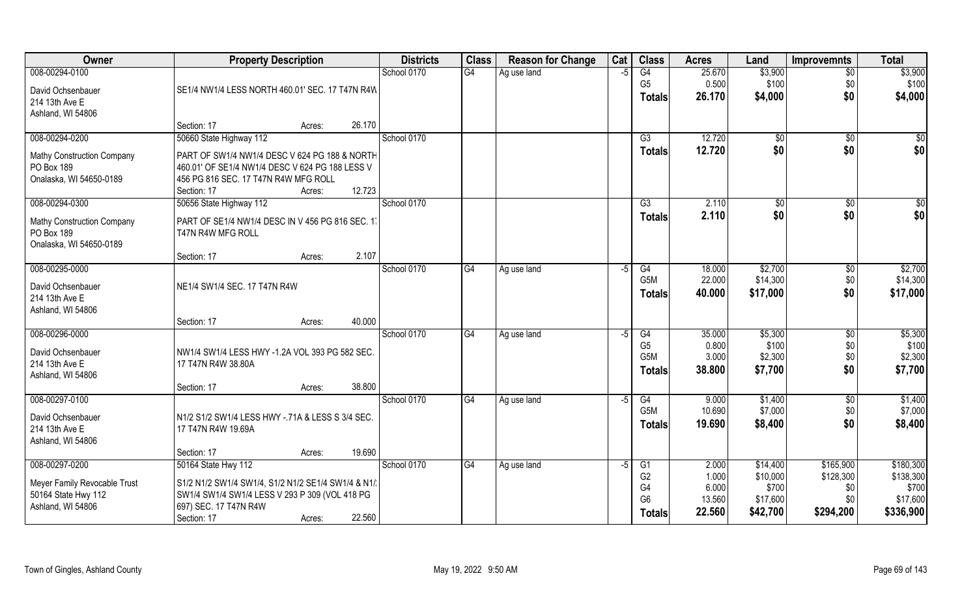| Owner                                                                                        | <b>Property Description</b>                                                                                                                                                                            | <b>Districts</b> | <b>Class</b> | <b>Reason for Change</b> | Cat  | <b>Class</b>                                                              | <b>Acres</b>                                | Land                                                  | <b>Improvemnts</b>                                | <b>Total</b>                                             |
|----------------------------------------------------------------------------------------------|--------------------------------------------------------------------------------------------------------------------------------------------------------------------------------------------------------|------------------|--------------|--------------------------|------|---------------------------------------------------------------------------|---------------------------------------------|-------------------------------------------------------|---------------------------------------------------|----------------------------------------------------------|
| 008-00294-0100<br>David Ochsenbauer<br>214 13th Ave E                                        | SE1/4 NW1/4 LESS NORTH 460.01' SEC. 17 T47N R4W                                                                                                                                                        | School 0170      | G4           | Ag use land              | $-5$ | G4<br>G <sub>5</sub><br><b>Totals</b>                                     | 25.670<br>0.500<br>26.170                   | \$3,900<br>\$100<br>\$4,000                           | $\overline{50}$<br>\$0<br>\$0                     | \$3,900<br>\$100<br>\$4,000                              |
| Ashland, WI 54806                                                                            | 26.170<br>Section: 17<br>Acres:                                                                                                                                                                        |                  |              |                          |      |                                                                           |                                             |                                                       |                                                   |                                                          |
| 008-00294-0200<br><b>Mathy Construction Company</b><br>PO Box 189<br>Onalaska, WI 54650-0189 | 50660 State Highway 112<br>PART OF SW1/4 NW1/4 DESC V 624 PG 188 & NORTH<br>460.01' OF SE1/4 NW1/4 DESC V 624 PG 188 LESS V<br>456 PG 816 SEC. 17 T47N R4W MFG ROLL<br>12.723<br>Section: 17<br>Acres: | School 0170      |              |                          |      | G3<br>Totals                                                              | 12.720<br>12.720                            | \$0<br>\$0                                            | \$0<br>\$0                                        | $\frac{6}{3}$<br>\$0                                     |
| 008-00294-0300<br><b>Mathy Construction Company</b><br>PO Box 189<br>Onalaska, WI 54650-0189 | 50656 State Highway 112<br>PART OF SE1/4 NW1/4 DESC IN V 456 PG 816 SEC. 17<br>T47N R4W MFG ROLL<br>2.107<br>Section: 17<br>Acres:                                                                     | School 0170      |              |                          |      | G3<br><b>Totals</b>                                                       | 2.110<br>2.110                              | \$0<br>\$0                                            | $\sqrt{6}$<br>\$0                                 | $\overline{50}$<br>\$0                                   |
| 008-00295-0000<br>David Ochsenbauer<br>214 13th Ave E<br>Ashland, WI 54806                   | NE1/4 SW1/4 SEC. 17 T47N R4W<br>40.000<br>Section: 17<br>Acres:                                                                                                                                        | School 0170      | G4           | Ag use land              | $-5$ | G4<br>G5M<br><b>Totals</b>                                                | 18.000<br>22.000<br>40.000                  | \$2,700<br>\$14,300<br>\$17,000                       | \$0<br>\$0<br>\$0                                 | \$2,700<br>\$14,300<br>\$17,000                          |
| 008-00296-0000<br>David Ochsenbauer<br>214 13th Ave E<br>Ashland, WI 54806                   | NW1/4 SW1/4 LESS HWY -1.2A VOL 393 PG 582 SEC.<br>17 T47N R4W 38.80A<br>38.800<br>Section: 17<br>Acres:                                                                                                | School 0170      | G4           | Ag use land              | $-5$ | $\overline{G4}$<br>G <sub>5</sub><br>G5M<br><b>Totals</b>                 | 35.000<br>0.800<br>3.000<br>38.800          | \$5,300<br>\$100<br>\$2,300<br>\$7,700                | \$0<br>\$0<br>\$0<br>\$0                          | \$5,300<br>\$100<br>\$2,300<br>\$7,700                   |
| 008-00297-0100<br>David Ochsenbauer<br>214 13th Ave E<br>Ashland, WI 54806                   | N1/2 S1/2 SW1/4 LESS HWY - 71A & LESS S 3/4 SEC.<br>17 T47N R4W 19.69A<br>19.690<br>Section: 17<br>Acres:                                                                                              | School 0170      | G4           | Ag use land              | $-5$ | G4<br>G5M<br><b>Totals</b>                                                | 9.000<br>10.690<br>19.690                   | \$1,400<br>\$7,000<br>\$8,400                         | \$0<br>\$0<br>\$0                                 | \$1,400<br>\$7,000<br>\$8,400                            |
| 008-00297-0200<br>Meyer Family Revocable Trust<br>50164 State Hwy 112<br>Ashland, WI 54806   | 50164 State Hwy 112<br>S1/2 N1/2 SW1/4 SW1/4, S1/2 N1/2 SE1/4 SW1/4 & N1/.<br>SW1/4 SW1/4 SW1/4 LESS V 293 P 309 (VOL 418 PG<br>697) SEC. 17 T47N R4W<br>22.560<br>Section: 17<br>Acres:               | School 0170      | G4           | Ag use land              | -5   | G1<br>G <sub>2</sub><br>G <sub>4</sub><br>G <sub>6</sub><br><b>Totals</b> | 2.000<br>1.000<br>6.000<br>13.560<br>22.560 | \$14,400<br>\$10,000<br>\$700<br>\$17,600<br>\$42,700 | \$165,900<br>\$128,300<br>\$0<br>\$0<br>\$294,200 | \$180,300<br>\$138,300<br>\$700<br>\$17,600<br>\$336,900 |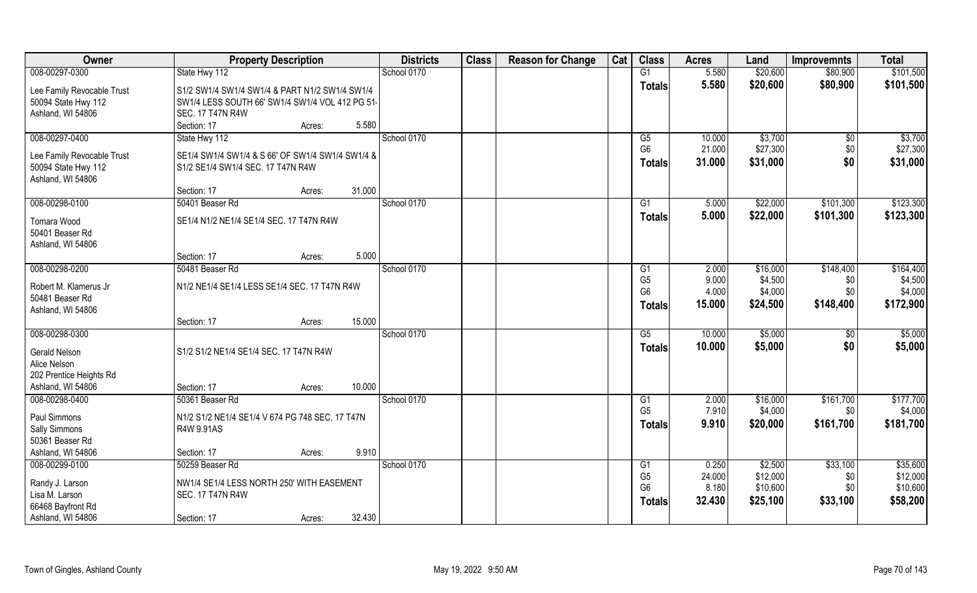| Owner                      | <b>Property Description</b>                      | <b>Districts</b> | <b>Class</b> | <b>Reason for Change</b> | Cat | <b>Class</b>    | <b>Acres</b> | Land     | <b>Improvemnts</b> | <b>Total</b> |
|----------------------------|--------------------------------------------------|------------------|--------------|--------------------------|-----|-----------------|--------------|----------|--------------------|--------------|
| 008-00297-0300             | State Hwy 112                                    | School 0170      |              |                          |     | G1              | 5.580        | \$20,600 | \$80,900           | \$101,500    |
| Lee Family Revocable Trust | S1/2 SW1/4 SW1/4 SW1/4 & PART N1/2 SW1/4 SW1/4   |                  |              |                          |     | <b>Totals</b>   | 5.580        | \$20,600 | \$80,900           | \$101,500    |
| 50094 State Hwy 112        | SW1/4 LESS SOUTH 66' SW1/4 SW1/4 VOL 412 PG 51.  |                  |              |                          |     |                 |              |          |                    |              |
| Ashland, WI 54806          | <b>SEC. 17 T47N R4W</b>                          |                  |              |                          |     |                 |              |          |                    |              |
|                            | 5.580<br>Section: 17<br>Acres:                   |                  |              |                          |     |                 |              |          |                    |              |
| 008-00297-0400             | State Hwy 112                                    | School 0170      |              |                          |     | G5              | 10.000       | \$3,700  | \$0                | \$3,700      |
| Lee Family Revocable Trust | SE1/4 SW1/4 SW1/4 & S 66' OF SW1/4 SW1/4 SW1/4 & |                  |              |                          |     | G <sub>6</sub>  | 21.000       | \$27,300 | \$0                | \$27,300     |
| 50094 State Hwy 112        | S1/2 SE1/4 SW1/4 SEC. 17 T47N R4W                |                  |              |                          |     | <b>Totals</b>   | 31.000       | \$31,000 | \$0                | \$31,000     |
| Ashland, WI 54806          |                                                  |                  |              |                          |     |                 |              |          |                    |              |
|                            | 31.000<br>Section: 17<br>Acres:                  |                  |              |                          |     |                 |              |          |                    |              |
| 008-00298-0100             | 50401 Beaser Rd                                  | School 0170      |              |                          |     | G1              | 5.000        | \$22,000 | \$101,300          | \$123,300    |
| <b>Tomara Wood</b>         | SE1/4 N1/2 NE1/4 SE1/4 SEC. 17 T47N R4W          |                  |              |                          |     | <b>Totals</b>   | 5.000        | \$22,000 | \$101,300          | \$123,300    |
| 50401 Beaser Rd            |                                                  |                  |              |                          |     |                 |              |          |                    |              |
| Ashland, WI 54806          |                                                  |                  |              |                          |     |                 |              |          |                    |              |
|                            | 5.000<br>Section: 17<br>Acres:                   |                  |              |                          |     |                 |              |          |                    |              |
| 008-00298-0200             | 50481 Beaser Rd                                  | School 0170      |              |                          |     | G <sub>1</sub>  | 2.000        | \$16,000 | \$148,400          | \$164,400    |
| Robert M. Klamerus Jr      | N1/2 NE1/4 SE1/4 LESS SE1/4 SEC. 17 T47N R4W     |                  |              |                          |     | G <sub>5</sub>  | 9.000        | \$4,500  | \$0                | \$4,500      |
| 50481 Beaser Rd            |                                                  |                  |              |                          |     | G <sub>6</sub>  | 4.000        | \$4,000  | \$0                | \$4,000      |
| Ashland, WI 54806          |                                                  |                  |              |                          |     | <b>Totals</b>   | 15.000       | \$24,500 | \$148,400          | \$172,900    |
|                            | 15.000<br>Section: 17<br>Acres:                  |                  |              |                          |     |                 |              |          |                    |              |
| 008-00298-0300             |                                                  | School 0170      |              |                          |     | $\overline{G5}$ | 10.000       | \$5,000  | \$0                | \$5,000      |
| <b>Gerald Nelson</b>       | S1/2 S1/2 NE1/4 SE1/4 SEC. 17 T47N R4W           |                  |              |                          |     | <b>Totals</b>   | 10.000       | \$5,000  | \$0                | \$5,000      |
| Alice Nelson               |                                                  |                  |              |                          |     |                 |              |          |                    |              |
| 202 Prentice Heights Rd    |                                                  |                  |              |                          |     |                 |              |          |                    |              |
| Ashland, WI 54806          | 10.000<br>Section: 17<br>Acres:                  |                  |              |                          |     |                 |              |          |                    |              |
| 008-00298-0400             | 50361 Beaser Rd                                  | School 0170      |              |                          |     | G1              | 2.000        | \$16,000 | \$161,700          | \$177,700    |
| Paul Simmons               | N1/2 S1/2 NE1/4 SE1/4 V 674 PG 748 SEC. 17 T47N  |                  |              |                          |     | G <sub>5</sub>  | 7.910        | \$4,000  | \$0                | \$4,000      |
| Sally Simmons              | R4W 9.91AS                                       |                  |              |                          |     | Totals          | 9.910        | \$20,000 | \$161,700          | \$181,700    |
| 50361 Beaser Rd            |                                                  |                  |              |                          |     |                 |              |          |                    |              |
| Ashland, WI 54806          | 9.910<br>Section: 17<br>Acres:                   |                  |              |                          |     |                 |              |          |                    |              |
| 008-00299-0100             | 50259 Beaser Rd                                  | School 0170      |              |                          |     | G1              | 0.250        | \$2,500  | \$33,100           | \$35,600     |
| Randy J. Larson            | NW1/4 SE1/4 LESS NORTH 250' WITH EASEMENT        |                  |              |                          |     | G <sub>5</sub>  | 24.000       | \$12,000 | \$0                | \$12,000     |
| Lisa M. Larson             | <b>SEC. 17 T47N R4W</b>                          |                  |              |                          |     | G <sub>6</sub>  | 8.180        | \$10,600 | \$0                | \$10,600     |
| 66468 Bayfront Rd          |                                                  |                  |              |                          |     | Totals          | 32.430       | \$25,100 | \$33,100           | \$58,200     |
| Ashland, WI 54806          | 32.430<br>Section: 17<br>Acres:                  |                  |              |                          |     |                 |              |          |                    |              |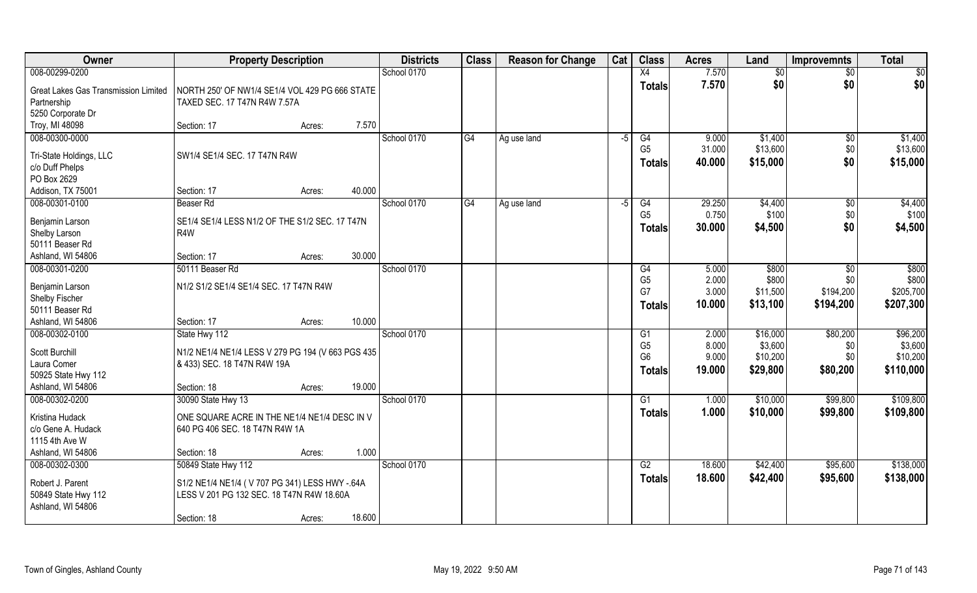| Owner                                                                    | <b>Property Description</b>                                                                                         |        | <b>Districts</b> | <b>Class</b> | <b>Reason for Change</b> | Cat  | <b>Class</b>                    | <b>Acres</b>    | Land                | <b>Improvemnts</b> | <b>Total</b>        |
|--------------------------------------------------------------------------|---------------------------------------------------------------------------------------------------------------------|--------|------------------|--------------|--------------------------|------|---------------------------------|-----------------|---------------------|--------------------|---------------------|
| 008-00299-0200                                                           |                                                                                                                     |        | School 0170      |              |                          |      | X4                              | 7.570           | $\overline{50}$     | $\overline{50}$    | \$0                 |
| Great Lakes Gas Transmission Limited<br>Partnership<br>5250 Corporate Dr | NORTH 250' OF NW1/4 SE1/4 VOL 429 PG 666 STATE<br>TAXED SEC. 17 T47N R4W 7.57A                                      |        |                  |              |                          |      | <b>Totals</b>                   | 7.570           | \$0                 | \$0                | \$0                 |
| Troy, MI 48098                                                           | Section: 17<br>Acres:                                                                                               | 7.570  |                  |              |                          |      |                                 |                 |                     |                    |                     |
| 008-00300-0000                                                           | SW1/4 SE1/4 SEC. 17 T47N R4W                                                                                        |        | School 0170      | G4           | Ag use land              | -5   | G4<br>G <sub>5</sub>            | 9.000<br>31.000 | \$1,400<br>\$13,600 | \$0<br>\$0         | \$1,400<br>\$13,600 |
| Tri-State Holdings, LLC<br>c/o Duff Phelps<br>PO Box 2629                |                                                                                                                     |        |                  |              |                          |      | <b>Totals</b>                   | 40.000          | \$15,000            | \$0                | \$15,000            |
| Addison, TX 75001                                                        | Section: 17<br>Acres:                                                                                               | 40.000 |                  |              |                          |      |                                 |                 |                     |                    |                     |
| 008-00301-0100                                                           | Beaser Rd                                                                                                           |        | School 0170      | G4           | Ag use land              | $-5$ | G4                              | 29.250          | \$4,400             | $\sqrt[6]{30}$     | \$4,400             |
| Benjamin Larson<br>Shelby Larson                                         | SE1/4 SE1/4 LESS N1/2 OF THE S1/2 SEC. 17 T47N<br>R4W                                                               |        |                  |              |                          |      | G <sub>5</sub><br><b>Totals</b> | 0.750<br>30.000 | \$100<br>\$4,500    | \$0<br>\$0         | \$100<br>\$4,500    |
| 50111 Beaser Rd                                                          |                                                                                                                     |        |                  |              |                          |      |                                 |                 |                     |                    |                     |
| Ashland, WI 54806                                                        | Section: 17<br>Acres:                                                                                               | 30.000 |                  |              |                          |      |                                 |                 |                     |                    |                     |
| 008-00301-0200                                                           | 50111 Beaser Rd                                                                                                     |        | School 0170      |              |                          |      | G4                              | 5.000           | \$800               | \$0                | \$800               |
| Benjamin Larson                                                          | N1/2 S1/2 SE1/4 SE1/4 SEC. 17 T47N R4W                                                                              |        |                  |              |                          |      | G <sub>5</sub>                  | 2.000           | \$800               | \$0                | \$800               |
| Shelby Fischer                                                           |                                                                                                                     |        |                  |              |                          |      | G7                              | 3.000           | \$11,500            | \$194,200          | \$205,700           |
| 50111 Beaser Rd                                                          |                                                                                                                     |        |                  |              |                          |      | <b>Totals</b>                   | 10.000          | \$13,100            | \$194,200          | \$207,300           |
| Ashland, WI 54806                                                        | Section: 17<br>Acres:                                                                                               | 10.000 |                  |              |                          |      |                                 |                 |                     |                    |                     |
| 008-00302-0100                                                           | State Hwy 112                                                                                                       |        | School 0170      |              |                          |      | G1                              | 2.000           | \$16,000            | \$80,200           | \$96,200            |
| Scott Burchill                                                           | N1/2 NE1/4 NE1/4 LESS V 279 PG 194 (V 663 PGS 435                                                                   |        |                  |              |                          |      | G <sub>5</sub>                  | 8.000           | \$3,600             | \$0                | \$3,600             |
| Laura Comer                                                              | & 433) SEC. 18 T47N R4W 19A                                                                                         |        |                  |              |                          |      | G <sub>6</sub>                  | 9.000           | \$10,200            | \$0                | \$10,200            |
| 50925 State Hwy 112                                                      |                                                                                                                     |        |                  |              |                          |      | <b>Totals</b>                   | 19.000          | \$29,800            | \$80,200           | \$110,000           |
| Ashland, WI 54806                                                        | Section: 18<br>Acres:                                                                                               | 19.000 |                  |              |                          |      |                                 |                 |                     |                    |                     |
| 008-00302-0200                                                           | 30090 State Hwy 13                                                                                                  |        | School 0170      |              |                          |      | G1                              | 1.000           | \$10,000            | \$99,800           | \$109,800           |
| Kristina Hudack<br>c/o Gene A. Hudack<br>1115 4th Ave W                  | ONE SQUARE ACRE IN THE NE1/4 NE1/4 DESC IN V<br>640 PG 406 SEC. 18 T47N R4W 1A                                      |        |                  |              |                          |      | <b>Totals</b>                   | 1.000           | \$10,000            | \$99,800           | \$109,800           |
| Ashland, WI 54806                                                        | Section: 18<br>Acres:                                                                                               | 1.000  |                  |              |                          |      |                                 |                 |                     |                    |                     |
| 008-00302-0300                                                           | 50849 State Hwy 112                                                                                                 |        | School 0170      |              |                          |      | G2                              | 18.600          | \$42,400            | \$95,600           | \$138,000           |
| Robert J. Parent<br>50849 State Hwy 112<br>Ashland, WI 54806             | S1/2 NE1/4 NE1/4 (V707 PG 341) LESS HWY -.64A<br>LESS V 201 PG 132 SEC. 18 T47N R4W 18.60A<br>Section: 18<br>Acres: | 18.600 |                  |              |                          |      | <b>Totals</b>                   | 18.600          | \$42,400            | \$95,600           | \$138,000           |
|                                                                          |                                                                                                                     |        |                  |              |                          |      |                                 |                 |                     |                    |                     |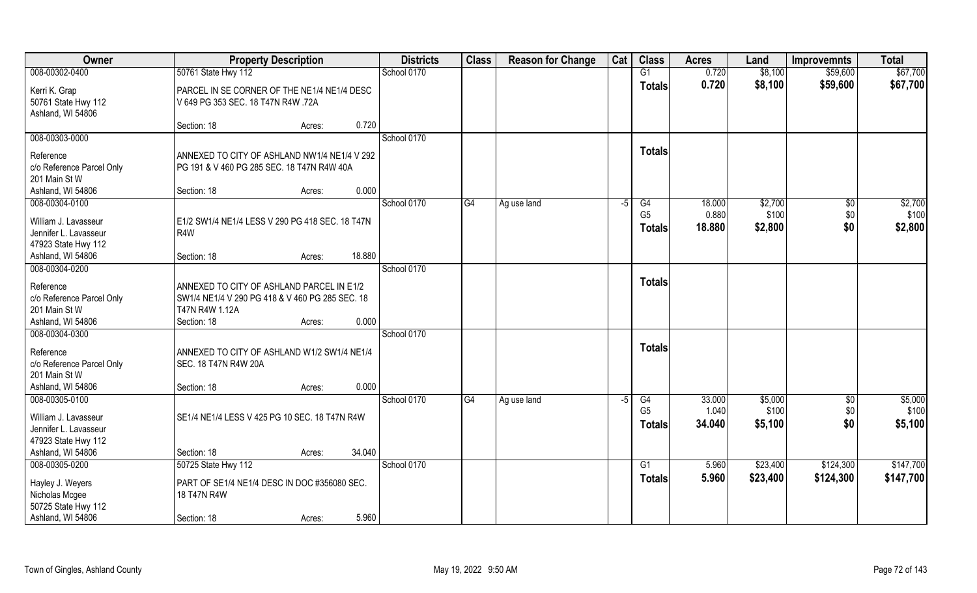| Owner                                                                                  | <b>Property Description</b>                                                                                                                      | <b>Districts</b> | <b>Class</b> | <b>Reason for Change</b> | Cat  | <b>Class</b>                          | <b>Acres</b>              | Land                        | <b>Improvemnts</b>        | <b>Total</b>                |
|----------------------------------------------------------------------------------------|--------------------------------------------------------------------------------------------------------------------------------------------------|------------------|--------------|--------------------------|------|---------------------------------------|---------------------------|-----------------------------|---------------------------|-----------------------------|
| 008-00302-0400                                                                         | 50761 State Hwy 112                                                                                                                              | School 0170      |              |                          |      | G1                                    | 0.720                     | \$8,100                     | \$59,600                  | \$67,700                    |
| Kerri K. Grap<br>50761 State Hwy 112<br>Ashland, WI 54806                              | PARCEL IN SE CORNER OF THE NE1/4 NE1/4 DESC<br>V 649 PG 353 SEC. 18 T47N R4W .72A                                                                |                  |              |                          |      | <b>Totals</b>                         | 0.720                     | \$8,100                     | \$59,600                  | \$67,700                    |
|                                                                                        | 0.720<br>Section: 18<br>Acres:                                                                                                                   |                  |              |                          |      |                                       |                           |                             |                           |                             |
| 008-00303-0000                                                                         |                                                                                                                                                  | School 0170      |              |                          |      |                                       |                           |                             |                           |                             |
| Reference<br>c/o Reference Parcel Only<br>201 Main St W<br>Ashland, WI 54806           | ANNEXED TO CITY OF ASHLAND NW1/4 NE1/4 V 292<br>PG 191 & V 460 PG 285 SEC. 18 T47N R4W 40A<br>0.000<br>Section: 18<br>Acres:                     |                  |              |                          |      | <b>Totals</b>                         |                           |                             |                           |                             |
| 008-00304-0100                                                                         |                                                                                                                                                  | School 0170      | G4           | Ag use land              | -5   | G4                                    | 18.000                    | \$2,700                     | $\sqrt{50}$               | \$2,700                     |
| William J. Lavasseur<br>Jennifer L. Lavasseur<br>47923 State Hwy 112                   | E1/2 SW1/4 NE1/4 LESS V 290 PG 418 SEC. 18 T47N<br>R4W                                                                                           |                  |              |                          |      | G <sub>5</sub><br><b>Totals</b>       | 0.880<br>18.880           | \$100<br>\$2,800            | \$0<br>\$0                | \$100<br>\$2,800            |
| Ashland, WI 54806                                                                      | 18.880<br>Section: 18<br>Acres:                                                                                                                  |                  |              |                          |      |                                       |                           |                             |                           |                             |
| 008-00304-0200                                                                         |                                                                                                                                                  | School 0170      |              |                          |      |                                       |                           |                             |                           |                             |
| Reference<br>c/o Reference Parcel Only<br>201 Main St W<br>Ashland, WI 54806           | ANNEXED TO CITY OF ASHLAND PARCEL IN E1/2<br>SW1/4 NE1/4 V 290 PG 418 & V 460 PG 285 SEC. 18<br>T47N R4W 1.12A<br>0.000<br>Section: 18<br>Acres: |                  |              |                          |      | <b>Totals</b>                         |                           |                             |                           |                             |
| 008-00304-0300                                                                         |                                                                                                                                                  | School 0170      |              |                          |      |                                       |                           |                             |                           |                             |
| Reference<br>c/o Reference Parcel Only<br>201 Main St W                                | ANNEXED TO CITY OF ASHLAND W1/2 SW1/4 NE1/4<br>SEC. 18 T47N R4W 20A                                                                              |                  |              |                          |      | <b>Totals</b>                         |                           |                             |                           |                             |
| Ashland, WI 54806                                                                      | 0.000<br>Section: 18<br>Acres:                                                                                                                   |                  |              |                          |      |                                       |                           |                             |                           |                             |
| 008-00305-0100<br>William J. Lavasseur<br>Jennifer L. Lavasseur<br>47923 State Hwy 112 | SE1/4 NE1/4 LESS V 425 PG 10 SEC. 18 T47N R4W                                                                                                    | School 0170      | G4           | Ag use land              | $-5$ | G4<br>G <sub>5</sub><br><b>Totals</b> | 33.000<br>1.040<br>34.040 | \$5,000<br>\$100<br>\$5,100 | $\sqrt{$0}$<br>\$0<br>\$0 | \$5,000<br>\$100<br>\$5,100 |
| Ashland, WI 54806                                                                      | 34.040<br>Section: 18<br>Acres:                                                                                                                  |                  |              |                          |      |                                       |                           |                             |                           |                             |
| 008-00305-0200                                                                         | 50725 State Hwy 112                                                                                                                              | School 0170      |              |                          |      | $\overline{G1}$                       | 5.960                     | \$23,400                    | \$124,300                 | \$147,700                   |
| Hayley J. Weyers<br>Nicholas Mcgee<br>50725 State Hwy 112                              | PART OF SE1/4 NE1/4 DESC IN DOC #356080 SEC.<br>18 T47N R4W                                                                                      |                  |              |                          |      | <b>Totals</b>                         | 5.960                     | \$23,400                    | \$124,300                 | \$147,700                   |
| Ashland, WI 54806                                                                      | 5.960<br>Section: 18<br>Acres:                                                                                                                   |                  |              |                          |      |                                       |                           |                             |                           |                             |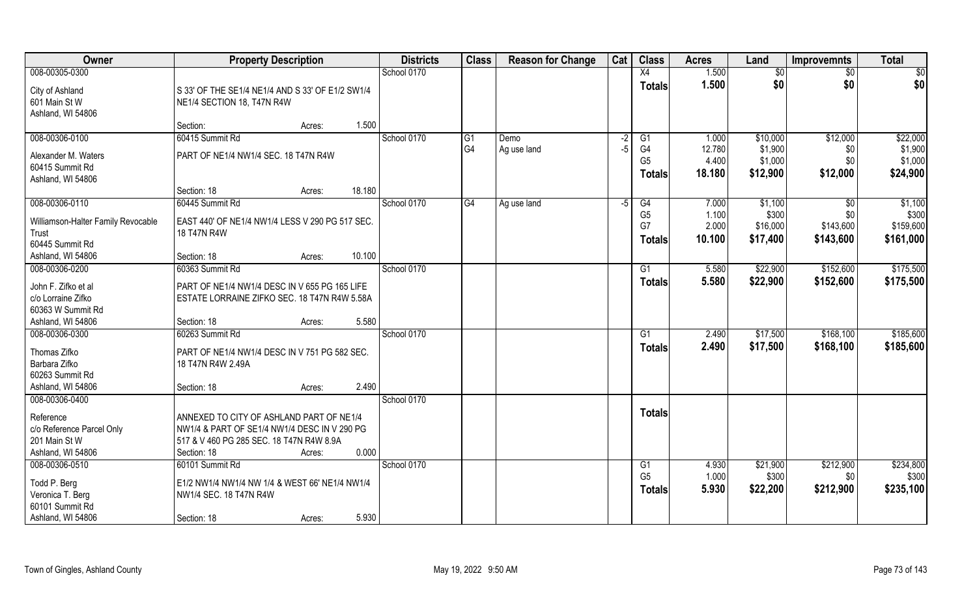| Owner                                                                               | <b>Property Description</b>                                                                                                                                            | <b>Districts</b> | <b>Class</b>   | <b>Reason for Change</b> | Cat  | <b>Class</b>                          | <b>Acres</b>              | Land                           | <b>Improvemnts</b>            | <b>Total</b>                    |
|-------------------------------------------------------------------------------------|------------------------------------------------------------------------------------------------------------------------------------------------------------------------|------------------|----------------|--------------------------|------|---------------------------------------|---------------------------|--------------------------------|-------------------------------|---------------------------------|
| 008-00305-0300                                                                      |                                                                                                                                                                        | School 0170      |                |                          |      | X4                                    | 1.500                     | \$0                            | $\overline{30}$               | \$0                             |
| City of Ashland<br>601 Main St W<br>Ashland, WI 54806                               | S 33' OF THE SE1/4 NE1/4 AND S 33' OF E1/2 SW1/4<br>NE1/4 SECTION 18, T47N R4W<br>1.500<br>Section:<br>Acres:                                                          |                  |                |                          |      | <b>Totals</b>                         | 1.500                     | \$0                            | \$0                           | \$0                             |
| 008-00306-0100                                                                      | 60415 Summit Rd                                                                                                                                                        | School 0170      | G <sub>1</sub> | Demo                     | $-2$ | G1                                    | 1.000                     | \$10,000                       | \$12,000                      | \$22,000                        |
| Alexander M. Waters<br>60415 Summit Rd<br>Ashland, WI 54806                         | PART OF NE1/4 NW1/4 SEC. 18 T47N R4W<br>18.180<br>Section: 18<br>Acres:                                                                                                |                  | G4             | Ag use land              | $-5$ | G4<br>G <sub>5</sub><br><b>Totals</b> | 12.780<br>4.400<br>18.180 | \$1,900<br>\$1,000<br>\$12,900 | \$0<br>\$0<br>\$12,000        | \$1,900<br>\$1,000<br>\$24,900  |
| 008-00306-0110                                                                      | 60445 Summit Rd                                                                                                                                                        | School 0170      | G4             | Ag use land              | -5   | G4                                    | 7.000                     | \$1,100                        | $\sqrt{6}$                    | \$1,100                         |
| Williamson-Halter Family Revocable<br>Trust<br>60445 Summit Rd<br>Ashland, WI 54806 | EAST 440' OF NE1/4 NW1/4 LESS V 290 PG 517 SEC.<br>18 T47N R4W<br>10.100<br>Section: 18<br>Acres:                                                                      |                  |                |                          |      | G <sub>5</sub><br>G7<br><b>Totals</b> | 1.100<br>2.000<br>10.100  | \$300<br>\$16,000<br>\$17,400  | \$0<br>\$143,600<br>\$143,600 | \$300<br>\$159,600<br>\$161,000 |
| 008-00306-0200                                                                      | 60363 Summit Rd                                                                                                                                                        | School 0170      |                |                          |      | G <sub>1</sub>                        | 5.580                     | \$22,900                       | \$152,600                     | \$175,500                       |
| John F. Zifko et al<br>c/o Lorraine Zifko<br>60363 W Summit Rd<br>Ashland, WI 54806 | PART OF NE1/4 NW1/4 DESC IN V 655 PG 165 LIFE<br>ESTATE LORRAINE ZIFKO SEC. 18 T47N R4W 5.58A<br>5.580<br>Section: 18                                                  |                  |                |                          |      | <b>Totals</b>                         | 5.580                     | \$22,900                       | \$152,600                     | \$175,500                       |
| 008-00306-0300                                                                      | Acres:<br>60263 Summit Rd                                                                                                                                              | School 0170      |                |                          |      | G1                                    | 2.490                     | \$17,500                       | \$168,100                     | \$185,600                       |
| Thomas Zifko<br>Barbara Zifko<br>60263 Summit Rd<br>Ashland, WI 54806               | PART OF NE1/4 NW1/4 DESC IN V 751 PG 582 SEC.<br>18 T47N R4W 2.49A<br>2.490<br>Section: 18<br>Acres:                                                                   |                  |                |                          |      | <b>Totals</b>                         | 2.490                     | \$17,500                       | \$168,100                     | \$185,600                       |
| 008-00306-0400                                                                      |                                                                                                                                                                        | School 0170      |                |                          |      |                                       |                           |                                |                               |                                 |
| Reference<br>c/o Reference Parcel Only<br>201 Main St W<br>Ashland, WI 54806        | ANNEXED TO CITY OF ASHLAND PART OF NE1/4<br>NW1/4 & PART OF SE1/4 NW1/4 DESC IN V 290 PG<br>517 & V 460 PG 285 SEC. 18 T47N R4W 8.9A<br>0.000<br>Section: 18<br>Acres: |                  |                |                          |      | <b>Totals</b>                         |                           |                                |                               |                                 |
| 008-00306-0510                                                                      | 60101 Summit Rd                                                                                                                                                        | School 0170      |                |                          |      | G1                                    | 4.930                     | \$21,900                       | \$212,900                     | \$234,800                       |
| Todd P. Berg<br>Veronica T. Berg<br>60101 Summit Rd<br>Ashland, WI 54806            | E1/2 NW1/4 NW1/4 NW 1/4 & WEST 66' NE1/4 NW1/4<br>NW1/4 SEC. 18 T47N R4W<br>5.930<br>Section: 18<br>Acres:                                                             |                  |                |                          |      | G <sub>5</sub><br><b>Totals</b>       | 1.000<br>5.930            | \$300<br>\$22,200              | \$0<br>\$212,900              | \$300<br>\$235,100              |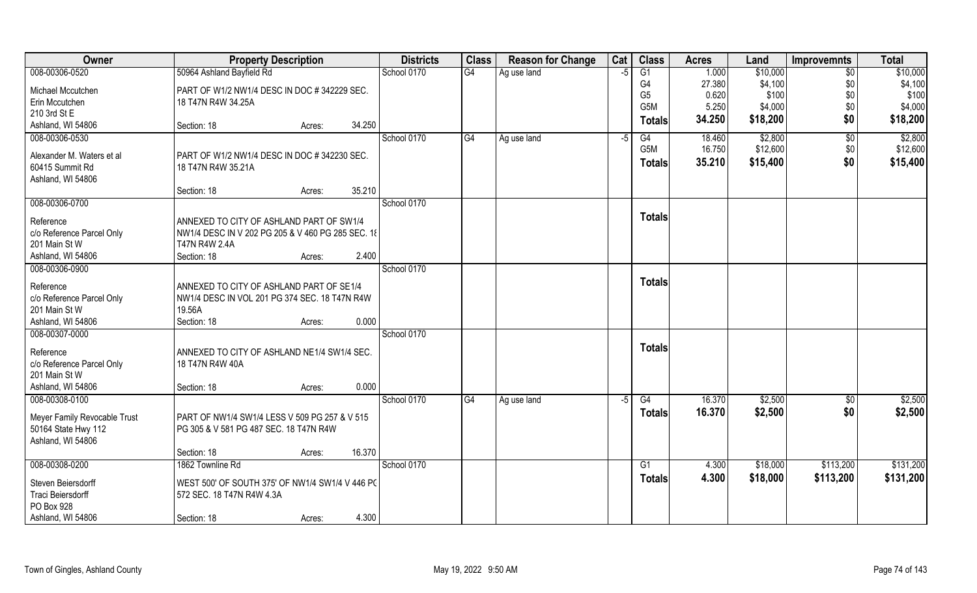| Owner                        | <b>Property Description</b>                       |        | <b>Districts</b> | <b>Class</b> | <b>Reason for Change</b> | Cat | <b>Class</b>   | <b>Acres</b> | Land     | <b>Improvemnts</b> | <b>Total</b> |
|------------------------------|---------------------------------------------------|--------|------------------|--------------|--------------------------|-----|----------------|--------------|----------|--------------------|--------------|
| 008-00306-0520               | 50964 Ashland Bayfield Rd                         |        | School 0170      | G4           | Ag use land              | -5  | G1             | 1.000        | \$10,000 | $\sqrt{6}$         | \$10,000     |
| Michael Mccutchen            | PART OF W1/2 NW1/4 DESC IN DOC # 342229 SEC.      |        |                  |              |                          |     | G4             | 27.380       | \$4,100  | \$0                | \$4,100      |
| Erin Mccutchen               | 18 T47N R4W 34.25A                                |        |                  |              |                          |     | G <sub>5</sub> | 0.620        | \$100    | \$0                | \$100        |
| 210 3rd St E                 |                                                   |        |                  |              |                          |     | G5M            | 5.250        | \$4,000  | \$0                | \$4,000      |
| Ashland, WI 54806            | Section: 18<br>Acres:                             | 34.250 |                  |              |                          |     | <b>Totals</b>  | 34.250       | \$18,200 | \$0                | \$18,200     |
| 008-00306-0530               |                                                   |        | School 0170      | G4           | Ag use land              | -5  | G4             | 18.460       | \$2,800  | \$0                | \$2,800      |
| Alexander M. Waters et al    | PART OF W1/2 NW1/4 DESC IN DOC # 342230 SEC.      |        |                  |              |                          |     | G5M            | 16.750       | \$12,600 | \$0                | \$12,600     |
| 60415 Summit Rd              | 18 T47N R4W 35.21A                                |        |                  |              |                          |     | <b>Totals</b>  | 35.210       | \$15,400 | \$0                | \$15,400     |
| Ashland, WI 54806            |                                                   |        |                  |              |                          |     |                |              |          |                    |              |
|                              | Section: 18<br>Acres:                             | 35.210 |                  |              |                          |     |                |              |          |                    |              |
| 008-00306-0700               |                                                   |        | School 0170      |              |                          |     |                |              |          |                    |              |
| Reference                    | ANNEXED TO CITY OF ASHLAND PART OF SW1/4          |        |                  |              |                          |     | <b>Totals</b>  |              |          |                    |              |
| c/o Reference Parcel Only    | NW1/4 DESC IN V 202 PG 205 & V 460 PG 285 SEC. 18 |        |                  |              |                          |     |                |              |          |                    |              |
| 201 Main St W                | T47N R4W 2.4A                                     |        |                  |              |                          |     |                |              |          |                    |              |
| Ashland, WI 54806            | Section: 18<br>Acres:                             | 2.400  |                  |              |                          |     |                |              |          |                    |              |
| 008-00306-0900               |                                                   |        | School 0170      |              |                          |     |                |              |          |                    |              |
| Reference                    | ANNEXED TO CITY OF ASHLAND PART OF SE1/4          |        |                  |              |                          |     | <b>Totals</b>  |              |          |                    |              |
| c/o Reference Parcel Only    | NW1/4 DESC IN VOL 201 PG 374 SEC. 18 T47N R4W     |        |                  |              |                          |     |                |              |          |                    |              |
| 201 Main St W                | 19.56A                                            |        |                  |              |                          |     |                |              |          |                    |              |
| Ashland, WI 54806            | Section: 18<br>Acres:                             | 0.000  |                  |              |                          |     |                |              |          |                    |              |
| 008-00307-0000               |                                                   |        | School 0170      |              |                          |     |                |              |          |                    |              |
| Reference                    | ANNEXED TO CITY OF ASHLAND NE1/4 SW1/4 SEC.       |        |                  |              |                          |     | <b>Totals</b>  |              |          |                    |              |
| c/o Reference Parcel Only    | 18 T47N R4W 40A                                   |        |                  |              |                          |     |                |              |          |                    |              |
| 201 Main St W                |                                                   |        |                  |              |                          |     |                |              |          |                    |              |
| Ashland, WI 54806            | Section: 18<br>Acres:                             | 0.000  |                  |              |                          |     |                |              |          |                    |              |
| 008-00308-0100               |                                                   |        | School 0170      | G4           | Ag use land              | -5  | G4             | 16.370       | \$2,500  | \$0                | \$2,500      |
| Meyer Family Revocable Trust | PART OF NW1/4 SW1/4 LESS V 509 PG 257 & V 515     |        |                  |              |                          |     | <b>Totals</b>  | 16.370       | \$2,500  | \$0                | \$2,500      |
| 50164 State Hwy 112          | PG 305 & V 581 PG 487 SEC. 18 T47N R4W            |        |                  |              |                          |     |                |              |          |                    |              |
| Ashland, WI 54806            |                                                   |        |                  |              |                          |     |                |              |          |                    |              |
|                              | Section: 18<br>Acres:                             | 16.370 |                  |              |                          |     |                |              |          |                    |              |
| 008-00308-0200               | 1862 Townline Rd                                  |        | School 0170      |              |                          |     | G1             | 4.300        | \$18,000 | \$113,200          | \$131,200    |
| Steven Beiersdorff           | WEST 500' OF SOUTH 375' OF NW1/4 SW1/4 V 446 PC   |        |                  |              |                          |     | <b>Totals</b>  | 4.300        | \$18,000 | \$113,200          | \$131,200    |
| Traci Beiersdorff            | 572 SEC. 18 T47N R4W 4.3A                         |        |                  |              |                          |     |                |              |          |                    |              |
| PO Box 928                   |                                                   |        |                  |              |                          |     |                |              |          |                    |              |
| Ashland, WI 54806            | Section: 18<br>Acres:                             | 4.300  |                  |              |                          |     |                |              |          |                    |              |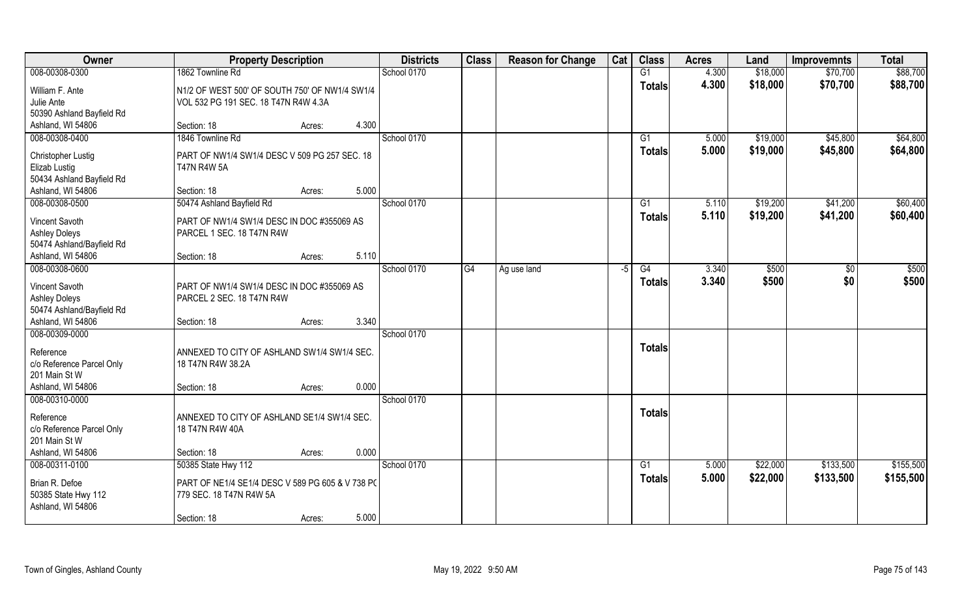| Owner                                                               | <b>Property Description</b>                                                            |                 | <b>Districts</b> | <b>Class</b> | <b>Reason for Change</b> | Cat | <b>Class</b>    | <b>Acres</b> | Land     | <b>Improvemnts</b> | <b>Total</b> |
|---------------------------------------------------------------------|----------------------------------------------------------------------------------------|-----------------|------------------|--------------|--------------------------|-----|-----------------|--------------|----------|--------------------|--------------|
| 008-00308-0300                                                      | 1862 Townline Rd                                                                       |                 | School 0170      |              |                          |     | G1              | 4.300        | \$18,000 | \$70,700           | \$88,700     |
| William F. Ante<br>Julie Ante<br>50390 Ashland Bayfield Rd          | N1/2 OF WEST 500' OF SOUTH 750' OF NW1/4 SW1/4<br>VOL 532 PG 191 SEC. 18 T47N R4W 4.3A |                 |                  |              |                          |     | <b>Totals</b>   | 4.300        | \$18,000 | \$70,700           | \$88,700     |
| Ashland, WI 54806                                                   | Section: 18                                                                            | 4.300<br>Acres: |                  |              |                          |     |                 |              |          |                    |              |
| 008-00308-0400                                                      | 1846 Townline Rd                                                                       |                 | School 0170      |              |                          |     | G1              | 5.000        | \$19,000 | \$45,800           | \$64,800     |
| Christopher Lustig<br>Elizab Lustig<br>50434 Ashland Bayfield Rd    | PART OF NW1/4 SW1/4 DESC V 509 PG 257 SEC. 18<br><b>T47N R4W 5A</b>                    |                 |                  |              |                          |     | <b>Totals</b>   | 5.000        | \$19,000 | \$45,800           | \$64,800     |
| Ashland, WI 54806                                                   | Section: 18                                                                            | 5.000<br>Acres: |                  |              |                          |     |                 |              |          |                    |              |
| 008-00308-0500                                                      | 50474 Ashland Bayfield Rd                                                              |                 | School 0170      |              |                          |     | G1              | 5.110        | \$19,200 | \$41,200           | \$60,400     |
| Vincent Savoth<br><b>Ashley Doleys</b><br>50474 Ashland/Bayfield Rd | PART OF NW1/4 SW1/4 DESC IN DOC #355069 AS<br>PARCEL 1 SEC. 18 T47N R4W                |                 |                  |              |                          |     | <b>Totals</b>   | 5.110        | \$19,200 | \$41,200           | \$60,400     |
| Ashland, WI 54806                                                   | Section: 18                                                                            | 5.110<br>Acres: |                  |              |                          |     |                 |              |          |                    |              |
| 008-00308-0600                                                      |                                                                                        |                 | School 0170      | G4           | Ag use land              | -5  | G4              | 3.340        | \$500    | \$0                | \$500        |
| Vincent Savoth<br><b>Ashley Doleys</b><br>50474 Ashland/Bayfield Rd | PART OF NW1/4 SW1/4 DESC IN DOC #355069 AS<br>PARCEL 2 SEC. 18 T47N R4W                |                 |                  |              |                          |     | <b>Totals</b>   | 3.340        | \$500    | \$0                | \$500        |
| Ashland, WI 54806                                                   | Section: 18                                                                            | 3.340<br>Acres: |                  |              |                          |     |                 |              |          |                    |              |
| 008-00309-0000                                                      |                                                                                        |                 | School 0170      |              |                          |     |                 |              |          |                    |              |
| Reference<br>c/o Reference Parcel Only<br>201 Main St W             | ANNEXED TO CITY OF ASHLAND SW1/4 SW1/4 SEC.<br>18 T47N R4W 38.2A                       |                 |                  |              |                          |     | <b>Totals</b>   |              |          |                    |              |
| Ashland, WI 54806                                                   | Section: 18                                                                            | 0.000<br>Acres: |                  |              |                          |     |                 |              |          |                    |              |
| 008-00310-0000                                                      |                                                                                        |                 | School 0170      |              |                          |     |                 |              |          |                    |              |
| Reference<br>c/o Reference Parcel Only<br>201 Main St W             | ANNEXED TO CITY OF ASHLAND SE1/4 SW1/4 SEC.<br>18 T47N R4W 40A                         |                 |                  |              |                          |     | <b>Totals</b>   |              |          |                    |              |
| Ashland, WI 54806                                                   | Section: 18                                                                            | 0.000<br>Acres: |                  |              |                          |     |                 |              |          |                    |              |
| 008-00311-0100                                                      | 50385 State Hwy 112                                                                    |                 | School 0170      |              |                          |     | $\overline{G1}$ | 5.000        | \$22,000 | \$133,500          | \$155,500    |
| Brian R. Defoe<br>50385 State Hwy 112<br>Ashland, WI 54806          | PART OF NE1/4 SE1/4 DESC V 589 PG 605 & V 738 PC<br>779 SEC. 18 T47N R4W 5A            |                 |                  |              |                          |     | <b>Totals</b>   | 5.000        | \$22,000 | \$133,500          | \$155,500    |
|                                                                     | Section: 18                                                                            | 5.000<br>Acres: |                  |              |                          |     |                 |              |          |                    |              |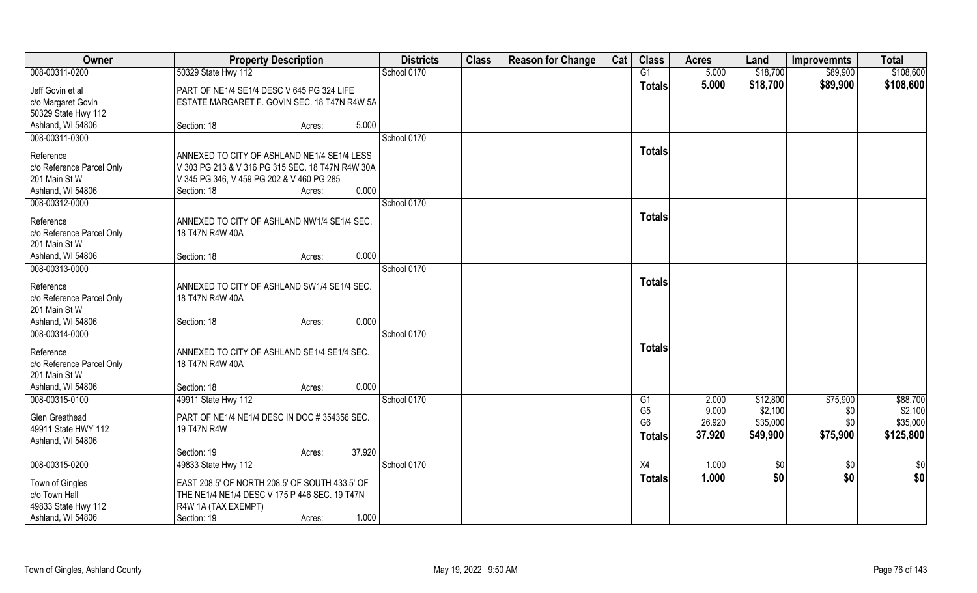| Owner                     | <b>Property Description</b>                      | <b>Districts</b> | <b>Class</b> | <b>Reason for Change</b> | Cat | <b>Class</b>         | <b>Acres</b>   | Land                | <b>Improvemnts</b> | <b>Total</b>        |
|---------------------------|--------------------------------------------------|------------------|--------------|--------------------------|-----|----------------------|----------------|---------------------|--------------------|---------------------|
| 008-00311-0200            | 50329 State Hwy 112                              | School 0170      |              |                          |     | G1                   | 5.000          | \$18,700            | \$89,900           | \$108,600           |
| Jeff Govin et al          | PART OF NE1/4 SE1/4 DESC V 645 PG 324 LIFE       |                  |              |                          |     | <b>Totals</b>        | 5.000          | \$18,700            | \$89,900           | \$108,600           |
| c/o Margaret Govin        | ESTATE MARGARET F. GOVIN SEC. 18 T47N R4W 5A     |                  |              |                          |     |                      |                |                     |                    |                     |
| 50329 State Hwy 112       |                                                  |                  |              |                          |     |                      |                |                     |                    |                     |
| Ashland, WI 54806         | Section: 18<br>5.000<br>Acres:                   |                  |              |                          |     |                      |                |                     |                    |                     |
| 008-00311-0300            |                                                  | School 0170      |              |                          |     |                      |                |                     |                    |                     |
| Reference                 | ANNEXED TO CITY OF ASHLAND NE1/4 SE1/4 LESS      |                  |              |                          |     | <b>Totals</b>        |                |                     |                    |                     |
| c/o Reference Parcel Only | V 303 PG 213 & V 316 PG 315 SEC. 18 T47N R4W 30A |                  |              |                          |     |                      |                |                     |                    |                     |
| 201 Main St W             | V 345 PG 346, V 459 PG 202 & V 460 PG 285        |                  |              |                          |     |                      |                |                     |                    |                     |
| Ashland, WI 54806         | 0.000<br>Section: 18<br>Acres:                   |                  |              |                          |     |                      |                |                     |                    |                     |
| 008-00312-0000            |                                                  | School 0170      |              |                          |     |                      |                |                     |                    |                     |
| Reference                 | ANNEXED TO CITY OF ASHLAND NW1/4 SE1/4 SEC.      |                  |              |                          |     | <b>Totals</b>        |                |                     |                    |                     |
| c/o Reference Parcel Only | 18 T47N R4W 40A                                  |                  |              |                          |     |                      |                |                     |                    |                     |
| 201 Main St W             |                                                  |                  |              |                          |     |                      |                |                     |                    |                     |
| Ashland, WI 54806         | 0.000<br>Section: 18<br>Acres:                   |                  |              |                          |     |                      |                |                     |                    |                     |
| 008-00313-0000            |                                                  | School 0170      |              |                          |     |                      |                |                     |                    |                     |
| Reference                 | ANNEXED TO CITY OF ASHLAND SW1/4 SE1/4 SEC.      |                  |              |                          |     | <b>Totals</b>        |                |                     |                    |                     |
| c/o Reference Parcel Only | 18 T47N R4W 40A                                  |                  |              |                          |     |                      |                |                     |                    |                     |
| 201 Main St W             |                                                  |                  |              |                          |     |                      |                |                     |                    |                     |
| Ashland, WI 54806         | 0.000<br>Section: 18<br>Acres:                   |                  |              |                          |     |                      |                |                     |                    |                     |
| 008-00314-0000            |                                                  | School 0170      |              |                          |     |                      |                |                     |                    |                     |
|                           |                                                  |                  |              |                          |     | <b>Totals</b>        |                |                     |                    |                     |
| Reference                 | ANNEXED TO CITY OF ASHLAND SE1/4 SE1/4 SEC.      |                  |              |                          |     |                      |                |                     |                    |                     |
| c/o Reference Parcel Only | 18 T47N R4W 40A                                  |                  |              |                          |     |                      |                |                     |                    |                     |
| 201 Main St W             |                                                  |                  |              |                          |     |                      |                |                     |                    |                     |
| Ashland, WI 54806         | 0.000<br>Section: 18<br>Acres:                   |                  |              |                          |     |                      |                |                     |                    |                     |
| 008-00315-0100            | 49911 State Hwy 112                              | School 0170      |              |                          |     | G1<br>G <sub>5</sub> | 2.000<br>9.000 | \$12,800<br>\$2,100 | \$75,900           | \$88,700<br>\$2,100 |
| Glen Greathead            | PART OF NE1/4 NE1/4 DESC IN DOC # 354356 SEC.    |                  |              |                          |     | G <sub>6</sub>       | 26.920         | \$35,000            | \$0<br>\$0         | \$35,000            |
| 49911 State HWY 112       | 19 T47N R4W                                      |                  |              |                          |     |                      | 37.920         |                     |                    | \$125,800           |
| Ashland, WI 54806         |                                                  |                  |              |                          |     | <b>Totals</b>        |                | \$49,900            | \$75,900           |                     |
|                           | 37.920<br>Section: 19<br>Acres:                  |                  |              |                          |     |                      |                |                     |                    |                     |
| 008-00315-0200            | 49833 State Hwy 112                              | School 0170      |              |                          |     | X4                   | 1.000          | \$0                 | $\overline{50}$    | \$0                 |
| Town of Gingles           | EAST 208.5' OF NORTH 208.5' OF SOUTH 433.5' OF   |                  |              |                          |     | Totals               | 1.000          | \$0                 | \$0                | \$0                 |
| c/o Town Hall             | THE NE1/4 NE1/4 DESC V 175 P 446 SEC. 19 T47N    |                  |              |                          |     |                      |                |                     |                    |                     |
| 49833 State Hwy 112       | R4W 1A (TAX EXEMPT)                              |                  |              |                          |     |                      |                |                     |                    |                     |
| Ashland, WI 54806         | 1.000<br>Section: 19<br>Acres:                   |                  |              |                          |     |                      |                |                     |                    |                     |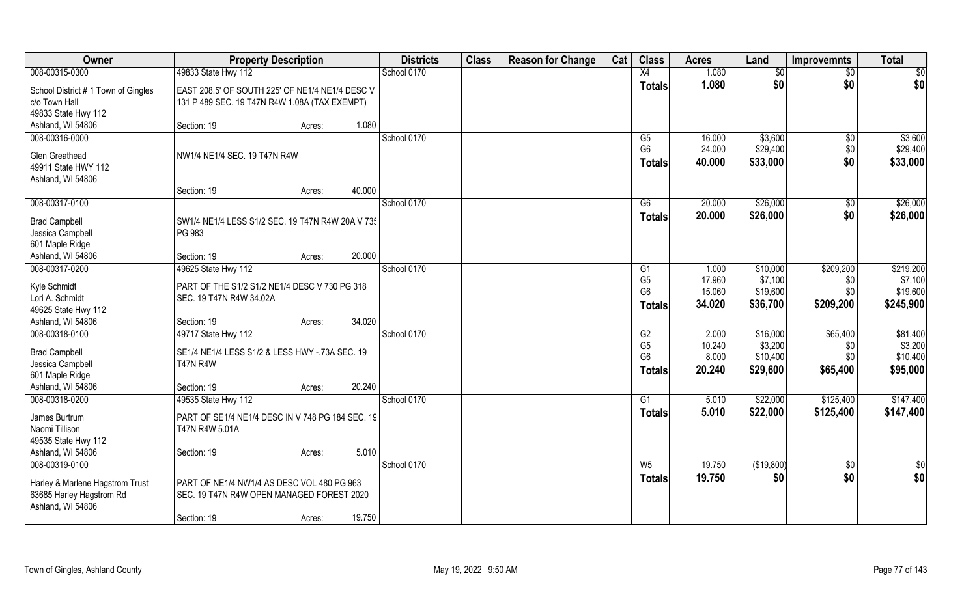| Owner                                                                                              | <b>Property Description</b>                                                                              |        |        | <b>Districts</b> | <b>Class</b> | <b>Reason for Change</b> | Cat | <b>Class</b>                                                         | <b>Acres</b>                       | Land                                        | <b>Improvemnts</b>                 | <b>Total</b>                                |
|----------------------------------------------------------------------------------------------------|----------------------------------------------------------------------------------------------------------|--------|--------|------------------|--------------|--------------------------|-----|----------------------------------------------------------------------|------------------------------------|---------------------------------------------|------------------------------------|---------------------------------------------|
| 008-00315-0300                                                                                     | 49833 State Hwy 112                                                                                      |        |        | School 0170      |              |                          |     | X4                                                                   | 1.080                              | \$0                                         | $\overline{50}$                    | $\overline{50}$                             |
| School District #1 Town of Gingles<br>c/o Town Hall<br>49833 State Hwy 112                         | EAST 208.5' OF SOUTH 225' OF NE1/4 NE1/4 DESC V<br>131 P 489 SEC. 19 T47N R4W 1.08A (TAX EXEMPT)         |        |        |                  |              |                          |     | <b>Totals</b>                                                        | 1.080                              | \$0                                         | \$0                                | \$0                                         |
| Ashland, WI 54806                                                                                  | Section: 19                                                                                              | Acres: | 1.080  |                  |              |                          |     |                                                                      |                                    |                                             |                                    |                                             |
| 008-00316-0000<br>Glen Greathead<br>49911 State HWY 112                                            | NW1/4 NE1/4 SEC. 19 T47N R4W                                                                             |        |        | School 0170      |              |                          |     | G5<br>G <sub>6</sub><br><b>Totals</b>                                | 16.000<br>24.000<br>40.000         | \$3,600<br>\$29,400<br>\$33,000             | $\sqrt{6}$<br>\$0<br>\$0           | \$3,600<br>\$29,400<br>\$33,000             |
| Ashland, WI 54806                                                                                  | Section: 19                                                                                              | Acres: | 40.000 |                  |              |                          |     |                                                                      |                                    |                                             |                                    |                                             |
| 008-00317-0100                                                                                     |                                                                                                          |        |        | School 0170      |              |                          |     | G6                                                                   | 20.000                             | \$26,000                                    | $\sqrt[6]{30}$                     | \$26,000                                    |
| <b>Brad Campbell</b><br>Jessica Campbell<br>601 Maple Ridge                                        | SW1/4 NE1/4 LESS S1/2 SEC. 19 T47N R4W 20A V 735<br>PG 983                                               |        |        |                  |              |                          |     | <b>Totals</b>                                                        | 20.000                             | \$26,000                                    | \$0                                | \$26,000                                    |
| Ashland, WI 54806                                                                                  | Section: 19                                                                                              | Acres: | 20.000 |                  |              |                          |     |                                                                      |                                    |                                             |                                    |                                             |
| 008-00317-0200                                                                                     | 49625 State Hwy 112                                                                                      |        |        | School 0170      |              |                          |     | G1                                                                   | 1.000                              | \$10,000                                    | \$209,200                          | \$219,200                                   |
| Kyle Schmidt<br>Lori A. Schmidt<br>49625 State Hwy 112                                             | PART OF THE S1/2 S1/2 NE1/4 DESC V 730 PG 318<br>SEC. 19 T47N R4W 34.02A                                 |        |        |                  |              |                          |     | G <sub>5</sub><br>G <sub>6</sub><br><b>Totals</b>                    | 17.960<br>15.060<br>34.020         | \$7,100<br>\$19,600<br>\$36,700             | \$0<br>\$0<br>\$209,200            | \$7,100<br>\$19,600<br>\$245,900            |
| Ashland, WI 54806                                                                                  | Section: 19                                                                                              | Acres: | 34.020 |                  |              |                          |     |                                                                      |                                    |                                             |                                    |                                             |
| 008-00318-0100<br><b>Brad Campbell</b><br>Jessica Campbell<br>601 Maple Ridge<br>Ashland, WI 54806 | 49717 State Hwy 112<br>SE1/4 NE1/4 LESS S1/2 & LESS HWY -. 73A SEC. 19<br><b>T47N R4W</b><br>Section: 19 | Acres: | 20.240 | School 0170      |              |                          |     | $\overline{G2}$<br>G <sub>5</sub><br>G <sub>6</sub><br><b>Totals</b> | 2.000<br>10.240<br>8.000<br>20.240 | \$16,000<br>\$3,200<br>\$10,400<br>\$29,600 | \$65,400<br>\$0<br>\$0<br>\$65,400 | \$81,400<br>\$3,200<br>\$10,400<br>\$95,000 |
| 008-00318-0200                                                                                     | 49535 State Hwy 112                                                                                      |        |        | School 0170      |              |                          |     | G1                                                                   | 5.010                              | \$22,000                                    | \$125,400                          | \$147,400                                   |
| James Burtrum<br>Naomi Tillison<br>49535 State Hwy 112<br>Ashland, WI 54806                        | PART OF SE1/4 NE1/4 DESC IN V 748 PG 184 SEC. 19<br>T47N R4W 5.01A<br>Section: 19                        | Acres: | 5.010  |                  |              |                          |     | <b>Totals</b>                                                        | 5.010                              | \$22,000                                    | \$125,400                          | \$147,400                                   |
| 008-00319-0100                                                                                     |                                                                                                          |        |        | School 0170      |              |                          |     | W <sub>5</sub>                                                       | 19.750                             | (\$19,800)                                  | $\sqrt{$0}$                        | $\overline{\$0}$                            |
| Harley & Marlene Hagstrom Trust<br>63685 Harley Hagstrom Rd<br>Ashland, WI 54806                   | PART OF NE1/4 NW1/4 AS DESC VOL 480 PG 963<br>SEC. 19 T47N R4W OPEN MANAGED FOREST 2020<br>Section: 19   | Acres: | 19.750 |                  |              |                          |     | <b>Totals</b>                                                        | 19.750                             | \$0                                         | \$0                                | \$0                                         |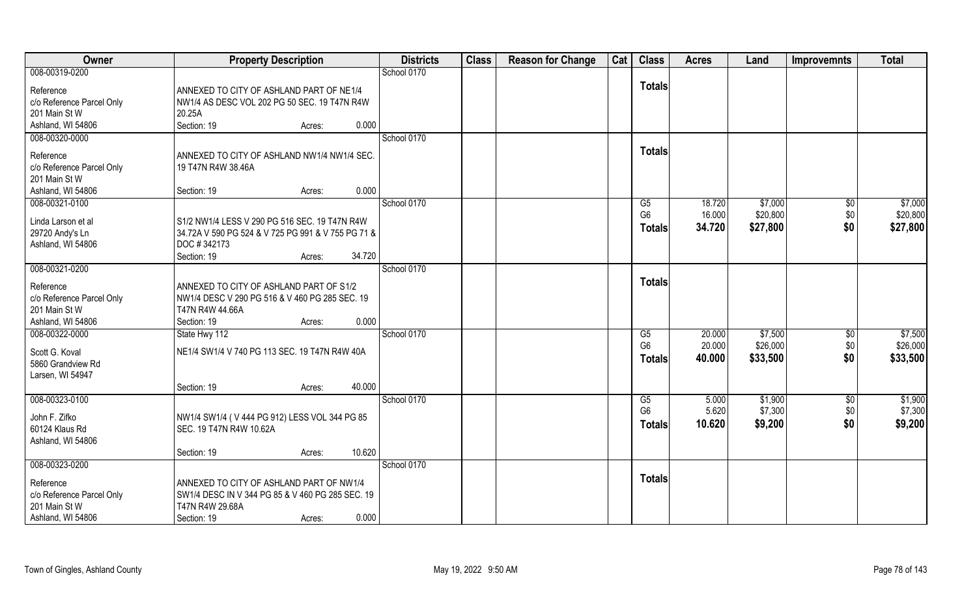| Owner                                  | <b>Property Description</b>                                                                  | <b>Districts</b> | <b>Class</b> | <b>Reason for Change</b> | Cat | <b>Class</b>   | <b>Acres</b> | Land     | <b>Improvemnts</b> | <b>Total</b> |
|----------------------------------------|----------------------------------------------------------------------------------------------|------------------|--------------|--------------------------|-----|----------------|--------------|----------|--------------------|--------------|
| 008-00319-0200                         |                                                                                              | School 0170      |              |                          |     |                |              |          |                    |              |
| Reference                              | ANNEXED TO CITY OF ASHLAND PART OF NE1/4                                                     |                  |              |                          |     | <b>Totals</b>  |              |          |                    |              |
| c/o Reference Parcel Only              | NW1/4 AS DESC VOL 202 PG 50 SEC. 19 T47N R4W                                                 |                  |              |                          |     |                |              |          |                    |              |
| 201 Main St W                          | 20.25A                                                                                       |                  |              |                          |     |                |              |          |                    |              |
| Ashland, WI 54806                      | Section: 19<br>0.000<br>Acres:                                                               |                  |              |                          |     |                |              |          |                    |              |
| 008-00320-0000                         |                                                                                              | School 0170      |              |                          |     |                |              |          |                    |              |
| Reference                              | ANNEXED TO CITY OF ASHLAND NW1/4 NW1/4 SEC.                                                  |                  |              |                          |     | <b>Totals</b>  |              |          |                    |              |
| c/o Reference Parcel Only              | 19 T47N R4W 38.46A                                                                           |                  |              |                          |     |                |              |          |                    |              |
| 201 Main St W                          |                                                                                              |                  |              |                          |     |                |              |          |                    |              |
| Ashland, WI 54806                      | 0.000<br>Section: 19<br>Acres:                                                               |                  |              |                          |     |                |              |          |                    |              |
| 008-00321-0100                         |                                                                                              | School 0170      |              |                          |     | G5             | 18.720       | \$7,000  | $\sqrt[6]{30}$     | \$7,000      |
| Linda Larson et al                     | S1/2 NW1/4 LESS V 290 PG 516 SEC. 19 T47N R4W                                                |                  |              |                          |     | G <sub>6</sub> | 16.000       | \$20,800 | \$0                | \$20,800     |
| 29720 Andy's Ln                        | 34.72A V 590 PG 524 & V 725 PG 991 & V 755 PG 71 &                                           |                  |              |                          |     | <b>Totals</b>  | 34.720       | \$27,800 | \$0                | \$27,800     |
| Ashland, WI 54806                      | DOC #342173                                                                                  |                  |              |                          |     |                |              |          |                    |              |
|                                        | 34.720<br>Section: 19<br>Acres:                                                              |                  |              |                          |     |                |              |          |                    |              |
| 008-00321-0200                         |                                                                                              | School 0170      |              |                          |     |                |              |          |                    |              |
| Reference                              | ANNEXED TO CITY OF ASHLAND PART OF S1/2                                                      |                  |              |                          |     | <b>Totals</b>  |              |          |                    |              |
| c/o Reference Parcel Only              | NW1/4 DESC V 290 PG 516 & V 460 PG 285 SEC. 19                                               |                  |              |                          |     |                |              |          |                    |              |
| 201 Main St W                          | T47N R4W 44.66A                                                                              |                  |              |                          |     |                |              |          |                    |              |
| Ashland, WI 54806                      | 0.000<br>Section: 19<br>Acres:                                                               |                  |              |                          |     |                |              |          |                    |              |
| 008-00322-0000                         | State Hwy 112                                                                                | School 0170      |              |                          |     | G5             | 20.000       | \$7,500  | $\sqrt[6]{30}$     | \$7,500      |
| Scott G. Koval                         | NE1/4 SW1/4 V 740 PG 113 SEC. 19 T47N R4W 40A                                                |                  |              |                          |     | G <sub>6</sub> | 20.000       | \$26,000 | \$0                | \$26,000     |
| 5860 Grandview Rd                      |                                                                                              |                  |              |                          |     | Totals         | 40.000       | \$33,500 | \$0                | \$33,500     |
| Larsen, WI 54947                       |                                                                                              |                  |              |                          |     |                |              |          |                    |              |
|                                        | 40.000<br>Section: 19<br>Acres:                                                              |                  |              |                          |     |                |              |          |                    |              |
| 008-00323-0100                         |                                                                                              | School 0170      |              |                          |     | G5             | 5.000        | \$1,900  | \$0                | \$1,900      |
|                                        |                                                                                              |                  |              |                          |     | G <sub>6</sub> | 5.620        | \$7,300  | \$0                | \$7,300      |
| John F. Zifko<br>60124 Klaus Rd        | NW1/4 SW1/4 (V444 PG 912) LESS VOL 344 PG 85<br>SEC. 19 T47N R4W 10.62A                      |                  |              |                          |     | <b>Totals</b>  | 10.620       | \$9,200  | \$0                | \$9,200      |
| Ashland, WI 54806                      |                                                                                              |                  |              |                          |     |                |              |          |                    |              |
|                                        | 10.620<br>Section: 19<br>Acres:                                                              |                  |              |                          |     |                |              |          |                    |              |
| 008-00323-0200                         |                                                                                              | School 0170      |              |                          |     |                |              |          |                    |              |
|                                        |                                                                                              |                  |              |                          |     | <b>Totals</b>  |              |          |                    |              |
| Reference<br>c/o Reference Parcel Only | ANNEXED TO CITY OF ASHLAND PART OF NW1/4<br>SW1/4 DESC IN V 344 PG 85 & V 460 PG 285 SEC. 19 |                  |              |                          |     |                |              |          |                    |              |
| 201 Main St W                          | T47N R4W 29.68A                                                                              |                  |              |                          |     |                |              |          |                    |              |
| Ashland, WI 54806                      | 0.000<br>Section: 19<br>Acres:                                                               |                  |              |                          |     |                |              |          |                    |              |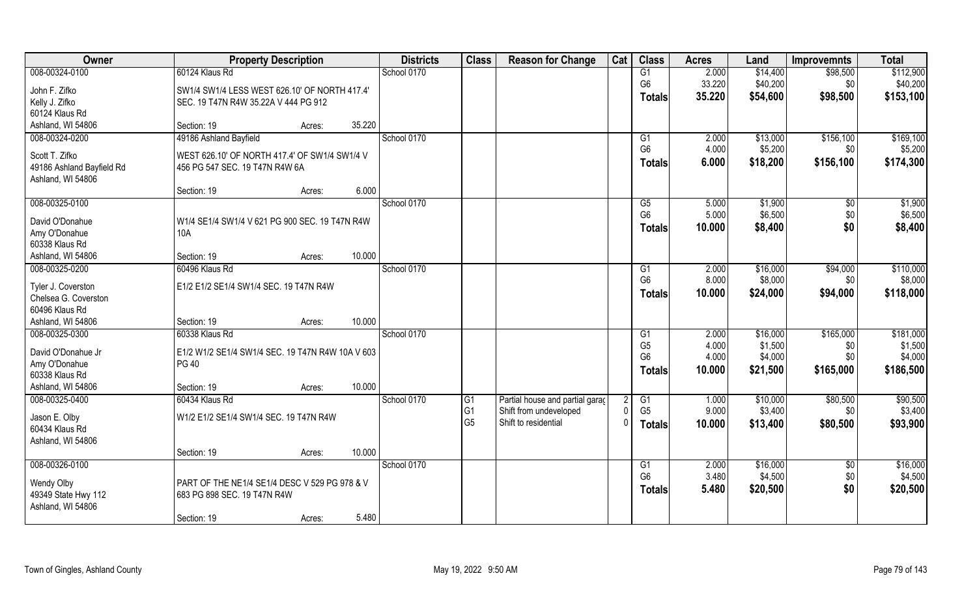| Owner                               | <b>Property Description</b>                      |                  | <b>Districts</b> | <b>Class</b>                      | <b>Reason for Change</b>                                   | Cat            | <b>Class</b>         | <b>Acres</b>   | Land                | Improvemnts     | <b>Total</b>         |
|-------------------------------------|--------------------------------------------------|------------------|------------------|-----------------------------------|------------------------------------------------------------|----------------|----------------------|----------------|---------------------|-----------------|----------------------|
| 008-00324-0100                      | 60124 Klaus Rd                                   |                  | School 0170      |                                   |                                                            |                | G1                   | 2.000          | \$14,400            | \$98,500        | \$112,900            |
| John F. Zifko                       | SW1/4 SW1/4 LESS WEST 626.10' OF NORTH 417.4'    |                  |                  |                                   |                                                            |                | G <sub>6</sub>       | 33.220         | \$40,200            | \$0             | \$40,200             |
| Kelly J. Zifko                      | SEC. 19 T47N R4W 35.22A V 444 PG 912             |                  |                  |                                   |                                                            |                | <b>Totals</b>        | 35.220         | \$54,600            | \$98,500        | \$153,100            |
| 60124 Klaus Rd                      |                                                  |                  |                  |                                   |                                                            |                |                      |                |                     |                 |                      |
| Ashland, WI 54806                   | Section: 19                                      | 35.220<br>Acres: |                  |                                   |                                                            |                |                      |                |                     |                 |                      |
| 008-00324-0200                      | 49186 Ashland Bayfield                           |                  | School 0170      |                                   |                                                            |                | G1                   | 2.000          | \$13,000            | \$156,100       | \$169,100            |
| Scott T. Zifko                      | WEST 626.10' OF NORTH 417.4' OF SW1/4 SW1/4 V    |                  |                  |                                   |                                                            |                | G <sub>6</sub>       | 4.000          | \$5,200             | \$0             | \$5,200              |
| 49186 Ashland Bayfield Rd           | 456 PG 547 SEC. 19 T47N R4W 6A                   |                  |                  |                                   |                                                            |                | <b>Totals</b>        | 6.000          | \$18,200            | \$156,100       | \$174,300            |
| Ashland, WI 54806                   |                                                  |                  |                  |                                   |                                                            |                |                      |                |                     |                 |                      |
|                                     | Section: 19                                      | 6.000<br>Acres:  |                  |                                   |                                                            |                |                      |                |                     |                 |                      |
| 008-00325-0100                      |                                                  |                  | School 0170      |                                   |                                                            |                | G5<br>G <sub>6</sub> | 5.000<br>5.000 | \$1,900<br>\$6,500  | \$0<br>\$0      | \$1,900<br>\$6,500   |
| David O'Donahue                     | W1/4 SE1/4 SW1/4 V 621 PG 900 SEC. 19 T47N R4W   |                  |                  |                                   |                                                            |                | <b>Totals</b>        | 10.000         | \$8,400             | \$0             | \$8,400              |
| Amy O'Donahue                       | <b>10A</b>                                       |                  |                  |                                   |                                                            |                |                      |                |                     |                 |                      |
| 60338 Klaus Rd                      |                                                  |                  |                  |                                   |                                                            |                |                      |                |                     |                 |                      |
| Ashland, WI 54806                   | Section: 19                                      | 10.000<br>Acres: |                  |                                   |                                                            |                |                      |                |                     |                 |                      |
| 008-00325-0200                      | 60496 Klaus Rd                                   |                  | School 0170      |                                   |                                                            |                | G1<br>G <sub>6</sub> | 2.000<br>8.000 | \$16,000<br>\$8,000 | \$94,000<br>\$0 | \$110,000<br>\$8,000 |
| Tyler J. Coverston                  | E1/2 E1/2 SE1/4 SW1/4 SEC. 19 T47N R4W           |                  |                  |                                   |                                                            |                | <b>Totals</b>        | 10.000         | \$24,000            | \$94,000        | \$118,000            |
| Chelsea G. Coverston                |                                                  |                  |                  |                                   |                                                            |                |                      |                |                     |                 |                      |
| 60496 Klaus Rd                      |                                                  |                  |                  |                                   |                                                            |                |                      |                |                     |                 |                      |
| Ashland, WI 54806<br>008-00325-0300 | Section: 19<br>60338 Klaus Rd                    | 10.000<br>Acres: | School 0170      |                                   |                                                            |                | G1                   | 2.000          | \$16,000            | \$165,000       | \$181,000            |
|                                     |                                                  |                  |                  |                                   |                                                            |                | G <sub>5</sub>       | 4.000          | \$1,500             | \$0             | \$1,500              |
| David O'Donahue Jr                  | E1/2 W1/2 SE1/4 SW1/4 SEC. 19 T47N R4W 10A V 603 |                  |                  |                                   |                                                            |                | G <sub>6</sub>       | 4.000          | \$4,000             | \$0             | \$4,000              |
| Amy O'Donahue                       | <b>PG 40</b>                                     |                  |                  |                                   |                                                            |                | <b>Totals</b>        | 10.000         | \$21,500            | \$165,000       | \$186,500            |
| 60338 Klaus Rd                      |                                                  | 10.000           |                  |                                   |                                                            |                |                      |                |                     |                 |                      |
| Ashland, WI 54806<br>008-00325-0400 | Section: 19<br>60434 Klaus Rd                    | Acres:           | School 0170      |                                   |                                                            | 2              | G1                   | 1.000          | \$10,000            | \$80,500        | \$90,500             |
|                                     |                                                  |                  |                  | $\overline{G1}$<br>G <sub>1</sub> | Partial house and partial garage<br>Shift from undeveloped | $\mathbf 0$    | G <sub>5</sub>       | 9.000          | \$3,400             | \$0             | \$3,400              |
| Jason E. Olby                       | W1/2 E1/2 SE1/4 SW1/4 SEC. 19 T47N R4W           |                  |                  | G5                                | Shift to residential                                       | $\overline{0}$ | <b>Totals</b>        | 10.000         | \$13,400            | \$80,500        | \$93,900             |
| 60434 Klaus Rd                      |                                                  |                  |                  |                                   |                                                            |                |                      |                |                     |                 |                      |
| Ashland, WI 54806                   |                                                  | 10.000           |                  |                                   |                                                            |                |                      |                |                     |                 |                      |
| 008-00326-0100                      | Section: 19                                      | Acres:           | School 0170      |                                   |                                                            |                | G1                   | 2.000          | \$16,000            | $\overline{50}$ | \$16,000             |
|                                     |                                                  |                  |                  |                                   |                                                            |                | G <sub>6</sub>       | 3.480          | \$4,500             | \$0             | \$4,500              |
| Wendy Olby                          | PART OF THE NE1/4 SE1/4 DESC V 529 PG 978 & V    |                  |                  |                                   |                                                            |                | <b>Totals</b>        | 5.480          | \$20,500            | \$0             | \$20,500             |
| 49349 State Hwy 112                 | 683 PG 898 SEC. 19 T47N R4W                      |                  |                  |                                   |                                                            |                |                      |                |                     |                 |                      |
| Ashland, WI 54806                   | Section: 19                                      | 5.480<br>Acres:  |                  |                                   |                                                            |                |                      |                |                     |                 |                      |
|                                     |                                                  |                  |                  |                                   |                                                            |                |                      |                |                     |                 |                      |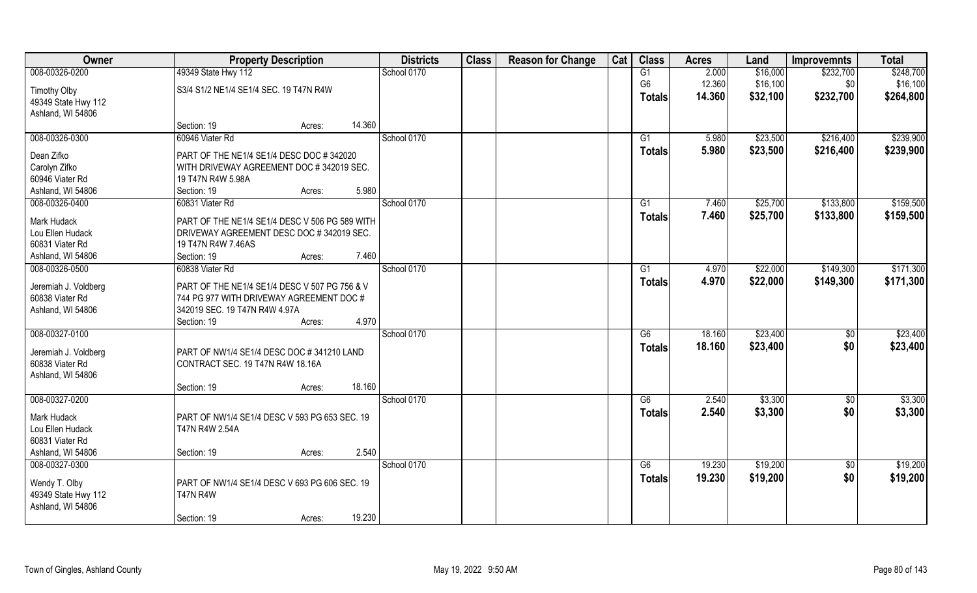| Owner                                   |                                                                                           | <b>Property Description</b> |        | <b>Districts</b> | <b>Class</b> | <b>Reason for Change</b> | Cat | <b>Class</b>   | <b>Acres</b> | Land     | <b>Improvemnts</b> | <b>Total</b> |
|-----------------------------------------|-------------------------------------------------------------------------------------------|-----------------------------|--------|------------------|--------------|--------------------------|-----|----------------|--------------|----------|--------------------|--------------|
| 008-00326-0200                          | 49349 State Hwy 112                                                                       |                             |        | School 0170      |              |                          |     | G1             | 2.000        | \$16,000 | \$232,700          | \$248,700    |
| <b>Timothy Olby</b>                     | S3/4 S1/2 NE1/4 SE1/4 SEC. 19 T47N R4W                                                    |                             |        |                  |              |                          |     | G <sub>6</sub> | 12.360       | \$16,100 | \$0                | \$16,100     |
| 49349 State Hwy 112                     |                                                                                           |                             |        |                  |              |                          |     | <b>Totals</b>  | 14.360       | \$32,100 | \$232,700          | \$264,800    |
| Ashland, WI 54806                       |                                                                                           |                             |        |                  |              |                          |     |                |              |          |                    |              |
|                                         | Section: 19                                                                               | Acres:                      | 14.360 |                  |              |                          |     |                |              |          |                    |              |
| 008-00326-0300                          | 60946 Viater Rd                                                                           |                             |        | School 0170      |              |                          |     | G1             | 5.980        | \$23,500 | \$216,400          | \$239,900    |
| Dean Zifko                              | PART OF THE NE1/4 SE1/4 DESC DOC #342020                                                  |                             |        |                  |              |                          |     | Totals         | 5.980        | \$23,500 | \$216,400          | \$239,900    |
| Carolyn Zifko                           | WITH DRIVEWAY AGREEMENT DOC #342019 SEC.                                                  |                             |        |                  |              |                          |     |                |              |          |                    |              |
| 60946 Viater Rd                         | 19 T47N R4W 5.98A                                                                         |                             |        |                  |              |                          |     |                |              |          |                    |              |
| Ashland, WI 54806                       | Section: 19                                                                               | Acres:                      | 5.980  |                  |              |                          |     |                |              |          |                    |              |
| 008-00326-0400                          | 60831 Viater Rd                                                                           |                             |        | School 0170      |              |                          |     | G1             | 7.460        | \$25,700 | \$133,800          | \$159,500    |
| Mark Hudack                             | PART OF THE NE1/4 SE1/4 DESC V 506 PG 589 WITH                                            |                             |        |                  |              |                          |     | <b>Totals</b>  | 7.460        | \$25,700 | \$133,800          | \$159,500    |
| Lou Ellen Hudack                        | DRIVEWAY AGREEMENT DESC DOC # 342019 SEC.                                                 |                             |        |                  |              |                          |     |                |              |          |                    |              |
| 60831 Viater Rd                         | 19 T47N R4W 7.46AS                                                                        |                             |        |                  |              |                          |     |                |              |          |                    |              |
| Ashland, WI 54806                       | Section: 19                                                                               | Acres:                      | 7.460  |                  |              |                          |     |                |              |          |                    |              |
| 008-00326-0500                          | 60838 Viater Rd                                                                           |                             |        | School 0170      |              |                          |     | G1             | 4.970        | \$22,000 | \$149,300          | \$171,300    |
|                                         |                                                                                           |                             |        |                  |              |                          |     | <b>Totals</b>  | 4.970        | \$22,000 | \$149,300          | \$171,300    |
| Jeremiah J. Voldberg<br>60838 Viater Rd | PART OF THE NE1/4 SE1/4 DESC V 507 PG 756 & V<br>744 PG 977 WITH DRIVEWAY AGREEMENT DOC # |                             |        |                  |              |                          |     |                |              |          |                    |              |
| Ashland, WI 54806                       | 342019 SEC. 19 T47N R4W 4.97A                                                             |                             |        |                  |              |                          |     |                |              |          |                    |              |
|                                         | Section: 19                                                                               | Acres:                      | 4.970  |                  |              |                          |     |                |              |          |                    |              |
| 008-00327-0100                          |                                                                                           |                             |        | School 0170      |              |                          |     | G6             | 18.160       | \$23,400 | \$0                | \$23,400     |
|                                         |                                                                                           |                             |        |                  |              |                          |     | <b>Totals</b>  | 18.160       | \$23,400 | \$0                | \$23,400     |
| Jeremiah J. Voldberg                    | PART OF NW1/4 SE1/4 DESC DOC #341210 LAND                                                 |                             |        |                  |              |                          |     |                |              |          |                    |              |
| 60838 Viater Rd<br>Ashland, WI 54806    | CONTRACT SEC. 19 T47N R4W 18.16A                                                          |                             |        |                  |              |                          |     |                |              |          |                    |              |
|                                         | Section: 19                                                                               | Acres:                      | 18.160 |                  |              |                          |     |                |              |          |                    |              |
| 008-00327-0200                          |                                                                                           |                             |        | School 0170      |              |                          |     | G6             | 2.540        | \$3,300  | \$0                | \$3,300      |
|                                         |                                                                                           |                             |        |                  |              |                          |     | <b>Totals</b>  | 2.540        | \$3,300  | \$0                | \$3,300      |
| Mark Hudack                             | PART OF NW1/4 SE1/4 DESC V 593 PG 653 SEC. 19                                             |                             |        |                  |              |                          |     |                |              |          |                    |              |
| Lou Ellen Hudack                        | T47N R4W 2.54A                                                                            |                             |        |                  |              |                          |     |                |              |          |                    |              |
| 60831 Viater Rd                         |                                                                                           |                             | 2.540  |                  |              |                          |     |                |              |          |                    |              |
| Ashland, WI 54806<br>008-00327-0300     | Section: 19                                                                               | Acres:                      |        | School 0170      |              |                          |     | G6             | 19.230       | \$19,200 | $\overline{50}$    | \$19,200     |
|                                         |                                                                                           |                             |        |                  |              |                          |     |                | 19.230       | \$19,200 | \$0                | \$19,200     |
| Wendy T. Olby                           | PART OF NW1/4 SE1/4 DESC V 693 PG 606 SEC. 19                                             |                             |        |                  |              |                          |     | <b>Totals</b>  |              |          |                    |              |
| 49349 State Hwy 112                     | <b>T47N R4W</b>                                                                           |                             |        |                  |              |                          |     |                |              |          |                    |              |
| Ashland, WI 54806                       |                                                                                           |                             |        |                  |              |                          |     |                |              |          |                    |              |
|                                         | Section: 19                                                                               | Acres:                      | 19.230 |                  |              |                          |     |                |              |          |                    |              |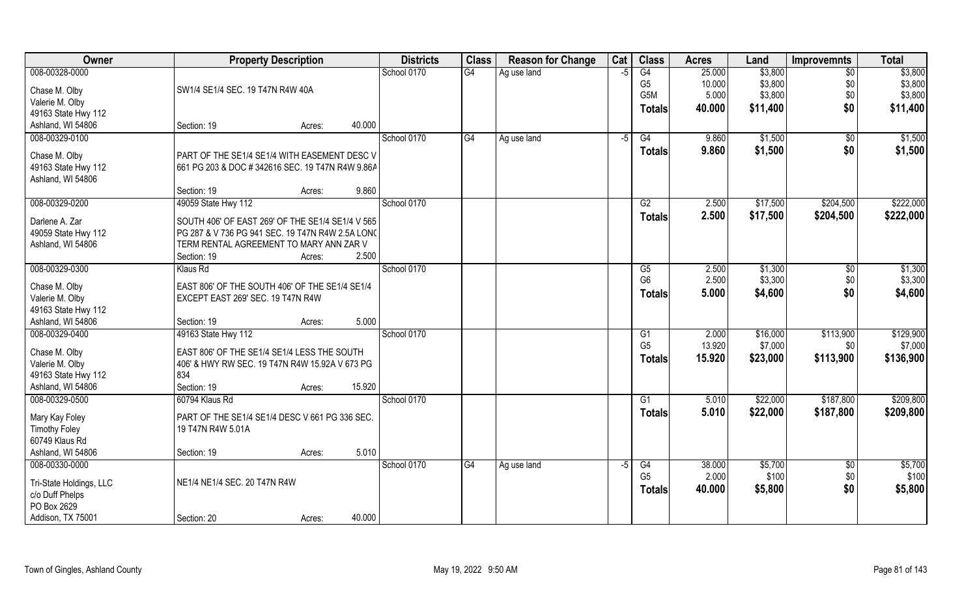| G4<br>\$3,800<br>008-00328-0000<br>School 0170<br>G4<br>25.000<br>$\overline{50}$<br>\$3,800<br>Ag use land<br>-5<br>G <sub>5</sub><br>10.000<br>\$3,800<br>\$3,800<br>\$0<br>SW1/4 SE1/4 SEC. 19 T47N R4W 40A<br>Chase M. Olby<br>\$0<br>G5M<br>5.000<br>\$3,800<br>\$3,800<br>Valerie M. Olby<br>\$0<br>40.000<br>\$11,400<br>\$11,400<br><b>Totals</b><br>49163 State Hwy 112<br>40.000<br>Ashland, WI 54806<br>Section: 19<br>Acres:<br>008-00329-0100<br>School 0170<br>\$1,500<br>G4<br>G4<br>9.860<br>\$0<br>Ag use land<br>$-5$<br>\$1,500<br>9.860<br>\$0<br>Totals<br>Chase M. Olby<br>PART OF THE SE1/4 SE1/4 WITH EASEMENT DESC V<br>49163 State Hwy 112<br>661 PG 203 & DOC #342616 SEC. 19 T47N R4W 9.86A<br>Ashland, WI 54806<br>9.860<br>Section: 19<br>Acres:<br>008-00329-0200<br>\$204,500<br>49059 State Hwy 112<br>School 0170<br>G2<br>2.500<br>\$17,500<br>2.500<br>\$17,500<br>\$204,500<br><b>Totals</b><br>Darlene A. Zar<br>SOUTH 406' OF EAST 269' OF THE SE1/4 SE1/4 V 565<br>49059 State Hwy 112<br>PG 287 & V 736 PG 941 SEC. 19 T47N R4W 2.5A LONG<br>TERM RENTAL AGREEMENT TO MARY ANN ZAR V<br>Ashland, WI 54806<br>2.500<br>Section: 19<br>Acres:<br>008-00329-0300<br>School 0170<br>2.500<br>\$1,300<br>Klaus Rd<br>G5<br>$\sqrt[6]{3}$<br>G <sub>6</sub><br>2.500<br>\$3,300<br>\$0<br>Chase M. Olby<br>EAST 806' OF THE SOUTH 406' OF THE SE1/4 SE1/4<br>\$0<br>5.000<br>\$4,600<br><b>Totals</b><br>Valerie M. Olby<br>EXCEPT EAST 269' SEC. 19 T47N R4W<br>49163 State Hwy 112<br>5.000<br>Ashland, WI 54806<br>Section: 19<br>Acres:<br>\$113,900<br>008-00329-0400<br>49163 State Hwy 112<br>School 0170<br>2.000<br>\$16,000<br>$\overline{G1}$ | Owner | <b>Property Description</b> | <b>Districts</b> | <b>Class</b> | <b>Reason for Change</b> | Cat | <b>Class</b>   | <b>Acres</b> | Land    | <b>Improvemnts</b> | <b>Total</b> |
|---------------------------------------------------------------------------------------------------------------------------------------------------------------------------------------------------------------------------------------------------------------------------------------------------------------------------------------------------------------------------------------------------------------------------------------------------------------------------------------------------------------------------------------------------------------------------------------------------------------------------------------------------------------------------------------------------------------------------------------------------------------------------------------------------------------------------------------------------------------------------------------------------------------------------------------------------------------------------------------------------------------------------------------------------------------------------------------------------------------------------------------------------------------------------------------------------------------------------------------------------------------------------------------------------------------------------------------------------------------------------------------------------------------------------------------------------------------------------------------------------------------------------------------------------------------------------------------------------------------------------------------------------------------------------------------------|-------|-----------------------------|------------------|--------------|--------------------------|-----|----------------|--------------|---------|--------------------|--------------|
|                                                                                                                                                                                                                                                                                                                                                                                                                                                                                                                                                                                                                                                                                                                                                                                                                                                                                                                                                                                                                                                                                                                                                                                                                                                                                                                                                                                                                                                                                                                                                                                                                                                                                             |       |                             |                  |              |                          |     |                |              |         |                    |              |
|                                                                                                                                                                                                                                                                                                                                                                                                                                                                                                                                                                                                                                                                                                                                                                                                                                                                                                                                                                                                                                                                                                                                                                                                                                                                                                                                                                                                                                                                                                                                                                                                                                                                                             |       |                             |                  |              |                          |     |                |              |         |                    |              |
| \$1,500<br>\$1,500<br>\$222,000<br>\$222,000<br>\$1,300<br>\$3,300<br>\$4,600<br>\$129,900                                                                                                                                                                                                                                                                                                                                                                                                                                                                                                                                                                                                                                                                                                                                                                                                                                                                                                                                                                                                                                                                                                                                                                                                                                                                                                                                                                                                                                                                                                                                                                                                  |       |                             |                  |              |                          |     |                |              |         |                    |              |
|                                                                                                                                                                                                                                                                                                                                                                                                                                                                                                                                                                                                                                                                                                                                                                                                                                                                                                                                                                                                                                                                                                                                                                                                                                                                                                                                                                                                                                                                                                                                                                                                                                                                                             |       |                             |                  |              |                          |     |                |              |         |                    |              |
|                                                                                                                                                                                                                                                                                                                                                                                                                                                                                                                                                                                                                                                                                                                                                                                                                                                                                                                                                                                                                                                                                                                                                                                                                                                                                                                                                                                                                                                                                                                                                                                                                                                                                             |       |                             |                  |              |                          |     |                |              |         |                    |              |
|                                                                                                                                                                                                                                                                                                                                                                                                                                                                                                                                                                                                                                                                                                                                                                                                                                                                                                                                                                                                                                                                                                                                                                                                                                                                                                                                                                                                                                                                                                                                                                                                                                                                                             |       |                             |                  |              |                          |     |                |              |         |                    |              |
|                                                                                                                                                                                                                                                                                                                                                                                                                                                                                                                                                                                                                                                                                                                                                                                                                                                                                                                                                                                                                                                                                                                                                                                                                                                                                                                                                                                                                                                                                                                                                                                                                                                                                             |       |                             |                  |              |                          |     |                |              |         |                    |              |
|                                                                                                                                                                                                                                                                                                                                                                                                                                                                                                                                                                                                                                                                                                                                                                                                                                                                                                                                                                                                                                                                                                                                                                                                                                                                                                                                                                                                                                                                                                                                                                                                                                                                                             |       |                             |                  |              |                          |     |                |              |         |                    |              |
|                                                                                                                                                                                                                                                                                                                                                                                                                                                                                                                                                                                                                                                                                                                                                                                                                                                                                                                                                                                                                                                                                                                                                                                                                                                                                                                                                                                                                                                                                                                                                                                                                                                                                             |       |                             |                  |              |                          |     |                |              |         |                    |              |
|                                                                                                                                                                                                                                                                                                                                                                                                                                                                                                                                                                                                                                                                                                                                                                                                                                                                                                                                                                                                                                                                                                                                                                                                                                                                                                                                                                                                                                                                                                                                                                                                                                                                                             |       |                             |                  |              |                          |     |                |              |         |                    |              |
|                                                                                                                                                                                                                                                                                                                                                                                                                                                                                                                                                                                                                                                                                                                                                                                                                                                                                                                                                                                                                                                                                                                                                                                                                                                                                                                                                                                                                                                                                                                                                                                                                                                                                             |       |                             |                  |              |                          |     |                |              |         |                    |              |
|                                                                                                                                                                                                                                                                                                                                                                                                                                                                                                                                                                                                                                                                                                                                                                                                                                                                                                                                                                                                                                                                                                                                                                                                                                                                                                                                                                                                                                                                                                                                                                                                                                                                                             |       |                             |                  |              |                          |     |                |              |         |                    |              |
|                                                                                                                                                                                                                                                                                                                                                                                                                                                                                                                                                                                                                                                                                                                                                                                                                                                                                                                                                                                                                                                                                                                                                                                                                                                                                                                                                                                                                                                                                                                                                                                                                                                                                             |       |                             |                  |              |                          |     |                |              |         |                    |              |
|                                                                                                                                                                                                                                                                                                                                                                                                                                                                                                                                                                                                                                                                                                                                                                                                                                                                                                                                                                                                                                                                                                                                                                                                                                                                                                                                                                                                                                                                                                                                                                                                                                                                                             |       |                             |                  |              |                          |     |                |              |         |                    |              |
|                                                                                                                                                                                                                                                                                                                                                                                                                                                                                                                                                                                                                                                                                                                                                                                                                                                                                                                                                                                                                                                                                                                                                                                                                                                                                                                                                                                                                                                                                                                                                                                                                                                                                             |       |                             |                  |              |                          |     |                |              |         |                    |              |
|                                                                                                                                                                                                                                                                                                                                                                                                                                                                                                                                                                                                                                                                                                                                                                                                                                                                                                                                                                                                                                                                                                                                                                                                                                                                                                                                                                                                                                                                                                                                                                                                                                                                                             |       |                             |                  |              |                          |     |                |              |         |                    |              |
|                                                                                                                                                                                                                                                                                                                                                                                                                                                                                                                                                                                                                                                                                                                                                                                                                                                                                                                                                                                                                                                                                                                                                                                                                                                                                                                                                                                                                                                                                                                                                                                                                                                                                             |       |                             |                  |              |                          |     |                |              |         |                    |              |
|                                                                                                                                                                                                                                                                                                                                                                                                                                                                                                                                                                                                                                                                                                                                                                                                                                                                                                                                                                                                                                                                                                                                                                                                                                                                                                                                                                                                                                                                                                                                                                                                                                                                                             |       |                             |                  |              |                          |     |                |              |         |                    |              |
|                                                                                                                                                                                                                                                                                                                                                                                                                                                                                                                                                                                                                                                                                                                                                                                                                                                                                                                                                                                                                                                                                                                                                                                                                                                                                                                                                                                                                                                                                                                                                                                                                                                                                             |       |                             |                  |              |                          |     |                |              |         |                    |              |
|                                                                                                                                                                                                                                                                                                                                                                                                                                                                                                                                                                                                                                                                                                                                                                                                                                                                                                                                                                                                                                                                                                                                                                                                                                                                                                                                                                                                                                                                                                                                                                                                                                                                                             |       |                             |                  |              |                          |     |                |              |         |                    |              |
|                                                                                                                                                                                                                                                                                                                                                                                                                                                                                                                                                                                                                                                                                                                                                                                                                                                                                                                                                                                                                                                                                                                                                                                                                                                                                                                                                                                                                                                                                                                                                                                                                                                                                             |       |                             |                  |              |                          |     |                |              |         |                    |              |
|                                                                                                                                                                                                                                                                                                                                                                                                                                                                                                                                                                                                                                                                                                                                                                                                                                                                                                                                                                                                                                                                                                                                                                                                                                                                                                                                                                                                                                                                                                                                                                                                                                                                                             |       |                             |                  |              |                          |     |                |              |         |                    |              |
| Chase M. Olby<br>EAST 806' OF THE SE1/4 SE1/4 LESS THE SOUTH                                                                                                                                                                                                                                                                                                                                                                                                                                                                                                                                                                                                                                                                                                                                                                                                                                                                                                                                                                                                                                                                                                                                                                                                                                                                                                                                                                                                                                                                                                                                                                                                                                |       |                             |                  |              |                          |     | G <sub>5</sub> | 13.920       | \$7,000 | \$0                | \$7,000      |
| \$113,900<br>\$136,900<br>15.920<br>\$23,000<br>Totals<br>Valerie M. Olby<br>406' & HWY RW SEC. 19 T47N R4W 15.92A V 673 PG                                                                                                                                                                                                                                                                                                                                                                                                                                                                                                                                                                                                                                                                                                                                                                                                                                                                                                                                                                                                                                                                                                                                                                                                                                                                                                                                                                                                                                                                                                                                                                 |       |                             |                  |              |                          |     |                |              |         |                    |              |
| 49163 State Hwy 112<br>834                                                                                                                                                                                                                                                                                                                                                                                                                                                                                                                                                                                                                                                                                                                                                                                                                                                                                                                                                                                                                                                                                                                                                                                                                                                                                                                                                                                                                                                                                                                                                                                                                                                                  |       |                             |                  |              |                          |     |                |              |         |                    |              |
| Ashland, WI 54806<br>15.920<br>Section: 19<br>Acres:                                                                                                                                                                                                                                                                                                                                                                                                                                                                                                                                                                                                                                                                                                                                                                                                                                                                                                                                                                                                                                                                                                                                                                                                                                                                                                                                                                                                                                                                                                                                                                                                                                        |       |                             |                  |              |                          |     |                |              |         |                    |              |
| \$209,800<br>008-00329-0500<br>School 0170<br>G1<br>\$22,000<br>\$187,800<br>60794 Klaus Rd<br>5.010                                                                                                                                                                                                                                                                                                                                                                                                                                                                                                                                                                                                                                                                                                                                                                                                                                                                                                                                                                                                                                                                                                                                                                                                                                                                                                                                                                                                                                                                                                                                                                                        |       |                             |                  |              |                          |     |                |              |         |                    |              |
| 5.010<br>\$22,000<br>\$187,800<br>\$209,800<br><b>Totals</b><br>Mary Kay Foley<br>PART OF THE SE1/4 SE1/4 DESC V 661 PG 336 SEC.                                                                                                                                                                                                                                                                                                                                                                                                                                                                                                                                                                                                                                                                                                                                                                                                                                                                                                                                                                                                                                                                                                                                                                                                                                                                                                                                                                                                                                                                                                                                                            |       |                             |                  |              |                          |     |                |              |         |                    |              |
| <b>Timothy Foley</b><br>19 T47N R4W 5.01A                                                                                                                                                                                                                                                                                                                                                                                                                                                                                                                                                                                                                                                                                                                                                                                                                                                                                                                                                                                                                                                                                                                                                                                                                                                                                                                                                                                                                                                                                                                                                                                                                                                   |       |                             |                  |              |                          |     |                |              |         |                    |              |
| 60749 Klaus Rd                                                                                                                                                                                                                                                                                                                                                                                                                                                                                                                                                                                                                                                                                                                                                                                                                                                                                                                                                                                                                                                                                                                                                                                                                                                                                                                                                                                                                                                                                                                                                                                                                                                                              |       |                             |                  |              |                          |     |                |              |         |                    |              |
| 5.010<br>Ashland, WI 54806<br>Section: 19<br>Acres:                                                                                                                                                                                                                                                                                                                                                                                                                                                                                                                                                                                                                                                                                                                                                                                                                                                                                                                                                                                                                                                                                                                                                                                                                                                                                                                                                                                                                                                                                                                                                                                                                                         |       |                             |                  |              |                          |     |                |              |         |                    |              |
| 008-00330-0000<br>\$5,700<br>\$5,700<br>School 0170<br>G4<br>G4<br>38.000<br>$\sqrt{6}$<br>Ag use land<br>$-5$                                                                                                                                                                                                                                                                                                                                                                                                                                                                                                                                                                                                                                                                                                                                                                                                                                                                                                                                                                                                                                                                                                                                                                                                                                                                                                                                                                                                                                                                                                                                                                              |       |                             |                  |              |                          |     |                |              |         |                    |              |
| G <sub>5</sub><br>2.000<br>\$100<br>\$0<br>\$100                                                                                                                                                                                                                                                                                                                                                                                                                                                                                                                                                                                                                                                                                                                                                                                                                                                                                                                                                                                                                                                                                                                                                                                                                                                                                                                                                                                                                                                                                                                                                                                                                                            |       |                             |                  |              |                          |     |                |              |         |                    |              |
| NE1/4 NE1/4 SEC. 20 T47N R4W<br>Tri-State Holdings, LLC<br>\$0<br>\$5,800<br>40.000<br>\$5,800<br><b>Totals</b>                                                                                                                                                                                                                                                                                                                                                                                                                                                                                                                                                                                                                                                                                                                                                                                                                                                                                                                                                                                                                                                                                                                                                                                                                                                                                                                                                                                                                                                                                                                                                                             |       |                             |                  |              |                          |     |                |              |         |                    |              |
| c/o Duff Phelps<br>PO Box 2629                                                                                                                                                                                                                                                                                                                                                                                                                                                                                                                                                                                                                                                                                                                                                                                                                                                                                                                                                                                                                                                                                                                                                                                                                                                                                                                                                                                                                                                                                                                                                                                                                                                              |       |                             |                  |              |                          |     |                |              |         |                    |              |
| 40.000<br>Addison, TX 75001<br>Section: 20<br>Acres:                                                                                                                                                                                                                                                                                                                                                                                                                                                                                                                                                                                                                                                                                                                                                                                                                                                                                                                                                                                                                                                                                                                                                                                                                                                                                                                                                                                                                                                                                                                                                                                                                                        |       |                             |                  |              |                          |     |                |              |         |                    |              |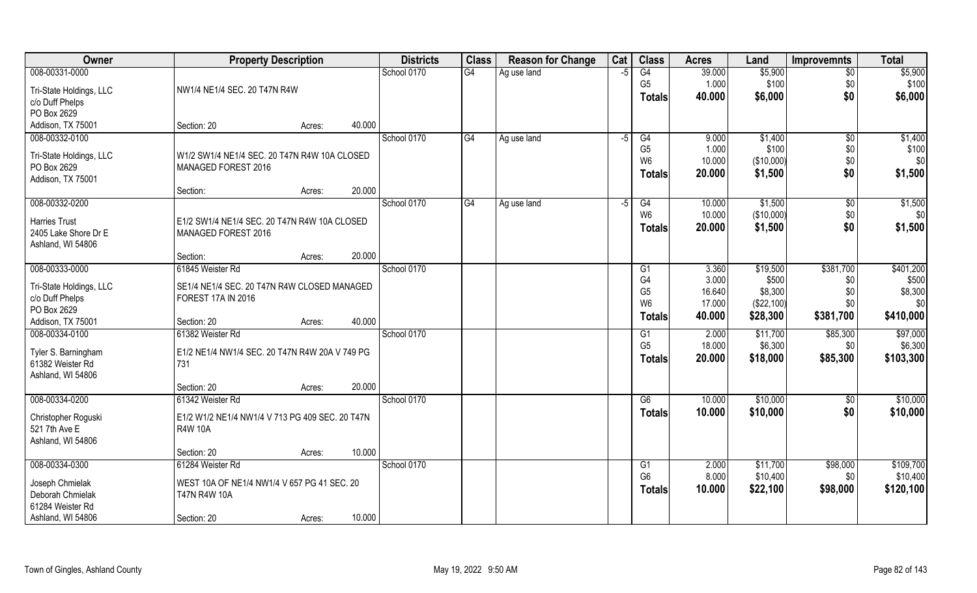| <b>Owner</b>            | <b>Property Description</b>                     | <b>Districts</b> | <b>Class</b> | <b>Reason for Change</b> | Cat  | <b>Class</b>                     | <b>Acres</b>     | Land                  | <b>Improvemnts</b> | <b>Total</b>   |
|-------------------------|-------------------------------------------------|------------------|--------------|--------------------------|------|----------------------------------|------------------|-----------------------|--------------------|----------------|
| 008-00331-0000          |                                                 | School 0170      | G4           | Ag use land              | $-5$ | G4                               | 39.000           | \$5,900               | \$0                | \$5,900        |
| Tri-State Holdings, LLC | NW1/4 NE1/4 SEC. 20 T47N R4W                    |                  |              |                          |      | G <sub>5</sub>                   | 1.000            | \$100                 | \$0                | \$100          |
| c/o Duff Phelps         |                                                 |                  |              |                          |      | <b>Totals</b>                    | 40.000           | \$6,000               | \$0                | \$6,000        |
| PO Box 2629             |                                                 |                  |              |                          |      |                                  |                  |                       |                    |                |
| Addison, TX 75001       | 40.000<br>Section: 20<br>Acres:                 |                  |              |                          |      |                                  |                  |                       |                    |                |
| 008-00332-0100          |                                                 | School 0170      | G4           | Ag use land              | $-5$ | G4                               | 9.000            | \$1,400               | \$0                | \$1,400        |
| Tri-State Holdings, LLC | W1/2 SW1/4 NE1/4 SEC. 20 T47N R4W 10A CLOSED    |                  |              |                          |      | G <sub>5</sub>                   | 1.000            | \$100                 | \$0                | \$100          |
| PO Box 2629             | MANAGED FOREST 2016                             |                  |              |                          |      | W <sub>6</sub>                   | 10.000           | (\$10,000)            | \$0                | \$0            |
| Addison, TX 75001       |                                                 |                  |              |                          |      | Totals                           | 20.000           | \$1,500               | \$0                | \$1,500        |
|                         | 20.000<br>Section:<br>Acres:                    |                  |              |                          |      |                                  |                  |                       |                    |                |
| 008-00332-0200          |                                                 | School 0170      | G4           | Ag use land              | -5   | G4                               | 10.000           | \$1,500               | $\sqrt[6]{3}$      | \$1,500        |
| <b>Harries Trust</b>    | E1/2 SW1/4 NE1/4 SEC. 20 T47N R4W 10A CLOSED    |                  |              |                          |      | W <sub>6</sub>                   | 10.000           | (\$10,000)            | \$0                | \$0            |
| 2405 Lake Shore Dr E    | MANAGED FOREST 2016                             |                  |              |                          |      | <b>Totals</b>                    | 20.000           | \$1,500               | \$0                | \$1,500        |
| Ashland, WI 54806       |                                                 |                  |              |                          |      |                                  |                  |                       |                    |                |
|                         | 20.000<br>Section:<br>Acres:                    |                  |              |                          |      |                                  |                  |                       |                    |                |
| 008-00333-0000          | 61845 Weister Rd                                | School 0170      |              |                          |      | G <sub>1</sub>                   | 3.360            | \$19,500              | \$381,700          | \$401,200      |
| Tri-State Holdings, LLC | SE1/4 NE1/4 SEC. 20 T47N R4W CLOSED MANAGED     |                  |              |                          |      | G <sub>4</sub>                   | 3.000            | \$500                 | \$0                | \$500          |
| c/o Duff Phelps         | <b>FOREST 17A IN 2016</b>                       |                  |              |                          |      | G <sub>5</sub><br>W <sub>6</sub> | 16.640<br>17.000 | \$8,300<br>(\$22,100) | \$0<br>\$0         | \$8,300<br>\$0 |
| PO Box 2629             |                                                 |                  |              |                          |      | <b>Totals</b>                    | 40.000           | \$28,300              | \$381,700          | \$410,000      |
| Addison, TX 75001       | 40.000<br>Section: 20<br>Acres:                 |                  |              |                          |      |                                  |                  |                       |                    |                |
| 008-00334-0100          | 61382 Weister Rd                                | School 0170      |              |                          |      | G1                               | 2.000            | \$11,700              | \$85,300           | \$97,000       |
| Tyler S. Barningham     | E1/2 NE1/4 NW1/4 SEC. 20 T47N R4W 20A V 749 PG  |                  |              |                          |      | G <sub>5</sub>                   | 18.000           | \$6,300               | \$0                | \$6,300        |
| 61382 Weister Rd        | 731                                             |                  |              |                          |      | <b>Totals</b>                    | 20.000           | \$18,000              | \$85,300           | \$103,300      |
| Ashland, WI 54806       |                                                 |                  |              |                          |      |                                  |                  |                       |                    |                |
|                         | 20.000<br>Section: 20<br>Acres:                 |                  |              |                          |      |                                  |                  |                       |                    |                |
| 008-00334-0200          | 61342 Weister Rd                                | School 0170      |              |                          |      | G6                               | 10.000           | \$10,000              | \$0                | \$10,000       |
| Christopher Roguski     | E1/2 W1/2 NE1/4 NW1/4 V 713 PG 409 SEC. 20 T47N |                  |              |                          |      | <b>Totals</b>                    | 10.000           | \$10,000              | \$0                | \$10,000       |
| 521 7th Ave E           | <b>R4W 10A</b>                                  |                  |              |                          |      |                                  |                  |                       |                    |                |
| Ashland, WI 54806       |                                                 |                  |              |                          |      |                                  |                  |                       |                    |                |
|                         | 10.000<br>Section: 20<br>Acres:                 |                  |              |                          |      |                                  |                  |                       |                    |                |
| 008-00334-0300          | 61284 Weister Rd                                | School 0170      |              |                          |      | G1                               | 2.000            | \$11,700              | \$98,000           | \$109,700      |
| Joseph Chmielak         | WEST 10A OF NE1/4 NW1/4 V 657 PG 41 SEC. 20     |                  |              |                          |      | G <sub>6</sub>                   | 8.000            | \$10,400              | \$0                | \$10,400       |
| Deborah Chmielak        | <b>T47N R4W 10A</b>                             |                  |              |                          |      | <b>Totals</b>                    | 10.000           | \$22,100              | \$98,000           | \$120,100      |
| 61284 Weister Rd        |                                                 |                  |              |                          |      |                                  |                  |                       |                    |                |
| Ashland, WI 54806       | 10.000<br>Section: 20<br>Acres:                 |                  |              |                          |      |                                  |                  |                       |                    |                |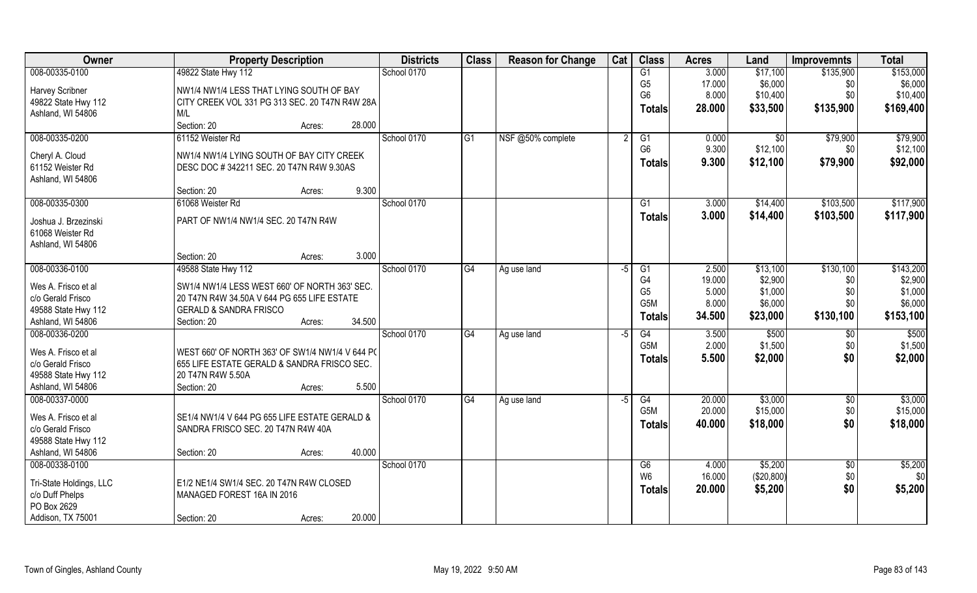| Owner                                 | <b>Property Description</b>                     | <b>Districts</b> | <b>Class</b>    | <b>Reason for Change</b> | Cat  | <b>Class</b>         | <b>Acres</b>    | Land                | <b>Improvemnts</b> | <b>Total</b>       |
|---------------------------------------|-------------------------------------------------|------------------|-----------------|--------------------------|------|----------------------|-----------------|---------------------|--------------------|--------------------|
| 008-00335-0100                        | 49822 State Hwy 112                             | School 0170      |                 |                          |      | G1                   | 3.000           | \$17,100            | \$135,900          | \$153,000          |
| Harvey Scribner                       | NW1/4 NW1/4 LESS THAT LYING SOUTH OF BAY        |                  |                 |                          |      | G <sub>5</sub>       | 17.000          | \$6,000             | \$0                | \$6,000            |
| 49822 State Hwy 112                   | CITY CREEK VOL 331 PG 313 SEC. 20 T47N R4W 28A  |                  |                 |                          |      | G <sub>6</sub>       | 8.000           | \$10,400            | \$0                | \$10,400           |
| Ashland, WI 54806                     | M/L                                             |                  |                 |                          |      | <b>Totals</b>        | 28.000          | \$33,500            | \$135,900          | \$169,400          |
|                                       | Section: 20<br>28.000<br>Acres:                 |                  |                 |                          |      |                      |                 |                     |                    |                    |
| 008-00335-0200                        | 61152 Weister Rd                                | School 0170      | G1              | NSF @50% complete        | 2    | G1                   | 0.000           | \$0                 | \$79,900           | \$79,900           |
|                                       |                                                 |                  |                 |                          |      | G <sub>6</sub>       | 9.300           | \$12,100            | \$0                | \$12,100           |
| Cheryl A. Cloud                       | NW1/4 NW1/4 LYING SOUTH OF BAY CITY CREEK       |                  |                 |                          |      | <b>Totals</b>        | 9.300           | \$12,100            | \$79,900           | \$92,000           |
| 61152 Weister Rd<br>Ashland, WI 54806 | DESC DOC #342211 SEC. 20 T47N R4W 9.30AS        |                  |                 |                          |      |                      |                 |                     |                    |                    |
|                                       | 9.300<br>Section: 20<br>Acres:                  |                  |                 |                          |      |                      |                 |                     |                    |                    |
| 008-00335-0300                        | 61068 Weister Rd                                | School 0170      |                 |                          |      | G <sub>1</sub>       | 3.000           | \$14,400            | \$103,500          | \$117,900          |
|                                       |                                                 |                  |                 |                          |      | <b>Totals</b>        | 3.000           | \$14,400            | \$103,500          | \$117,900          |
| Joshua J. Brzezinski                  | PART OF NW1/4 NW1/4 SEC. 20 T47N R4W            |                  |                 |                          |      |                      |                 |                     |                    |                    |
| 61068 Weister Rd                      |                                                 |                  |                 |                          |      |                      |                 |                     |                    |                    |
| Ashland, WI 54806                     |                                                 |                  |                 |                          |      |                      |                 |                     |                    |                    |
|                                       | 3.000<br>Section: 20<br>Acres:                  |                  |                 |                          |      |                      |                 |                     |                    |                    |
| 008-00336-0100                        | 49588 State Hwy 112                             | School 0170      | G4              | Ag use land              | -5   | G1<br>G <sub>4</sub> | 2.500<br>19.000 | \$13,100<br>\$2,900 | \$130,100          | \$143,200          |
| Wes A. Frisco et al                   | SW1/4 NW1/4 LESS WEST 660' OF NORTH 363' SEC.   |                  |                 |                          |      | G <sub>5</sub>       | 5.000           | \$1,000             | \$0<br>\$0         | \$2,900<br>\$1,000 |
| c/o Gerald Frisco                     | 20 T47N R4W 34.50A V 644 PG 655 LIFE ESTATE     |                  |                 |                          |      | G5M                  | 8.000           | \$6,000             | \$0                | \$6,000            |
| 49588 State Hwy 112                   | <b>GERALD &amp; SANDRA FRISCO</b>               |                  |                 |                          |      | <b>Totals</b>        | 34.500          | \$23,000            | \$130,100          | \$153,100          |
| Ashland, WI 54806                     | 34.500<br>Section: 20<br>Acres:                 |                  |                 |                          |      |                      |                 |                     |                    |                    |
| 008-00336-0200                        |                                                 | School 0170      | $\overline{G4}$ | Ag use land              | $-5$ | G4                   | 3.500           | \$500               | \$0                | \$500              |
| Wes A. Frisco et al                   | WEST 660' OF NORTH 363' OF SW1/4 NW1/4 V 644 PO |                  |                 |                          |      | G5M                  | 2.000           | \$1,500             | \$0                | \$1,500            |
| c/o Gerald Frisco                     | 655 LIFE ESTATE GERALD & SANDRA FRISCO SEC.     |                  |                 |                          |      | <b>Totals</b>        | 5.500           | \$2,000             | \$0                | \$2,000            |
| 49588 State Hwy 112                   | 20 T47N R4W 5.50A                               |                  |                 |                          |      |                      |                 |                     |                    |                    |
| Ashland, WI 54806                     | 5.500<br>Section: 20<br>Acres:                  |                  |                 |                          |      |                      |                 |                     |                    |                    |
| 008-00337-0000                        |                                                 | School 0170      | G4              | Ag use land              | $-5$ | G4                   | 20.000          | \$3,000             | \$0                | \$3,000            |
| Wes A. Frisco et al                   | SE1/4 NW1/4 V 644 PG 655 LIFE ESTATE GERALD &   |                  |                 |                          |      | G5M                  | 20.000          | \$15,000            | \$0                | \$15,000           |
| c/o Gerald Frisco                     | SANDRA FRISCO SEC. 20 T47N R4W 40A              |                  |                 |                          |      | <b>Totals</b>        | 40.000          | \$18,000            | \$0                | \$18,000           |
| 49588 State Hwy 112                   |                                                 |                  |                 |                          |      |                      |                 |                     |                    |                    |
| Ashland, WI 54806                     | 40.000<br>Section: 20<br>Acres:                 |                  |                 |                          |      |                      |                 |                     |                    |                    |
| 008-00338-0100                        |                                                 | School 0170      |                 |                          |      | G6                   | 4.000           | \$5,200             | $\sqrt{$0}$        | \$5,200            |
|                                       |                                                 |                  |                 |                          |      | W <sub>6</sub>       | 16.000          | (\$20,800)          | \$0                | \$0                |
| Tri-State Holdings, LLC               | E1/2 NE1/4 SW1/4 SEC. 20 T47N R4W CLOSED        |                  |                 |                          |      | <b>Totals</b>        | 20.000          | \$5,200             | \$0                | \$5,200            |
| c/o Duff Phelps                       | MANAGED FOREST 16A IN 2016                      |                  |                 |                          |      |                      |                 |                     |                    |                    |
| PO Box 2629<br>Addison, TX 75001      | 20.000<br>Section: 20                           |                  |                 |                          |      |                      |                 |                     |                    |                    |
|                                       | Acres:                                          |                  |                 |                          |      |                      |                 |                     |                    |                    |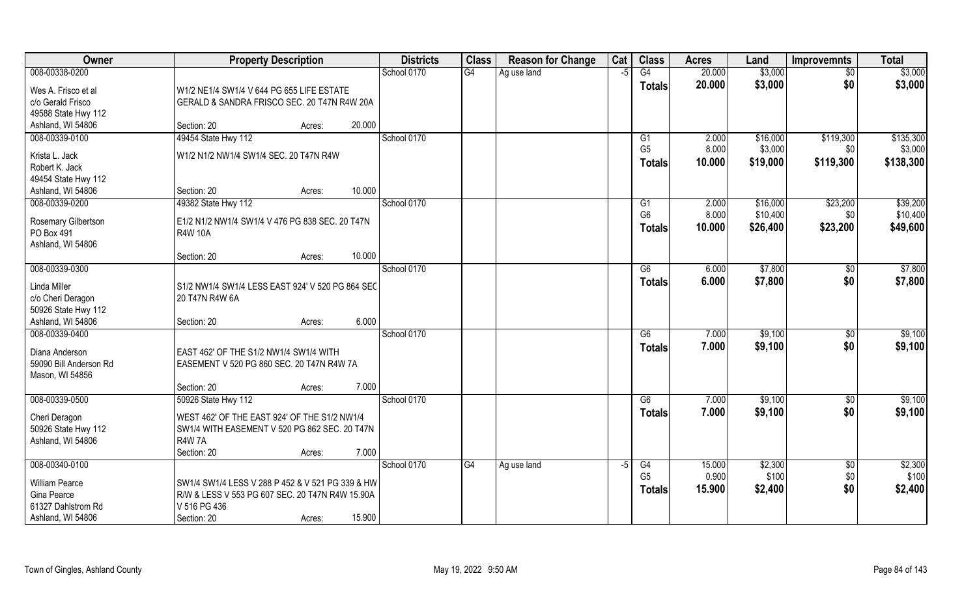| Owner                                   | <b>Property Description</b>                           | <b>Districts</b> | <b>Class</b> | <b>Reason for Change</b> | Cat  | <b>Class</b>   | <b>Acres</b>   | Land               | <b>Improvemnts</b> | <b>Total</b>       |
|-----------------------------------------|-------------------------------------------------------|------------------|--------------|--------------------------|------|----------------|----------------|--------------------|--------------------|--------------------|
| 008-00338-0200                          |                                                       | School 0170      | G4           | Ag use land              | $-5$ | G4             | 20.000         | \$3,000            | $\overline{50}$    | \$3,000            |
| Wes A. Frisco et al                     | W1/2 NE1/4 SW1/4 V 644 PG 655 LIFE ESTATE             |                  |              |                          |      | <b>Totals</b>  | 20.000         | \$3,000            | \$0                | \$3,000            |
| c/o Gerald Frisco                       | GERALD & SANDRA FRISCO SEC. 20 T47N R4W 20A           |                  |              |                          |      |                |                |                    |                    |                    |
| 49588 State Hwy 112                     |                                                       |                  |              |                          |      |                |                |                    |                    |                    |
| Ashland, WI 54806                       | 20.000<br>Section: 20<br>Acres:                       |                  |              |                          |      |                |                |                    |                    |                    |
| 008-00339-0100                          | 49454 State Hwy 112                                   | School 0170      |              |                          |      | G <sub>1</sub> | 2.000          | \$16,000           | \$119,300          | \$135,300          |
| Krista L. Jack                          | W1/2 N1/2 NW1/4 SW1/4 SEC. 20 T47N R4W                |                  |              |                          |      | G <sub>5</sub> | 8.000          | \$3,000            | \$0                | \$3,000            |
| Robert K. Jack                          |                                                       |                  |              |                          |      | <b>Totals</b>  | 10.000         | \$19,000           | \$119,300          | \$138,300          |
| 49454 State Hwy 112                     |                                                       |                  |              |                          |      |                |                |                    |                    |                    |
| Ashland, WI 54806                       | 10.000<br>Section: 20<br>Acres:                       |                  |              |                          |      |                |                |                    |                    |                    |
| 008-00339-0200                          | 49382 State Hwy 112                                   | School 0170      |              |                          |      | G1             | 2.000          | \$16,000           | \$23,200           | \$39,200           |
| Rosemary Gilbertson                     | E1/2 N1/2 NW1/4 SW1/4 V 476 PG 838 SEC. 20 T47N       |                  |              |                          |      | G <sub>6</sub> | 8.000          | \$10,400           | \$0\$              | \$10,400           |
| PO Box 491                              | <b>R4W 10A</b>                                        |                  |              |                          |      | <b>Totals</b>  | 10.000         | \$26,400           | \$23,200           | \$49,600           |
| Ashland, WI 54806                       |                                                       |                  |              |                          |      |                |                |                    |                    |                    |
|                                         | 10.000<br>Section: 20<br>Acres:                       |                  |              |                          |      |                |                |                    |                    |                    |
| 008-00339-0300                          |                                                       | School 0170      |              |                          |      | G6             | 6.000          | \$7,800            | \$0                | \$7,800            |
| Linda Miller                            | S1/2 NW1/4 SW1/4 LESS EAST 924' V 520 PG 864 SEC      |                  |              |                          |      | <b>Totals</b>  | 6.000          | \$7,800            | \$0                | \$7,800            |
| c/o Cheri Deragon                       | 20 T47N R4W 6A                                        |                  |              |                          |      |                |                |                    |                    |                    |
| 50926 State Hwy 112                     |                                                       |                  |              |                          |      |                |                |                    |                    |                    |
| Ashland, WI 54806<br>008-00339-0400     | 6.000<br>Section: 20<br>Acres:                        |                  |              |                          |      |                |                |                    |                    |                    |
|                                         |                                                       | School 0170      |              |                          |      | G6             | 7.000<br>7.000 | \$9,100<br>\$9,100 | \$0<br>\$0         | \$9,100<br>\$9,100 |
| Diana Anderson                          | EAST 462' OF THE S1/2 NW1/4 SW1/4 WITH                |                  |              |                          |      | <b>Totals</b>  |                |                    |                    |                    |
| 59090 Bill Anderson Rd                  | EASEMENT V 520 PG 860 SEC. 20 T47N R4W 7A             |                  |              |                          |      |                |                |                    |                    |                    |
| Mason, WI 54856                         |                                                       |                  |              |                          |      |                |                |                    |                    |                    |
| 008-00339-0500                          | 7.000<br>Section: 20<br>Acres:<br>50926 State Hwy 112 | School 0170      |              |                          |      | G6             | 7.000          | \$9,100            |                    | \$9,100            |
|                                         |                                                       |                  |              |                          |      | <b>Totals</b>  | 7.000          | \$9,100            | \$0<br>\$0         | \$9,100            |
| Cheri Deragon                           | WEST 462' OF THE EAST 924' OF THE S1/2 NW1/4          |                  |              |                          |      |                |                |                    |                    |                    |
| 50926 State Hwy 112                     | SW1/4 WITH EASEMENT V 520 PG 862 SEC. 20 T47N         |                  |              |                          |      |                |                |                    |                    |                    |
| Ashland, WI 54806                       | <b>R4W7A</b><br>Section: 20<br>7.000                  |                  |              |                          |      |                |                |                    |                    |                    |
| 008-00340-0100                          | Acres:                                                | School 0170      | G4           | Ag use land              | $-5$ | G4             | 15.000         | \$2,300            | $\overline{50}$    | \$2,300            |
|                                         |                                                       |                  |              |                          |      | G <sub>5</sub> | 0.900          | \$100              | \$0                | \$100              |
| <b>William Pearce</b>                   | SW1/4 SW1/4 LESS V 288 P 452 & V 521 PG 339 & HW      |                  |              |                          |      | <b>Totals</b>  | 15.900         | \$2,400            | \$0                | \$2,400            |
| Gina Pearce                             | R/W & LESS V 553 PG 607 SEC. 20 T47N R4W 15.90A       |                  |              |                          |      |                |                |                    |                    |                    |
| 61327 Dahlstrom Rd<br>Ashland, WI 54806 | V 516 PG 436<br>15.900<br>Section: 20<br>Acres:       |                  |              |                          |      |                |                |                    |                    |                    |
|                                         |                                                       |                  |              |                          |      |                |                |                    |                    |                    |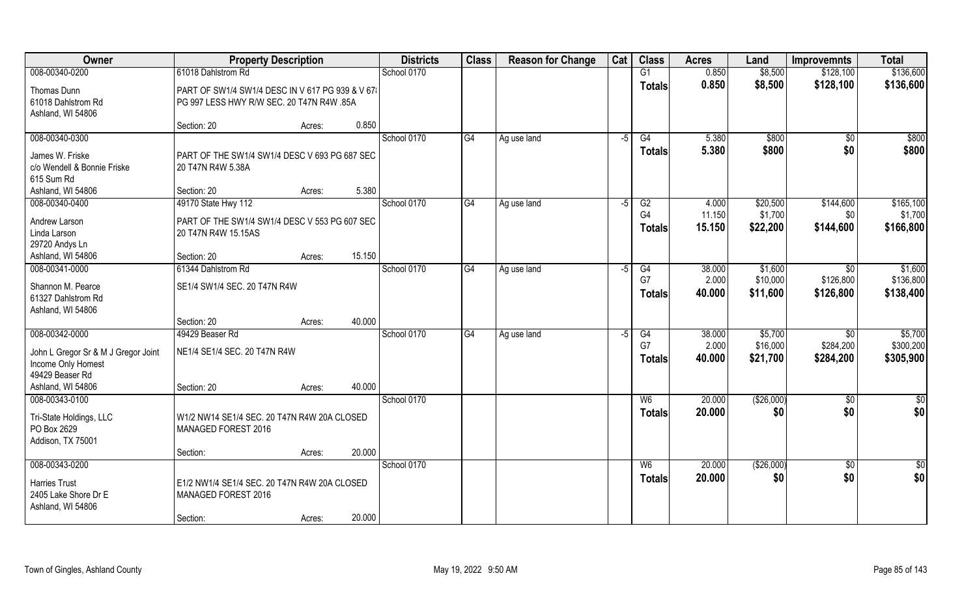| Owner                                                     | <b>Property Description</b>                     |        |        | <b>Districts</b> | <b>Class</b> | <b>Reason for Change</b> | Cat  | <b>Class</b>   | <b>Acres</b> | Land       | <b>Improvemnts</b> | <b>Total</b>  |
|-----------------------------------------------------------|-------------------------------------------------|--------|--------|------------------|--------------|--------------------------|------|----------------|--------------|------------|--------------------|---------------|
| 008-00340-0200                                            | 61018 Dahlstrom Rd                              |        |        | School 0170      |              |                          |      | G1             | 0.850        | \$8,500    | \$128,100          | \$136,600     |
| Thomas Dunn                                               | PART OF SW1/4 SW1/4 DESC IN V 617 PG 939 & V 67 |        |        |                  |              |                          |      | <b>Totals</b>  | 0.850        | \$8,500    | \$128,100          | \$136,600     |
| 61018 Dahlstrom Rd                                        | PG 997 LESS HWY R/W SEC. 20 T47N R4W .85A       |        |        |                  |              |                          |      |                |              |            |                    |               |
| Ashland, WI 54806                                         |                                                 |        |        |                  |              |                          |      |                |              |            |                    |               |
|                                                           | Section: 20                                     | Acres: | 0.850  |                  |              |                          |      |                |              |            |                    |               |
| 008-00340-0300                                            |                                                 |        |        | School 0170      | G4           | Ag use land              | $-5$ | G4             | 5.380        | \$800      | $\overline{50}$    | \$800         |
| James W. Friske                                           | PART OF THE SW1/4 SW1/4 DESC V 693 PG 687 SEC.  |        |        |                  |              |                          |      | <b>Totals</b>  | 5.380        | \$800      | \$0                | \$800         |
| c/o Wendell & Bonnie Friske                               | 20 T47N R4W 5.38A                               |        |        |                  |              |                          |      |                |              |            |                    |               |
| 615 Sum Rd                                                |                                                 |        |        |                  |              |                          |      |                |              |            |                    |               |
| Ashland, WI 54806<br>008-00340-0400                       | Section: 20                                     | Acres: | 5.380  | School 0170      | G4           |                          | $-5$ | G2             | 4.000        | \$20,500   | \$144,600          | \$165,100     |
|                                                           | 49170 State Hwy 112                             |        |        |                  |              | Ag use land              |      | G <sub>4</sub> | 11.150       | \$1,700    | \$0                | \$1,700       |
| Andrew Larson                                             | PART OF THE SW1/4 SW1/4 DESC V 553 PG 607 SEC.  |        |        |                  |              |                          |      | <b>Totals</b>  | 15.150       | \$22,200   | \$144,600          | \$166,800     |
| Linda Larson                                              | 20 T47N R4W 15.15AS                             |        |        |                  |              |                          |      |                |              |            |                    |               |
| 29720 Andys Ln<br>Ashland, WI 54806                       | Section: 20                                     | Acres: | 15.150 |                  |              |                          |      |                |              |            |                    |               |
| 008-00341-0000                                            | 61344 Dahlstrom Rd                              |        |        | School 0170      | G4           | Ag use land              | -5   | G4             | 38.000       | \$1,600    | \$0                | \$1,600       |
|                                                           |                                                 |        |        |                  |              |                          |      | G7             | 2.000        | \$10,000   | \$126,800          | \$136,800     |
| Shannon M. Pearce                                         | SE1/4 SW1/4 SEC. 20 T47N R4W                    |        |        |                  |              |                          |      | <b>Totals</b>  | 40.000       | \$11,600   | \$126,800          | \$138,400     |
| 61327 Dahlstrom Rd<br>Ashland, WI 54806                   |                                                 |        |        |                  |              |                          |      |                |              |            |                    |               |
|                                                           | Section: 20                                     | Acres: | 40.000 |                  |              |                          |      |                |              |            |                    |               |
| 008-00342-0000                                            | 49429 Beaser Rd                                 |        |        | School 0170      | G4           | Ag use land              | -5   | G4             | 38.000       | \$5,700    | \$0                | \$5,700       |
|                                                           |                                                 |        |        |                  |              |                          |      | G7             | 2.000        | \$16,000   | \$284,200          | \$300,200     |
| John L Gregor Sr & M J Gregor Joint<br>Income Only Homest | NE1/4 SE1/4 SEC. 20 T47N R4W                    |        |        |                  |              |                          |      | Totals         | 40.000       | \$21,700   | \$284,200          | \$305,900     |
| 49429 Beaser Rd                                           |                                                 |        |        |                  |              |                          |      |                |              |            |                    |               |
| Ashland, WI 54806                                         | Section: 20                                     | Acres: | 40.000 |                  |              |                          |      |                |              |            |                    |               |
| 008-00343-0100                                            |                                                 |        |        | School 0170      |              |                          |      | W6             | 20.000       | (\$26,000) | $\frac{6}{5}$      | $\frac{1}{2}$ |
| Tri-State Holdings, LLC                                   | W1/2 NW14 SE1/4 SEC. 20 T47N R4W 20A CLOSED     |        |        |                  |              |                          |      | <b>Totals</b>  | 20.000       | \$0        | \$0                | \$0           |
| PO Box 2629                                               | MANAGED FOREST 2016                             |        |        |                  |              |                          |      |                |              |            |                    |               |
| Addison, TX 75001                                         |                                                 |        |        |                  |              |                          |      |                |              |            |                    |               |
|                                                           | Section:                                        | Acres: | 20.000 |                  |              |                          |      |                |              |            |                    |               |
| 008-00343-0200                                            |                                                 |        |        | School 0170      |              |                          |      | W6             | 20.000       | (\$26,000) | \$0                | $\frac{1}{2}$ |
| <b>Harries Trust</b>                                      | E1/2 NW1/4 SE1/4 SEC. 20 T47N R4W 20A CLOSED    |        |        |                  |              |                          |      | <b>Totals</b>  | 20.000       | \$0        | \$0                | \$0           |
| 2405 Lake Shore Dr E                                      | MANAGED FOREST 2016                             |        |        |                  |              |                          |      |                |              |            |                    |               |
| Ashland, WI 54806                                         |                                                 |        |        |                  |              |                          |      |                |              |            |                    |               |
|                                                           | Section:                                        | Acres: | 20.000 |                  |              |                          |      |                |              |            |                    |               |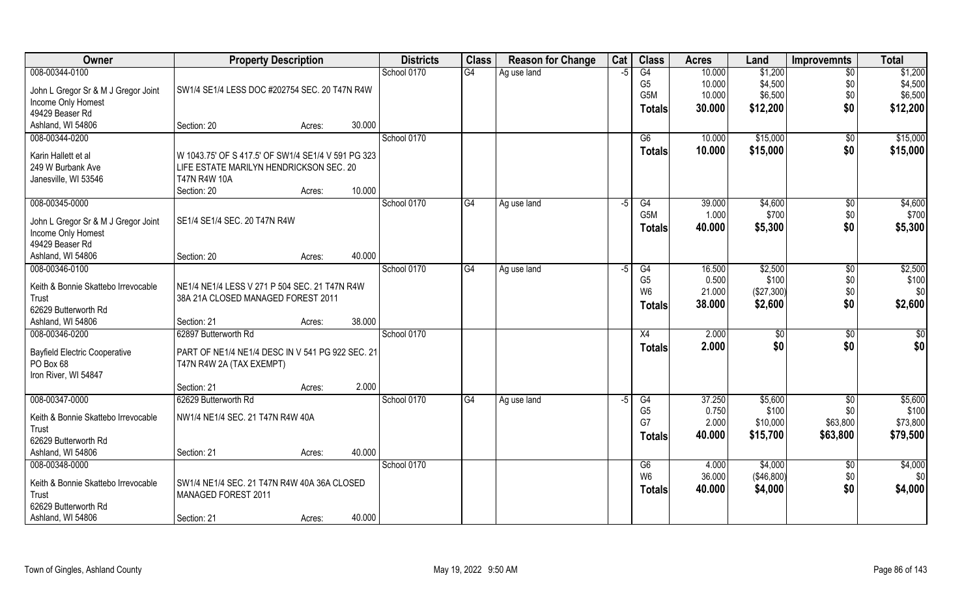| Owner                                        | <b>Property Description</b>                                                                   |        |        | <b>Districts</b> | <b>Class</b> | <b>Reason for Change</b> | Cat  | <b>Class</b>         | <b>Acres</b>    | Land             | <b>Improvemnts</b> | <b>Total</b>     |
|----------------------------------------------|-----------------------------------------------------------------------------------------------|--------|--------|------------------|--------------|--------------------------|------|----------------------|-----------------|------------------|--------------------|------------------|
| 008-00344-0100                               |                                                                                               |        |        | School 0170      | G4           | Ag use land              | $-5$ | G4                   | 10.000          | \$1,200          | $\overline{50}$    | \$1,200          |
| John L Gregor Sr & M J Gregor Joint          | SW1/4 SE1/4 LESS DOC #202754 SEC. 20 T47N R4W                                                 |        |        |                  |              |                          |      | G <sub>5</sub>       | 10.000          | \$4,500          | \$0                | \$4,500          |
| Income Only Homest                           |                                                                                               |        |        |                  |              |                          |      | G5M                  | 10.000          | \$6,500          | \$0                | \$6,500          |
| 49429 Beaser Rd                              |                                                                                               |        |        |                  |              |                          |      | <b>Totals</b>        | 30.000          | \$12,200         | \$0                | \$12,200         |
| Ashland, WI 54806                            | Section: 20                                                                                   | Acres: | 30.000 |                  |              |                          |      |                      |                 |                  |                    |                  |
| 008-00344-0200                               |                                                                                               |        |        | School 0170      |              |                          |      | G6                   | 10.000          | \$15,000         | \$0                | \$15,000         |
|                                              |                                                                                               |        |        |                  |              |                          |      | Totals               | 10.000          | \$15,000         | \$0                | \$15,000         |
| Karin Hallett et al<br>249 W Burbank Ave     | W 1043.75' OF S 417.5' OF SW1/4 SE1/4 V 591 PG 323<br>LIFE ESTATE MARILYN HENDRICKSON SEC. 20 |        |        |                  |              |                          |      |                      |                 |                  |                    |                  |
| Janesville, WI 53546                         | <b>T47N R4W 10A</b>                                                                           |        |        |                  |              |                          |      |                      |                 |                  |                    |                  |
|                                              | Section: 20                                                                                   | Acres: | 10.000 |                  |              |                          |      |                      |                 |                  |                    |                  |
| 008-00345-0000                               |                                                                                               |        |        | School 0170      | G4           | Ag use land              | $-5$ | G4                   | 39.000          | \$4,600          | $\sqrt[6]{30}$     | \$4,600          |
|                                              |                                                                                               |        |        |                  |              |                          |      | G <sub>5</sub> M     | 1.000           | \$700            | \$0                | \$700            |
| John L Gregor Sr & M J Gregor Joint          | SE1/4 SE1/4 SEC. 20 T47N R4W                                                                  |        |        |                  |              |                          |      | <b>Totals</b>        | 40.000          | \$5,300          | \$0                | \$5,300          |
| Income Only Homest                           |                                                                                               |        |        |                  |              |                          |      |                      |                 |                  |                    |                  |
| 49429 Beaser Rd                              |                                                                                               |        |        |                  |              |                          |      |                      |                 |                  |                    |                  |
| Ashland, WI 54806                            | Section: 20                                                                                   | Acres: | 40.000 |                  |              |                          |      |                      |                 |                  |                    |                  |
| 008-00346-0100                               |                                                                                               |        |        | School 0170      | G4           | Ag use land              | -5   | G4<br>G <sub>5</sub> | 16.500<br>0.500 | \$2,500<br>\$100 | $\sqrt[6]{3}$      | \$2,500<br>\$100 |
| Keith & Bonnie Skattebo Irrevocable          | NE1/4 NE1/4 LESS V 271 P 504 SEC. 21 T47N R4W                                                 |        |        |                  |              |                          |      | W <sub>6</sub>       | 21.000          | (\$27,300)       | \$0<br>\$0         | \$0              |
| Trust                                        | 38A 21A CLOSED MANAGED FOREST 2011                                                            |        |        |                  |              |                          |      |                      | 38.000          | \$2,600          | \$0                | \$2,600          |
| 62629 Butterworth Rd                         |                                                                                               |        |        |                  |              |                          |      | <b>Totals</b>        |                 |                  |                    |                  |
| Ashland, WI 54806                            | Section: 21                                                                                   | Acres: | 38.000 |                  |              |                          |      |                      |                 |                  |                    |                  |
| 008-00346-0200                               | 62897 Butterworth Rd                                                                          |        |        | School 0170      |              |                          |      | $\overline{X4}$      | 2.000           | $\sqrt[6]{30}$   | \$0                | \$0              |
| <b>Bayfield Electric Cooperative</b>         | PART OF NE1/4 NE1/4 DESC IN V 541 PG 922 SEC. 21                                              |        |        |                  |              |                          |      | <b>Totals</b>        | 2.000           | \$0              | \$0                | \$0              |
| PO Box 68                                    | T47N R4W 2A (TAX EXEMPT)                                                                      |        |        |                  |              |                          |      |                      |                 |                  |                    |                  |
| Iron River, WI 54847                         |                                                                                               |        |        |                  |              |                          |      |                      |                 |                  |                    |                  |
|                                              | Section: 21                                                                                   | Acres: | 2.000  |                  |              |                          |      |                      |                 |                  |                    |                  |
| 008-00347-0000                               | 62629 Butterworth Rd                                                                          |        |        | School 0170      | G4           | Ag use land              | $-5$ | G4                   | 37.250          | \$5,600          | \$0                | \$5,600          |
| Keith & Bonnie Skattebo Irrevocable          | NW1/4 NE1/4 SEC. 21 T47N R4W 40A                                                              |        |        |                  |              |                          |      | G <sub>5</sub>       | 0.750           | \$100            | \$0                | \$100            |
| Trust                                        |                                                                                               |        |        |                  |              |                          |      | G7                   | 2.000           | \$10,000         | \$63,800           | \$73,800         |
| 62629 Butterworth Rd                         |                                                                                               |        |        |                  |              |                          |      | <b>Totals</b>        | 40.000          | \$15,700         | \$63,800           | \$79,500         |
| Ashland, WI 54806                            | Section: 21                                                                                   | Acres: | 40.000 |                  |              |                          |      |                      |                 |                  |                    |                  |
| 008-00348-0000                               |                                                                                               |        |        | School 0170      |              |                          |      | G6                   | 4.000           | \$4,000          | $\overline{50}$    | \$4,000          |
|                                              |                                                                                               |        |        |                  |              |                          |      | W <sub>6</sub>       | 36.000          | ( \$46, 800)     | \$0                | \$0              |
| Keith & Bonnie Skattebo Irrevocable<br>Trust | SW1/4 NE1/4 SEC. 21 T47N R4W 40A 36A CLOSED<br>MANAGED FOREST 2011                            |        |        |                  |              |                          |      | <b>Totals</b>        | 40.000          | \$4,000          | \$0                | \$4,000          |
| 62629 Butterworth Rd                         |                                                                                               |        |        |                  |              |                          |      |                      |                 |                  |                    |                  |
| Ashland, WI 54806                            | Section: 21                                                                                   | Acres: | 40.000 |                  |              |                          |      |                      |                 |                  |                    |                  |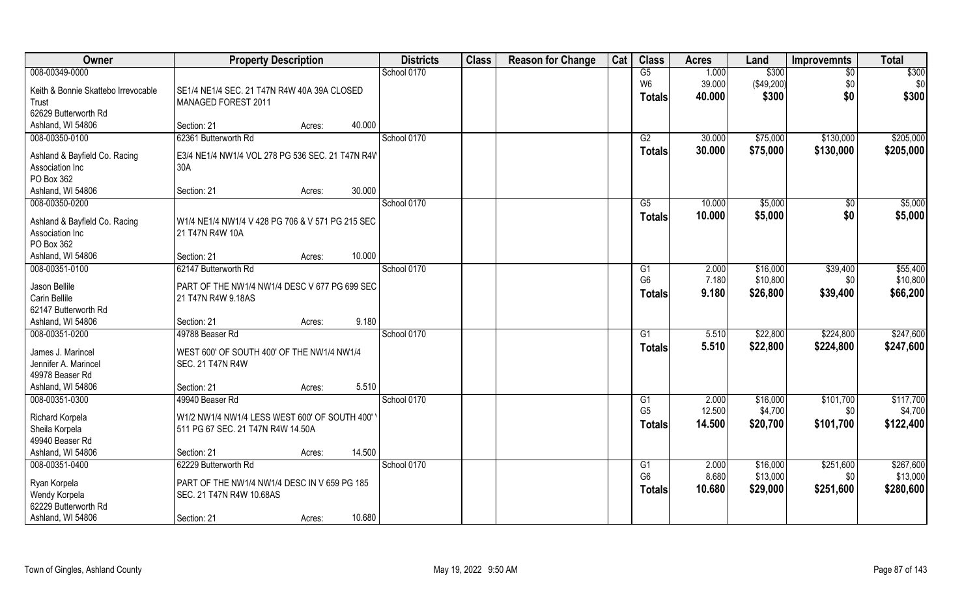| 008-00349-0000<br>\$300<br>School 0170<br>G5<br>1.000<br>$\overline{50}$<br>W <sub>6</sub><br>39.000<br>(\$49,200)<br>\$0<br>\$0<br>Keith & Bonnie Skattebo Irrevocable<br>SE1/4 NE1/4 SEC. 21 T47N R4W 40A 39A CLOSED<br>\$0<br>\$300<br>\$300<br>40.000<br><b>Totals</b><br>Trust<br>MANAGED FOREST 2011<br>62629 Butterworth Rd<br>40.000<br>Ashland, WI 54806<br>Section: 21<br>Acres:<br>008-00350-0100<br>62361 Butterworth Rd<br>School 0170<br>\$75,000<br>\$205,000<br>G2<br>30.000<br>\$130,000<br>30.000<br>\$75,000<br>\$130,000<br>\$205,000<br>Totals<br>Ashland & Bayfield Co. Racing<br>E3/4 NE1/4 NW1/4 VOL 278 PG 536 SEC. 21 T47N R4W<br>Association Inc<br>30A<br>PO Box 362<br>30.000<br>Ashland, WI 54806<br>Section: 21<br>Acres:<br>008-00350-0200<br>School 0170<br>\$5,000<br>G5<br>10.000<br>\$5,000<br>$\sqrt[6]{30}$<br>\$0<br>10.000<br>\$5,000<br>\$5,000<br><b>Totals</b><br>W1/4 NE1/4 NW1/4 V 428 PG 706 & V 571 PG 215 SEC<br>Ashland & Bayfield Co. Racing<br>Association Inc<br>21 T47N R4W 10A<br>PO Box 362<br>10.000<br>Ashland, WI 54806<br>Section: 21<br>Acres:<br>\$55,400<br>008-00351-0100<br>62147 Butterworth Rd<br>\$39,400<br>School 0170<br>2.000<br>\$16,000<br>G <sub>1</sub><br>\$10,800<br>G <sub>6</sub><br>7.180<br>\$10,800<br>\$0<br>Jason Bellile<br>PART OF THE NW1/4 NW1/4 DESC V 677 PG 699 SEC<br>9.180<br>\$26,800<br>\$39,400<br>\$66,200<br><b>Totals</b><br>Carin Bellile<br>21 T47N R4W 9.18AS<br>62147 Butterworth Rd<br>9.180<br>Ashland, WI 54806<br>Section: 21<br>Acres:<br>008-00351-0200<br>\$22,800<br>\$224,800<br>\$247,600<br>49788 Beaser Rd<br>School 0170<br>G1<br>5.510<br>5.510<br>\$22,800<br>\$224,800<br>\$247,600<br><b>Totals</b><br>James J. Marincel<br>WEST 600' OF SOUTH 400' OF THE NW1/4 NW1/4<br>Jennifer A. Marincel<br><b>SEC. 21 T47N R4W</b><br>49978 Beaser Rd<br>Ashland, WI 54806<br>5.510<br>Section: 21<br>Acres:<br>008-00351-0300<br>School 0170<br>\$117,700<br>49940 Beaser Rd<br>G1<br>2.000<br>\$16,000<br>\$101,700<br>12.500<br>G <sub>5</sub><br>\$4,700<br>\$4,700<br>\$0<br>Richard Korpela<br>W1/2 NW1/4 NW1/4 LESS WEST 600' OF SOUTH 400'<br>14.500<br>\$20,700<br>\$101,700<br>\$122,400<br><b>Totals</b><br>Sheila Korpela<br>511 PG 67 SEC. 21 T47N R4W 14.50A<br>49940 Beaser Rd<br>14.500<br>Ashland, WI 54806<br>Section: 21<br>Acres:<br>008-00351-0400<br>School 0170<br>\$251,600<br>\$267,600<br>62229 Butterworth Rd<br>G1<br>2.000<br>\$16,000 | Owner | <b>Property Description</b> | <b>Districts</b> | <b>Class</b> | <b>Reason for Change</b> | Cat | <b>Class</b>   | <b>Acres</b> | Land     | <b>Improvemnts</b> | <b>Total</b>      |
|------------------------------------------------------------------------------------------------------------------------------------------------------------------------------------------------------------------------------------------------------------------------------------------------------------------------------------------------------------------------------------------------------------------------------------------------------------------------------------------------------------------------------------------------------------------------------------------------------------------------------------------------------------------------------------------------------------------------------------------------------------------------------------------------------------------------------------------------------------------------------------------------------------------------------------------------------------------------------------------------------------------------------------------------------------------------------------------------------------------------------------------------------------------------------------------------------------------------------------------------------------------------------------------------------------------------------------------------------------------------------------------------------------------------------------------------------------------------------------------------------------------------------------------------------------------------------------------------------------------------------------------------------------------------------------------------------------------------------------------------------------------------------------------------------------------------------------------------------------------------------------------------------------------------------------------------------------------------------------------------------------------------------------------------------------------------------------------------------------------------------------------------------------------------------------------------------------------------------------------------------------------------------------------------------------------------------------------------------------------------------------------------------------------------------------------------------------------------------------|-------|-----------------------------|------------------|--------------|--------------------------|-----|----------------|--------------|----------|--------------------|-------------------|
|                                                                                                                                                                                                                                                                                                                                                                                                                                                                                                                                                                                                                                                                                                                                                                                                                                                                                                                                                                                                                                                                                                                                                                                                                                                                                                                                                                                                                                                                                                                                                                                                                                                                                                                                                                                                                                                                                                                                                                                                                                                                                                                                                                                                                                                                                                                                                                                                                                                                                    |       |                             |                  |              |                          |     |                |              |          |                    | $\overline{$300}$ |
|                                                                                                                                                                                                                                                                                                                                                                                                                                                                                                                                                                                                                                                                                                                                                                                                                                                                                                                                                                                                                                                                                                                                                                                                                                                                                                                                                                                                                                                                                                                                                                                                                                                                                                                                                                                                                                                                                                                                                                                                                                                                                                                                                                                                                                                                                                                                                                                                                                                                                    |       |                             |                  |              |                          |     |                |              |          |                    |                   |
|                                                                                                                                                                                                                                                                                                                                                                                                                                                                                                                                                                                                                                                                                                                                                                                                                                                                                                                                                                                                                                                                                                                                                                                                                                                                                                                                                                                                                                                                                                                                                                                                                                                                                                                                                                                                                                                                                                                                                                                                                                                                                                                                                                                                                                                                                                                                                                                                                                                                                    |       |                             |                  |              |                          |     |                |              |          |                    |                   |
|                                                                                                                                                                                                                                                                                                                                                                                                                                                                                                                                                                                                                                                                                                                                                                                                                                                                                                                                                                                                                                                                                                                                                                                                                                                                                                                                                                                                                                                                                                                                                                                                                                                                                                                                                                                                                                                                                                                                                                                                                                                                                                                                                                                                                                                                                                                                                                                                                                                                                    |       |                             |                  |              |                          |     |                |              |          |                    |                   |
|                                                                                                                                                                                                                                                                                                                                                                                                                                                                                                                                                                                                                                                                                                                                                                                                                                                                                                                                                                                                                                                                                                                                                                                                                                                                                                                                                                                                                                                                                                                                                                                                                                                                                                                                                                                                                                                                                                                                                                                                                                                                                                                                                                                                                                                                                                                                                                                                                                                                                    |       |                             |                  |              |                          |     |                |              |          |                    |                   |
|                                                                                                                                                                                                                                                                                                                                                                                                                                                                                                                                                                                                                                                                                                                                                                                                                                                                                                                                                                                                                                                                                                                                                                                                                                                                                                                                                                                                                                                                                                                                                                                                                                                                                                                                                                                                                                                                                                                                                                                                                                                                                                                                                                                                                                                                                                                                                                                                                                                                                    |       |                             |                  |              |                          |     |                |              |          |                    |                   |
|                                                                                                                                                                                                                                                                                                                                                                                                                                                                                                                                                                                                                                                                                                                                                                                                                                                                                                                                                                                                                                                                                                                                                                                                                                                                                                                                                                                                                                                                                                                                                                                                                                                                                                                                                                                                                                                                                                                                                                                                                                                                                                                                                                                                                                                                                                                                                                                                                                                                                    |       |                             |                  |              |                          |     |                |              |          |                    |                   |
|                                                                                                                                                                                                                                                                                                                                                                                                                                                                                                                                                                                                                                                                                                                                                                                                                                                                                                                                                                                                                                                                                                                                                                                                                                                                                                                                                                                                                                                                                                                                                                                                                                                                                                                                                                                                                                                                                                                                                                                                                                                                                                                                                                                                                                                                                                                                                                                                                                                                                    |       |                             |                  |              |                          |     |                |              |          |                    |                   |
|                                                                                                                                                                                                                                                                                                                                                                                                                                                                                                                                                                                                                                                                                                                                                                                                                                                                                                                                                                                                                                                                                                                                                                                                                                                                                                                                                                                                                                                                                                                                                                                                                                                                                                                                                                                                                                                                                                                                                                                                                                                                                                                                                                                                                                                                                                                                                                                                                                                                                    |       |                             |                  |              |                          |     |                |              |          |                    |                   |
|                                                                                                                                                                                                                                                                                                                                                                                                                                                                                                                                                                                                                                                                                                                                                                                                                                                                                                                                                                                                                                                                                                                                                                                                                                                                                                                                                                                                                                                                                                                                                                                                                                                                                                                                                                                                                                                                                                                                                                                                                                                                                                                                                                                                                                                                                                                                                                                                                                                                                    |       |                             |                  |              |                          |     |                |              |          |                    |                   |
|                                                                                                                                                                                                                                                                                                                                                                                                                                                                                                                                                                                                                                                                                                                                                                                                                                                                                                                                                                                                                                                                                                                                                                                                                                                                                                                                                                                                                                                                                                                                                                                                                                                                                                                                                                                                                                                                                                                                                                                                                                                                                                                                                                                                                                                                                                                                                                                                                                                                                    |       |                             |                  |              |                          |     |                |              |          |                    |                   |
|                                                                                                                                                                                                                                                                                                                                                                                                                                                                                                                                                                                                                                                                                                                                                                                                                                                                                                                                                                                                                                                                                                                                                                                                                                                                                                                                                                                                                                                                                                                                                                                                                                                                                                                                                                                                                                                                                                                                                                                                                                                                                                                                                                                                                                                                                                                                                                                                                                                                                    |       |                             |                  |              |                          |     |                |              |          |                    |                   |
|                                                                                                                                                                                                                                                                                                                                                                                                                                                                                                                                                                                                                                                                                                                                                                                                                                                                                                                                                                                                                                                                                                                                                                                                                                                                                                                                                                                                                                                                                                                                                                                                                                                                                                                                                                                                                                                                                                                                                                                                                                                                                                                                                                                                                                                                                                                                                                                                                                                                                    |       |                             |                  |              |                          |     |                |              |          |                    |                   |
|                                                                                                                                                                                                                                                                                                                                                                                                                                                                                                                                                                                                                                                                                                                                                                                                                                                                                                                                                                                                                                                                                                                                                                                                                                                                                                                                                                                                                                                                                                                                                                                                                                                                                                                                                                                                                                                                                                                                                                                                                                                                                                                                                                                                                                                                                                                                                                                                                                                                                    |       |                             |                  |              |                          |     |                |              |          |                    |                   |
|                                                                                                                                                                                                                                                                                                                                                                                                                                                                                                                                                                                                                                                                                                                                                                                                                                                                                                                                                                                                                                                                                                                                                                                                                                                                                                                                                                                                                                                                                                                                                                                                                                                                                                                                                                                                                                                                                                                                                                                                                                                                                                                                                                                                                                                                                                                                                                                                                                                                                    |       |                             |                  |              |                          |     |                |              |          |                    |                   |
|                                                                                                                                                                                                                                                                                                                                                                                                                                                                                                                                                                                                                                                                                                                                                                                                                                                                                                                                                                                                                                                                                                                                                                                                                                                                                                                                                                                                                                                                                                                                                                                                                                                                                                                                                                                                                                                                                                                                                                                                                                                                                                                                                                                                                                                                                                                                                                                                                                                                                    |       |                             |                  |              |                          |     |                |              |          |                    |                   |
|                                                                                                                                                                                                                                                                                                                                                                                                                                                                                                                                                                                                                                                                                                                                                                                                                                                                                                                                                                                                                                                                                                                                                                                                                                                                                                                                                                                                                                                                                                                                                                                                                                                                                                                                                                                                                                                                                                                                                                                                                                                                                                                                                                                                                                                                                                                                                                                                                                                                                    |       |                             |                  |              |                          |     |                |              |          |                    |                   |
|                                                                                                                                                                                                                                                                                                                                                                                                                                                                                                                                                                                                                                                                                                                                                                                                                                                                                                                                                                                                                                                                                                                                                                                                                                                                                                                                                                                                                                                                                                                                                                                                                                                                                                                                                                                                                                                                                                                                                                                                                                                                                                                                                                                                                                                                                                                                                                                                                                                                                    |       |                             |                  |              |                          |     |                |              |          |                    |                   |
|                                                                                                                                                                                                                                                                                                                                                                                                                                                                                                                                                                                                                                                                                                                                                                                                                                                                                                                                                                                                                                                                                                                                                                                                                                                                                                                                                                                                                                                                                                                                                                                                                                                                                                                                                                                                                                                                                                                                                                                                                                                                                                                                                                                                                                                                                                                                                                                                                                                                                    |       |                             |                  |              |                          |     |                |              |          |                    |                   |
|                                                                                                                                                                                                                                                                                                                                                                                                                                                                                                                                                                                                                                                                                                                                                                                                                                                                                                                                                                                                                                                                                                                                                                                                                                                                                                                                                                                                                                                                                                                                                                                                                                                                                                                                                                                                                                                                                                                                                                                                                                                                                                                                                                                                                                                                                                                                                                                                                                                                                    |       |                             |                  |              |                          |     |                |              |          |                    |                   |
|                                                                                                                                                                                                                                                                                                                                                                                                                                                                                                                                                                                                                                                                                                                                                                                                                                                                                                                                                                                                                                                                                                                                                                                                                                                                                                                                                                                                                                                                                                                                                                                                                                                                                                                                                                                                                                                                                                                                                                                                                                                                                                                                                                                                                                                                                                                                                                                                                                                                                    |       |                             |                  |              |                          |     |                |              |          |                    |                   |
|                                                                                                                                                                                                                                                                                                                                                                                                                                                                                                                                                                                                                                                                                                                                                                                                                                                                                                                                                                                                                                                                                                                                                                                                                                                                                                                                                                                                                                                                                                                                                                                                                                                                                                                                                                                                                                                                                                                                                                                                                                                                                                                                                                                                                                                                                                                                                                                                                                                                                    |       |                             |                  |              |                          |     |                |              |          |                    |                   |
|                                                                                                                                                                                                                                                                                                                                                                                                                                                                                                                                                                                                                                                                                                                                                                                                                                                                                                                                                                                                                                                                                                                                                                                                                                                                                                                                                                                                                                                                                                                                                                                                                                                                                                                                                                                                                                                                                                                                                                                                                                                                                                                                                                                                                                                                                                                                                                                                                                                                                    |       |                             |                  |              |                          |     |                |              |          |                    |                   |
|                                                                                                                                                                                                                                                                                                                                                                                                                                                                                                                                                                                                                                                                                                                                                                                                                                                                                                                                                                                                                                                                                                                                                                                                                                                                                                                                                                                                                                                                                                                                                                                                                                                                                                                                                                                                                                                                                                                                                                                                                                                                                                                                                                                                                                                                                                                                                                                                                                                                                    |       |                             |                  |              |                          |     |                |              |          |                    |                   |
|                                                                                                                                                                                                                                                                                                                                                                                                                                                                                                                                                                                                                                                                                                                                                                                                                                                                                                                                                                                                                                                                                                                                                                                                                                                                                                                                                                                                                                                                                                                                                                                                                                                                                                                                                                                                                                                                                                                                                                                                                                                                                                                                                                                                                                                                                                                                                                                                                                                                                    |       |                             |                  |              |                          |     |                |              |          |                    |                   |
|                                                                                                                                                                                                                                                                                                                                                                                                                                                                                                                                                                                                                                                                                                                                                                                                                                                                                                                                                                                                                                                                                                                                                                                                                                                                                                                                                                                                                                                                                                                                                                                                                                                                                                                                                                                                                                                                                                                                                                                                                                                                                                                                                                                                                                                                                                                                                                                                                                                                                    |       |                             |                  |              |                          |     |                |              |          |                    |                   |
|                                                                                                                                                                                                                                                                                                                                                                                                                                                                                                                                                                                                                                                                                                                                                                                                                                                                                                                                                                                                                                                                                                                                                                                                                                                                                                                                                                                                                                                                                                                                                                                                                                                                                                                                                                                                                                                                                                                                                                                                                                                                                                                                                                                                                                                                                                                                                                                                                                                                                    |       |                             |                  |              |                          |     |                |              |          |                    |                   |
|                                                                                                                                                                                                                                                                                                                                                                                                                                                                                                                                                                                                                                                                                                                                                                                                                                                                                                                                                                                                                                                                                                                                                                                                                                                                                                                                                                                                                                                                                                                                                                                                                                                                                                                                                                                                                                                                                                                                                                                                                                                                                                                                                                                                                                                                                                                                                                                                                                                                                    |       |                             |                  |              |                          |     |                |              |          |                    |                   |
|                                                                                                                                                                                                                                                                                                                                                                                                                                                                                                                                                                                                                                                                                                                                                                                                                                                                                                                                                                                                                                                                                                                                                                                                                                                                                                                                                                                                                                                                                                                                                                                                                                                                                                                                                                                                                                                                                                                                                                                                                                                                                                                                                                                                                                                                                                                                                                                                                                                                                    |       |                             |                  |              |                          |     |                |              |          |                    |                   |
|                                                                                                                                                                                                                                                                                                                                                                                                                                                                                                                                                                                                                                                                                                                                                                                                                                                                                                                                                                                                                                                                                                                                                                                                                                                                                                                                                                                                                                                                                                                                                                                                                                                                                                                                                                                                                                                                                                                                                                                                                                                                                                                                                                                                                                                                                                                                                                                                                                                                                    |       |                             |                  |              |                          |     |                |              |          |                    |                   |
|                                                                                                                                                                                                                                                                                                                                                                                                                                                                                                                                                                                                                                                                                                                                                                                                                                                                                                                                                                                                                                                                                                                                                                                                                                                                                                                                                                                                                                                                                                                                                                                                                                                                                                                                                                                                                                                                                                                                                                                                                                                                                                                                                                                                                                                                                                                                                                                                                                                                                    |       |                             |                  |              |                          |     |                |              |          |                    |                   |
|                                                                                                                                                                                                                                                                                                                                                                                                                                                                                                                                                                                                                                                                                                                                                                                                                                                                                                                                                                                                                                                                                                                                                                                                                                                                                                                                                                                                                                                                                                                                                                                                                                                                                                                                                                                                                                                                                                                                                                                                                                                                                                                                                                                                                                                                                                                                                                                                                                                                                    |       |                             |                  |              |                          |     | G <sub>6</sub> | 8.680        | \$13,000 | \$0                | \$13,000          |
| Ryan Korpela<br>PART OF THE NW1/4 NW1/4 DESC IN V 659 PG 185<br>10.680<br>\$29,000<br>\$251,600<br>\$280,600<br><b>Totals</b>                                                                                                                                                                                                                                                                                                                                                                                                                                                                                                                                                                                                                                                                                                                                                                                                                                                                                                                                                                                                                                                                                                                                                                                                                                                                                                                                                                                                                                                                                                                                                                                                                                                                                                                                                                                                                                                                                                                                                                                                                                                                                                                                                                                                                                                                                                                                                      |       |                             |                  |              |                          |     |                |              |          |                    |                   |
| Wendy Korpela<br>SEC. 21 T47N R4W 10.68AS<br>62229 Butterworth Rd                                                                                                                                                                                                                                                                                                                                                                                                                                                                                                                                                                                                                                                                                                                                                                                                                                                                                                                                                                                                                                                                                                                                                                                                                                                                                                                                                                                                                                                                                                                                                                                                                                                                                                                                                                                                                                                                                                                                                                                                                                                                                                                                                                                                                                                                                                                                                                                                                  |       |                             |                  |              |                          |     |                |              |          |                    |                   |
| 10.680<br>Ashland, WI 54806<br>Section: 21<br>Acres:                                                                                                                                                                                                                                                                                                                                                                                                                                                                                                                                                                                                                                                                                                                                                                                                                                                                                                                                                                                                                                                                                                                                                                                                                                                                                                                                                                                                                                                                                                                                                                                                                                                                                                                                                                                                                                                                                                                                                                                                                                                                                                                                                                                                                                                                                                                                                                                                                               |       |                             |                  |              |                          |     |                |              |          |                    |                   |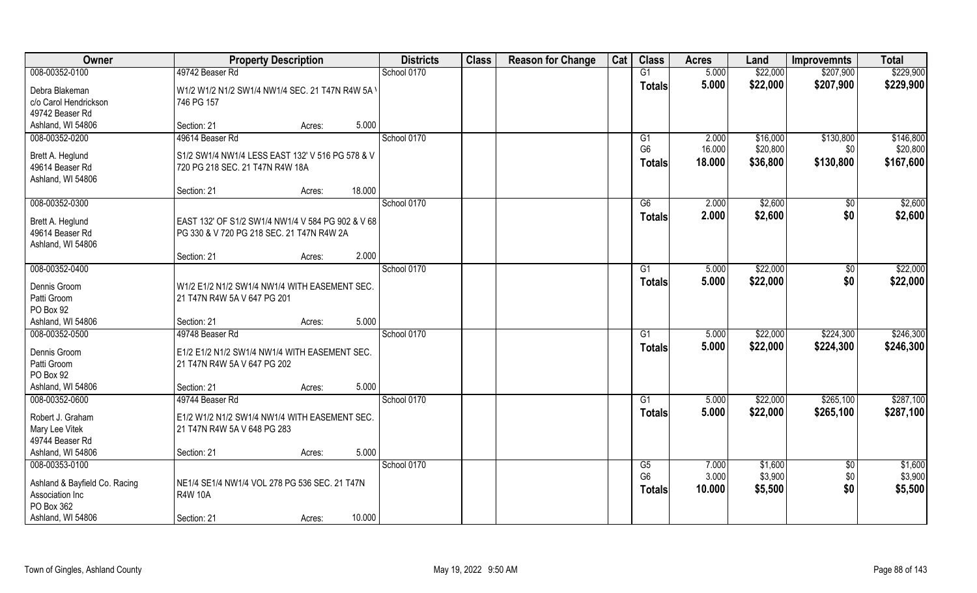| Owner                                                                                                 | <b>Property Description</b>                                                                                                       | <b>Districts</b> | <b>Class</b> | <b>Reason for Change</b> | Cat | <b>Class</b>                          | <b>Acres</b>             | Land                          | <b>Improvemnts</b>            | <b>Total</b>                  |
|-------------------------------------------------------------------------------------------------------|-----------------------------------------------------------------------------------------------------------------------------------|------------------|--------------|--------------------------|-----|---------------------------------------|--------------------------|-------------------------------|-------------------------------|-------------------------------|
| 008-00352-0100                                                                                        | 49742 Beaser Rd                                                                                                                   | School 0170      |              |                          |     | G1                                    | 5.000                    | \$22,000                      | \$207,900                     | \$229,900                     |
| Debra Blakeman<br>c/o Carol Hendrickson<br>49742 Beaser Rd                                            | W1/2 W1/2 N1/2 SW1/4 NW1/4 SEC. 21 T47N R4W 5A \<br>746 PG 157                                                                    |                  |              |                          |     | <b>Totals</b>                         | 5.000                    | \$22,000                      | \$207,900                     | \$229,900                     |
| Ashland, WI 54806                                                                                     | 5.000<br>Section: 21<br>Acres:                                                                                                    |                  |              |                          |     |                                       |                          |                               |                               |                               |
| 008-00352-0200                                                                                        | 49614 Beaser Rd                                                                                                                   | School 0170      |              |                          |     | G <sub>1</sub>                        | 2.000                    | \$16,000                      | \$130,800                     | \$146,800                     |
| Brett A. Heglund<br>49614 Beaser Rd<br>Ashland, WI 54806                                              | S1/2 SW1/4 NW1/4 LESS EAST 132' V 516 PG 578 & V<br>720 PG 218 SEC. 21 T47N R4W 18A                                               |                  |              |                          |     | G <sub>6</sub><br><b>Totals</b>       | 16.000<br>18.000         | \$20,800<br>\$36,800          | \$0<br>\$130,800              | \$20,800<br>\$167,600         |
|                                                                                                       | 18.000<br>Section: 21<br>Acres:                                                                                                   |                  |              |                          |     |                                       |                          |                               |                               |                               |
| 008-00352-0300<br>Brett A. Heglund<br>49614 Beaser Rd<br>Ashland, WI 54806                            | EAST 132' OF S1/2 SW1/4 NW1/4 V 584 PG 902 & V 68<br>PG 330 & V 720 PG 218 SEC. 21 T47N R4W 2A                                    | School 0170      |              |                          |     | G6<br><b>Totals</b>                   | 2.000<br>2.000           | \$2,600<br>\$2,600            | \$0<br>\$0                    | \$2,600<br>\$2,600            |
|                                                                                                       | 2.000<br>Section: 21<br>Acres:                                                                                                    |                  |              |                          |     |                                       |                          |                               |                               |                               |
| 008-00352-0400                                                                                        |                                                                                                                                   | School 0170      |              |                          |     | G <sub>1</sub>                        | 5.000                    | \$22,000                      | $\sqrt[6]{3}$                 | \$22,000                      |
| Dennis Groom<br>Patti Groom<br>PO Box 92                                                              | W1/2 E1/2 N1/2 SW1/4 NW1/4 WITH EASEMENT SEC.<br>21 T47N R4W 5A V 647 PG 201                                                      |                  |              |                          |     | <b>Totals</b>                         | 5.000                    | \$22,000                      | \$0                           | \$22,000                      |
| Ashland, WI 54806                                                                                     | 5.000<br>Section: 21<br>Acres:                                                                                                    |                  |              |                          |     |                                       |                          |                               |                               |                               |
| 008-00352-0500<br>Dennis Groom<br>Patti Groom<br>PO Box 92<br>Ashland, WI 54806                       | 49748 Beaser Rd<br>E1/2 E1/2 N1/2 SW1/4 NW1/4 WITH EASEMENT SEC.<br>21 T47N R4W 5A V 647 PG 202<br>5.000<br>Section: 21<br>Acres: | School 0170      |              |                          |     | G1<br><b>Totals</b>                   | 5.000<br>5.000           | \$22,000<br>\$22,000          | \$224,300<br>\$224,300        | \$246,300<br>\$246,300        |
| 008-00352-0600                                                                                        | 49744 Beaser Rd                                                                                                                   | School 0170      |              |                          |     | G1                                    | 5.000                    | \$22,000                      | \$265,100                     | \$287,100                     |
| Robert J. Graham<br>Mary Lee Vitek<br>49744 Beaser Rd                                                 | E1/2 W1/2 N1/2 SW1/4 NW1/4 WITH EASEMENT SEC.<br>21 T47N R4W 5A V 648 PG 283                                                      |                  |              |                          |     | <b>Totals</b>                         | 5.000                    | \$22,000                      | \$265,100                     | \$287,100                     |
| Ashland, WI 54806                                                                                     | 5.000<br>Section: 21<br>Acres:                                                                                                    |                  |              |                          |     |                                       |                          |                               |                               |                               |
| 008-00353-0100<br>Ashland & Bayfield Co. Racing<br>Association Inc<br>PO Box 362<br>Ashland, WI 54806 | NE1/4 SE1/4 NW1/4 VOL 278 PG 536 SEC. 21 T47N<br><b>R4W 10A</b><br>10.000<br>Section: 21<br>Acres:                                | School 0170      |              |                          |     | G5<br>G <sub>6</sub><br><b>Totals</b> | 7.000<br>3.000<br>10.000 | \$1,600<br>\$3,900<br>\$5,500 | $\overline{50}$<br>\$0<br>\$0 | \$1,600<br>\$3,900<br>\$5,500 |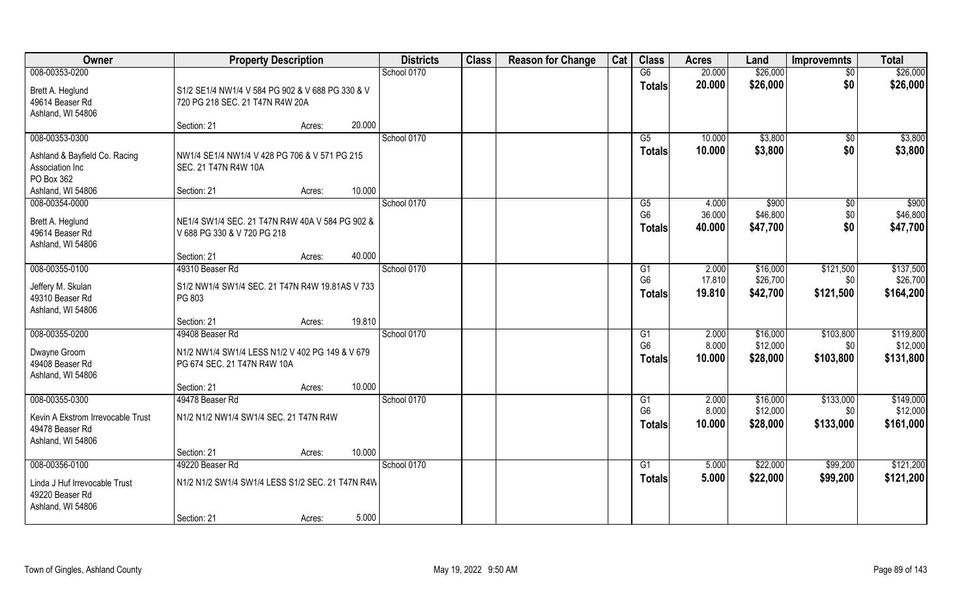| Owner                             | <b>Property Description</b>                      |        | <b>Districts</b> | <b>Class</b> | <b>Reason for Change</b> | Cat | <b>Class</b>   | <b>Acres</b> | Land     | <b>Improvemnts</b> | <b>Total</b> |
|-----------------------------------|--------------------------------------------------|--------|------------------|--------------|--------------------------|-----|----------------|--------------|----------|--------------------|--------------|
| 008-00353-0200                    |                                                  |        | School 0170      |              |                          |     | G6             | 20.000       | \$26,000 | $\overline{50}$    | \$26,000     |
| Brett A. Heglund                  | S1/2 SE1/4 NW1/4 V 584 PG 902 & V 688 PG 330 & V |        |                  |              |                          |     | <b>Totals</b>  | 20.000       | \$26,000 | \$0                | \$26,000     |
| 49614 Beaser Rd                   | 720 PG 218 SEC. 21 T47N R4W 20A                  |        |                  |              |                          |     |                |              |          |                    |              |
| Ashland, WI 54806                 |                                                  |        |                  |              |                          |     |                |              |          |                    |              |
|                                   | Section: 21<br>Acres:                            | 20.000 |                  |              |                          |     |                |              |          |                    |              |
| 008-00353-0300                    |                                                  |        | School 0170      |              |                          |     | G5             | 10.000       | \$3,800  | $\overline{50}$    | \$3,800      |
| Ashland & Bayfield Co. Racing     | NW1/4 SE1/4 NW1/4 V 428 PG 706 & V 571 PG 215    |        |                  |              |                          |     | <b>Totals</b>  | 10.000       | \$3,800  | \$0                | \$3,800      |
| Association Inc                   | SEC. 21 T47N R4W 10A                             |        |                  |              |                          |     |                |              |          |                    |              |
| PO Box 362                        |                                                  |        |                  |              |                          |     |                |              |          |                    |              |
| Ashland, WI 54806                 | Section: 21<br>Acres:                            | 10.000 |                  |              |                          |     |                |              |          |                    |              |
| 008-00354-0000                    |                                                  |        | School 0170      |              |                          |     | G5             | 4.000        | \$900    | $\sqrt[6]{30}$     | \$900        |
| Brett A. Heglund                  | NE1/4 SW1/4 SEC. 21 T47N R4W 40A V 584 PG 902 &  |        |                  |              |                          |     | G <sub>6</sub> | 36.000       | \$46,800 | \$0                | \$46,800     |
| 49614 Beaser Rd                   | V 688 PG 330 & V 720 PG 218                      |        |                  |              |                          |     | <b>Totals</b>  | 40.000       | \$47,700 | \$0                | \$47,700     |
| Ashland, WI 54806                 |                                                  |        |                  |              |                          |     |                |              |          |                    |              |
|                                   | Section: 21<br>Acres:                            | 40.000 |                  |              |                          |     |                |              |          |                    |              |
| 008-00355-0100                    | 49310 Beaser Rd                                  |        | School 0170      |              |                          |     | G1             | 2.000        | \$16,000 | \$121,500          | \$137,500    |
| Jeffery M. Skulan                 | S1/2 NW1/4 SW1/4 SEC. 21 T47N R4W 19.81AS V 733  |        |                  |              |                          |     | G <sub>6</sub> | 17.810       | \$26,700 | \$0                | \$26,700     |
| 49310 Beaser Rd                   | PG 803                                           |        |                  |              |                          |     | <b>Totals</b>  | 19.810       | \$42,700 | \$121,500          | \$164,200    |
| Ashland, WI 54806                 |                                                  |        |                  |              |                          |     |                |              |          |                    |              |
|                                   | Section: 21<br>Acres:                            | 19.810 |                  |              |                          |     |                |              |          |                    |              |
| 008-00355-0200                    | 49408 Beaser Rd                                  |        | School 0170      |              |                          |     | G1             | 2.000        | \$16,000 | \$103,800          | \$119,800    |
| Dwayne Groom                      | N1/2 NW1/4 SW1/4 LESS N1/2 V 402 PG 149 & V 679  |        |                  |              |                          |     | G <sub>6</sub> | 8.000        | \$12,000 | \$0                | \$12,000     |
| 49408 Beaser Rd                   | PG 674 SEC. 21 T47N R4W 10A                      |        |                  |              |                          |     | <b>Totals</b>  | 10.000       | \$28,000 | \$103,800          | \$131,800    |
| Ashland, WI 54806                 |                                                  |        |                  |              |                          |     |                |              |          |                    |              |
|                                   | Section: 21<br>Acres:                            | 10.000 |                  |              |                          |     |                |              |          |                    |              |
| 008-00355-0300                    | 49478 Beaser Rd                                  |        | School 0170      |              |                          |     | G1             | 2.000        | \$16,000 | \$133,000          | \$149,000    |
| Kevin A Ekstrom Irrevocable Trust | N1/2 N1/2 NW1/4 SW1/4 SEC. 21 T47N R4W           |        |                  |              |                          |     | G <sub>6</sub> | 8.000        | \$12,000 | \$0                | \$12,000     |
| 49478 Beaser Rd                   |                                                  |        |                  |              |                          |     | <b>Totals</b>  | 10.000       | \$28,000 | \$133,000          | \$161,000    |
| Ashland, WI 54806                 |                                                  |        |                  |              |                          |     |                |              |          |                    |              |
|                                   | Section: 21<br>Acres:                            | 10.000 |                  |              |                          |     |                |              |          |                    |              |
| 008-00356-0100                    | 49220 Beaser Rd                                  |        | School 0170      |              |                          |     | G1             | 5.000        | \$22,000 | \$99,200           | \$121,200    |
| Linda J Huf Irrevocable Trust     | N1/2 N1/2 SW1/4 SW1/4 LESS S1/2 SEC. 21 T47N R4W |        |                  |              |                          |     | <b>Totals</b>  | 5.000        | \$22,000 | \$99,200           | \$121,200    |
| 49220 Beaser Rd                   |                                                  |        |                  |              |                          |     |                |              |          |                    |              |
| Ashland, WI 54806                 |                                                  |        |                  |              |                          |     |                |              |          |                    |              |
|                                   | Section: 21<br>Acres:                            | 5.000  |                  |              |                          |     |                |              |          |                    |              |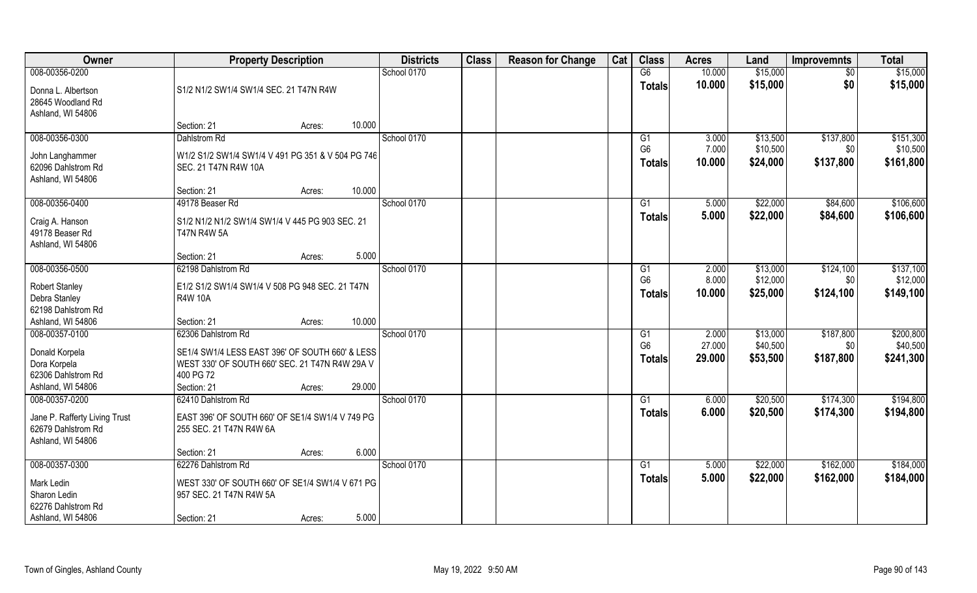| Owner                                                                     | <b>Property Description</b>                                                                                                                       | <b>Districts</b> | <b>Class</b> | <b>Reason for Change</b> | Cat | <b>Class</b>                    | <b>Acres</b>     | Land                 | <b>Improvemnts</b> | <b>Total</b>          |
|---------------------------------------------------------------------------|---------------------------------------------------------------------------------------------------------------------------------------------------|------------------|--------------|--------------------------|-----|---------------------------------|------------------|----------------------|--------------------|-----------------------|
| 008-00356-0200                                                            |                                                                                                                                                   | School 0170      |              |                          |     | G6                              | 10.000           | \$15,000             | $\overline{50}$    | \$15,000              |
| Donna L. Albertson<br>28645 Woodland Rd<br>Ashland, WI 54806              | S1/2 N1/2 SW1/4 SW1/4 SEC. 21 T47N R4W                                                                                                            |                  |              |                          |     | <b>Totals</b>                   | 10.000           | \$15,000             | \$0                | \$15,000              |
|                                                                           | 10.000<br>Section: 21<br>Acres:                                                                                                                   |                  |              |                          |     |                                 |                  |                      |                    |                       |
| 008-00356-0300                                                            | <b>Dahlstrom Rd</b>                                                                                                                               | School 0170      |              |                          |     | G <sub>1</sub>                  | 3.000            | \$13,500             | \$137,800          | \$151,300             |
| John Langhammer<br>62096 Dahlstrom Rd<br>Ashland, WI 54806                | W1/2 S1/2 SW1/4 SW1/4 V 491 PG 351 & V 504 PG 746<br>SEC. 21 T47N R4W 10A                                                                         |                  |              |                          |     | G <sub>6</sub><br><b>Totals</b> | 7.000<br>10.000  | \$10,500<br>\$24,000 | \$0<br>\$137,800   | \$10,500<br>\$161,800 |
|                                                                           | 10.000<br>Section: 21<br>Acres:                                                                                                                   |                  |              |                          |     |                                 |                  |                      |                    |                       |
| 008-00356-0400                                                            | 49178 Beaser Rd                                                                                                                                   | School 0170      |              |                          |     | G1                              | 5.000            | \$22,000             | \$84,600           | \$106,600             |
| Craig A. Hanson<br>49178 Beaser Rd<br>Ashland, WI 54806                   | S1/2 N1/2 N1/2 SW1/4 SW1/4 V 445 PG 903 SEC. 21<br><b>T47N R4W 5A</b>                                                                             |                  |              |                          |     | <b>Totals</b>                   | 5.000            | \$22,000             | \$84,600           | \$106,600             |
|                                                                           | 5.000<br>Section: 21<br>Acres:                                                                                                                    |                  |              |                          |     |                                 |                  |                      |                    |                       |
| 008-00356-0500                                                            | 62198 Dahlstrom Rd                                                                                                                                | School 0170      |              |                          |     | G1                              | 2.000            | \$13,000             | \$124,100          | \$137,100             |
| Robert Stanley<br>Debra Stanley<br>62198 Dahlstrom Rd                     | E1/2 S1/2 SW1/4 SW1/4 V 508 PG 948 SEC. 21 T47N<br><b>R4W 10A</b>                                                                                 |                  |              |                          |     | G <sub>6</sub><br><b>Totals</b> | 8.000<br>10.000  | \$12,000<br>\$25,000 | \$0<br>\$124,100   | \$12,000<br>\$149,100 |
| Ashland, WI 54806                                                         | 10.000<br>Section: 21<br>Acres:                                                                                                                   |                  |              |                          |     |                                 |                  |                      |                    |                       |
| 008-00357-0100                                                            | 62306 Dahlstrom Rd                                                                                                                                | School 0170      |              |                          |     | G1                              | 2.000            | \$13,000             | \$187,800          | \$200,800             |
| Donald Korpela<br>Dora Korpela<br>62306 Dahlstrom Rd<br>Ashland, WI 54806 | SE1/4 SW1/4 LESS EAST 396' OF SOUTH 660' & LESS<br>WEST 330' OF SOUTH 660' SEC. 21 T47N R4W 29A V<br>400 PG 72<br>Section: 21<br>29.000<br>Acres: |                  |              |                          |     | G <sub>6</sub><br><b>Totals</b> | 27.000<br>29.000 | \$40,500<br>\$53,500 | \$0<br>\$187,800   | \$40,500<br>\$241,300 |
| 008-00357-0200                                                            | 62410 Dahlstrom Rd                                                                                                                                | School 0170      |              |                          |     | G1                              | 6.000            | \$20,500             | \$174,300          | \$194,800             |
| Jane P. Rafferty Living Trust<br>62679 Dahlstrom Rd<br>Ashland, WI 54806  | EAST 396' OF SOUTH 660' OF SE1/4 SW1/4 V 749 PG<br>255 SEC. 21 T47N R4W 6A                                                                        |                  |              |                          |     | <b>Totals</b>                   | 6.000            | \$20,500             | \$174,300          | \$194,800             |
|                                                                           | 6.000<br>Section: 21<br>Acres:                                                                                                                    |                  |              |                          |     |                                 |                  |                      |                    |                       |
| 008-00357-0300                                                            | 62276 Dahlstrom Rd                                                                                                                                | School 0170      |              |                          |     | G1                              | 5.000            | \$22,000             | \$162,000          | \$184,000             |
| Mark Ledin<br>Sharon Ledin<br>62276 Dahlstrom Rd                          | WEST 330' OF SOUTH 660' OF SE1/4 SW1/4 V 671 PG<br>957 SEC. 21 T47N R4W 5A                                                                        |                  |              |                          |     | <b>Totals</b>                   | 5.000            | \$22,000             | \$162,000          | \$184,000             |
| Ashland, WI 54806                                                         | 5.000<br>Section: 21<br>Acres:                                                                                                                    |                  |              |                          |     |                                 |                  |                      |                    |                       |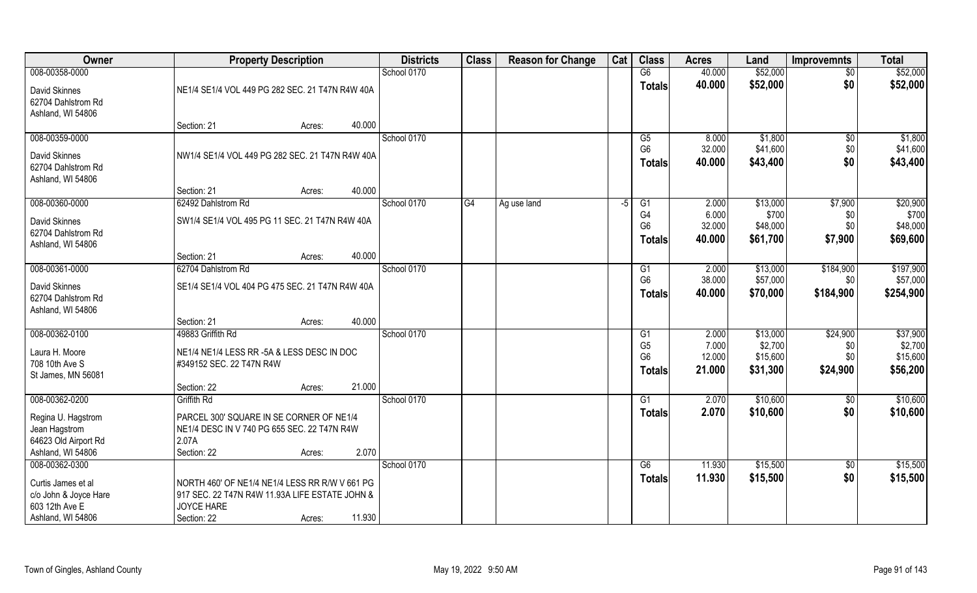| Owner                                                                            | <b>Property Description</b>                                                                                                        | <b>Districts</b> | <b>Class</b> | <b>Reason for Change</b> | Cat | <b>Class</b>                    | <b>Acres</b>     | Land                 | <b>Improvemnts</b> | <b>Total</b>          |
|----------------------------------------------------------------------------------|------------------------------------------------------------------------------------------------------------------------------------|------------------|--------------|--------------------------|-----|---------------------------------|------------------|----------------------|--------------------|-----------------------|
| 008-00358-0000                                                                   |                                                                                                                                    | School 0170      |              |                          |     | G6                              | 40.000           | \$52,000             | $\overline{50}$    | \$52,000              |
| David Skinnes<br>62704 Dahlstrom Rd<br>Ashland, WI 54806                         | NE1/4 SE1/4 VOL 449 PG 282 SEC. 21 T47N R4W 40A                                                                                    |                  |              |                          |     | <b>Totals</b>                   | 40.000           | \$52,000             | \$0                | \$52,000              |
|                                                                                  | 40.000<br>Section: 21<br>Acres:                                                                                                    |                  |              |                          |     |                                 |                  |                      |                    |                       |
| 008-00359-0000                                                                   |                                                                                                                                    | School 0170      |              |                          |     | G5                              | 8.000            | \$1,800              | \$0                | \$1,800               |
| David Skinnes<br>62704 Dahlstrom Rd<br>Ashland, WI 54806                         | NW1/4 SE1/4 VOL 449 PG 282 SEC. 21 T47N R4W 40A                                                                                    |                  |              |                          |     | G <sub>6</sub><br><b>Totals</b> | 32.000<br>40.000 | \$41,600<br>\$43,400 | \$0<br>\$0         | \$41,600<br>\$43,400  |
|                                                                                  | 40.000<br>Section: 21<br>Acres:                                                                                                    |                  |              |                          |     |                                 |                  |                      |                    |                       |
| 008-00360-0000                                                                   | 62492 Dahlstrom Rd                                                                                                                 | School 0170      | G4           | Ag use land              | -5  | G1                              | 2.000            | \$13,000             | \$7,900            | \$20,900              |
| David Skinnes                                                                    | SW1/4 SE1/4 VOL 495 PG 11 SEC. 21 T47N R4W 40A                                                                                     |                  |              |                          |     | G <sub>4</sub>                  | 6.000            | \$700                | \$0                | \$700                 |
| 62704 Dahlstrom Rd                                                               |                                                                                                                                    |                  |              |                          |     | G <sub>6</sub>                  | 32.000           | \$48,000             | \$0                | \$48,000              |
| Ashland, WI 54806                                                                |                                                                                                                                    |                  |              |                          |     | <b>Totals</b>                   | 40.000           | \$61,700             | \$7,900            | \$69,600              |
|                                                                                  | 40.000<br>Section: 21<br>Acres:                                                                                                    |                  |              |                          |     |                                 |                  |                      |                    |                       |
| 008-00361-0000                                                                   | 62704 Dahlstrom Rd                                                                                                                 | School 0170      |              |                          |     | G <sub>1</sub>                  | 2.000            | \$13,000             | \$184,900          | \$197,900             |
| David Skinnes<br>62704 Dahlstrom Rd<br>Ashland, WI 54806                         | SE1/4 SE1/4 VOL 404 PG 475 SEC. 21 T47N R4W 40A                                                                                    |                  |              |                          |     | G <sub>6</sub><br><b>Totals</b> | 38.000<br>40.000 | \$57,000<br>\$70,000 | \$0<br>\$184,900   | \$57,000<br>\$254,900 |
|                                                                                  | 40.000<br>Section: 21<br>Acres:                                                                                                    |                  |              |                          |     |                                 |                  |                      |                    |                       |
| 008-00362-0100                                                                   | 49883 Griffith Rd                                                                                                                  | School 0170      |              |                          |     | G1                              | 2.000            | \$13,000             | \$24,900           | \$37,900              |
| Laura H. Moore                                                                   | NE1/4 NE1/4 LESS RR -5A & LESS DESC IN DOC                                                                                         |                  |              |                          |     | G <sub>5</sub>                  | 7.000            | \$2,700              | \$0                | \$2,700               |
| 708 10th Ave S                                                                   | #349152 SEC. 22 T47N R4W                                                                                                           |                  |              |                          |     | G <sub>6</sub>                  | 12.000           | \$15,600             | \$0                | \$15,600              |
| St James, MN 56081                                                               |                                                                                                                                    |                  |              |                          |     | <b>Totals</b>                   | 21.000           | \$31,300             | \$24,900           | \$56,200              |
|                                                                                  | 21.000<br>Section: 22<br>Acres:                                                                                                    |                  |              |                          |     |                                 |                  |                      |                    |                       |
| 008-00362-0200                                                                   | Griffith Rd                                                                                                                        | School 0170      |              |                          |     | G1                              | 2.070            | \$10,600             | \$0                | \$10,600              |
| Regina U. Hagstrom<br>Jean Hagstrom<br>64623 Old Airport Rd<br>Ashland, WI 54806 | PARCEL 300' SQUARE IN SE CORNER OF NE1/4<br>NE1/4 DESC IN V 740 PG 655 SEC. 22 T47N R4W<br>2.07A<br>2.070<br>Section: 22<br>Acres: |                  |              |                          |     | <b>Totals</b>                   | 2.070            | \$10,600             | \$0                | \$10,600              |
| 008-00362-0300                                                                   |                                                                                                                                    | School 0170      |              |                          |     | G6                              | 11.930           | \$15,500             | $\sqrt{$0}$        | \$15,500              |
| Curtis James et al                                                               | NORTH 460' OF NE1/4 NE1/4 LESS RR R/W V 661 PG                                                                                     |                  |              |                          |     | <b>Totals</b>                   | 11.930           | \$15,500             | \$0                | \$15,500              |
| c/o John & Joyce Hare                                                            | 917 SEC. 22 T47N R4W 11.93A LIFE ESTATE JOHN &                                                                                     |                  |              |                          |     |                                 |                  |                      |                    |                       |
| 603 12th Ave E                                                                   | <b>JOYCE HARE</b>                                                                                                                  |                  |              |                          |     |                                 |                  |                      |                    |                       |
| Ashland, WI 54806                                                                | 11.930<br>Section: 22<br>Acres:                                                                                                    |                  |              |                          |     |                                 |                  |                      |                    |                       |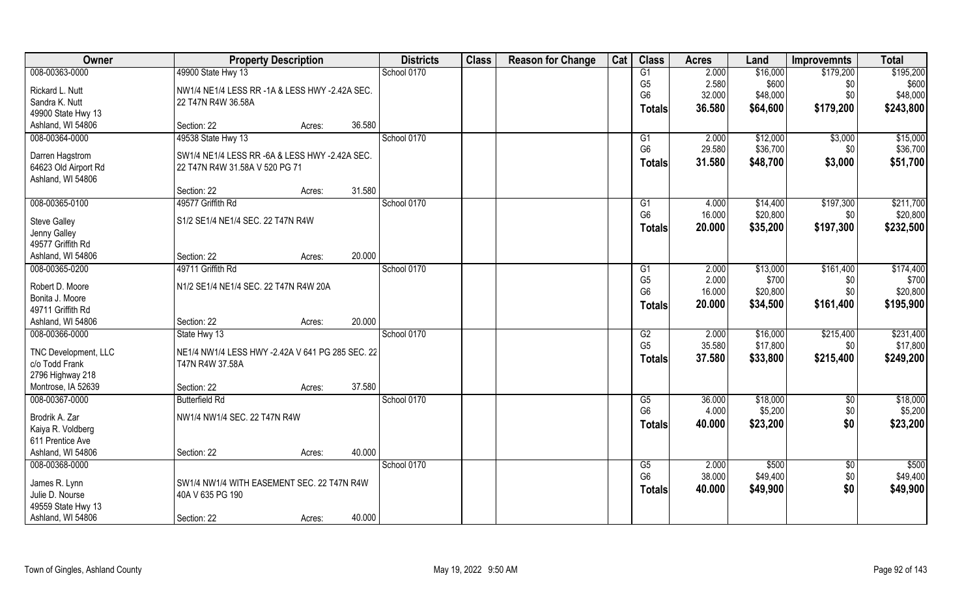| Owner                | <b>Property Description</b>                                    |        |        | <b>Districts</b> | <b>Class</b> | <b>Reason for Change</b> | Cat | <b>Class</b>    | <b>Acres</b> | Land     | <b>Improvemnts</b> | <b>Total</b> |
|----------------------|----------------------------------------------------------------|--------|--------|------------------|--------------|--------------------------|-----|-----------------|--------------|----------|--------------------|--------------|
| 008-00363-0000       | 49900 State Hwy 13                                             |        |        | School 0170      |              |                          |     | G1              | 2.000        | \$16,000 | \$179,200          | \$195,200    |
| Rickard L. Nutt      | NW1/4 NE1/4 LESS RR -1A & LESS HWY -2.42A SEC.                 |        |        |                  |              |                          |     | G <sub>5</sub>  | 2.580        | \$600    | \$0                | \$600        |
| Sandra K. Nutt       | 22 T47N R4W 36.58A                                             |        |        |                  |              |                          |     | G <sub>6</sub>  | 32.000       | \$48,000 | \$0                | \$48,000     |
| 49900 State Hwy 13   |                                                                |        |        |                  |              |                          |     | Totals          | 36.580       | \$64,600 | \$179,200          | \$243,800    |
| Ashland, WI 54806    | Section: 22                                                    | Acres: | 36.580 |                  |              |                          |     |                 |              |          |                    |              |
| 008-00364-0000       | 49538 State Hwy 13                                             |        |        | School 0170      |              |                          |     | G1              | 2.000        | \$12,000 | \$3,000            | \$15,000     |
| Darren Hagstrom      | SW1/4 NE1/4 LESS RR -6A & LESS HWY -2.42A SEC.                 |        |        |                  |              |                          |     | G <sub>6</sub>  | 29.580       | \$36,700 | \$0                | \$36,700     |
| 64623 Old Airport Rd | 22 T47N R4W 31.58A V 520 PG 71                                 |        |        |                  |              |                          |     | <b>Totals</b>   | 31.580       | \$48,700 | \$3,000            | \$51,700     |
| Ashland, WI 54806    |                                                                |        |        |                  |              |                          |     |                 |              |          |                    |              |
|                      | Section: 22                                                    | Acres: | 31.580 |                  |              |                          |     |                 |              |          |                    |              |
| 008-00365-0100       | 49577 Griffith Rd                                              |        |        | School 0170      |              |                          |     | G1              | 4.000        | \$14,400 | \$197,300          | \$211,700    |
| <b>Steve Galley</b>  | S1/2 SE1/4 NE1/4 SEC. 22 T47N R4W                              |        |        |                  |              |                          |     | G <sub>6</sub>  | 16.000       | \$20,800 | \$0                | \$20,800     |
| Jenny Galley         |                                                                |        |        |                  |              |                          |     | <b>Totals</b>   | 20.000       | \$35,200 | \$197,300          | \$232,500    |
| 49577 Griffith Rd    |                                                                |        |        |                  |              |                          |     |                 |              |          |                    |              |
| Ashland, WI 54806    | Section: 22                                                    | Acres: | 20,000 |                  |              |                          |     |                 |              |          |                    |              |
| 008-00365-0200       | 49711 Griffith Rd                                              |        |        | School 0170      |              |                          |     | G1              | 2.000        | \$13,000 | \$161,400          | \$174,400    |
| Robert D. Moore      | N1/2 SE1/4 NE1/4 SEC. 22 T47N R4W 20A                          |        |        |                  |              |                          |     | G <sub>5</sub>  | 2.000        | \$700    | \$0                | \$700        |
| Bonita J. Moore      |                                                                |        |        |                  |              |                          |     | G <sub>6</sub>  | 16.000       | \$20,800 | \$0                | \$20,800     |
| 49711 Griffith Rd    |                                                                |        |        |                  |              |                          |     | <b>Totals</b>   | 20.000       | \$34,500 | \$161,400          | \$195,900    |
| Ashland, WI 54806    | Section: 22                                                    | Acres: | 20.000 |                  |              |                          |     |                 |              |          |                    |              |
| 008-00366-0000       | State Hwy 13                                                   |        |        | School 0170      |              |                          |     | $\overline{G2}$ | 2.000        | \$16,000 | \$215,400          | \$231,400    |
| TNC Development, LLC | NE1/4 NW1/4 LESS HWY -2.42A V 641 PG 285 SEC. 22               |        |        |                  |              |                          |     | G <sub>5</sub>  | 35.580       | \$17,800 | \$0                | \$17,800     |
| c/o Todd Frank       | T47N R4W 37.58A                                                |        |        |                  |              |                          |     | Totals          | 37.580       | \$33,800 | \$215,400          | \$249,200    |
| 2796 Highway 218     |                                                                |        |        |                  |              |                          |     |                 |              |          |                    |              |
| Montrose, IA 52639   | Section: 22                                                    | Acres: | 37.580 |                  |              |                          |     |                 |              |          |                    |              |
| 008-00367-0000       | <b>Butterfield Rd</b>                                          |        |        | School 0170      |              |                          |     | G5              | 36.000       | \$18,000 | $\overline{50}$    | \$18,000     |
| Brodrik A. Zar       | NW1/4 NW1/4 SEC. 22 T47N R4W                                   |        |        |                  |              |                          |     | G <sub>6</sub>  | 4.000        | \$5,200  | \$0                | \$5,200      |
| Kaiya R. Voldberg    |                                                                |        |        |                  |              |                          |     | <b>Totals</b>   | 40.000       | \$23,200 | \$0                | \$23,200     |
| 611 Prentice Ave     |                                                                |        |        |                  |              |                          |     |                 |              |          |                    |              |
| Ashland, WI 54806    | Section: 22                                                    | Acres: | 40.000 |                  |              |                          |     |                 |              |          |                    |              |
| 008-00368-0000       |                                                                |        |        | School 0170      |              |                          |     | G5              | 2.000        | \$500    | $\sqrt{$0}$        | \$500        |
| James R. Lynn        |                                                                |        |        |                  |              |                          |     | G <sub>6</sub>  | 38.000       | \$49,400 | \$0                | \$49,400     |
| Julie D. Nourse      | SW1/4 NW1/4 WITH EASEMENT SEC. 22 T47N R4W<br>40A V 635 PG 190 |        |        |                  |              |                          |     | <b>Totals</b>   | 40.000       | \$49,900 | \$0                | \$49,900     |
| 49559 State Hwy 13   |                                                                |        |        |                  |              |                          |     |                 |              |          |                    |              |
| Ashland, WI 54806    | Section: 22                                                    | Acres: | 40.000 |                  |              |                          |     |                 |              |          |                    |              |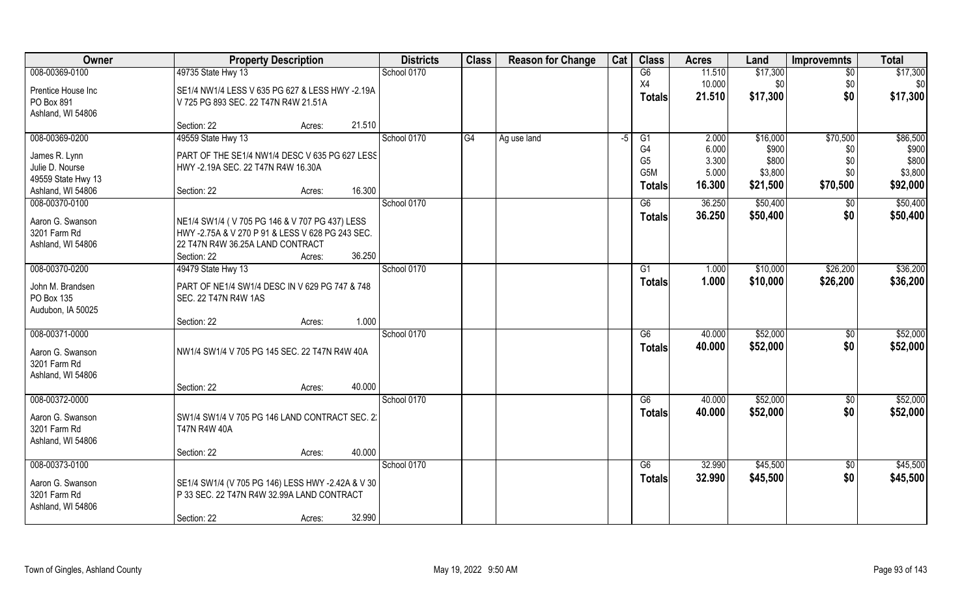| Owner              | <b>Property Description</b>                       | <b>Districts</b> | <b>Class</b> | <b>Reason for Change</b> | Cat | <b>Class</b>                     | <b>Acres</b>   | Land                 | <b>Improvemnts</b> | <b>Total</b>   |
|--------------------|---------------------------------------------------|------------------|--------------|--------------------------|-----|----------------------------------|----------------|----------------------|--------------------|----------------|
| 008-00369-0100     | 49735 State Hwy 13                                | School 0170      |              |                          |     | G6                               | 11.510         | \$17,300             | $\overline{50}$    | \$17,300       |
| Prentice House Inc | SE1/4 NW1/4 LESS V 635 PG 627 & LESS HWY -2.19A   |                  |              |                          |     | X4                               | 10.000         | \$0                  | \$0                | \$0            |
| PO Box 891         | V 725 PG 893 SEC. 22 T47N R4W 21.51A              |                  |              |                          |     | <b>Totals</b>                    | 21.510         | \$17,300             | \$0                | \$17,300       |
| Ashland, WI 54806  |                                                   |                  |              |                          |     |                                  |                |                      |                    |                |
|                    | 21.510<br>Section: 22<br>Acres:                   |                  |              |                          |     |                                  |                |                      |                    |                |
| 008-00369-0200     | 49559 State Hwy 13                                | School 0170      | G4           | Ag use land              | -5  | G1                               | 2.000          | \$16,000             | \$70,500           | \$86,500       |
| James R. Lynn      | PART OF THE SE1/4 NW1/4 DESC V 635 PG 627 LESS    |                  |              |                          |     | G <sub>4</sub><br>G <sub>5</sub> | 6.000<br>3.300 | \$900<br>\$800       | \$0<br>\$0         | \$900<br>\$800 |
| Julie D. Nourse    | HWY -2.19A SEC. 22 T47N R4W 16.30A                |                  |              |                          |     | G <sub>5</sub> M                 | 5.000          | \$3,800              | \$0                | \$3,800        |
| 49559 State Hwy 13 |                                                   |                  |              |                          |     | <b>Totals</b>                    | 16.300         | \$21,500             | \$70,500           | \$92,000       |
| Ashland, WI 54806  | 16.300<br>Section: 22<br>Acres:                   |                  |              |                          |     |                                  |                |                      |                    |                |
| 008-00370-0100     |                                                   | School 0170      |              |                          |     | G6                               | 36.250         | \$50,400             | \$0                | \$50,400       |
| Aaron G. Swanson   | NE1/4 SW1/4 (V 705 PG 146 & V 707 PG 437) LESS    |                  |              |                          |     | <b>Totals</b>                    | 36.250         | \$50,400             | \$0                | \$50,400       |
| 3201 Farm Rd       | HWY -2.75A & V 270 P 91 & LESS V 628 PG 243 SEC.  |                  |              |                          |     |                                  |                |                      |                    |                |
| Ashland, WI 54806  | 22 T47N R4W 36.25A LAND CONTRACT                  |                  |              |                          |     |                                  |                |                      |                    |                |
|                    | 36.250<br>Section: 22<br>Acres:                   |                  |              |                          |     |                                  |                |                      |                    |                |
| 008-00370-0200     | 49479 State Hwy 13                                | School 0170      |              |                          |     | G1                               | 1.000          | \$10,000             | \$26,200           | \$36,200       |
| John M. Brandsen   | PART OF NE1/4 SW1/4 DESC IN V 629 PG 747 & 748    |                  |              |                          |     | <b>Totals</b>                    | 1.000          | \$10,000             | \$26,200           | \$36,200       |
| PO Box 135         | SEC. 22 T47N R4W 1AS                              |                  |              |                          |     |                                  |                |                      |                    |                |
| Audubon, IA 50025  |                                                   |                  |              |                          |     |                                  |                |                      |                    |                |
| 008-00371-0000     | 1.000<br>Section: 22<br>Acres:                    | School 0170      |              |                          |     |                                  |                |                      |                    |                |
|                    |                                                   |                  |              |                          |     | G6                               | 40.000         | \$52,000<br>\$52,000 | $\sqrt[6]{30}$     | \$52,000       |
| Aaron G. Swanson   | NW1/4 SW1/4 V 705 PG 145 SEC. 22 T47N R4W 40A     |                  |              |                          |     | <b>Totals</b>                    | 40.000         |                      | \$0                | \$52,000       |
| 3201 Farm Rd       |                                                   |                  |              |                          |     |                                  |                |                      |                    |                |
| Ashland, WI 54806  |                                                   |                  |              |                          |     |                                  |                |                      |                    |                |
| 008-00372-0000     | 40.000<br>Section: 22<br>Acres:                   | School 0170      |              |                          |     | G6                               | 40.000         | \$52,000             |                    | \$52,000       |
|                    |                                                   |                  |              |                          |     | <b>Totals</b>                    | 40.000         | \$52,000             | \$0<br>\$0         | \$52,000       |
| Aaron G. Swanson   | SW1/4 SW1/4 V 705 PG 146 LAND CONTRACT SEC. 2:    |                  |              |                          |     |                                  |                |                      |                    |                |
| 3201 Farm Rd       | <b>T47N R4W 40A</b>                               |                  |              |                          |     |                                  |                |                      |                    |                |
| Ashland, WI 54806  |                                                   |                  |              |                          |     |                                  |                |                      |                    |                |
| 008-00373-0100     | 40.000<br>Section: 22<br>Acres:                   | School 0170      |              |                          |     | G6                               | 32.990         | \$45,500             | $\overline{50}$    | \$45,500       |
|                    |                                                   |                  |              |                          |     | <b>Totals</b>                    | 32.990         | \$45,500             | \$0                | \$45,500       |
| Aaron G. Swanson   | SE1/4 SW1/4 (V 705 PG 146) LESS HWY -2.42A & V 30 |                  |              |                          |     |                                  |                |                      |                    |                |
| 3201 Farm Rd       | P 33 SEC. 22 T47N R4W 32.99A LAND CONTRACT        |                  |              |                          |     |                                  |                |                      |                    |                |
| Ashland, WI 54806  |                                                   |                  |              |                          |     |                                  |                |                      |                    |                |
|                    | 32.990<br>Section: 22<br>Acres:                   |                  |              |                          |     |                                  |                |                      |                    |                |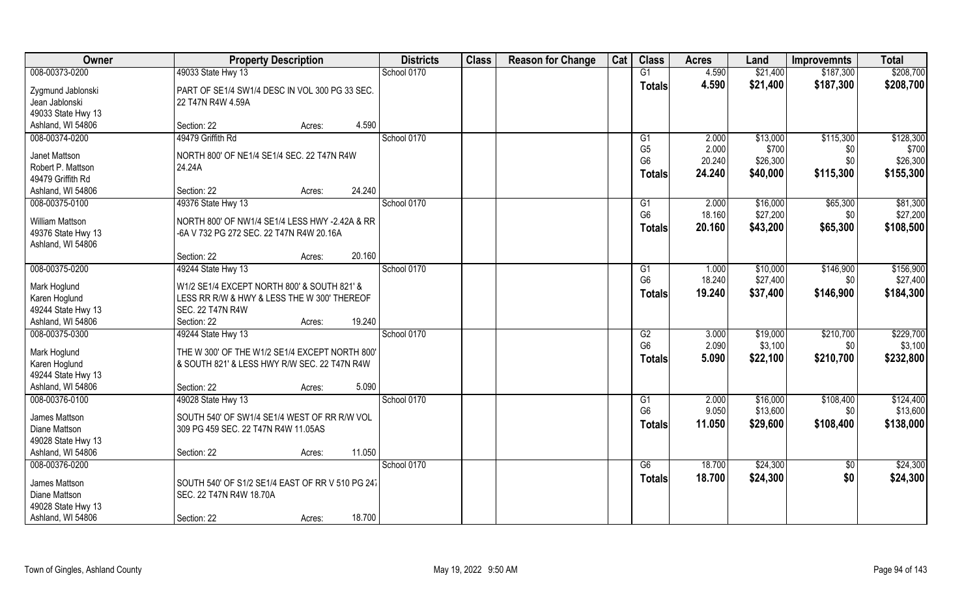| <b>Class</b><br><b>Class</b><br>Owner<br><b>Districts</b><br>Cat<br><b>Reason for Change</b><br><b>Acres</b><br><b>Property Description</b><br>Land<br><b>Improvemnts</b> | <b>Total</b> |
|---------------------------------------------------------------------------------------------------------------------------------------------------------------------------|--------------|
| 008-00373-0200<br>\$21,400<br>49033 State Hwy 13<br>School 0170<br>G1<br>4.590<br>\$187,300                                                                               | \$208,700    |
| 4.590<br>\$21,400<br>\$187,300<br><b>Totals</b><br>Zygmund Jablonski<br>PART OF SE1/4 SW1/4 DESC IN VOL 300 PG 33 SEC.                                                    | \$208,700    |
| Jean Jablonski<br>22 T47N R4W 4.59A                                                                                                                                       |              |
| 49033 State Hwy 13                                                                                                                                                        |              |
| Ashland, WI 54806<br>4.590<br>Section: 22<br>Acres:                                                                                                                       |              |
| 008-00374-0200<br>49479 Griffith Rd<br>School 0170<br>\$115,300<br>2.000<br>\$13,000<br>G <sub>1</sub>                                                                    | \$128,300    |
| G <sub>5</sub><br>2.000<br>\$700<br>\$0<br>Janet Mattson<br>NORTH 800' OF NE1/4 SE1/4 SEC. 22 T47N R4W                                                                    | \$700        |
| G <sub>6</sub><br>20.240<br>\$26,300<br>\$0<br>Robert P. Mattson<br>24.24A                                                                                                | \$26,300     |
| 24.240<br>\$40,000<br>\$115,300<br><b>Totals</b><br>49479 Griffith Rd                                                                                                     | \$155,300    |
| 24.240<br>Section: 22<br>Ashland, WI 54806<br>Acres:                                                                                                                      |              |
| 008-00375-0100<br>49376 State Hwy 13<br>School 0170<br>2.000<br>\$16,000<br>\$65,300<br>G <sub>1</sub>                                                                    | \$81,300     |
| G <sub>6</sub><br>\$27,200<br>18.160<br>\$0<br><b>William Mattson</b><br>NORTH 800' OF NW1/4 SE1/4 LESS HWY -2.42A & RR                                                   | \$27,200     |
| \$43,200<br>20.160<br>\$65,300<br><b>Totals</b><br>49376 State Hwy 13<br>-6A V 732 PG 272 SEC. 22 T47N R4W 20.16A                                                         | \$108,500    |
| Ashland, WI 54806                                                                                                                                                         |              |
| 20.160<br>Section: 22<br>Acres:                                                                                                                                           |              |
| 008-00375-0200<br>49244 State Hwy 13<br>School 0170<br>\$10,000<br>\$146,900<br>G <sub>1</sub><br>1.000                                                                   | \$156,900    |
| 18.240<br>\$27,400<br>G <sub>6</sub><br>\$0<br>Mark Hoglund<br>W1/2 SE1/4 EXCEPT NORTH 800' & SOUTH 821' &                                                                | \$27,400     |
| 19.240<br>\$37,400<br>\$146,900<br><b>Totals</b><br>Karen Hoglund<br>LESS RR R/W & HWY & LESS THE W 300' THEREOF                                                          | \$184,300    |
| 49244 State Hwy 13<br>SEC. 22 T47N R4W                                                                                                                                    |              |
| 19.240<br>Ashland, WI 54806<br>Section: 22<br>Acres:                                                                                                                      |              |
| 008-00375-0300<br>\$210,700<br>School 0170<br>$\overline{G2}$<br>3.000<br>\$19,000<br>49244 State Hwy 13                                                                  | \$229,700    |
| G <sub>6</sub><br>2.090<br>\$3,100<br>\$0<br>Mark Hoglund<br>THE W 300' OF THE W1/2 SE1/4 EXCEPT NORTH 800'                                                               | \$3,100      |
| \$210,700<br>5.090<br>\$22,100<br><b>Totals</b><br>Karen Hoglund<br>& SOUTH 821' & LESS HWY R/W SEC. 22 T47N R4W                                                          | \$232,800    |
| 49244 State Hwy 13                                                                                                                                                        |              |
| Ashland, WI 54806<br>5.090<br>Section: 22<br>Acres:                                                                                                                       |              |
| 008-00376-0100<br>School 0170<br>\$108,400<br>49028 State Hwy 13<br>2.000<br>\$16,000<br>G1                                                                               | \$124,400    |
| G <sub>6</sub><br>9.050<br>\$13,600<br>\$0                                                                                                                                | \$13,600     |
| James Mattson<br>SOUTH 540' OF SW1/4 SE1/4 WEST OF RR R/W VOL<br>\$29,600<br>11.050<br>\$108,400<br><b>Totals</b><br>Diane Mattson<br>309 PG 459 SEC. 22 T47N R4W 11.05AS | \$138,000    |
| 49028 State Hwy 13                                                                                                                                                        |              |
| 11.050<br>Ashland, WI 54806<br>Section: 22<br>Acres:                                                                                                                      |              |
| 008-00376-0200<br>School 0170<br>\$24,300<br>G6<br>18.700<br>$\overline{50}$                                                                                              | \$24,300     |
| \$0<br>18.700<br>\$24,300<br><b>Totals</b>                                                                                                                                | \$24,300     |
| James Mattson<br>SOUTH 540' OF S1/2 SE1/4 EAST OF RR V 510 PG 247                                                                                                         |              |
| Diane Mattson<br>SEC. 22 T47N R4W 18.70A<br>49028 State Hwy 13                                                                                                            |              |
| Ashland, WI 54806<br>18.700<br>Section: 22<br>Acres:                                                                                                                      |              |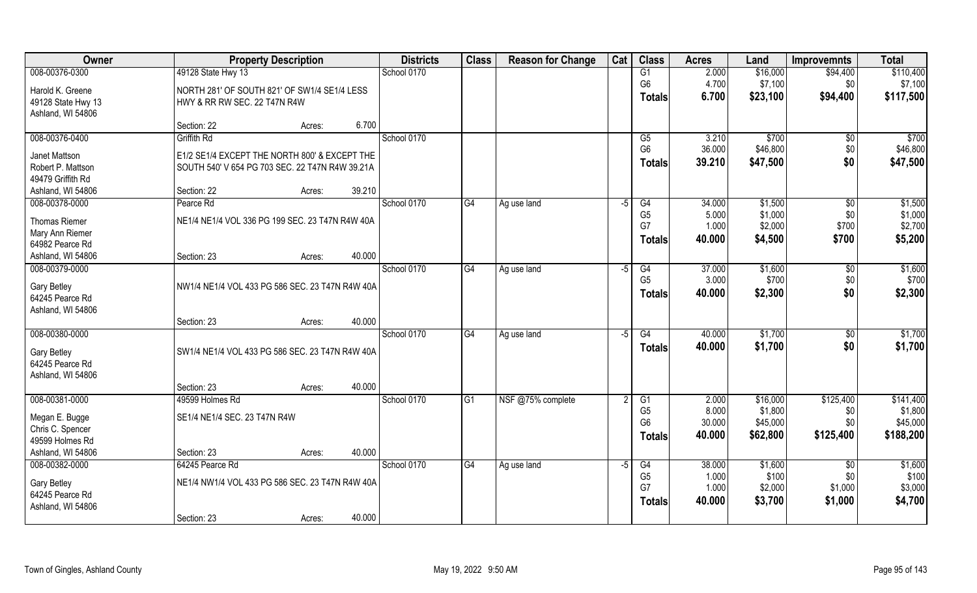| Owner                | <b>Property Description</b>                     | <b>Districts</b> | <b>Class</b> | <b>Reason for Change</b> | Cat  | <b>Class</b>    | <b>Acres</b> | Land     | Improvemnts     | <b>Total</b> |
|----------------------|-------------------------------------------------|------------------|--------------|--------------------------|------|-----------------|--------------|----------|-----------------|--------------|
| 008-00376-0300       | 49128 State Hwy 13                              | School 0170      |              |                          |      | G1              | 2.000        | \$16,000 | \$94,400        | \$110,400    |
| Harold K. Greene     | NORTH 281' OF SOUTH 821' OF SW1/4 SE1/4 LESS    |                  |              |                          |      | G <sub>6</sub>  | 4.700        | \$7,100  | \$0             | \$7,100      |
| 49128 State Hwy 13   | HWY & RR RW SEC. 22 T47N R4W                    |                  |              |                          |      | <b>Totals</b>   | 6.700        | \$23,100 | \$94,400        | \$117,500    |
| Ashland, WI 54806    |                                                 |                  |              |                          |      |                 |              |          |                 |              |
|                      | 6.700<br>Section: 22<br>Acres:                  |                  |              |                          |      |                 |              |          |                 |              |
| 008-00376-0400       | <b>Griffith Rd</b>                              | School 0170      |              |                          |      | G5              | 3.210        | \$700    | \$0             | \$700        |
| Janet Mattson        | E1/2 SE1/4 EXCEPT THE NORTH 800' & EXCEPT THE   |                  |              |                          |      | G <sub>6</sub>  | 36.000       | \$46,800 | \$0             | \$46,800     |
| Robert P. Mattson    | SOUTH 540' V 654 PG 703 SEC. 22 T47N R4W 39.21A |                  |              |                          |      | <b>Totals</b>   | 39.210       | \$47,500 | \$0             | \$47,500     |
| 49479 Griffith Rd    |                                                 |                  |              |                          |      |                 |              |          |                 |              |
| Ashland, WI 54806    | 39.210<br>Section: 22<br>Acres:                 |                  |              |                          |      |                 |              |          |                 |              |
| 008-00378-0000       | Pearce Rd                                       | School 0170      | G4           | Ag use land              | $-5$ | G4              | 34.000       | \$1,500  | $\sqrt{6}$      | \$1,500      |
| <b>Thomas Riemer</b> | NE1/4 NE1/4 VOL 336 PG 199 SEC. 23 T47N R4W 40A |                  |              |                          |      | G <sub>5</sub>  | 5.000        | \$1,000  | \$0             | \$1,000      |
| Mary Ann Riemer      |                                                 |                  |              |                          |      | G7              | 1.000        | \$2,000  | \$700           | \$2,700      |
| 64982 Pearce Rd      |                                                 |                  |              |                          |      | <b>Totals</b>   | 40.000       | \$4,500  | \$700           | \$5,200      |
| Ashland, WI 54806    | 40.000<br>Section: 23<br>Acres:                 |                  |              |                          |      |                 |              |          |                 |              |
| 008-00379-0000       |                                                 | School 0170      | G4           | Ag use land              | -5   | G4              | 37.000       | \$1,600  | \$0             | \$1,600      |
| <b>Gary Betley</b>   | NW1/4 NE1/4 VOL 433 PG 586 SEC. 23 T47N R4W 40A |                  |              |                          |      | G <sub>5</sub>  | 3.000        | \$700    | \$0             | \$700        |
| 64245 Pearce Rd      |                                                 |                  |              |                          |      | <b>Totals</b>   | 40.000       | \$2,300  | \$0             | \$2,300      |
| Ashland, WI 54806    |                                                 |                  |              |                          |      |                 |              |          |                 |              |
|                      | 40.000<br>Section: 23<br>Acres:                 |                  |              |                          |      |                 |              |          |                 |              |
| 008-00380-0000       |                                                 | School 0170      | G4           | Ag use land              | $-5$ | G4              | 40.000       | \$1,700  | \$0             | \$1,700      |
| <b>Gary Betley</b>   | SW1/4 NE1/4 VOL 433 PG 586 SEC. 23 T47N R4W 40A |                  |              |                          |      | <b>Totals</b>   | 40.000       | \$1,700  | \$0             | \$1,700      |
| 64245 Pearce Rd      |                                                 |                  |              |                          |      |                 |              |          |                 |              |
| Ashland, WI 54806    |                                                 |                  |              |                          |      |                 |              |          |                 |              |
|                      | 40.000<br>Section: 23<br>Acres:                 |                  |              |                          |      |                 |              |          |                 |              |
| 008-00381-0000       | 49599 Holmes Rd                                 | School 0170      | G1           | NSF @75% complete        | 2    | $\overline{G1}$ | 2.000        | \$16,000 | \$125,400       | \$141,400    |
| Megan E. Bugge       | SE1/4 NE1/4 SEC. 23 T47N R4W                    |                  |              |                          |      | G <sub>5</sub>  | 8.000        | \$1,800  | \$0             | \$1,800      |
| Chris C. Spencer     |                                                 |                  |              |                          |      | G <sub>6</sub>  | 30.000       | \$45,000 | \$0             | \$45,000     |
| 49599 Holmes Rd      |                                                 |                  |              |                          |      | <b>Totals</b>   | 40.000       | \$62,800 | \$125,400       | \$188,200    |
| Ashland, WI 54806    | 40.000<br>Section: 23<br>Acres:                 |                  |              |                          |      |                 |              |          |                 |              |
| 008-00382-0000       | 64245 Pearce Rd                                 | School 0170      | G4           | Ag use land              | $-5$ | G4              | 38.000       | \$1,600  | $\overline{50}$ | \$1,600      |
| <b>Gary Betley</b>   | NE1/4 NW1/4 VOL 433 PG 586 SEC. 23 T47N R4W 40A |                  |              |                          |      | G <sub>5</sub>  | 1.000        | \$100    | \$0             | \$100        |
| 64245 Pearce Rd      |                                                 |                  |              |                          |      | G7              | 1.000        | \$2,000  | \$1,000         | \$3,000      |
| Ashland, WI 54806    |                                                 |                  |              |                          |      | <b>Totals</b>   | 40.000       | \$3,700  | \$1,000         | \$4,700      |
|                      | 40.000<br>Section: 23<br>Acres:                 |                  |              |                          |      |                 |              |          |                 |              |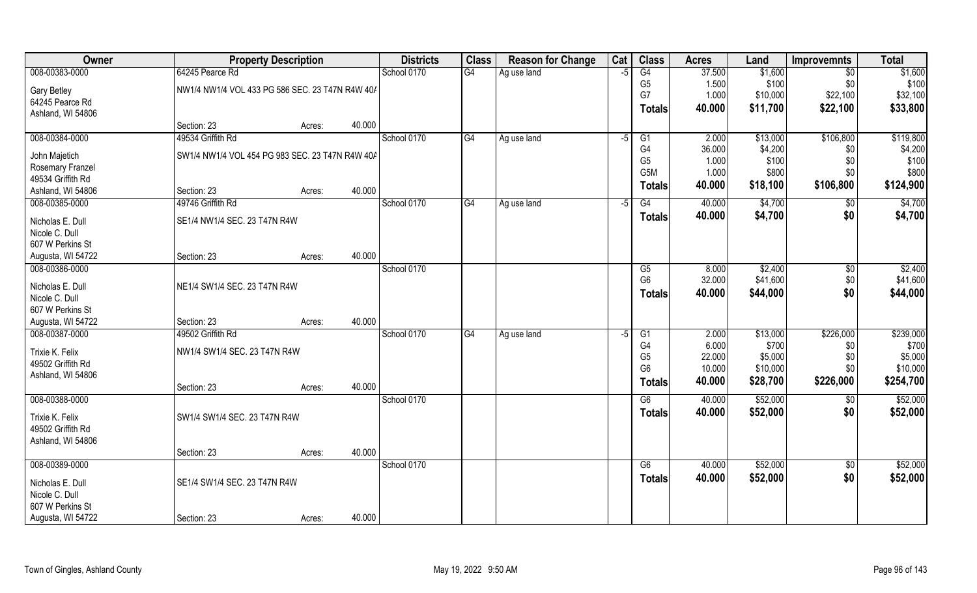| Owner              | <b>Property Description</b>                     |                  | <b>Districts</b> | <b>Class</b>    | <b>Reason for Change</b> | Cat  | <b>Class</b>    | <b>Acres</b> | Land     | <b>Improvemnts</b> | <b>Total</b> |
|--------------------|-------------------------------------------------|------------------|------------------|-----------------|--------------------------|------|-----------------|--------------|----------|--------------------|--------------|
| 008-00383-0000     | 64245 Pearce Rd                                 |                  | School 0170      | G4              | Ag use land              | $-5$ | G4              | 37.500       | \$1,600  | $\overline{50}$    | \$1,600      |
| <b>Gary Betley</b> | NW1/4 NW1/4 VOL 433 PG 586 SEC. 23 T47N R4W 40/ |                  |                  |                 |                          |      | G <sub>5</sub>  | 1.500        | \$100    | \$0                | \$100        |
| 64245 Pearce Rd    |                                                 |                  |                  |                 |                          |      | G7              | 1.000        | \$10,000 | \$22,100           | \$32,100     |
| Ashland, WI 54806  |                                                 |                  |                  |                 |                          |      | Totals          | 40.000       | \$11,700 | \$22,100           | \$33,800     |
|                    | Section: 23                                     | 40.000<br>Acres: |                  |                 |                          |      |                 |              |          |                    |              |
| 008-00384-0000     | 49534 Griffith Rd                               |                  | School 0170      | G4              | Ag use land              | $-5$ | G1              | 2.000        | \$13,000 | \$106,800          | \$119,800    |
| John Majetich      | SW1/4 NW1/4 VOL 454 PG 983 SEC. 23 T47N R4W 40A |                  |                  |                 |                          |      | G4              | 36.000       | \$4,200  | \$0\$              | \$4,200      |
| Rosemary Franzel   |                                                 |                  |                  |                 |                          |      | G <sub>5</sub>  | 1.000        | \$100    | \$0                | \$100        |
| 49534 Griffith Rd  |                                                 |                  |                  |                 |                          |      | G5M             | 1.000        | \$800    | \$0                | \$800        |
| Ashland, WI 54806  | Section: 23                                     | 40.000<br>Acres: |                  |                 |                          |      | <b>Totals</b>   | 40.000       | \$18,100 | \$106,800          | \$124,900    |
| 008-00385-0000     | 49746 Griffith Rd                               |                  | School 0170      | G4              | Ag use land              | -5   | G4              | 40.000       | \$4,700  | \$0                | \$4,700      |
| Nicholas E. Dull   | SE1/4 NW1/4 SEC. 23 T47N R4W                    |                  |                  |                 |                          |      | <b>Totals</b>   | 40.000       | \$4,700  | \$0                | \$4,700      |
| Nicole C. Dull     |                                                 |                  |                  |                 |                          |      |                 |              |          |                    |              |
| 607 W Perkins St   |                                                 |                  |                  |                 |                          |      |                 |              |          |                    |              |
| Augusta, WI 54722  | Section: 23                                     | 40.000<br>Acres: |                  |                 |                          |      |                 |              |          |                    |              |
| 008-00386-0000     |                                                 |                  | School 0170      |                 |                          |      | G <sub>5</sub>  | 8.000        | \$2,400  | \$0                | \$2,400      |
| Nicholas E. Dull   | NE1/4 SW1/4 SEC. 23 T47N R4W                    |                  |                  |                 |                          |      | G <sub>6</sub>  | 32.000       | \$41,600 | \$0                | \$41,600     |
| Nicole C. Dull     |                                                 |                  |                  |                 |                          |      | <b>Totals</b>   | 40.000       | \$44,000 | \$0                | \$44,000     |
| 607 W Perkins St   |                                                 |                  |                  |                 |                          |      |                 |              |          |                    |              |
| Augusta, WI 54722  | Section: 23                                     | 40.000<br>Acres: |                  |                 |                          |      |                 |              |          |                    |              |
| 008-00387-0000     | 49502 Griffith Rd                               |                  | School 0170      | $\overline{G4}$ | Ag use land              | -5   | $\overline{G1}$ | 2.000        | \$13,000 | \$226,000          | \$239,000    |
| Trixie K. Felix    | NW1/4 SW1/4 SEC. 23 T47N R4W                    |                  |                  |                 |                          |      | G4              | 6.000        | \$700    | \$0                | \$700        |
| 49502 Griffith Rd  |                                                 |                  |                  |                 |                          |      | G <sub>5</sub>  | 22.000       | \$5,000  | \$0                | \$5,000      |
| Ashland, WI 54806  |                                                 |                  |                  |                 |                          |      | G <sub>6</sub>  | 10.000       | \$10,000 | \$0                | \$10,000     |
|                    | Section: 23                                     | 40.000<br>Acres: |                  |                 |                          |      | <b>Totals</b>   | 40.000       | \$28,700 | \$226,000          | \$254,700    |
| 008-00388-0000     |                                                 |                  | School 0170      |                 |                          |      | G6              | 40.000       | \$52,000 | \$0                | \$52,000     |
| Trixie K. Felix    | SW1/4 SW1/4 SEC. 23 T47N R4W                    |                  |                  |                 |                          |      | <b>Totals</b>   | 40.000       | \$52,000 | \$0                | \$52,000     |
| 49502 Griffith Rd  |                                                 |                  |                  |                 |                          |      |                 |              |          |                    |              |
| Ashland, WI 54806  |                                                 |                  |                  |                 |                          |      |                 |              |          |                    |              |
|                    | Section: 23                                     | 40.000<br>Acres: |                  |                 |                          |      |                 |              |          |                    |              |
| 008-00389-0000     |                                                 |                  | School 0170      |                 |                          |      | G6              | 40.000       | \$52,000 | $\sqrt{$0}$        | \$52,000     |
| Nicholas E. Dull   | SE1/4 SW1/4 SEC. 23 T47N R4W                    |                  |                  |                 |                          |      | <b>Totals</b>   | 40.000       | \$52,000 | \$0                | \$52,000     |
| Nicole C. Dull     |                                                 |                  |                  |                 |                          |      |                 |              |          |                    |              |
| 607 W Perkins St   |                                                 |                  |                  |                 |                          |      |                 |              |          |                    |              |
| Augusta, WI 54722  | Section: 23                                     | 40.000<br>Acres: |                  |                 |                          |      |                 |              |          |                    |              |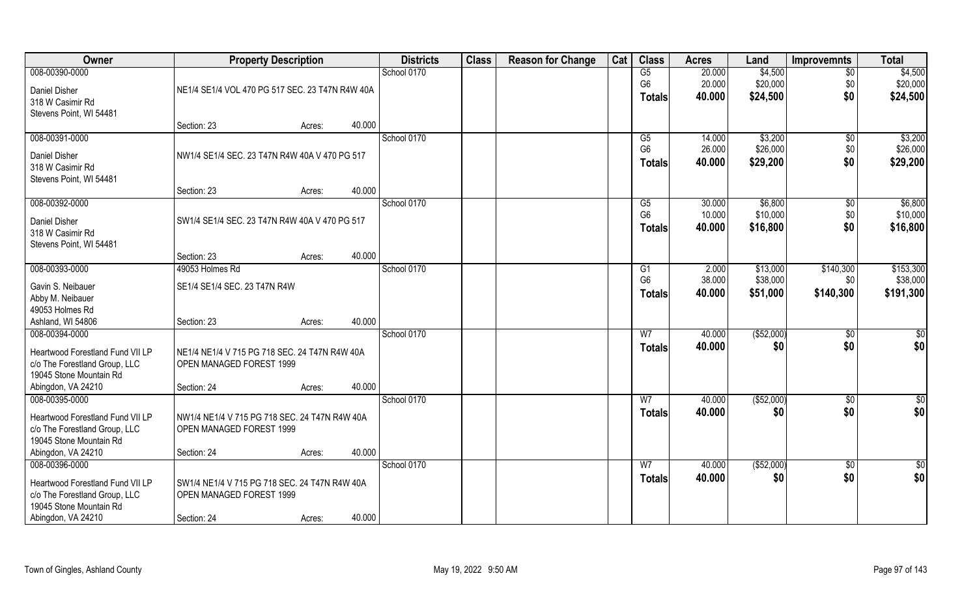| <b>Owner</b>                                                      | <b>Property Description</b>                                               |                  | <b>Districts</b> | <b>Class</b> | <b>Reason for Change</b> | Cat | <b>Class</b>         | <b>Acres</b>     | Land                | <b>Improvemnts</b>     | <b>Total</b>         |
|-------------------------------------------------------------------|---------------------------------------------------------------------------|------------------|------------------|--------------|--------------------------|-----|----------------------|------------------|---------------------|------------------------|----------------------|
| 008-00390-0000                                                    |                                                                           |                  | School 0170      |              |                          |     | G5                   | 20.000           | \$4,500             | $\overline{50}$        | \$4,500              |
| Daniel Disher                                                     | NE1/4 SE1/4 VOL 470 PG 517 SEC. 23 T47N R4W 40A                           |                  |                  |              |                          |     | G <sub>6</sub>       | 20.000           | \$20,000            | \$0                    | \$20,000             |
| 318 W Casimir Rd                                                  |                                                                           |                  |                  |              |                          |     | <b>Totals</b>        | 40.000           | \$24,500            | \$0                    | \$24,500             |
| Stevens Point, WI 54481                                           |                                                                           |                  |                  |              |                          |     |                      |                  |                     |                        |                      |
|                                                                   | Section: 23                                                               | 40.000<br>Acres: |                  |              |                          |     |                      |                  |                     |                        |                      |
| 008-00391-0000                                                    |                                                                           |                  | School 0170      |              |                          |     | G5<br>G <sub>6</sub> | 14.000<br>26.000 | \$3,200<br>\$26,000 | $\overline{50}$<br>\$0 | \$3,200<br>\$26,000  |
| Daniel Disher                                                     | NW1/4 SE1/4 SEC. 23 T47N R4W 40A V 470 PG 517                             |                  |                  |              |                          |     | <b>Totals</b>        | 40.000           | \$29,200            | \$0                    | \$29,200             |
| 318 W Casimir Rd                                                  |                                                                           |                  |                  |              |                          |     |                      |                  |                     |                        |                      |
| Stevens Point, WI 54481                                           | Section: 23                                                               | 40.000           |                  |              |                          |     |                      |                  |                     |                        |                      |
| 008-00392-0000                                                    |                                                                           | Acres:           | School 0170      |              |                          |     | G5                   | 30.000           | \$6,800             | $\sqrt[6]{30}$         | \$6,800              |
|                                                                   |                                                                           |                  |                  |              |                          |     | G <sub>6</sub>       | 10.000           | \$10,000            | \$0                    | \$10,000             |
| Daniel Disher<br>318 W Casimir Rd                                 | SW1/4 SE1/4 SEC. 23 T47N R4W 40A V 470 PG 517                             |                  |                  |              |                          |     | <b>Totals</b>        | 40.000           | \$16,800            | \$0                    | \$16,800             |
| Stevens Point, WI 54481                                           |                                                                           |                  |                  |              |                          |     |                      |                  |                     |                        |                      |
|                                                                   | Section: 23                                                               | 40.000<br>Acres: |                  |              |                          |     |                      |                  |                     |                        |                      |
| 008-00393-0000                                                    | 49053 Holmes Rd                                                           |                  | School 0170      |              |                          |     | G <sub>1</sub>       | 2.000            | \$13,000            | \$140,300              | \$153,300            |
| Gavin S. Neibauer                                                 | SE1/4 SE1/4 SEC. 23 T47N R4W                                              |                  |                  |              |                          |     | G <sub>6</sub>       | 38.000           | \$38,000            | \$0                    | \$38,000             |
| Abby M. Neibauer                                                  |                                                                           |                  |                  |              |                          |     | <b>Totals</b>        | 40.000           | \$51,000            | \$140,300              | \$191,300            |
| 49053 Holmes Rd                                                   |                                                                           |                  |                  |              |                          |     |                      |                  |                     |                        |                      |
| Ashland, WI 54806                                                 | Section: 23                                                               | 40.000<br>Acres: |                  |              |                          |     |                      |                  |                     |                        |                      |
| 008-00394-0000                                                    |                                                                           |                  | School 0170      |              |                          |     | $\overline{W}$       | 40.000           | (\$52,000)          | $\sqrt[6]{30}$         | \$0                  |
| Heartwood Forestland Fund VII LP                                  | NE1/4 NE1/4 V 715 PG 718 SEC. 24 T47N R4W 40A                             |                  |                  |              |                          |     | <b>Totals</b>        | 40.000           | \$0                 | \$0                    | \$0                  |
| c/o The Forestland Group, LLC                                     | OPEN MANAGED FOREST 1999                                                  |                  |                  |              |                          |     |                      |                  |                     |                        |                      |
| 19045 Stone Mountain Rd                                           |                                                                           |                  |                  |              |                          |     |                      |                  |                     |                        |                      |
| Abingdon, VA 24210<br>008-00395-0000                              | Section: 24                                                               | 40.000<br>Acres: | School 0170      |              |                          |     | W <sub>7</sub>       | 40.000           | ( \$52,000)         |                        |                      |
|                                                                   |                                                                           |                  |                  |              |                          |     | <b>Totals</b>        | 40.000           | \$0                 | \$0<br>\$0             | $\frac{6}{3}$<br>\$0 |
| Heartwood Forestland Fund VII LP                                  | NW1/4 NE1/4 V 715 PG 718 SEC. 24 T47N R4W 40A                             |                  |                  |              |                          |     |                      |                  |                     |                        |                      |
| c/o The Forestland Group, LLC<br>19045 Stone Mountain Rd          | OPEN MANAGED FOREST 1999                                                  |                  |                  |              |                          |     |                      |                  |                     |                        |                      |
| Abingdon, VA 24210                                                | Section: 24                                                               | 40.000<br>Acres: |                  |              |                          |     |                      |                  |                     |                        |                      |
| 008-00396-0000                                                    |                                                                           |                  | School 0170      |              |                          |     | W <sub>7</sub>       | 40.000           | ( \$52,000)         | $\sqrt{$0}$            | $\overline{50}$      |
|                                                                   |                                                                           |                  |                  |              |                          |     | <b>Totals</b>        | 40.000           | \$0                 | \$0                    | \$0                  |
| Heartwood Forestland Fund VII LP<br>c/o The Forestland Group, LLC | SW1/4 NE1/4 V 715 PG 718 SEC. 24 T47N R4W 40A<br>OPEN MANAGED FOREST 1999 |                  |                  |              |                          |     |                      |                  |                     |                        |                      |
| 19045 Stone Mountain Rd                                           |                                                                           |                  |                  |              |                          |     |                      |                  |                     |                        |                      |
| Abingdon, VA 24210                                                | Section: 24                                                               | 40.000<br>Acres: |                  |              |                          |     |                      |                  |                     |                        |                      |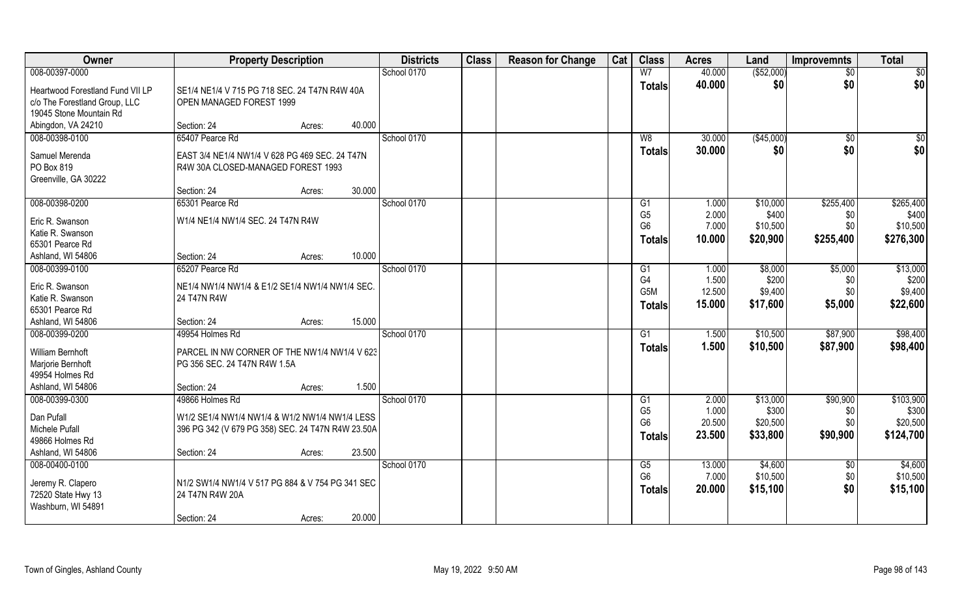| Owner                                                             | <b>Property Description</b>                                               |        |        | <b>Districts</b> | <b>Class</b> | <b>Reason for Change</b> | Cat | <b>Class</b>                     | <b>Acres</b>    | Land                 | <b>Improvemnts</b> | <b>Total</b>          |
|-------------------------------------------------------------------|---------------------------------------------------------------------------|--------|--------|------------------|--------------|--------------------------|-----|----------------------------------|-----------------|----------------------|--------------------|-----------------------|
| 008-00397-0000                                                    |                                                                           |        |        | School 0170      |              |                          |     | W <sub>7</sub>                   | 40.000          | ( \$52,000)          | $\overline{50}$    | \$0                   |
| Heartwood Forestland Fund VII LP<br>c/o The Forestland Group, LLC | SE1/4 NE1/4 V 715 PG 718 SEC, 24 T47N R4W 40A<br>OPEN MANAGED FOREST 1999 |        |        |                  |              |                          |     | <b>Totals</b>                    | 40.000          | \$0                  | \$0                | \$0                   |
| 19045 Stone Mountain Rd                                           |                                                                           |        |        |                  |              |                          |     |                                  |                 |                      |                    |                       |
| Abingdon, VA 24210                                                | Section: 24                                                               | Acres: | 40.000 |                  |              |                          |     |                                  |                 |                      |                    |                       |
| 008-00398-0100                                                    | 65407 Pearce Rd                                                           |        |        | School 0170      |              |                          |     | W8                               | 30.000          | (\$45,000)           | \$0                | \$0                   |
| Samuel Merenda                                                    | EAST 3/4 NE1/4 NW1/4 V 628 PG 469 SEC, 24 T47N                            |        |        |                  |              |                          |     | Totals                           | 30.000          | \$0                  | \$0                | \$0                   |
| PO Box 819                                                        | R4W 30A CLOSED-MANAGED FOREST 1993                                        |        |        |                  |              |                          |     |                                  |                 |                      |                    |                       |
| Greenville, GA 30222                                              |                                                                           |        |        |                  |              |                          |     |                                  |                 |                      |                    |                       |
|                                                                   | Section: 24                                                               | Acres: | 30.000 |                  |              |                          |     |                                  |                 |                      |                    |                       |
| 008-00398-0200                                                    | 65301 Pearce Rd                                                           |        |        | School 0170      |              |                          |     | G <sub>1</sub>                   | 1.000           | \$10,000             | \$255,400          | \$265,400             |
| Eric R. Swanson                                                   | W1/4 NE1/4 NW1/4 SEC. 24 T47N R4W                                         |        |        |                  |              |                          |     | G <sub>5</sub>                   | 2.000           | \$400                | \$0                | \$400                 |
| Katie R. Swanson                                                  |                                                                           |        |        |                  |              |                          |     | G <sub>6</sub>                   | 7.000           | \$10,500             | \$0                | \$10,500              |
| 65301 Pearce Rd                                                   |                                                                           |        |        |                  |              |                          |     | <b>Totals</b>                    | 10.000          | \$20,900             | \$255,400          | \$276,300             |
| Ashland, WI 54806                                                 | Section: 24                                                               | Acres: | 10.000 |                  |              |                          |     |                                  |                 |                      |                    |                       |
| 008-00399-0100                                                    | 65207 Pearce Rd                                                           |        |        | School 0170      |              |                          |     | G1                               | 1.000           | \$8,000              | \$5,000            | \$13,000              |
| Eric R. Swanson                                                   | NE1/4 NW1/4 NW1/4 & E1/2 SE1/4 NW1/4 NW1/4 SEC.                           |        |        |                  |              |                          |     | G <sub>4</sub>                   | 1.500           | \$200                | \$0                | \$200                 |
| Katie R. Swanson                                                  | 24 T47N R4W                                                               |        |        |                  |              |                          |     | G5M                              | 12.500          | \$9,400              | \$0                | \$9,400               |
| 65301 Pearce Rd                                                   |                                                                           |        |        |                  |              |                          |     | <b>Totals</b>                    | 15.000          | \$17,600             | \$5,000            | \$22,600              |
| Ashland, WI 54806                                                 | Section: 24                                                               | Acres: | 15.000 |                  |              |                          |     |                                  |                 |                      |                    |                       |
| 008-00399-0200                                                    | 49954 Holmes Rd                                                           |        |        | School 0170      |              |                          |     | G1                               | 1.500           | \$10,500             | \$87,900           | \$98,400              |
| William Bernhoft                                                  | PARCEL IN NW CORNER OF THE NW1/4 NW1/4 V 623                              |        |        |                  |              |                          |     | <b>Totals</b>                    | 1.500           | \$10,500             | \$87,900           | \$98,400              |
| Marjorie Bernhoft                                                 | PG 356 SEC. 24 T47N R4W 1.5A                                              |        |        |                  |              |                          |     |                                  |                 |                      |                    |                       |
| 49954 Holmes Rd                                                   |                                                                           |        |        |                  |              |                          |     |                                  |                 |                      |                    |                       |
| Ashland, WI 54806                                                 | Section: 24                                                               | Acres: | 1.500  |                  |              |                          |     |                                  |                 |                      |                    |                       |
| 008-00399-0300                                                    | 49866 Holmes Rd                                                           |        |        | School 0170      |              |                          |     | G1                               | 2.000           | \$13,000             | \$90,900           | \$103,900             |
| Dan Pufall                                                        | W1/2 SE1/4 NW1/4 NW1/4 & W1/2 NW1/4 NW1/4 LESS                            |        |        |                  |              |                          |     | G <sub>5</sub><br>G <sub>6</sub> | 1.000<br>20.500 | \$300                | \$0<br>\$0         | \$300                 |
| Michele Pufall                                                    | 396 PG 342 (V 679 PG 358) SEC. 24 T47N R4W 23.50A                         |        |        |                  |              |                          |     |                                  | 23.500          | \$20,500<br>\$33,800 | \$90,900           | \$20,500<br>\$124,700 |
| 49866 Holmes Rd                                                   |                                                                           |        |        |                  |              |                          |     | <b>Totals</b>                    |                 |                      |                    |                       |
| Ashland, WI 54806                                                 | Section: 24                                                               | Acres: | 23.500 |                  |              |                          |     |                                  |                 |                      |                    |                       |
| 008-00400-0100                                                    |                                                                           |        |        | School 0170      |              |                          |     | G5                               | 13.000          | \$4,600              | $\overline{50}$    | \$4,600               |
| Jeremy R. Clapero                                                 | N1/2 SW1/4 NW1/4 V 517 PG 884 & V 754 PG 341 SEC                          |        |        |                  |              |                          |     | G <sub>6</sub>                   | 7.000           | \$10,500             | \$0                | \$10,500              |
| 72520 State Hwy 13                                                | 24 T47N R4W 20A                                                           |        |        |                  |              |                          |     | <b>Totals</b>                    | 20.000          | \$15,100             | \$0                | \$15,100              |
| Washburn, WI 54891                                                |                                                                           |        |        |                  |              |                          |     |                                  |                 |                      |                    |                       |
|                                                                   | Section: 24                                                               | Acres: | 20.000 |                  |              |                          |     |                                  |                 |                      |                    |                       |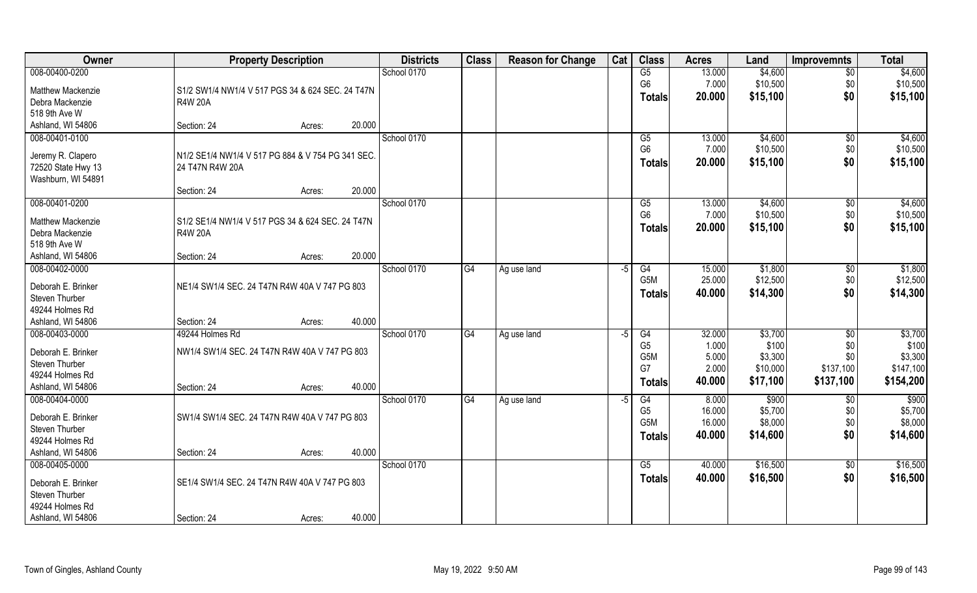| Owner                    | <b>Property Description</b>                       | <b>Districts</b> | <b>Class</b> | <b>Reason for Change</b> | Cat  | <b>Class</b>     | <b>Acres</b> | Land     | <b>Improvemnts</b> | <b>Total</b> |
|--------------------------|---------------------------------------------------|------------------|--------------|--------------------------|------|------------------|--------------|----------|--------------------|--------------|
| 008-00400-0200           |                                                   | School 0170      |              |                          |      | G5               | 13.000       | \$4,600  | $\overline{50}$    | \$4,600      |
| <b>Matthew Mackenzie</b> | S1/2 SW1/4 NW1/4 V 517 PGS 34 & 624 SEC. 24 T47N  |                  |              |                          |      | G <sub>6</sub>   | 7.000        | \$10,500 | \$0                | \$10,500     |
| Debra Mackenzie          | R4W 20A                                           |                  |              |                          |      | <b>Totals</b>    | 20.000       | \$15,100 | \$0                | \$15,100     |
| 518 9th Ave W            |                                                   |                  |              |                          |      |                  |              |          |                    |              |
| Ashland, WI 54806        | 20.000<br>Section: 24<br>Acres:                   |                  |              |                          |      |                  |              |          |                    |              |
| 008-00401-0100           |                                                   | School 0170      |              |                          |      | G5               | 13.000       | \$4,600  | $\sqrt{$0}$        | \$4,600      |
| Jeremy R. Clapero        | N1/2 SE1/4 NW1/4 V 517 PG 884 & V 754 PG 341 SEC. |                  |              |                          |      | G <sub>6</sub>   | 7.000        | \$10,500 | \$0                | \$10,500     |
| 72520 State Hwy 13       | 24 T47N R4W 20A                                   |                  |              |                          |      | <b>Totals</b>    | 20.000       | \$15,100 | \$0                | \$15,100     |
| Washburn, WI 54891       |                                                   |                  |              |                          |      |                  |              |          |                    |              |
|                          | 20.000<br>Section: 24<br>Acres:                   |                  |              |                          |      |                  |              |          |                    |              |
| 008-00401-0200           |                                                   | School 0170      |              |                          |      | G5               | 13.000       | \$4,600  | $\sqrt[6]{30}$     | \$4,600      |
| Matthew Mackenzie        | S1/2 SE1/4 NW1/4 V 517 PGS 34 & 624 SEC. 24 T47N  |                  |              |                          |      | G <sub>6</sub>   | 7.000        | \$10,500 | \$0                | \$10,500     |
| Debra Mackenzie          | <b>R4W 20A</b>                                    |                  |              |                          |      | <b>Totals</b>    | 20.000       | \$15,100 | \$0                | \$15,100     |
| 518 9th Ave W            |                                                   |                  |              |                          |      |                  |              |          |                    |              |
| Ashland, WI 54806        | 20.000<br>Section: 24<br>Acres:                   |                  |              |                          |      |                  |              |          |                    |              |
| 008-00402-0000           |                                                   | School 0170      | G4           | Ag use land              | -5   | G4               | 15.000       | \$1,800  | \$0                | \$1,800      |
| Deborah E. Brinker       | NE1/4 SW1/4 SEC. 24 T47N R4W 40A V 747 PG 803     |                  |              |                          |      | G <sub>5</sub> M | 25.000       | \$12,500 | \$0                | \$12,500     |
| Steven Thurber           |                                                   |                  |              |                          |      | <b>Totals</b>    | 40.000       | \$14,300 | \$0                | \$14,300     |
| 49244 Holmes Rd          |                                                   |                  |              |                          |      |                  |              |          |                    |              |
| Ashland, WI 54806        | 40.000<br>Section: 24<br>Acres:                   |                  |              |                          |      |                  |              |          |                    |              |
| 008-00403-0000           | 49244 Holmes Rd                                   | School 0170      | G4           | Ag use land              | $-5$ | G4               | 32.000       | \$3,700  | $\sqrt[6]{}$       | \$3,700      |
| Deborah E. Brinker       | NW1/4 SW1/4 SEC. 24 T47N R4W 40A V 747 PG 803     |                  |              |                          |      | G <sub>5</sub>   | 1.000        | \$100    | \$0                | \$100        |
| Steven Thurber           |                                                   |                  |              |                          |      | G5M              | 5.000        | \$3,300  | \$0                | \$3,300      |
| 49244 Holmes Rd          |                                                   |                  |              |                          |      | G7               | 2.000        | \$10,000 | \$137,100          | \$147,100    |
| Ashland, WI 54806        | 40.000<br>Section: 24<br>Acres:                   |                  |              |                          |      | <b>Totals</b>    | 40.000       | \$17,100 | \$137,100          | \$154,200    |
| 008-00404-0000           |                                                   | School 0170      | G4           | Ag use land              | -5   | G4               | 8.000        | \$900    | \$0                | \$900        |
| Deborah E. Brinker       | SW1/4 SW1/4 SEC. 24 T47N R4W 40A V 747 PG 803     |                  |              |                          |      | G <sub>5</sub>   | 16.000       | \$5,700  | \$0                | \$5,700      |
| Steven Thurber           |                                                   |                  |              |                          |      | G5M              | 16.000       | \$8,000  | \$0                | \$8,000      |
| 49244 Holmes Rd          |                                                   |                  |              |                          |      | <b>Totals</b>    | 40.000       | \$14,600 | \$0                | \$14,600     |
| Ashland, WI 54806        | 40.000<br>Section: 24<br>Acres:                   |                  |              |                          |      |                  |              |          |                    |              |
| 008-00405-0000           |                                                   | School 0170      |              |                          |      | G5               | 40.000       | \$16,500 | $\overline{50}$    | \$16,500     |
| Deborah E. Brinker       | SE1/4 SW1/4 SEC. 24 T47N R4W 40A V 747 PG 803     |                  |              |                          |      | <b>Totals</b>    | 40.000       | \$16,500 | \$0                | \$16,500     |
| Steven Thurber           |                                                   |                  |              |                          |      |                  |              |          |                    |              |
| 49244 Holmes Rd          |                                                   |                  |              |                          |      |                  |              |          |                    |              |
| Ashland, WI 54806        | 40.000<br>Section: 24<br>Acres:                   |                  |              |                          |      |                  |              |          |                    |              |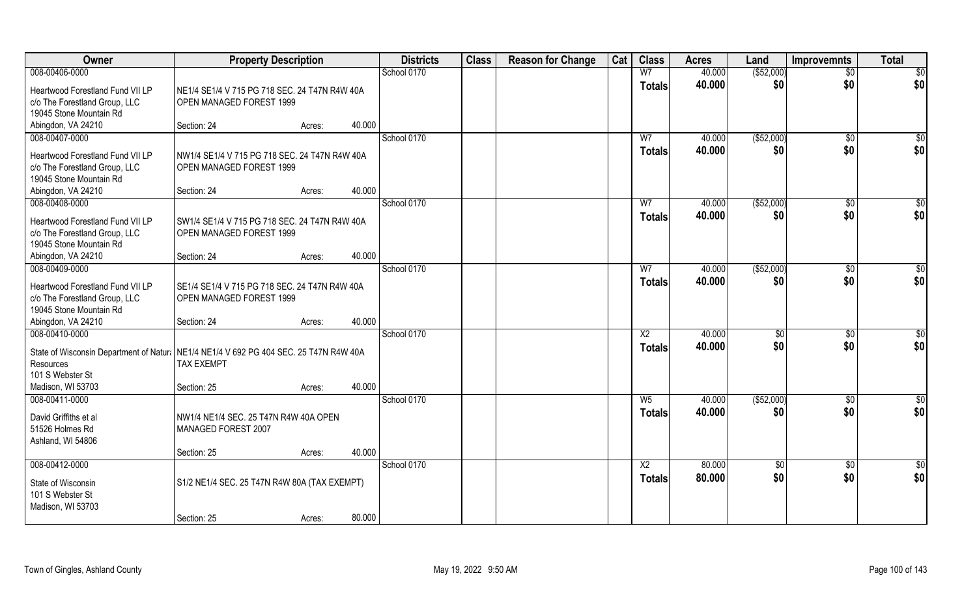| Owner                                                                                  | <b>Property Description</b>                   |                  | <b>Districts</b> | <b>Class</b> | <b>Reason for Change</b> | Cat | <b>Class</b>           | <b>Acres</b> | Land         | <b>Improvemnts</b> | <b>Total</b>     |
|----------------------------------------------------------------------------------------|-----------------------------------------------|------------------|------------------|--------------|--------------------------|-----|------------------------|--------------|--------------|--------------------|------------------|
| 008-00406-0000                                                                         |                                               |                  | School 0170      |              |                          |     | W <sub>7</sub>         | 40.000       | ( \$52,000)  | $\overline{50}$    | $\overline{50}$  |
| Heartwood Forestland Fund VII LP                                                       | NE1/4 SE1/4 V 715 PG 718 SEC. 24 T47N R4W 40A |                  |                  |              |                          |     | <b>Totals</b>          | 40.000       | \$0          | \$0                | \$0              |
| c/o The Forestland Group, LLC                                                          | OPEN MANAGED FOREST 1999                      |                  |                  |              |                          |     |                        |              |              |                    |                  |
| 19045 Stone Mountain Rd                                                                |                                               |                  |                  |              |                          |     |                        |              |              |                    |                  |
| Abingdon, VA 24210                                                                     | Section: 24                                   | 40.000<br>Acres: |                  |              |                          |     |                        |              |              |                    |                  |
| 008-00407-0000                                                                         |                                               |                  | School 0170      |              |                          |     | W <sub>7</sub>         | 40.000       | ( \$52,000)  | $\sqrt{6}$         | $\frac{1}{6}$    |
| Heartwood Forestland Fund VII LP                                                       | NW1/4 SE1/4 V 715 PG 718 SEC. 24 T47N R4W 40A |                  |                  |              |                          |     | <b>Totals</b>          | 40.000       | \$0          | \$0                | \$0              |
| c/o The Forestland Group, LLC                                                          | OPEN MANAGED FOREST 1999                      |                  |                  |              |                          |     |                        |              |              |                    |                  |
| 19045 Stone Mountain Rd                                                                |                                               |                  |                  |              |                          |     |                        |              |              |                    |                  |
| Abingdon, VA 24210                                                                     | Section: 24                                   | Acres:           | 40.000           |              |                          |     |                        |              |              |                    |                  |
| 008-00408-0000                                                                         |                                               |                  | School 0170      |              |                          |     | W <sub>7</sub>         | 40.000       | ( \$52,000)  | $\sqrt[6]{30}$     | \$0              |
| Heartwood Forestland Fund VII LP                                                       | SW1/4 SE1/4 V 715 PG 718 SEC, 24 T47N R4W 40A |                  |                  |              |                          |     | <b>Totals</b>          | 40.000       | \$0          | \$0                | \$0              |
| c/o The Forestland Group, LLC                                                          | OPEN MANAGED FOREST 1999                      |                  |                  |              |                          |     |                        |              |              |                    |                  |
| 19045 Stone Mountain Rd                                                                |                                               |                  |                  |              |                          |     |                        |              |              |                    |                  |
| Abingdon, VA 24210                                                                     | Section: 24                                   | 40.000<br>Acres: |                  |              |                          |     |                        |              |              |                    |                  |
| 008-00409-0000                                                                         |                                               |                  | School 0170      |              |                          |     | W7                     | 40.000       | ( \$52,000)  | $\sqrt[6]{3}$      | \$               |
| Heartwood Forestland Fund VII LP                                                       | SE1/4 SE1/4 V 715 PG 718 SEC. 24 T47N R4W 40A |                  |                  |              |                          |     | <b>Totals</b>          | 40.000       | \$0          | \$0                | \$0              |
| c/o The Forestland Group, LLC                                                          | OPEN MANAGED FOREST 1999                      |                  |                  |              |                          |     |                        |              |              |                    |                  |
| 19045 Stone Mountain Rd                                                                |                                               |                  |                  |              |                          |     |                        |              |              |                    |                  |
| Abingdon, VA 24210                                                                     | Section: 24                                   | Acres:           | 40.000           |              |                          |     |                        |              |              |                    |                  |
| 008-00410-0000                                                                         |                                               |                  | School 0170      |              |                          |     | $\overline{\text{X2}}$ | 40.000       | $\sqrt[6]{}$ | $\sqrt[6]{30}$     | \$0              |
| State of Wisconsin Department of Natural NE1/4 NE1/4 V 692 PG 404 SEC. 25 T47N R4W 40A |                                               |                  |                  |              |                          |     | <b>Totals</b>          | 40.000       | \$0          | \$0                | \$0              |
| Resources                                                                              | <b>TAX EXEMPT</b>                             |                  |                  |              |                          |     |                        |              |              |                    |                  |
| 101 S Webster St                                                                       |                                               |                  |                  |              |                          |     |                        |              |              |                    |                  |
| Madison, WI 53703                                                                      | Section: 25                                   | Acres:           | 40.000           |              |                          |     |                        |              |              |                    |                  |
| 008-00411-0000                                                                         |                                               |                  | School 0170      |              |                          |     | $W_5$                  | 40.000       | ( \$52,000)  | $\sqrt{$0}$        | $\frac{6}{3}$    |
| David Griffiths et al                                                                  | NW1/4 NE1/4 SEC. 25 T47N R4W 40A OPEN         |                  |                  |              |                          |     | <b>Totals</b>          | 40.000       | \$0          | \$0                | \$0              |
| 51526 Holmes Rd                                                                        | MANAGED FOREST 2007                           |                  |                  |              |                          |     |                        |              |              |                    |                  |
| Ashland, WI 54806                                                                      |                                               |                  |                  |              |                          |     |                        |              |              |                    |                  |
|                                                                                        | Section: 25                                   | 40.000<br>Acres: |                  |              |                          |     |                        |              |              |                    |                  |
| 008-00412-0000                                                                         |                                               |                  | School 0170      |              |                          |     | $\overline{X2}$        | 80.000       | \$0          | $\overline{50}$    | $\overline{\$0}$ |
| State of Wisconsin                                                                     | S1/2 NE1/4 SEC. 25 T47N R4W 80A (TAX EXEMPT)  |                  |                  |              |                          |     | <b>Totals</b>          | 80.000       | \$0          | \$0                | \$0              |
| 101 S Webster St                                                                       |                                               |                  |                  |              |                          |     |                        |              |              |                    |                  |
| Madison, WI 53703                                                                      |                                               |                  |                  |              |                          |     |                        |              |              |                    |                  |
|                                                                                        | Section: 25                                   | Acres:           | 80.000           |              |                          |     |                        |              |              |                    |                  |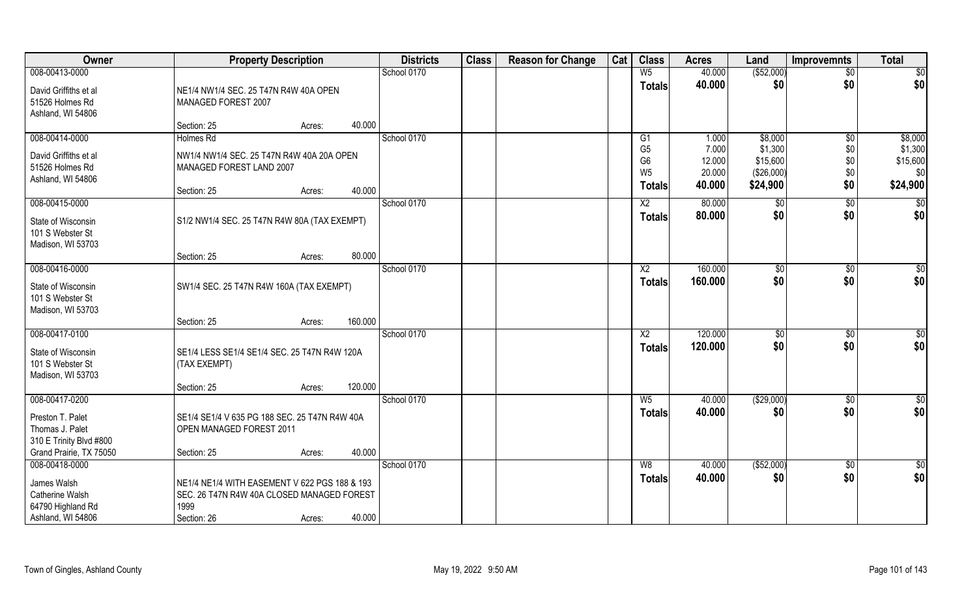| Owner                                                                                             | <b>Property Description</b>                                                                                                            | <b>Districts</b> | <b>Class</b> | <b>Reason for Change</b> | Cat | <b>Class</b>                                                        | <b>Acres</b>                        | Land                                          | <b>Improvemnts</b>       | <b>Total</b>                           |
|---------------------------------------------------------------------------------------------------|----------------------------------------------------------------------------------------------------------------------------------------|------------------|--------------|--------------------------|-----|---------------------------------------------------------------------|-------------------------------------|-----------------------------------------------|--------------------------|----------------------------------------|
| 008-00413-0000                                                                                    |                                                                                                                                        | School 0170      |              |                          |     | W <sub>5</sub>                                                      | 40.000                              | (\$52,000)                                    | \$0                      | \$0                                    |
| David Griffiths et al<br>51526 Holmes Rd<br>Ashland, WI 54806                                     | NE1/4 NW1/4 SEC. 25 T47N R4W 40A OPEN<br>MANAGED FOREST 2007                                                                           |                  |              |                          |     | <b>Totals</b>                                                       | 40.000                              | \$0                                           | \$0                      | \$0                                    |
|                                                                                                   | 40.000<br>Section: 25<br>Acres:                                                                                                        |                  |              |                          |     |                                                                     |                                     |                                               |                          |                                        |
| 008-00414-0000                                                                                    | Holmes Rd                                                                                                                              | School 0170      |              |                          |     | G1                                                                  | 1.000                               | \$8,000                                       | $\sqrt{$0}$              | \$8,000                                |
| David Griffiths et al<br>51526 Holmes Rd<br>Ashland, WI 54806                                     | NW1/4 NW1/4 SEC. 25 T47N R4W 40A 20A OPEN<br>MANAGED FOREST LAND 2007<br>40.000<br>Section: 25<br>Acres:                               |                  |              |                          |     | G <sub>5</sub><br>G <sub>6</sub><br>W <sub>5</sub><br><b>Totals</b> | 7.000<br>12.000<br>20.000<br>40.000 | \$1,300<br>\$15,600<br>(\$26,000)<br>\$24,900 | \$0<br>\$0<br>\$0<br>\$0 | \$1,300<br>\$15,600<br>\$0<br>\$24,900 |
| 008-00415-0000                                                                                    |                                                                                                                                        | School 0170      |              |                          |     | $\overline{X2}$                                                     | 80.000                              | \$0                                           | \$0                      | \$0                                    |
| State of Wisconsin<br>101 S Webster St<br>Madison, WI 53703                                       | S1/2 NW1/4 SEC. 25 T47N R4W 80A (TAX EXEMPT)                                                                                           |                  |              |                          |     | <b>Totals</b>                                                       | 80.000                              | \$0                                           | \$0                      | \$0                                    |
|                                                                                                   | 80.000<br>Section: 25<br>Acres:                                                                                                        |                  |              |                          |     |                                                                     |                                     |                                               |                          |                                        |
| 008-00416-0000                                                                                    |                                                                                                                                        | School 0170      |              |                          |     | X2                                                                  | 160.000                             | $\sqrt[6]{3}$                                 | $\sqrt[6]{3}$            | \$0                                    |
| State of Wisconsin<br>101 S Webster St<br>Madison, WI 53703                                       | SW1/4 SEC. 25 T47N R4W 160A (TAX EXEMPT)                                                                                               |                  |              |                          |     | <b>Totals</b>                                                       | 160.000                             | \$0                                           | \$0                      | \$0                                    |
|                                                                                                   | 160.000<br>Section: 25<br>Acres:                                                                                                       |                  |              |                          |     |                                                                     |                                     |                                               |                          |                                        |
| 008-00417-0100<br>State of Wisconsin<br>101 S Webster St<br>Madison, WI 53703                     | SE1/4 LESS SE1/4 SE1/4 SEC. 25 T47N R4W 120A<br>(TAX EXEMPT)                                                                           | School 0170      |              |                          |     | X2<br><b>Totals</b>                                                 | 120.000<br>120.000                  | \$0<br>\$0                                    | $\frac{1}{2}$<br>\$0     | \$0<br>\$0                             |
|                                                                                                   | 120.000<br>Section: 25<br>Acres:                                                                                                       |                  |              |                          |     |                                                                     |                                     |                                               |                          |                                        |
| 008-00417-0200                                                                                    |                                                                                                                                        | School 0170      |              |                          |     | W <sub>5</sub>                                                      | 40.000                              | (\$29,000)                                    | \$0                      | $\sqrt{6}$                             |
| Preston T. Palet<br>Thomas J. Palet<br>310 E Trinity Blvd #800                                    | SE1/4 SE1/4 V 635 PG 188 SEC. 25 T47N R4W 40A<br>OPEN MANAGED FOREST 2011                                                              |                  |              |                          |     | <b>Totals</b>                                                       | 40.000                              | \$0                                           | \$0                      | \$0                                    |
| Grand Prairie, TX 75050                                                                           | 40.000<br>Section: 25<br>Acres:                                                                                                        |                  |              |                          |     |                                                                     |                                     |                                               |                          |                                        |
| 008-00418-0000<br>James Walsh<br><b>Catherine Walsh</b><br>64790 Highland Rd<br>Ashland, WI 54806 | NE1/4 NE1/4 WITH EASEMENT V 622 PGS 188 & 193<br>SEC. 26 T47N R4W 40A CLOSED MANAGED FOREST<br>1999<br>40.000<br>Section: 26<br>Acres: | School 0170      |              |                          |     | W8<br><b>Totals</b>                                                 | 40.000<br>40.000                    | ( \$52,000)<br>\$0                            | $\overline{60}$<br>\$0   | $\sqrt{6}$<br>\$0                      |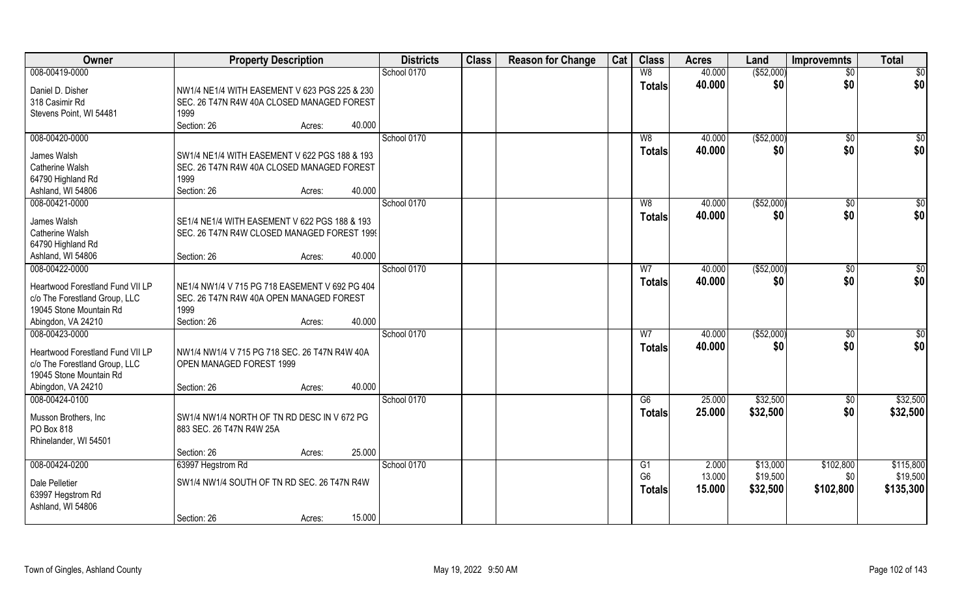| Owner                                 | <b>Property Description</b>                                                                  | <b>Districts</b> | <b>Class</b> | <b>Reason for Change</b> | Cat | <b>Class</b>   | <b>Acres</b> | Land        | <b>Improvemnts</b> | <b>Total</b>    |
|---------------------------------------|----------------------------------------------------------------------------------------------|------------------|--------------|--------------------------|-----|----------------|--------------|-------------|--------------------|-----------------|
| 008-00419-0000                        |                                                                                              | School 0170      |              |                          |     | W8             | 40.000       | ( \$52,000) | $\overline{50}$    | $\overline{50}$ |
| Daniel D. Disher                      | NW1/4 NE1/4 WITH EASEMENT V 623 PGS 225 & 230                                                |                  |              |                          |     | <b>Totals</b>  | 40.000       | \$0         | \$0                | \$0             |
| 318 Casimir Rd                        | SEC. 26 T47N R4W 40A CLOSED MANAGED FOREST                                                   |                  |              |                          |     |                |              |             |                    |                 |
| Stevens Point, WI 54481               | 1999                                                                                         |                  |              |                          |     |                |              |             |                    |                 |
|                                       | Section: 26<br>40.000<br>Acres:                                                              |                  |              |                          |     |                |              |             |                    |                 |
| 008-00420-0000                        |                                                                                              | School 0170      |              |                          |     | W8             | 40.000       | (\$52,000)  | $\overline{50}$    | \$0             |
| James Walsh                           | SW1/4 NE1/4 WITH EASEMENT V 622 PGS 188 & 193                                                |                  |              |                          |     | <b>Totals</b>  | 40.000       | \$0         | \$0                | \$0             |
| <b>Catherine Walsh</b>                | SEC. 26 T47N R4W 40A CLOSED MANAGED FOREST                                                   |                  |              |                          |     |                |              |             |                    |                 |
| 64790 Highland Rd                     | 1999                                                                                         |                  |              |                          |     |                |              |             |                    |                 |
| Ashland, WI 54806                     | 40.000<br>Section: 26<br>Acres:                                                              |                  |              |                          |     |                |              |             |                    |                 |
| 008-00421-0000                        |                                                                                              | School 0170      |              |                          |     | W <sub>8</sub> | 40.000       | ( \$52,000) | $\sqrt[6]{30}$     | \$0             |
|                                       |                                                                                              |                  |              |                          |     | <b>Totals</b>  | 40.000       | \$0         | \$0                | \$0             |
| James Walsh<br><b>Catherine Walsh</b> | SE1/4 NE1/4 WITH EASEMENT V 622 PGS 188 & 193<br>SEC. 26 T47N R4W CLOSED MANAGED FOREST 1999 |                  |              |                          |     |                |              |             |                    |                 |
| 64790 Highland Rd                     |                                                                                              |                  |              |                          |     |                |              |             |                    |                 |
| Ashland, WI 54806                     | 40.000<br>Section: 26<br>Acres:                                                              |                  |              |                          |     |                |              |             |                    |                 |
| 008-00422-0000                        |                                                                                              | School 0170      |              |                          |     | W7             | 40.000       | (\$52,000)  | $\sqrt[6]{3}$      | \$0             |
|                                       |                                                                                              |                  |              |                          |     | <b>Totals</b>  | 40.000       | \$0         | \$0                | \$0             |
| Heartwood Forestland Fund VII LP      | NE1/4 NW1/4 V 715 PG 718 EASEMENT V 692 PG 404                                               |                  |              |                          |     |                |              |             |                    |                 |
| c/o The Forestland Group, LLC         | SEC. 26 T47N R4W 40A OPEN MANAGED FOREST                                                     |                  |              |                          |     |                |              |             |                    |                 |
| 19045 Stone Mountain Rd               | 1999                                                                                         |                  |              |                          |     |                |              |             |                    |                 |
| Abingdon, VA 24210                    | 40.000<br>Section: 26<br>Acres:                                                              |                  |              |                          |     |                |              |             |                    |                 |
| 008-00423-0000                        |                                                                                              | School 0170      |              |                          |     | $\overline{W}$ | 40.000       | (\$52,000)  | $\sqrt[6]{30}$     | \$0             |
| Heartwood Forestland Fund VII LP      | NW1/4 NW1/4 V 715 PG 718 SEC. 26 T47N R4W 40A                                                |                  |              |                          |     | <b>Totals</b>  | 40.000       | \$0         | \$0                | \$0             |
| c/o The Forestland Group, LLC         | OPEN MANAGED FOREST 1999                                                                     |                  |              |                          |     |                |              |             |                    |                 |
| 19045 Stone Mountain Rd               |                                                                                              |                  |              |                          |     |                |              |             |                    |                 |
| Abingdon, VA 24210                    | 40.000<br>Section: 26<br>Acres:                                                              |                  |              |                          |     |                |              |             |                    |                 |
| 008-00424-0100                        |                                                                                              | School 0170      |              |                          |     | G6             | 25.000       | \$32,500    | \$0                | \$32,500        |
| Musson Brothers, Inc.                 | SW1/4 NW1/4 NORTH OF TN RD DESC IN V 672 PG                                                  |                  |              |                          |     | <b>Totals</b>  | 25.000       | \$32,500    | \$0                | \$32,500        |
| PO Box 818                            | 883 SEC. 26 T47N R4W 25A                                                                     |                  |              |                          |     |                |              |             |                    |                 |
| Rhinelander, WI 54501                 |                                                                                              |                  |              |                          |     |                |              |             |                    |                 |
|                                       | 25.000<br>Section: 26<br>Acres:                                                              |                  |              |                          |     |                |              |             |                    |                 |
| 008-00424-0200                        | 63997 Hegstrom Rd                                                                            | School 0170      |              |                          |     | G1             | 2.000        | \$13,000    | \$102,800          | \$115,800       |
| Dale Pelletier                        | SW1/4 NW1/4 SOUTH OF TN RD SEC, 26 T47N R4W                                                  |                  |              |                          |     | G <sub>6</sub> | 13.000       | \$19,500    | \$0                | \$19,500        |
| 63997 Hegstrom Rd                     |                                                                                              |                  |              |                          |     | Totals         | 15.000       | \$32,500    | \$102,800          | \$135,300       |
| Ashland, WI 54806                     |                                                                                              |                  |              |                          |     |                |              |             |                    |                 |
|                                       | 15.000<br>Section: 26<br>Acres:                                                              |                  |              |                          |     |                |              |             |                    |                 |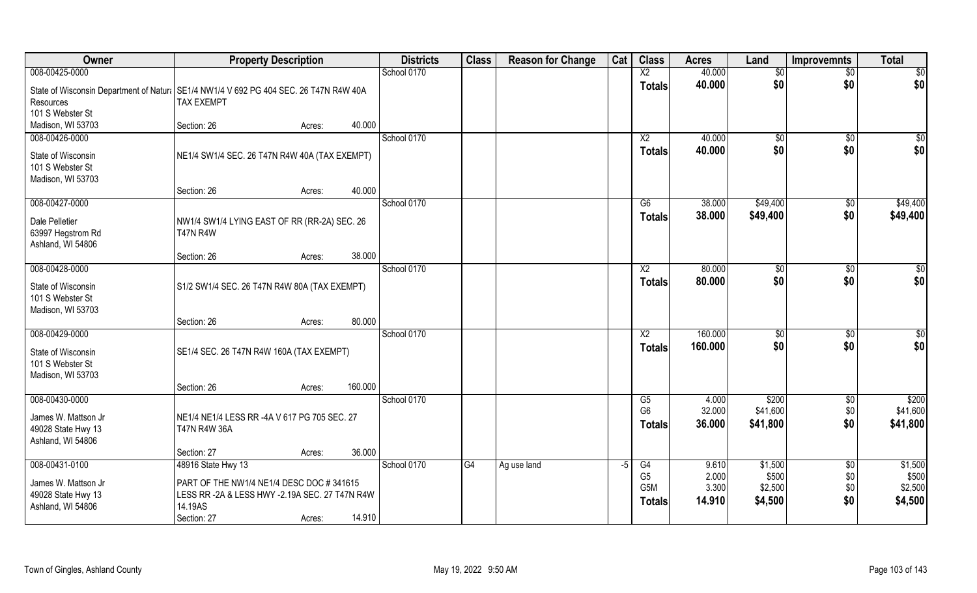| <b>Owner</b>                                                   | <b>Property Description</b>                                                                                 | <b>Districts</b> | <b>Class</b> | <b>Reason for Change</b> | Cat | <b>Class</b>                                        | <b>Acres</b>             | Land                        | <b>Improvemnts</b> | <b>Total</b>                |
|----------------------------------------------------------------|-------------------------------------------------------------------------------------------------------------|------------------|--------------|--------------------------|-----|-----------------------------------------------------|--------------------------|-----------------------------|--------------------|-----------------------------|
| 008-00425-0000                                                 |                                                                                                             | School 0170      |              |                          |     | X <sub>2</sub>                                      | 40.000                   | \$0                         | $\overline{50}$    | \$0                         |
| Resources                                                      | State of Wisconsin Department of Natural SE1/4 NW1/4 V 692 PG 404 SEC. 26 T47N R4W 40A<br><b>TAX EXEMPT</b> |                  |              |                          |     | <b>Totals</b>                                       | 40.000                   | \$0                         | \$0                | \$0                         |
| 101 S Webster St                                               |                                                                                                             |                  |              |                          |     |                                                     |                          |                             |                    |                             |
| Madison, WI 53703                                              | 40.000<br>Section: 26<br>Acres:                                                                             |                  |              |                          |     |                                                     |                          |                             |                    |                             |
| 008-00426-0000                                                 |                                                                                                             | School 0170      |              |                          |     | X2                                                  | 40.000                   | \$0                         | \$0                | $\frac{6}{3}$               |
| State of Wisconsin<br>101 S Webster St<br>Madison, WI 53703    | NE1/4 SW1/4 SEC. 26 T47N R4W 40A (TAX EXEMPT)                                                               |                  |              |                          |     | <b>Totals</b>                                       | 40.000                   | \$0                         | \$0                | \$0                         |
|                                                                | 40.000<br>Section: 26<br>Acres:                                                                             |                  |              |                          |     |                                                     |                          |                             |                    |                             |
| 008-00427-0000                                                 |                                                                                                             | School 0170      |              |                          |     | G6                                                  | 38.000                   | \$49,400                    | $\sqrt[6]{30}$     | \$49,400                    |
| Dale Pelletier<br>63997 Hegstrom Rd<br>Ashland, WI 54806       | NW1/4 SW1/4 LYING EAST OF RR (RR-2A) SEC. 26<br><b>T47N R4W</b>                                             |                  |              |                          |     | <b>Totals</b>                                       | 38.000                   | \$49,400                    | \$0                | \$49,400                    |
|                                                                | 38.000<br>Section: 26<br>Acres:                                                                             |                  |              |                          |     |                                                     |                          |                             |                    |                             |
| 008-00428-0000                                                 |                                                                                                             | School 0170      |              |                          |     | X <sub>2</sub>                                      | 80.000                   | $\frac{1}{20}$              | $\sqrt[6]{3}$      | \$                          |
| State of Wisconsin<br>101 S Webster St<br>Madison, WI 53703    | S1/2 SW1/4 SEC. 26 T47N R4W 80A (TAX EXEMPT)                                                                |                  |              |                          |     | <b>Totals</b>                                       | 80.000                   | \$0                         | \$0                | \$0                         |
|                                                                | 80.000<br>Section: 26<br>Acres:                                                                             |                  |              |                          |     |                                                     |                          |                             |                    |                             |
| 008-00429-0000                                                 |                                                                                                             | School 0170      |              |                          |     | X2                                                  | 160.000                  | \$0                         | $\sqrt[6]{30}$     | $\overline{50}$             |
| State of Wisconsin<br>101 S Webster St<br>Madison, WI 53703    | SE1/4 SEC. 26 T47N R4W 160A (TAX EXEMPT)                                                                    |                  |              |                          |     | <b>Totals</b>                                       | 160.000                  | \$0                         | \$0                | \$0                         |
|                                                                | 160.000<br>Section: 26<br>Acres:                                                                            |                  |              |                          |     |                                                     |                          |                             |                    |                             |
| 008-00430-0000                                                 |                                                                                                             | School 0170      |              |                          |     | G5                                                  | 4.000                    | \$200                       | \$0                | \$200                       |
| James W. Mattson Jr<br>49028 State Hwy 13<br>Ashland, WI 54806 | NE1/4 NE1/4 LESS RR -4A V 617 PG 705 SEC. 27<br>T47N R4W 36A                                                |                  |              |                          |     | G <sub>6</sub><br><b>Totals</b>                     | 32.000<br>36.000         | \$41,600<br>\$41,800        | \$0<br>\$0         | \$41,600<br>\$41,800        |
|                                                                | 36.000<br>Section: 27<br>Acres:                                                                             |                  |              |                          |     |                                                     |                          |                             |                    |                             |
| 008-00431-0100                                                 | 48916 State Hwy 13                                                                                          | School 0170      | G4           | Ag use land              | -5  | G4                                                  | 9.610                    | \$1,500                     | $\overline{50}$    | \$1,500                     |
| James W. Mattson Jr<br>49028 State Hwy 13<br>Ashland, WI 54806 | PART OF THE NW1/4 NE1/4 DESC DOC #341615<br>LESS RR -2A & LESS HWY -2.19A SEC. 27 T47N R4W<br>14.19AS       |                  |              |                          |     | G <sub>5</sub><br>G <sub>5</sub> M<br><b>Totals</b> | 2.000<br>3.300<br>14.910 | \$500<br>\$2,500<br>\$4,500 | \$0<br>\$0<br>\$0  | \$500<br>\$2,500<br>\$4,500 |
|                                                                | 14.910<br>Section: 27<br>Acres:                                                                             |                  |              |                          |     |                                                     |                          |                             |                    |                             |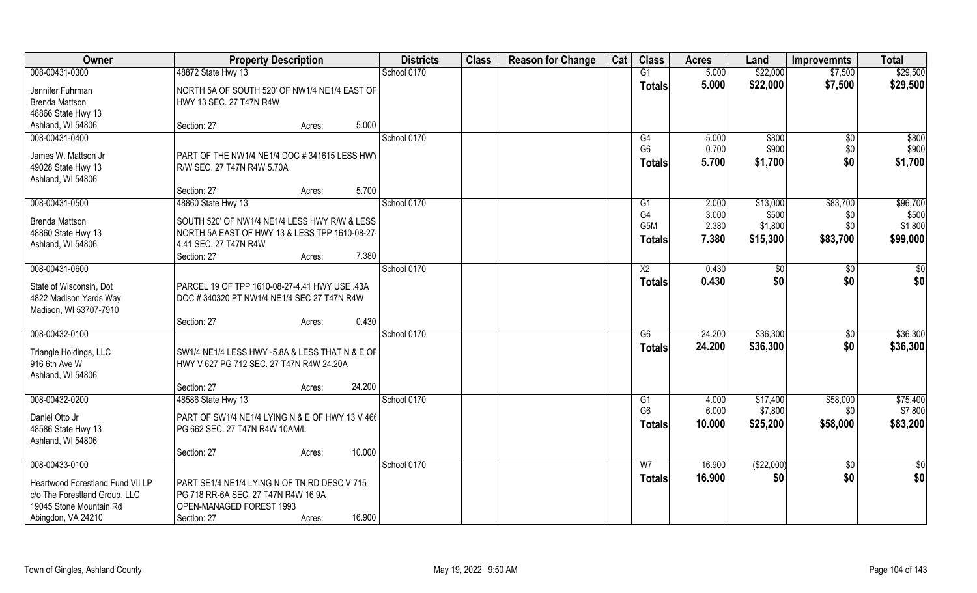| Owner                            | <b>Property Description</b>                     | <b>Districts</b> | <b>Class</b> | <b>Reason for Change</b> | Cat | <b>Class</b>     | <b>Acres</b> | Land        | <b>Improvemnts</b> | <b>Total</b> |
|----------------------------------|-------------------------------------------------|------------------|--------------|--------------------------|-----|------------------|--------------|-------------|--------------------|--------------|
| 008-00431-0300                   | 48872 State Hwy 13                              | School 0170      |              |                          |     | G1               | 5.000        | \$22,000    | \$7,500            | \$29,500     |
| Jennifer Fuhrman                 | NORTH 5A OF SOUTH 520' OF NW1/4 NE1/4 EAST OF   |                  |              |                          |     | <b>Totals</b>    | 5.000        | \$22,000    | \$7,500            | \$29,500     |
| <b>Brenda Mattson</b>            | HWY 13 SEC. 27 T47N R4W                         |                  |              |                          |     |                  |              |             |                    |              |
| 48866 State Hwy 13               |                                                 |                  |              |                          |     |                  |              |             |                    |              |
| Ashland, WI 54806                | 5.000<br>Section: 27<br>Acres:                  |                  |              |                          |     |                  |              |             |                    |              |
| 008-00431-0400                   |                                                 | School 0170      |              |                          |     | G4               | 5.000        | \$800       | $\overline{50}$    | \$800        |
| James W. Mattson Jr              | PART OF THE NW1/4 NE1/4 DOC #341615 LESS HWY    |                  |              |                          |     | G <sub>6</sub>   | 0.700        | \$900       | \$0                | \$900        |
| 49028 State Hwy 13               | R/W SEC. 27 T47N R4W 5.70A                      |                  |              |                          |     | <b>Totals</b>    | 5.700        | \$1,700     | \$0                | \$1,700      |
| Ashland, WI 54806                |                                                 |                  |              |                          |     |                  |              |             |                    |              |
|                                  | 5.700<br>Section: 27<br>Acres:                  |                  |              |                          |     |                  |              |             |                    |              |
| 008-00431-0500                   | 48860 State Hwy 13                              | School 0170      |              |                          |     | G1               | 2.000        | \$13,000    | \$83,700           | \$96,700     |
| <b>Brenda Mattson</b>            | SOUTH 520' OF NW1/4 NE1/4 LESS HWY R/W & LESS   |                  |              |                          |     | G <sub>4</sub>   | 3.000        | \$500       | \$0                | \$500        |
| 48860 State Hwy 13               | NORTH 5A EAST OF HWY 13 & LESS TPP 1610-08-27-  |                  |              |                          |     | G <sub>5</sub> M | 2.380        | \$1,800     | \$0                | \$1,800      |
| Ashland, WI 54806                | 4.41 SEC. 27 T47N R4W                           |                  |              |                          |     | Totals           | 7.380        | \$15,300    | \$83,700           | \$99,000     |
|                                  | 7.380<br>Section: 27<br>Acres:                  |                  |              |                          |     |                  |              |             |                    |              |
| 008-00431-0600                   |                                                 | School 0170      |              |                          |     | X <sub>2</sub>   | 0.430        | \$0         | \$0                | \$0          |
| State of Wisconsin, Dot          | PARCEL 19 OF TPP 1610-08-27-4.41 HWY USE .43A   |                  |              |                          |     | <b>Totals</b>    | 0.430        | \$0         | \$0                | \$0          |
| 4822 Madison Yards Way           | DOC #340320 PT NW1/4 NE1/4 SEC 27 T47N R4W      |                  |              |                          |     |                  |              |             |                    |              |
| Madison, WI 53707-7910           |                                                 |                  |              |                          |     |                  |              |             |                    |              |
|                                  | 0.430<br>Section: 27<br>Acres:                  |                  |              |                          |     |                  |              |             |                    |              |
| 008-00432-0100                   |                                                 | School 0170      |              |                          |     | G6               | 24.200       | \$36,300    | \$0                | \$36,300     |
| Triangle Holdings, LLC           | SW1/4 NE1/4 LESS HWY -5.8A & LESS THAT N & E OF |                  |              |                          |     | <b>Totals</b>    | 24.200       | \$36,300    | \$0                | \$36,300     |
| 916 6th Ave W                    | HWY V 627 PG 712 SEC. 27 T47N R4W 24.20A        |                  |              |                          |     |                  |              |             |                    |              |
| Ashland, WI 54806                |                                                 |                  |              |                          |     |                  |              |             |                    |              |
|                                  | 24.200<br>Section: 27<br>Acres:                 |                  |              |                          |     |                  |              |             |                    |              |
| 008-00432-0200                   | 48586 State Hwy 13                              | School 0170      |              |                          |     | G1               | 4.000        | \$17,400    | \$58,000           | \$75,400     |
| Daniel Otto Jr                   | PART OF SW1/4 NE1/4 LYING N & E OF HWY 13 V 466 |                  |              |                          |     | G <sub>6</sub>   | 6.000        | \$7,800     | \$0                | \$7,800      |
| 48586 State Hwy 13               | PG 662 SEC. 27 T47N R4W 10AM/L                  |                  |              |                          |     | <b>Totals</b>    | 10.000       | \$25,200    | \$58,000           | \$83,200     |
| Ashland, WI 54806                |                                                 |                  |              |                          |     |                  |              |             |                    |              |
|                                  | 10.000<br>Section: 27<br>Acres:                 |                  |              |                          |     |                  |              |             |                    |              |
| 008-00433-0100                   |                                                 | School 0170      |              |                          |     | W <sub>7</sub>   | 16.900       | ( \$22,000) | $\overline{50}$    | \$0          |
| Heartwood Forestland Fund VII LP | PART SE1/4 NE1/4 LYING N OF TN RD DESC V 715    |                  |              |                          |     | <b>Totals</b>    | 16.900       | \$0         | \$0                | \$0          |
| c/o The Forestland Group, LLC    | PG 718 RR-6A SEC. 27 T47N R4W 16.9A             |                  |              |                          |     |                  |              |             |                    |              |
| 19045 Stone Mountain Rd          | OPEN-MANAGED FOREST 1993                        |                  |              |                          |     |                  |              |             |                    |              |
| Abingdon, VA 24210               | 16.900<br>Section: 27<br>Acres:                 |                  |              |                          |     |                  |              |             |                    |              |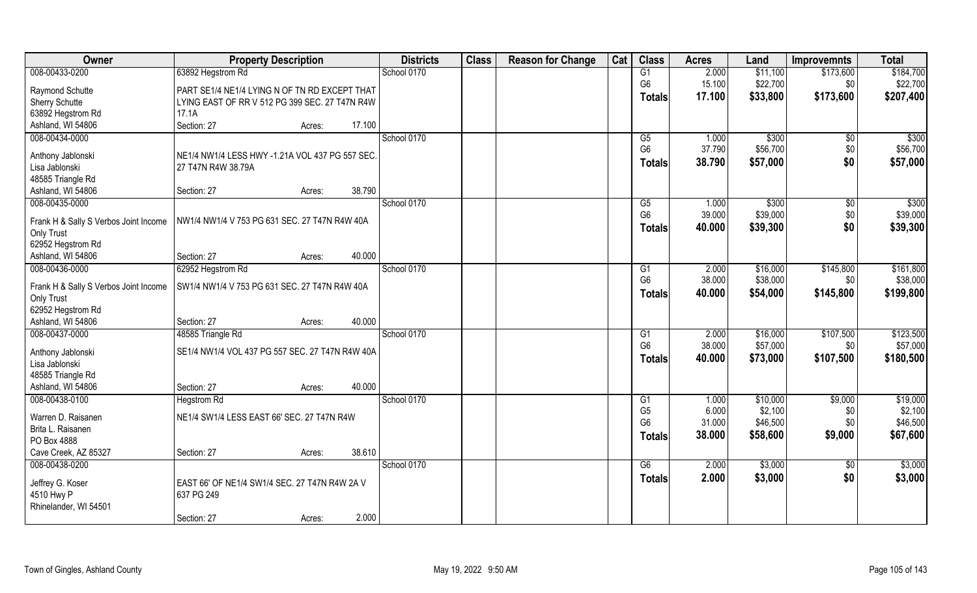| Owner                                               | <b>Property Description</b>                     | <b>Districts</b> | <b>Class</b> | <b>Reason for Change</b> | Cat | <b>Class</b>   | <b>Acres</b> | Land     | <b>Improvemnts</b> | <b>Total</b> |
|-----------------------------------------------------|-------------------------------------------------|------------------|--------------|--------------------------|-----|----------------|--------------|----------|--------------------|--------------|
| 008-00433-0200                                      | 63892 Hegstrom Rd                               | School 0170      |              |                          |     | G1             | 2.000        | \$11,100 | \$173,600          | \$184,700    |
| Raymond Schutte                                     | PART SE1/4 NE1/4 LYING N OF TN RD EXCEPT THAT   |                  |              |                          |     | G <sub>6</sub> | 15.100       | \$22,700 | \$0                | \$22,700     |
| Sherry Schutte                                      | LYING EAST OF RR V 512 PG 399 SEC. 27 T47N R4W  |                  |              |                          |     | <b>Totals</b>  | 17.100       | \$33,800 | \$173,600          | \$207,400    |
| 63892 Hegstrom Rd                                   | 17.1A                                           |                  |              |                          |     |                |              |          |                    |              |
| Ashland, WI 54806                                   | Section: 27<br>17.100<br>Acres:                 |                  |              |                          |     |                |              |          |                    |              |
| 008-00434-0000                                      |                                                 | School 0170      |              |                          |     | G5             | 1.000        | \$300    | \$0                | \$300        |
| Anthony Jablonski                                   | NE1/4 NW1/4 LESS HWY -1.21A VOL 437 PG 557 SEC. |                  |              |                          |     | G <sub>6</sub> | 37.790       | \$56,700 | \$0                | \$56,700     |
| Lisa Jablonski                                      | 27 T47N R4W 38.79A                              |                  |              |                          |     | <b>Totals</b>  | 38.790       | \$57,000 | \$0                | \$57,000     |
| 48585 Triangle Rd                                   |                                                 |                  |              |                          |     |                |              |          |                    |              |
| Ashland, WI 54806                                   | 38.790<br>Section: 27<br>Acres:                 |                  |              |                          |     |                |              |          |                    |              |
| 008-00435-0000                                      |                                                 | School 0170      |              |                          |     | G5             | 1.000        | \$300    | \$0                | \$300        |
| Frank H & Sally S Verbos Joint Income               | NW1/4 NW1/4 V 753 PG 631 SEC. 27 T47N R4W 40A   |                  |              |                          |     | G <sub>6</sub> | 39.000       | \$39,000 | \$0                | \$39,000     |
| Only Trust                                          |                                                 |                  |              |                          |     | <b>Totals</b>  | 40.000       | \$39,300 | \$0                | \$39,300     |
| 62952 Hegstrom Rd                                   |                                                 |                  |              |                          |     |                |              |          |                    |              |
| Ashland, WI 54806                                   | 40.000<br>Section: 27<br>Acres:                 |                  |              |                          |     |                |              |          |                    |              |
| 008-00436-0000                                      | 62952 Hegstrom Rd                               | School 0170      |              |                          |     | G <sub>1</sub> | 2.000        | \$16,000 | \$145,800          | \$161,800    |
|                                                     |                                                 |                  |              |                          |     | G <sub>6</sub> | 38.000       | \$38,000 | \$0                | \$38,000     |
| Frank H & Sally S Verbos Joint Income<br>Only Trust | SW1/4 NW1/4 V 753 PG 631 SEC. 27 T47N R4W 40A   |                  |              |                          |     | <b>Totals</b>  | 40.000       | \$54,000 | \$145,800          | \$199,800    |
| 62952 Hegstrom Rd                                   |                                                 |                  |              |                          |     |                |              |          |                    |              |
| Ashland, WI 54806                                   | 40.000<br>Section: 27<br>Acres:                 |                  |              |                          |     |                |              |          |                    |              |
| 008-00437-0000                                      | 48585 Triangle Rd                               | School 0170      |              |                          |     | G1             | 2.000        | \$16,000 | \$107,500          | \$123,500    |
|                                                     |                                                 |                  |              |                          |     | G <sub>6</sub> | 38.000       | \$57,000 | \$0                | \$57,000     |
| Anthony Jablonski                                   | SE1/4 NW1/4 VOL 437 PG 557 SEC. 27 T47N R4W 40A |                  |              |                          |     | <b>Totals</b>  | 40.000       | \$73,000 | \$107,500          | \$180,500    |
| Lisa Jablonski<br>48585 Triangle Rd                 |                                                 |                  |              |                          |     |                |              |          |                    |              |
| Ashland, WI 54806                                   | 40.000<br>Section: 27<br>Acres:                 |                  |              |                          |     |                |              |          |                    |              |
| 008-00438-0100                                      | <b>Hegstrom Rd</b>                              | School 0170      |              |                          |     | G1             | 1.000        | \$10,000 | \$9,000            | \$19,000     |
|                                                     |                                                 |                  |              |                          |     | G <sub>5</sub> | 6.000        | \$2,100  | \$0                | \$2,100      |
| Warren D. Raisanen                                  | NE1/4 SW1/4 LESS EAST 66' SEC. 27 T47N R4W      |                  |              |                          |     | G <sub>6</sub> | 31.000       | \$46,500 | \$0                | \$46,500     |
| Brita L. Raisanen                                   |                                                 |                  |              |                          |     | <b>Totals</b>  | 38.000       | \$58,600 | \$9,000            | \$67,600     |
| PO Box 4888                                         |                                                 |                  |              |                          |     |                |              |          |                    |              |
| Cave Creek, AZ 85327                                | 38.610<br>Section: 27<br>Acres:                 |                  |              |                          |     |                |              |          |                    |              |
| 008-00438-0200                                      |                                                 | School 0170      |              |                          |     | G6             | 2.000        | \$3,000  | $\overline{50}$    | \$3,000      |
| Jeffrey G. Koser                                    | EAST 66' OF NE1/4 SW1/4 SEC. 27 T47N R4W 2A V   |                  |              |                          |     | <b>Totals</b>  | 2.000        | \$3,000  | \$0                | \$3,000      |
| 4510 Hwy P                                          | 637 PG 249                                      |                  |              |                          |     |                |              |          |                    |              |
| Rhinelander, WI 54501                               |                                                 |                  |              |                          |     |                |              |          |                    |              |
|                                                     | 2.000<br>Section: 27<br>Acres:                  |                  |              |                          |     |                |              |          |                    |              |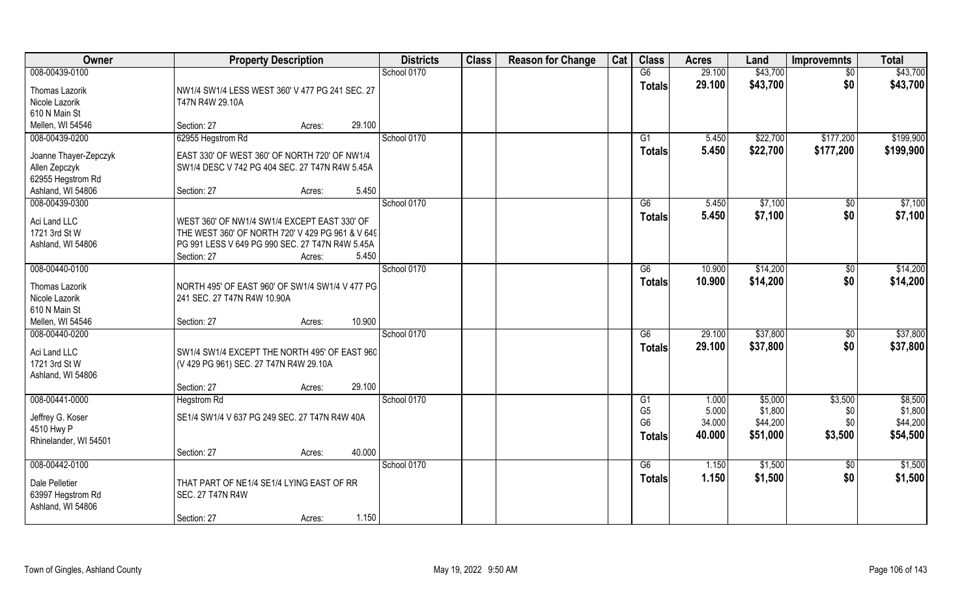| Owner                                                                            | <b>Property Description</b>                                                                                                                                                           | <b>Districts</b> | <b>Class</b> | <b>Reason for Change</b> | Cat | <b>Class</b>                               | <b>Acres</b>              | Land                            | <b>Improvemnts</b>     | <b>Total</b>                    |
|----------------------------------------------------------------------------------|---------------------------------------------------------------------------------------------------------------------------------------------------------------------------------------|------------------|--------------|--------------------------|-----|--------------------------------------------|---------------------------|---------------------------------|------------------------|---------------------------------|
| 008-00439-0100                                                                   |                                                                                                                                                                                       | School 0170      |              |                          |     | G6                                         | 29.100                    | \$43,700                        | $\overline{50}$        | \$43,700                        |
| Thomas Lazorik<br>Nicole Lazorik<br>610 N Main St                                | NW1/4 SW1/4 LESS WEST 360' V 477 PG 241 SEC. 27<br>T47N R4W 29.10A                                                                                                                    |                  |              |                          |     | <b>Totals</b>                              | 29.100                    | \$43,700                        | \$0                    | \$43,700                        |
| Mellen, WI 54546                                                                 | 29.100<br>Section: 27<br>Acres:                                                                                                                                                       |                  |              |                          |     |                                            |                           |                                 |                        |                                 |
| 008-00439-0200                                                                   | 62955 Hegstrom Rd                                                                                                                                                                     | School 0170      |              |                          |     | G1                                         | 5.450                     | \$22,700                        | \$177,200              | \$199,900                       |
| Joanne Thayer-Zepczyk<br>Allen Zepczyk<br>62955 Hegstrom Rd<br>Ashland, WI 54806 | EAST 330' OF WEST 360' OF NORTH 720' OF NW1/4<br>SW1/4 DESC V 742 PG 404 SEC. 27 T47N R4W 5.45A<br>5.450<br>Section: 27<br>Acres:                                                     |                  |              |                          |     | <b>Totals</b>                              | 5.450                     | \$22,700                        | \$177,200              | \$199,900                       |
| 008-00439-0300                                                                   |                                                                                                                                                                                       | School 0170      |              |                          |     | G6                                         | 5.450                     | \$7,100                         | \$0                    | \$7,100                         |
| Aci Land LLC<br>1721 3rd St W<br>Ashland, WI 54806                               | WEST 360' OF NW1/4 SW1/4 EXCEPT EAST 330' OF<br>THE WEST 360' OF NORTH 720' V 429 PG 961 & V 649<br>PG 991 LESS V 649 PG 990 SEC. 27 T47N R4W 5.45A<br>Section: 27<br>5.450<br>Acres: |                  |              |                          |     | <b>Totals</b>                              | 5.450                     | \$7,100                         | \$0                    | \$7,100                         |
| 008-00440-0100                                                                   |                                                                                                                                                                                       | School 0170      |              |                          |     | G6                                         | 10.900                    | \$14,200                        | $\sqrt[6]{3}$          | \$14,200                        |
| Thomas Lazorik<br>Nicole Lazorik<br>610 N Main St<br>Mellen, WI 54546            | NORTH 495' OF EAST 960' OF SW1/4 SW1/4 V 477 PG<br>241 SEC. 27 T47N R4W 10.90A<br>10.900<br>Section: 27<br>Acres:                                                                     |                  |              |                          |     | <b>Totals</b>                              | 10.900                    | \$14,200                        | \$0                    | \$14,200                        |
| 008-00440-0200                                                                   |                                                                                                                                                                                       | School 0170      |              |                          |     | G6                                         | 29.100                    | \$37,800                        | \$0                    | \$37,800                        |
| Aci Land LLC<br>1721 3rd St W<br>Ashland, WI 54806                               | SW1/4 SW1/4 EXCEPT THE NORTH 495' OF EAST 960<br>(V 429 PG 961) SEC. 27 T47N R4W 29.10A<br>29.100<br>Section: 27<br>Acres:                                                            |                  |              |                          |     | <b>Totals</b>                              | 29.100                    | \$37,800                        | \$0                    | \$37,800                        |
| 008-00441-0000                                                                   | <b>Hegstrom Rd</b>                                                                                                                                                                    | School 0170      |              |                          |     | G1                                         | 1.000                     | \$5,000                         | \$3,500                | \$8,500                         |
| Jeffrey G. Koser<br>4510 Hwy P<br>Rhinelander, WI 54501                          | SE1/4 SW1/4 V 637 PG 249 SEC. 27 T47N R4W 40A                                                                                                                                         |                  |              |                          |     | G <sub>5</sub><br>G <sub>6</sub><br>Totals | 5.000<br>34.000<br>40.000 | \$1,800<br>\$44,200<br>\$51,000 | \$0<br>\$0<br>\$3,500  | \$1,800<br>\$44,200<br>\$54,500 |
|                                                                                  | 40.000<br>Section: 27<br>Acres:                                                                                                                                                       |                  |              |                          |     |                                            |                           |                                 |                        |                                 |
| 008-00442-0100<br>Dale Pelletier<br>63997 Hegstrom Rd                            | THAT PART OF NE1/4 SE1/4 LYING EAST OF RR<br><b>SEC. 27 T47N R4W</b>                                                                                                                  | School 0170      |              |                          |     | G6<br><b>Totals</b>                        | 1.150<br>1.150            | \$1,500<br>\$1,500              | $\overline{50}$<br>\$0 | \$1,500<br>\$1,500              |
| Ashland, WI 54806                                                                | 1.150<br>Section: 27<br>Acres:                                                                                                                                                        |                  |              |                          |     |                                            |                           |                                 |                        |                                 |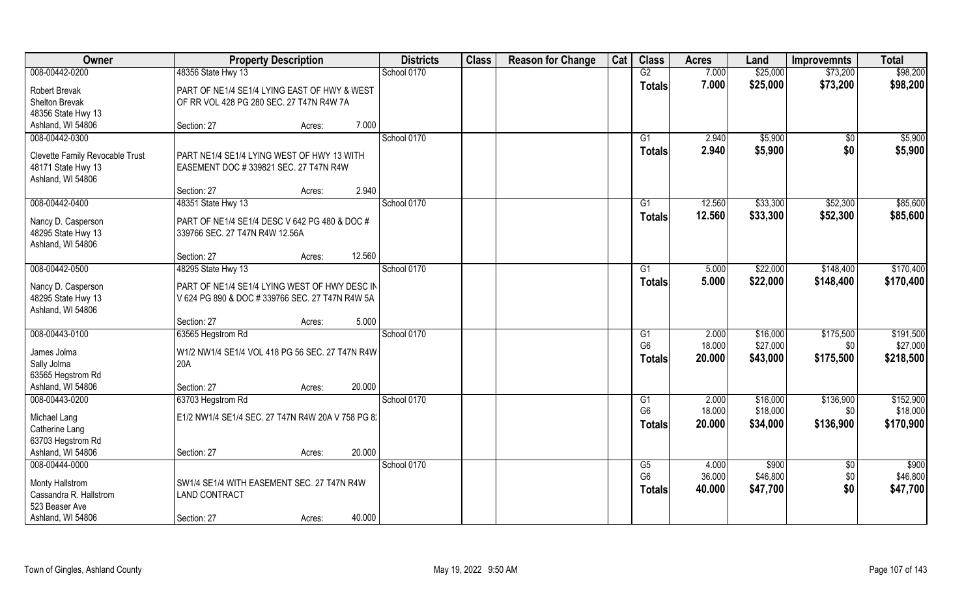| Owner                                            | <b>Property Description</b>                                        | <b>Districts</b> | <b>Class</b> | <b>Reason for Change</b> | Cat | <b>Class</b>   | <b>Acres</b> | Land     | <b>Improvemnts</b> | <b>Total</b> |
|--------------------------------------------------|--------------------------------------------------------------------|------------------|--------------|--------------------------|-----|----------------|--------------|----------|--------------------|--------------|
| 008-00442-0200                                   | 48356 State Hwy 13                                                 | School 0170      |              |                          |     | G2             | 7.000        | \$25,000 | \$73,200           | \$98,200     |
| <b>Robert Brevak</b>                             | PART OF NE1/4 SE1/4 LYING EAST OF HWY & WEST                       |                  |              |                          |     | <b>Totals</b>  | 7.000        | \$25,000 | \$73,200           | \$98,200     |
| Shelton Brevak                                   | OF RR VOL 428 PG 280 SEC. 27 T47N R4W 7A                           |                  |              |                          |     |                |              |          |                    |              |
| 48356 State Hwy 13                               |                                                                    |                  |              |                          |     |                |              |          |                    |              |
| Ashland, WI 54806                                | 7.000<br>Section: 27<br>Acres:                                     |                  |              |                          |     |                |              |          |                    |              |
| 008-00442-0300                                   |                                                                    | School 0170      |              |                          |     | G1             | 2.940        | \$5,900  | \$0                | \$5,900      |
| Clevette Family Revocable Trust                  | PART NE1/4 SE1/4 LYING WEST OF HWY 13 WITH                         |                  |              |                          |     | Totals         | 2.940        | \$5,900  | \$0                | \$5,900      |
| 48171 State Hwy 13                               | EASEMENT DOC #339821 SEC. 27 T47N R4W                              |                  |              |                          |     |                |              |          |                    |              |
| Ashland, WI 54806                                |                                                                    |                  |              |                          |     |                |              |          |                    |              |
|                                                  | 2.940<br>Section: 27<br>Acres:                                     |                  |              |                          |     |                |              |          |                    |              |
| 008-00442-0400                                   | 48351 State Hwy 13                                                 | School 0170      |              |                          |     | G1             | 12.560       | \$33,300 | \$52,300           | \$85,600     |
| Nancy D. Casperson                               | PART OF NE1/4 SE1/4 DESC V 642 PG 480 & DOC #                      |                  |              |                          |     | <b>Totals</b>  | 12.560       | \$33,300 | \$52,300           | \$85,600     |
| 48295 State Hwy 13                               | 339766 SEC. 27 T47N R4W 12.56A                                     |                  |              |                          |     |                |              |          |                    |              |
| Ashland, WI 54806                                |                                                                    |                  |              |                          |     |                |              |          |                    |              |
|                                                  | 12.560<br>Section: 27<br>Acres:                                    |                  |              |                          |     |                |              |          |                    |              |
| 008-00442-0500                                   | 48295 State Hwy 13                                                 | School 0170      |              |                          |     | G1             | 5.000        | \$22,000 | \$148,400          | \$170,400    |
| Nancy D. Casperson                               | PART OF NE1/4 SE1/4 LYING WEST OF HWY DESC IN                      |                  |              |                          |     | <b>Totals</b>  | 5.000        | \$22,000 | \$148,400          | \$170,400    |
| 48295 State Hwy 13                               | V 624 PG 890 & DOC # 339766 SEC. 27 T47N R4W 5A                    |                  |              |                          |     |                |              |          |                    |              |
| Ashland, WI 54806                                |                                                                    |                  |              |                          |     |                |              |          |                    |              |
|                                                  | 5.000<br>Section: 27<br>Acres:                                     |                  |              |                          |     |                |              |          |                    |              |
| 008-00443-0100                                   | 63565 Hegstrom Rd                                                  | School 0170      |              |                          |     | G1             | 2.000        | \$16,000 | \$175,500          | \$191,500    |
| James Jolma                                      | W1/2 NW1/4 SE1/4 VOL 418 PG 56 SEC. 27 T47N R4W                    |                  |              |                          |     | G <sub>6</sub> | 18.000       | \$27,000 | \$0                | \$27,000     |
| Sally Jolma                                      | 20A                                                                |                  |              |                          |     | <b>Totals</b>  | 20.000       | \$43,000 | \$175,500          | \$218,500    |
| 63565 Hegstrom Rd                                |                                                                    |                  |              |                          |     |                |              |          |                    |              |
| Ashland, WI 54806                                | 20.000<br>Section: 27<br>Acres:                                    |                  |              |                          |     |                |              |          |                    |              |
| 008-00443-0200                                   | 63703 Hegstrom Rd                                                  | School 0170      |              |                          |     | G1             | 2.000        | \$16,000 | \$136,900          | \$152,900    |
|                                                  | E1/2 NW1/4 SE1/4 SEC. 27 T47N R4W 20A V 758 PG 8:                  |                  |              |                          |     | G <sub>6</sub> | 18.000       | \$18,000 | \$0                | \$18,000     |
| Michael Lang<br>Catherine Lang                   |                                                                    |                  |              |                          |     | <b>Totals</b>  | 20,000       | \$34,000 | \$136,900          | \$170,900    |
| 63703 Hegstrom Rd                                |                                                                    |                  |              |                          |     |                |              |          |                    |              |
| Ashland, WI 54806                                | 20.000<br>Section: 27<br>Acres:                                    |                  |              |                          |     |                |              |          |                    |              |
| 008-00444-0000                                   |                                                                    | School 0170      |              |                          |     | G5             | 4.000        | \$900    | $\overline{50}$    | \$900        |
|                                                  |                                                                    |                  |              |                          |     | G <sub>6</sub> | 36.000       | \$46,800 | \$0                | \$46,800     |
| <b>Monty Hallstrom</b><br>Cassandra R. Hallstrom | SW1/4 SE1/4 WITH EASEMENT SEC. 27 T47N R4W<br><b>LAND CONTRACT</b> |                  |              |                          |     | <b>Totals</b>  | 40.000       | \$47,700 | \$0                | \$47,700     |
| 523 Beaser Ave                                   |                                                                    |                  |              |                          |     |                |              |          |                    |              |
| Ashland, WI 54806                                | 40.000<br>Section: 27<br>Acres:                                    |                  |              |                          |     |                |              |          |                    |              |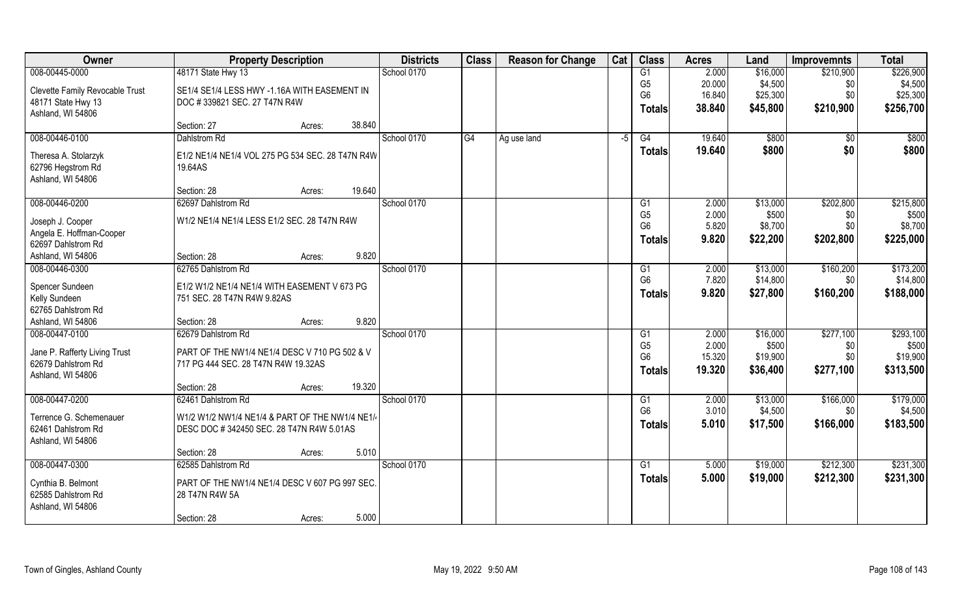| Owner                                         | <b>Property Description</b>                      | <b>Districts</b> | <b>Class</b> | <b>Reason for Change</b> | Cat  | <b>Class</b>    | <b>Acres</b> | Land     | <b>Improvemnts</b> | <b>Total</b> |
|-----------------------------------------------|--------------------------------------------------|------------------|--------------|--------------------------|------|-----------------|--------------|----------|--------------------|--------------|
| 008-00445-0000                                | 48171 State Hwy 13                               | School 0170      |              |                          |      | G1              | 2.000        | \$16,000 | \$210,900          | \$226,900    |
| Clevette Family Revocable Trust               | SE1/4 SE1/4 LESS HWY -1.16A WITH EASEMENT IN     |                  |              |                          |      | G <sub>5</sub>  | 20.000       | \$4,500  | \$0                | \$4,500      |
| 48171 State Hwy 13                            | DOC #339821 SEC. 27 T47N R4W                     |                  |              |                          |      | G <sub>6</sub>  | 16.840       | \$25,300 | \$0                | \$25,300     |
| Ashland, WI 54806                             |                                                  |                  |              |                          |      | <b>Totals</b>   | 38.840       | \$45,800 | \$210,900          | \$256,700    |
|                                               | 38.840<br>Section: 27<br>Acres:                  |                  |              |                          |      |                 |              |          |                    |              |
| 008-00446-0100                                | <b>Dahlstrom Rd</b>                              | School 0170      | G4           | Ag use land              | $-5$ | G4              | 19.640       | \$800    | $\overline{50}$    | \$800        |
| Theresa A. Stolarzyk                          | E1/2 NE1/4 NE1/4 VOL 275 PG 534 SEC. 28 T47N R4W |                  |              |                          |      | Totals          | 19.640       | \$800    | \$0                | \$800        |
| 62796 Hegstrom Rd                             | 19.64AS                                          |                  |              |                          |      |                 |              |          |                    |              |
| Ashland, WI 54806                             |                                                  |                  |              |                          |      |                 |              |          |                    |              |
|                                               | 19.640<br>Section: 28<br>Acres:                  |                  |              |                          |      |                 |              |          |                    |              |
| 008-00446-0200                                | 62697 Dahlstrom Rd                               | School 0170      |              |                          |      | G1              | 2.000        | \$13,000 | \$202,800          | \$215,800    |
| Joseph J. Cooper                              | W1/2 NE1/4 NE1/4 LESS E1/2 SEC. 28 T47N R4W      |                  |              |                          |      | G <sub>5</sub>  | 2.000        | \$500    | \$0                | \$500        |
| Angela E. Hoffman-Cooper                      |                                                  |                  |              |                          |      | G <sub>6</sub>  | 5.820        | \$8,700  | \$0                | \$8,700      |
| 62697 Dahlstrom Rd                            |                                                  |                  |              |                          |      | Totals          | 9.820        | \$22,200 | \$202,800          | \$225,000    |
| Ashland, WI 54806                             | 9.820<br>Section: 28<br>Acres:                   |                  |              |                          |      |                 |              |          |                    |              |
| 008-00446-0300                                | 62765 Dahlstrom Rd                               | School 0170      |              |                          |      | G1              | 2.000        | \$13,000 | \$160,200          | \$173,200    |
| Spencer Sundeen                               | E1/2 W1/2 NE1/4 NE1/4 WITH EASEMENT V 673 PG     |                  |              |                          |      | G <sub>6</sub>  | 7.820        | \$14,800 | \$0                | \$14,800     |
| Kelly Sundeen                                 | 751 SEC. 28 T47N R4W 9.82AS                      |                  |              |                          |      | <b>Totals</b>   | 9.820        | \$27,800 | \$160,200          | \$188,000    |
| 62765 Dahlstrom Rd                            |                                                  |                  |              |                          |      |                 |              |          |                    |              |
| Ashland, WI 54806                             | 9.820<br>Section: 28<br>Acres:                   |                  |              |                          |      |                 |              |          |                    |              |
| 008-00447-0100                                | 62679 Dahlstrom Rd                               | School 0170      |              |                          |      | G1              | 2.000        | \$16,000 | \$277,100          | \$293,100    |
| Jane P. Rafferty Living Trust                 | PART OF THE NW1/4 NE1/4 DESC V 710 PG 502 & V    |                  |              |                          |      | G <sub>5</sub>  | 2.000        | \$500    | \$0                | \$500        |
| 62679 Dahlstrom Rd                            | 717 PG 444 SEC. 28 T47N R4W 19.32AS              |                  |              |                          |      | G <sub>6</sub>  | 15.320       | \$19,900 | \$0                | \$19,900     |
| Ashland, WI 54806                             |                                                  |                  |              |                          |      | <b>Totals</b>   | 19.320       | \$36,400 | \$277,100          | \$313,500    |
|                                               | 19.320<br>Section: 28<br>Acres:                  |                  |              |                          |      |                 |              |          |                    |              |
| 008-00447-0200                                | 62461 Dahlstrom Rd                               | School 0170      |              |                          |      | G1              | 2.000        | \$13,000 | \$166,000          | \$179,000    |
|                                               |                                                  |                  |              |                          |      | G <sub>6</sub>  | 3.010        | \$4,500  | \$0                | \$4,500      |
| Terrence G. Schemenauer<br>62461 Dahlstrom Rd | W1/2 W1/2 NW1/4 NE1/4 & PART OF THE NW1/4 NE1/4  |                  |              |                          |      | <b>Totals</b>   | 5.010        | \$17,500 | \$166,000          | \$183,500    |
| Ashland, WI 54806                             | DESC DOC #342450 SEC. 28 T47N R4W 5.01AS         |                  |              |                          |      |                 |              |          |                    |              |
|                                               | 5.010<br>Section: 28<br>Acres:                   |                  |              |                          |      |                 |              |          |                    |              |
| 008-00447-0300                                | 62585 Dahlstrom Rd                               | School 0170      |              |                          |      | $\overline{G1}$ | 5.000        | \$19,000 | \$212,300          | \$231,300    |
|                                               |                                                  |                  |              |                          |      | <b>Totals</b>   | 5.000        | \$19,000 | \$212,300          | \$231,300    |
| Cynthia B. Belmont<br>62585 Dahlstrom Rd      | PART OF THE NW1/4 NE1/4 DESC V 607 PG 997 SEC.   |                  |              |                          |      |                 |              |          |                    |              |
| Ashland, WI 54806                             | 28 T47N R4W 5A                                   |                  |              |                          |      |                 |              |          |                    |              |
|                                               | 5.000<br>Section: 28<br>Acres:                   |                  |              |                          |      |                 |              |          |                    |              |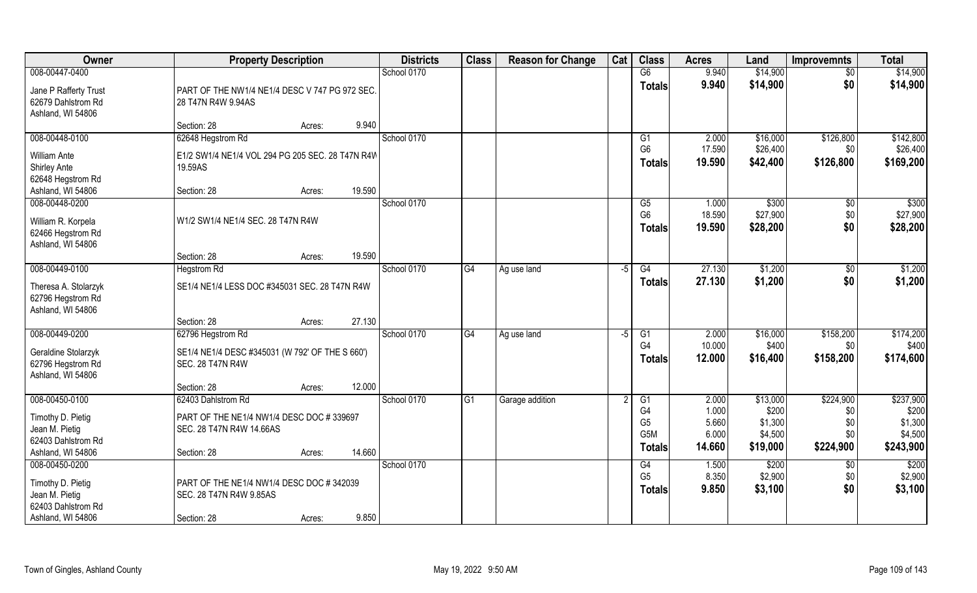| Owner                                                                          |                                                                            | <b>Property Description</b> |        | <b>Districts</b> | <b>Class</b>   | <b>Reason for Change</b> | Cat | <b>Class</b>                             | <b>Acres</b>              | Land                          | <b>Improvemnts</b>          | <b>Total</b>                  |
|--------------------------------------------------------------------------------|----------------------------------------------------------------------------|-----------------------------|--------|------------------|----------------|--------------------------|-----|------------------------------------------|---------------------------|-------------------------------|-----------------------------|-------------------------------|
| 008-00447-0400                                                                 |                                                                            |                             |        | School 0170      |                |                          |     | G6                                       | 9.940                     | \$14,900                      | $\sqrt{6}$                  | \$14,900                      |
| Jane P Rafferty Trust<br>62679 Dahlstrom Rd<br>Ashland, WI 54806               | PART OF THE NW1/4 NE1/4 DESC V 747 PG 972 SEC.<br>28 T47N R4W 9.94AS       |                             |        |                  |                |                          |     | <b>Totals</b>                            | 9.940                     | \$14,900                      | \$0                         | \$14,900                      |
|                                                                                | Section: 28                                                                | Acres:                      | 9.940  |                  |                |                          |     |                                          |                           |                               |                             |                               |
| 008-00448-0100                                                                 | 62648 Hegstrom Rd                                                          |                             |        | School 0170      |                |                          |     | G1                                       | 2.000                     | \$16,000                      | \$126,800                   | \$142,800                     |
| <b>William Ante</b><br><b>Shirley Ante</b><br>62648 Hegstrom Rd                | E1/2 SW1/4 NE1/4 VOL 294 PG 205 SEC. 28 T47N R4W<br>19.59AS                |                             |        |                  |                |                          |     | G <sub>6</sub><br><b>Totals</b>          | 17.590<br>19.590          | \$26,400<br>\$42,400          | \$0<br>\$126,800            | \$26,400<br>\$169,200         |
| Ashland, WI 54806                                                              | Section: 28                                                                | Acres:                      | 19.590 |                  |                |                          |     |                                          |                           |                               |                             |                               |
| 008-00448-0200<br>William R. Korpela<br>62466 Hegstrom Rd<br>Ashland, WI 54806 | W1/2 SW1/4 NE1/4 SEC. 28 T47N R4W                                          |                             |        | School 0170      |                |                          |     | G5<br>G <sub>6</sub><br><b>Totals</b>    | 1.000<br>18.590<br>19.590 | \$300<br>\$27,900<br>\$28,200 | $\sqrt[6]{3}$<br>\$0<br>\$0 | \$300<br>\$27,900<br>\$28,200 |
|                                                                                | Section: 28                                                                | Acres:                      | 19.590 |                  |                |                          |     |                                          |                           |                               |                             |                               |
| 008-00449-0100                                                                 | <b>Hegstrom Rd</b>                                                         |                             |        | School 0170      | G <sub>4</sub> | Ag use land              | -5  | G4                                       | 27.130                    | \$1,200                       | \$0                         | \$1,200                       |
| Theresa A. Stolarzyk<br>62796 Hegstrom Rd<br>Ashland, WI 54806                 | SE1/4 NE1/4 LESS DOC #345031 SEC. 28 T47N R4W                              |                             |        |                  |                |                          |     | <b>Totals</b>                            | 27.130                    | \$1,200                       | \$0                         | \$1,200                       |
|                                                                                | Section: 28                                                                | Acres:                      | 27.130 |                  |                |                          |     |                                          |                           |                               |                             |                               |
| 008-00449-0200                                                                 | 62796 Hegstrom Rd                                                          |                             |        | School 0170      | G4             | Ag use land              | -5  | $\overline{G1}$                          | 2.000                     | \$16,000                      | \$158,200                   | \$174,200                     |
| Geraldine Stolarzyk<br>62796 Hegstrom Rd<br>Ashland, WI 54806                  | SE1/4 NE1/4 DESC #345031 (W 792' OF THE S 660')<br><b>SEC. 28 T47N R4W</b> |                             |        |                  |                |                          |     | G4<br>Totals                             | 10.000<br>12.000          | \$400<br>\$16,400             | \$0<br>\$158,200            | \$400<br>\$174,600            |
|                                                                                | Section: 28                                                                | Acres:                      | 12.000 |                  |                |                          |     |                                          |                           |                               |                             |                               |
| 008-00450-0100                                                                 | 62403 Dahlstrom Rd                                                         |                             |        | School 0170      | G1             | Garage addition          |     | G1                                       | 2.000                     | \$13,000                      | \$224,900                   | \$237,900                     |
| Timothy D. Pietig<br>Jean M. Pietig<br>62403 Dahlstrom Rd                      | PART OF THE NE1/4 NW1/4 DESC DOC #339697<br>SEC. 28 T47N R4W 14.66AS       |                             |        |                  |                |                          |     | G4<br>G <sub>5</sub><br>G <sub>5</sub> M | 1.000<br>5.660<br>6.000   | \$200<br>\$1,300<br>\$4,500   | \$0<br>\$0\$<br>\$0         | \$200<br>\$1,300<br>\$4,500   |
| Ashland, WI 54806                                                              | Section: 28                                                                | Acres:                      | 14.660 |                  |                |                          |     | Totals                                   | 14.660                    | \$19,000                      | \$224,900                   | \$243,900                     |
| 008-00450-0200                                                                 |                                                                            |                             |        | School 0170      |                |                          |     | G4                                       | 1.500                     | \$200                         | $\overline{50}$             | \$200                         |
| Timothy D. Pietig<br>Jean M. Pietig<br>62403 Dahlstrom Rd                      | PART OF THE NE1/4 NW1/4 DESC DOC #342039<br>SEC. 28 T47N R4W 9.85AS        |                             |        |                  |                |                          |     | G <sub>5</sub><br><b>Totals</b>          | 8.350<br>9.850            | \$2,900<br>\$3,100            | \$0\$<br>\$0                | \$2,900<br>\$3,100            |
| Ashland, WI 54806                                                              | Section: 28                                                                | Acres:                      | 9.850  |                  |                |                          |     |                                          |                           |                               |                             |                               |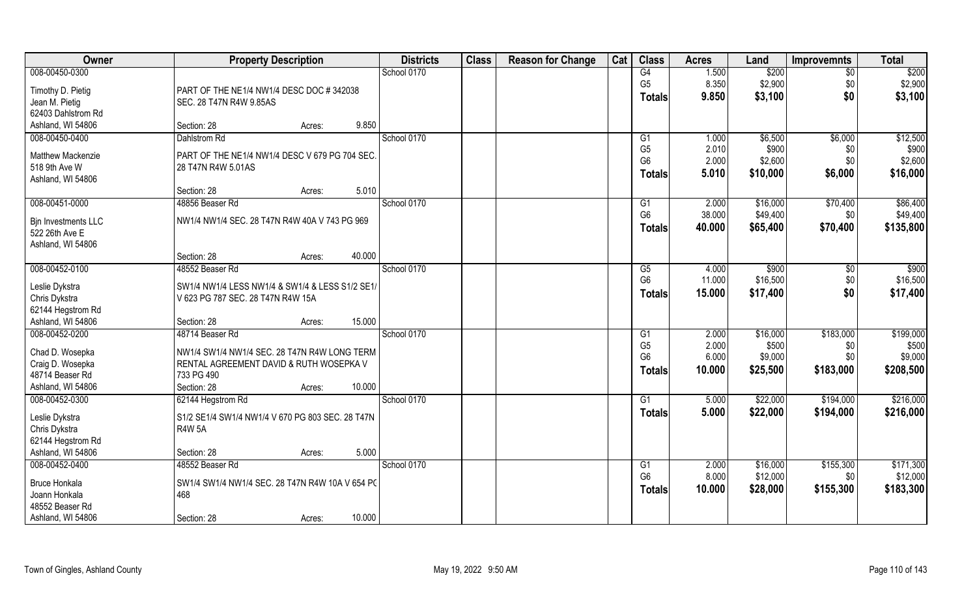| Owner                | <b>Property Description</b>                      | <b>Districts</b> | <b>Class</b> | <b>Reason for Change</b> | Cat | <b>Class</b>   | <b>Acres</b> | Land     | <b>Improvemnts</b> | <b>Total</b> |
|----------------------|--------------------------------------------------|------------------|--------------|--------------------------|-----|----------------|--------------|----------|--------------------|--------------|
| 008-00450-0300       |                                                  | School 0170      |              |                          |     | G4             | 1.500        | \$200    | $\overline{30}$    | \$200        |
| Timothy D. Pietig    | PART OF THE NE1/4 NW1/4 DESC DOC #342038         |                  |              |                          |     | G <sub>5</sub> | 8.350        | \$2,900  | \$0                | \$2,900      |
| Jean M. Pietig       | SEC. 28 T47N R4W 9.85AS                          |                  |              |                          |     | <b>Totals</b>  | 9.850        | \$3,100  | \$0                | \$3,100      |
| 62403 Dahlstrom Rd   |                                                  |                  |              |                          |     |                |              |          |                    |              |
| Ashland, WI 54806    | 9.850<br>Section: 28<br>Acres:                   |                  |              |                          |     |                |              |          |                    |              |
| 008-00450-0400       | Dahlstrom Rd                                     | School 0170      |              |                          |     | G1             | 1.000        | \$6,500  | \$6,000            | \$12,500     |
| Matthew Mackenzie    | PART OF THE NE1/4 NW1/4 DESC V 679 PG 704 SEC.   |                  |              |                          |     | G <sub>5</sub> | 2.010        | \$900    | \$0                | \$900        |
| 518 9th Ave W        | 28 T47N R4W 5.01AS                               |                  |              |                          |     | G <sub>6</sub> | 2.000        | \$2,600  | \$0                | \$2,600      |
| Ashland, WI 54806    |                                                  |                  |              |                          |     | <b>Totals</b>  | 5.010        | \$10,000 | \$6,000            | \$16,000     |
|                      | Section: 28<br>5.010<br>Acres:                   |                  |              |                          |     |                |              |          |                    |              |
| 008-00451-0000       | 48856 Beaser Rd                                  | School 0170      |              |                          |     | G1             | 2.000        | \$16,000 | \$70,400           | \$86,400     |
| Bin Investments LLC  | NW1/4 NW1/4 SEC. 28 T47N R4W 40A V 743 PG 969    |                  |              |                          |     | G <sub>6</sub> | 38.000       | \$49,400 | \$0                | \$49,400     |
| 522 26th Ave E       |                                                  |                  |              |                          |     | <b>Totals</b>  | 40.000       | \$65,400 | \$70,400           | \$135,800    |
| Ashland, WI 54806    |                                                  |                  |              |                          |     |                |              |          |                    |              |
|                      | 40.000<br>Section: 28<br>Acres:                  |                  |              |                          |     |                |              |          |                    |              |
| 008-00452-0100       | 48552 Beaser Rd                                  | School 0170      |              |                          |     | G5             | 4.000        | \$900    | \$0                | \$900        |
| Leslie Dykstra       | SW1/4 NW1/4 LESS NW1/4 & SW1/4 & LESS S1/2 SE1/  |                  |              |                          |     | G <sub>6</sub> | 11.000       | \$16,500 | \$0                | \$16,500     |
| Chris Dykstra        | V 623 PG 787 SEC. 28 T47N R4W 15A                |                  |              |                          |     | <b>Totals</b>  | 15.000       | \$17,400 | \$0                | \$17,400     |
| 62144 Hegstrom Rd    |                                                  |                  |              |                          |     |                |              |          |                    |              |
| Ashland, WI 54806    | 15.000<br>Section: 28<br>Acres:                  |                  |              |                          |     |                |              |          |                    |              |
| 008-00452-0200       | 48714 Beaser Rd                                  | School 0170      |              |                          |     | G1             | 2.000        | \$16,000 | \$183,000          | \$199,000    |
| Chad D. Wosepka      | NW1/4 SW1/4 NW1/4 SEC. 28 T47N R4W LONG TERM     |                  |              |                          |     | G <sub>5</sub> | 2.000        | \$500    | \$0                | \$500        |
| Craig D. Wosepka     | RENTAL AGREEMENT DAVID & RUTH WOSEPKA V          |                  |              |                          |     | G <sub>6</sub> | 6.000        | \$9,000  | \$0                | \$9,000      |
| 48714 Beaser Rd      | 733 PG 490                                       |                  |              |                          |     | <b>Totals</b>  | 10.000       | \$25,500 | \$183,000          | \$208,500    |
| Ashland, WI 54806    | 10.000<br>Section: 28<br>Acres:                  |                  |              |                          |     |                |              |          |                    |              |
| 008-00452-0300       | 62144 Hegstrom Rd                                | School 0170      |              |                          |     | G1             | 5.000        | \$22,000 | \$194,000          | \$216,000    |
| Leslie Dykstra       | S1/2 SE1/4 SW1/4 NW1/4 V 670 PG 803 SEC. 28 T47N |                  |              |                          |     | <b>Totals</b>  | 5.000        | \$22,000 | \$194,000          | \$216,000    |
| Chris Dykstra        | <b>R4W 5A</b>                                    |                  |              |                          |     |                |              |          |                    |              |
| 62144 Hegstrom Rd    |                                                  |                  |              |                          |     |                |              |          |                    |              |
| Ashland, WI 54806    | 5.000<br>Section: 28<br>Acres:                   |                  |              |                          |     |                |              |          |                    |              |
| 008-00452-0400       | 48552 Beaser Rd                                  | School 0170      |              |                          |     | G1             | 2.000        | \$16,000 | \$155,300          | \$171,300    |
| <b>Bruce Honkala</b> | SW1/4 SW1/4 NW1/4 SEC. 28 T47N R4W 10A V 654 PC  |                  |              |                          |     | G <sub>6</sub> | 8.000        | \$12,000 | \$0                | \$12,000     |
| Joann Honkala        | 468                                              |                  |              |                          |     | <b>Totals</b>  | 10.000       | \$28,000 | \$155,300          | \$183,300    |
| 48552 Beaser Rd      |                                                  |                  |              |                          |     |                |              |          |                    |              |
| Ashland, WI 54806    | 10.000<br>Section: 28<br>Acres:                  |                  |              |                          |     |                |              |          |                    |              |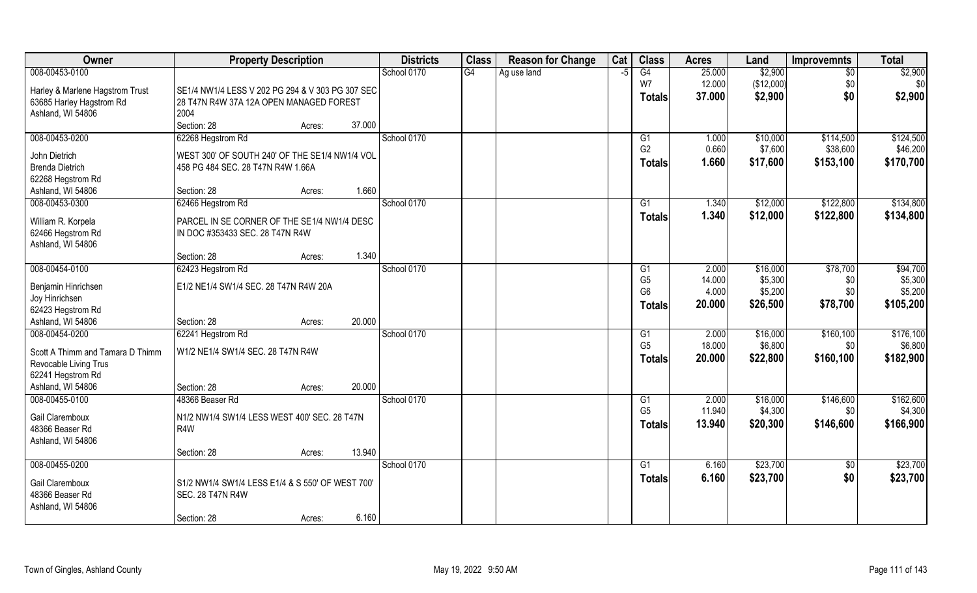| <b>Class</b><br><b>Owner</b><br><b>Property Description</b><br><b>Districts</b><br><b>Reason for Change</b> | Cat  | <b>Class</b>   | <b>Acres</b> | Land       | <b>Improvemnts</b> | <b>Total</b> |
|-------------------------------------------------------------------------------------------------------------|------|----------------|--------------|------------|--------------------|--------------|
| 008-00453-0100<br>School 0170<br>G4<br>Ag use land                                                          | $-5$ | G4             | 25.000       | \$2,900    | $\overline{50}$    | \$2,900      |
| Harley & Marlene Hagstrom Trust<br>SE1/4 NW1/4 LESS V 202 PG 294 & V 303 PG 307 SEC                         |      | W7             | 12.000       | (\$12,000) | \$0                | \$0          |
| 63685 Harley Hagstrom Rd<br>28 T47N R4W 37A 12A OPEN MANAGED FOREST                                         |      | <b>Totals</b>  | 37.000       | \$2,900    | \$0                | \$2,900      |
| 2004<br>Ashland, WI 54806                                                                                   |      |                |              |            |                    |              |
| Section: 28<br>37.000<br>Acres:                                                                             |      |                |              |            |                    |              |
| 008-00453-0200<br>School 0170<br>62268 Hegstrom Rd                                                          |      | G1             | 1.000        | \$10,000   | \$114,500          | \$124,500    |
| John Dietrich<br>WEST 300' OF SOUTH 240' OF THE SE1/4 NW1/4 VOL                                             |      | G <sub>2</sub> | 0.660        | \$7,600    | \$38,600           | \$46,200     |
| <b>Brenda Dietrich</b><br>458 PG 484 SEC. 28 T47N R4W 1.66A                                                 |      | <b>Totals</b>  | 1.660        | \$17,600   | \$153,100          | \$170,700    |
| 62268 Hegstrom Rd                                                                                           |      |                |              |            |                    |              |
| 1.660<br>Section: 28<br>Ashland, WI 54806<br>Acres:                                                         |      |                |              |            |                    |              |
| 008-00453-0300<br>62466 Hegstrom Rd<br>School 0170                                                          |      | G1             | 1.340        | \$12,000   | \$122,800          | \$134,800    |
| William R. Korpela<br>PARCEL IN SE CORNER OF THE SE1/4 NW1/4 DESC                                           |      | <b>Totals</b>  | 1.340        | \$12,000   | \$122,800          | \$134,800    |
| 62466 Hegstrom Rd<br>IN DOC #353433 SEC. 28 T47N R4W                                                        |      |                |              |            |                    |              |
| Ashland, WI 54806                                                                                           |      |                |              |            |                    |              |
| 1.340<br>Section: 28<br>Acres:                                                                              |      |                |              |            |                    |              |
| 008-00454-0100<br>School 0170<br>62423 Hegstrom Rd                                                          |      | G1             | 2.000        | \$16,000   | \$78,700           | \$94,700     |
| E1/2 NE1/4 SW1/4 SEC. 28 T47N R4W 20A<br>Benjamin Hinrichsen                                                |      | G <sub>5</sub> | 14.000       | \$5,300    | \$0                | \$5,300      |
| Joy Hinrichsen                                                                                              |      | G <sub>6</sub> | 4.000        | \$5,200    | \$0                | \$5,200      |
| 62423 Hegstrom Rd                                                                                           |      | <b>Totals</b>  | 20.000       | \$26,500   | \$78,700           | \$105,200    |
| 20.000<br>Ashland, WI 54806<br>Section: 28<br>Acres:                                                        |      |                |              |            |                    |              |
| 008-00454-0200<br>School 0170<br>62241 Hegstrom Rd                                                          |      | G1             | 2.000        | \$16,000   | \$160, 100         | \$176,100    |
| W1/2 NE1/4 SW1/4 SEC. 28 T47N R4W<br>Scott A Thimm and Tamara D Thimm                                       |      | G <sub>5</sub> | 18.000       | \$6,800    | \$0                | \$6,800      |
| Revocable Living Trus                                                                                       |      | <b>Totals</b>  | 20.000       | \$22,800   | \$160,100          | \$182,900    |
| 62241 Hegstrom Rd                                                                                           |      |                |              |            |                    |              |
| Ashland, WI 54806<br>20.000<br>Section: 28<br>Acres:                                                        |      |                |              |            |                    |              |
| 008-00455-0100<br>School 0170<br>48366 Beaser Rd                                                            |      | G <sub>1</sub> | 2.000        | \$16,000   | \$146,600          | \$162,600    |
|                                                                                                             |      | G <sub>5</sub> | 11.940       | \$4,300    | \$0                | \$4,300      |
| Gail Claremboux<br>N1/2 NW1/4 SW1/4 LESS WEST 400' SEC. 28 T47N<br>48366 Beaser Rd<br>R4W                   |      | <b>Totals</b>  | 13.940       | \$20,300   | \$146,600          | \$166,900    |
| Ashland, WI 54806                                                                                           |      |                |              |            |                    |              |
| 13.940<br>Section: 28<br>Acres:                                                                             |      |                |              |            |                    |              |
| 008-00455-0200<br>School 0170                                                                               |      | G1             | 6.160        | \$23,700   | $\sqrt{$0}$        | \$23,700     |
|                                                                                                             |      | <b>Totals</b>  | 6.160        | \$23,700   | \$0                | \$23,700     |
| S1/2 NW1/4 SW1/4 LESS E1/4 & S 550' OF WEST 700'<br>Gail Claremboux<br><b>SEC. 28 T47N R4W</b>              |      |                |              |            |                    |              |
| 48366 Beaser Rd<br>Ashland, WI 54806                                                                        |      |                |              |            |                    |              |
| 6.160<br>Section: 28<br>Acres:                                                                              |      |                |              |            |                    |              |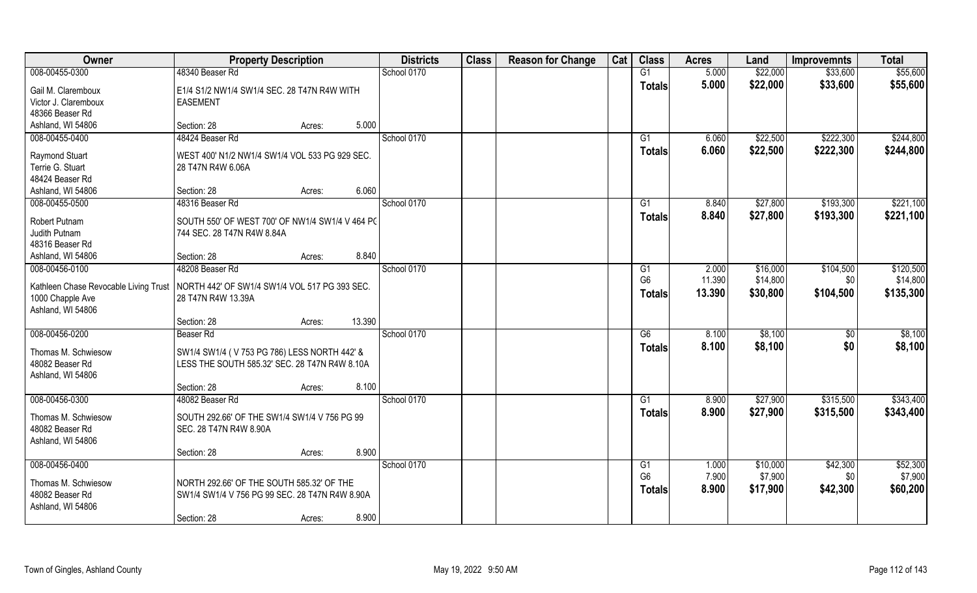| Owner                                                                                 | <b>Property Description</b>                     |        |        | <b>Districts</b> | <b>Class</b> | <b>Reason for Change</b> | Cat | <b>Class</b>    | <b>Acres</b> | Land     | <b>Improvemnts</b> | <b>Total</b> |
|---------------------------------------------------------------------------------------|-------------------------------------------------|--------|--------|------------------|--------------|--------------------------|-----|-----------------|--------------|----------|--------------------|--------------|
| 008-00455-0300                                                                        | 48340 Beaser Rd                                 |        |        | School 0170      |              |                          |     | G1              | 5.000        | \$22,000 | \$33,600           | \$55,600     |
| Gail M. Claremboux                                                                    | E1/4 S1/2 NW1/4 SW1/4 SEC. 28 T47N R4W WITH     |        |        |                  |              |                          |     | <b>Totals</b>   | 5.000        | \$22,000 | \$33,600           | \$55,600     |
| Victor J. Claremboux                                                                  | <b>EASEMENT</b>                                 |        |        |                  |              |                          |     |                 |              |          |                    |              |
| 48366 Beaser Rd                                                                       |                                                 |        |        |                  |              |                          |     |                 |              |          |                    |              |
| Ashland, WI 54806                                                                     | Section: 28                                     | Acres: | 5.000  |                  |              |                          |     |                 |              |          |                    |              |
| 008-00455-0400                                                                        | 48424 Beaser Rd                                 |        |        | School 0170      |              |                          |     | $\overline{G1}$ | 6.060        | \$22,500 | \$222,300          | \$244,800    |
| <b>Raymond Stuart</b>                                                                 | WEST 400' N1/2 NW1/4 SW1/4 VOL 533 PG 929 SEC.  |        |        |                  |              |                          |     | Totals          | 6.060        | \$22,500 | \$222,300          | \$244,800    |
| Terrie G. Stuart                                                                      | 28 T47N R4W 6.06A                               |        |        |                  |              |                          |     |                 |              |          |                    |              |
| 48424 Beaser Rd                                                                       |                                                 |        |        |                  |              |                          |     |                 |              |          |                    |              |
| Ashland, WI 54806                                                                     | Section: 28                                     | Acres: | 6.060  |                  |              |                          |     |                 |              |          |                    |              |
| 008-00455-0500                                                                        | 48316 Beaser Rd                                 |        |        | School 0170      |              |                          |     | G1              | 8.840        | \$27,800 | \$193,300          | \$221,100    |
| Robert Putnam                                                                         | SOUTH 550' OF WEST 700' OF NW1/4 SW1/4 V 464 PC |        |        |                  |              |                          |     | <b>Totals</b>   | 8.840        | \$27,800 | \$193,300          | \$221,100    |
| Judith Putnam                                                                         | 744 SEC. 28 T47N R4W 8.84A                      |        |        |                  |              |                          |     |                 |              |          |                    |              |
| 48316 Beaser Rd                                                                       |                                                 |        |        |                  |              |                          |     |                 |              |          |                    |              |
| Ashland, WI 54806                                                                     | Section: 28                                     | Acres: | 8.840  |                  |              |                          |     |                 |              |          |                    |              |
| 008-00456-0100                                                                        | 48208 Beaser Rd                                 |        |        | School 0170      |              |                          |     | G1              | 2.000        | \$16,000 | \$104,500          | \$120,500    |
| Kathleen Chase Revocable Living Trust   NORTH 442' OF SW1/4 SW1/4 VOL 517 PG 393 SEC. |                                                 |        |        |                  |              |                          |     | G <sub>6</sub>  | 11.390       | \$14,800 | \$0                | \$14,800     |
| 1000 Chapple Ave                                                                      | 28 T47N R4W 13.39A                              |        |        |                  |              |                          |     | <b>Totals</b>   | 13.390       | \$30,800 | \$104,500          | \$135,300    |
| Ashland, WI 54806                                                                     |                                                 |        |        |                  |              |                          |     |                 |              |          |                    |              |
|                                                                                       | Section: 28                                     | Acres: | 13.390 |                  |              |                          |     |                 |              |          |                    |              |
| 008-00456-0200                                                                        | Beaser Rd                                       |        |        | School 0170      |              |                          |     | $\overline{G6}$ | 8.100        | \$8,100  | $\sqrt[6]{30}$     | \$8,100      |
| Thomas M. Schwiesow                                                                   | SW1/4 SW1/4 (V753 PG 786) LESS NORTH 442' &     |        |        |                  |              |                          |     | <b>Totals</b>   | 8.100        | \$8,100  | \$0                | \$8,100      |
| 48082 Beaser Rd                                                                       | LESS THE SOUTH 585.32' SEC. 28 T47N R4W 8.10A   |        |        |                  |              |                          |     |                 |              |          |                    |              |
| Ashland, WI 54806                                                                     |                                                 |        |        |                  |              |                          |     |                 |              |          |                    |              |
|                                                                                       | Section: 28                                     | Acres: | 8.100  |                  |              |                          |     |                 |              |          |                    |              |
| 008-00456-0300                                                                        | 48082 Beaser Rd                                 |        |        | School 0170      |              |                          |     | G1              | 8.900        | \$27,900 | \$315,500          | \$343,400    |
| Thomas M. Schwiesow                                                                   | SOUTH 292.66' OF THE SW1/4 SW1/4 V 756 PG 99    |        |        |                  |              |                          |     | <b>Totals</b>   | 8.900        | \$27,900 | \$315,500          | \$343,400    |
| 48082 Beaser Rd                                                                       | SEC. 28 T47N R4W 8.90A                          |        |        |                  |              |                          |     |                 |              |          |                    |              |
| Ashland, WI 54806                                                                     |                                                 |        |        |                  |              |                          |     |                 |              |          |                    |              |
|                                                                                       | Section: 28                                     | Acres: | 8.900  |                  |              |                          |     |                 |              |          |                    |              |
| 008-00456-0400                                                                        |                                                 |        |        | School 0170      |              |                          |     | G1              | 1.000        | \$10,000 | \$42,300           | \$52,300     |
| Thomas M. Schwiesow                                                                   | NORTH 292.66' OF THE SOUTH 585.32' OF THE       |        |        |                  |              |                          |     | G <sub>6</sub>  | 7.900        | \$7,900  | \$0                | \$7,900      |
| 48082 Beaser Rd                                                                       | SW1/4 SW1/4 V 756 PG 99 SEC. 28 T47N R4W 8.90A  |        |        |                  |              |                          |     | Totals          | 8.900        | \$17,900 | \$42,300           | \$60,200     |
| Ashland, WI 54806                                                                     |                                                 |        |        |                  |              |                          |     |                 |              |          |                    |              |
|                                                                                       | Section: 28                                     | Acres: | 8.900  |                  |              |                          |     |                 |              |          |                    |              |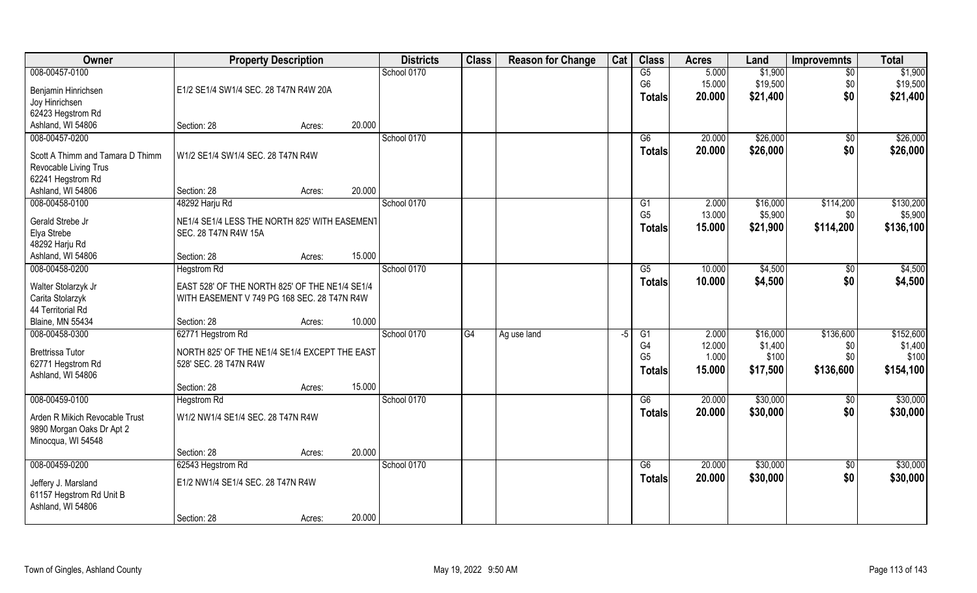| Owner                            | <b>Property Description</b>                    |        |        | <b>Districts</b> | <b>Class</b> | <b>Reason for Change</b> | Cat  | <b>Class</b>   | <b>Acres</b> | Land     | <b>Improvemnts</b> | <b>Total</b> |
|----------------------------------|------------------------------------------------|--------|--------|------------------|--------------|--------------------------|------|----------------|--------------|----------|--------------------|--------------|
| 008-00457-0100                   |                                                |        |        | School 0170      |              |                          |      | G5             | 5.000        | \$1,900  | $\sqrt{6}$         | \$1,900      |
| Benjamin Hinrichsen              | E1/2 SE1/4 SW1/4 SEC. 28 T47N R4W 20A          |        |        |                  |              |                          |      | G <sub>6</sub> | 15.000       | \$19,500 | \$0                | \$19,500     |
| Joy Hinrichsen                   |                                                |        |        |                  |              |                          |      | Totals         | 20.000       | \$21,400 | \$0                | \$21,400     |
| 62423 Hegstrom Rd                |                                                |        |        |                  |              |                          |      |                |              |          |                    |              |
| Ashland, WI 54806                | Section: 28                                    | Acres: | 20.000 |                  |              |                          |      |                |              |          |                    |              |
| 008-00457-0200                   |                                                |        |        | School 0170      |              |                          |      | G6             | 20.000       | \$26,000 | \$0                | \$26,000     |
| Scott A Thimm and Tamara D Thimm | W1/2 SE1/4 SW1/4 SEC. 28 T47N R4W              |        |        |                  |              |                          |      | Totals         | 20.000       | \$26,000 | \$0                | \$26,000     |
| Revocable Living Trus            |                                                |        |        |                  |              |                          |      |                |              |          |                    |              |
| 62241 Hegstrom Rd                |                                                |        |        |                  |              |                          |      |                |              |          |                    |              |
| Ashland, WI 54806                | Section: 28                                    | Acres: | 20.000 |                  |              |                          |      |                |              |          |                    |              |
| 008-00458-0100                   | 48292 Harju Rd                                 |        |        | School 0170      |              |                          |      | G1             | 2.000        | \$16,000 | \$114,200          | \$130,200    |
| Gerald Strebe Jr                 | NE1/4 SE1/4 LESS THE NORTH 825' WITH EASEMENT  |        |        |                  |              |                          |      | G <sub>5</sub> | 13.000       | \$5,900  | \$0                | \$5,900      |
| Elya Strebe                      | SEC. 28 T47N R4W 15A                           |        |        |                  |              |                          |      | Totals         | 15.000       | \$21,900 | \$114,200          | \$136,100    |
| 48292 Harju Rd                   |                                                |        |        |                  |              |                          |      |                |              |          |                    |              |
| Ashland, WI 54806                | Section: 28                                    | Acres: | 15.000 |                  |              |                          |      |                |              |          |                    |              |
| 008-00458-0200                   | <b>Hegstrom Rd</b>                             |        |        | School 0170      |              |                          |      | G5             | 10.000       | \$4,500  | \$0                | \$4,500      |
| Walter Stolarzyk Jr              | EAST 528' OF THE NORTH 825' OF THE NE1/4 SE1/4 |        |        |                  |              |                          |      | <b>Totals</b>  | 10.000       | \$4,500  | \$0                | \$4,500      |
| Carita Stolarzyk                 | WITH EASEMENT V 749 PG 168 SEC. 28 T47N R4W    |        |        |                  |              |                          |      |                |              |          |                    |              |
| 44 Territorial Rd                |                                                |        |        |                  |              |                          |      |                |              |          |                    |              |
| Blaine, MN 55434                 | Section: 28                                    | Acres: | 10.000 |                  |              |                          |      |                |              |          |                    |              |
| 008-00458-0300                   | 62771 Hegstrom Rd                              |        |        | School 0170      | G4           | Ag use land              | $-5$ | G1             | 2.000        | \$16,000 | \$136,600          | \$152,600    |
| <b>Brettrissa Tutor</b>          | NORTH 825' OF THE NE1/4 SE1/4 EXCEPT THE EAST  |        |        |                  |              |                          |      | G4             | 12.000       | \$1,400  | \$0                | \$1,400      |
| 62771 Hegstrom Rd                | 528' SEC. 28 T47N R4W                          |        |        |                  |              |                          |      | G <sub>5</sub> | 1.000        | \$100    | \$0\$              | \$100        |
| Ashland, WI 54806                |                                                |        |        |                  |              |                          |      | <b>Totals</b>  | 15.000       | \$17,500 | \$136,600          | \$154,100    |
|                                  | Section: 28                                    | Acres: | 15.000 |                  |              |                          |      |                |              |          |                    |              |
| 008-00459-0100                   | <b>Hegstrom Rd</b>                             |        |        | School 0170      |              |                          |      | G6             | 20.000       | \$30,000 | \$0                | \$30,000     |
| Arden R Mikich Revocable Trust   | W1/2 NW1/4 SE1/4 SEC. 28 T47N R4W              |        |        |                  |              |                          |      | <b>Totals</b>  | 20,000       | \$30,000 | \$0                | \$30,000     |
| 9890 Morgan Oaks Dr Apt 2        |                                                |        |        |                  |              |                          |      |                |              |          |                    |              |
| Minocqua, WI 54548               |                                                |        |        |                  |              |                          |      |                |              |          |                    |              |
|                                  | Section: 28                                    | Acres: | 20.000 |                  |              |                          |      |                |              |          |                    |              |
| 008-00459-0200                   | 62543 Hegstrom Rd                              |        |        | School 0170      |              |                          |      | G6             | 20.000       | \$30,000 | $\sqrt{$0}$        | \$30,000     |
| Jeffery J. Marsland              | E1/2 NW1/4 SE1/4 SEC. 28 T47N R4W              |        |        |                  |              |                          |      | <b>Totals</b>  | 20.000       | \$30,000 | \$0                | \$30,000     |
| 61157 Hegstrom Rd Unit B         |                                                |        |        |                  |              |                          |      |                |              |          |                    |              |
| Ashland, WI 54806                |                                                |        |        |                  |              |                          |      |                |              |          |                    |              |
|                                  | Section: 28                                    | Acres: | 20.000 |                  |              |                          |      |                |              |          |                    |              |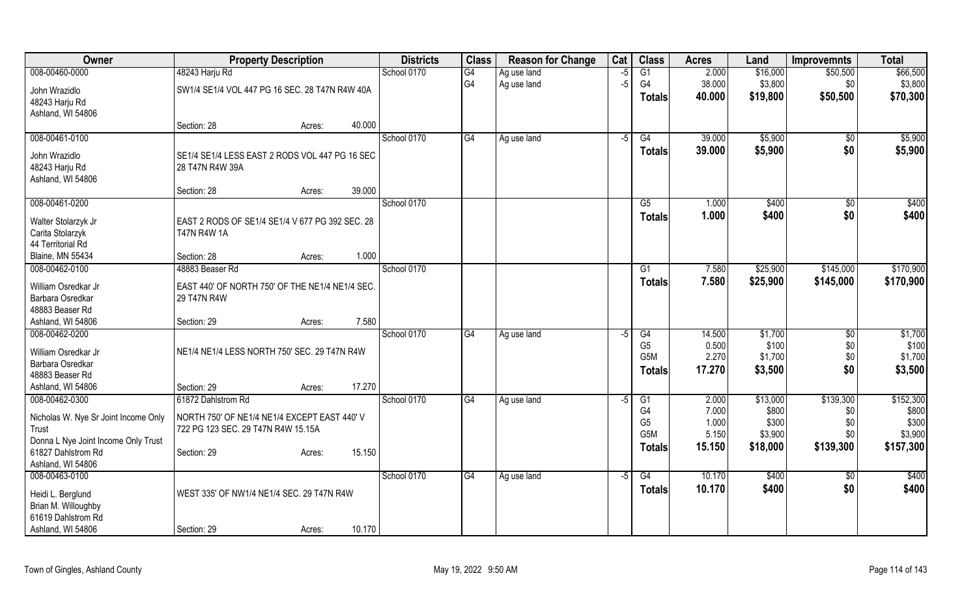| Owner                                | <b>Property Description</b>                     | <b>Districts</b> | <b>Class</b>    | <b>Reason for Change</b> | Cat  | <b>Class</b>          | <b>Acres</b>     | Land             | <b>Improvemnts</b> | <b>Total</b>     |
|--------------------------------------|-------------------------------------------------|------------------|-----------------|--------------------------|------|-----------------------|------------------|------------------|--------------------|------------------|
| 008-00460-0000                       | 48243 Harju Rd                                  | School 0170      | $\overline{G4}$ | Ag use land              | $-5$ | $\overline{G1}$       | 2.000            | \$16,000         | \$50,500           | \$66,500         |
| John Wrazidlo                        | SW1/4 SE1/4 VOL 447 PG 16 SEC. 28 T47N R4W 40A  |                  | G4              | Ag use land              | $-5$ | G <sub>4</sub>        | 38.000           | \$3,800          | \$0                | \$3,800          |
| 48243 Harju Rd                       |                                                 |                  |                 |                          |      | <b>Totals</b>         | 40.000           | \$19,800         | \$50,500           | \$70,300         |
| Ashland, WI 54806                    |                                                 |                  |                 |                          |      |                       |                  |                  |                    |                  |
|                                      | 40.000<br>Section: 28<br>Acres:                 |                  |                 |                          |      |                       |                  |                  |                    |                  |
| 008-00461-0100                       |                                                 | School 0170      | G4              | Ag use land              | $-5$ | G4                    | 39.000           | \$5,900          | \$0                | \$5,900          |
| John Wrazidlo                        | SE1/4 SE1/4 LESS EAST 2 RODS VOL 447 PG 16 SEC. |                  |                 |                          |      | <b>Totals</b>         | 39.000           | \$5,900          | \$0                | \$5,900          |
| 48243 Harju Rd                       | 28 T47N R4W 39A                                 |                  |                 |                          |      |                       |                  |                  |                    |                  |
| Ashland, WI 54806                    |                                                 |                  |                 |                          |      |                       |                  |                  |                    |                  |
|                                      | 39.000<br>Section: 28<br>Acres:                 |                  |                 |                          |      |                       |                  |                  |                    |                  |
| 008-00461-0200                       |                                                 | School 0170      |                 |                          |      | G5                    | 1.000            | \$400            | $\sqrt[6]{30}$     | \$400            |
| Walter Stolarzyk Jr                  | EAST 2 RODS OF SE1/4 SE1/4 V 677 PG 392 SEC. 28 |                  |                 |                          |      | <b>Totals</b>         | 1.000            | \$400            | \$0                | \$400            |
| Carita Stolarzyk                     | <b>T47N R4W 1A</b>                              |                  |                 |                          |      |                       |                  |                  |                    |                  |
| 44 Territorial Rd                    |                                                 |                  |                 |                          |      |                       |                  |                  |                    |                  |
| <b>Blaine, MN 55434</b>              | 1.000<br>Section: 28<br>Acres:                  |                  |                 |                          |      |                       |                  |                  |                    |                  |
| 008-00462-0100                       | 48883 Beaser Rd                                 | School 0170      |                 |                          |      | $\overline{G1}$       | 7.580            | \$25,900         | \$145,000          | \$170,900        |
| William Osredkar Jr                  | EAST 440' OF NORTH 750' OF THE NE1/4 NE1/4 SEC. |                  |                 |                          |      | <b>Totals</b>         | 7.580            | \$25,900         | \$145,000          | \$170,900        |
| Barbara Osredkar                     | 29 T47N R4W                                     |                  |                 |                          |      |                       |                  |                  |                    |                  |
| 48883 Beaser Rd                      |                                                 |                  |                 |                          |      |                       |                  |                  |                    |                  |
| Ashland, WI 54806                    | 7.580<br>Section: 29<br>Acres:                  |                  |                 |                          |      |                       |                  |                  |                    |                  |
| 008-00462-0200                       |                                                 | School 0170      | $\overline{G4}$ | Ag use land              | $-5$ | $\overline{G4}$       | 14.500           | \$1,700          | \$0                | \$1,700          |
| William Osredkar Jr                  | NE1/4 NE1/4 LESS NORTH 750' SEC. 29 T47N R4W    |                  |                 |                          |      | G <sub>5</sub><br>G5M | 0.500<br>2.270   | \$100<br>\$1,700 | \$0<br>\$0         | \$100<br>\$1,700 |
| Barbara Osredkar                     |                                                 |                  |                 |                          |      |                       | 17.270           | \$3,500          | \$0                | \$3,500          |
| 48883 Beaser Rd                      |                                                 |                  |                 |                          |      | <b>Totals</b>         |                  |                  |                    |                  |
| Ashland, WI 54806                    | 17.270<br>Section: 29<br>Acres:                 |                  |                 |                          |      |                       |                  |                  |                    |                  |
| 008-00462-0300                       | 61872 Dahlstrom Rd                              | School 0170      | G4              | Ag use land              | -5   | G1                    | 2.000            | \$13,000         | \$139,300          | \$152,300        |
| Nicholas W. Nye Sr Joint Income Only | NORTH 750' OF NE1/4 NE1/4 EXCEPT EAST 440' V    |                  |                 |                          |      | G4<br>G <sub>5</sub>  | 7.000<br>1.000   | \$800<br>\$300   | \$0<br>\$0         | \$800<br>\$300   |
| Trust                                | 722 PG 123 SEC. 29 T47N R4W 15.15A              |                  |                 |                          |      | G <sub>5</sub> M      | 5.150            | \$3,900          | \$0                | \$3,900          |
| Donna L Nye Joint Income Only Trust  |                                                 |                  |                 |                          |      | <b>Totals</b>         | 15.150           | \$18,000         | \$139,300          | \$157,300        |
| 61827 Dahlstrom Rd                   | 15.150<br>Section: 29<br>Acres:                 |                  |                 |                          |      |                       |                  |                  |                    |                  |
| Ashland, WI 54806                    |                                                 |                  |                 |                          |      |                       |                  |                  |                    |                  |
| 008-00463-0100                       |                                                 | School 0170      | G4              | Ag use land              | $-5$ | G4                    | 10.170<br>10.170 | \$400<br>\$400   | \$0<br>\$0         | \$400<br>\$400   |
| Heidi L. Berglund                    | WEST 335' OF NW1/4 NE1/4 SEC. 29 T47N R4W       |                  |                 |                          |      | <b>Totals</b>         |                  |                  |                    |                  |
| Brian M. Willoughby                  |                                                 |                  |                 |                          |      |                       |                  |                  |                    |                  |
| 61619 Dahlstrom Rd                   |                                                 |                  |                 |                          |      |                       |                  |                  |                    |                  |
| Ashland, WI 54806                    | 10.170<br>Section: 29<br>Acres:                 |                  |                 |                          |      |                       |                  |                  |                    |                  |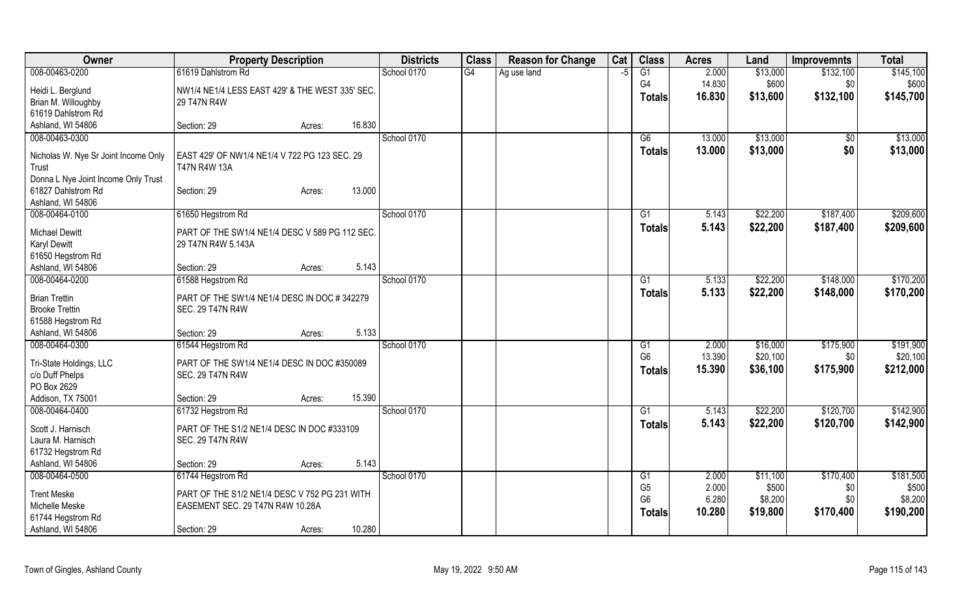| Owner                                                                          | <b>Property Description</b>                                   |        |        | <b>Districts</b> | <b>Class</b> | <b>Reason for Change</b> | Cat  | <b>Class</b>         | <b>Acres</b>    | Land                 | <b>Improvemnts</b> | <b>Total</b>          |
|--------------------------------------------------------------------------------|---------------------------------------------------------------|--------|--------|------------------|--------------|--------------------------|------|----------------------|-----------------|----------------------|--------------------|-----------------------|
| 008-00463-0200                                                                 | 61619 Dahlstrom Rd                                            |        |        | School 0170      | G4           | Ag use land              | $-5$ | $\overline{G1}$      | 2.000           | \$13,000             | \$132,100          | \$145,100             |
| Heidi L. Berglund                                                              | NW1/4 NE1/4 LESS EAST 429' & THE WEST 335' SEC.               |        |        |                  |              |                          |      | G4                   | 14.830          | \$600                | \$0                | \$600                 |
| Brian M. Willoughby                                                            | 29 T47N R4W                                                   |        |        |                  |              |                          |      | <b>Totals</b>        | 16.830          | \$13,600             | \$132,100          | \$145,700             |
| 61619 Dahlstrom Rd                                                             |                                                               |        |        |                  |              |                          |      |                      |                 |                      |                    |                       |
| Ashland, WI 54806                                                              | Section: 29                                                   | Acres: | 16.830 |                  |              |                          |      |                      |                 |                      |                    |                       |
| 008-00463-0300                                                                 |                                                               |        |        | School 0170      |              |                          |      | G6                   | 13.000          | \$13,000             | $\sqrt{$0}$        | \$13,000              |
| Nicholas W. Nye Sr Joint Income Only<br>Trust                                  | EAST 429' OF NW1/4 NE1/4 V 722 PG 123 SEC. 29<br>T47N R4W 13A |        |        |                  |              |                          |      | <b>Totals</b>        | 13.000          | \$13,000             | \$0                | \$13,000              |
| Donna L Nye Joint Income Only Trust<br>61827 Dahlstrom Rd<br>Ashland, WI 54806 | Section: 29                                                   | Acres: | 13.000 |                  |              |                          |      |                      |                 |                      |                    |                       |
| 008-00464-0100                                                                 | 61650 Hegstrom Rd                                             |        |        | School 0170      |              |                          |      | $\overline{G1}$      | 5.143           | \$22,200             | \$187,400          | \$209,600             |
| <b>Michael Dewitt</b>                                                          | PART OF THE SW1/4 NE1/4 DESC V 589 PG 112 SEC.                |        |        |                  |              |                          |      | <b>Totals</b>        | 5.143           | \$22,200             | \$187,400          | \$209,600             |
| <b>Karyl Dewitt</b>                                                            | 29 T47N R4W 5.143A                                            |        |        |                  |              |                          |      |                      |                 |                      |                    |                       |
| 61650 Hegstrom Rd                                                              |                                                               |        |        |                  |              |                          |      |                      |                 |                      |                    |                       |
| Ashland, WI 54806                                                              | Section: 29                                                   | Acres: | 5.143  |                  |              |                          |      |                      |                 |                      |                    |                       |
| 008-00464-0200                                                                 | 61588 Hegstrom Rd                                             |        |        | School 0170      |              |                          |      | G1                   | 5.133           | \$22,200             | \$148,000          | \$170,200             |
| <b>Brian Trettin</b>                                                           | PART OF THE SW1/4 NE1/4 DESC IN DOC #342279                   |        |        |                  |              |                          |      | <b>Totals</b>        | 5.133           | \$22,200             | \$148,000          | \$170,200             |
| <b>Brooke Trettin</b>                                                          | <b>SEC. 29 T47N R4W</b>                                       |        |        |                  |              |                          |      |                      |                 |                      |                    |                       |
| 61588 Hegstrom Rd                                                              |                                                               |        |        |                  |              |                          |      |                      |                 |                      |                    |                       |
| Ashland, WI 54806                                                              | Section: 29                                                   | Acres: | 5.133  |                  |              |                          |      |                      |                 |                      |                    |                       |
| 008-00464-0300                                                                 | 61544 Hegstrom Rd                                             |        |        | School 0170      |              |                          |      | G1<br>G <sub>6</sub> | 2.000<br>13.390 | \$16,000<br>\$20,100 | \$175,900<br>\$0   | \$191,900<br>\$20,100 |
| Tri-State Holdings, LLC                                                        | PART OF THE SW1/4 NE1/4 DESC IN DOC #350089                   |        |        |                  |              |                          |      | Totals               | 15.390          | \$36,100             | \$175,900          | \$212,000             |
| c/o Duff Phelps                                                                | <b>SEC. 29 T47N R4W</b>                                       |        |        |                  |              |                          |      |                      |                 |                      |                    |                       |
| PO Box 2629<br>Addison, TX 75001                                               | Section: 29                                                   |        | 15.390 |                  |              |                          |      |                      |                 |                      |                    |                       |
| 008-00464-0400                                                                 | 61732 Hegstrom Rd                                             | Acres: |        | School 0170      |              |                          |      | G1                   | 5.143           | \$22,200             | \$120,700          | \$142,900             |
|                                                                                |                                                               |        |        |                  |              |                          |      | <b>Totals</b>        | 5.143           | \$22,200             | \$120,700          | \$142,900             |
| Scott J. Harnisch                                                              | PART OF THE S1/2 NE1/4 DESC IN DOC #333109                    |        |        |                  |              |                          |      |                      |                 |                      |                    |                       |
| Laura M. Harnisch<br>61732 Hegstrom Rd                                         | <b>SEC. 29 T47N R4W</b>                                       |        |        |                  |              |                          |      |                      |                 |                      |                    |                       |
| Ashland, WI 54806                                                              | Section: 29                                                   | Acres: | 5.143  |                  |              |                          |      |                      |                 |                      |                    |                       |
| 008-00464-0500                                                                 | 61744 Hegstrom Rd                                             |        |        | School 0170      |              |                          |      | G1                   | 2.000           | \$11,100             | \$170,400          | \$181,500             |
| <b>Trent Meske</b>                                                             | PART OF THE S1/2 NE1/4 DESC V 752 PG 231 WITH                 |        |        |                  |              |                          |      | G <sub>5</sub>       | 2.000           | \$500                | \$0                | \$500                 |
| Michelle Meske                                                                 | EASEMENT SEC. 29 T47N R4W 10.28A                              |        |        |                  |              |                          |      | G <sub>6</sub>       | 6.280           | \$8,200              | \$0                | \$8,200               |
| 61744 Hegstrom Rd                                                              |                                                               |        |        |                  |              |                          |      | Totals               | 10.280          | \$19,800             | \$170,400          | \$190,200             |
| Ashland, WI 54806                                                              | Section: 29                                                   | Acres: | 10.280 |                  |              |                          |      |                      |                 |                      |                    |                       |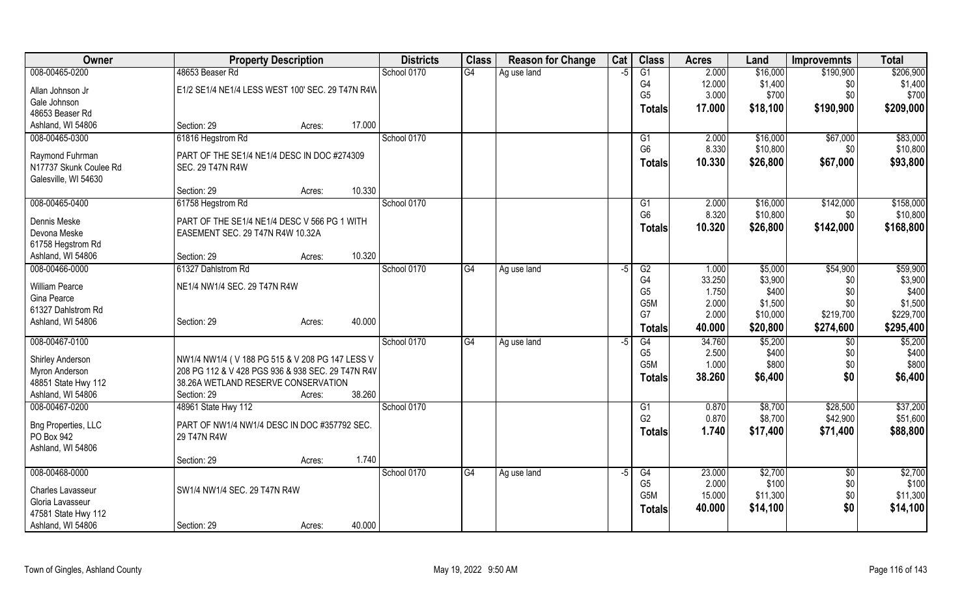| Owner                      | <b>Property Description</b>                       |        |        | <b>Districts</b> | <b>Class</b> | <b>Reason for Change</b> | Cat  | <b>Class</b>     | <b>Acres</b> | Land     | <b>Improvemnts</b> | <b>Total</b> |
|----------------------------|---------------------------------------------------|--------|--------|------------------|--------------|--------------------------|------|------------------|--------------|----------|--------------------|--------------|
| 008-00465-0200             | 48653 Beaser Rd                                   |        |        | School 0170      | G4           | Ag use land              | -5   | G1               | 2.000        | \$16,000 | \$190,900          | \$206,900    |
| Allan Johnson Jr           | E1/2 SE1/4 NE1/4 LESS WEST 100' SEC. 29 T47N R4W  |        |        |                  |              |                          |      | G4               | 12.000       | \$1,400  | \$0                | \$1,400      |
| Gale Johnson               |                                                   |        |        |                  |              |                          |      | G <sub>5</sub>   | 3.000        | \$700    | \$0                | \$700        |
| 48653 Beaser Rd            |                                                   |        |        |                  |              |                          |      | Totals           | 17.000       | \$18,100 | \$190,900          | \$209,000    |
| Ashland, WI 54806          | Section: 29                                       | Acres: | 17.000 |                  |              |                          |      |                  |              |          |                    |              |
| 008-00465-0300             | 61816 Hegstrom Rd                                 |        |        | School 0170      |              |                          |      | G1               | 2.000        | \$16,000 | \$67,000           | \$83,000     |
| Raymond Fuhrman            | PART OF THE SE1/4 NE1/4 DESC IN DOC #274309       |        |        |                  |              |                          |      | G <sub>6</sub>   | 8.330        | \$10,800 | \$0                | \$10,800     |
| N17737 Skunk Coulee Rd     | <b>SEC. 29 T47N R4W</b>                           |        |        |                  |              |                          |      | <b>Totals</b>    | 10.330       | \$26,800 | \$67,000           | \$93,800     |
| Galesville, WI 54630       |                                                   |        |        |                  |              |                          |      |                  |              |          |                    |              |
|                            | Section: 29                                       | Acres: | 10.330 |                  |              |                          |      |                  |              |          |                    |              |
| 008-00465-0400             | 61758 Hegstrom Rd                                 |        |        | School 0170      |              |                          |      | G1               | 2.000        | \$16,000 | \$142,000          | \$158,000    |
| Dennis Meske               | PART OF THE SE1/4 NE1/4 DESC V 566 PG 1 WITH      |        |        |                  |              |                          |      | G <sub>6</sub>   | 8.320        | \$10,800 | \$0                | \$10,800     |
| Devona Meske               | EASEMENT SEC. 29 T47N R4W 10.32A                  |        |        |                  |              |                          |      | <b>Totals</b>    | 10.320       | \$26,800 | \$142,000          | \$168,800    |
| 61758 Hegstrom Rd          |                                                   |        |        |                  |              |                          |      |                  |              |          |                    |              |
| Ashland, WI 54806          | Section: 29                                       | Acres: | 10.320 |                  |              |                          |      |                  |              |          |                    |              |
| 008-00466-0000             | 61327 Dahlstrom Rd                                |        |        | School 0170      | G4           | Ag use land              | -5   | G2               | 1.000        | \$5,000  | \$54,900           | \$59,900     |
| <b>William Pearce</b>      |                                                   |        |        |                  |              |                          |      | G4               | 33.250       | \$3,900  | \$0                | \$3,900      |
| Gina Pearce                | NE1/4 NW1/4 SEC. 29 T47N R4W                      |        |        |                  |              |                          |      | G <sub>5</sub>   | 1.750        | \$400    | \$0                | \$400        |
| 61327 Dahlstrom Rd         |                                                   |        |        |                  |              |                          |      | G <sub>5</sub> M | 2.000        | \$1,500  | \$0                | \$1,500      |
| Ashland, WI 54806          | Section: 29                                       | Acres: | 40.000 |                  |              |                          |      | G7               | 2.000        | \$10,000 | \$219,700          | \$229,700    |
|                            |                                                   |        |        |                  |              |                          |      | <b>Totals</b>    | 40.000       | \$20,800 | \$274,600          | \$295,400    |
| 008-00467-0100             |                                                   |        |        | School 0170      | G4           | Ag use land              | $-5$ | G4               | 34.760       | \$5,200  | $\overline{50}$    | \$5,200      |
| Shirley Anderson           | NW1/4 NW1/4 (V 188 PG 515 & V 208 PG 147 LESS V   |        |        |                  |              |                          |      | G <sub>5</sub>   | 2.500        | \$400    | \$0                | \$400        |
| Myron Anderson             | 208 PG 112 & V 428 PGS 936 & 938 SEC. 29 T47N R4V |        |        |                  |              |                          |      | G <sub>5</sub> M | 1.000        | \$800    | \$0                | \$800        |
| 48851 State Hwy 112        | 38.26A WETLAND RESERVE CONSERVATION               |        |        |                  |              |                          |      | Totals           | 38.260       | \$6,400  | \$0                | \$6,400      |
| Ashland, WI 54806          | Section: 29                                       | Acres: | 38.260 |                  |              |                          |      |                  |              |          |                    |              |
| 008-00467-0200             | 48961 State Hwy 112                               |        |        | School 0170      |              |                          |      | G <sub>1</sub>   | 0.870        | \$8,700  | \$28,500           | \$37,200     |
| <b>Bng Properties, LLC</b> | PART OF NW1/4 NW1/4 DESC IN DOC #357792 SEC.      |        |        |                  |              |                          |      | G <sub>2</sub>   | 0.870        | \$8,700  | \$42,900           | \$51,600     |
| PO Box 942                 | 29 T47N R4W                                       |        |        |                  |              |                          |      | <b>Totals</b>    | 1.740        | \$17,400 | \$71,400           | \$88,800     |
| Ashland, WI 54806          |                                                   |        |        |                  |              |                          |      |                  |              |          |                    |              |
|                            | Section: 29                                       | Acres: | 1.740  |                  |              |                          |      |                  |              |          |                    |              |
| 008-00468-0000             |                                                   |        |        | School 0170      | G4           | Ag use land              | $-5$ | G4               | 23.000       | \$2,700  | \$0                | \$2,700      |
| Charles Lavasseur          | SW1/4 NW1/4 SEC. 29 T47N R4W                      |        |        |                  |              |                          |      | G <sub>5</sub>   | 2.000        | \$100    | \$0                | \$100        |
| Gloria Lavasseur           |                                                   |        |        |                  |              |                          |      | G <sub>5</sub> M | 15.000       | \$11,300 | \$0                | \$11,300     |
| 47581 State Hwy 112        |                                                   |        |        |                  |              |                          |      | <b>Totals</b>    | 40.000       | \$14,100 | \$0                | \$14,100     |
| Ashland, WI 54806          | Section: 29                                       | Acres: | 40.000 |                  |              |                          |      |                  |              |          |                    |              |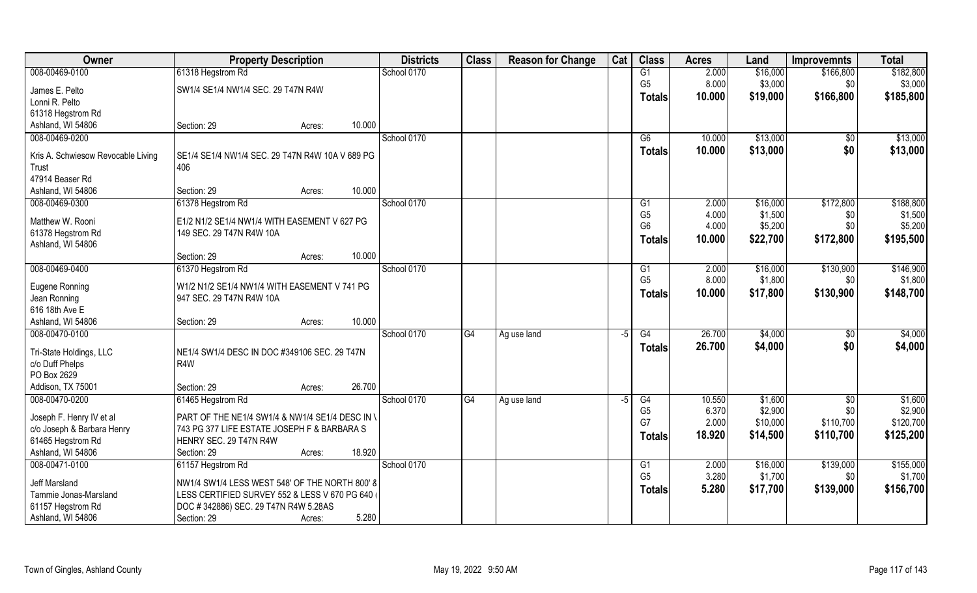| Owner                              | <b>Property Description</b>                     |        | <b>Districts</b> | <b>Class</b>    | <b>Reason for Change</b> | Cat  | <b>Class</b>   | <b>Acres</b> | Land     | Improvemnts     | <b>Total</b> |
|------------------------------------|-------------------------------------------------|--------|------------------|-----------------|--------------------------|------|----------------|--------------|----------|-----------------|--------------|
| 008-00469-0100                     | 61318 Hegstrom Rd                               |        | School 0170      |                 |                          |      | G1             | 2.000        | \$16,000 | \$166,800       | \$182,800    |
| James E. Pelto                     | SW1/4 SE1/4 NW1/4 SEC. 29 T47N R4W              |        |                  |                 |                          |      | G <sub>5</sub> | 8.000        | \$3,000  | \$0             | \$3,000      |
| Lonni R. Pelto                     |                                                 |        |                  |                 |                          |      | <b>Totals</b>  | 10.000       | \$19,000 | \$166,800       | \$185,800    |
| 61318 Hegstrom Rd                  |                                                 |        |                  |                 |                          |      |                |              |          |                 |              |
| Ashland, WI 54806                  | Section: 29<br>Acres:                           | 10.000 |                  |                 |                          |      |                |              |          |                 |              |
| 008-00469-0200                     |                                                 |        | School 0170      |                 |                          |      | G6             | 10.000       | \$13,000 | $\overline{50}$ | \$13,000     |
| Kris A. Schwiesow Revocable Living | SE1/4 SE1/4 NW1/4 SEC. 29 T47N R4W 10A V 689 PG |        |                  |                 |                          |      | Totals         | 10.000       | \$13,000 | \$0             | \$13,000     |
| Trust                              | 406                                             |        |                  |                 |                          |      |                |              |          |                 |              |
| 47914 Beaser Rd                    |                                                 |        |                  |                 |                          |      |                |              |          |                 |              |
| Ashland, WI 54806                  | Section: 29<br>Acres:                           | 10.000 |                  |                 |                          |      |                |              |          |                 |              |
| 008-00469-0300                     | 61378 Hegstrom Rd                               |        | School 0170      |                 |                          |      | G <sub>1</sub> | 2.000        | \$16,000 | \$172,800       | \$188,800    |
| Matthew W. Rooni                   | E1/2 N1/2 SE1/4 NW1/4 WITH EASEMENT V 627 PG    |        |                  |                 |                          |      | G <sub>5</sub> | 4.000        | \$1,500  | \$0             | \$1,500      |
| 61378 Hegstrom Rd                  | 149 SEC. 29 T47N R4W 10A                        |        |                  |                 |                          |      | G <sub>6</sub> | 4.000        | \$5,200  | \$0             | \$5,200      |
| Ashland, WI 54806                  |                                                 |        |                  |                 |                          |      | Totals         | 10.000       | \$22,700 | \$172,800       | \$195,500    |
|                                    | Section: 29<br>Acres:                           | 10.000 |                  |                 |                          |      |                |              |          |                 |              |
| 008-00469-0400                     | 61370 Hegstrom Rd                               |        | School 0170      |                 |                          |      | G1             | 2.000        | \$16,000 | \$130,900       | \$146,900    |
| Eugene Ronning                     | W1/2 N1/2 SE1/4 NW1/4 WITH EASEMENT V 741 PG    |        |                  |                 |                          |      | G <sub>5</sub> | 8.000        | \$1,800  | \$0             | \$1,800      |
| Jean Ronning                       | 947 SEC. 29 T47N R4W 10A                        |        |                  |                 |                          |      | <b>Totals</b>  | 10.000       | \$17,800 | \$130,900       | \$148,700    |
| 616 18th Ave E                     |                                                 |        |                  |                 |                          |      |                |              |          |                 |              |
| Ashland, WI 54806                  | Section: 29<br>Acres:                           | 10.000 |                  |                 |                          |      |                |              |          |                 |              |
| 008-00470-0100                     |                                                 |        | School 0170      | $\overline{G4}$ | Ag use land              | $-5$ | G4             | 26.700       | \$4,000  | \$0             | \$4,000      |
| Tri-State Holdings, LLC            | NE1/4 SW1/4 DESC IN DOC #349106 SEC. 29 T47N    |        |                  |                 |                          |      | <b>Totals</b>  | 26.700       | \$4,000  | \$0             | \$4,000      |
| c/o Duff Phelps                    | R4W                                             |        |                  |                 |                          |      |                |              |          |                 |              |
| PO Box 2629                        |                                                 |        |                  |                 |                          |      |                |              |          |                 |              |
| Addison, TX 75001                  | Section: 29<br>Acres:                           | 26.700 |                  |                 |                          |      |                |              |          |                 |              |
| 008-00470-0200                     | 61465 Hegstrom Rd                               |        | School 0170      | G4              | Ag use land              | -5   | G4             | 10.550       | \$1,600  | \$0             | \$1,600      |
| Joseph F. Henry IV et al           | PART OF THE NE1/4 SW1/4 & NW1/4 SE1/4 DESC IN \ |        |                  |                 |                          |      | G <sub>5</sub> | 6.370        | \$2,900  | \$0             | \$2,900      |
| c/o Joseph & Barbara Henry         | 743 PG 377 LIFE ESTATE JOSEPH F & BARBARA S     |        |                  |                 |                          |      | G7             | 2.000        | \$10,000 | \$110,700       | \$120,700    |
| 61465 Hegstrom Rd                  | HENRY SEC. 29 T47N R4W                          |        |                  |                 |                          |      | <b>Totals</b>  | 18.920       | \$14,500 | \$110,700       | \$125,200    |
| Ashland, WI 54806                  | Section: 29<br>Acres:                           | 18.920 |                  |                 |                          |      |                |              |          |                 |              |
| 008-00471-0100                     | 61157 Hegstrom Rd                               |        | School 0170      |                 |                          |      | G1             | 2.000        | \$16,000 | \$139,000       | \$155,000    |
| Jeff Marsland                      | NW1/4 SW1/4 LESS WEST 548' OF THE NORTH 800' 8  |        |                  |                 |                          |      | G <sub>5</sub> | 3.280        | \$1,700  | \$0             | \$1,700      |
| Tammie Jonas-Marsland              | LESS CERTIFIED SURVEY 552 & LESS V 670 PG 640   |        |                  |                 |                          |      | <b>Totals</b>  | 5.280        | \$17,700 | \$139,000       | \$156,700    |
| 61157 Hegstrom Rd                  | DOC #342886) SEC. 29 T47N R4W 5.28AS            |        |                  |                 |                          |      |                |              |          |                 |              |
| Ashland, WI 54806                  | Section: 29<br>Acres:                           | 5.280  |                  |                 |                          |      |                |              |          |                 |              |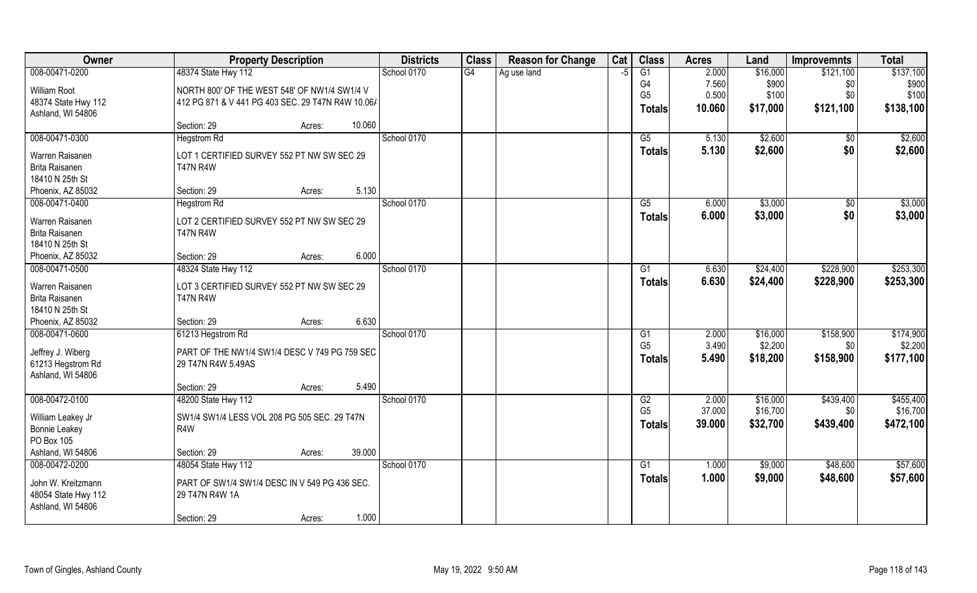| Owner                                     | <b>Property Description</b>                                     | <b>Districts</b> | <b>Class</b> | <b>Reason for Change</b> | Cat | <b>Class</b>    | <b>Acres</b> | Land     | <b>Improvemnts</b> | <b>Total</b> |
|-------------------------------------------|-----------------------------------------------------------------|------------------|--------------|--------------------------|-----|-----------------|--------------|----------|--------------------|--------------|
| 008-00471-0200                            | 48374 State Hwy 112                                             | School 0170      | G4           | Ag use land              | -5  | $\overline{G1}$ | 2.000        | \$16,000 | \$121,100          | \$137,100    |
| William Root                              | NORTH 800' OF THE WEST 548' OF NW1/4 SW1/4 V                    |                  |              |                          |     | G4              | 7.560        | \$900    | \$0                | \$900        |
| 48374 State Hwy 112                       | 412 PG 871 & V 441 PG 403 SEC. 29 T47N R4W 10.06/               |                  |              |                          |     | G <sub>5</sub>  | 0.500        | \$100    | \$0                | \$100        |
| Ashland, WI 54806                         |                                                                 |                  |              |                          |     | <b>Totals</b>   | 10.060       | \$17,000 | \$121,100          | \$138,100    |
|                                           | 10.060<br>Section: 29<br>Acres:                                 |                  |              |                          |     |                 |              |          |                    |              |
| 008-00471-0300                            | <b>Hegstrom Rd</b>                                              | School 0170      |              |                          |     | $\overline{G5}$ | 5.130        | \$2,600  | \$0                | \$2,600      |
| Warren Raisanen                           | LOT 1 CERTIFIED SURVEY 552 PT NW SW SEC 29                      |                  |              |                          |     | Totals          | 5.130        | \$2,600  | \$0                | \$2,600      |
| <b>Brita Raisanen</b>                     | <b>T47N R4W</b>                                                 |                  |              |                          |     |                 |              |          |                    |              |
| 18410 N 25th St                           |                                                                 |                  |              |                          |     |                 |              |          |                    |              |
| Phoenix, AZ 85032                         | 5.130<br>Section: 29<br>Acres:                                  |                  |              |                          |     |                 |              |          |                    |              |
| 008-00471-0400                            | <b>Hegstrom Rd</b>                                              | School 0170      |              |                          |     | $\overline{G5}$ | 6.000        | \$3,000  | \$0                | \$3,000      |
| Warren Raisanen                           | LOT 2 CERTIFIED SURVEY 552 PT NW SW SEC 29                      |                  |              |                          |     | <b>Totals</b>   | 6.000        | \$3,000  | \$0                | \$3,000      |
| Brita Raisanen                            | <b>T47N R4W</b>                                                 |                  |              |                          |     |                 |              |          |                    |              |
| 18410 N 25th St                           |                                                                 |                  |              |                          |     |                 |              |          |                    |              |
| Phoenix, AZ 85032                         | 6.000<br>Section: 29<br>Acres:                                  |                  |              |                          |     |                 |              |          |                    |              |
| 008-00471-0500                            | 48324 State Hwy 112                                             | School 0170      |              |                          |     | G1              | 6.630        | \$24,400 | \$228,900          | \$253,300    |
| Warren Raisanen                           | LOT 3 CERTIFIED SURVEY 552 PT NW SW SEC 29                      |                  |              |                          |     | <b>Totals</b>   | 6.630        | \$24,400 | \$228,900          | \$253,300    |
| <b>Brita Raisanen</b>                     | <b>T47N R4W</b>                                                 |                  |              |                          |     |                 |              |          |                    |              |
| 18410 N 25th St                           |                                                                 |                  |              |                          |     |                 |              |          |                    |              |
| Phoenix, AZ 85032                         | 6.630<br>Section: 29<br>Acres:                                  |                  |              |                          |     |                 |              |          |                    |              |
| 008-00471-0600                            | 61213 Hegstrom Rd                                               | School 0170      |              |                          |     | $\overline{G1}$ | 2.000        | \$16,000 | \$158,900          | \$174,900    |
| Jeffrey J. Wiberg                         | PART OF THE NW1/4 SW1/4 DESC V 749 PG 759 SEC                   |                  |              |                          |     | G <sub>5</sub>  | 3.490        | \$2,200  | \$0                | \$2,200      |
| 61213 Hegstrom Rd                         | 29 T47N R4W 5.49AS                                              |                  |              |                          |     | Totals          | 5.490        | \$18,200 | \$158,900          | \$177,100    |
| Ashland, WI 54806                         |                                                                 |                  |              |                          |     |                 |              |          |                    |              |
|                                           | 5.490<br>Section: 29<br>Acres:                                  |                  |              |                          |     |                 |              |          |                    |              |
| 008-00472-0100                            | 48200 State Hwy 112                                             | School 0170      |              |                          |     | G2              | 2.000        | \$16,000 | \$439,400          | \$455,400    |
| William Leakey Jr                         | SW1/4 SW1/4 LESS VOL 208 PG 505 SEC. 29 T47N                    |                  |              |                          |     | G <sub>5</sub>  | 37.000       | \$16,700 | \$0                | \$16,700     |
| <b>Bonnie Leakey</b>                      | R4W                                                             |                  |              |                          |     | <b>Totals</b>   | 39.000       | \$32,700 | \$439,400          | \$472,100    |
| PO Box 105                                |                                                                 |                  |              |                          |     |                 |              |          |                    |              |
| Ashland, WI 54806                         | 39.000<br>Section: 29<br>Acres:                                 |                  |              |                          |     |                 |              |          |                    |              |
| 008-00472-0200                            | 48054 State Hwy 112                                             | School 0170      |              |                          |     | G1              | 1.000        | \$9,000  | \$48,600           | \$57,600     |
|                                           |                                                                 |                  |              |                          |     | Totals          | 1.000        | \$9,000  | \$48,600           | \$57,600     |
| John W. Kreitzmann<br>48054 State Hwy 112 | PART OF SW1/4 SW1/4 DESC IN V 549 PG 436 SEC.<br>29 T47N R4W 1A |                  |              |                          |     |                 |              |          |                    |              |
| Ashland, WI 54806                         |                                                                 |                  |              |                          |     |                 |              |          |                    |              |
|                                           | 1.000<br>Section: 29<br>Acres:                                  |                  |              |                          |     |                 |              |          |                    |              |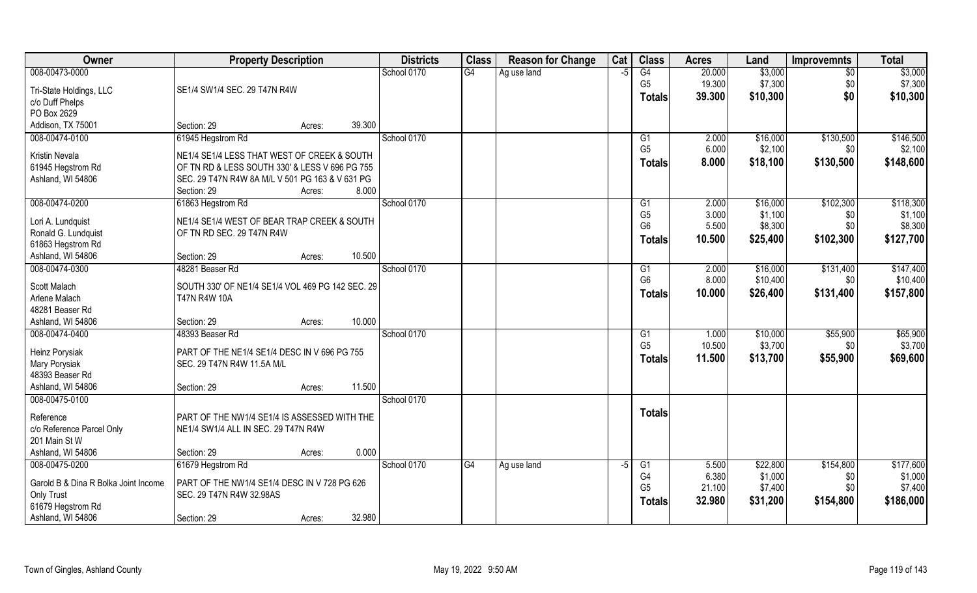| Owner                                  | <b>Property Description</b>                      |        |        | <b>Districts</b> | <b>Class</b>    | <b>Reason for Change</b> | Cat  | <b>Class</b>   | <b>Acres</b> | Land     | <b>Improvemnts</b> | <b>Total</b> |
|----------------------------------------|--------------------------------------------------|--------|--------|------------------|-----------------|--------------------------|------|----------------|--------------|----------|--------------------|--------------|
| 008-00473-0000                         |                                                  |        |        | School 0170      | $\overline{G4}$ | Ag use land              | $-5$ | G4             | 20.000       | \$3,000  | $\overline{30}$    | \$3,000      |
| Tri-State Holdings, LLC                | SE1/4 SW1/4 SEC. 29 T47N R4W                     |        |        |                  |                 |                          |      | G <sub>5</sub> | 19.300       | \$7,300  | \$0                | \$7,300      |
| c/o Duff Phelps                        |                                                  |        |        |                  |                 |                          |      | <b>Totals</b>  | 39.300       | \$10,300 | \$0                | \$10,300     |
| PO Box 2629                            |                                                  |        |        |                  |                 |                          |      |                |              |          |                    |              |
| Addison, TX 75001                      | Section: 29                                      | Acres: | 39.300 |                  |                 |                          |      |                |              |          |                    |              |
| 008-00474-0100                         | 61945 Hegstrom Rd                                |        |        | School 0170      |                 |                          |      | G1             | 2.000        | \$16,000 | \$130,500          | \$146,500    |
| <b>Kristin Nevala</b>                  | NE1/4 SE1/4 LESS THAT WEST OF CREEK & SOUTH      |        |        |                  |                 |                          |      | G <sub>5</sub> | 6.000        | \$2,100  | \$0                | \$2,100      |
| 61945 Hegstrom Rd                      | OF TN RD & LESS SOUTH 330' & LESS V 696 PG 755   |        |        |                  |                 |                          |      | <b>Totals</b>  | 8.000        | \$18,100 | \$130,500          | \$148,600    |
| Ashland, WI 54806                      | SEC. 29 T47N R4W 8A M/L V 501 PG 163 & V 631 PG  |        |        |                  |                 |                          |      |                |              |          |                    |              |
|                                        | Section: 29                                      | Acres: | 8.000  |                  |                 |                          |      |                |              |          |                    |              |
| 008-00474-0200                         | 61863 Hegstrom Rd                                |        |        | School 0170      |                 |                          |      | G1             | 2.000        | \$16,000 | \$102,300          | \$118,300    |
| Lori A. Lundquist                      | NE1/4 SE1/4 WEST OF BEAR TRAP CREEK & SOUTH      |        |        |                  |                 |                          |      | G <sub>5</sub> | 3.000        | \$1,100  | \$0                | \$1,100      |
| Ronald G. Lundquist                    | OF TN RD SEC. 29 T47N R4W                        |        |        |                  |                 |                          |      | G <sub>6</sub> | 5.500        | \$8,300  | \$0                | \$8,300      |
| 61863 Hegstrom Rd                      |                                                  |        |        |                  |                 |                          |      | Totals         | 10.500       | \$25,400 | \$102,300          | \$127,700    |
| Ashland, WI 54806                      | Section: 29                                      | Acres: | 10.500 |                  |                 |                          |      |                |              |          |                    |              |
| 008-00474-0300                         | 48281 Beaser Rd                                  |        |        | School 0170      |                 |                          |      | G <sub>1</sub> | 2.000        | \$16,000 | \$131,400          | \$147,400    |
| Scott Malach                           | SOUTH 330' OF NE1/4 SE1/4 VOL 469 PG 142 SEC. 29 |        |        |                  |                 |                          |      | G <sub>6</sub> | 8.000        | \$10,400 | \$0                | \$10,400     |
| Arlene Malach                          | <b>T47N R4W 10A</b>                              |        |        |                  |                 |                          |      | <b>Totals</b>  | 10.000       | \$26,400 | \$131,400          | \$157,800    |
| 48281 Beaser Rd                        |                                                  |        |        |                  |                 |                          |      |                |              |          |                    |              |
| Ashland, WI 54806                      | Section: 29                                      | Acres: | 10.000 |                  |                 |                          |      |                |              |          |                    |              |
| 008-00474-0400                         | 48393 Beaser Rd                                  |        |        | School 0170      |                 |                          |      | G1             | 1.000        | \$10,000 | \$55,900           | \$65,900     |
| Heinz Porysiak                         | PART OF THE NE1/4 SE1/4 DESC IN V 696 PG 755     |        |        |                  |                 |                          |      | G <sub>5</sub> | 10.500       | \$3,700  | \$0                | \$3,700      |
| Mary Porysiak                          | SEC. 29 T47N R4W 11.5A M/L                       |        |        |                  |                 |                          |      | <b>Totals</b>  | 11.500       | \$13,700 | \$55,900           | \$69,600     |
| 48393 Beaser Rd                        |                                                  |        |        |                  |                 |                          |      |                |              |          |                    |              |
| Ashland, WI 54806                      | Section: 29                                      | Acres: | 11.500 |                  |                 |                          |      |                |              |          |                    |              |
| 008-00475-0100                         |                                                  |        |        | School 0170      |                 |                          |      |                |              |          |                    |              |
|                                        |                                                  |        |        |                  |                 |                          |      | <b>Totals</b>  |              |          |                    |              |
| Reference<br>c/o Reference Parcel Only | PART OF THE NW1/4 SE1/4 IS ASSESSED WITH THE     |        |        |                  |                 |                          |      |                |              |          |                    |              |
| 201 Main St W                          | NE1/4 SW1/4 ALL IN SEC. 29 T47N R4W              |        |        |                  |                 |                          |      |                |              |          |                    |              |
| Ashland, WI 54806                      | Section: 29                                      | Acres: | 0.000  |                  |                 |                          |      |                |              |          |                    |              |
| 008-00475-0200                         | 61679 Hegstrom Rd                                |        |        | School 0170      | $\overline{G4}$ | Ag use land              | $-5$ | G1             | 5.500        | \$22,800 | \$154,800          | \$177,600    |
|                                        |                                                  |        |        |                  |                 |                          |      | G4             | 6.380        | \$1,000  | \$0                | \$1,000      |
| Garold B & Dina R Bolka Joint Income   | PART OF THE NW1/4 SE1/4 DESC IN V 728 PG 626     |        |        |                  |                 |                          |      | G <sub>5</sub> | 21.100       | \$7,400  | \$0                | \$7,400      |
| Only Trust                             | SEC. 29 T47N R4W 32.98AS                         |        |        |                  |                 |                          |      | <b>Totals</b>  | 32.980       | \$31,200 | \$154,800          | \$186,000    |
| 61679 Hegstrom Rd                      |                                                  |        | 32.980 |                  |                 |                          |      |                |              |          |                    |              |
| Ashland, WI 54806                      | Section: 29                                      | Acres: |        |                  |                 |                          |      |                |              |          |                    |              |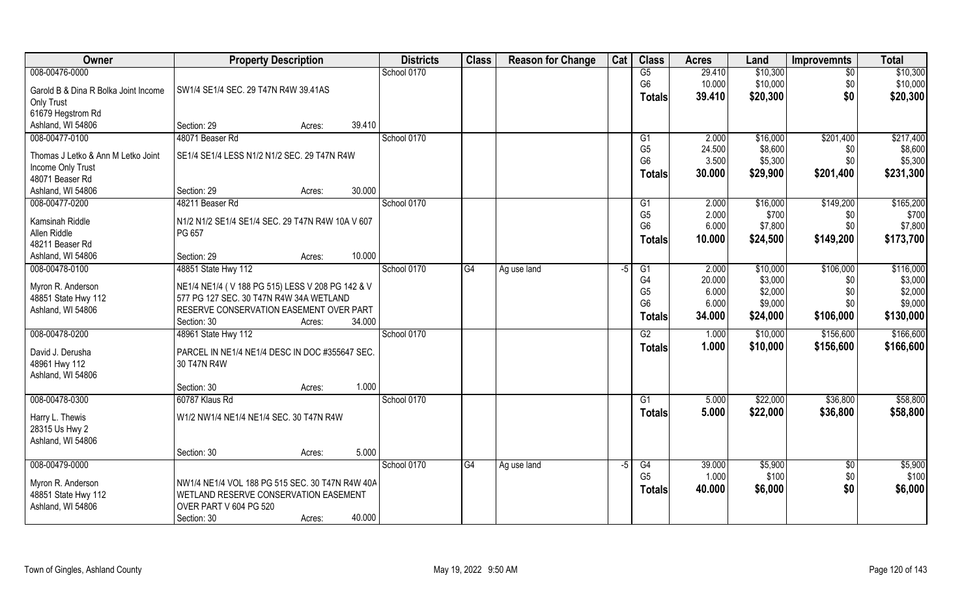| <b>Owner</b>                             | <b>Property Description</b>                                                                 |        | <b>Districts</b> | <b>Class</b> | <b>Reason for Change</b> | Cat  | <b>Class</b>    | <b>Acres</b> | Land     | <b>Improvemnts</b> | <b>Total</b> |
|------------------------------------------|---------------------------------------------------------------------------------------------|--------|------------------|--------------|--------------------------|------|-----------------|--------------|----------|--------------------|--------------|
| 008-00476-0000                           |                                                                                             |        | School 0170      |              |                          |      | G5              | 29.410       | \$10,300 | $\overline{50}$    | \$10,300     |
| Garold B & Dina R Bolka Joint Income     | SW1/4 SE1/4 SEC. 29 T47N R4W 39.41AS                                                        |        |                  |              |                          |      | G <sub>6</sub>  | 10.000       | \$10,000 | \$0                | \$10,000     |
| Only Trust                               |                                                                                             |        |                  |              |                          |      | <b>Totals</b>   | 39.410       | \$20,300 | \$0                | \$20,300     |
| 61679 Hegstrom Rd                        |                                                                                             |        |                  |              |                          |      |                 |              |          |                    |              |
| Ashland, WI 54806                        | Section: 29<br>Acres:                                                                       | 39.410 |                  |              |                          |      |                 |              |          |                    |              |
| 008-00477-0100                           | 48071 Beaser Rd                                                                             |        | School 0170      |              |                          |      | G <sub>1</sub>  | 2.000        | \$16,000 | \$201,400          | \$217,400    |
| Thomas J Letko & Ann M Letko Joint       | SE1/4 SE1/4 LESS N1/2 N1/2 SEC. 29 T47N R4W                                                 |        |                  |              |                          |      | G <sub>5</sub>  | 24.500       | \$8,600  | \$0                | \$8,600      |
| Income Only Trust                        |                                                                                             |        |                  |              |                          |      | G <sub>6</sub>  | 3.500        | \$5,300  | \$0                | \$5,300      |
| 48071 Beaser Rd                          |                                                                                             |        |                  |              |                          |      | <b>Totals</b>   | 30.000       | \$29,900 | \$201,400          | \$231,300    |
| Ashland, WI 54806                        | Section: 29<br>Acres:                                                                       | 30.000 |                  |              |                          |      |                 |              |          |                    |              |
| 008-00477-0200                           | 48211 Beaser Rd                                                                             |        | School 0170      |              |                          |      | G1              | 2.000        | \$16,000 | \$149,200          | \$165,200    |
| Kamsinah Riddle                          | N1/2 N1/2 SE1/4 SE1/4 SEC. 29 T47N R4W 10A V 607                                            |        |                  |              |                          |      | G <sub>5</sub>  | 2.000        | \$700    | \$0                | \$700        |
| Allen Riddle                             | PG 657                                                                                      |        |                  |              |                          |      | G <sub>6</sub>  | 6.000        | \$7,800  | \$0                | \$7,800      |
| 48211 Beaser Rd                          |                                                                                             |        |                  |              |                          |      | <b>Totals</b>   | 10.000       | \$24,500 | \$149,200          | \$173,700    |
| Ashland, WI 54806                        | Section: 29<br>Acres:                                                                       | 10.000 |                  |              |                          |      |                 |              |          |                    |              |
| 008-00478-0100                           | 48851 State Hwy 112                                                                         |        | School 0170      | G4           | Ag use land              | $-5$ | G1              | 2.000        | \$10,000 | \$106,000          | \$116,000    |
|                                          |                                                                                             |        |                  |              |                          |      | G <sub>4</sub>  | 20.000       | \$3,000  | \$0                | \$3,000      |
| Myron R. Anderson                        | NE1/4 NE1/4 (V 188 PG 515) LESS V 208 PG 142 & V<br>577 PG 127 SEC. 30 T47N R4W 34A WETLAND |        |                  |              |                          |      | G <sub>5</sub>  | 6.000        | \$2,000  | \$0                | \$2,000      |
| 48851 State Hwy 112<br>Ashland, WI 54806 | RESERVE CONSERVATION EASEMENT OVER PART                                                     |        |                  |              |                          |      | G <sub>6</sub>  | 6.000        | \$9,000  | \$0                | \$9,000      |
|                                          | Section: 30<br>Acres:                                                                       | 34.000 |                  |              |                          |      | <b>Totals</b>   | 34.000       | \$24,000 | \$106,000          | \$130,000    |
| 008-00478-0200                           | 48961 State Hwy 112                                                                         |        | School 0170      |              |                          |      | $\overline{G2}$ | 1.000        | \$10,000 | \$156,600          | \$166,600    |
|                                          |                                                                                             |        |                  |              |                          |      | <b>Totals</b>   | 1.000        | \$10,000 | \$156,600          | \$166,600    |
| David J. Derusha                         | PARCEL IN NE1/4 NE1/4 DESC IN DOC #355647 SEC.                                              |        |                  |              |                          |      |                 |              |          |                    |              |
| 48961 Hwy 112                            | 30 T47N R4W                                                                                 |        |                  |              |                          |      |                 |              |          |                    |              |
| Ashland, WI 54806                        | Section: 30<br>Acres:                                                                       | 1.000  |                  |              |                          |      |                 |              |          |                    |              |
| 008-00478-0300                           | 60787 Klaus Rd                                                                              |        | School 0170      |              |                          |      | G1              | 5.000        | \$22,000 | \$36,800           | \$58,800     |
|                                          |                                                                                             |        |                  |              |                          |      | <b>Totals</b>   | 5.000        | \$22,000 | \$36,800           | \$58,800     |
| Harry L. Thewis                          | W1/2 NW1/4 NE1/4 NE1/4 SEC. 30 T47N R4W                                                     |        |                  |              |                          |      |                 |              |          |                    |              |
| 28315 Us Hwy 2                           |                                                                                             |        |                  |              |                          |      |                 |              |          |                    |              |
| Ashland, WI 54806                        |                                                                                             |        |                  |              |                          |      |                 |              |          |                    |              |
|                                          | Section: 30<br>Acres:                                                                       | 5.000  |                  |              |                          |      |                 |              |          |                    |              |
| 008-00479-0000                           |                                                                                             |        | School 0170      | G4           | Ag use land              | -5   | G4              | 39.000       | \$5,900  | $\sqrt[6]{}$       | \$5,900      |
| Myron R. Anderson                        | NW1/4 NE1/4 VOL 188 PG 515 SEC. 30 T47N R4W 40A                                             |        |                  |              |                          |      | G <sub>5</sub>  | 1.000        | \$100    | \$0                | \$100        |
| 48851 State Hwy 112                      | WETLAND RESERVE CONSERVATION EASEMENT                                                       |        |                  |              |                          |      | <b>Totals</b>   | 40.000       | \$6,000  | \$0                | \$6,000      |
| Ashland, WI 54806                        | OVER PART V 604 PG 520                                                                      |        |                  |              |                          |      |                 |              |          |                    |              |
|                                          | Section: 30<br>Acres:                                                                       | 40.000 |                  |              |                          |      |                 |              |          |                    |              |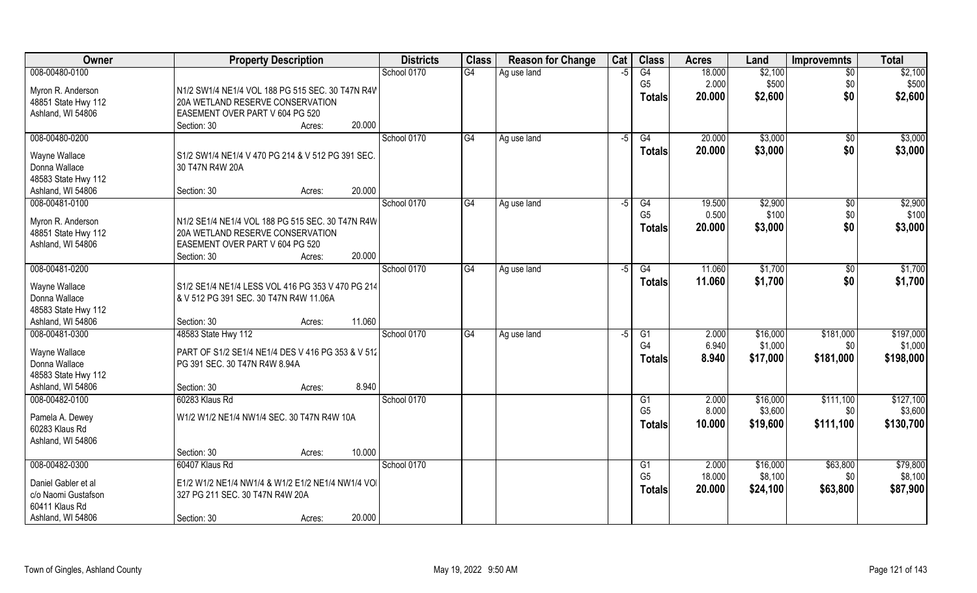| Owner                                 | <b>Property Description</b>                                                        | <b>Districts</b> | <b>Class</b>    | <b>Reason for Change</b> | Cat  | <b>Class</b>   | <b>Acres</b> | Land     | <b>Improvemnts</b> | <b>Total</b> |
|---------------------------------------|------------------------------------------------------------------------------------|------------------|-----------------|--------------------------|------|----------------|--------------|----------|--------------------|--------------|
| 008-00480-0100                        |                                                                                    | School 0170      | $\overline{G4}$ | Ag use land              | $-5$ | G4             | 18.000       | \$2,100  | $\overline{50}$    | \$2,100      |
| Myron R. Anderson                     | N1/2 SW1/4 NE1/4 VOL 188 PG 515 SEC. 30 T47N R4W                                   |                  |                 |                          |      | G <sub>5</sub> | 2.000        | \$500    | \$0                | \$500        |
| 48851 State Hwy 112                   | 20A WETLAND RESERVE CONSERVATION                                                   |                  |                 |                          |      | <b>Totals</b>  | 20.000       | \$2,600  | \$0                | \$2,600      |
| Ashland, WI 54806                     | EASEMENT OVER PART V 604 PG 520                                                    |                  |                 |                          |      |                |              |          |                    |              |
|                                       | 20.000<br>Section: 30<br>Acres:                                                    |                  |                 |                          |      |                |              |          |                    |              |
| 008-00480-0200                        |                                                                                    | School 0170      | G4              | Ag use land              | $-5$ | G4             | 20.000       | \$3,000  | \$0                | \$3,000      |
| Wayne Wallace                         | S1/2 SW1/4 NE1/4 V 470 PG 214 & V 512 PG 391 SEC.                                  |                  |                 |                          |      | Totals         | 20.000       | \$3,000  | \$0                | \$3,000      |
| Donna Wallace                         | 30 T47N R4W 20A                                                                    |                  |                 |                          |      |                |              |          |                    |              |
| 48583 State Hwy 112                   |                                                                                    |                  |                 |                          |      |                |              |          |                    |              |
| Ashland, WI 54806                     | 20.000<br>Section: 30<br>Acres:                                                    |                  |                 |                          |      |                |              |          |                    |              |
| 008-00481-0100                        |                                                                                    | School 0170      | G4              | Ag use land              | $-5$ | G4             | 19.500       | \$2,900  | $\sqrt[6]{30}$     | \$2,900      |
| Myron R. Anderson                     | N1/2 SE1/4 NE1/4 VOL 188 PG 515 SEC. 30 T47N R4W                                   |                  |                 |                          |      | G <sub>5</sub> | 0.500        | \$100    | \$0                | \$100        |
| 48851 State Hwy 112                   | 20A WETLAND RESERVE CONSERVATION                                                   |                  |                 |                          |      | <b>Totals</b>  | 20.000       | \$3,000  | \$0                | \$3,000      |
| Ashland, WI 54806                     | EASEMENT OVER PART V 604 PG 520                                                    |                  |                 |                          |      |                |              |          |                    |              |
|                                       | 20.000<br>Section: 30<br>Acres:                                                    |                  |                 |                          |      |                |              |          |                    |              |
| 008-00481-0200                        |                                                                                    | School 0170      | G4              | Ag use land              | -5   | G4             | 11.060       | \$1,700  | $\sqrt[6]{3}$      | \$1,700      |
| Wayne Wallace                         | S1/2 SE1/4 NE1/4 LESS VOL 416 PG 353 V 470 PG 214                                  |                  |                 |                          |      | <b>Totals</b>  | 11.060       | \$1,700  | \$0                | \$1,700      |
| Donna Wallace                         | & V 512 PG 391 SEC. 30 T47N R4W 11.06A                                             |                  |                 |                          |      |                |              |          |                    |              |
| 48583 State Hwy 112                   |                                                                                    |                  |                 |                          |      |                |              |          |                    |              |
| Ashland, WI 54806                     | 11.060<br>Section: 30<br>Acres:                                                    |                  |                 |                          |      |                |              |          |                    |              |
| 008-00481-0300                        | 48583 State Hwy 112                                                                | School 0170      | G4              | Ag use land              | $-5$ | G1             | 2.000        | \$16,000 | \$181,000          | \$197,000    |
|                                       |                                                                                    |                  |                 |                          |      | G <sub>4</sub> | 6.940        | \$1,000  | \$0                | \$1,000      |
| Wayne Wallace<br>Donna Wallace        | PART OF S1/2 SE1/4 NE1/4 DES V 416 PG 353 & V 512<br>PG 391 SEC. 30 T47N R4W 8.94A |                  |                 |                          |      | <b>Totals</b>  | 8.940        | \$17,000 | \$181,000          | \$198,000    |
| 48583 State Hwy 112                   |                                                                                    |                  |                 |                          |      |                |              |          |                    |              |
| Ashland, WI 54806                     | 8.940<br>Section: 30<br>Acres:                                                     |                  |                 |                          |      |                |              |          |                    |              |
| 008-00482-0100                        | 60283 Klaus Rd                                                                     | School 0170      |                 |                          |      | G1             | 2.000        | \$16,000 | \$111,100          | \$127,100    |
|                                       |                                                                                    |                  |                 |                          |      | G <sub>5</sub> | 8.000        | \$3,600  | \$0                | \$3,600      |
| Pamela A. Dewey<br>60283 Klaus Rd     | W1/2 W1/2 NE1/4 NW1/4 SEC. 30 T47N R4W 10A                                         |                  |                 |                          |      | <b>Totals</b>  | 10.000       | \$19,600 | \$111,100          | \$130,700    |
| Ashland, WI 54806                     |                                                                                    |                  |                 |                          |      |                |              |          |                    |              |
|                                       | 10.000<br>Section: 30<br>Acres:                                                    |                  |                 |                          |      |                |              |          |                    |              |
| 008-00482-0300                        | 60407 Klaus Rd                                                                     | School 0170      |                 |                          |      | G1             | 2.000        | \$16,000 | \$63,800           | \$79,800     |
|                                       |                                                                                    |                  |                 |                          |      | G <sub>5</sub> | 18.000       | \$8,100  | \$0                | \$8,100      |
| Daniel Gabler et al                   | E1/2 W1/2 NE1/4 NW1/4 & W1/2 E1/2 NE1/4 NW1/4 VOI                                  |                  |                 |                          |      | <b>Totals</b>  | 20.000       | \$24,100 | \$63,800           | \$87,900     |
| c/o Naomi Gustafson<br>60411 Klaus Rd | 327 PG 211 SEC. 30 T47N R4W 20A                                                    |                  |                 |                          |      |                |              |          |                    |              |
| Ashland, WI 54806                     | 20.000<br>Section: 30<br>Acres:                                                    |                  |                 |                          |      |                |              |          |                    |              |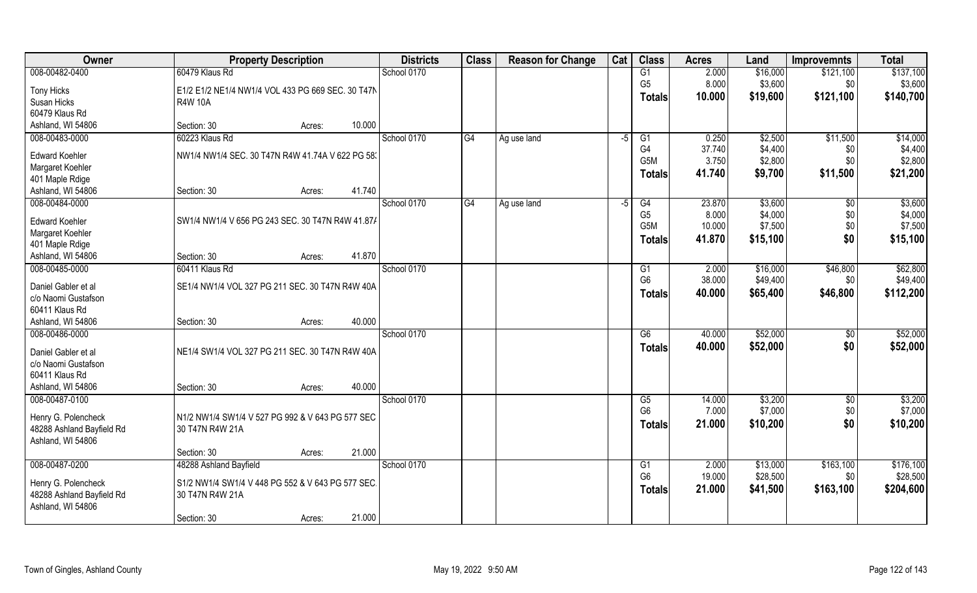| Owner                     | <b>Property Description</b>                       | <b>Districts</b> | <b>Class</b>    | <b>Reason for Change</b> | Cat  | <b>Class</b>                       | <b>Acres</b>    | Land               | <b>Improvemnts</b> | <b>Total</b>        |
|---------------------------|---------------------------------------------------|------------------|-----------------|--------------------------|------|------------------------------------|-----------------|--------------------|--------------------|---------------------|
| 008-00482-0400            | 60479 Klaus Rd                                    | School 0170      |                 |                          |      | G1                                 | 2.000           | \$16,000           | \$121,100          | \$137,100           |
| <b>Tony Hicks</b>         | E1/2 E1/2 NE1/4 NW1/4 VOL 433 PG 669 SEC. 30 T47N |                  |                 |                          |      | G <sub>5</sub>                     | 8.000           | \$3,600            | \$0                | \$3,600             |
| Susan Hicks               | <b>R4W 10A</b>                                    |                  |                 |                          |      | <b>Totals</b>                      | 10.000          | \$19,600           | \$121,100          | \$140,700           |
| 60479 Klaus Rd            |                                                   |                  |                 |                          |      |                                    |                 |                    |                    |                     |
| Ashland, WI 54806         | 10.000<br>Section: 30<br>Acres:                   |                  |                 |                          |      |                                    |                 |                    |                    |                     |
| 008-00483-0000            | 60223 Klaus Rd                                    | School 0170      | $\overline{G4}$ | Ag use land              | $-5$ | G1                                 | 0.250           | \$2,500            | \$11,500           | \$14,000            |
| <b>Edward Koehler</b>     | NW1/4 NW1/4 SEC. 30 T47N R4W 41.74A V 622 PG 58.  |                  |                 |                          |      | G <sub>4</sub>                     | 37.740          | \$4,400            | \$0                | \$4,400             |
| Margaret Koehler          |                                                   |                  |                 |                          |      | G5M                                | 3.750           | \$2,800            | \$0                | \$2,800             |
| 401 Maple Rdige           |                                                   |                  |                 |                          |      | <b>Totals</b>                      | 41.740          | \$9,700            | \$11,500           | \$21,200            |
| Ashland, WI 54806         | 41.740<br>Section: 30<br>Acres:                   |                  |                 |                          |      |                                    |                 |                    |                    |                     |
| 008-00484-0000            |                                                   | School 0170      | G4              | Ag use land              | $-5$ | G4                                 | 23.870          | \$3,600            | $\sqrt{6}$         | \$3,600             |
| <b>Edward Koehler</b>     | SW1/4 NW1/4 V 656 PG 243 SEC. 30 T47N R4W 41.87/  |                  |                 |                          |      | G <sub>5</sub><br>G <sub>5</sub> M | 8.000<br>10.000 | \$4,000<br>\$7,500 | \$0                | \$4,000             |
| Margaret Koehler          |                                                   |                  |                 |                          |      |                                    | 41.870          |                    | \$0                | \$7,500<br>\$15,100 |
| 401 Maple Rdige           |                                                   |                  |                 |                          |      | <b>Totals</b>                      |                 | \$15,100           | \$0                |                     |
| Ashland, WI 54806         | 41.870<br>Section: 30<br>Acres:                   |                  |                 |                          |      |                                    |                 |                    |                    |                     |
| 008-00485-0000            | 60411 Klaus Rd                                    | School 0170      |                 |                          |      | G <sub>1</sub>                     | 2.000           | \$16,000           | \$46,800           | \$62,800            |
| Daniel Gabler et al       | SE1/4 NW1/4 VOL 327 PG 211 SEC. 30 T47N R4W 40A   |                  |                 |                          |      | G <sub>6</sub>                     | 38.000          | \$49,400           | \$0                | \$49,400            |
| c/o Naomi Gustafson       |                                                   |                  |                 |                          |      | <b>Totals</b>                      | 40.000          | \$65,400           | \$46,800           | \$112,200           |
| 60411 Klaus Rd            |                                                   |                  |                 |                          |      |                                    |                 |                    |                    |                     |
| Ashland, WI 54806         | 40.000<br>Section: 30<br>Acres:                   |                  |                 |                          |      |                                    |                 |                    |                    |                     |
| 008-00486-0000            |                                                   | School 0170      |                 |                          |      | $\overline{G6}$                    | 40.000          | \$52,000           | \$0                | \$52,000            |
| Daniel Gabler et al       | NE1/4 SW1/4 VOL 327 PG 211 SEC. 30 T47N R4W 40A   |                  |                 |                          |      | <b>Totals</b>                      | 40.000          | \$52,000           | \$0                | \$52,000            |
| c/o Naomi Gustafson       |                                                   |                  |                 |                          |      |                                    |                 |                    |                    |                     |
| 60411 Klaus Rd            |                                                   |                  |                 |                          |      |                                    |                 |                    |                    |                     |
| Ashland, WI 54806         | 40.000<br>Section: 30<br>Acres:                   |                  |                 |                          |      |                                    |                 |                    |                    |                     |
| 008-00487-0100            |                                                   | School 0170      |                 |                          |      | G5                                 | 14.000          | \$3,200            | \$0                | \$3,200             |
| Henry G. Polencheck       | N1/2 NW1/4 SW1/4 V 527 PG 992 & V 643 PG 577 SEC  |                  |                 |                          |      | G <sub>6</sub>                     | 7.000           | \$7,000            | \$0                | \$7,000             |
| 48288 Ashland Bayfield Rd | 30 T47N R4W 21A                                   |                  |                 |                          |      | <b>Totals</b>                      | 21.000          | \$10,200           | \$0                | \$10,200            |
| Ashland, WI 54806         |                                                   |                  |                 |                          |      |                                    |                 |                    |                    |                     |
|                           | 21.000<br>Section: 30<br>Acres:                   |                  |                 |                          |      |                                    |                 |                    |                    |                     |
| 008-00487-0200            | 48288 Ashland Bayfield                            | School 0170      |                 |                          |      | G1                                 | 2.000           | \$13,000           | \$163,100          | \$176,100           |
| Henry G. Polencheck       | S1/2 NW1/4 SW1/4 V 448 PG 552 & V 643 PG 577 SEC  |                  |                 |                          |      | G <sub>6</sub>                     | 19.000          | \$28,500           | \$0                | \$28,500            |
| 48288 Ashland Bayfield Rd | 30 T47N R4W 21A                                   |                  |                 |                          |      | <b>Totals</b>                      | 21.000          | \$41,500           | \$163,100          | \$204,600           |
| Ashland, WI 54806         |                                                   |                  |                 |                          |      |                                    |                 |                    |                    |                     |
|                           | 21.000<br>Section: 30<br>Acres:                   |                  |                 |                          |      |                                    |                 |                    |                    |                     |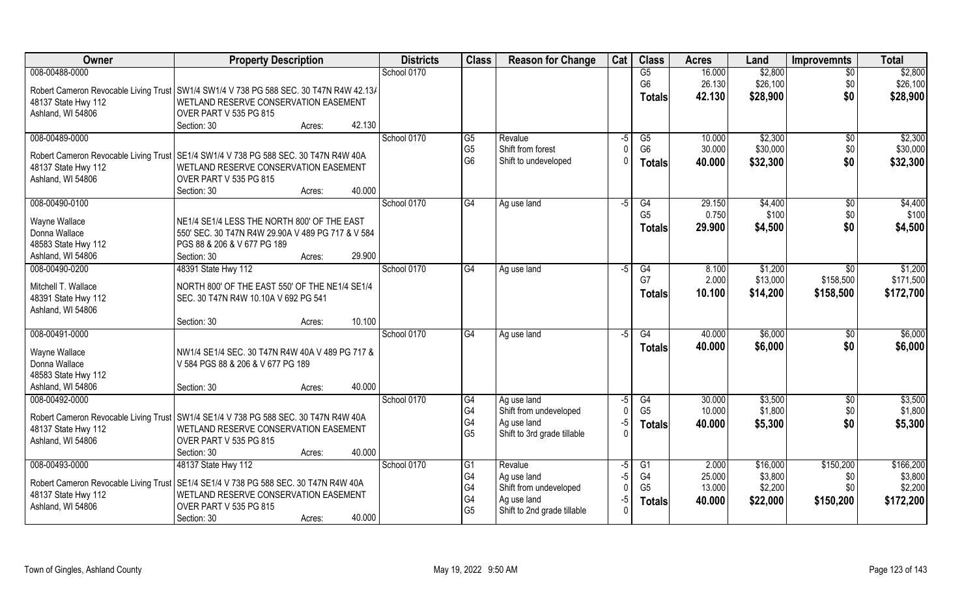| Owner                                 | <b>Property Description</b>                                                              | <b>Districts</b> | <b>Class</b>           | <b>Reason for Change</b>    | Cat         | <b>Class</b>    | <b>Acres</b> | Land     | <b>Improvemnts</b> | <b>Total</b> |
|---------------------------------------|------------------------------------------------------------------------------------------|------------------|------------------------|-----------------------------|-------------|-----------------|--------------|----------|--------------------|--------------|
| 008-00488-0000                        |                                                                                          | School 0170      |                        |                             |             | G5              | 16.000       | \$2,800  | $\overline{50}$    | \$2,800      |
|                                       | Robert Cameron Revocable Living Trust   SW1/4 SW1/4 V 738 PG 588 SEC. 30 T47N R4W 42.13/ |                  |                        |                             |             | G <sub>6</sub>  | 26.130       | \$26,100 | \$0                | \$26,100     |
| 48137 State Hwy 112                   | WETLAND RESERVE CONSERVATION EASEMENT                                                    |                  |                        |                             |             | <b>Totals</b>   | 42.130       | \$28,900 | \$0                | \$28,900     |
| Ashland, WI 54806                     | OVER PART V 535 PG 815                                                                   |                  |                        |                             |             |                 |              |          |                    |              |
|                                       | 42.130<br>Section: 30<br>Acres:                                                          |                  |                        |                             |             |                 |              |          |                    |              |
| 008-00489-0000                        |                                                                                          | School 0170      | G5                     | Revalue                     | -5          | G5              | 10.000       | \$2,300  | $\sqrt{6}$         | \$2,300      |
|                                       | Robert Cameron Revocable Living Trust SE1/4 SW1/4 V 738 PG 588 SEC. 30 T47N R4W 40A      |                  | G <sub>5</sub>         | Shift from forest           |             | G <sub>6</sub>  | 30.000       | \$30,000 | \$0                | \$30,000     |
| 48137 State Hwy 112                   | WETLAND RESERVE CONSERVATION EASEMENT                                                    |                  | G <sub>6</sub>         | Shift to undeveloped        |             | <b>Totals</b>   | 40.000       | \$32,300 | \$0                | \$32,300     |
| Ashland, WI 54806                     | OVER PART V 535 PG 815                                                                   |                  |                        |                             |             |                 |              |          |                    |              |
|                                       | 40.000<br>Section: 30<br>Acres:                                                          |                  |                        |                             |             |                 |              |          |                    |              |
| 008-00490-0100                        |                                                                                          | School 0170      | $\overline{\text{G4}}$ | Ag use land                 | $-5$        | G4              | 29.150       | \$4,400  | \$0                | \$4,400      |
| Wayne Wallace                         | NE1/4 SE1/4 LESS THE NORTH 800' OF THE EAST                                              |                  |                        |                             |             | G <sub>5</sub>  | 0.750        | \$100    | \$0                | \$100        |
| Donna Wallace                         | 550' SEC. 30 T47N R4W 29.90A V 489 PG 717 & V 584                                        |                  |                        |                             |             | <b>Totals</b>   | 29.900       | \$4,500  | \$0                | \$4,500      |
| 48583 State Hwy 112                   | PGS 88 & 206 & V 677 PG 189                                                              |                  |                        |                             |             |                 |              |          |                    |              |
| Ashland, WI 54806                     | 29.900<br>Section: 30<br>Acres:                                                          |                  |                        |                             |             |                 |              |          |                    |              |
| 008-00490-0200                        | 48391 State Hwy 112                                                                      | School 0170      | G4                     | Ag use land                 | -5          | G4              | 8.100        | \$1,200  | \$0                | \$1,200      |
| Mitchell T. Wallace                   | NORTH 800' OF THE EAST 550' OF THE NE1/4 SE1/4                                           |                  |                        |                             |             | G7              | 2.000        | \$13,000 | \$158,500          | \$171,500    |
| 48391 State Hwy 112                   | SEC. 30 T47N R4W 10.10A V 692 PG 541                                                     |                  |                        |                             |             | <b>Totals</b>   | 10.100       | \$14,200 | \$158,500          | \$172,700    |
| Ashland, WI 54806                     |                                                                                          |                  |                        |                             |             |                 |              |          |                    |              |
|                                       | 10.100<br>Section: 30<br>Acres:                                                          |                  |                        |                             |             |                 |              |          |                    |              |
| 008-00491-0000                        |                                                                                          | School 0170      | G4                     | Ag use land                 | $-5$        | $\overline{G4}$ | 40.000       | \$6,000  | \$0                | \$6,000      |
| Wayne Wallace                         | NW1/4 SE1/4 SEC. 30 T47N R4W 40A V 489 PG 717 &                                          |                  |                        |                             |             | Totals          | 40.000       | \$6,000  | \$0                | \$6,000      |
| Donna Wallace                         | V 584 PGS 88 & 206 & V 677 PG 189                                                        |                  |                        |                             |             |                 |              |          |                    |              |
| 48583 State Hwy 112                   |                                                                                          |                  |                        |                             |             |                 |              |          |                    |              |
| Ashland, WI 54806                     | 40.000<br>Section: 30<br>Acres:                                                          |                  |                        |                             |             |                 |              |          |                    |              |
| 008-00492-0000                        |                                                                                          | School 0170      | G4                     | Ag use land                 | -5          | G4              | 30.000       | \$3,500  | $\sqrt{$0}$        | \$3,500      |
|                                       | Robert Cameron Revocable Living Trust SW1/4 SE1/4 V 738 PG 588 SEC. 30 T47N R4W 40A      |                  | G <sub>4</sub>         | Shift from undeveloped      |             | G <sub>5</sub>  | 10.000       | \$1,800  | \$0                | \$1,800      |
| 48137 State Hwy 112                   | WETLAND RESERVE CONSERVATION EASEMENT                                                    |                  | G <sub>4</sub>         | Ag use land                 | $-5$        | <b>Totals</b>   | 40.000       | \$5,300  | \$0                | \$5,300      |
| Ashland, WI 54806                     | OVER PART V 535 PG 815                                                                   |                  | G <sub>5</sub>         | Shift to 3rd grade tillable |             |                 |              |          |                    |              |
|                                       | 40.000<br>Section: 30<br>Acres:                                                          |                  |                        |                             |             |                 |              |          |                    |              |
| 008-00493-0000                        | 48137 State Hwy 112                                                                      | School 0170      | G1                     | Revalue                     | $-5$        | G1              | 2.000        | \$16,000 | \$150,200          | \$166,200    |
| Robert Cameron Revocable Living Trust | SE1/4 SE1/4 V 738 PG 588 SEC. 30 T47N R4W 40A                                            |                  | G4                     | Ag use land                 | $-5$        | G4              | 25.000       | \$3,800  | \$0                | \$3,800      |
| 48137 State Hwy 112                   | WETLAND RESERVE CONSERVATION EASEMENT                                                    |                  | G4                     | Shift from undeveloped      | $\mathbf 0$ | G <sub>5</sub>  | 13.000       | \$2,200  | \$0                | \$2,200      |
| Ashland, WI 54806                     | OVER PART V 535 PG 815                                                                   |                  | G4                     | Ag use land                 | $-5$        | <b>Totals</b>   | 40.000       | \$22,000 | \$150,200          | \$172,200    |
|                                       | 40.000<br>Section: 30<br>Acres:                                                          |                  | G <sub>5</sub>         | Shift to 2nd grade tillable |             |                 |              |          |                    |              |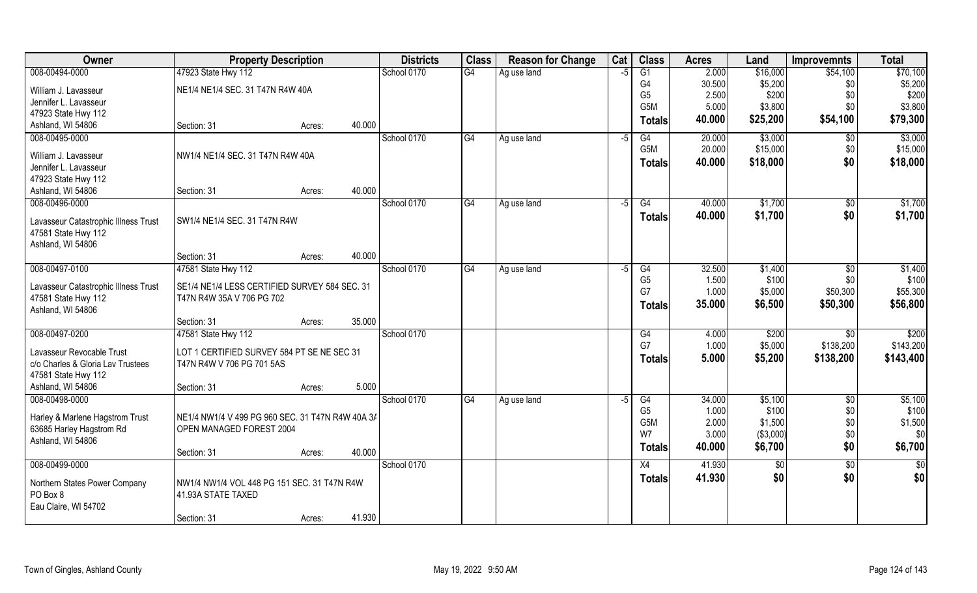| Owner                                    | <b>Property Description</b>                      |        |        | <b>Districts</b> | <b>Class</b>    | <b>Reason for Change</b> | Cat  | <b>Class</b>         | <b>Acres</b>   | Land             | <b>Improvemnts</b> | <b>Total</b>     |
|------------------------------------------|--------------------------------------------------|--------|--------|------------------|-----------------|--------------------------|------|----------------------|----------------|------------------|--------------------|------------------|
| 008-00494-0000                           | 47923 State Hwy 112                              |        |        | School 0170      | $\overline{G4}$ | Ag use land              | -5   | G1                   | 2.000          | \$16,000         | \$54,100           | \$70,100         |
| William J. Lavasseur                     | NE1/4 NE1/4 SEC. 31 T47N R4W 40A                 |        |        |                  |                 |                          |      | G4                   | 30.500         | \$5,200          | \$0                | \$5,200          |
| Jennifer L. Lavasseur                    |                                                  |        |        |                  |                 |                          |      | G <sub>5</sub>       | 2.500          | \$200            | \$0                | \$200            |
| 47923 State Hwy 112                      |                                                  |        |        |                  |                 |                          |      | G <sub>5</sub> M     | 5.000          | \$3,800          | \$0                | \$3,800          |
| Ashland, WI 54806                        | Section: 31                                      | Acres: | 40.000 |                  |                 |                          |      | <b>Totals</b>        | 40.000         | \$25,200         | \$54,100           | \$79,300         |
| 008-00495-0000                           |                                                  |        |        | School 0170      | G4              | Ag use land              | $-5$ | G4                   | 20.000         | \$3,000          | $\sqrt[6]{30}$     | \$3,000          |
| William J. Lavasseur                     | NW1/4 NE1/4 SEC. 31 T47N R4W 40A                 |        |        |                  |                 |                          |      | G <sub>5</sub> M     | 20.000         | \$15,000         | \$0                | \$15,000         |
| Jennifer L. Lavasseur                    |                                                  |        |        |                  |                 |                          |      | <b>Totals</b>        | 40.000         | \$18,000         | \$0                | \$18,000         |
| 47923 State Hwy 112                      |                                                  |        |        |                  |                 |                          |      |                      |                |                  |                    |                  |
| Ashland, WI 54806                        | Section: 31                                      | Acres: | 40.000 |                  |                 |                          |      |                      |                |                  |                    |                  |
| 008-00496-0000                           |                                                  |        |        | School 0170      | G4              | Ag use land              | $-5$ | G4                   | 40.000         | \$1,700          | $\sqrt[6]{}$       | \$1,700          |
| Lavasseur Catastrophic Illness Trust     | SW1/4 NE1/4 SEC. 31 T47N R4W                     |        |        |                  |                 |                          |      | <b>Totals</b>        | 40.000         | \$1,700          | \$0                | \$1,700          |
| 47581 State Hwy 112                      |                                                  |        |        |                  |                 |                          |      |                      |                |                  |                    |                  |
| Ashland, WI 54806                        |                                                  |        |        |                  |                 |                          |      |                      |                |                  |                    |                  |
|                                          | Section: 31                                      | Acres: | 40.000 |                  |                 |                          |      |                      |                |                  |                    |                  |
| 008-00497-0100                           | 47581 State Hwy 112                              |        |        | School 0170      | G4              | Ag use land              | -5   | G4                   | 32.500         | \$1,400          | $\sqrt[6]{}$       | \$1,400          |
|                                          |                                                  |        |        |                  |                 |                          |      | G <sub>5</sub>       | 1.500          | \$100            | \$0                | \$100            |
| Lavasseur Catastrophic Illness Trust     | SE1/4 NE1/4 LESS CERTIFIED SURVEY 584 SEC. 31    |        |        |                  |                 |                          |      | G7                   | 1.000          | \$5,000          | \$50,300           | \$55,300         |
| 47581 State Hwy 112<br>Ashland, WI 54806 | T47N R4W 35A V 706 PG 702                        |        |        |                  |                 |                          |      | <b>Totals</b>        | 35.000         | \$6,500          | \$50,300           | \$56,800         |
|                                          | Section: 31                                      | Acres: | 35.000 |                  |                 |                          |      |                      |                |                  |                    |                  |
| 008-00497-0200                           | 47581 State Hwy 112                              |        |        | School 0170      |                 |                          |      | G4                   | 4.000          | \$200            | \$0                | \$200            |
|                                          |                                                  |        |        |                  |                 |                          |      | G7                   | 1.000          | \$5,000          | \$138,200          | \$143,200        |
| Lavasseur Revocable Trust                | LOT 1 CERTIFIED SURVEY 584 PT SE NE SEC 31       |        |        |                  |                 |                          |      | <b>Totals</b>        | 5.000          | \$5,200          | \$138,200          | \$143,400        |
| c/o Charles & Gloria Lav Trustees        | T47N R4W V 706 PG 701 5AS                        |        |        |                  |                 |                          |      |                      |                |                  |                    |                  |
| 47581 State Hwy 112                      |                                                  |        |        |                  |                 |                          |      |                      |                |                  |                    |                  |
| Ashland, WI 54806                        | Section: 31                                      | Acres: | 5.000  |                  |                 |                          |      |                      |                |                  |                    |                  |
| 008-00498-0000                           |                                                  |        |        | School 0170      | G4              | Ag use land              | $-5$ | G4<br>G <sub>5</sub> | 34.000         | \$5,100<br>\$100 | $\overline{50}$    | \$5,100<br>\$100 |
| Harley & Marlene Hagstrom Trust          | NE1/4 NW1/4 V 499 PG 960 SEC. 31 T47N R4W 40A 3/ |        |        |                  |                 |                          |      | G <sub>5</sub> M     | 1.000<br>2.000 | \$1,500          | \$0                | \$1,500          |
| 63685 Harley Hagstrom Rd                 | OPEN MANAGED FOREST 2004                         |        |        |                  |                 |                          |      | W7                   | 3.000          | (\$3,000)        | \$0<br>\$0         | \$0              |
| Ashland, WI 54806                        |                                                  |        |        |                  |                 |                          |      |                      | 40.000         | \$6,700          | \$0                | \$6,700          |
|                                          | Section: 31                                      | Acres: | 40.000 |                  |                 |                          |      | <b>Totals</b>        |                |                  |                    |                  |
| 008-00499-0000                           |                                                  |        |        | School 0170      |                 |                          |      | X4                   | 41.930         | \$0              | $\overline{50}$    | $\overline{50}$  |
| Northern States Power Company            | NW1/4 NW1/4 VOL 448 PG 151 SEC. 31 T47N R4W      |        |        |                  |                 |                          |      | <b>Totals</b>        | 41.930         | \$0              | \$0                | \$0              |
| PO Box 8                                 | 41.93A STATE TAXED                               |        |        |                  |                 |                          |      |                      |                |                  |                    |                  |
| Eau Claire, WI 54702                     |                                                  |        |        |                  |                 |                          |      |                      |                |                  |                    |                  |
|                                          | Section: 31                                      | Acres: | 41.930 |                  |                 |                          |      |                      |                |                  |                    |                  |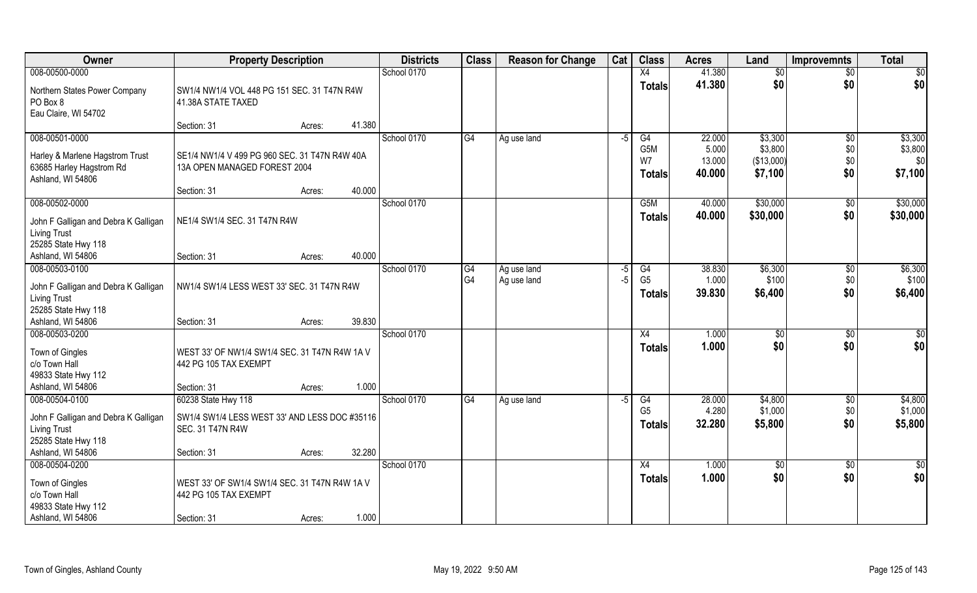| Owner                                                                              | <b>Property Description</b>                                                   | <b>Districts</b> | <b>Class</b> | <b>Reason for Change</b> | Cat  | <b>Class</b>                            | <b>Acres</b>              | Land                             | <b>Improvemnts</b> | <b>Total</b>              |
|------------------------------------------------------------------------------------|-------------------------------------------------------------------------------|------------------|--------------|--------------------------|------|-----------------------------------------|---------------------------|----------------------------------|--------------------|---------------------------|
| 008-00500-0000                                                                     |                                                                               | School 0170      |              |                          |      | X4                                      | 41.380                    | \$0                              | $\overline{50}$    | \$0                       |
| Northern States Power Company<br>PO Box 8<br>Eau Claire, WI 54702                  | SW1/4 NW1/4 VOL 448 PG 151 SEC. 31 T47N R4W<br>41.38A STATE TAXED             |                  |              |                          |      | <b>Totals</b>                           | 41.380                    | \$0                              | \$0                | \$0                       |
|                                                                                    | 41.380<br>Section: 31<br>Acres:                                               |                  |              |                          |      |                                         |                           |                                  |                    |                           |
| 008-00501-0000                                                                     |                                                                               | School 0170      | G4           | Ag use land              | $-5$ | G4                                      | 22.000                    | \$3,300                          | $\overline{50}$    | \$3,300                   |
| Harley & Marlene Hagstrom Trust<br>63685 Harley Hagstrom Rd<br>Ashland, WI 54806   | SE1/4 NW1/4 V 499 PG 960 SEC. 31 T47N R4W 40A<br>13A OPEN MANAGED FOREST 2004 |                  |              |                          |      | G <sub>5</sub> M<br>W7<br><b>Totals</b> | 5.000<br>13.000<br>40.000 | \$3,800<br>(\$13,000)<br>\$7,100 | \$0<br>\$0<br>\$0  | \$3,800<br>\$0<br>\$7,100 |
|                                                                                    | 40.000<br>Section: 31<br>Acres:                                               |                  |              |                          |      |                                         |                           |                                  |                    |                           |
| 008-00502-0000                                                                     |                                                                               | School 0170      |              |                          |      | G <sub>5</sub> M                        | 40.000                    | \$30,000                         | $\sqrt[6]{3}$      | \$30,000                  |
| John F Galligan and Debra K Galligan<br><b>Living Trust</b>                        | NE1/4 SW1/4 SEC. 31 T47N R4W                                                  |                  |              |                          |      | <b>Totals</b>                           | 40.000                    | \$30,000                         | \$0                | \$30,000                  |
| 25285 State Hwy 118<br>Ashland, WI 54806                                           | 40.000<br>Section: 31<br>Acres:                                               |                  |              |                          |      |                                         |                           |                                  |                    |                           |
| 008-00503-0100                                                                     |                                                                               | School 0170      | G4           | Ag use land              | -5   | G4                                      | 38.830                    | \$6,300                          | \$0                | \$6,300                   |
| John F Galligan and Debra K Galligan<br><b>Living Trust</b>                        | NW1/4 SW1/4 LESS WEST 33' SEC. 31 T47N R4W                                    |                  | G4           | Ag use land              | $-5$ | G <sub>5</sub><br><b>Totals</b>         | 1.000<br>39.830           | \$100<br>\$6,400                 | \$0<br>\$0         | \$100<br>\$6,400          |
| 25285 State Hwy 118<br>Ashland, WI 54806                                           | 39.830<br>Section: 31<br>Acres:                                               |                  |              |                          |      |                                         |                           |                                  |                    |                           |
| 008-00503-0200                                                                     |                                                                               | School 0170      |              |                          |      | X4                                      | 1.000                     | $\sqrt[6]{3}$                    | \$0                | \$0                       |
| Town of Gingles<br>c/o Town Hall<br>49833 State Hwy 112                            | WEST 33' OF NW1/4 SW1/4 SEC. 31 T47N R4W 1A V<br>442 PG 105 TAX EXEMPT        |                  |              |                          |      | <b>Totals</b>                           | 1.000                     | \$0                              | \$0                | \$0                       |
| Ashland, WI 54806                                                                  | 1.000<br>Section: 31<br>Acres:                                                |                  |              |                          |      |                                         |                           |                                  |                    |                           |
| 008-00504-0100                                                                     | 60238 State Hwy 118                                                           | School 0170      | G4           | Ag use land              | -5   | G4                                      | 28.000                    | \$4,800                          | \$0                | \$4,800                   |
| John F Galligan and Debra K Galligan<br><b>Living Trust</b><br>25285 State Hwy 118 | SW1/4 SW1/4 LESS WEST 33' AND LESS DOC #35116<br><b>SEC. 31 T47N R4W</b>      |                  |              |                          |      | G <sub>5</sub><br><b>Totals</b>         | 4.280<br>32.280           | \$1,000<br>\$5,800               | \$0<br>\$0         | \$1,000<br>\$5,800        |
| Ashland, WI 54806                                                                  | 32.280<br>Section: 31<br>Acres:                                               |                  |              |                          |      |                                         |                           |                                  |                    |                           |
| 008-00504-0200                                                                     |                                                                               | School 0170      |              |                          |      | X4                                      | 1.000                     | $\overline{50}$                  | $\sqrt{$0}$        | \$0                       |
| Town of Gingles<br>c/o Town Hall<br>49833 State Hwy 112                            | WEST 33' OF SW1/4 SW1/4 SEC. 31 T47N R4W 1A V<br>442 PG 105 TAX EXEMPT        |                  |              |                          |      | <b>Totals</b>                           | 1.000                     | \$0                              | \$0                | \$0                       |
| Ashland, WI 54806                                                                  | 1.000<br>Section: 31<br>Acres:                                                |                  |              |                          |      |                                         |                           |                                  |                    |                           |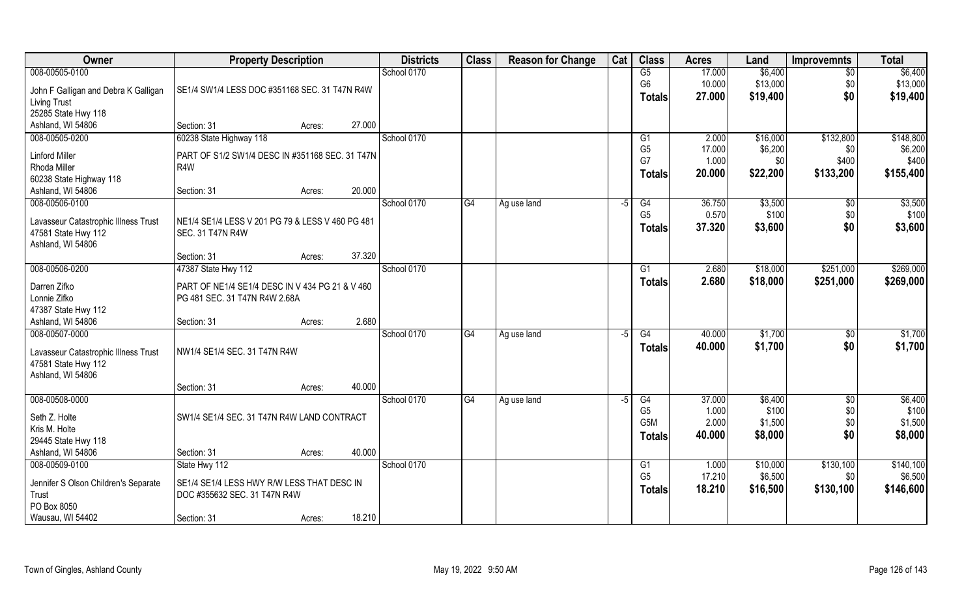| <b>Owner</b>                         | <b>Property Description</b>                                                      |        |        | <b>Districts</b> | <b>Class</b> | <b>Reason for Change</b> | Cat  | <b>Class</b>                       | <b>Acres</b>    | Land                | <b>Improvemnts</b>    | <b>Total</b>         |
|--------------------------------------|----------------------------------------------------------------------------------|--------|--------|------------------|--------------|--------------------------|------|------------------------------------|-----------------|---------------------|-----------------------|----------------------|
| 008-00505-0100                       |                                                                                  |        |        | School 0170      |              |                          |      | G5                                 | 17.000          | \$6,400             | $\overline{50}$       | \$6,400              |
| John F Galligan and Debra K Galligan | SE1/4 SW1/4 LESS DOC #351168 SEC. 31 T47N R4W                                    |        |        |                  |              |                          |      | G <sub>6</sub>                     | 10.000          | \$13,000            | \$0                   | \$13,000             |
| <b>Living Trust</b>                  |                                                                                  |        |        |                  |              |                          |      | <b>Totals</b>                      | 27.000          | \$19,400            | \$0                   | \$19,400             |
| 25285 State Hwy 118                  |                                                                                  |        |        |                  |              |                          |      |                                    |                 |                     |                       |                      |
| Ashland, WI 54806                    | Section: 31                                                                      | Acres: | 27.000 |                  |              |                          |      |                                    |                 |                     |                       |                      |
| 008-00505-0200                       | 60238 State Highway 118                                                          |        |        | School 0170      |              |                          |      | G <sub>1</sub>                     | 2.000           | \$16,000            | \$132,800             | \$148,800            |
| <b>Linford Miller</b>                | PART OF S1/2 SW1/4 DESC IN #351168 SEC. 31 T47N                                  |        |        |                  |              |                          |      | G <sub>5</sub><br>G7               | 17.000<br>1.000 | \$6,200<br>\$0      | \$0<br>\$400          | \$6,200<br>\$400     |
| Rhoda Miller                         | R4W                                                                              |        |        |                  |              |                          |      | <b>Totals</b>                      | 20.000          | \$22,200            | \$133,200             | \$155,400            |
| 60238 State Highway 118              |                                                                                  |        |        |                  |              |                          |      |                                    |                 |                     |                       |                      |
| Ashland, WI 54806<br>008-00506-0100  | Section: 31                                                                      | Acres: | 20.000 | School 0170      | G4           |                          |      | G4                                 | 36.750          | \$3,500             |                       | \$3,500              |
|                                      |                                                                                  |        |        |                  |              | Ag use land              | -5   | G <sub>5</sub>                     | 0.570           | \$100               | $\sqrt[6]{30}$<br>\$0 | \$100                |
| Lavasseur Catastrophic Illness Trust | NE1/4 SE1/4 LESS V 201 PG 79 & LESS V 460 PG 481                                 |        |        |                  |              |                          |      | <b>Totals</b>                      | 37.320          | \$3,600             | \$0                   | \$3,600              |
| 47581 State Hwy 112                  | <b>SEC. 31 T47N R4W</b>                                                          |        |        |                  |              |                          |      |                                    |                 |                     |                       |                      |
| Ashland, WI 54806                    | Section: 31                                                                      | Acres: | 37.320 |                  |              |                          |      |                                    |                 |                     |                       |                      |
| 008-00506-0200                       | 47387 State Hwy 112                                                              |        |        | School 0170      |              |                          |      | G <sub>1</sub>                     | 2.680           | \$18,000            | \$251,000             | \$269,000            |
|                                      |                                                                                  |        |        |                  |              |                          |      | <b>Totals</b>                      | 2.680           | \$18,000            | \$251,000             | \$269,000            |
| Darren Zifko<br>Lonnie Zifko         | PART OF NE1/4 SE1/4 DESC IN V 434 PG 21 & V 460<br>PG 481 SEC. 31 T47N R4W 2.68A |        |        |                  |              |                          |      |                                    |                 |                     |                       |                      |
| 47387 State Hwy 112                  |                                                                                  |        |        |                  |              |                          |      |                                    |                 |                     |                       |                      |
| Ashland, WI 54806                    | Section: 31                                                                      | Acres: | 2.680  |                  |              |                          |      |                                    |                 |                     |                       |                      |
| 008-00507-0000                       |                                                                                  |        |        | School 0170      | G4           | Ag use land              | $-5$ | $\overline{G4}$                    | 40.000          | \$1,700             | $\sqrt[6]{30}$        | \$1,700              |
| Lavasseur Catastrophic Illness Trust | NW1/4 SE1/4 SEC. 31 T47N R4W                                                     |        |        |                  |              |                          |      | <b>Totals</b>                      | 40.000          | \$1,700             | \$0                   | \$1,700              |
| 47581 State Hwy 112                  |                                                                                  |        |        |                  |              |                          |      |                                    |                 |                     |                       |                      |
| Ashland, WI 54806                    |                                                                                  |        |        |                  |              |                          |      |                                    |                 |                     |                       |                      |
|                                      | Section: 31                                                                      | Acres: | 40.000 |                  |              |                          |      |                                    |                 |                     |                       |                      |
| 008-00508-0000                       |                                                                                  |        |        | School 0170      | G4           | Ag use land              | $-5$ | G4                                 | 37.000          | \$6,400             | \$0                   | \$6,400              |
| Seth Z. Holte                        | SW1/4 SE1/4 SEC. 31 T47N R4W LAND CONTRACT                                       |        |        |                  |              |                          |      | G <sub>5</sub><br>G <sub>5</sub> M | 1.000<br>2.000  | \$100<br>\$1,500    | \$0<br>\$0            | \$100<br>\$1,500     |
| Kris M. Holte                        |                                                                                  |        |        |                  |              |                          |      | <b>Totals</b>                      | 40.000          | \$8,000             | \$0                   | \$8,000              |
| 29445 State Hwy 118                  |                                                                                  |        |        |                  |              |                          |      |                                    |                 |                     |                       |                      |
| Ashland, WI 54806                    | Section: 31                                                                      | Acres: | 40.000 |                  |              |                          |      |                                    |                 |                     |                       |                      |
| 008-00509-0100                       | State Hwy 112                                                                    |        |        | School 0170      |              |                          |      | G1<br>G <sub>5</sub>               | 1.000<br>17.210 | \$10,000<br>\$6,500 | \$130,100             | \$140,100<br>\$6,500 |
| Jennifer S Olson Children's Separate | SE1/4 SE1/4 LESS HWY R/W LESS THAT DESC IN                                       |        |        |                  |              |                          |      | <b>Totals</b>                      | 18.210          | \$16,500            | \$0<br>\$130,100      | \$146,600            |
| Trust                                | DOC #355632 SEC. 31 T47N R4W                                                     |        |        |                  |              |                          |      |                                    |                 |                     |                       |                      |
| PO Box 8050                          |                                                                                  |        | 18.210 |                  |              |                          |      |                                    |                 |                     |                       |                      |
| Wausau, WI 54402                     | Section: 31                                                                      | Acres: |        |                  |              |                          |      |                                    |                 |                     |                       |                      |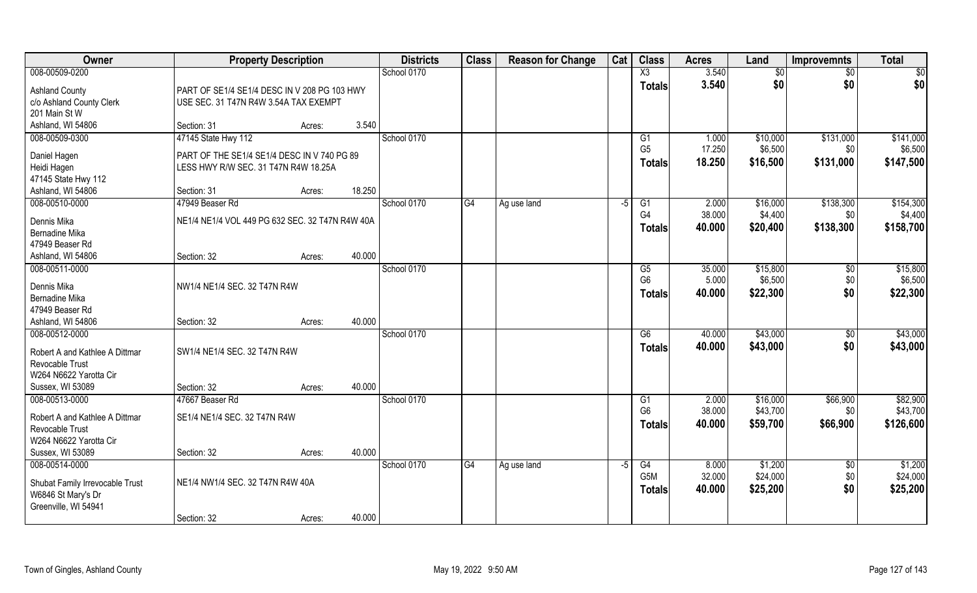| Owner                           | <b>Property Description</b>                     |        |        | <b>Districts</b> | <b>Class</b> | <b>Reason for Change</b> | Cat  | <b>Class</b>           | <b>Acres</b> | Land            | <b>Improvemnts</b> | <b>Total</b> |
|---------------------------------|-------------------------------------------------|--------|--------|------------------|--------------|--------------------------|------|------------------------|--------------|-----------------|--------------------|--------------|
| 008-00509-0200                  |                                                 |        |        | School 0170      |              |                          |      | $\overline{\text{X3}}$ | 3.540        | $\overline{50}$ | $\overline{50}$    | \$0          |
| <b>Ashland County</b>           | PART OF SE1/4 SE1/4 DESC IN V 208 PG 103 HWY    |        |        |                  |              |                          |      | <b>Totals</b>          | 3.540        | \$0             | \$0                | \$0          |
| c/o Ashland County Clerk        | USE SEC. 31 T47N R4W 3.54A TAX EXEMPT           |        |        |                  |              |                          |      |                        |              |                 |                    |              |
| 201 Main St W                   |                                                 |        |        |                  |              |                          |      |                        |              |                 |                    |              |
| Ashland, WI 54806               | Section: 31                                     | Acres: | 3.540  |                  |              |                          |      |                        |              |                 |                    |              |
| 008-00509-0300                  | 47145 State Hwy 112                             |        |        | School 0170      |              |                          |      | G <sub>1</sub>         | 1.000        | \$10,000        | \$131,000          | \$141,000    |
| Daniel Hagen                    | PART OF THE SE1/4 SE1/4 DESC IN V 740 PG 89     |        |        |                  |              |                          |      | G <sub>5</sub>         | 17.250       | \$6,500         | \$0                | \$6,500      |
| Heidi Hagen                     | LESS HWY R/W SEC. 31 T47N R4W 18.25A            |        |        |                  |              |                          |      | <b>Totals</b>          | 18.250       | \$16,500        | \$131,000          | \$147,500    |
| 47145 State Hwy 112             |                                                 |        |        |                  |              |                          |      |                        |              |                 |                    |              |
| Ashland, WI 54806               | Section: 31                                     | Acres: | 18.250 |                  |              |                          |      |                        |              |                 |                    |              |
| 008-00510-0000                  | 47949 Beaser Rd                                 |        |        | School 0170      | G4           | Ag use land              | $-5$ | G1                     | 2.000        | \$16,000        | \$138,300          | \$154,300    |
| Dennis Mika                     | NE1/4 NE1/4 VOL 449 PG 632 SEC. 32 T47N R4W 40A |        |        |                  |              |                          |      | G <sub>4</sub>         | 38.000       | \$4,400         | \$0                | \$4,400      |
| <b>Bernadine Mika</b>           |                                                 |        |        |                  |              |                          |      | <b>Totals</b>          | 40.000       | \$20,400        | \$138,300          | \$158,700    |
| 47949 Beaser Rd                 |                                                 |        |        |                  |              |                          |      |                        |              |                 |                    |              |
| Ashland, WI 54806               | Section: 32                                     | Acres: | 40.000 |                  |              |                          |      |                        |              |                 |                    |              |
| 008-00511-0000                  |                                                 |        |        | School 0170      |              |                          |      | G5                     | 35.000       | \$15,800        | \$0                | \$15,800     |
| Dennis Mika                     | NW1/4 NE1/4 SEC. 32 T47N R4W                    |        |        |                  |              |                          |      | G <sub>6</sub>         | 5.000        | \$6,500         | \$0                | \$6,500      |
| Bernadine Mika                  |                                                 |        |        |                  |              |                          |      | <b>Totals</b>          | 40.000       | \$22,300        | \$0                | \$22,300     |
| 47949 Beaser Rd                 |                                                 |        |        |                  |              |                          |      |                        |              |                 |                    |              |
| Ashland, WI 54806               | Section: 32                                     | Acres: | 40.000 |                  |              |                          |      |                        |              |                 |                    |              |
| 008-00512-0000                  |                                                 |        |        | School 0170      |              |                          |      | $\overline{G6}$        | 40.000       | \$43,000        | \$0                | \$43,000     |
| Robert A and Kathlee A Dittmar  | SW1/4 NE1/4 SEC. 32 T47N R4W                    |        |        |                  |              |                          |      | <b>Totals</b>          | 40.000       | \$43,000        | \$0                | \$43,000     |
| Revocable Trust                 |                                                 |        |        |                  |              |                          |      |                        |              |                 |                    |              |
| W264 N6622 Yarotta Cir          |                                                 |        |        |                  |              |                          |      |                        |              |                 |                    |              |
| Sussex, WI 53089                | Section: 32                                     | Acres: | 40.000 |                  |              |                          |      |                        |              |                 |                    |              |
| 008-00513-0000                  | 47667 Beaser Rd                                 |        |        | School 0170      |              |                          |      | G1                     | 2.000        | \$16,000        | \$66,900           | \$82,900     |
| Robert A and Kathlee A Dittmar  | SE1/4 NE1/4 SEC. 32 T47N R4W                    |        |        |                  |              |                          |      | G <sub>6</sub>         | 38.000       | \$43,700        | \$0                | \$43,700     |
| Revocable Trust                 |                                                 |        |        |                  |              |                          |      | <b>Totals</b>          | 40.000       | \$59,700        | \$66,900           | \$126,600    |
| W264 N6622 Yarotta Cir          |                                                 |        |        |                  |              |                          |      |                        |              |                 |                    |              |
| Sussex, WI 53089                | Section: 32                                     | Acres: | 40.000 |                  |              |                          |      |                        |              |                 |                    |              |
| 008-00514-0000                  |                                                 |        |        | School 0170      | G4           | Ag use land              | -5   | G4                     | 8.000        | \$1,200         | \$0                | \$1,200      |
| Shubat Family Irrevocable Trust | NE1/4 NW1/4 SEC. 32 T47N R4W 40A                |        |        |                  |              |                          |      | G5M                    | 32.000       | \$24,000        | \$0                | \$24,000     |
| W6846 St Mary's Dr              |                                                 |        |        |                  |              |                          |      | <b>Totals</b>          | 40.000       | \$25,200        | \$0                | \$25,200     |
| Greenville, WI 54941            |                                                 |        |        |                  |              |                          |      |                        |              |                 |                    |              |
|                                 | Section: 32                                     | Acres: | 40.000 |                  |              |                          |      |                        |              |                 |                    |              |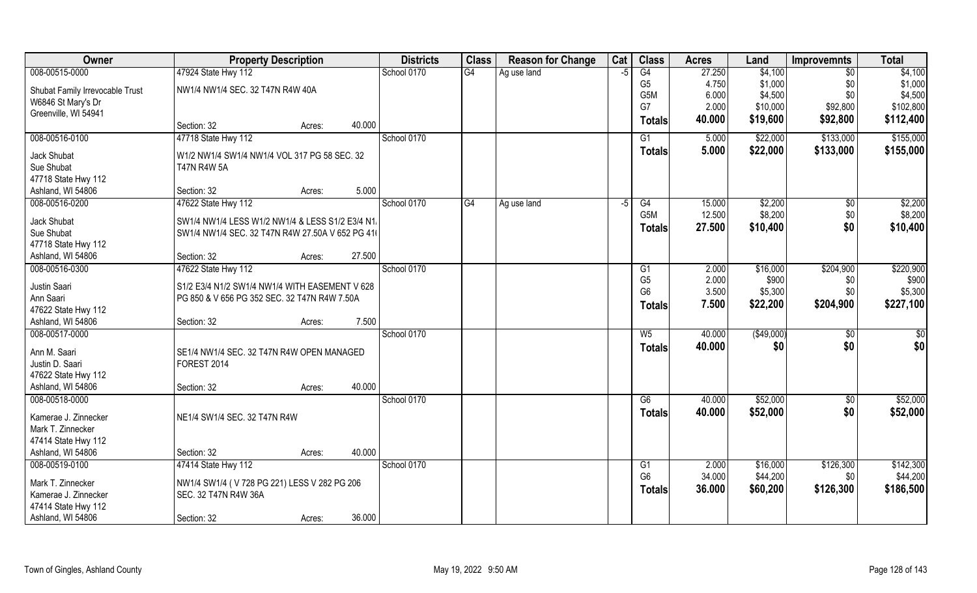| Owner                           | <b>Property Description</b>                      |        |        | <b>Districts</b> | <b>Class</b> | <b>Reason for Change</b> | Cat  | <b>Class</b>     | <b>Acres</b> | Land       | <b>Improvemnts</b> | <b>Total</b> |
|---------------------------------|--------------------------------------------------|--------|--------|------------------|--------------|--------------------------|------|------------------|--------------|------------|--------------------|--------------|
| 008-00515-0000                  | 47924 State Hwy 112                              |        |        | School 0170      | G4           | Ag use land              | -5   | G4               | 27.250       | \$4,100    | $\sqrt{6}$         | \$4,100      |
| Shubat Family Irrevocable Trust | NW1/4 NW1/4 SEC. 32 T47N R4W 40A                 |        |        |                  |              |                          |      | G <sub>5</sub>   | 4.750        | \$1,000    | \$0                | \$1,000      |
| W6846 St Mary's Dr              |                                                  |        |        |                  |              |                          |      | G <sub>5</sub> M | 6.000        | \$4,500    | \$0                | \$4,500      |
| Greenville, WI 54941            |                                                  |        |        |                  |              |                          |      | G7               | 2.000        | \$10,000   | \$92,800           | \$102,800    |
|                                 | Section: 32                                      | Acres: | 40.000 |                  |              |                          |      | <b>Totals</b>    | 40.000       | \$19,600   | \$92,800           | \$112,400    |
| 008-00516-0100                  | 47718 State Hwy 112                              |        |        | School 0170      |              |                          |      | G1               | 5.000        | \$22,000   | \$133,000          | \$155,000    |
| Jack Shubat                     | W1/2 NW1/4 SW1/4 NW1/4 VOL 317 PG 58 SEC. 32     |        |        |                  |              |                          |      | Totals           | 5.000        | \$22,000   | \$133,000          | \$155,000    |
| Sue Shubat                      | <b>T47N R4W 5A</b>                               |        |        |                  |              |                          |      |                  |              |            |                    |              |
| 47718 State Hwy 112             |                                                  |        |        |                  |              |                          |      |                  |              |            |                    |              |
| Ashland, WI 54806               | Section: 32                                      | Acres: | 5.000  |                  |              |                          |      |                  |              |            |                    |              |
| 008-00516-0200                  | 47622 State Hwy 112                              |        |        | School 0170      | G4           | Ag use land              | $-5$ | G4               | 15.000       | \$2,200    | \$0                | \$2,200      |
| Jack Shubat                     | SW1/4 NW1/4 LESS W1/2 NW1/4 & LESS S1/2 E3/4 N1/ |        |        |                  |              |                          |      | G5M              | 12.500       | \$8,200    | \$0                | \$8,200      |
| Sue Shubat                      | SW1/4 NW1/4 SEC. 32 T47N R4W 27.50A V 652 PG 41( |        |        |                  |              |                          |      | <b>Totals</b>    | 27.500       | \$10,400   | \$0                | \$10,400     |
| 47718 State Hwy 112             |                                                  |        |        |                  |              |                          |      |                  |              |            |                    |              |
| Ashland, WI 54806               | Section: 32                                      | Acres: | 27.500 |                  |              |                          |      |                  |              |            |                    |              |
| 008-00516-0300                  | 47622 State Hwy 112                              |        |        | School 0170      |              |                          |      | G1               | 2.000        | \$16,000   | \$204,900          | \$220,900    |
| Justin Saari                    | S1/2 E3/4 N1/2 SW1/4 NW1/4 WITH EASEMENT V 628   |        |        |                  |              |                          |      | G <sub>5</sub>   | 2.000        | \$900      | \$0                | \$900        |
| Ann Saari                       | PG 850 & V 656 PG 352 SEC. 32 T47N R4W 7.50A     |        |        |                  |              |                          |      | G <sub>6</sub>   | 3.500        | \$5,300    | \$0                | \$5,300      |
| 47622 State Hwy 112             |                                                  |        |        |                  |              |                          |      | Totals           | 7.500        | \$22,200   | \$204,900          | \$227,100    |
| Ashland, WI 54806               | Section: 32                                      | Acres: | 7.500  |                  |              |                          |      |                  |              |            |                    |              |
| 008-00517-0000                  |                                                  |        |        | School 0170      |              |                          |      | $W_5$            | 40.000       | (\$49,000) | \$0                | \$0          |
| Ann M. Saari                    | SE1/4 NW1/4 SEC. 32 T47N R4W OPEN MANAGED        |        |        |                  |              |                          |      | Totals           | 40.000       | \$0        | \$0                | \$0          |
| Justin D. Saari                 | FOREST 2014                                      |        |        |                  |              |                          |      |                  |              |            |                    |              |
| 47622 State Hwy 112             |                                                  |        |        |                  |              |                          |      |                  |              |            |                    |              |
| Ashland, WI 54806               | Section: 32                                      | Acres: | 40.000 |                  |              |                          |      |                  |              |            |                    |              |
| 008-00518-0000                  |                                                  |        |        | School 0170      |              |                          |      | G6               | 40.000       | \$52,000   | $\sqrt{50}$        | \$52,000     |
| Kamerae J. Zinnecker            | NE1/4 SW1/4 SEC. 32 T47N R4W                     |        |        |                  |              |                          |      | <b>Totals</b>    | 40.000       | \$52,000   | \$0                | \$52,000     |
| Mark T. Zinnecker               |                                                  |        |        |                  |              |                          |      |                  |              |            |                    |              |
| 47414 State Hwy 112             |                                                  |        |        |                  |              |                          |      |                  |              |            |                    |              |
| Ashland, WI 54806               | Section: 32                                      | Acres: | 40.000 |                  |              |                          |      |                  |              |            |                    |              |
| 008-00519-0100                  | 47414 State Hwy 112                              |        |        | School 0170      |              |                          |      | G1               | 2.000        | \$16,000   | \$126,300          | \$142,300    |
| Mark T. Zinnecker               | NW1/4 SW1/4 (V728 PG 221) LESS V 282 PG 206      |        |        |                  |              |                          |      | G <sub>6</sub>   | 34.000       | \$44,200   | \$0                | \$44,200     |
| Kamerae J. Zinnecker            | SEC. 32 T47N R4W 36A                             |        |        |                  |              |                          |      | <b>Totals</b>    | 36.000       | \$60,200   | \$126,300          | \$186,500    |
| 47414 State Hwy 112             |                                                  |        |        |                  |              |                          |      |                  |              |            |                    |              |
| Ashland, WI 54806               | Section: 32                                      | Acres: | 36.000 |                  |              |                          |      |                  |              |            |                    |              |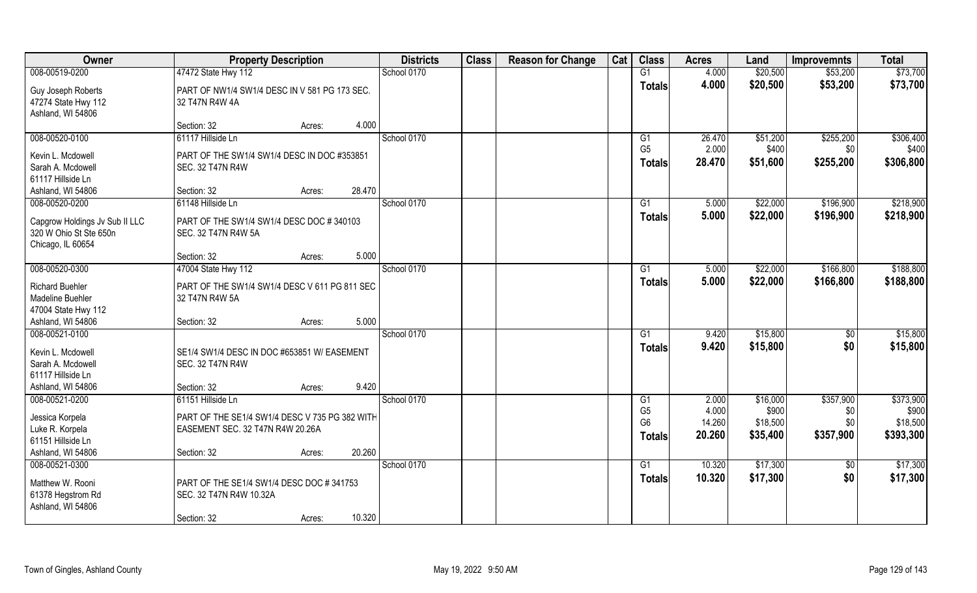| Owner                          | <b>Property Description</b>                    |        |        | <b>Districts</b> | <b>Class</b> | <b>Reason for Change</b> | Cat | <b>Class</b>                     | <b>Acres</b>    | Land              | <b>Improvemnts</b> | <b>Total</b>      |
|--------------------------------|------------------------------------------------|--------|--------|------------------|--------------|--------------------------|-----|----------------------------------|-----------------|-------------------|--------------------|-------------------|
| 008-00519-0200                 | 47472 State Hwy 112                            |        |        | School 0170      |              |                          |     | G1                               | 4.000           | \$20,500          | \$53,200           | \$73,700          |
| Guy Joseph Roberts             | PART OF NW1/4 SW1/4 DESC IN V 581 PG 173 SEC.  |        |        |                  |              |                          |     | <b>Totals</b>                    | 4.000           | \$20,500          | \$53,200           | \$73,700          |
| 47274 State Hwy 112            | 32 T47N R4W 4A                                 |        |        |                  |              |                          |     |                                  |                 |                   |                    |                   |
| Ashland, WI 54806              |                                                |        |        |                  |              |                          |     |                                  |                 |                   |                    |                   |
|                                | Section: 32                                    | Acres: | 4.000  |                  |              |                          |     |                                  |                 |                   |                    |                   |
| 008-00520-0100                 | 61117 Hillside Ln                              |        |        | School 0170      |              |                          |     | G1                               | 26.470          | \$51,200          | \$255,200          | \$306,400         |
| Kevin L. Mcdowell              | PART OF THE SW1/4 SW1/4 DESC IN DOC #353851    |        |        |                  |              |                          |     | G <sub>5</sub>                   | 2.000           | \$400             | \$0                | \$400             |
| Sarah A. Mcdowell              | SEC. 32 T47N R4W                               |        |        |                  |              |                          |     | <b>Totals</b>                    | 28.470          | \$51,600          | \$255,200          | \$306,800         |
| 61117 Hillside Ln              |                                                |        |        |                  |              |                          |     |                                  |                 |                   |                    |                   |
| Ashland, WI 54806              | Section: 32                                    | Acres: | 28.470 |                  |              |                          |     |                                  |                 |                   |                    |                   |
| 008-00520-0200                 | 61148 Hillside Ln                              |        |        | School 0170      |              |                          |     | G1                               | 5.000           | \$22,000          | \$196,900          | \$218,900         |
| Capgrow Holdings Jv Sub II LLC | PART OF THE SW1/4 SW1/4 DESC DOC #340103       |        |        |                  |              |                          |     | <b>Totals</b>                    | 5.000           | \$22,000          | \$196,900          | \$218,900         |
| 320 W Ohio St Ste 650n         | SEC. 32 T47N R4W 5A                            |        |        |                  |              |                          |     |                                  |                 |                   |                    |                   |
| Chicago, IL 60654              |                                                |        |        |                  |              |                          |     |                                  |                 |                   |                    |                   |
|                                | Section: 32                                    | Acres: | 5.000  |                  |              |                          |     |                                  |                 |                   |                    |                   |
| 008-00520-0300                 | 47004 State Hwy 112                            |        |        | School 0170      |              |                          |     | G1                               | 5.000           | \$22,000          | \$166,800          | \$188,800         |
| <b>Richard Buehler</b>         | PART OF THE SW1/4 SW1/4 DESC V 611 PG 811 SEC. |        |        |                  |              |                          |     | <b>Totals</b>                    | 5.000           | \$22,000          | \$166,800          | \$188,800         |
| Madeline Buehler               | 32 T47N R4W 5A                                 |        |        |                  |              |                          |     |                                  |                 |                   |                    |                   |
| 47004 State Hwy 112            |                                                |        |        |                  |              |                          |     |                                  |                 |                   |                    |                   |
| Ashland, WI 54806              | Section: 32                                    | Acres: | 5.000  |                  |              |                          |     |                                  |                 |                   |                    |                   |
| 008-00521-0100                 |                                                |        |        | School 0170      |              |                          |     | $\overline{G1}$                  | 9.420           | \$15,800          | \$0                | \$15,800          |
| Kevin L. Mcdowell              | SE1/4 SW1/4 DESC IN DOC #653851 W/ EASEMENT    |        |        |                  |              |                          |     | Totals                           | 9.420           | \$15,800          | \$0                | \$15,800          |
| Sarah A. Mcdowell              | <b>SEC. 32 T47N R4W</b>                        |        |        |                  |              |                          |     |                                  |                 |                   |                    |                   |
| 61117 Hillside Ln              |                                                |        |        |                  |              |                          |     |                                  |                 |                   |                    |                   |
| Ashland, WI 54806              | Section: 32                                    | Acres: | 9.420  |                  |              |                          |     |                                  |                 |                   |                    |                   |
| 008-00521-0200                 | 61151 Hillside Ln                              |        |        | School 0170      |              |                          |     | G1                               | 2.000           | \$16,000          | \$357,900          | \$373,900         |
| Jessica Korpela                | PART OF THE SE1/4 SW1/4 DESC V 735 PG 382 WITH |        |        |                  |              |                          |     | G <sub>5</sub><br>G <sub>6</sub> | 4.000<br>14.260 | \$900<br>\$18,500 | \$0<br>\$0         | \$900<br>\$18,500 |
| Luke R. Korpela                | EASEMENT SEC. 32 T47N R4W 20.26A               |        |        |                  |              |                          |     | <b>Totals</b>                    | 20.260          | \$35,400          | \$357,900          | \$393,300         |
| 61151 Hillside Ln              |                                                |        |        |                  |              |                          |     |                                  |                 |                   |                    |                   |
| Ashland, WI 54806              | Section: 32                                    | Acres: | 20.260 |                  |              |                          |     |                                  |                 |                   |                    |                   |
| 008-00521-0300                 |                                                |        |        | School 0170      |              |                          |     | $\overline{G1}$                  | 10.320          | \$17,300          | $\sqrt{$0}$        | \$17,300          |
| Matthew W. Rooni               | PART OF THE SE1/4 SW1/4 DESC DOC #341753       |        |        |                  |              |                          |     | <b>Totals</b>                    | 10.320          | \$17,300          | \$0                | \$17,300          |
| 61378 Hegstrom Rd              | SEC. 32 T47N R4W 10.32A                        |        |        |                  |              |                          |     |                                  |                 |                   |                    |                   |
| Ashland, WI 54806              |                                                |        |        |                  |              |                          |     |                                  |                 |                   |                    |                   |
|                                | Section: 32                                    | Acres: | 10.320 |                  |              |                          |     |                                  |                 |                   |                    |                   |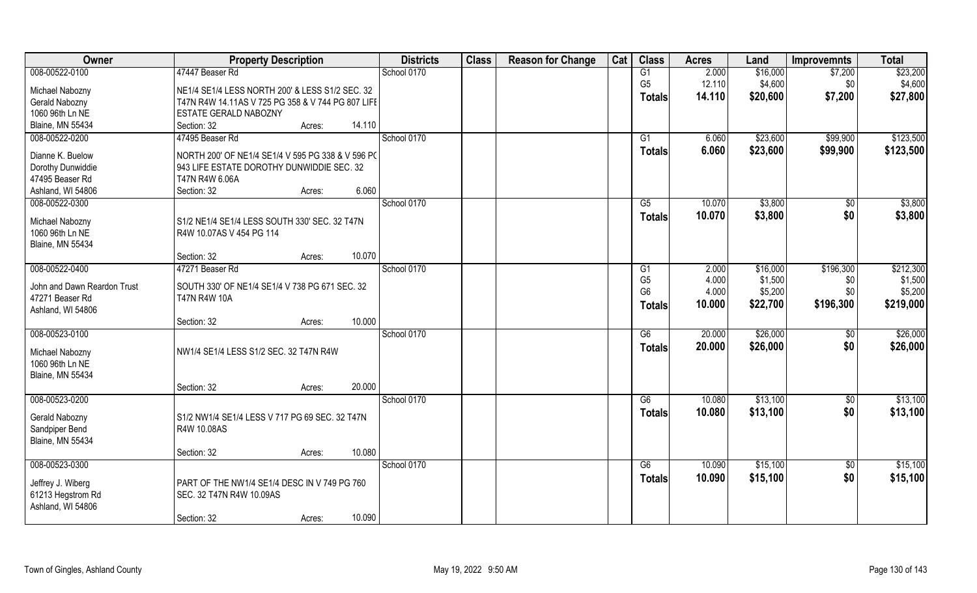| Owner                       | <b>Property Description</b>                       |        | <b>Districts</b> | <b>Class</b> | <b>Reason for Change</b> | Cat | <b>Class</b>    | <b>Acres</b> | Land     | <b>Improvemnts</b> | <b>Total</b> |
|-----------------------------|---------------------------------------------------|--------|------------------|--------------|--------------------------|-----|-----------------|--------------|----------|--------------------|--------------|
| 008-00522-0100              | 47447 Beaser Rd                                   |        | School 0170      |              |                          |     | G1              | 2.000        | \$16,000 | \$7,200            | \$23,200     |
| Michael Nabozny             | NE1/4 SE1/4 LESS NORTH 200' & LESS S1/2 SEC. 32   |        |                  |              |                          |     | G <sub>5</sub>  | 12.110       | \$4,600  | \$0                | \$4,600      |
| Gerald Nabozny              | T47N R4W 14.11AS V 725 PG 358 & V 744 PG 807 LIFE |        |                  |              |                          |     | <b>Totals</b>   | 14.110       | \$20,600 | \$7,200            | \$27,800     |
| 1060 96th Ln NE             | ESTATE GERALD NABOZNY                             |        |                  |              |                          |     |                 |              |          |                    |              |
| <b>Blaine, MN 55434</b>     | Section: 32<br>Acres:                             | 14.110 |                  |              |                          |     |                 |              |          |                    |              |
| 008-00522-0200              | 47495 Beaser Rd                                   |        | School 0170      |              |                          |     | $\overline{G1}$ | 6.060        | \$23,600 | \$99,900           | \$123,500    |
|                             |                                                   |        |                  |              |                          |     | <b>Totals</b>   | 6.060        | \$23,600 | \$99,900           | \$123,500    |
| Dianne K. Buelow            | NORTH 200' OF NE1/4 SE1/4 V 595 PG 338 & V 596 PC |        |                  |              |                          |     |                 |              |          |                    |              |
| Dorothy Dunwiddie           | 943 LIFE ESTATE DOROTHY DUNWIDDIE SEC. 32         |        |                  |              |                          |     |                 |              |          |                    |              |
| 47495 Beaser Rd             | T47N R4W 6.06A                                    |        |                  |              |                          |     |                 |              |          |                    |              |
| Ashland, WI 54806           | Section: 32<br>Acres:                             | 6.060  |                  |              |                          |     |                 |              |          |                    |              |
| 008-00522-0300              |                                                   |        | School 0170      |              |                          |     | G5              | 10.070       | \$3,800  | \$0                | \$3,800      |
| Michael Nabozny             | S1/2 NE1/4 SE1/4 LESS SOUTH 330' SEC. 32 T47N     |        |                  |              |                          |     | <b>Totals</b>   | 10.070       | \$3,800  | \$0                | \$3,800      |
| 1060 96th Ln NE             | R4W 10.07AS V 454 PG 114                          |        |                  |              |                          |     |                 |              |          |                    |              |
| <b>Blaine, MN 55434</b>     |                                                   |        |                  |              |                          |     |                 |              |          |                    |              |
|                             | Section: 32<br>Acres:                             | 10.070 |                  |              |                          |     |                 |              |          |                    |              |
| 008-00522-0400              | 47271 Beaser Rd                                   |        | School 0170      |              |                          |     | G1              | 2.000        | \$16,000 | \$196,300          | \$212,300    |
|                             |                                                   |        |                  |              |                          |     | G <sub>5</sub>  | 4.000        | \$1,500  | \$0                | \$1,500      |
| John and Dawn Reardon Trust | SOUTH 330' OF NE1/4 SE1/4 V 738 PG 671 SEC. 32    |        |                  |              |                          |     | G <sub>6</sub>  | 4.000        | \$5,200  | \$0                | \$5,200      |
| 47271 Beaser Rd             | <b>T47N R4W 10A</b>                               |        |                  |              |                          |     | <b>Totals</b>   | 10.000       | \$22,700 | \$196,300          | \$219,000    |
| Ashland, WI 54806           |                                                   |        |                  |              |                          |     |                 |              |          |                    |              |
|                             | Section: 32<br>Acres:                             | 10.000 |                  |              |                          |     |                 |              |          |                    |              |
| 008-00523-0100              |                                                   |        | School 0170      |              |                          |     | $\overline{G6}$ | 20.000       | \$26,000 | \$0                | \$26,000     |
| Michael Nabozny             | NW1/4 SE1/4 LESS S1/2 SEC. 32 T47N R4W            |        |                  |              |                          |     | <b>Totals</b>   | 20.000       | \$26,000 | \$0                | \$26,000     |
| 1060 96th Ln NE             |                                                   |        |                  |              |                          |     |                 |              |          |                    |              |
| <b>Blaine, MN 55434</b>     |                                                   |        |                  |              |                          |     |                 |              |          |                    |              |
|                             | Section: 32<br>Acres:                             | 20.000 |                  |              |                          |     |                 |              |          |                    |              |
| 008-00523-0200              |                                                   |        | School 0170      |              |                          |     | G6              | 10.080       | \$13,100 | \$0                | \$13,100     |
|                             |                                                   |        |                  |              |                          |     | <b>Totals</b>   | 10.080       | \$13,100 | \$0                | \$13,100     |
| Gerald Nabozny              | S1/2 NW1/4 SE1/4 LESS V 717 PG 69 SEC. 32 T47N    |        |                  |              |                          |     |                 |              |          |                    |              |
| Sandpiper Bend              | R4W 10.08AS                                       |        |                  |              |                          |     |                 |              |          |                    |              |
| <b>Blaine, MN 55434</b>     |                                                   |        |                  |              |                          |     |                 |              |          |                    |              |
|                             | Section: 32<br>Acres:                             | 10.080 |                  |              |                          |     |                 |              |          |                    |              |
| 008-00523-0300              |                                                   |        | School 0170      |              |                          |     | G6              | 10.090       | \$15,100 | $\sqrt{$0}$        | \$15,100     |
| Jeffrey J. Wiberg           | PART OF THE NW1/4 SE1/4 DESC IN V 749 PG 760      |        |                  |              |                          |     | <b>Totals</b>   | 10.090       | \$15,100 | \$0                | \$15,100     |
| 61213 Hegstrom Rd           | SEC. 32 T47N R4W 10.09AS                          |        |                  |              |                          |     |                 |              |          |                    |              |
| Ashland, WI 54806           |                                                   |        |                  |              |                          |     |                 |              |          |                    |              |
|                             | Section: 32<br>Acres:                             | 10.090 |                  |              |                          |     |                 |              |          |                    |              |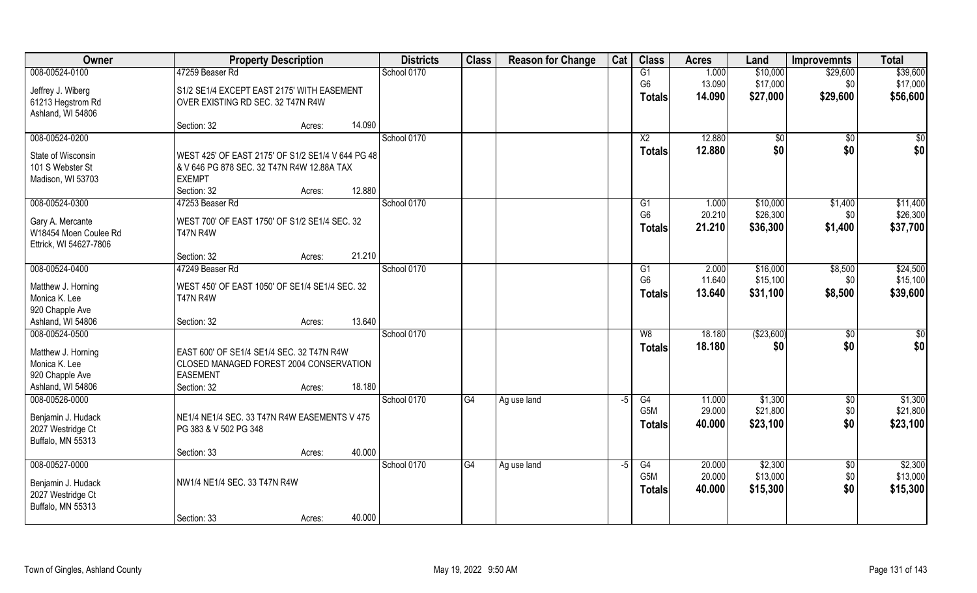| Owner                  |                                                   | <b>Property Description</b> |        | <b>Districts</b> | <b>Class</b>    | <b>Reason for Change</b> | Cat  | <b>Class</b>     | <b>Acres</b> | Land       | Improvemnts     | <b>Total</b> |
|------------------------|---------------------------------------------------|-----------------------------|--------|------------------|-----------------|--------------------------|------|------------------|--------------|------------|-----------------|--------------|
| 008-00524-0100         | 47259 Beaser Rd                                   |                             |        | School 0170      |                 |                          |      | G1               | 1.000        | \$10,000   | \$29,600        | \$39,600     |
| Jeffrey J. Wiberg      | S1/2 SE1/4 EXCEPT EAST 2175' WITH EASEMENT        |                             |        |                  |                 |                          |      | G <sub>6</sub>   | 13.090       | \$17,000   | \$0             | \$17,000     |
| 61213 Hegstrom Rd      | OVER EXISTING RD SEC. 32 T47N R4W                 |                             |        |                  |                 |                          |      | <b>Totals</b>    | 14.090       | \$27,000   | \$29,600        | \$56,600     |
| Ashland, WI 54806      |                                                   |                             |        |                  |                 |                          |      |                  |              |            |                 |              |
|                        | Section: 32                                       | Acres:                      | 14.090 |                  |                 |                          |      |                  |              |            |                 |              |
| 008-00524-0200         |                                                   |                             |        | School 0170      |                 |                          |      | $\overline{X2}$  | 12,880       | \$0        | $\overline{50}$ | \$0          |
| State of Wisconsin     | WEST 425' OF EAST 2175' OF S1/2 SE1/4 V 644 PG 48 |                             |        |                  |                 |                          |      | <b>Totals</b>    | 12.880       | \$0        | \$0             | \$0          |
| 101 S Webster St       | & V 646 PG 878 SEC. 32 T47N R4W 12.88A TAX        |                             |        |                  |                 |                          |      |                  |              |            |                 |              |
| Madison, WI 53703      | <b>EXEMPT</b>                                     |                             |        |                  |                 |                          |      |                  |              |            |                 |              |
|                        | Section: 32                                       | Acres:                      | 12.880 |                  |                 |                          |      |                  |              |            |                 |              |
| 008-00524-0300         | 47253 Beaser Rd                                   |                             |        | School 0170      |                 |                          |      | G <sub>1</sub>   | 1.000        | \$10,000   | \$1,400         | \$11,400     |
| Gary A. Mercante       | WEST 700' OF EAST 1750' OF S1/2 SE1/4 SEC. 32     |                             |        |                  |                 |                          |      | G <sub>6</sub>   | 20.210       | \$26,300   | \$0             | \$26,300     |
| W18454 Moen Coulee Rd  | <b>T47N R4W</b>                                   |                             |        |                  |                 |                          |      | <b>Totals</b>    | 21.210       | \$36,300   | \$1,400         | \$37,700     |
| Ettrick, WI 54627-7806 |                                                   |                             |        |                  |                 |                          |      |                  |              |            |                 |              |
|                        | Section: 32                                       | Acres:                      | 21.210 |                  |                 |                          |      |                  |              |            |                 |              |
| 008-00524-0400         | 47249 Beaser Rd                                   |                             |        | School 0170      |                 |                          |      | G1               | 2.000        | \$16,000   | \$8,500         | \$24,500     |
| Matthew J. Horning     | WEST 450' OF EAST 1050' OF SE1/4 SE1/4 SEC. 32    |                             |        |                  |                 |                          |      | G <sub>6</sub>   | 11.640       | \$15,100   | \$0             | \$15,100     |
| Monica K. Lee          | <b>T47N R4W</b>                                   |                             |        |                  |                 |                          |      | <b>Totals</b>    | 13.640       | \$31,100   | \$8,500         | \$39,600     |
| 920 Chapple Ave        |                                                   |                             |        |                  |                 |                          |      |                  |              |            |                 |              |
| Ashland, WI 54806      | Section: 32                                       | Acres:                      | 13.640 |                  |                 |                          |      |                  |              |            |                 |              |
| 008-00524-0500         |                                                   |                             |        | School 0170      |                 |                          |      | W8               | 18.180       | (\$23,600) | $\overline{60}$ | \$0          |
| Matthew J. Horning     | EAST 600' OF SE1/4 SE1/4 SEC. 32 T47N R4W         |                             |        |                  |                 |                          |      | <b>Totals</b>    | 18.180       | \$0        | \$0             | \$0          |
| Monica K. Lee          | CLOSED MANAGED FOREST 2004 CONSERVATION           |                             |        |                  |                 |                          |      |                  |              |            |                 |              |
| 920 Chapple Ave        | <b>EASEMENT</b>                                   |                             |        |                  |                 |                          |      |                  |              |            |                 |              |
| Ashland, WI 54806      | Section: 32                                       | Acres:                      | 18.180 |                  |                 |                          |      |                  |              |            |                 |              |
| 008-00526-0000         |                                                   |                             |        | School 0170      | G4              | Ag use land              | $-5$ | G4               | 11.000       | \$1,300    | \$0             | \$1,300      |
| Benjamin J. Hudack     | NE1/4 NE1/4 SEC. 33 T47N R4W EASEMENTS V 475      |                             |        |                  |                 |                          |      | G5M              | 29.000       | \$21,800   | \$0             | \$21,800     |
| 2027 Westridge Ct      | PG 383 & V 502 PG 348                             |                             |        |                  |                 |                          |      | <b>Totals</b>    | 40.000       | \$23,100   | \$0             | \$23,100     |
| Buffalo, MN 55313      |                                                   |                             |        |                  |                 |                          |      |                  |              |            |                 |              |
|                        | Section: 33                                       | Acres:                      | 40.000 |                  |                 |                          |      |                  |              |            |                 |              |
| 008-00527-0000         |                                                   |                             |        | School 0170      | $\overline{G4}$ | Ag use land              | $-5$ | G4               | 20.000       | \$2,300    | $\overline{50}$ | \$2,300      |
| Benjamin J. Hudack     | NW1/4 NE1/4 SEC. 33 T47N R4W                      |                             |        |                  |                 |                          |      | G <sub>5</sub> M | 20.000       | \$13,000   | \$0             | \$13,000     |
| 2027 Westridge Ct      |                                                   |                             |        |                  |                 |                          |      | <b>Totals</b>    | 40.000       | \$15,300   | \$0             | \$15,300     |
| Buffalo, MN 55313      |                                                   |                             |        |                  |                 |                          |      |                  |              |            |                 |              |
|                        | Section: 33                                       | Acres:                      | 40.000 |                  |                 |                          |      |                  |              |            |                 |              |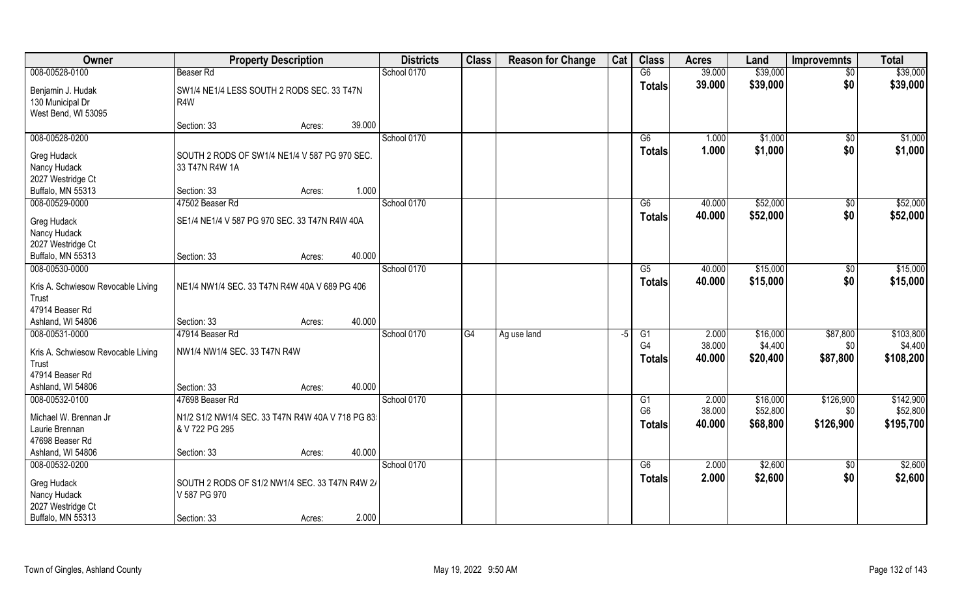| 008-00528-0100<br><b>Beaser Rd</b><br>School 0170<br>G6<br>39.000<br>$\overline{50}$<br>39.000<br>\$0<br>\$39,000<br><b>Totals</b><br>Benjamin J. Hudak<br>SW1/4 NE1/4 LESS SOUTH 2 RODS SEC. 33 T47N<br>130 Municipal Dr<br>R4W<br>West Bend, WI 53095<br>39.000<br>Section: 33<br>Acres:<br>008-00528-0200<br>School 0170<br>G6<br>1.000<br>\$1,000<br>\$0<br>1.000<br>\$0<br>\$1,000<br>Totals<br>Greg Hudack<br>SOUTH 2 RODS OF SW1/4 NE1/4 V 587 PG 970 SEC.<br>Nancy Hudack<br>33 T47N R4W 1A<br>2027 Westridge Ct<br>1.000<br>Buffalo, MN 55313<br>Section: 33<br>Acres:<br>008-00529-0000<br>School 0170<br>\$52,000<br>47502 Beaser Rd<br>G6<br>40.000<br>$\sqrt[6]{30}$<br>\$0<br>\$52,000<br>40.000<br><b>Totals</b><br>Greg Hudack<br>SE1/4 NE1/4 V 587 PG 970 SEC. 33 T47N R4W 40A<br>Nancy Hudack<br>2027 Westridge Ct<br>40.000<br>Buffalo, MN 55313<br>Section: 33<br>Acres:<br>008-00530-0000<br>\$15,000<br>School 0170<br>40.000<br>G5<br>$\sqrt[6]{3}$<br>\$0<br>40.000<br>\$15,000<br><b>Totals</b><br>NE1/4 NW1/4 SEC. 33 T47N R4W 40A V 689 PG 406<br>Kris A. Schwiesow Revocable Living<br>Trust | <b>Total</b>                      | <b>Improvemnts</b> | Land     | <b>Acres</b> | <b>Class</b> | Cat | <b>Reason for Change</b> | <b>Class</b> | <b>Districts</b> |  | <b>Property Description</b> | Owner           |
|--------------------------------------------------------------------------------------------------------------------------------------------------------------------------------------------------------------------------------------------------------------------------------------------------------------------------------------------------------------------------------------------------------------------------------------------------------------------------------------------------------------------------------------------------------------------------------------------------------------------------------------------------------------------------------------------------------------------------------------------------------------------------------------------------------------------------------------------------------------------------------------------------------------------------------------------------------------------------------------------------------------------------------------------------------------------------------------------------------------------------|-----------------------------------|--------------------|----------|--------------|--------------|-----|--------------------------|--------------|------------------|--|-----------------------------|-----------------|
|                                                                                                                                                                                                                                                                                                                                                                                                                                                                                                                                                                                                                                                                                                                                                                                                                                                                                                                                                                                                                                                                                                                          | \$39,000                          |                    | \$39,000 |              |              |     |                          |              |                  |  |                             |                 |
|                                                                                                                                                                                                                                                                                                                                                                                                                                                                                                                                                                                                                                                                                                                                                                                                                                                                                                                                                                                                                                                                                                                          | \$39,000                          |                    |          |              |              |     |                          |              |                  |  |                             |                 |
|                                                                                                                                                                                                                                                                                                                                                                                                                                                                                                                                                                                                                                                                                                                                                                                                                                                                                                                                                                                                                                                                                                                          |                                   |                    |          |              |              |     |                          |              |                  |  |                             |                 |
|                                                                                                                                                                                                                                                                                                                                                                                                                                                                                                                                                                                                                                                                                                                                                                                                                                                                                                                                                                                                                                                                                                                          | \$1,000                           |                    |          |              |              |     |                          |              |                  |  |                             |                 |
|                                                                                                                                                                                                                                                                                                                                                                                                                                                                                                                                                                                                                                                                                                                                                                                                                                                                                                                                                                                                                                                                                                                          | \$1,000                           |                    |          |              |              |     |                          |              |                  |  |                             |                 |
|                                                                                                                                                                                                                                                                                                                                                                                                                                                                                                                                                                                                                                                                                                                                                                                                                                                                                                                                                                                                                                                                                                                          |                                   |                    |          |              |              |     |                          |              |                  |  |                             |                 |
|                                                                                                                                                                                                                                                                                                                                                                                                                                                                                                                                                                                                                                                                                                                                                                                                                                                                                                                                                                                                                                                                                                                          | \$52,000                          |                    |          |              |              |     |                          |              |                  |  |                             |                 |
|                                                                                                                                                                                                                                                                                                                                                                                                                                                                                                                                                                                                                                                                                                                                                                                                                                                                                                                                                                                                                                                                                                                          | \$52,000                          |                    |          |              |              |     |                          |              |                  |  |                             |                 |
|                                                                                                                                                                                                                                                                                                                                                                                                                                                                                                                                                                                                                                                                                                                                                                                                                                                                                                                                                                                                                                                                                                                          |                                   |                    |          |              |              |     |                          |              |                  |  |                             |                 |
|                                                                                                                                                                                                                                                                                                                                                                                                                                                                                                                                                                                                                                                                                                                                                                                                                                                                                                                                                                                                                                                                                                                          | \$15,000                          |                    |          |              |              |     |                          |              |                  |  |                             |                 |
|                                                                                                                                                                                                                                                                                                                                                                                                                                                                                                                                                                                                                                                                                                                                                                                                                                                                                                                                                                                                                                                                                                                          | \$15,000                          |                    |          |              |              |     |                          |              |                  |  |                             | 47914 Beaser Rd |
| 40.000<br>Ashland, WI 54806<br>Section: 33<br>Acres:                                                                                                                                                                                                                                                                                                                                                                                                                                                                                                                                                                                                                                                                                                                                                                                                                                                                                                                                                                                                                                                                     |                                   |                    |          |              |              |     |                          |              |                  |  |                             |                 |
| \$87,800<br>008-00531-0000<br>2.000<br>\$16,000<br>47914 Beaser Rd<br>School 0170<br>$\overline{G4}$<br>G1<br>Ag use land<br>-5<br>G <sub>4</sub><br>38.000<br>\$4,400<br>\$0<br>NW1/4 NW1/4 SEC. 33 T47N R4W<br>Kris A. Schwiesow Revocable Living<br>\$87,800<br>40.000<br>\$20,400<br><b>Totals</b><br>Trust<br>47914 Beaser Rd                                                                                                                                                                                                                                                                                                                                                                                                                                                                                                                                                                                                                                                                                                                                                                                       | \$103,800<br>\$4,400<br>\$108,200 |                    |          |              |              |     |                          |              |                  |  |                             |                 |
| Ashland, WI 54806<br>40.000<br>Section: 33<br>Acres:                                                                                                                                                                                                                                                                                                                                                                                                                                                                                                                                                                                                                                                                                                                                                                                                                                                                                                                                                                                                                                                                     |                                   |                    |          |              |              |     |                          |              |                  |  |                             |                 |
| 008-00532-0100<br>School 0170<br>2.000<br>\$16,000<br>\$126,900<br>47698 Beaser Rd<br>G1<br>\$52,800<br>G <sub>6</sub><br>38.000<br>\$0                                                                                                                                                                                                                                                                                                                                                                                                                                                                                                                                                                                                                                                                                                                                                                                                                                                                                                                                                                                  | \$142,900<br>\$52,800             |                    |          |              |              |     |                          |              |                  |  |                             |                 |
| Michael W. Brennan Jr<br>N1/2 S1/2 NW1/4 SEC. 33 T47N R4W 40A V 718 PG 83<br>40.000<br>\$68,800<br>\$126,900<br><b>Totals</b><br>Laurie Brennan<br>& V 722 PG 295<br>47698 Beaser Rd                                                                                                                                                                                                                                                                                                                                                                                                                                                                                                                                                                                                                                                                                                                                                                                                                                                                                                                                     | \$195,700                         |                    |          |              |              |     |                          |              |                  |  |                             |                 |
| 40.000<br>Ashland, WI 54806<br>Section: 33<br>Acres:                                                                                                                                                                                                                                                                                                                                                                                                                                                                                                                                                                                                                                                                                                                                                                                                                                                                                                                                                                                                                                                                     |                                   |                    |          |              |              |     |                          |              |                  |  |                             |                 |
| 008-00532-0200<br>School 0170<br>\$2,600<br>G6<br>2.000<br>$\sqrt{$0}$<br>\$0<br>2.000<br>\$2,600<br><b>Totals</b><br>Greg Hudack<br>SOUTH 2 RODS OF S1/2 NW1/4 SEC. 33 T47N R4W 2/<br>Nancy Hudack<br>V 587 PG 970<br>2027 Westridge Ct<br>2.000<br>Buffalo, MN 55313<br>Section: 33<br>Acres:                                                                                                                                                                                                                                                                                                                                                                                                                                                                                                                                                                                                                                                                                                                                                                                                                          | \$2,600<br>\$2,600                |                    |          |              |              |     |                          |              |                  |  |                             |                 |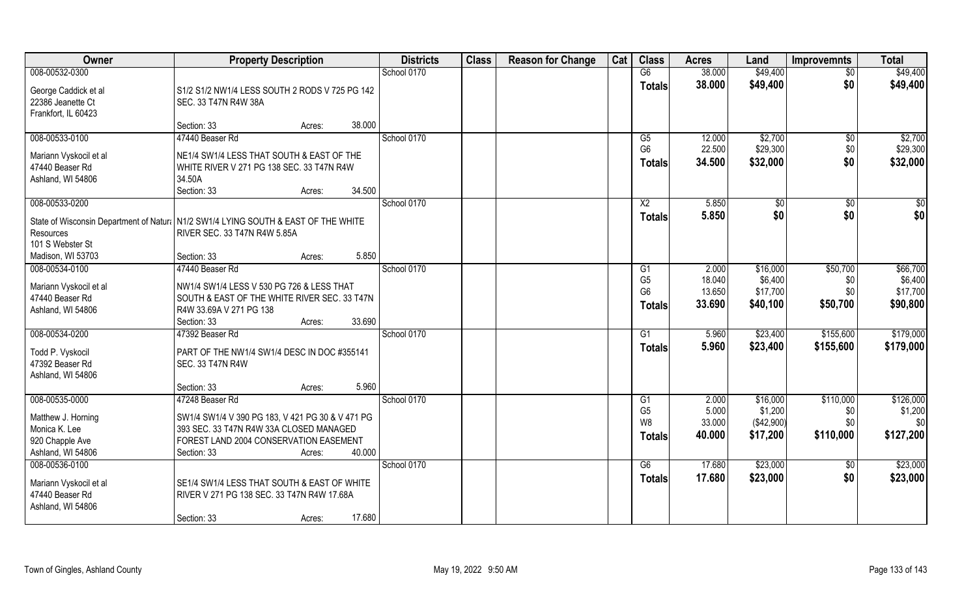| <b>Owner</b>                                                                         | <b>Property Description</b>                      |                  | <b>Districts</b> | <b>Class</b> | <b>Reason for Change</b> | Cat | <b>Class</b>    | <b>Acres</b> | Land       | Improvemnts     | <b>Total</b> |
|--------------------------------------------------------------------------------------|--------------------------------------------------|------------------|------------------|--------------|--------------------------|-----|-----------------|--------------|------------|-----------------|--------------|
| 008-00532-0300                                                                       |                                                  |                  | School 0170      |              |                          |     | G6              | 38.000       | \$49,400   | $\overline{50}$ | \$49,400     |
| George Caddick et al                                                                 | S1/2 S1/2 NW1/4 LESS SOUTH 2 RODS V 725 PG 142   |                  |                  |              |                          |     | <b>Totals</b>   | 38.000       | \$49,400   | \$0             | \$49,400     |
| 22386 Jeanette Ct                                                                    | SEC. 33 T47N R4W 38A                             |                  |                  |              |                          |     |                 |              |            |                 |              |
| Frankfort, IL 60423                                                                  |                                                  |                  |                  |              |                          |     |                 |              |            |                 |              |
|                                                                                      | Section: 33                                      | 38,000<br>Acres: |                  |              |                          |     |                 |              |            |                 |              |
| 008-00533-0100                                                                       | 47440 Beaser Rd                                  |                  | School 0170      |              |                          |     | G5              | 12.000       | \$2,700    | $\overline{50}$ | \$2,700      |
| Mariann Vyskocil et al                                                               | NE1/4 SW1/4 LESS THAT SOUTH & EAST OF THE        |                  |                  |              |                          |     | G <sub>6</sub>  | 22.500       | \$29,300   | \$0             | \$29,300     |
| 47440 Beaser Rd                                                                      | WHITE RIVER V 271 PG 138 SEC. 33 T47N R4W        |                  |                  |              |                          |     | <b>Totals</b>   | 34.500       | \$32,000   | \$0             | \$32,000     |
| Ashland, WI 54806                                                                    | 34.50A                                           |                  |                  |              |                          |     |                 |              |            |                 |              |
|                                                                                      | Section: 33                                      | 34.500<br>Acres: |                  |              |                          |     |                 |              |            |                 |              |
| 008-00533-0200                                                                       |                                                  |                  | School 0170      |              |                          |     | X <sub>2</sub>  | 5.850        | $\sqrt{6}$ | $\sqrt[6]{30}$  | \$0          |
| State of Wisconsin Department of Natura   N1/2 SW1/4 LYING SOUTH & EAST OF THE WHITE |                                                  |                  |                  |              |                          |     | <b>Totals</b>   | 5.850        | \$0        | \$0             | \$0          |
| Resources                                                                            | RIVER SEC. 33 T47N R4W 5.85A                     |                  |                  |              |                          |     |                 |              |            |                 |              |
| 101 S Webster St                                                                     |                                                  |                  |                  |              |                          |     |                 |              |            |                 |              |
| Madison, WI 53703                                                                    | Section: 33                                      | 5.850<br>Acres:  |                  |              |                          |     |                 |              |            |                 |              |
| 008-00534-0100                                                                       | 47440 Beaser Rd                                  |                  | School 0170      |              |                          |     | G1              | 2.000        | \$16,000   | \$50,700        | \$66,700     |
| Mariann Vyskocil et al                                                               | NW1/4 SW1/4 LESS V 530 PG 726 & LESS THAT        |                  |                  |              |                          |     | G <sub>5</sub>  | 18.040       | \$6,400    | \$0             | \$6,400      |
| 47440 Beaser Rd                                                                      | SOUTH & EAST OF THE WHITE RIVER SEC. 33 T47N     |                  |                  |              |                          |     | G <sub>6</sub>  | 13.650       | \$17,700   | \$0             | \$17,700     |
| Ashland, WI 54806                                                                    | R4W 33.69A V 271 PG 138                          |                  |                  |              |                          |     | <b>Totals</b>   | 33.690       | \$40,100   | \$50,700        | \$90,800     |
|                                                                                      | Section: 33                                      | 33.690<br>Acres: |                  |              |                          |     |                 |              |            |                 |              |
| 008-00534-0200                                                                       | 47392 Beaser Rd                                  |                  | School 0170      |              |                          |     | $\overline{G1}$ | 5.960        | \$23,400   | \$155,600       | \$179,000    |
| Todd P. Vyskocil                                                                     | PART OF THE NW1/4 SW1/4 DESC IN DOC #355141      |                  |                  |              |                          |     | <b>Totals</b>   | 5.960        | \$23,400   | \$155,600       | \$179,000    |
| 47392 Beaser Rd                                                                      | <b>SEC. 33 T47N R4W</b>                          |                  |                  |              |                          |     |                 |              |            |                 |              |
| Ashland, WI 54806                                                                    |                                                  |                  |                  |              |                          |     |                 |              |            |                 |              |
|                                                                                      | Section: 33                                      | 5.960<br>Acres:  |                  |              |                          |     |                 |              |            |                 |              |
| 008-00535-0000                                                                       | 47248 Beaser Rd                                  |                  | School 0170      |              |                          |     | G <sub>1</sub>  | 2.000        | \$16,000   | \$110,000       | \$126,000    |
| Matthew J. Horning                                                                   | SW1/4 SW1/4 V 390 PG 183, V 421 PG 30 & V 471 PG |                  |                  |              |                          |     | G <sub>5</sub>  | 5.000        | \$1,200    | \$0             | \$1,200      |
| Monica K. Lee                                                                        | 393 SEC. 33 T47N R4W 33A CLOSED MANAGED          |                  |                  |              |                          |     | W <sub>8</sub>  | 33.000       | (\$42,900) | \$0             | \$0          |
| 920 Chapple Ave                                                                      | FOREST LAND 2004 CONSERVATION EASEMENT           |                  |                  |              |                          |     | <b>Totals</b>   | 40.000       | \$17,200   | \$110,000       | \$127,200    |
| Ashland, WI 54806                                                                    | Section: 33                                      | 40.000<br>Acres: |                  |              |                          |     |                 |              |            |                 |              |
| 008-00536-0100                                                                       |                                                  |                  | School 0170      |              |                          |     | G6              | 17.680       | \$23,000   | $\overline{50}$ | \$23,000     |
|                                                                                      | SE1/4 SW1/4 LESS THAT SOUTH & EAST OF WHITE      |                  |                  |              |                          |     | <b>Totals</b>   | 17.680       | \$23,000   | \$0             | \$23,000     |
| Mariann Vyskocil et al<br>47440 Beaser Rd                                            | RIVER V 271 PG 138 SEC. 33 T47N R4W 17.68A       |                  |                  |              |                          |     |                 |              |            |                 |              |
| Ashland, WI 54806                                                                    |                                                  |                  |                  |              |                          |     |                 |              |            |                 |              |
|                                                                                      | Section: 33                                      | 17.680<br>Acres: |                  |              |                          |     |                 |              |            |                 |              |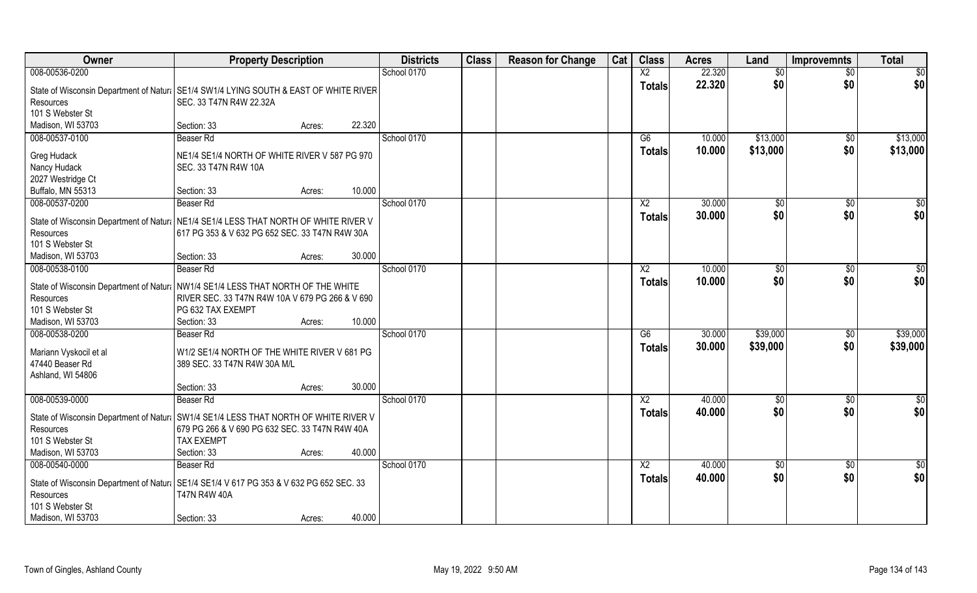| Owner                                                                                               | <b>Property Description</b>                                         |                  | <b>Districts</b> | <b>Class</b> | <b>Reason for Change</b> | Cat | <b>Class</b>    | <b>Acres</b> | Land          | <b>Improvemnts</b> | <b>Total</b>    |
|-----------------------------------------------------------------------------------------------------|---------------------------------------------------------------------|------------------|------------------|--------------|--------------------------|-----|-----------------|--------------|---------------|--------------------|-----------------|
| 008-00536-0200                                                                                      |                                                                     |                  | School 0170      |              |                          |     | $\overline{X2}$ | 22.320       | \$0           | \$0                | \$0             |
| State of Wisconsin Department of Natur   SE1/4 SW1/4 LYING SOUTH & EAST OF WHITE RIVER<br>Resources | SEC. 33 T47N R4W 22.32A                                             |                  |                  |              |                          |     | <b>Totals</b>   | 22.320       | \$0           | \$0                | \$0             |
| 101 S Webster St                                                                                    |                                                                     |                  |                  |              |                          |     |                 |              |               |                    |                 |
| Madison, WI 53703                                                                                   | Section: 33                                                         | 22.320<br>Acres: |                  |              |                          |     |                 |              |               |                    |                 |
| 008-00537-0100                                                                                      | Beaser Rd                                                           |                  | School 0170      |              |                          |     | G6              | 10.000       | \$13,000      | $\sqrt{$0}$        | \$13,000        |
| Greg Hudack                                                                                         | NE1/4 SE1/4 NORTH OF WHITE RIVER V 587 PG 970                       |                  |                  |              |                          |     | <b>Totals</b>   | 10.000       | \$13,000      | \$0                | \$13,000        |
| Nancy Hudack                                                                                        | SEC. 33 T47N R4W 10A                                                |                  |                  |              |                          |     |                 |              |               |                    |                 |
| 2027 Westridge Ct                                                                                   |                                                                     |                  |                  |              |                          |     |                 |              |               |                    |                 |
| Buffalo, MN 55313                                                                                   | Section: 33                                                         | 10.000<br>Acres: |                  |              |                          |     |                 |              |               |                    |                 |
| 008-00537-0200                                                                                      | Beaser Rd                                                           |                  | School 0170      |              |                          |     | X <sub>2</sub>  | 30.000       | \$0           | $\sqrt{50}$        | \$0             |
| State of Wisconsin Department of Natural NE1/4 SE1/4 LESS THAT NORTH OF WHITE RIVER V               |                                                                     |                  |                  |              |                          |     | <b>Totals</b>   | 30.000       | \$0           | \$0                | \$0             |
| Resources                                                                                           | 617 PG 353 & V 632 PG 652 SEC. 33 T47N R4W 30A                      |                  |                  |              |                          |     |                 |              |               |                    |                 |
| 101 S Webster St                                                                                    |                                                                     |                  |                  |              |                          |     |                 |              |               |                    |                 |
| Madison, WI 53703                                                                                   | Section: 33                                                         | 30.000<br>Acres: |                  |              |                          |     |                 |              |               |                    |                 |
| 008-00538-0100                                                                                      | Beaser Rd                                                           |                  | School 0170      |              |                          |     | X <sub>2</sub>  | 10.000       | $\sqrt[6]{3}$ | $\sqrt[6]{3}$      | \$0             |
| State of Wisconsin Department of Natura NW1/4 SE1/4 LESS THAT NORTH OF THE WHITE                    |                                                                     |                  |                  |              |                          |     | <b>Totals</b>   | 10.000       | \$0           | \$0                | \$0             |
| Resources                                                                                           | RIVER SEC. 33 T47N R4W 10A V 679 PG 266 & V 690                     |                  |                  |              |                          |     |                 |              |               |                    |                 |
| 101 S Webster St                                                                                    | PG 632 TAX EXEMPT                                                   |                  |                  |              |                          |     |                 |              |               |                    |                 |
| Madison, WI 53703                                                                                   | Section: 33                                                         | 10.000<br>Acres: |                  |              |                          |     |                 |              |               |                    |                 |
| 008-00538-0200                                                                                      | Beaser Rd                                                           |                  | School 0170      |              |                          |     | $\overline{G6}$ | 30.000       | \$39,000      | \$0                | \$39,000        |
|                                                                                                     | W1/2 SE1/4 NORTH OF THE WHITE RIVER V 681 PG                        |                  |                  |              |                          |     | <b>Totals</b>   | 30.000       | \$39,000      | \$0                | \$39,000        |
| Mariann Vyskocil et al<br>47440 Beaser Rd                                                           | 389 SEC. 33 T47N R4W 30A M/L                                        |                  |                  |              |                          |     |                 |              |               |                    |                 |
| Ashland, WI 54806                                                                                   |                                                                     |                  |                  |              |                          |     |                 |              |               |                    |                 |
|                                                                                                     | Section: 33                                                         | 30.000<br>Acres: |                  |              |                          |     |                 |              |               |                    |                 |
| 008-00539-0000                                                                                      | Beaser Rd                                                           |                  | School 0170      |              |                          |     | $\overline{X2}$ | 40.000       | \$0           | \$0                | \$0             |
|                                                                                                     |                                                                     |                  |                  |              |                          |     | <b>Totals</b>   | 40.000       | \$0           | \$0                | \$0             |
| State of Wisconsin Department of Natural SW1/4 SE1/4 LESS THAT NORTH OF WHITE RIVER V               |                                                                     |                  |                  |              |                          |     |                 |              |               |                    |                 |
| Resources<br>101 S Webster St                                                                       | 679 PG 266 & V 690 PG 632 SEC. 33 T47N R4W 40A<br><b>TAX EXEMPT</b> |                  |                  |              |                          |     |                 |              |               |                    |                 |
| Madison, WI 53703                                                                                   | Section: 33                                                         | 40.000<br>Acres: |                  |              |                          |     |                 |              |               |                    |                 |
| 008-00540-0000                                                                                      | Beaser Rd                                                           |                  | School 0170      |              |                          |     | $\overline{X2}$ | 40.000       | $\sqrt{6}$    | $\sqrt{$0}$        | $\overline{50}$ |
|                                                                                                     |                                                                     |                  |                  |              |                          |     | <b>Totals</b>   | 40.000       | \$0           | \$0                | \$0             |
| State of Wisconsin Department of Natur: SE1/4 SE1/4 V 617 PG 353 & V 632 PG 652 SEC. 33             |                                                                     |                  |                  |              |                          |     |                 |              |               |                    |                 |
|                                                                                                     |                                                                     |                  |                  |              |                          |     |                 |              |               |                    |                 |
|                                                                                                     |                                                                     |                  |                  |              |                          |     |                 |              |               |                    |                 |
| Resources<br>101 S Webster St<br>Madison, WI 53703                                                  | <b>T47N R4W 40A</b><br>Section: 33                                  | 40.000<br>Acres: |                  |              |                          |     |                 |              |               |                    |                 |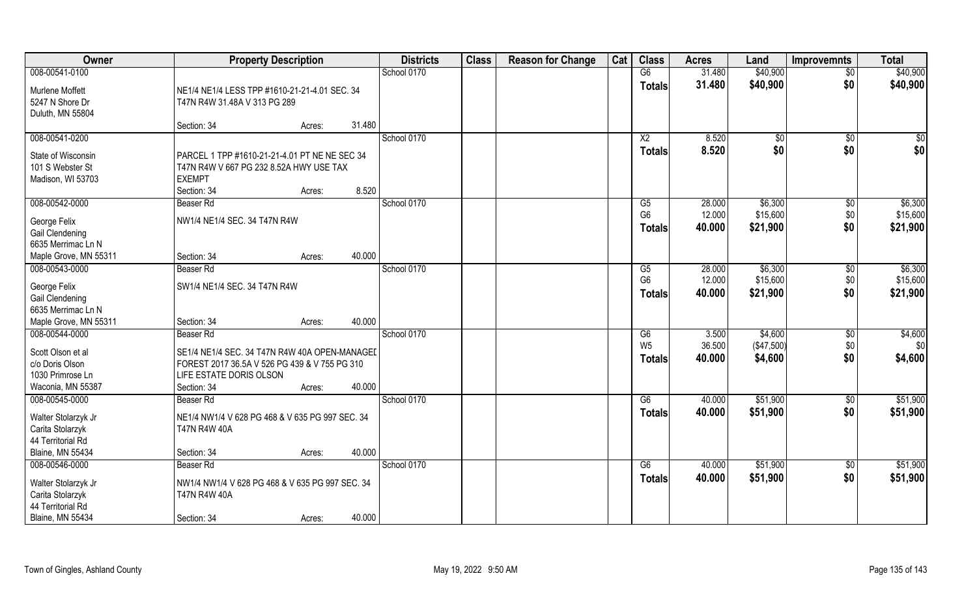| Owner                                                                          | <b>Property Description</b>                                                                                                                                  | <b>Districts</b> | <b>Class</b> | <b>Reason for Change</b> | Cat | <b>Class</b>                      | <b>Acres</b>     | Land                  | <b>Improvemnts</b> | <b>Total</b>         |
|--------------------------------------------------------------------------------|--------------------------------------------------------------------------------------------------------------------------------------------------------------|------------------|--------------|--------------------------|-----|-----------------------------------|------------------|-----------------------|--------------------|----------------------|
| 008-00541-0100                                                                 |                                                                                                                                                              | School 0170      |              |                          |     | G6                                | 31.480           | \$40,900              | $\overline{50}$    | \$40,900             |
| Murlene Moffett<br>5247 N Shore Dr<br>Duluth, MN 55804                         | NE1/4 NE1/4 LESS TPP #1610-21-21-4.01 SEC. 34<br>T47N R4W 31.48A V 313 PG 289                                                                                |                  |              |                          |     | <b>Totals</b>                     | 31.480           | \$40,900              | \$0                | \$40,900             |
|                                                                                | 31.480<br>Section: 34<br>Acres:                                                                                                                              |                  |              |                          |     |                                   |                  |                       |                    |                      |
| 008-00541-0200                                                                 |                                                                                                                                                              | School 0170      |              |                          |     | X <sub>2</sub>                    | 8.520            | $\sqrt[6]{}$          | $\overline{50}$    | $\overline{\$0}$     |
| State of Wisconsin<br>101 S Webster St<br>Madison, WI 53703                    | PARCEL 1 TPP #1610-21-21-4.01 PT NE NE SEC 34<br>T47N R4W V 667 PG 232 8.52A HWY USE TAX<br><b>EXEMPT</b><br>8.520<br>Section: 34<br>Acres:                  |                  |              |                          |     | <b>Totals</b>                     | 8.520            | \$0                   | \$0                | \$0                  |
| 008-00542-0000                                                                 | Beaser Rd                                                                                                                                                    | School 0170      |              |                          |     | G5                                | 28.000           | \$6,300               | \$0                | \$6,300              |
| George Felix<br>Gail Clendening<br>6635 Merrimac Ln N                          | NW1/4 NE1/4 SEC. 34 T47N R4W                                                                                                                                 |                  |              |                          |     | G <sub>6</sub><br><b>Totals</b>   | 12.000<br>40.000 | \$15,600<br>\$21,900  | \$0<br>\$0         | \$15,600<br>\$21,900 |
| Maple Grove, MN 55311                                                          | 40.000<br>Section: 34<br>Acres:                                                                                                                              |                  |              |                          |     |                                   |                  |                       |                    |                      |
| 008-00543-0000                                                                 | Beaser Rd                                                                                                                                                    | School 0170      |              |                          |     | G5                                | 28.000           | \$6,300               | $\sqrt[6]{3}$      | \$6,300              |
| George Felix<br>Gail Clendening<br>6635 Merrimac Ln N                          | SW1/4 NE1/4 SEC. 34 T47N R4W                                                                                                                                 |                  |              |                          |     | G <sub>6</sub><br><b>Totals</b>   | 12.000<br>40.000 | \$15,600<br>\$21,900  | \$0<br>\$0         | \$15,600<br>\$21,900 |
| Maple Grove, MN 55311                                                          | 40.000<br>Section: 34<br>Acres:                                                                                                                              |                  |              |                          |     |                                   |                  |                       |                    |                      |
| 008-00544-0000                                                                 | Beaser Rd                                                                                                                                                    | School 0170      |              |                          |     | $\overline{G6}$<br>W <sub>5</sub> | 3.500<br>36.500  | \$4,600<br>(\$47,500) | \$0<br>\$0         | \$4,600<br>\$0       |
| Scott Olson et al<br>c/o Doris Olson<br>1030 Primrose Ln<br>Waconia, MN 55387  | SE1/4 NE1/4 SEC. 34 T47N R4W 40A OPEN-MANAGEL<br>FOREST 2017 36.5A V 526 PG 439 & V 755 PG 310<br>LIFE ESTATE DORIS OLSON<br>40.000<br>Section: 34<br>Acres: |                  |              |                          |     | <b>Totals</b>                     | 40.000           | \$4,600               | \$0                | \$4,600              |
| 008-00545-0000                                                                 | Beaser Rd                                                                                                                                                    | School 0170      |              |                          |     | G6                                | 40.000           | \$51,900              | \$0                | \$51,900             |
| Walter Stolarzyk Jr<br>Carita Stolarzyk<br>44 Territorial Rd                   | NE1/4 NW1/4 V 628 PG 468 & V 635 PG 997 SEC. 34<br><b>T47N R4W 40A</b>                                                                                       |                  |              |                          |     | <b>Totals</b>                     | 40.000           | \$51,900              | \$0                | \$51,900             |
| <b>Blaine, MN 55434</b>                                                        | 40.000<br>Section: 34<br>Acres:                                                                                                                              |                  |              |                          |     |                                   |                  |                       |                    |                      |
| 008-00546-0000<br>Walter Stolarzyk Jr<br>Carita Stolarzyk<br>44 Territorial Rd | Beaser Rd<br>NW1/4 NW1/4 V 628 PG 468 & V 635 PG 997 SEC. 34<br><b>T47N R4W 40A</b>                                                                          | School 0170      |              |                          |     | G6<br><b>Totals</b>               | 40.000<br>40.000 | \$51,900<br>\$51,900  | $\sqrt{$0}$<br>\$0 | \$51,900<br>\$51,900 |
| <b>Blaine, MN 55434</b>                                                        | 40.000<br>Section: 34<br>Acres:                                                                                                                              |                  |              |                          |     |                                   |                  |                       |                    |                      |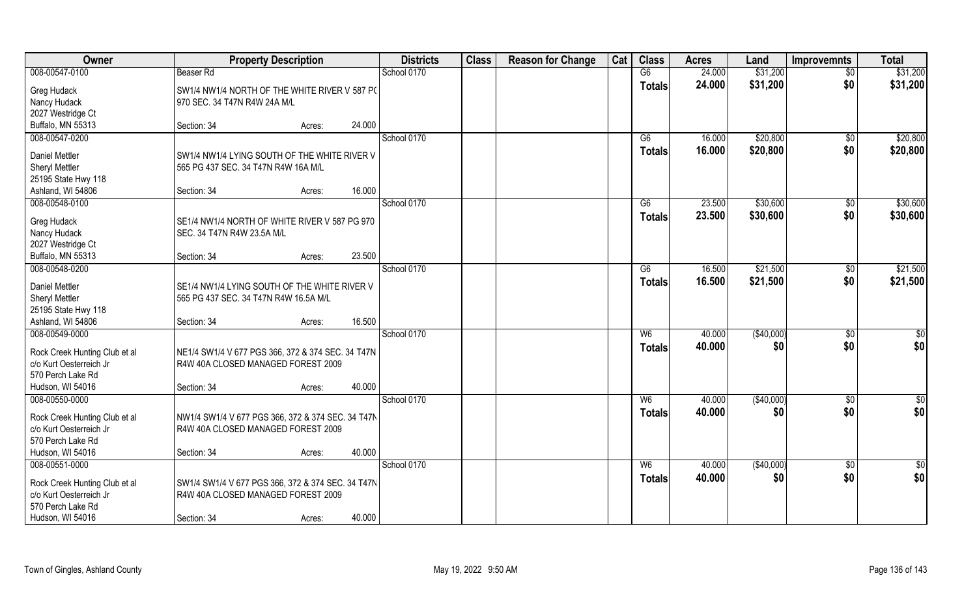| Owner                                        | <b>Property Description</b>                       | <b>Districts</b> | <b>Class</b> | <b>Reason for Change</b> | Cat | <b>Class</b>   | <b>Acres</b> | Land       | <b>Improvemnts</b> | <b>Total</b>    |
|----------------------------------------------|---------------------------------------------------|------------------|--------------|--------------------------|-----|----------------|--------------|------------|--------------------|-----------------|
| 008-00547-0100                               | Beaser Rd                                         | School 0170      |              |                          |     | G6             | 24.000       | \$31,200   | \$0                | \$31,200        |
| Greg Hudack                                  | SW1/4 NW1/4 NORTH OF THE WHITE RIVER V 587 PC     |                  |              |                          |     | <b>Totals</b>  | 24.000       | \$31,200   | \$0                | \$31,200        |
| Nancy Hudack                                 | 970 SEC. 34 T47N R4W 24A M/L                      |                  |              |                          |     |                |              |            |                    |                 |
| 2027 Westridge Ct                            |                                                   |                  |              |                          |     |                |              |            |                    |                 |
| Buffalo, MN 55313                            | 24.000<br>Section: 34<br>Acres:                   |                  |              |                          |     |                |              |            |                    |                 |
| 008-00547-0200                               |                                                   | School 0170      |              |                          |     | G6             | 16.000       | \$20,800   | \$0                | \$20,800        |
| <b>Daniel Mettler</b>                        | SW1/4 NW1/4 LYING SOUTH OF THE WHITE RIVER V      |                  |              |                          |     | <b>Totals</b>  | 16.000       | \$20,800   | \$0                | \$20,800        |
| Sheryl Mettler                               | 565 PG 437 SEC. 34 T47N R4W 16A M/L               |                  |              |                          |     |                |              |            |                    |                 |
| 25195 State Hwy 118                          |                                                   |                  |              |                          |     |                |              |            |                    |                 |
| Ashland, WI 54806                            | 16.000<br>Section: 34<br>Acres:                   |                  |              |                          |     |                |              |            |                    |                 |
| 008-00548-0100                               |                                                   | School 0170      |              |                          |     | G6             | 23.500       | \$30,600   | \$0                | \$30,600        |
| Greg Hudack                                  | SE1/4 NW1/4 NORTH OF WHITE RIVER V 587 PG 970     |                  |              |                          |     | <b>Totals</b>  | 23.500       | \$30,600   | \$0                | \$30,600        |
| Nancy Hudack                                 | SEC. 34 T47N R4W 23.5A M/L                        |                  |              |                          |     |                |              |            |                    |                 |
| 2027 Westridge Ct                            |                                                   |                  |              |                          |     |                |              |            |                    |                 |
| Buffalo, MN 55313                            | 23.500<br>Section: 34<br>Acres:                   |                  |              |                          |     |                |              |            |                    |                 |
| 008-00548-0200                               |                                                   | School 0170      |              |                          |     | G6             | 16.500       | \$21,500   | $\sqrt[6]{3}$      | \$21,500        |
| <b>Daniel Mettler</b>                        | SE1/4 NW1/4 LYING SOUTH OF THE WHITE RIVER V      |                  |              |                          |     | <b>Totals</b>  | 16.500       | \$21,500   | \$0                | \$21,500        |
| Sheryl Mettler                               | 565 PG 437 SEC. 34 T47N R4W 16.5A M/L             |                  |              |                          |     |                |              |            |                    |                 |
| 25195 State Hwy 118                          |                                                   |                  |              |                          |     |                |              |            |                    |                 |
| Ashland, WI 54806                            | 16.500<br>Section: 34<br>Acres:                   |                  |              |                          |     |                |              |            |                    |                 |
| 008-00549-0000                               |                                                   | School 0170      |              |                          |     | W6             | 40.000       | (\$40,000) | $\sqrt[6]{30}$     | \$0             |
|                                              |                                                   |                  |              |                          |     | <b>Totals</b>  | 40.000       | \$0        | \$0                | \$0             |
| Rock Creek Hunting Club et al                | NE1/4 SW1/4 V 677 PGS 366, 372 & 374 SEC. 34 T47N |                  |              |                          |     |                |              |            |                    |                 |
| c/o Kurt Oesterreich Jr<br>570 Perch Lake Rd | R4W 40A CLOSED MANAGED FOREST 2009                |                  |              |                          |     |                |              |            |                    |                 |
| Hudson, WI 54016                             | 40.000<br>Section: 34<br>Acres:                   |                  |              |                          |     |                |              |            |                    |                 |
| 008-00550-0000                               |                                                   | School 0170      |              |                          |     | W <sub>6</sub> | 40.000       | (\$40,000) | $\sqrt{$0}$        | $\frac{6}{3}$   |
|                                              |                                                   |                  |              |                          |     | <b>Totals</b>  | 40.000       | \$0        | \$0                | \$0             |
| Rock Creek Hunting Club et al                | NW1/4 SW1/4 V 677 PGS 366, 372 & 374 SEC. 34 T47N |                  |              |                          |     |                |              |            |                    |                 |
| c/o Kurt Oesterreich Jr                      | R4W 40A CLOSED MANAGED FOREST 2009                |                  |              |                          |     |                |              |            |                    |                 |
| 570 Perch Lake Rd                            | 40.000<br>Section: 34                             |                  |              |                          |     |                |              |            |                    |                 |
| Hudson, WI 54016<br>008-00551-0000           | Acres:                                            | School 0170      |              |                          |     | W <sub>6</sub> | 40.000       | (\$40,000) | $\overline{50}$    | $\overline{50}$ |
|                                              |                                                   |                  |              |                          |     | <b>Totals</b>  | 40.000       | \$0        | \$0                | \$0             |
| Rock Creek Hunting Club et al                | SW1/4 SW1/4 V 677 PGS 366, 372 & 374 SEC. 34 T47N |                  |              |                          |     |                |              |            |                    |                 |
| c/o Kurt Oesterreich Jr                      | R4W 40A CLOSED MANAGED FOREST 2009                |                  |              |                          |     |                |              |            |                    |                 |
| 570 Perch Lake Rd                            |                                                   |                  |              |                          |     |                |              |            |                    |                 |
| Hudson, WI 54016                             | 40.000<br>Section: 34<br>Acres:                   |                  |              |                          |     |                |              |            |                    |                 |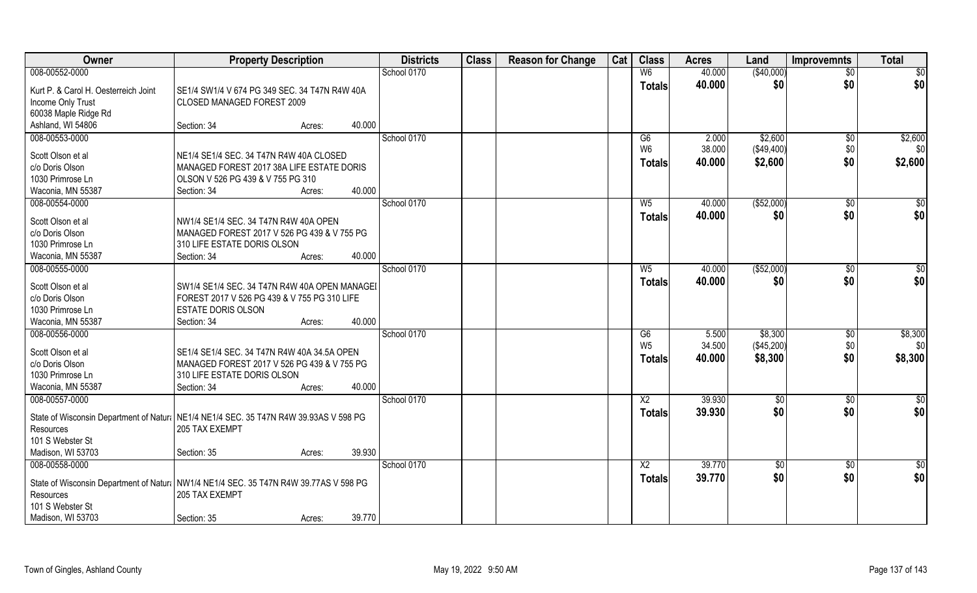| Owner                                | <b>Property Description</b>                                                           |        | <b>Districts</b> | <b>Class</b> | <b>Reason for Change</b> | Cat | <b>Class</b>    | <b>Acres</b> | Land            | <b>Improvemnts</b> | <b>Total</b>     |
|--------------------------------------|---------------------------------------------------------------------------------------|--------|------------------|--------------|--------------------------|-----|-----------------|--------------|-----------------|--------------------|------------------|
| 008-00552-0000                       |                                                                                       |        | School 0170      |              |                          |     | W <sub>6</sub>  | 40.000       | (\$40,000)      | $\overline{50}$    | $\overline{50}$  |
| Kurt P. & Carol H. Oesterreich Joint | SE1/4 SW1/4 V 674 PG 349 SEC. 34 T47N R4W 40A                                         |        |                  |              |                          |     | <b>Totals</b>   | 40.000       | \$0             | \$0                | \$0              |
| Income Only Trust                    | CLOSED MANAGED FOREST 2009                                                            |        |                  |              |                          |     |                 |              |                 |                    |                  |
| 60038 Maple Ridge Rd                 |                                                                                       |        |                  |              |                          |     |                 |              |                 |                    |                  |
| Ashland, WI 54806                    | Section: 34<br>Acres:                                                                 | 40.000 |                  |              |                          |     |                 |              |                 |                    |                  |
| 008-00553-0000                       |                                                                                       |        | School 0170      |              |                          |     | G6              | 2.000        | \$2,600         | $\sqrt{$0}$        | \$2,600          |
|                                      |                                                                                       |        |                  |              |                          |     | W <sub>6</sub>  | 38.000       | (\$49,400)      | \$0                | \$0              |
| Scott Olson et al                    | NE1/4 SE1/4 SEC. 34 T47N R4W 40A CLOSED                                               |        |                  |              |                          |     | <b>Totals</b>   | 40.000       | \$2,600         | \$0                | \$2,600          |
| c/o Doris Olson                      | MANAGED FOREST 2017 38A LIFE ESTATE DORIS                                             |        |                  |              |                          |     |                 |              |                 |                    |                  |
| 1030 Primrose Ln                     | OLSON V 526 PG 439 & V 755 PG 310                                                     |        |                  |              |                          |     |                 |              |                 |                    |                  |
| Waconia, MN 55387                    | Section: 34<br>Acres:                                                                 | 40.000 |                  |              |                          |     |                 |              |                 |                    |                  |
| 008-00554-0000                       |                                                                                       |        | School 0170      |              |                          |     | W <sub>5</sub>  | 40.000       | ( \$52,000)     | $\sqrt[6]{30}$     | \$0              |
| Scott Olson et al                    | NW1/4 SE1/4 SEC. 34 T47N R4W 40A OPEN                                                 |        |                  |              |                          |     | <b>Totals</b>   | 40.000       | \$0             | \$0                | \$0              |
| c/o Doris Olson                      | MANAGED FOREST 2017 V 526 PG 439 & V 755 PG                                           |        |                  |              |                          |     |                 |              |                 |                    |                  |
| 1030 Primrose Ln                     | 310 LIFE ESTATE DORIS OLSON                                                           |        |                  |              |                          |     |                 |              |                 |                    |                  |
| Waconia, MN 55387                    | Section: 34<br>Acres:                                                                 | 40.000 |                  |              |                          |     |                 |              |                 |                    |                  |
| 008-00555-0000                       |                                                                                       |        | School 0170      |              |                          |     | W <sub>5</sub>  | 40.000       | ( \$52,000)     | $\sqrt[6]{30}$     | \$0              |
|                                      |                                                                                       |        |                  |              |                          |     | <b>Totals</b>   | 40.000       | \$0             | \$0                | \$0              |
| Scott Olson et al                    | SW1/4 SE1/4 SEC. 34 T47N R4W 40A OPEN MANAGEI                                         |        |                  |              |                          |     |                 |              |                 |                    |                  |
| c/o Doris Olson                      | FOREST 2017 V 526 PG 439 & V 755 PG 310 LIFE                                          |        |                  |              |                          |     |                 |              |                 |                    |                  |
| 1030 Primrose Ln                     | <b>ESTATE DORIS OLSON</b>                                                             |        |                  |              |                          |     |                 |              |                 |                    |                  |
| Waconia, MN 55387                    | Section: 34<br>Acres:                                                                 | 40.000 |                  |              |                          |     |                 |              |                 |                    |                  |
| 008-00556-0000                       |                                                                                       |        | School 0170      |              |                          |     | $\overline{G6}$ | 5.500        | \$8,300         | $\sqrt[6]{3}$      | \$8,300          |
| Scott Olson et al                    | SE1/4 SE1/4 SEC. 34 T47N R4W 40A 34.5A OPEN                                           |        |                  |              |                          |     | W <sub>5</sub>  | 34.500       | (\$45,200)      | \$0                | \$0              |
| c/o Doris Olson                      | MANAGED FOREST 2017 V 526 PG 439 & V 755 PG                                           |        |                  |              |                          |     | <b>Totals</b>   | 40.000       | \$8,300         | \$0                | \$8,300          |
| 1030 Primrose Ln                     | 310 LIFE ESTATE DORIS OLSON                                                           |        |                  |              |                          |     |                 |              |                 |                    |                  |
| Waconia, MN 55387                    | Section: 34<br>Acres:                                                                 | 40.000 |                  |              |                          |     |                 |              |                 |                    |                  |
| 008-00557-0000                       |                                                                                       |        | School 0170      |              |                          |     | $\overline{X2}$ | 39.930       | \$0             | \$0                | $\frac{6}{3}$    |
|                                      |                                                                                       |        |                  |              |                          |     | <b>Totals</b>   | 39.930       | \$0             | \$0                | \$0              |
|                                      | State of Wisconsin Department of Natur: NE1/4 NE1/4 SEC. 35 T47N R4W 39.93AS V 598 PG |        |                  |              |                          |     |                 |              |                 |                    |                  |
| Resources                            | 205 TAX EXEMPT                                                                        |        |                  |              |                          |     |                 |              |                 |                    |                  |
| 101 S Webster St                     |                                                                                       |        |                  |              |                          |     |                 |              |                 |                    |                  |
| Madison, WI 53703                    | Section: 35<br>Acres:                                                                 | 39.930 |                  |              |                          |     |                 |              |                 |                    |                  |
| 008-00558-0000                       |                                                                                       |        | School 0170      |              |                          |     | $\overline{X2}$ | 39.770       | $\overline{50}$ | $\overline{50}$    | $\overline{\$0}$ |
|                                      | State of Wisconsin Department of Natur: NW1/4 NE1/4 SEC. 35 T47N R4W 39.77AS V 598 PG |        |                  |              |                          |     | Totals          | 39.770       | \$0             | \$0                | \$0              |
| Resources                            | 205 TAX EXEMPT                                                                        |        |                  |              |                          |     |                 |              |                 |                    |                  |
| 101 S Webster St                     |                                                                                       |        |                  |              |                          |     |                 |              |                 |                    |                  |
| Madison, WI 53703                    | Section: 35<br>Acres:                                                                 | 39.770 |                  |              |                          |     |                 |              |                 |                    |                  |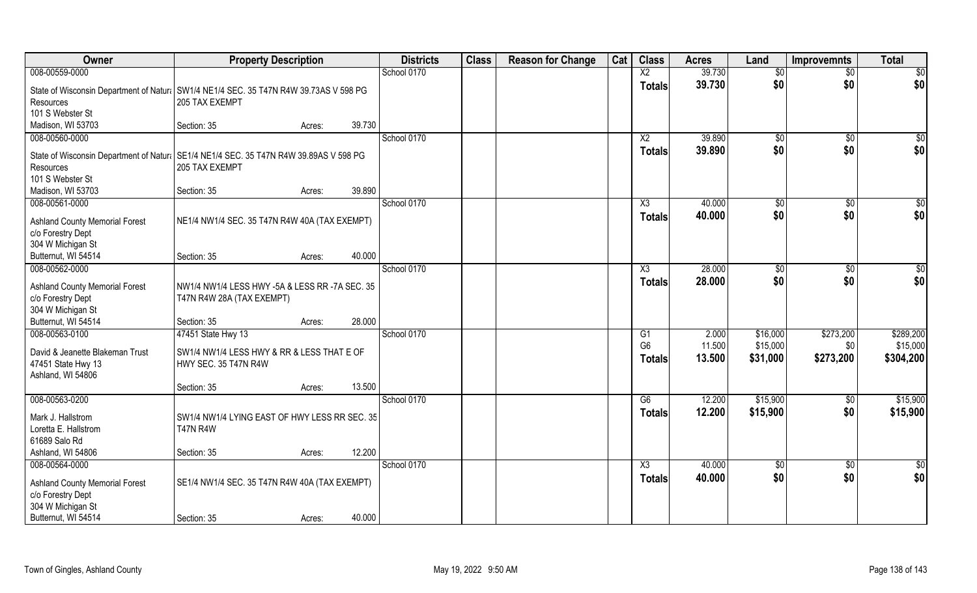| Owner                                                                                  | <b>Property Description</b>                                                 |        | <b>Districts</b> | <b>Class</b> | <b>Reason for Change</b> | Cat | <b>Class</b>    | <b>Acres</b> | Land            | <b>Improvemnts</b> | <b>Total</b>     |
|----------------------------------------------------------------------------------------|-----------------------------------------------------------------------------|--------|------------------|--------------|--------------------------|-----|-----------------|--------------|-----------------|--------------------|------------------|
| 008-00559-0000                                                                         |                                                                             |        | School 0170      |              |                          |     | $\overline{X2}$ | 39.730       | \$0             | $\overline{50}$    | $\overline{50}$  |
| State of Wisconsin Department of Natural SW1/4 NE1/4 SEC. 35 T47N R4W 39.73AS V 598 PG |                                                                             |        |                  |              |                          |     | <b>Totals</b>   | 39.730       | \$0             | \$0                | \$0              |
| Resources                                                                              | 205 TAX EXEMPT                                                              |        |                  |              |                          |     |                 |              |                 |                    |                  |
| 101 S Webster St                                                                       |                                                                             |        |                  |              |                          |     |                 |              |                 |                    |                  |
| Madison, WI 53703                                                                      | Section: 35                                                                 | Acres: | 39.730           |              |                          |     |                 |              |                 |                    |                  |
| 008-00560-0000                                                                         |                                                                             |        | School 0170      |              |                          |     | $\overline{X2}$ | 39.890       | $\sqrt[6]{}$    | $\overline{50}$    | $\frac{1}{6}$    |
| State of Wisconsin Department of Natur: SE1/4 NE1/4 SEC. 35 T47N R4W 39.89AS V 598 PG  |                                                                             |        |                  |              |                          |     | <b>Totals</b>   | 39.890       | \$0             | \$0                | \$0              |
| Resources                                                                              | 205 TAX EXEMPT                                                              |        |                  |              |                          |     |                 |              |                 |                    |                  |
| 101 S Webster St                                                                       |                                                                             |        |                  |              |                          |     |                 |              |                 |                    |                  |
| Madison, WI 53703                                                                      | Section: 35                                                                 | Acres: | 39.890           |              |                          |     |                 |              |                 |                    |                  |
| 008-00561-0000                                                                         |                                                                             |        | School 0170      |              |                          |     | X3              | 40.000       | \$0             | $\sqrt[6]{30}$     | \$0              |
|                                                                                        |                                                                             |        |                  |              |                          |     | <b>Totals</b>   | 40.000       | \$0             | \$0                | \$0              |
| <b>Ashland County Memorial Forest</b><br>c/o Forestry Dept                             | NE1/4 NW1/4 SEC. 35 T47N R4W 40A (TAX EXEMPT)                               |        |                  |              |                          |     |                 |              |                 |                    |                  |
| 304 W Michigan St                                                                      |                                                                             |        |                  |              |                          |     |                 |              |                 |                    |                  |
| Butternut, WI 54514                                                                    | Section: 35                                                                 | Acres: | 40.000           |              |                          |     |                 |              |                 |                    |                  |
| 008-00562-0000                                                                         |                                                                             |        | School 0170      |              |                          |     | X3              | 28.000       | $\frac{1}{20}$  | $\sqrt[6]{}$       | \$0              |
|                                                                                        |                                                                             |        |                  |              |                          |     | <b>Totals</b>   | 28.000       | \$0             | \$0                | \$0              |
| <b>Ashland County Memorial Forest</b><br>c/o Forestry Dept                             | NW1/4 NW1/4 LESS HWY -5A & LESS RR -7A SEC. 35<br>T47N R4W 28A (TAX EXEMPT) |        |                  |              |                          |     |                 |              |                 |                    |                  |
| 304 W Michigan St                                                                      |                                                                             |        |                  |              |                          |     |                 |              |                 |                    |                  |
| Butternut, WI 54514                                                                    | Section: 35                                                                 | Acres: | 28.000           |              |                          |     |                 |              |                 |                    |                  |
| 008-00563-0100                                                                         | 47451 State Hwy 13                                                          |        | School 0170      |              |                          |     | G1              | 2.000        | \$16,000        | \$273,200          | \$289,200        |
|                                                                                        |                                                                             |        |                  |              |                          |     | G <sub>6</sub>  | 11.500       | \$15,000        | \$0                | \$15,000         |
| David & Jeanette Blakeman Trust                                                        | SW1/4 NW1/4 LESS HWY & RR & LESS THAT E OF                                  |        |                  |              |                          |     | Totals          | 13.500       | \$31,000        | \$273,200          | \$304,200        |
| 47451 State Hwy 13                                                                     | HWY SEC. 35 T47N R4W                                                        |        |                  |              |                          |     |                 |              |                 |                    |                  |
| Ashland, WI 54806                                                                      | Section: 35                                                                 | Acres: | 13.500           |              |                          |     |                 |              |                 |                    |                  |
| 008-00563-0200                                                                         |                                                                             |        | School 0170      |              |                          |     | G6              | 12.200       | \$15,900        | \$0                | \$15,900         |
|                                                                                        |                                                                             |        |                  |              |                          |     | <b>Totals</b>   | 12.200       | \$15,900        | \$0                | \$15,900         |
| Mark J. Hallstrom                                                                      | SW1/4 NW1/4 LYING EAST OF HWY LESS RR SEC. 35                               |        |                  |              |                          |     |                 |              |                 |                    |                  |
| Loretta E. Hallstrom                                                                   | <b>T47N R4W</b>                                                             |        |                  |              |                          |     |                 |              |                 |                    |                  |
| 61689 Salo Rd<br>Ashland, WI 54806                                                     |                                                                             |        | 12.200           |              |                          |     |                 |              |                 |                    |                  |
| 008-00564-0000                                                                         | Section: 35                                                                 | Acres: | School 0170      |              |                          |     | X3              | 40.000       | $\overline{50}$ | $\overline{50}$    | $\overline{\$0}$ |
|                                                                                        |                                                                             |        |                  |              |                          |     |                 | 40.000       | \$0             | \$0                | \$0              |
| <b>Ashland County Memorial Forest</b>                                                  | SE1/4 NW1/4 SEC. 35 T47N R4W 40A (TAX EXEMPT)                               |        |                  |              |                          |     | <b>Totals</b>   |              |                 |                    |                  |
| c/o Forestry Dept                                                                      |                                                                             |        |                  |              |                          |     |                 |              |                 |                    |                  |
| 304 W Michigan St                                                                      |                                                                             |        |                  |              |                          |     |                 |              |                 |                    |                  |
| Butternut, WI 54514                                                                    | Section: 35                                                                 | Acres: | 40.000           |              |                          |     |                 |              |                 |                    |                  |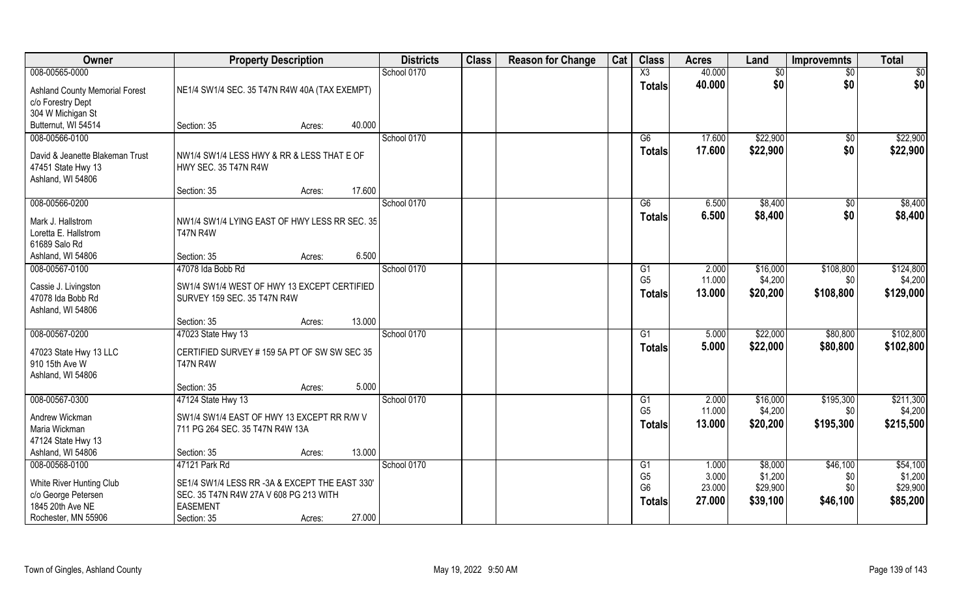| Owner                                 | <b>Property Description</b>                    |        |        | <b>Districts</b> | <b>Class</b> | <b>Reason for Change</b> | Cat | <b>Class</b>           | <b>Acres</b> | Land     | <b>Improvemnts</b> | <b>Total</b> |
|---------------------------------------|------------------------------------------------|--------|--------|------------------|--------------|--------------------------|-----|------------------------|--------------|----------|--------------------|--------------|
| 008-00565-0000                        |                                                |        |        | School 0170      |              |                          |     | $\overline{\text{X3}}$ | 40.000       | \$0      | $\sqrt{$0}$        | $\sqrt{50}$  |
| <b>Ashland County Memorial Forest</b> | NE1/4 SW1/4 SEC. 35 T47N R4W 40A (TAX EXEMPT)  |        |        |                  |              |                          |     | <b>Totals</b>          | 40.000       | \$0      | \$0                | \$0          |
| c/o Forestry Dept                     |                                                |        |        |                  |              |                          |     |                        |              |          |                    |              |
| 304 W Michigan St                     |                                                |        |        |                  |              |                          |     |                        |              |          |                    |              |
| Butternut, WI 54514                   | Section: 35                                    | Acres: | 40.000 |                  |              |                          |     |                        |              |          |                    |              |
| 008-00566-0100                        |                                                |        |        | School 0170      |              |                          |     | G6                     | 17.600       | \$22,900 | \$0                | \$22,900     |
| David & Jeanette Blakeman Trust       | NW1/4 SW1/4 LESS HWY & RR & LESS THAT E OF     |        |        |                  |              |                          |     | Totals                 | 17.600       | \$22,900 | \$0                | \$22,900     |
| 47451 State Hwy 13                    | HWY SEC. 35 T47N R4W                           |        |        |                  |              |                          |     |                        |              |          |                    |              |
| Ashland, WI 54806                     |                                                |        |        |                  |              |                          |     |                        |              |          |                    |              |
|                                       | Section: 35                                    | Acres: | 17.600 |                  |              |                          |     |                        |              |          |                    |              |
| 008-00566-0200                        |                                                |        |        | School 0170      |              |                          |     | G6                     | 6.500        | \$8,400  | \$0                | \$8,400      |
| Mark J. Hallstrom                     | NW1/4 SW1/4 LYING EAST OF HWY LESS RR SEC. 35  |        |        |                  |              |                          |     | <b>Totals</b>          | 6.500        | \$8,400  | \$0                | \$8,400      |
| Loretta E. Hallstrom                  | <b>T47N R4W</b>                                |        |        |                  |              |                          |     |                        |              |          |                    |              |
| 61689 Salo Rd                         |                                                |        |        |                  |              |                          |     |                        |              |          |                    |              |
| Ashland, WI 54806                     | Section: 35                                    | Acres: | 6.500  |                  |              |                          |     |                        |              |          |                    |              |
| 008-00567-0100                        | 47078 Ida Bobb Rd                              |        |        | School 0170      |              |                          |     | G1                     | 2.000        | \$16,000 | \$108,800          | \$124,800    |
| Cassie J. Livingston                  | SW1/4 SW1/4 WEST OF HWY 13 EXCEPT CERTIFIED    |        |        |                  |              |                          |     | G <sub>5</sub>         | 11.000       | \$4,200  | \$0                | \$4,200      |
| 47078 Ida Bobb Rd                     | SURVEY 159 SEC. 35 T47N R4W                    |        |        |                  |              |                          |     | <b>Totals</b>          | 13.000       | \$20,200 | \$108,800          | \$129,000    |
| Ashland, WI 54806                     |                                                |        |        |                  |              |                          |     |                        |              |          |                    |              |
|                                       | Section: 35                                    | Acres: | 13.000 |                  |              |                          |     |                        |              |          |                    |              |
| 008-00567-0200                        | 47023 State Hwy 13                             |        |        | School 0170      |              |                          |     | G1                     | 5.000        | \$22,000 | \$80,800           | \$102,800    |
| 47023 State Hwy 13 LLC                | CERTIFIED SURVEY # 159 5A PT OF SW SW SEC 35   |        |        |                  |              |                          |     | <b>Totals</b>          | 5.000        | \$22,000 | \$80,800           | \$102,800    |
| 910 15th Ave W                        | <b>T47N R4W</b>                                |        |        |                  |              |                          |     |                        |              |          |                    |              |
| Ashland, WI 54806                     |                                                |        |        |                  |              |                          |     |                        |              |          |                    |              |
|                                       | Section: 35                                    | Acres: | 5.000  |                  |              |                          |     |                        |              |          |                    |              |
| 008-00567-0300                        | 47124 State Hwy 13                             |        |        | School 0170      |              |                          |     | G1                     | 2.000        | \$16,000 | \$195,300          | \$211,300    |
| Andrew Wickman                        | SW1/4 SW1/4 EAST OF HWY 13 EXCEPT RR R/W V     |        |        |                  |              |                          |     | G <sub>5</sub>         | 11.000       | \$4,200  | \$0                | \$4,200      |
| Maria Wickman                         | 711 PG 264 SEC. 35 T47N R4W 13A                |        |        |                  |              |                          |     | <b>Totals</b>          | 13.000       | \$20,200 | \$195,300          | \$215,500    |
| 47124 State Hwy 13                    |                                                |        |        |                  |              |                          |     |                        |              |          |                    |              |
| Ashland, WI 54806                     | Section: 35                                    | Acres: | 13.000 |                  |              |                          |     |                        |              |          |                    |              |
| 008-00568-0100                        | 47121 Park Rd                                  |        |        | School 0170      |              |                          |     | G1                     | 1.000        | \$8,000  | \$46,100           | \$54,100     |
| White River Hunting Club              | SE1/4 SW1/4 LESS RR -3A & EXCEPT THE EAST 330' |        |        |                  |              |                          |     | G <sub>5</sub>         | 3.000        | \$1,200  | \$0                | \$1,200      |
| c/o George Petersen                   | SEC. 35 T47N R4W 27A V 608 PG 213 WITH         |        |        |                  |              |                          |     | G <sub>6</sub>         | 23.000       | \$29,900 | \$0                | \$29,900     |
| 1845 20th Ave NE                      | <b>EASEMENT</b>                                |        |        |                  |              |                          |     | <b>Totals</b>          | 27.000       | \$39,100 | \$46,100           | \$85,200     |
| Rochester, MN 55906                   | Section: 35                                    | Acres: | 27.000 |                  |              |                          |     |                        |              |          |                    |              |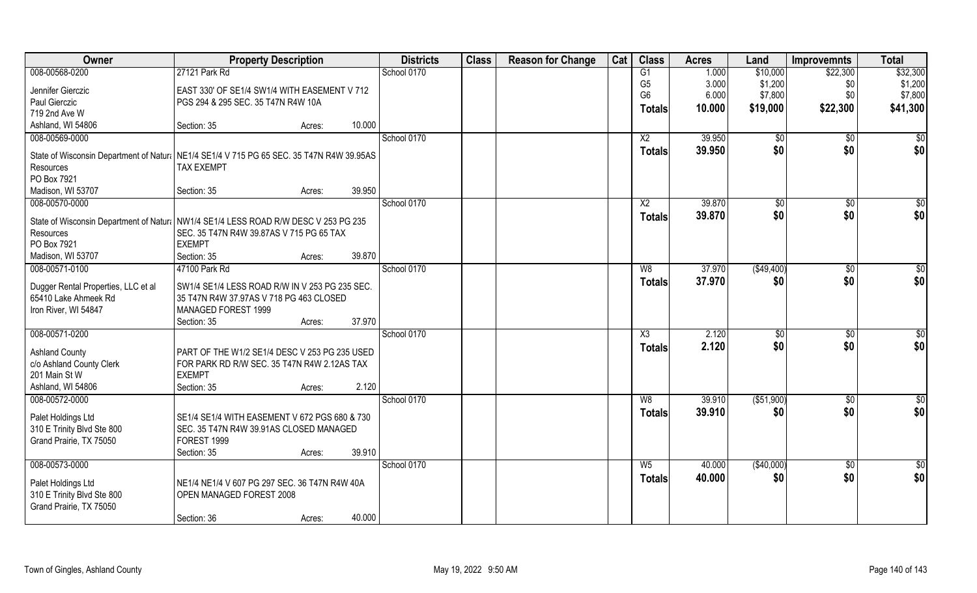| Owner                                             | <b>Property Description</b>                                                                  |        | <b>Districts</b> | <b>Class</b> | <b>Reason for Change</b> | Cat | <b>Class</b>    | <b>Acres</b> | Land          | <b>Improvemnts</b>    | <b>Total</b>    |
|---------------------------------------------------|----------------------------------------------------------------------------------------------|--------|------------------|--------------|--------------------------|-----|-----------------|--------------|---------------|-----------------------|-----------------|
| 008-00568-0200                                    | 27121 Park Rd                                                                                |        | School 0170      |              |                          |     | G1              | 1.000        | \$10,000      | \$22,300              | \$32,300        |
| Jennifer Gierczic                                 | EAST 330' OF SE1/4 SW1/4 WITH EASEMENT V 712                                                 |        |                  |              |                          |     | G <sub>5</sub>  | 3.000        | \$1,200       | \$0                   | \$1,200         |
| Paul Gierczic                                     | PGS 294 & 295 SEC. 35 T47N R4W 10A                                                           |        |                  |              |                          |     | G <sub>6</sub>  | 6.000        | \$7,800       | \$0                   | \$7,800         |
| 719 2nd Ave W                                     |                                                                                              |        |                  |              |                          |     | <b>Totals</b>   | 10.000       | \$19,000      | \$22,300              | \$41,300        |
| Ashland, WI 54806                                 | Section: 35<br>Acres:                                                                        | 10.000 |                  |              |                          |     |                 |              |               |                       |                 |
| 008-00569-0000                                    |                                                                                              |        | School 0170      |              |                          |     | $\overline{X2}$ | 39.950       | $\sqrt[6]{}$  | \$0                   | \$0             |
|                                                   |                                                                                              |        |                  |              |                          |     | <b>Totals</b>   | 39.950       | \$0           | \$0                   | \$0             |
|                                                   | State of Wisconsin Department of Natura   NE1/4 SE1/4 V 715 PG 65 SEC. 35 T47N R4W 39.95AS   |        |                  |              |                          |     |                 |              |               |                       |                 |
| Resources                                         | <b>TAX EXEMPT</b>                                                                            |        |                  |              |                          |     |                 |              |               |                       |                 |
| PO Box 7921                                       | Section: 35                                                                                  | 39.950 |                  |              |                          |     |                 |              |               |                       |                 |
| Madison, WI 53707<br>008-00570-0000               | Acres:                                                                                       |        | School 0170      |              |                          |     | X <sub>2</sub>  | 39.870       |               |                       | \$0             |
|                                                   |                                                                                              |        |                  |              |                          |     |                 |              | \$0<br>\$0    | $\sqrt[6]{30}$<br>\$0 |                 |
|                                                   | State of Wisconsin Department of Natur: NW1/4 SE1/4 LESS ROAD R/W DESC V 253 PG 235          |        |                  |              |                          |     | <b>Totals</b>   | 39.870       |               |                       | \$0             |
| Resources                                         | SEC. 35 T47N R4W 39.87AS V 715 PG 65 TAX                                                     |        |                  |              |                          |     |                 |              |               |                       |                 |
| PO Box 7921                                       | <b>EXEMPT</b>                                                                                |        |                  |              |                          |     |                 |              |               |                       |                 |
| Madison, WI 53707                                 | Section: 35<br>Acres:                                                                        | 39.870 |                  |              |                          |     |                 |              |               |                       |                 |
| 008-00571-0100                                    | 47100 Park Rd                                                                                |        | School 0170      |              |                          |     | W8              | 37.970       | (\$49,400)    | $\sqrt[6]{}$          | \$0             |
| Dugger Rental Properties, LLC et al               | SW1/4 SE1/4 LESS ROAD R/W IN V 253 PG 235 SEC.                                               |        |                  |              |                          |     | <b>Totals</b>   | 37.970       | \$0           | \$0                   | \$0             |
| 65410 Lake Ahmeek Rd                              | 35 T47N R4W 37.97AS V 718 PG 463 CLOSED                                                      |        |                  |              |                          |     |                 |              |               |                       |                 |
| Iron River, WI 54847                              | MANAGED FOREST 1999                                                                          |        |                  |              |                          |     |                 |              |               |                       |                 |
|                                                   | Section: 35<br>Acres:                                                                        | 37.970 |                  |              |                          |     |                 |              |               |                       |                 |
| 008-00571-0200                                    |                                                                                              |        | School 0170      |              |                          |     | X3              | 2.120        | $\sqrt[6]{3}$ | $\sqrt[6]{30}$        | \$0             |
|                                                   |                                                                                              |        |                  |              |                          |     | <b>Totals</b>   | 2.120        | \$0           | \$0                   | \$0             |
| <b>Ashland County</b><br>c/o Ashland County Clerk | PART OF THE W1/2 SE1/4 DESC V 253 PG 235 USED<br>FOR PARK RD R/W SEC. 35 T47N R4W 2.12AS TAX |        |                  |              |                          |     |                 |              |               |                       |                 |
| 201 Main St W                                     | <b>EXEMPT</b>                                                                                |        |                  |              |                          |     |                 |              |               |                       |                 |
| Ashland, WI 54806                                 | Section: 35<br>Acres:                                                                        | 2.120  |                  |              |                          |     |                 |              |               |                       |                 |
| 008-00572-0000                                    |                                                                                              |        | School 0170      |              |                          |     | W8              | 39.910       | (\$51,900)    | \$0                   | $\frac{6}{3}$   |
|                                                   |                                                                                              |        |                  |              |                          |     | <b>Totals</b>   | 39.910       | \$0           | \$0                   | \$0             |
| Palet Holdings Ltd                                | SE1/4 SE1/4 WITH EASEMENT V 672 PGS 680 & 730                                                |        |                  |              |                          |     |                 |              |               |                       |                 |
| 310 E Trinity Blvd Ste 800                        | SEC. 35 T47N R4W 39.91AS CLOSED MANAGED                                                      |        |                  |              |                          |     |                 |              |               |                       |                 |
| Grand Prairie, TX 75050                           | FOREST 1999                                                                                  |        |                  |              |                          |     |                 |              |               |                       |                 |
|                                                   | Section: 35<br>Acres:                                                                        | 39.910 |                  |              |                          |     |                 |              |               |                       |                 |
| 008-00573-0000                                    |                                                                                              |        | School 0170      |              |                          |     | $W_5$           | 40.000       | (\$40,000)    | $\overline{50}$       | $\overline{50}$ |
| Palet Holdings Ltd                                | NE1/4 NE1/4 V 607 PG 297 SEC. 36 T47N R4W 40A                                                |        |                  |              |                          |     | <b>Totals</b>   | 40.000       | \$0           | \$0                   | \$0             |
| 310 E Trinity Blvd Ste 800                        | OPEN MANAGED FOREST 2008                                                                     |        |                  |              |                          |     |                 |              |               |                       |                 |
| Grand Prairie, TX 75050                           |                                                                                              |        |                  |              |                          |     |                 |              |               |                       |                 |
|                                                   | Section: 36<br>Acres:                                                                        | 40.000 |                  |              |                          |     |                 |              |               |                       |                 |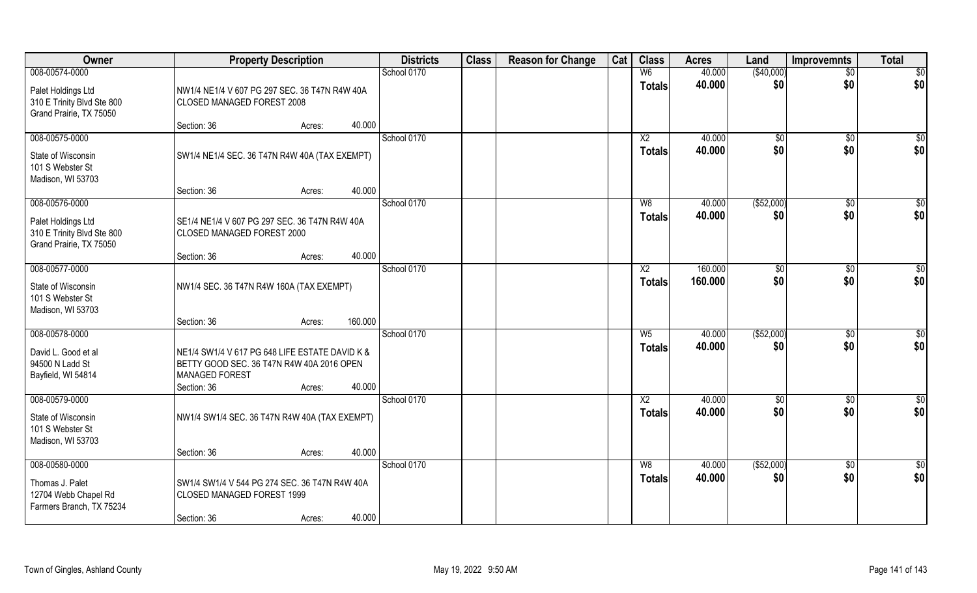| Owner                                                                         | <b>Property Description</b>                                                                                                                             | <b>Districts</b> | <b>Class</b> | <b>Reason for Change</b> | Cat | <b>Class</b>             | <b>Acres</b>     | Land                | <b>Improvemnts</b> | <b>Total</b>       |
|-------------------------------------------------------------------------------|---------------------------------------------------------------------------------------------------------------------------------------------------------|------------------|--------------|--------------------------|-----|--------------------------|------------------|---------------------|--------------------|--------------------|
| 008-00574-0000                                                                |                                                                                                                                                         | School 0170      |              |                          |     | W <sub>6</sub>           | 40.000           | (\$40,000)          | $\sqrt{$0}$        | \$0                |
| Palet Holdings Ltd<br>310 E Trinity Blvd Ste 800<br>Grand Prairie, TX 75050   | NW1/4 NE1/4 V 607 PG 297 SEC. 36 T47N R4W 40A<br>CLOSED MANAGED FOREST 2008                                                                             |                  |              |                          |     | <b>Totals</b>            | 40.000           | \$0                 | \$0                | \$0                |
|                                                                               | 40.000<br>Section: 36<br>Acres:                                                                                                                         |                  |              |                          |     |                          |                  |                     |                    |                    |
| 008-00575-0000<br>State of Wisconsin<br>101 S Webster St<br>Madison, WI 53703 | SW1/4 NE1/4 SEC. 36 T47N R4W 40A (TAX EXEMPT)                                                                                                           | School 0170      |              |                          |     | X <sub>2</sub><br>Totals | 40.000<br>40.000 | $\sqrt[6]{}$<br>\$0 | $\sqrt{$0}$<br>\$0 | $\sqrt{50}$<br>\$0 |
|                                                                               | 40.000<br>Section: 36<br>Acres:                                                                                                                         |                  |              |                          |     |                          |                  |                     |                    |                    |
| 008-00576-0000                                                                |                                                                                                                                                         | School 0170      |              |                          |     | W8                       | 40.000           | ( \$52,000)         | $\sqrt[6]{3}$      | \$0                |
| Palet Holdings Ltd<br>310 E Trinity Blvd Ste 800<br>Grand Prairie, TX 75050   | SE1/4 NE1/4 V 607 PG 297 SEC. 36 T47N R4W 40A<br>CLOSED MANAGED FOREST 2000                                                                             |                  |              |                          |     | <b>Totals</b>            | 40.000           | \$0                 | \$0                | \$0                |
|                                                                               | 40.000<br>Section: 36<br>Acres:                                                                                                                         |                  |              |                          |     |                          |                  |                     |                    |                    |
| 008-00577-0000                                                                |                                                                                                                                                         | School 0170      |              |                          |     | X2                       | 160.000          | $\sqrt[6]{}$        | $\sqrt[6]{3}$      | \$0                |
| State of Wisconsin<br>101 S Webster St<br>Madison, WI 53703                   | NW1/4 SEC. 36 T47N R4W 160A (TAX EXEMPT)                                                                                                                |                  |              |                          |     | <b>Totals</b>            | 160.000          | \$0                 | \$0                | \$0                |
|                                                                               | 160.000<br>Section: 36<br>Acres:                                                                                                                        |                  |              |                          |     |                          |                  |                     |                    |                    |
| 008-00578-0000                                                                |                                                                                                                                                         | School 0170      |              |                          |     | $\overline{W5}$          | 40.000           | (\$52,000)          | $\sqrt[6]{3}$      | \$0                |
| David L. Good et al<br>94500 N Ladd St<br>Bayfield, WI 54814                  | NE1/4 SW1/4 V 617 PG 648 LIFE ESTATE DAVID K &<br>BETTY GOOD SEC. 36 T47N R4W 40A 2016 OPEN<br><b>MANAGED FOREST</b><br>40.000<br>Section: 36<br>Acres: |                  |              |                          |     | <b>Totals</b>            | 40.000           | \$0                 | \$0                | \$0                |
| 008-00579-0000                                                                |                                                                                                                                                         | School 0170      |              |                          |     | $\overline{X2}$          | 40.000           | \$0                 | \$0                | $\frac{6}{3}$      |
| State of Wisconsin<br>101 S Webster St<br>Madison, WI 53703                   | NW1/4 SW1/4 SEC. 36 T47N R4W 40A (TAX EXEMPT)                                                                                                           |                  |              |                          |     | <b>Totals</b>            | 40.000           | \$0                 | \$0                | \$0                |
|                                                                               | 40.000<br>Section: 36<br>Acres:                                                                                                                         |                  |              |                          |     |                          |                  |                     |                    |                    |
| 008-00580-0000                                                                |                                                                                                                                                         | School 0170      |              |                          |     | W8                       | 40.000           | ( \$52,000)         | $\sqrt{$0}$        | $\overline{50}$    |
| Thomas J. Palet<br>12704 Webb Chapel Rd<br>Farmers Branch, TX 75234           | SW1/4 SW1/4 V 544 PG 274 SEC. 36 T47N R4W 40A<br>CLOSED MANAGED FOREST 1999                                                                             |                  |              |                          |     | <b>Totals</b>            | 40.000           | \$0                 | \$0                | \$0                |
|                                                                               | 40.000<br>Section: 36<br>Acres:                                                                                                                         |                  |              |                          |     |                          |                  |                     |                    |                    |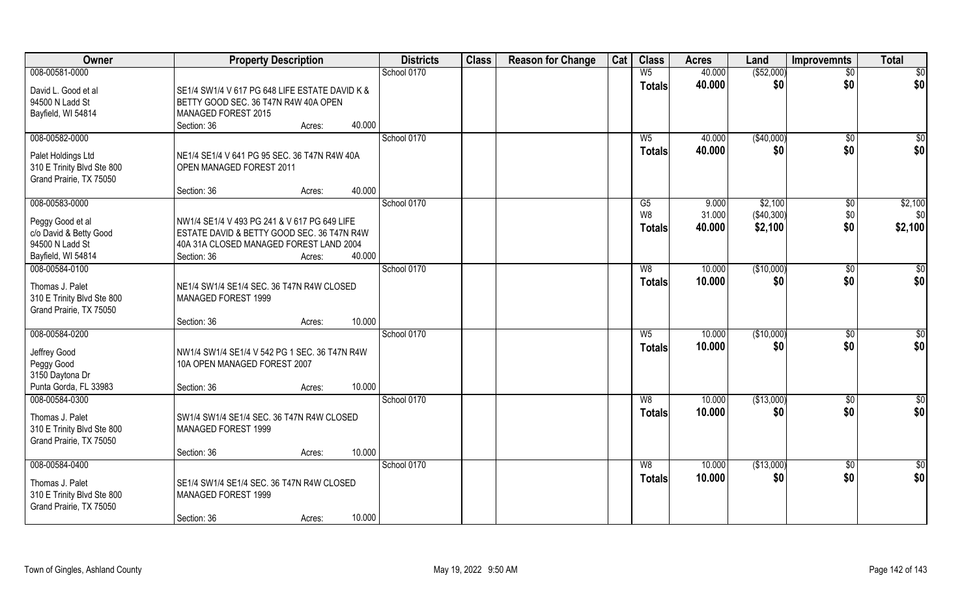| Owner                      | <b>Property Description</b>                    | <b>Districts</b> | <b>Class</b> | <b>Reason for Change</b> | Cat | <b>Class</b>   | <b>Acres</b> | Land         | <b>Improvemnts</b> | <b>Total</b>    |
|----------------------------|------------------------------------------------|------------------|--------------|--------------------------|-----|----------------|--------------|--------------|--------------------|-----------------|
| 008-00581-0000             |                                                | School 0170      |              |                          |     | W <sub>5</sub> | 40.000       | ( \$52,000)  | $\overline{50}$    | \$0             |
| David L. Good et al        | SE1/4 SW1/4 V 617 PG 648 LIFE ESTATE DAVID K & |                  |              |                          |     | <b>Totals</b>  | 40.000       | \$0          | \$0                | \$0             |
| 94500 N Ladd St            | BETTY GOOD SEC. 36 T47N R4W 40A OPEN           |                  |              |                          |     |                |              |              |                    |                 |
| Bayfield, WI 54814         | MANAGED FOREST 2015                            |                  |              |                          |     |                |              |              |                    |                 |
|                            | 40.000<br>Section: 36<br>Acres:                |                  |              |                          |     |                |              |              |                    |                 |
| 008-00582-0000             |                                                | School 0170      |              |                          |     | W <sub>5</sub> | 40.000       | (\$40,000)   | $\overline{50}$    | $\sqrt{50}$     |
| Palet Holdings Ltd         | NE1/4 SE1/4 V 641 PG 95 SEC. 36 T47N R4W 40A   |                  |              |                          |     | <b>Totals</b>  | 40.000       | \$0          | \$0                | \$0             |
| 310 E Trinity Blvd Ste 800 | OPEN MANAGED FOREST 2011                       |                  |              |                          |     |                |              |              |                    |                 |
| Grand Prairie, TX 75050    |                                                |                  |              |                          |     |                |              |              |                    |                 |
|                            | 40.000<br>Section: 36<br>Acres:                |                  |              |                          |     |                |              |              |                    |                 |
| 008-00583-0000             |                                                | School 0170      |              |                          |     | G5             | 9.000        | \$2,100      | $\sqrt[6]{30}$     | \$2,100         |
| Peggy Good et al           | NW1/4 SE1/4 V 493 PG 241 & V 617 PG 649 LIFE   |                  |              |                          |     | W8             | 31.000       | ( \$40, 300) | \$0                | \$0             |
| c/o David & Betty Good     | ESTATE DAVID & BETTY GOOD SEC. 36 T47N R4W     |                  |              |                          |     | <b>Totals</b>  | 40.000       | \$2,100      | \$0                | \$2,100         |
| 94500 N Ladd St            | 40A 31A CLOSED MANAGED FOREST LAND 2004        |                  |              |                          |     |                |              |              |                    |                 |
| Bayfield, WI 54814         | 40.000<br>Section: 36<br>Acres:                |                  |              |                          |     |                |              |              |                    |                 |
| 008-00584-0100             |                                                | School 0170      |              |                          |     | W <sub>8</sub> | 10.000       | (\$10,000)   | $\sqrt[6]{3}$      | \$0             |
|                            |                                                |                  |              |                          |     | <b>Totals</b>  | 10.000       | \$0          | \$0                | \$0             |
| Thomas J. Palet            | NE1/4 SW1/4 SE1/4 SEC. 36 T47N R4W CLOSED      |                  |              |                          |     |                |              |              |                    |                 |
| 310 E Trinity Blvd Ste 800 | MANAGED FOREST 1999                            |                  |              |                          |     |                |              |              |                    |                 |
| Grand Prairie, TX 75050    |                                                |                  |              |                          |     |                |              |              |                    |                 |
|                            | 10.000<br>Section: 36<br>Acres:                |                  |              |                          |     |                |              |              |                    |                 |
| 008-00584-0200             |                                                | School 0170      |              |                          |     | $W_5$          | 10.000       | (\$10,000)   | $\sqrt[6]{30}$     | \$0             |
| Jeffrey Good               | NW1/4 SW1/4 SE1/4 V 542 PG 1 SEC. 36 T47N R4W  |                  |              |                          |     | <b>Totals</b>  | 10.000       | \$0          | \$0                | \$0             |
| Peggy Good                 | 10A OPEN MANAGED FOREST 2007                   |                  |              |                          |     |                |              |              |                    |                 |
| 3150 Daytona Dr            |                                                |                  |              |                          |     |                |              |              |                    |                 |
| Punta Gorda, FL 33983      | 10.000<br>Section: 36<br>Acres:                |                  |              |                          |     |                |              |              |                    |                 |
| 008-00584-0300             |                                                | School 0170      |              |                          |     | W8             | 10.000       | (\$13,000)   | \$0                | \$0             |
| Thomas J. Palet            | SW1/4 SW1/4 SE1/4 SEC. 36 T47N R4W CLOSED      |                  |              |                          |     | <b>Totals</b>  | 10.000       | \$0          | \$0                | \$0             |
| 310 E Trinity Blvd Ste 800 | MANAGED FOREST 1999                            |                  |              |                          |     |                |              |              |                    |                 |
| Grand Prairie, TX 75050    |                                                |                  |              |                          |     |                |              |              |                    |                 |
|                            | 10.000<br>Section: 36<br>Acres:                |                  |              |                          |     |                |              |              |                    |                 |
| 008-00584-0400             |                                                | School 0170      |              |                          |     | W8             | 10.000       | (\$13,000)   | $\sqrt{$0}$        | $\overline{50}$ |
|                            |                                                |                  |              |                          |     | <b>Totals</b>  | 10.000       | \$0          | \$0                | \$0             |
| Thomas J. Palet            | SE1/4 SW1/4 SE1/4 SEC. 36 T47N R4W CLOSED      |                  |              |                          |     |                |              |              |                    |                 |
| 310 E Trinity Blvd Ste 800 | MANAGED FOREST 1999                            |                  |              |                          |     |                |              |              |                    |                 |
| Grand Prairie, TX 75050    | 10.000<br>Section: 36                          |                  |              |                          |     |                |              |              |                    |                 |
|                            | Acres:                                         |                  |              |                          |     |                |              |              |                    |                 |